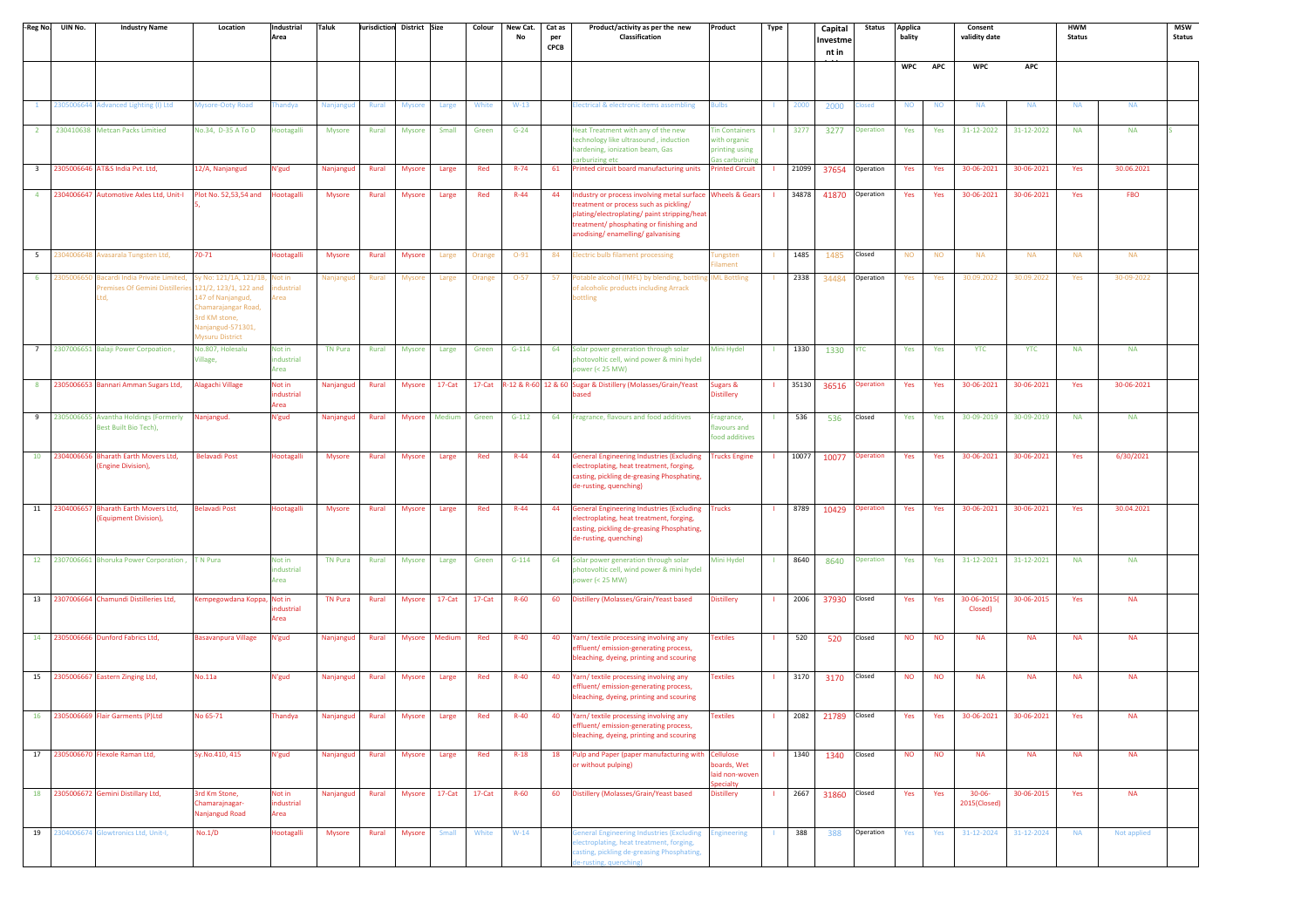|                | -Reg No. UIN No. | <b>Industry Name</b>                                                                                                   | Location                                                                                          | Industrial<br>Area           | Taluk          |       | Jurisdiction District Size |               | Colour | New Cat.<br>No | Cat as<br>per<br>CPCB | Product/activity as per the new<br>Classification                                                                                                                                                                                   | Product                                                                    | Type                   |      | Capital<br>Investme<br>nt in | <b>Status</b> | Applica<br>bality |            | Consent<br>validity date    |            | <b>HWM</b><br><b>Status</b> |             | <b>MSW</b><br><b>Status</b> |
|----------------|------------------|------------------------------------------------------------------------------------------------------------------------|---------------------------------------------------------------------------------------------------|------------------------------|----------------|-------|----------------------------|---------------|--------|----------------|-----------------------|-------------------------------------------------------------------------------------------------------------------------------------------------------------------------------------------------------------------------------------|----------------------------------------------------------------------------|------------------------|------|------------------------------|---------------|-------------------|------------|-----------------------------|------------|-----------------------------|-------------|-----------------------------|
|                |                  |                                                                                                                        |                                                                                                   |                              |                |       |                            |               |        |                |                       |                                                                                                                                                                                                                                     |                                                                            |                        |      |                              |               | <b>WPC</b>        | <b>APC</b> | <b>WPC</b>                  | <b>APC</b> |                             |             |                             |
| $\mathbf{1}$   |                  | 2305006644 Advanced Lighting (I) Ltd                                                                                   | Mysore-Ooty Road                                                                                  | handya                       | Nanjangud      | Rural | <b>Mysore</b>              | Large         | White  | $W-13$         |                       | Electrical & electronic items assembling                                                                                                                                                                                            | <b>Sulbs</b>                                                               | 2000                   |      | 2000                         | <b>losed</b>  | <b>NO</b>         | <b>NO</b>  | <b>NA</b>                   | <b>NA</b>  | <b>NA</b>                   | <b>NA</b>   |                             |
| $\overline{2}$ |                  | 230410638 Metcan Packs Limitied                                                                                        | No.34, D-35 A To D                                                                                | Hootagalli                   | <b>Mysore</b>  | Rural | <b>Mysore</b>              | Small         | Green  | $G-24$         |                       | Heat Treatment with any of the new<br>technology like ultrasound, induction<br>hardening, ionization beam, Gas<br>carburizing etc                                                                                                   | <b>Tin Containers</b><br>with organic<br>printing using<br>Gas carburizing | 3277<br>-11            |      | 3277                         | Operation     | Yes               | Yes        | 31-12-2022                  | 31-12-2022 | <b>NA</b>                   | <b>NA</b>   |                             |
|                |                  | 3 2305006646 AT&S India Pvt. Ltd,                                                                                      | 12/A, Nanjangud                                                                                   | N'gud                        | Nanjangud      | Rural | Mysore                     | Large         | Red    | $R - 74$       | 61                    | Printed circuit board manufacturing units                                                                                                                                                                                           | Printed Circuit                                                            | 21099                  |      | 37654                        | Operation     | Yes               | Yes        | 30-06-2021                  | 30-06-2021 | Yes                         | 30.06.2021  |                             |
|                |                  | 4 2304006647 Automotive Axles Ltd, Unit-I Plot No. 52,53,54 and                                                        |                                                                                                   | Hootagalli                   | <b>Mysore</b>  | Rural | Mysore                     | Large         | Red    | $R - 44$       | 44                    | Industry or process involving metal surface Wheels & Gears<br>treatment or process such as pickling/<br>plating/electroplating/ paint stripping/heat<br>treatment/ phosphating or finishing and<br>anodising/enamelling/galvanising |                                                                            | 34878                  |      | 41870                        | Operation     | Yes               | Yes        | 30-06-2021                  | 30-06-2021 | Yes                         | <b>FBO</b>  |                             |
| 5 <sup>5</sup> |                  | 2304006648 Avasarala Tungsten Ltd,                                                                                     | 70-71                                                                                             | <b>Hootagalli</b>            | <b>Mysore</b>  | Rural | <b>Mysore</b>              | Large         | Orange | $O-91$         | 84                    | <b>Electric bulb filament processing</b>                                                                                                                                                                                            | ungsten<br>ament                                                           | 1485                   |      | 1485                         | Closed        | <b>NO</b>         | <b>NO</b>  | <b>NA</b>                   | <b>NA</b>  | <b>NA</b>                   | <b>NA</b>   |                             |
| 6              | 230500665        | Bacardi India Private Limited, Sy No: 121/1A, 121/1B,<br>Premises Of Gemini Distilleries 121/2, 123/1, 122 and<br>Ltd. | 147 of Nanjangud,<br>Chamarajangar Road,<br>3rd KM stone,<br>Nanjangud-571301,<br>Mysuru District | Not in<br>industrial<br>Area | Nanjangud      | Rural | Mysore                     | Large         | Orange | $O-57$         | 57                    | Potable alcohol (IMFL) by blending, bottling<br>of alcoholic products including Arrack<br>bottling                                                                                                                                  | <b>IML Bottling</b>                                                        | 2338                   |      | 34484                        | Operation     | Yes               | Yes        | 30.09.2022                  | 30.09.2022 | Yes                         | 30-09-2022  |                             |
| $7^{\circ}$    |                  | 2307006651 Balaji Power Corpoation,                                                                                    | No.807, Holesalu<br>Village,                                                                      | Not in<br>industrial<br>Area | <b>TN Pura</b> | Rural | <b>Mysore</b>              | Large         | Green  | $G-114$        | 64                    | Solar power generation through solar<br>photovoltic cell, wind power & mini hydel<br>power (< 25 MW)                                                                                                                                | Mini Hydel                                                                 | 1330                   |      | 1330                         | <b>YTC</b>    | Yes               | Yes        | <b>YTC</b>                  | <b>YTC</b> | <b>NA</b>                   | <b>NA</b>   |                             |
|                |                  | 8 2305006653 Bannari Amman Sugars Ltd,                                                                                 | Alagachi Village                                                                                  | Not in<br>ndustrial<br>Area  | Nanjangud      | Rural | <b>Mysore</b>              | 17-Cat        | 17-Cat |                |                       | R-12 & R-60 12 & 60 Sugar & Distillery (Molasses/Grain/Yeast<br>ased                                                                                                                                                                | Sugars &<br><b>Distillery</b>                                              | 35130                  |      | 36516                        | Operation     | Yes               | Yes        | 30-06-2021                  | 30-06-2021 | Yes                         | 30-06-2021  |                             |
|                |                  | 9 2305006655 Avantha Holdings (Formerly<br><b>Best Built Bio Tech)</b> ,                                               | Nanjangud.                                                                                        | N'gud                        | Nanjangud      | Rural | <b>Mysore</b>              | Medium        | Green  | $G-112$        | 64                    | Fragrance, flavours and food additives                                                                                                                                                                                              | ragrance,<br>flavours and<br>food additives                                | 536                    |      | 536                          | Closed        | Yes               | Yes        | 30-09-2019                  | 30-09-2019 | <b>NA</b>                   | <b>NA</b>   |                             |
|                | 10 2304006656    | <b>Bharath Earth Movers Ltd,</b><br>(Engine Division),                                                                 | <b>Belavadi Post</b>                                                                              | Hootagalli                   | <b>Mysore</b>  | Rural | <b>Mysore</b>              | Large         | Red    | $R - 44$       | 44                    | <b>General Engineering Industries (Excluding</b><br>electroplating, heat treatment, forging,<br>casting, pickling de-greasing Phosphating,<br>de-rusting, quenching)                                                                | <b>Trucks Engine</b>                                                       | 10077                  |      | 10077                        | Operation     | Yes               | Yes        | 30-06-2021                  | 30-06-2021 | Yes                         | 6/30/2021   |                             |
| 11             |                  | 2304006657 Bharath Earth Movers Ltd,<br>(Equipment Division),                                                          | Belavadi Post                                                                                     | <b>Hootagalli</b>            | Mysore         | Rural | <b>Mysore</b>              | Large         | Red    | $R-44$         | 44                    | <b>General Engineering Industries (Excluding</b><br>electroplating, heat treatment, forging,<br>casting, pickling de-greasing Phosphating,<br>de-rusting, quenching)                                                                | <b>Trucks</b>                                                              | 8789                   |      | 10429                        | Operation     | Yes               | Yes        | 30-06-2021                  | 30-06-2021 | Yes                         | 30.04.2021  |                             |
|                |                  | 12 2307006661 Bhoruka Power Corporation,                                                                               | T N Pura                                                                                          | Not in<br>industrial<br>Area | <b>TN Pura</b> | Rural | Mysore                     | Large         | Green  | $G-114$        | 64                    | Solar power generation through solar<br>photovoltic cell, wind power & mini hydel<br>power (< 25 MW)                                                                                                                                | Mini Hydel                                                                 | 8640                   |      | 8640                         | Operation     | Yes               | Yes        | 31-12-2021                  | 31-12-2021 | <b>NA</b>                   | <b>NA</b>   |                             |
|                |                  | 13 2307006664 Chamundi Distilleries Ltd,                                                                               | Kempegowdana Koppa, Not in                                                                        | ndustrial<br>Area            | <b>TN Pura</b> | Rural | Mysore                     | 17-Cat        | 17-Cat | $R-60$         | 60                    | Distillery (Molasses/Grain/Yeast based                                                                                                                                                                                              | Distillery                                                                 | 2006                   |      | 37930                        | Closed        | Yes               | Yes        | 30-06-2015(<br>Closed)      | 30-06-2015 | Yes                         | <b>NA</b>   |                             |
|                |                  | 14 2305006666 Dunford Fabrics Ltd,                                                                                     | <b>Basavanpura Village</b>                                                                        | N'gud                        | Nanjangud      | Rural | <b>Mysore</b>              | Medium        | Red    | $R-40$         | 40                    | Yarn/ textile processing involving any<br>effluent/emission-generating process,<br>bleaching, dyeing, printing and scouring                                                                                                         | <b>Textiles</b>                                                            | 520                    |      | 520                          | Closed        | <b>NO</b>         | <b>NO</b>  | <b>NA</b>                   | <b>NA</b>  | <b>NA</b>                   | <b>NA</b>   |                             |
|                |                  | 15 2305006667 Eastern Zinging Ltd,                                                                                     | No.11a                                                                                            | N'gud                        | Nanjangud      | Rural | Mysore                     | Large         | Red    | $R-40$         | 40                    | Yarn/textile processing involving any<br>ffluent/emission-generating process,<br>bleaching, dyeing, printing and scouring                                                                                                           | <b>Textiles</b>                                                            | 3170<br>$\mathbf{H}$ . |      | 3170                         | Closed        | <b>NO</b>         | <b>NO</b>  | <b>NA</b>                   | <b>NA</b>  | <b>NA</b>                   | <b>NA</b>   |                             |
|                |                  | 16 2305006669 Flair Garments (P)Ltd                                                                                    | No 65-71                                                                                          | Thandya                      | Nanjangud      | Rural |                            | Mysore Large  | Red    | $R-40$         |                       | 40 Yarn/ textile processing involving any<br>effluent/ emission-generating process,<br>bleaching, dyeing, printing and scouring                                                                                                     | Textiles                                                                   |                        |      | 2082 21789 Closed            |               | Yes               | Yes        | 30-06-2021                  | 30-06-2021 | Yes                         | $\sf NA$    |                             |
|                |                  | 17 2305006670 Flexole Raman Ltd,                                                                                       | Sy.No.410, 415                                                                                    | N'gud                        | Nanjangud      | Rural | <b>Mysore</b>              | Large         | Red    | $R-18$         | 18                    | Pulp and Paper (paper manufacturing with Cellulose<br>or without pulping)                                                                                                                                                           | boards, Wet<br>aid non-woven<br>becialty                                   |                        | 1340 | 1340 Closed                  |               | <b>NO</b>         | <b>NO</b>  | <b>NA</b>                   | <b>NA</b>  | <b>NA</b>                   | <b>NA</b>   |                             |
|                |                  | 18 2305006672 Gemini Distillary Ltd,                                                                                   | 3rd Km Stone,<br>Chamarajnagar-<br>Nanjangud Road                                                 | Not in<br>ndustrial<br>Area  | Nanjangud      | Rural |                            | Mysore 17-Cat | 17-Cat | $R-60$         | 60                    | Distillery (Molasses/Grain/Yeast based                                                                                                                                                                                              | <b>Distillery</b>                                                          | 2667<br>-11            |      | 31860 Closed                 |               | Yes               | Yes        | $30 - 06 -$<br>2015(Closed) | 30-06-2015 | Yes                         | <b>NA</b>   |                             |
| 19             |                  | 2304006674 Glowtronics Ltd, Unit-I,                                                                                    | No.1/D                                                                                            | <b>Hootagalli</b>            | Mysore         | Rural | Mysore                     | Small         | White  | $W-14$         |                       | <b>General Engineering Industries (Excluding</b><br>electroplating, heat treatment, forging,<br>casting, pickling de-greasing Phosphating,<br>de-rusting, quenching)                                                                | ngineering                                                                 | 388<br>л.              |      | 388                          | Operation     | Yes               | Yes        | 31-12-2024                  | 31-12-2024 | <b>NA</b>                   | Not applied |                             |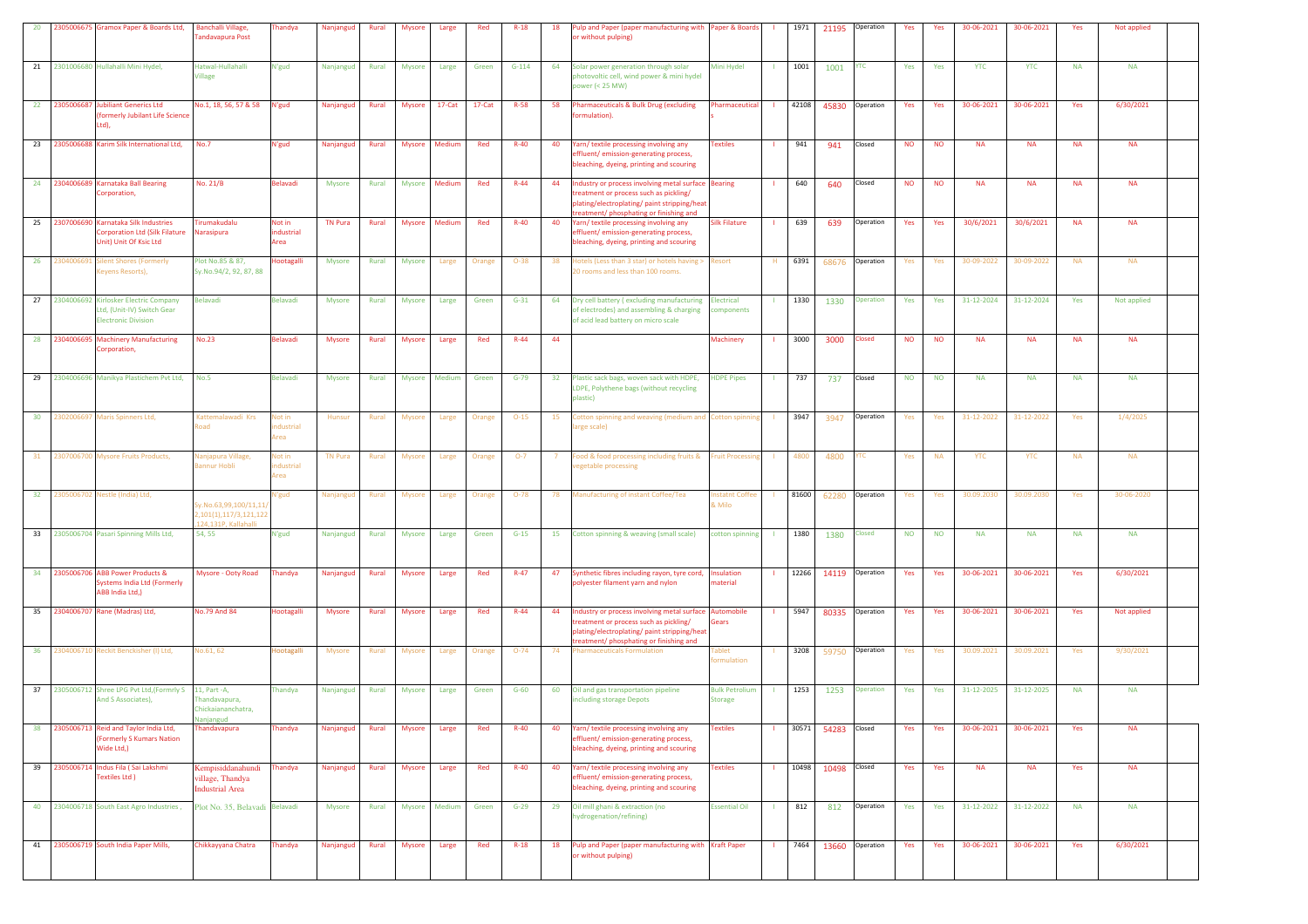| 20              |               | 2305006675 Gramox Paper & Boards Ltd,                                                                      | <b>Banchalli Village</b> ,<br>andavapura Post                            | handya                           | Nanjangud      | Rural | <b>Mysore</b> | Large         | Red    | $R-18$   | 18 | ulp and Paper (paper manufacturing with Paper & Boards<br>r without pulping)                                                                                                               |                                         |              | 1971  |                    | 21195 Operation       | Yes       | Yes       | 30-06-2021 | 30-06-2021 | Yes       | Not applied |  |
|-----------------|---------------|------------------------------------------------------------------------------------------------------------|--------------------------------------------------------------------------|----------------------------------|----------------|-------|---------------|---------------|--------|----------|----|--------------------------------------------------------------------------------------------------------------------------------------------------------------------------------------------|-----------------------------------------|--------------|-------|--------------------|-----------------------|-----------|-----------|------------|------------|-----------|-------------|--|
|                 |               | 21 2301006680 Hullahalli Mini Hydel.                                                                       | Hatwal-Hullahalli<br><b>Village</b>                                      | N'gud                            | Nanjangud      | Rural | Mysore        | Large         | Green  | $G-114$  | 64 | Solar power generation through solar<br>photovoltic cell, wind power & mini hydel<br>$power < 25 MW)$                                                                                      | Mini Hydel                              |              | 1001  | 1001               | <b>YTC</b>            | Yes       | Yes       | <b>YTC</b> | <b>YTC</b> | <b>NA</b> | <b>NA</b>   |  |
|                 |               | 22 2305006687 Jubiliant Generics Ltd<br>(formerly Jubilant Life Science<br>Ltd).                           | No.1, 18, 56, 57 & 58                                                    | N'gud                            | Nanjangud      | Rural | <b>Mysore</b> | 17-Cat        | 17-Cat | $R-58$   | 58 | harmaceuticals & Bulk Drug (excluding<br>ormulation).                                                                                                                                      | Pharmaceutical                          | - 11         | 42108 |                    | 45830 Operation       | Yes       | Yes       | 30-06-2021 | 30-06-2021 | Yes       | 6/30/2021   |  |
|                 |               | 23 2305006688 Karim Silk International Ltd,                                                                | No.7                                                                     | N'gud                            | Nanjangud      | Rural | Mysore        | Medium        | Red    | $R-40$   | 40 | arn/textile processing involving any<br>ffluent/emission-generating process,<br>pleaching, dyeing, printing and scouring                                                                   | <b>Textiles</b>                         | -11          | 941   | 941                | Closed                | <b>NO</b> | <b>NO</b> | <b>NA</b>  | <b>NA</b>  | <b>NA</b> | <b>NA</b>   |  |
|                 |               | 24 2304006689 Karnataka Ball Bearing<br>Corporation,                                                       | No. 21/B                                                                 | <b>Belavadi</b>                  | Mysore         | Rural | Mysore        | Medium        | Red    | $R-44$   | 44 | Industry or process involving metal surface Bearing<br>treatment or process such as pickling/<br>plating/electroplating/ paint stripping/heat<br>treatment/ phosphating or finishing and   |                                         |              | 640   | 640                | Closed                | <b>NO</b> | <b>NO</b> | <b>NA</b>  | <b>NA</b>  | <b>NA</b> | <b>NA</b>   |  |
|                 |               | 25 2307006690 Karnataka Silk Industries<br><b>Corporation Ltd (Silk Filature</b><br>Unit) Unit Of Ksic Ltd | Tirumakudalu<br>Narasipura                                               | Not in<br>industrial<br>Area     | <b>TN Pura</b> | Rural | Mysore        | Medium        | Red    | $R-40$   | 40 | Yarn/textile processing involving any<br>effluent/emission-generating process,<br>bleaching, dyeing, printing and scouring                                                                 | <b>Silk Filature</b>                    | $\mathbf{I}$ | 639   | 639                | Operation             | Yes       | Yes       | 30/6/2021  | 30/6/2021  | <b>NA</b> | <b>NA</b>   |  |
|                 | 26 2304006691 | <b>Silent Shores (Formerly</b><br>(eyens Resorts),                                                         | Plot No.85 & 87,<br>Sy.No.94/2, 92, 87, 88                               | <b>Hootagalli</b>                | <b>Mysore</b>  | Rural | <b>Mysore</b> | Large         | Orange | $O-38$   | 38 | Hotels (Less than 3 star) or hotels having > Resort<br>0 rooms and less than 100 rooms.                                                                                                    |                                         | H            | 6391  |                    | 68676 Operation       | Yes       | Yes       | 30-09-2022 | 30-09-2022 | <b>NA</b> | <b>NA</b>   |  |
|                 |               | 27 2304006692 Kirlosker Electric Company<br>Ltd, (Unit-IV) Switch Gear<br><b>Electronic Division</b>       | Belavadi                                                                 | Belavadi                         | Mysore         | Rural | Mysore        | Large         | Green  | $G-31$   | 64 | Dry cell battery (excluding manufacturing<br>of electrodes) and assembling & charging<br>of acid lead battery on micro scale                                                               | Electrical<br>components                |              | 1330  | 1330               | <b>Operation</b>      | Yes       | Yes       | 31-12-2024 | 31-12-2024 | Yes       | Not applied |  |
|                 |               | 28 2304006695 Machinery Manufacturing<br>Corporation,                                                      | <b>No.23</b>                                                             | Belavadi                         | <b>Mysore</b>  | Rural | <b>Mysore</b> | Large         | Red    | $R - 44$ | 44 |                                                                                                                                                                                            | <b>Machinery</b>                        |              | 3000  | 3000               | <b>Closed</b>         | <b>NO</b> | <b>NO</b> | <b>NA</b>  | <b>NA</b>  | <b>NA</b> | <b>NA</b>   |  |
|                 |               | 29 2304006696 Manikya Plastichem Pvt Ltd, No.5                                                             |                                                                          | Belavadi                         | Mysore         | Rural |               | Mysore Medium | Green  | $G-79$   | 32 | Plastic sack bags, woven sack with HDPE,<br>LDPE, Polythene bags (without recycling<br>plastic)                                                                                            | <b>HDPE Pipes</b>                       | $\mathbf{L}$ | 737   | 737                | Closed                | <b>NO</b> | <b>NO</b> | <b>NA</b>  | <b>NA</b>  | <b>NA</b> | <b>NA</b>   |  |
|                 |               | 30 2302006697 Maris Spinners Ltd,                                                                          | Kattemalawadi Krs<br>load                                                | Not in<br>ndustrial<br>Area      | Hunsur         | Rural | <b>Mysore</b> | Large         | Orange | $O-15$   | 15 | otton spinning and weaving (medium and Cotton spinning<br>arge scale)                                                                                                                      |                                         |              | 3947  | 3947               | Operation             | Yes       | Yes       | 31-12-2022 | 31-12-2022 | Yes       | 1/4/2025    |  |
| 31              |               | 2307006700 Mysore Fruits Products,                                                                         | Nanjapura Village<br>annur Hobli                                         | <b>Not in</b><br>dustrial<br>rea | <b>TN Pura</b> | Rural | Mysore        | Large         | Orange | $O-7$    |    | ood & food processing including fruits &<br>egetable processing                                                                                                                            | <b>Fruit Processing</b>                 |              | 4800  | 4800               | TC.                   | Yes       | <b>NA</b> | <b>YTC</b> | <b>YTC</b> | <b>NA</b> | <b>NA</b>   |  |
| 32 <sub>2</sub> |               | 2305006702 Nestle (India) Ltd,                                                                             | iy.No.63,99,100/11,11/<br>2,101(1),117/3,121,122<br>124,131P, Kallahalli | l'gud                            | Nanjangud      | Rural | Mysore        | Large         | Orange | $O-78$   | 78 | Manufacturing of instant Coffee/Tea                                                                                                                                                        | nstatnt Coffee<br>Milo                  |              | 81600 | 62280              | Operation             | Yes       | Yes       | 30.09.2030 | 30.09.2030 | Yes       | 30-06-2020  |  |
|                 |               | 33 2305006704 Pasari Spinning Mills Ltd,                                                                   | 54, 55                                                                   | N'gud                            | Nanjangud      | Rural | <b>Mysore</b> | Large         | Green  | $G-15$   |    | 15 Cotton spinning & weaving (small scale)                                                                                                                                                 | cotton spinning                         |              | 1380  | 1380               | Closed                | <b>NO</b> | <b>NO</b> | <b>NA</b>  | <b>NA</b>  | <b>NA</b> | <b>NA</b>   |  |
|                 |               | 34 2305006706 ABB Power Products &<br>Systems India Ltd (Formerly<br>ABB India Ltd,)                       | Mysore - Ooty Road                                                       | Thandya                          | Nanjangud      | Rural | Mysore        | Large         | Red    | $R - 47$ | 47 | Synthetic fibres including rayon, tyre cord, Insulation<br>olyester filament yarn and nylon                                                                                                | naterial                                | $\mathbf{L}$ |       |                    | 12266 14119 Operation | Yes       | Yes       | 30-06-2021 | 30-06-2021 | Yes       | 6/30/2021   |  |
|                 |               | 35 2304006707 Rane (Madras) Ltd,                                                                           | No.79 And 84                                                             | <b>lootagalli</b>                | <b>Mysore</b>  | Rural | Mysore        | Large         | Red    | $R-44$   | 44 | ndustry or process involving metal surface Automobile<br>treatment or process such as pickling/<br>plating/electroplating/ paint stripping/heat<br>treatment/ phosphating or finishing and | Gears                                   |              | 5947  |                    | 80335 Operation       | Yes       | Yes       | 30-06-2021 | 30-06-2021 | Yes       | Not applied |  |
|                 |               | 36 2304006710 Reckit Benckisher (I) Ltd,                                                                   | No.61, 62                                                                | Hootagalli                       | <b>Mysore</b>  | Rural | Mysore        | Large         | Orange | $O-74$   | 74 | <b>Pharmaceuticals Formulation</b>                                                                                                                                                         | Tablet<br>ormulation                    |              | 3208  |                    | 59750 Operation       | Yes       | Yes       | 30.09.2021 | 30.09.2021 | Yes       | 9/30/2021   |  |
|                 |               | 37 2305006712 Shree LPG Pvt Ltd, (Formrly S 11, Part -A,<br>And S Associates),                             | handavapura,<br>Chickaiananchatra,                                       | Thandya                          | Nanjangud      | Rural | Mysore        | Large         | Green  | $G-60$   | 60 | Oil and gas transportation pipeline<br>ncluding storage Depots                                                                                                                             | <b>Bulk Petrolium</b><br><b>Storage</b> |              | 1253  | 1253               | Operation             | Yes       | Yes       | 31-12-2025 | 31-12-2025 | <b>NA</b> | <b>NA</b>   |  |
| 38              |               | 2305006713 Reid and Taylor India Ltd,<br><b>(Formerly S Kumars Nation</b><br>Wide Ltd,)                    | <b>Thandavapura</b>                                                      | handya                           | Nanjangud      | Rural | <b>Mysore</b> | Large         | Red    | $R-40$   | 40 | /arn/ textile processing involving any<br>ffluent/emission-generating process,<br>bleaching, dyeing, printing and scouring                                                                 | <b>Textiles</b>                         |              | 30571 | 54283              | Closed                | Yes       | Yes       | 30-06-2021 | 30-06-2021 | Yes       | <b>NA</b>   |  |
| 39              |               | 2305006714 Indus Fila (Sai Lakshmi<br>Textiles Ltd )                                                       | Kempisiddanahundi<br>village, Thandya<br><b>Industrial Area</b>          | handya                           | Nanjangud      | Rural | Mysore        | Large         | Red    | $R-40$   | 40 | Yarn/ textile processing involving any<br>ffluent/emission-generating process,<br>bleaching, dyeing, printing and scouring                                                                 | <b>Textiles</b>                         |              |       | 10498 10498 Closed |                       | Yes       | Yes       | <b>NA</b>  | <b>NA</b>  | Yes       | <b>NA</b>   |  |
|                 |               | 40 2304006718 South East Agro Industries,                                                                  | Plot No. 35, Belavadi Belavadi                                           |                                  | Mysore         | Rural |               | Mysore Medium | Green  | $G-29$   |    | 29 Oil mill ghani & extraction (no<br>hydrogenation/refining)                                                                                                                              | <b>Essential Oil</b>                    | $\mathbf{L}$ | 812   | 812                | Operation             | Yes       | Yes       | 31-12-2022 | 31-12-2022 | <b>NA</b> | <b>NA</b>   |  |
|                 |               | 41 2305006719 South India Paper Mills,                                                                     | Chikkayyana Chatra                                                       | Thandya                          | Nanjangud      | Rural | Mysore        | Large         | Red    | $R-18$   | 18 | Pulp and Paper (paper manufacturing with Kraft Paper<br>or without pulping)                                                                                                                |                                         | - 11         | 7464  |                    | 13660 Operation       | Yes       | Yes       | 30-06-2021 | 30-06-2021 | Yes       | 6/30/2021   |  |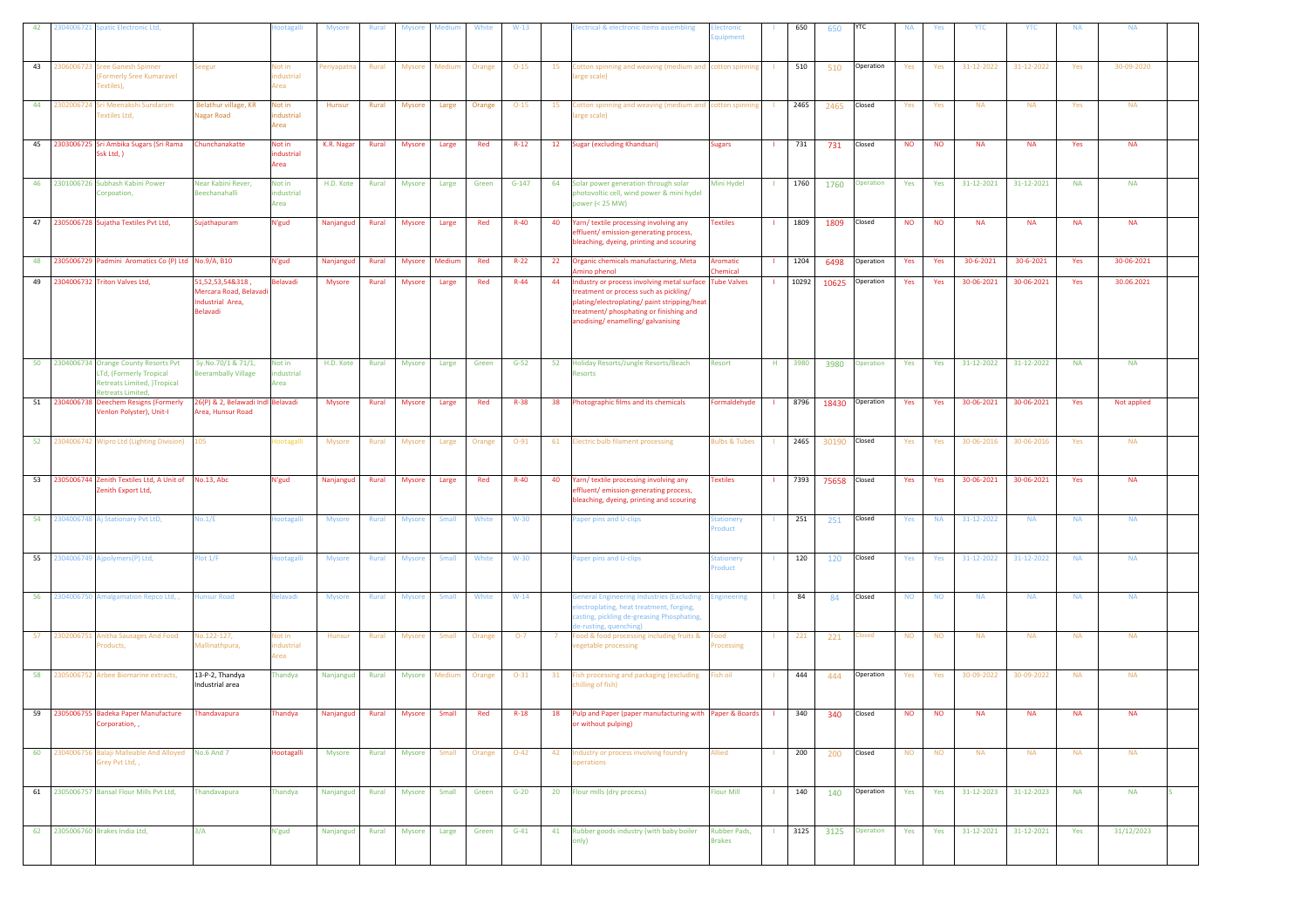| 42 | 304006721 Spatic Electronic Ltd,                                                                                           |                                                                               | otagalli                     | <b>Mysore</b>   | Rural        | <b>Mysore</b> | Mediu        | White  | $W-13$   |    | lectrical & electronic items assembling                                                                                                                                                                              | ectronic<br>quipment          |              | 650   | 650          | YTC            | <b>NA</b> | Yes       | YTC        | <b>YTC</b>            | <b>NA</b> | <b>NA</b>   |  |
|----|----------------------------------------------------------------------------------------------------------------------------|-------------------------------------------------------------------------------|------------------------------|-----------------|--------------|---------------|--------------|--------|----------|----|----------------------------------------------------------------------------------------------------------------------------------------------------------------------------------------------------------------------|-------------------------------|--------------|-------|--------------|----------------|-----------|-----------|------------|-----------------------|-----------|-------------|--|
| 43 | 2306006723 Sree Ganesh Spinner<br><b>Formerly Sree Kumaravel</b><br>Fextiles),                                             | eegur                                                                         | Not in<br>dustrial<br>Area   | eriyapatna      | Rural        | Mysore        | Mediun       | Orange | $O-15$   | 15 | Cotton spinning and weaving (medium and cotton spinning<br>arge scale)                                                                                                                                               |                               |              | 510   | 510          | Operation      | Yes       | Yes       | 31-12-2022 | 31-12-2022            | Yes       | 30-09-2020  |  |
| 44 | 302006724<br><b>Sri Meenakshi Sundaram</b><br>Fextiles Ltd,                                                                | Belathur village, KR<br>lagar Road                                            | Not in<br>ndustrial<br>Area  | Hunsur          | Rural        | <b>Mysore</b> | Large        | Orange | $O-15$   | 15 | Cotton spinning and weaving (medium and cotton spinning<br>arge scale)                                                                                                                                               |                               |              | 2465  | 2465         | Closed         | Yes       | Yes       | <b>NA</b>  | <b>NA</b>             | Yes       | <b>NA</b>   |  |
| 45 | 2303006725 Sri Ambika Sugars (Sri Rama<br>Ssk Ltd, )                                                                       | hunchanakatte                                                                 | Not in<br>industrial<br>Area | K.R. Nagar      | Rural        | Mysore        | Large        | Red    | $R-12$   | 12 | <b>Sugar (excluding Khandsari)</b>                                                                                                                                                                                   | <b>Sugars</b>                 |              | 731   | 731          | Closed         | <b>NO</b> | <b>NO</b> | <b>NA</b>  | <b>NA</b>             | Yes       | <b>NA</b>   |  |
|    | 46 2301006726 Subhash Kabini Power<br>Corpoation,                                                                          | Vear Kabini Rever,<br><b>Beechanahalli</b>                                    | Not in<br>ndustrial<br>Area  | H.D. Kote       | Rural        | <b>Mysore</b> | Large        | Green  | $G-147$  | 64 | Solar power generation through solar<br>hotovoltic cell, wind power & mini hydel<br>power (< 25 MW)                                                                                                                  | Mini Hydel                    |              | 1760  | 1760         | Operation      | Yes       | Yes       | 31-12-2021 | 31-12-2021            | <b>NA</b> | <b>NA</b>   |  |
| 47 | 2305006728 Sujatha Textiles Pvt Ltd,                                                                                       | Sujathapuram                                                                  | N'gud                        | Nanjangud       | Rural        | <b>Mysore</b> | Large        | Red    | $R-40$   | 40 | Yarn/ textile processing involving any<br>effluent/emission-generating process,<br>bleaching, dyeing, printing and scouring                                                                                          | <b>Textiles</b>               |              | 1809  | 1809         | Closed         | <b>NO</b> | <b>NO</b> | <b>NA</b>  | <b>NA</b>             | <b>NA</b> | <b>NA</b>   |  |
| 48 | 2305006729 Padmini Aromatics Co (P) Ltd No.9/A, B10                                                                        |                                                                               | N'gud                        | Nanjangud       | Rural        | Mysore        | Medium       | Red    | $R-22$   | 22 | Organic chemicals manufacturing, Meta<br>Amino phenol                                                                                                                                                                | <b>Aromatic</b><br>hemical    |              | 1204  | 6498         | Operation      | Yes       | Yes       | 30-6-2021  | 30-6-2021             | Yes       | 30-06-2021  |  |
| 49 | 2304006732 Triton Valves Ltd,                                                                                              | 51, 52, 53, 54& 318,<br>Mercara Road, Belavadi<br>ndustrial Area,<br>Belavadi | Belavadi                     | Mysore          | Rural        | Mysore        | Large        | Red    | $R - 44$ | 44 | Industry or process involving metal surface<br>treatment or process such as pickling/<br>plating/electroplating/ paint stripping/heat<br>treatment/ phosphating or finishing and<br>anodising/enamelling/galvanising | <b>Tube Valves</b>            |              | 10292 | 10625        | Operation      | Yes       | Yes       | 30-06-2021 | 30-06-2021            | Yes       | 30.06.2021  |  |
| 50 | 2304006734 Orange County Resorts Pvt<br>LTd, (Formerly Tropical<br><b>Retreats Limited, )Tropical</b><br>Retreats Limited, | Sy.No.70/1 & 71/1,<br>eerambally Village                                      | Not in<br>industrial<br>Area | H.D. Kote       | Rural        | Mysore        | Large        | Green  | $G-52$   | 52 | Holiday Resorts/Jungle Resorts/Beach<br>Resorts                                                                                                                                                                      | Resort                        | H            | 3980  | 3980         | Operation      | Yes       | Yes       | 31-12-2022 | 31-12-2022            | <b>NA</b> | <b>NA</b>   |  |
| 51 | 2304006738 Deechem Resigns (Formerly<br>/enlon Polyster), Unit-I                                                           | 26(P) & 2, Belawadi Indl Belavadi<br>rea, Hunsur Road                         |                              | <b>Mysore</b>   | Rural        | <b>Mysore</b> | Large        | Red    | $R-38$   | 38 | Photographic films and its chemicals                                                                                                                                                                                 | Formaldehyde                  |              | 8796  | 18430        | Operation      | Yes       | Yes       | 30-06-2021 | 30-06-2021            | Yes       | Not applied |  |
|    |                                                                                                                            |                                                                               |                              |                 |              |               |              |        |          |    |                                                                                                                                                                                                                      |                               |              |       |              |                |           |           |            |                       |           |             |  |
| 52 | 2304006742 Wipro Ltd (Lighting Division)                                                                                   | 105                                                                           | ootagalli                    | Mysore          | Rural        | Mysore        | Large        | Orange | $O-91$   | 61 | <b>Electric bulb filament processing</b>                                                                                                                                                                             | sulbs & Tubes                 |              | 2465  | 30190        | Closed         | Yes       | Yes       | 30-06-2016 | 30-06-2016            | Yes       | <b>NA</b>   |  |
| 53 | 2305006744 Zenith Textiles Ltd, A Unit of<br>Zenith Export Ltd,                                                            | No.13, Abc                                                                    | N'gud                        | Nanjangud       | Rural        | Mysore        | Large        | Red    | $R-40$   | 40 | Yarn/ textile processing involving any<br>effluent/emission-generating process,<br>bleaching, dyeing, printing and scouring                                                                                          | <b>Textiles</b>               |              | 7393  | 75658 Closed |                | Yes       | Yes       | 30-06-2021 | 30-06-2021            | Yes       | <b>NA</b>   |  |
|    | 54 2304006748 Aj Stationary Pvt LtD,                                                                                       | 10.1/E                                                                        | ootagalli                    | Mysore          | Rural        | Mysore        | Small        | White  | $W-30$   |    | Paper pins and U-clips                                                                                                                                                                                               | tationery<br>roduct           |              | 251   | 251          | Closed         | Yes       | <b>NA</b> | 31-12-2022 | <b>NA</b>             | <b>NA</b> | <b>NA</b>   |  |
| 55 | 2304006749 Ajpolymers(P) Ltd,                                                                                              | lot 1/F                                                                       | ootagalli                    | <b>Mysore</b>   | <b>Rural</b> | <b>Mysore</b> | Small        | White  | $W-30$   |    | Paper pins and U-clips                                                                                                                                                                                               | <b>itationery</b><br>roduct   | $\mathbf{1}$ | 120   | 120          | Closed         | Yes       | Yes       | 31-12-2022 | 31-12-2022            | <b>NA</b> | <b>NA</b>   |  |
| 56 | 2304006750 Amalgamation Repco Ltd, ,                                                                                       | lunsur Road                                                                   | selavadi                     | Mysore          | Rural        | <b>Mysore</b> | Small        | White  | $W-14$   |    | General Engineering Industries (Excluding<br>lectroplating, heat treatment, forging,<br>asting, pickling de-greasing Phosphating,<br>-rusting, quenching)                                                            | ingineering                   |              | 84    | 84           | Closed         | <b>NO</b> | <b>NO</b> | <b>NA</b>  | <b>NA</b>             | <b>NA</b> | <b>NA</b>   |  |
| 57 | 2302006751 Anitha Sausages And Food<br>Products,                                                                           | lo.122-127,<br>Aallinathpura,                                                 | Not in<br>ndustrial<br>Area  | Hunsur          | Rural        | Mysore        | Small        | Orange | $O-7$    | -7 | Food & food processing including fruits &<br>vegetable processing                                                                                                                                                    | ood<br>rocessing              |              | 221   | 221          | losed          | <b>NO</b> | <b>NO</b> | <b>NA</b>  | <b>NA</b>             | <b>NA</b> | <b>NA</b>   |  |
| 58 | 2305006752 Arbee Biomarine extracts,                                                                                       | 13-P-2, Thandya<br>Industrial area                                            | Thandya                      | Nanjangud       | Rural        | Mysore        | Medium       | Orange | $O-31$   | 31 | Fish processing and packaging (excluding<br>chilling of fish)                                                                                                                                                        | ish oil                       |              | 444   | 444          | Operation      | Yes       | Yes       | 30-09-2022 | 30-09-2022            | <b>NA</b> | <b>NA</b>   |  |
|    | 59 2305006755 Badeka Paper Manufacture<br>Corporation,,                                                                    | Thandavapura                                                                  | Thandya                      | Nanjangud Rural |              | Mysore        | Small        | Red    | $R-18$   |    | 18 Pulp and Paper (paper manufacturing with Paper & Boards<br>or without pulping)                                                                                                                                    |                               |              | 340   | 340          | Closed         | <b>NO</b> | <b>NO</b> | <b>NA</b>  | $\sf NA$              | <b>NA</b> | <b>NA</b>   |  |
| 60 | 2304006756 Balaji Malleable And Alloyed<br>Grey Pvt Ltd,,                                                                  | <b>No.6 And 7</b>                                                             | Hootagalli                   | Mysore          | Rural        | Mysore        | Small        | Orange | $O-42$   | 42 | Industry or process involving foundry<br>operations                                                                                                                                                                  | Allied                        |              | 200   | 200          | Closed         | <b>NO</b> | <b>NO</b> | <b>NA</b>  | <b>NA</b>             | <b>NA</b> | <b>NA</b>   |  |
|    | 61 2305006757 Bansal Flour Mills Pvt Ltd,                                                                                  | Thandavapura                                                                  | Thandya                      | Nanjangud Rural |              | Mysore        | <b>Small</b> | Green  | $G-20$   |    | 20 Flour mills (dry process)                                                                                                                                                                                         | <b>Flour Mill</b>             | -11          | 140   | 140          | Operation      | Yes       | Yes       |            | 31-12-2023 31-12-2023 | <b>NA</b> | <b>NA</b>   |  |
|    | 62 2305006760 Brakes India Ltd,                                                                                            | 3/A                                                                           | N'gud                        | Nanjangud Rural |              | Mysore        | Large        | Green  | $G-41$   | 41 | Rubber goods industry (with baby boiler<br>only)                                                                                                                                                                     | Rubber Pads,<br><b>Irakes</b> |              | 3125  |              | 3125 Operation | Yes       | Yes       | 31-12-2021 | 31-12-2021            | Yes       | 31/12/2023  |  |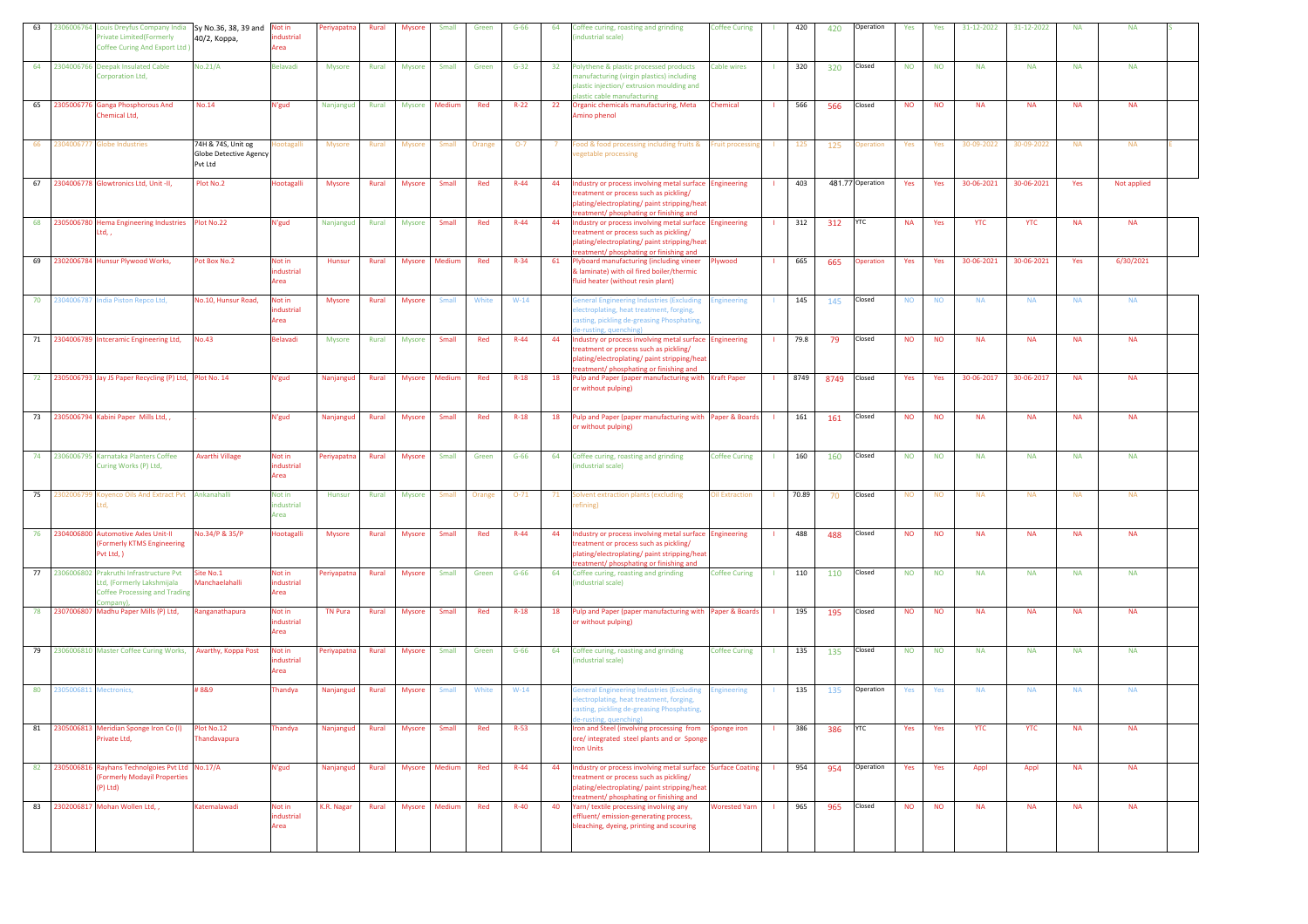| 63 |                           | 2306006764 Louis Dreyfus Company India Sy No.36, 38, 39 and Not in<br>rivate Limited(Formerly<br>Coffee Curing And Export Ltd ) | 40/2, Корра,                                            | dustrial<br>Area            | Periyapatna    | Rural | Mysore        | Small         | Green  | $G-66$   | 64 | Coffee curing, roasting and grinding<br>ndustrial scale)                                                                                                                                         | <b>Coffee Curing</b>    |              | 420   | 420  | Operation        | Yes       | Yes       | 31-12-2022 | 31-12-2022 | <b>NA</b> | <b>NA</b>   |  |
|----|---------------------------|---------------------------------------------------------------------------------------------------------------------------------|---------------------------------------------------------|-----------------------------|----------------|-------|---------------|---------------|--------|----------|----|--------------------------------------------------------------------------------------------------------------------------------------------------------------------------------------------------|-------------------------|--------------|-------|------|------------------|-----------|-----------|------------|------------|-----------|-------------|--|
|    |                           | 64 2304006766 Deepak Insulated Cable<br>Corporation Ltd,                                                                        | No.21/A                                                 | Belavadi                    | Mysore         | Rural | <b>Mysore</b> | Small         | Green  | $G-32$   | 32 | Polythene & plastic processed products<br>nanufacturing (virgin plastics) including<br>plastic injection/extrusion moulding and<br>plastic cable manufacturing                                   | <b>Cable wires</b>      |              | 320   | 320  | Closed           | <b>NO</b> | <b>NO</b> | <b>NA</b>  | <b>NA</b>  | <b>NA</b> | <b>NA</b>   |  |
| 65 |                           | 2305006776 Ganga Phosphorous And<br>Chemical Ltd,                                                                               | No.14                                                   | N'gud                       | Nanjangud      | Rural | <b>Mysore</b> | Medium        | Red    | $R-22$   | 22 | Organic chemicals manufacturing, Meta<br>Amino phenol                                                                                                                                            | Chemical                |              | 566   | 566  | Closed           | <b>NO</b> | <b>NO</b> | <b>NA</b>  | <b>NA</b>  | <b>NA</b> | <b>NA</b>   |  |
| 66 |                           | 2304006777 Globe Industries                                                                                                     | 74H & 74S, Unit og<br>Globe Detective Agency<br>Pvt Ltd | potagalli                   | Mysore         | Rural | Mysore        | Small         | Orange | $O-7$    |    | ood & food processing including fruits &<br>egetable processing                                                                                                                                  | <b>Fruit processing</b> | -11          | 125   | 125  | peration         | Yes       | Yes       | 30-09-2022 | 30-09-2022 | <b>NA</b> | <b>NA</b>   |  |
|    |                           | 67 2304006778 Glowtronics Ltd, Unit -II,                                                                                        | Plot No.2                                               | lootagalli                  | <b>Mysore</b>  | Rural | <b>Mysore</b> | Small         | Red    | $R-44$   | 44 | Industry or process involving metal surface Engineering<br>treatment or process such as pickling/<br>plating/electroplating/ paint stripping/heat<br>treatment/ phosphating or finishing and     |                         |              | 403   |      | 481.77 Operation | Yes       | Yes       | 30-06-2021 | 30-06-2021 | Yes       | Not applied |  |
|    |                           | 68 2305006780 Hema Engineering Industries Plot No.22<br>Ltd.,                                                                   |                                                         | N'gud                       | Nanjangud      | Rural | <b>Mysore</b> | Small         | Red    | $R-44$   | 44 | Industry or process involving metal surface Engineering<br>treatment or process such as pickling/<br>plating/electroplating/ paint stripping/heat<br>treatment/ phosphating or finishing and     |                         |              | 312   | 312  | <b>YTC</b>       | <b>NA</b> | Yes       | <b>YTC</b> | <b>YTC</b> | <b>NA</b> | <b>NA</b>   |  |
|    |                           | 69 2302006784 Hunsur Plywood Works,                                                                                             | Pot Box No.2                                            | Not in<br>dustrial<br>Area  | Hunsur         | Rural | <b>Mysore</b> | Medium        | Red    | $R-34$   | 61 | Plyboard manufacturing (including vineer<br>I laminate) with oil fired boiler/thermic<br>fluid heater (without resin plant)                                                                      | Plywood                 | $\mathbf{L}$ | 665   | 665  | <b>Operation</b> | Yes       | Yes       | 30-06-2021 | 30-06-2021 | Yes       | 6/30/2021   |  |
| 70 |                           | 2304006787 India Piston Repco Ltd,                                                                                              | No.10, Hunsur Road,                                     | Not in<br>dustrial<br>Area  | Mysore         | Rural | Mysore        | Small         | White  | $W-14$   |    | General Engineering Industries (Excluding<br>electroplating, heat treatment, forging,<br>casting, pickling de-greasing Phosphating,<br>e-rusting, quenching                                      | <b>Ingineering</b>      |              | 145   | 145  | Closed           | <b>NO</b> | <b>NO</b> | <b>NA</b>  | <b>NA</b>  | <b>NA</b> | <b>NA</b>   |  |
|    |                           | 71 2304006789 Intceramic Engineering Ltd,                                                                                       | <b>No.43</b>                                            | <b>Belavadi</b>             | Mysore         | Rural | <b>Mysore</b> | Small         | Red    | $R-44$   | 44 | Industry or process involving metal surface Engineering<br>treatment or process such as pickling/<br>plating/electroplating/ paint stripping/heat<br>treatment/ phosphating or finishing and     |                         |              | 79.8  | 79   | Closed           | <b>NO</b> | <b>NO</b> | <b>NA</b>  | <b>NA</b>  | <b>NA</b> | <b>NA</b>   |  |
|    |                           | 72 2305006793 Jay JS Paper Recycling (P) Ltd, Plot No. 14                                                                       |                                                         | N'gud                       | Nanjangud      | Rural | <b>Mysore</b> | Medium        | Red    | $R-18$   |    | 18 Pulp and Paper (paper manufacturing with Kraft Paper<br>or without pulping)                                                                                                                   |                         | -11          | 8749  | 8749 | Closed           | Yes       | Yes       | 30-06-2017 | 30-06-2017 | <b>NA</b> | <b>NA</b>   |  |
|    |                           | 73 2305006794 Kabini Paper Mills Ltd,,                                                                                          |                                                         | N'gud                       | Nanjangud      | Rural | <b>Mysore</b> | Small         | Red    | $R-18$   |    | 18 Pulp and Paper (paper manufacturing with Paper & Boards<br>or without pulping)                                                                                                                |                         |              | 161   | 161  | Closed           | <b>NO</b> | <b>NO</b> | <b>NA</b>  | <b>NA</b>  | <b>NA</b> | <b>NA</b>   |  |
|    |                           | 74 2306006795 Karnataka Planters Coffee<br>Curing Works (P) Ltd,                                                                | <b>Avarthi Village</b>                                  | Not in<br>ndustrial<br>Area | Periyapatna    | Rural | Mysore        | Small         | Green  | $G-66$   | 64 | Coffee curing, roasting and grinding<br>ndustrial scale)                                                                                                                                         | Coffee Curing           |              | 160   | 160  | Closed           | <b>NO</b> | <b>NO</b> | <b>NA</b>  | <b>NA</b>  | <b>NA</b> | <b>NA</b>   |  |
| 75 |                           | 2302006799 Koyenco Oils And Extract Pvt Ankanahalli<br>.td.                                                                     |                                                         | Not in<br>ndustrial<br>Area | Hunsur         | Rural | <b>Mysore</b> | Small         | Orange | $O-71$   |    | 71 Solvent extraction plants (excluding<br>efining)                                                                                                                                              | Dil Extraction          |              | 70.89 | 70   | Closed           | <b>NO</b> | <b>NO</b> | <b>NA</b>  | <b>NA</b>  | <b>NA</b> | <b>NA</b>   |  |
| 76 |                           | 2304006800 Automotive Axles Unit-II<br>(Formerly KTMS Engineering<br>Pvt Ltd, )                                                 | No.34/P & 35/P                                          | <b>Hootagalli</b>           | <b>Mysore</b>  | Rural | <b>Mysore</b> | Small         | Red    | $R-44$   | 44 | Industry or process involving metal surface Engineering<br>treatment or process such as pickling/<br>plating/electroplating/ paint stripping/heat<br>treatment/ phosphating or finishing and     |                         |              | 488   | 488  | Closed           | <b>NO</b> | <b>NO</b> | <b>NA</b>  | <b>NA</b>  | <b>NA</b> | <b>NA</b>   |  |
|    |                           | 77 2306006802 Prakruthi Infrastructure Pvt<br>Ltd, (Formerly Lakshmijala<br><b>Coffee Processing and Trading</b><br>(ompany)    | Site No.1<br><b>Manchaelahalli</b>                      | Not in<br>ndustrial<br>Area | Periyapatna    | Rural | Mysore        | Small         | Green  | $G-66$   | 64 | Coffee curing, roasting and grinding<br>industrial scale)                                                                                                                                        | <b>Coffee Curing</b>    |              | 110   | 110  | Closed           | <b>NO</b> | <b>NO</b> | <b>NA</b>  | <b>NA</b>  | <b>NA</b> | <b>NA</b>   |  |
|    | 78 2307006807             | Madhu Paper Mills (P) Ltd,                                                                                                      | Ranganathapura                                          | Not in<br>ndustrial<br>Area | <b>TN Pura</b> | Rural | <b>Mysore</b> | Small         | Red    | $R-18$   | 18 | Pulp and Paper (paper manufacturing with Paper & Boards<br>or without pulping)                                                                                                                   |                         | -11          | 195   | 195  | Closed           | <b>NO</b> | <b>NO</b> | <b>NA</b>  | <b>NA</b>  | <b>NA</b> | <b>NA</b>   |  |
|    |                           | 79 2306006810 Master Coffee Curing Works, Avarthy, Koppa Post                                                                   |                                                         | Not in<br>ndustrial<br>Area | Periyapatna    | Rural | <b>Mysore</b> | Small         | Green  | $G-66$   | 64 | Coffee curing, roasting and grinding<br>industrial scale)                                                                                                                                        | <b>Coffee Curing</b>    |              | 135   | 135  | Closed           | <b>NO</b> | <b>NO</b> | <b>NA</b>  | <b>NA</b>  | <b>NA</b> | <b>NA</b>   |  |
|    | 80 2305006811 Mectronics, |                                                                                                                                 | #8&9                                                    | <b>Thandya</b>              | Nanjangud      | Rural | <b>Mysore</b> | Small         | White  | $W-14$   |    | ieneral Engineering Industries (Excluding<br>lectroplating, heat treatment, forging,<br>casting, pickling de-greasing Phosphating,                                                               | <b>Engineering</b>      |              | 135   | 135  | Operation        | Yes       | Yes       | <b>NA</b>  | <b>NA</b>  | <b>NA</b> | <b>NA</b>   |  |
| 81 |                           | 2305006813 Meridian Sponge Iron Co (I)<br>Private Ltd,                                                                          | Plot No.12<br><b>Thandavapura</b>                       | Thandya                     | Nanjangud      | Rural | Mysore        | Small         | Red    | $R-53$   |    | Iron and Steel (involving processing from<br>ore/ integrated steel plants and or Sponge<br><b>Iron Units</b>                                                                                     | Sponge iron             |              | 386   | 386  | YTC              | Yes       | Yes       | <b>YTC</b> | <b>YTC</b> | <b>NA</b> | <b>NA</b>   |  |
| 82 |                           | 2305006816 Rayhans Technolgoies Pvt Ltd No.17/A<br>(Formerly Modayil Properties<br>$(P)$ Ltd $)$                                |                                                         | N'gud                       | Nanjangud      | Rural | Mysore        | Medium        | Red    | $R - 44$ | 44 | Industry or process involving metal surface Surface Coating<br>treatment or process such as pickling/<br>plating/electroplating/ paint stripping/heat<br>treatment/ phosphating or finishing and |                         |              | 954   | 954  | Operation        | Yes       | Yes       | Appl       | Appl       | <b>NA</b> | <b>NA</b>   |  |
|    |                           | 83 2302006817 Mohan Wollen Ltd,,                                                                                                | Katemalawadi                                            | Not in<br>ndustrial<br>Area | K.R. Nagar     | Rural |               | Mysore Medium | Red    | $R-40$   | 40 | Yarn/ textile processing involving any<br>effluent/emission-generating process,<br>bleaching, dyeing, printing and scouring                                                                      | <b>Worested Yarn</b>    | $\mathbf{H}$ | 965   | 965  | Closed           | <b>NO</b> | <b>NO</b> | <b>NA</b>  | <b>NA</b>  | <b>NA</b> | <b>NA</b>   |  |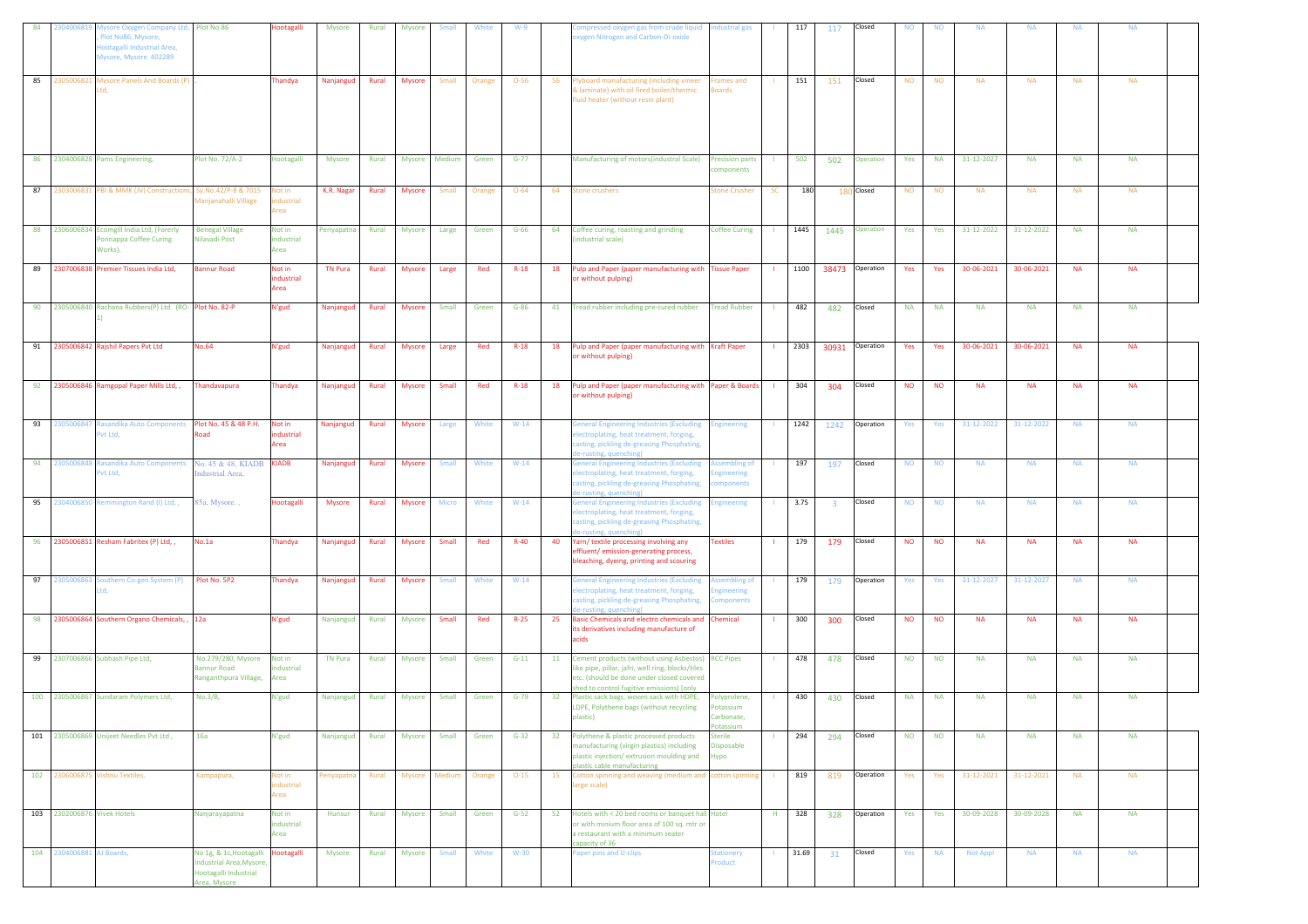| 84 | 304006819                   | <b>Nysore Oxygen Company Ltd, Plot No.86</b><br>Plot No86, Mysore,<br>lootagalli Industrial Area,<br>Mysore, Mysore 402289 |                                                                                                        | <b>Hootagalli</b>                | Mysore         | Rural | Mysore        | Smal          | White  | $W-9$    |    | ompressed oxygen gas from crude liquid<br>xygen Nitrogen and Carbon-Di-oxide                                                                                                                        | <b>Industrial gas</b>                            |              | 117   | 117                     | Closed          | <b>NO</b> | <b>NO</b> | <b>NA</b>       | <b>NA</b>  | <b>NA</b> | <b>NA</b> |  |
|----|-----------------------------|----------------------------------------------------------------------------------------------------------------------------|--------------------------------------------------------------------------------------------------------|----------------------------------|----------------|-------|---------------|---------------|--------|----------|----|-----------------------------------------------------------------------------------------------------------------------------------------------------------------------------------------------------|--------------------------------------------------|--------------|-------|-------------------------|-----------------|-----------|-----------|-----------------|------------|-----------|-----------|--|
|    | 85 2305006821               | <b>L</b> Mysore Panels And Boards (P)<br>Ltd.                                                                              |                                                                                                        | Thandya                          | Nanjangud      | Rural | <b>Mysore</b> | Small         | Orange | $O-56$   | 56 | lyboard manufacturing (including vineer<br>laminate) with oil fired boiler/thermic<br>fluid heater (without resin plant)                                                                            | <b>Frames and</b><br><b>Boards</b>               |              | 151   | 151                     | Closed          | <b>NO</b> | <b>NO</b> | <b>NA</b>       | <b>NA</b>  | <b>NA</b> | <b>NA</b> |  |
|    |                             | 86 2304006828 Pams Engineering,                                                                                            | Plot No. 72/A-2                                                                                        | Hootagalli                       | Mysore         | Rural |               | Mysore Medium | Green  | $G-77$   |    | Manufacturing of motors(industral Scale)                                                                                                                                                            | <b>Precision parts</b><br>components             |              | 502   | 502                     | Operation       | Yes       | <b>NA</b> | 31-12-2027      | <b>NA</b>  | <b>NA</b> | <b>NA</b> |  |
|    |                             | 87 2303006831 PBI & MMK (JV) Constructions,                                                                                | Sy.No.42/P-8 & 7015<br>Aanjanahalli Village                                                            | <b>Not in</b><br>dustrial<br>rea | K.R. Nagar     | Rural | Mysore        | Small         | Orange | $O - 64$ | 64 | Stone crushers                                                                                                                                                                                      | Stone Crusher                                    | <b>SC</b>    | 180   |                         | 180 Closed      | <b>NO</b> | <b>NO</b> | <b>NA</b>       | <b>NA</b>  | <b>NA</b> | <b>NA</b> |  |
|    |                             | 88 2306006834 Ecomgill India Ltd, (Forerly<br>Ponnappa Coffee Curing<br>Works),                                            | <b>Benegal Village</b><br>Nilavadi Post                                                                | Not in<br>industrial<br>Area     | Periyapatna    | Rural | Mysore        | Large         | Green  | $G-66$   | 64 | Coffee curing, roasting and grinding<br>industrial scale)                                                                                                                                           | <b>Coffee Curing</b>                             | $\mathbf{L}$ | 1445  | 1445                    | Operation       | Yes       | Yes       | 31-12-2022      | 31-12-2022 | <b>NA</b> | <b>NA</b> |  |
|    |                             | 89 2307006838 Premier Tissues India Ltd,                                                                                   | <b>Bannur Road</b>                                                                                     | Not in<br>industrial<br>Area     | <b>TN Pura</b> | Rural | <b>Mysore</b> | Large         | Red    | $R-18$   | 18 | Pulp and Paper (paper manufacturing with Tissue Paper<br>or without pulping)                                                                                                                        |                                                  |              | 1100  |                         | 38473 Operation | Yes       | Yes       | 30-06-2021      | 30-06-2021 | <b>NA</b> | <b>NA</b> |  |
|    |                             | 90 2305006840 Rachana Rubbers(P) Ltd (RO- Plot No. 82-P                                                                    |                                                                                                        | N'gud                            | Nanjangud      | Rural | <b>Mysore</b> | Small         | Green  | $G-86$   | 41 | Tread rubber including pre-cured rubber                                                                                                                                                             | <b>Tread Rubber</b>                              |              | 482   | 482                     | Closed          | <b>NA</b> | <b>NA</b> | <b>NA</b>       | <b>NA</b>  | <b>NA</b> | <b>NA</b> |  |
|    |                             | 91 2305006842 Rajshil Papers Pvt Ltd                                                                                       | <b>No.64</b>                                                                                           | N'gud                            | Nanjangud      | Rural | <b>Mysore</b> | Large         | Red    | $R-18$   | 18 | Pulp and Paper (paper manufacturing with Kraft Paper<br>or without pulping)                                                                                                                         |                                                  |              | 2303  | 30931                   | Operation       | Yes       | Yes       | 30-06-2021      | 30-06-2021 | <b>NA</b> | <b>NA</b> |  |
|    |                             | 92 2305006846 Ramgopal Paper Mills Ltd, ,                                                                                  | Thandavapura                                                                                           | <b>Thandya</b>                   | Nanjangud      | Rural | <b>Mysore</b> | Small         | Red    | $R-18$   | 18 | Pulp and Paper (paper manufacturing with Paper & Boards<br>or without pulping)                                                                                                                      |                                                  | $\sim 1$     | 304   | 304                     | Closed          | <b>NO</b> | <b>NO</b> | <b>NA</b>       | <b>NA</b>  | <b>NA</b> | <b>NA</b> |  |
|    |                             | 93 2305006847 Rasandika Auto Components Plot No. 45 & 48 P.H.<br>vt Ltd,                                                   | <b>load</b>                                                                                            | Not in<br>industrial<br>Area     | Nanjangud      | Rural | <b>Mysore</b> | Large         | White  | $W-14$   |    | eneral Engineering Industries (Excluding<br>lectroplating, heat treatment, forging,<br>asting, pickling de-greasing Phosphating,<br>e-rusting, quenching)                                           | <b>Engineering</b>                               |              | 1242  | 1242                    | Operation       | Yes       | Yes       | 31-12-2022      | 31-12-2022 | <b>NA</b> | <b>NA</b> |  |
|    |                             | 94 2305006848 Rasandika Auto Components No. 45 & 48, KIADB KIADB<br>Pvt Ltd,                                               | Industrial Area,                                                                                       |                                  | Nanjangud      | Rural | Mysore        | <b>Small</b>  | White  | $W-14$   |    | <b>General Engineering Industries (Excluding</b><br>lectroplating, heat treatment, forging,<br>casting, pickling de-greasing Phosphating,<br>e-rusting, quenching)                                  | <b>Assembling of</b><br>ngineering<br>mponents   | -11          | 197   | 197                     | Closed          | <b>NO</b> | <b>NO</b> | <b>NA</b>       | <b>NA</b>  | <b>NA</b> | <b>NA</b> |  |
|    |                             | 95 2304006850 Remmington Rand (I) Ltd,,                                                                                    | 85a, Mysore.,                                                                                          | Hootagalli                       | Mysore         | Rural | Mysore        | Micro         | White  | $W-14$   |    | eneral Engineering Industries (Excluding<br>lectroplating, heat treatment, forging,<br>asting, pickling de-greasing Phosphating,<br>e-rusting, quenching                                            | <b>Engineering</b>                               |              | 3.75  | $\overline{\mathbf{3}}$ | Closed          | <b>NO</b> | <b>NO</b> | <b>NA</b>       | <b>NA</b>  | <b>NA</b> | <b>NA</b> |  |
|    |                             | 96 2305006851 Resham Fabritex (P) Ltd, ,                                                                                   | No.1a                                                                                                  | Thandya                          | Nanjangud      | Rural | <b>Mysore</b> | Small         | Red    | $R-40$   | 40 | Yarn/textile processing involving any<br>ffluent/emission-generating process,<br>bleaching, dyeing, printing and scouring                                                                           | <b>Textiles</b>                                  | -11          | 179   | 179                     | Closed          | <b>NO</b> | <b>NO</b> | <b>NA</b>       | <b>NA</b>  | <b>NA</b> | <b>NA</b> |  |
|    |                             | 97 2305006863 Southern Co-gen System (P) Plot No. 5P2<br>td.                                                               |                                                                                                        | Thandya                          | Nanjangud      | Rural | <b>Mysore</b> | Small         | White  | $W-14$   |    | General Engineering Industries (Excluding<br>lectroplating, heat treatment, forging,<br>asting, pickling de-greasing Phosphating,<br>e-rusting, quenching)                                          | <b>Assembling of</b><br>gineering<br>Components  |              | 179   | 179                     | Operation       | Yes       | Yes       | 31-12-2027      | 31-12-2027 | <b>NA</b> | <b>NA</b> |  |
|    |                             | 98 2305006864 Southern Organo Chemicals, 12a                                                                               |                                                                                                        | N'gud                            | Nanjangud      | Rural | Mysore        | Small         | Red    | $R-25$   | 25 | Basic Chemicals and electro chemicals and Chemical<br>ts derivatives including manufacture of<br>acids                                                                                              |                                                  | л.           | 300   | 300                     | Closed          | <b>NO</b> | <b>NO</b> | <b>NA</b>       | <b>NA</b>  | <b>NA</b> | <b>NA</b> |  |
|    |                             | 99 2307006866 Subhash Pipe Ltd,                                                                                            | No.279/280, Mysore<br><b>Bannur Road</b><br>Ranganthpura Village,                                      | Not in<br>industrial<br>Area     | <b>TN Pura</b> | Rural | Mysore        | Small         | Green  | $G-11$   |    | 11 Cement products (without using Asbestos) RCC Pipes<br>like pipe, pillar, jafri, well ring, blocks/tiles<br>etc. (should be done under closed covered<br>hed to control fugitive emissions) [only |                                                  |              | 478   | 478                     | Closed          | <b>NO</b> | <b>NO</b> | <b>NA</b>       | <b>NA</b>  | <b>NA</b> | <b>NA</b> |  |
|    |                             | 100 2305006867 Sundaram Polymers Ltd,                                                                                      | No.3/B,                                                                                                | N'gud                            | Nanjangud      | Rural | Mysore        | Small         | Green  | $G-79$   | 32 | Plastic sack bags, woven sack with HDPE,<br>LDPE, Polythene bags (without recycling<br>lastic)                                                                                                      | Polyprolene,<br>Potassium<br>honate<br>Potassium | $\mathbf{L}$ | 430   | 430                     | Closed          | <b>NA</b> | <b>NA</b> | <b>NA</b>       | <b>NA</b>  | <b>NA</b> | <b>NA</b> |  |
|    |                             | 101 2305006869 Unijeet Needles Pvt Ltd,                                                                                    | <b>16a</b>                                                                                             | N'gud                            | Nanjangud      | Rural | Mysore        | Small         | Green  | $G-32$   | 32 | Polythene & plastic processed products<br>nanufacturing (virgin plastics) including<br>plastic injection/extrusion moulding and<br>lastic cable manufacturing                                       | <b>Sterile</b><br><b>Disposable</b><br>Hypo      | -11          | 294   | 294                     | Closed          | <b>NO</b> | <b>NO</b> | <b>NA</b>       | <b>NA</b>  | <b>NA</b> | <b>NA</b> |  |
|    |                             | 102 2306006875 Vishnu Textiles,                                                                                            | Kampapura,                                                                                             | vot in<br>ndustrial<br>Area      | Periyapatna    | Rural | Mysore        | Medium        | Orange | $O-15$   | 15 | Cotton spinning and weaving (medium and cotton spinning<br>arge scale)                                                                                                                              |                                                  |              | 819   | 819                     | Operation       | Yes       | Yes       | 31-12-2021      | 31-12-2021 | <b>NA</b> | <b>NA</b> |  |
|    | 103 2302006876 Vivek Hotels |                                                                                                                            | Nanjarayapatna                                                                                         | Not in<br>industrial<br>Area     | Hunsur         | Rural | Mysore        | Small         | Green  | $G-52$   | 52 | Hotels with < 20 bed rooms or banquet hall Hotel<br>or with minium floor area of 100 sq. mtr or<br>a restaurant with a minimum seater<br>apacity of 36                                              |                                                  | H            | 328   | 328                     | Operation       | Yes       | Yes       | 30-09-2028      | 30-09-2028 | <b>NA</b> | <b>NA</b> |  |
|    | 104 2304006881 AJ Boards,   |                                                                                                                            | No 1g, & 1c, Hootagalli Hootagalli<br>ndustrial Area, Mysore,<br>Hootagalli Industrial<br>Area, Mysore |                                  | Mysore         | Rural | Mysore        | Small         | White  | $W-30$   |    | Paper pins and U-clips                                                                                                                                                                              | <b>Stationery</b><br>roduct                      |              | 31.69 | 31                      | Closed          | Yes       | <b>NA</b> | <b>Not Appl</b> | <b>NA</b>  | <b>NA</b> | <b>NA</b> |  |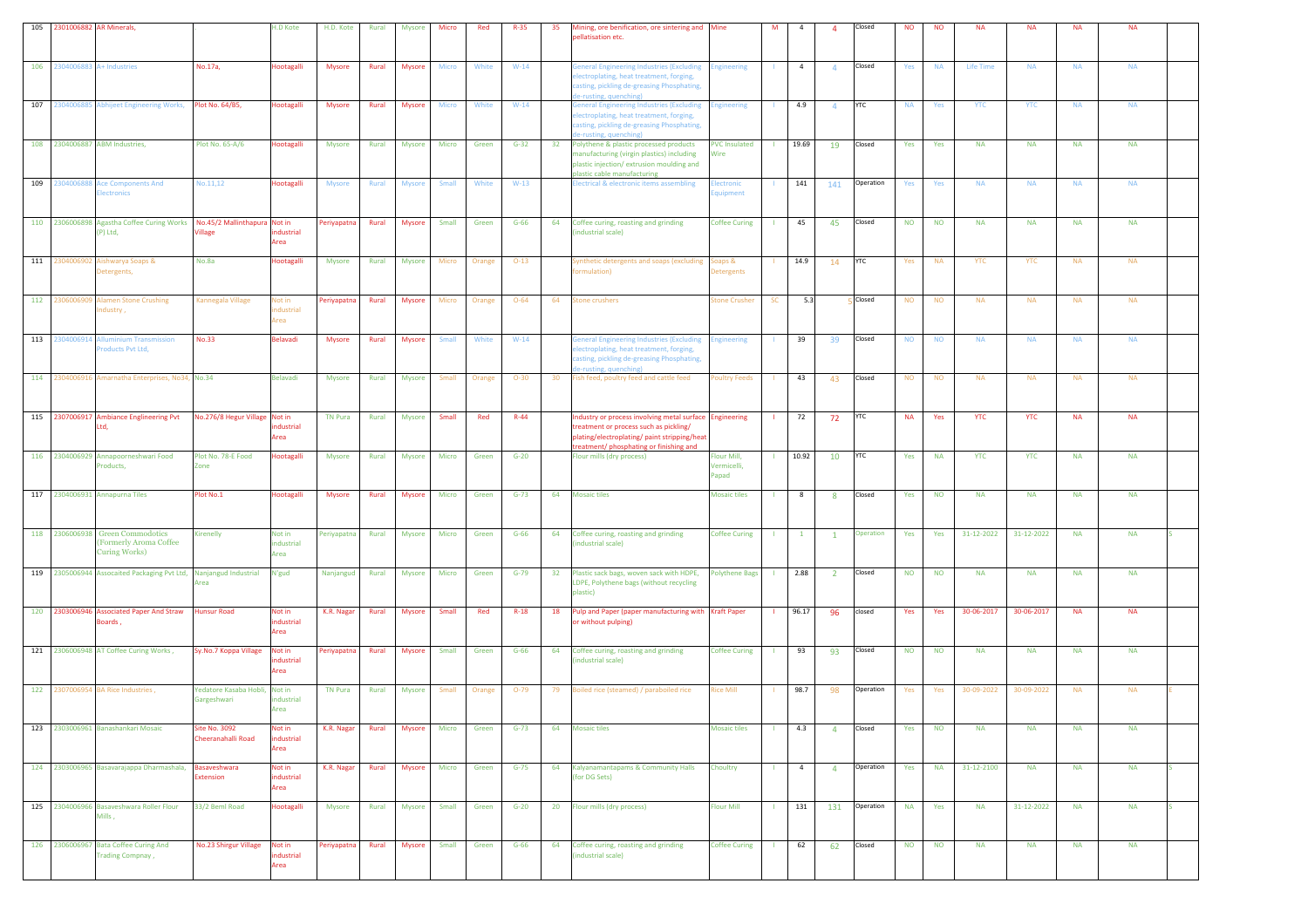| 105 2301006882 AR Minerals,  |                                                                                     |                                       | H.D Kote                                         | H.D. Kote      | Rural | Mysore        | Micro        | Red    | $R-35$   | 35 | Mining, ore benification, ore sintering and Mine<br>ellatisation etc.                                                                                                                     |                                     | M            | $\overline{a}$ | $\mathbf{A}$   | Closed     | <b>NO</b> | <b>NO</b> | <b>NA</b>        | <b>NA</b>  | <b>NA</b> | <b>NA</b> |  |
|------------------------------|-------------------------------------------------------------------------------------|---------------------------------------|--------------------------------------------------|----------------|-------|---------------|--------------|--------|----------|----|-------------------------------------------------------------------------------------------------------------------------------------------------------------------------------------------|-------------------------------------|--------------|----------------|----------------|------------|-----------|-----------|------------------|------------|-----------|-----------|--|
| 106 2304006883 A+ Industries |                                                                                     | No.17a,                               | <b>Hootagalli</b>                                | <b>Mysore</b>  | Rural | <b>Mysore</b> | Micro        | White  | $W-14$   |    | eneral Engineering Industries (Excluding Engineering<br>lectroplating, heat treatment, forging,<br>asting, pickling de-greasing Phosphating,<br>e-rusting, quenching)                     |                                     |              | $\overline{4}$ | $\overline{4}$ | Closed     | Yes       | <b>NA</b> | <b>Life Time</b> | <b>NA</b>  | <b>NA</b> | <b>NA</b> |  |
|                              | 107 2304006885 Abhijeet Engineering Works, Plot No. 64/B5,                          |                                       | <b>lootagalli</b>                                | <b>Mysore</b>  | Rural | <b>Mysore</b> | Micro        | White  | $W-14$   |    | <b>Seneral Engineering Industries (Excluding</b><br>lectroplating, heat treatment, forging,<br>asting, pickling de-greasing Phosphating,<br>e-rusting, quenching)                         | <b>Engineering</b>                  |              | 4.9            | $\overline{4}$ | <b>YTC</b> | <b>NA</b> | Yes       | <b>YTC</b>       | <b>YTC</b> | <b>NA</b> | <b>NA</b> |  |
|                              | 108 2304006887 ABM Industries,                                                      | Plot No. 65-A/6                       | Hootagalli                                       | Mysore         | Rural | Mysore        | Micro        | Green  | $G-32$   | 32 | Polythene & plastic processed products<br>manufacturing (virgin plastics) including<br>plastic injection/extrusion moulding and<br>plastic cable manufacturing                            | <b>PVC Insulated</b><br>Wire        |              | 19.69          | 19             | Closed     | Yes       | Yes       | <b>NA</b>        | <b>NA</b>  | <b>NA</b> | <b>NA</b> |  |
| 109 230400688                | <b>Ace Components And</b><br><b>Electronics</b>                                     | No.11,12                              | Hootagalli                                       | <b>Mysore</b>  | Rural | <b>Mysore</b> | Small        | White  | $W-13$   |    | lectrical & electronic items assembling                                                                                                                                                   | <b>Electronic</b><br>quipment       |              | 141            | 141            | Operation  | Yes       | Yes       | <b>NA</b>        | <b>NA</b>  | <b>NA</b> | <b>NA</b> |  |
|                              | 110 2306006898 Agastha Coffee Curing Works No.45/2 Mallinthapura Not in<br>(P) Ltd, | illage                                | dustrial<br>Area                                 | Periyapatna    | Rural | <b>Mysore</b> | <b>Small</b> | Green  | $G-66$   | 64 | Coffee curing, roasting and grinding<br>ndustrial scale)                                                                                                                                  | <b>Coffee Curing</b>                | -11          | 45             | 45             | Closed     | <b>NO</b> | <b>NO</b> | <b>NA</b>        | <b>NA</b>  | <b>NA</b> | <b>NA</b> |  |
|                              | 111 2304006902 Aishwarya Soaps &<br>Detergents,                                     | No.8a                                 | Hootagalli                                       | Mysore         | Rural | <b>Mysore</b> | Micro        | Orange | $O-13$   |    | lynthetic detergents and soaps (excluding<br>ormulation)                                                                                                                                  | Soaps &<br>etergents                |              | 14.9           | 14             | <b>YTC</b> | Yes       | <b>NA</b> | YTC              | YTC        | <b>NA</b> | <b>NA</b> |  |
|                              | 112 2306006909 Alamen Stone Crushing<br>ndustry,                                    | Kannegala Village                     | <b>Not in</b><br>ndustrial<br><b>Area</b>        | Periyapatna    | Rural | <b>Mysore</b> | Micro        | Orange | $O - 64$ | 64 | tone crushers                                                                                                                                                                             | <b>Stone Crusher</b>                | SC           | 5.3            |                | Closed     | <b>NO</b> | <b>NO</b> | <b>NA</b>        | <b>NA</b>  | <b>NA</b> | <b>NA</b> |  |
|                              | 113 2304006914 Alluminium Transmission<br>Products Pvt Ltd,                         | <b>No.33</b>                          | Belavadi                                         | <b>Mysore</b>  | Rural | Mysore        | Small        | White  | $W-14$   |    | eneral Engineering Industries (Excluding<br>lectroplating, heat treatment, forging,<br>casting, pickling de-greasing Phosphating,<br>e-rusting, quenching)                                | <b>Engineering</b>                  |              | 39             | 39             | Closed     | <b>NO</b> | <b>NO</b> | <b>NA</b>        | <b>NA</b>  | <b>NA</b> | <b>NA</b> |  |
|                              | 114 2304006916 Amarnatha Enterprises, No34, No.34                                   |                                       | <b>Belavadi</b>                                  | Mysore         | Rural | <b>Mysore</b> | Small        | Orange | $O-30$   | 30 | ish feed, poultry feed and cattle feed                                                                                                                                                    | <b>Poultry Feeds</b>                |              | 43             | 43             | Closed     | <b>NO</b> | <b>NO</b> | <b>NA</b>        | <b>NA</b>  | <b>NA</b> | <b>NA</b> |  |
|                              | 115 2307006917 Ambiance Englineering Pvt<br>Ltd.                                    | No.276/8 Hegur Village Not in         | dustrial<br>Area                                 | <b>TN Pura</b> | Rural | Mysore        | Small        | Red    | $R-44$   |    | ndustry or process involving metal surface Engineering<br>treatment or process such as pickling/<br>lating/electroplating/ paint stripping/heat<br>reatment/ phosphating or finishing and |                                     |              | 72             | 72             | <b>YTC</b> | <b>NA</b> | Yes       | <b>YTC</b>       | <b>YTC</b> | <b>NA</b> | <b>NA</b> |  |
|                              | 116 2304006929 Annapoorneshwari Food<br>Products,                                   | Plot No. 78-E Food<br>Zone            | <b>lootagalli</b>                                | Mysore         | Rural | <b>Mysore</b> | Micro        | Green  | $G-20$   |    | Flour mills (dry process)                                                                                                                                                                 | Flour Mill,<br>Vermicelli,<br>Papad |              | 10.92          | 10             | <b>YTC</b> | Yes       | <b>NA</b> | <b>YTC</b>       | <b>YTC</b> | <b>NA</b> | <b>NA</b> |  |
|                              | 117 2304006931 Annapurna Tiles                                                      | Plot No.1                             | Hootagalli                                       | <b>Mysore</b>  | Rural | <b>Mysore</b> | Micro        | Green  | $G-73$   | 64 | <b>Mosaic tiles</b>                                                                                                                                                                       | <b>Mosaic tiles</b>                 |              | 8              | 8              | Closed     | Yes       | <b>NO</b> | <b>NA</b>        | <b>NA</b>  | <b>NA</b> | <b>NA</b> |  |
|                              | 118 2306006938 Green Commodotics<br>(Formerly Aroma Coffee<br><b>Curing Works)</b>  | Kirenelly                             | Not in<br>industrial<br><b><i><u>cea</u></i></b> | Periyapatna    | Rural | Mysore        | Micro        | Green  | $G-66$   | 64 | Coffee curing, roasting and grinding<br>ndustrial scale)                                                                                                                                  | <b>Coffee Curing</b>                | -11          | $\mathbf{1}$   | $\mathbf{1}$   | Operation  | Yes       | Yes       | 31-12-2022       | 31-12-2022 | <b>NA</b> | <b>NA</b> |  |
|                              | 119 2305006944 Assocaited Packaging Pvt Ltd, Nanjangud Industrial                   | Area                                  | N'gud                                            | Nanjangud      | Rural | <b>Mysore</b> | Micro        | Green  | $G-79$   | 32 | Plastic sack bags, woven sack with HDPE,<br>LDPE, Polythene bags (without recycling<br>plastic)                                                                                           | <b>Polythene Bags</b>               | $\mathbf{L}$ | 2.88           | $\overline{2}$ | Closed     | <b>NO</b> | <b>NO</b> | <b>NA</b>        | <b>NA</b>  | <b>NA</b> | <b>NA</b> |  |
|                              | 120 2303006946 Associated Paper And Straw Hunsur Road<br>Boards,                    |                                       | Not in<br>industrial<br>Area                     | K.R. Nagar     | Rural | Mysore        | Small        | Red    | $R-18$   | 18 | Pulp and Paper (paper manufacturing with Kraft Paper<br>or without pulping)                                                                                                               |                                     |              | 96.17          | 96             | closed     | Yes       | Yes       | 30-06-2017       | 30-06-2017 | <b>NA</b> | <b>NA</b> |  |
|                              | 121 2306006948 AT Coffee Curing Works,                                              | Sy.No.7 Koppa Village                 | Not in<br>dustrial<br>Area                       | Periyapatna    | Rural | Mysore        | Small        | Green  | $G-66$   | 64 | Coffee curing, roasting and grinding<br>ndustrial scale)                                                                                                                                  | <b>Coffee Curing</b>                | -11          | 93             | 93             | Closed     | <b>NO</b> | <b>NO</b> | <b>NA</b>        | <b>NA</b>  | <b>NA</b> | <b>NA</b> |  |
|                              | 122 2307006954 BA Rice Industries,                                                  | Yedatore Kasaba Hobli,<br>Gargeshwari | Not in<br>ndustrial<br>Area                      | <b>TN Pura</b> | Rural | Mysore        | Small        | Orange | $O-79$   | 79 | Boiled rice (steamed) / paraboiled rice                                                                                                                                                   | <b>Rice Mill</b>                    |              | 98.7           | 98             | Operation  | Yes       | Yes       | 30-09-2022       | 30-09-2022 | <b>NA</b> | <b>NA</b> |  |
|                              | 123 2303006961 Banashankari Mosaic                                                  | Site No. 3092<br>Cheeranahalli Road   | Not in<br>ndustrial<br>Area                      | K.R. Nagar     | Rural | <b>Mysore</b> | Micro        | Green  | $G-73$   | 64 | <b>Mosaic tiles</b>                                                                                                                                                                       | <b>Mosaic tiles</b>                 |              | 4.3            | $\overline{a}$ | Closed     | Yes       | <b>NO</b> | <b>NA</b>        | <b>NA</b>  | <b>NA</b> | <b>NA</b> |  |
|                              | 124 2303006965 Basavarajappa Dharmashala, Basaveshwara                              | <b>xtension</b>                       | Not in<br>industrial<br>Area                     | K.R. Nagar     | Rural | <b>Mysore</b> | Micro        | Green  | $G-75$   | 64 | Kalyanamantapams & Community Halls<br>for DG Sets)                                                                                                                                        | Choultry                            | $\mathbf{L}$ | $\overline{4}$ | $\overline{4}$ | Operation  | Yes       | <b>NA</b> | 31-12-2100       | <b>NA</b>  | <b>NA</b> | <b>NA</b> |  |
|                              | 125 2304006966 Basaveshwara Roller Flour<br>Mills,                                  | 33/2 Beml Road                        | Hootagalli                                       | Mysore         | Rural | <b>Mysore</b> | Small        | Green  | $G-20$   | 20 | Flour mills (dry process)                                                                                                                                                                 | <b>Flour Mill</b>                   | -11          | 131            | 131            | Operation  | <b>NA</b> | Yes       | <b>NA</b>        | 31-12-2022 | <b>NA</b> | <b>NA</b> |  |
|                              | 126 2306006967 Bata Coffee Curing And<br><b>Trading Compnay,</b>                    | No.23 Shirgur Village                 | Not in<br>dustrial<br>Area                       | Periyapatna    | Rural | Mysore        | Small        | Green  | $G-66$   | 64 | Coffee curing, roasting and grinding<br>industrial scale)                                                                                                                                 | <b>Coffee Curing</b>                |              | 62             | 62             | Closed     | <b>NO</b> | <b>NO</b> | <b>NA</b>        | <b>NA</b>  | <b>NA</b> | <b>NA</b> |  |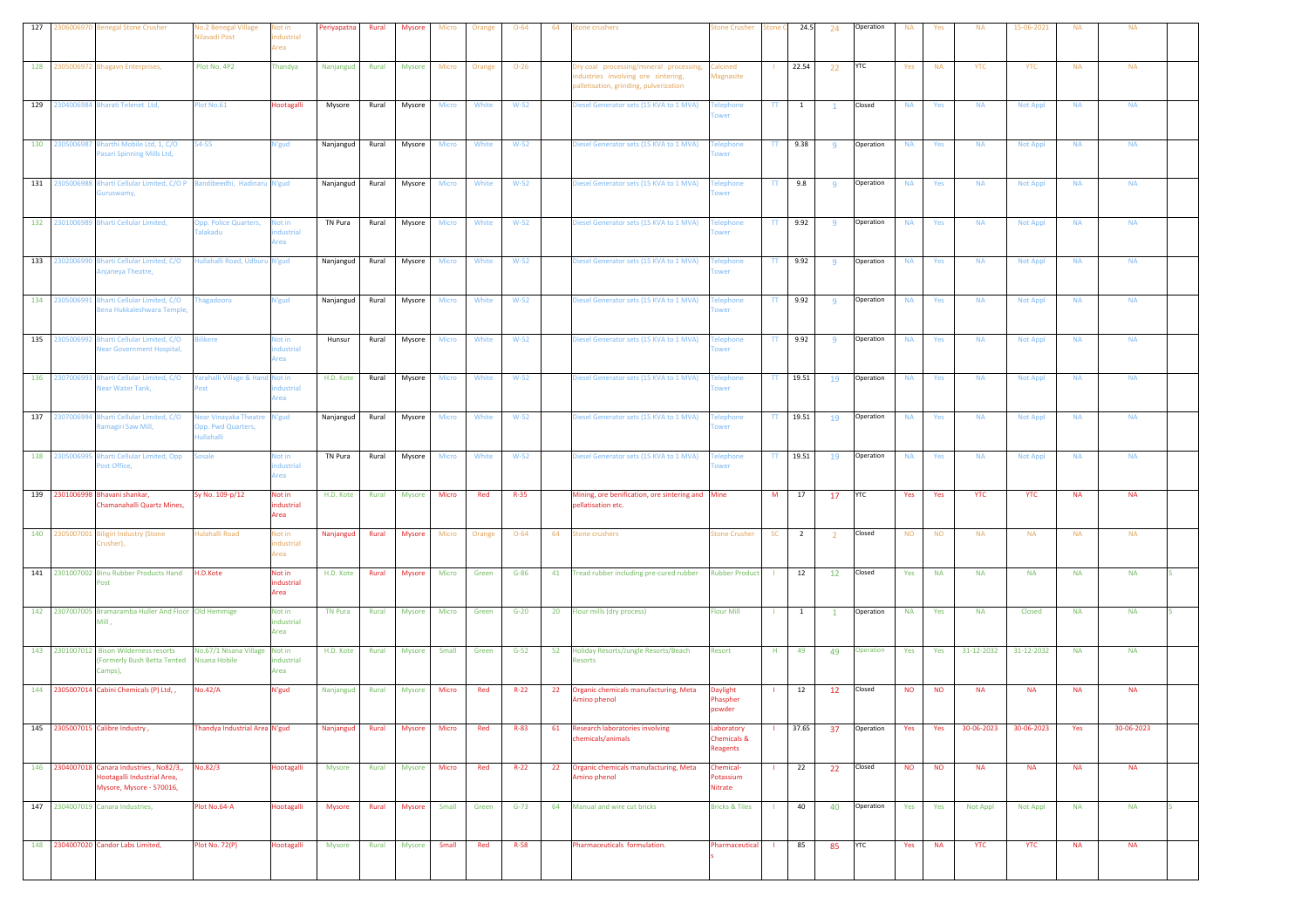| 127 |                | 2306006970 Benegal Stone Crusher                                                                       | <b>No.2 Benegal Village</b><br><b>Vilavadi Post</b>            | lot in<br>dustrial<br>Area                | Periyapatna    | Rural | <b>Mysore</b> | Micro        | Orange | $O - 64$ | 64 | tone crushers                                                                                                           | tone Crusher                                     | tone           | 24.5                    | 24             | Operation  | <b>NA</b> | Yes       | <b>NA</b>  | 15-06-2021      | <b>NA</b> | <b>NA</b>  |  |
|-----|----------------|--------------------------------------------------------------------------------------------------------|----------------------------------------------------------------|-------------------------------------------|----------------|-------|---------------|--------------|--------|----------|----|-------------------------------------------------------------------------------------------------------------------------|--------------------------------------------------|----------------|-------------------------|----------------|------------|-----------|-----------|------------|-----------------|-----------|------------|--|
| 128 |                | 2305006972 Bhagavn Enterprises,                                                                        | Plot No. 4P2                                                   | Thandya                                   | Nanjangud      | Rural | Mysore        | Micro        | Orange | $O - 26$ |    | Try coal processing/mineral processing,<br>ndustries involving ore sintering,<br>palletisation, grinding, pulverization | Calcined<br>Magnasite                            |                | 22.54                   | 22             | YTC        | Yes       | <b>NA</b> | <b>YTC</b> | <b>YTC</b>      | <b>NA</b> | <b>NA</b>  |  |
|     |                | 129 2304006984 Bharati Telenet Ltd,                                                                    | lot No.61                                                      | Hootagalli                                | Mysore         | Rural | Mysore        | Micro        | White  | $W-52$   |    | Diesel Generator sets (15 KVA to 1 MVA)                                                                                 | Felephone<br>wer                                 | $\Pi$          | $\overline{\mathbf{1}}$ | $\overline{1}$ | Closed     | <b>NA</b> | Yes       | <b>NA</b>  | <b>Not Appl</b> | <b>NA</b> | <b>NA</b>  |  |
|     | 130 2305006987 | Bharthi Mobile Ltd, 1, C/O<br>Pasari Spinning Mills Ltd,                                               | 54-55                                                          | V'gud                                     | Nanjangud      | Rural | Mysore        | Micro        | White  | $W-52$   |    | Diesel Generator sets (15 KVA to 1 MVA)                                                                                 | <b>Telephone</b>                                 |                | $TT$ 9.38               | 9              | Operation  | <b>NA</b> | Yes       | <b>NA</b>  | <b>Not Appl</b> | <b>NA</b> | <b>NA</b>  |  |
|     | 131 2305006988 | Bharti Cellular Limited, C/O P Bandibeedhi, Hadinaru N'gud<br>Guruswamy,                               |                                                                |                                           | Nanjangud      | Rural | Mysore        | <b>Micro</b> | White  | $W-52$   |    | Diesel Generator sets (15 KVA to 1 MVA)                                                                                 | <b>Telephone</b><br>wer                          |                | TT 9.8                  | -9             | Operation  | <b>NA</b> | Yes       | <b>NA</b>  | <b>Not Appl</b> | <b>NA</b> | <b>NA</b>  |  |
|     | 132 2301006989 | <b>Bharti Cellular Limited,</b>                                                                        | Opp. Police Quarters,<br>alakadu                               | Not in<br>dustrial<br>rea                 | TN Pura        | Rural | Mysore        | Micro        | White  | $W-52$   |    | Diesel Generator sets (15 KVA to 1 MVA)                                                                                 | Telephone<br>wer                                 |                | TT 9.92                 | -9             | Operation  | <b>NA</b> | Yes       | <b>NA</b>  | <b>Not Appl</b> | <b>NA</b> | <b>NA</b>  |  |
|     |                | 133 2302006990 Bharti Cellular Limited, C/O<br>Anjaneya Theatre,                                       | Hullahalli Road, Udburu N'gud                                  |                                           | Nanjangud      | Rural | Mysore        | <b>Micro</b> | White  | $W-52$   |    | Diesel Generator sets (15 KVA to 1 MVA)                                                                                 | <b>Telephone</b><br>wer                          | TT             | 9.92                    | 9              | Operation  | <b>NA</b> | Yes       | <b>NA</b>  | Not Appl        | <b>NA</b> | <b>NA</b>  |  |
|     |                | 134 2305006991 Bharti Cellular Limited, C/O<br>Bena Hukkaleshwara Temple,                              | agadooru                                                       | V'gud                                     | Nanjangud      | Rural | Mysore        | <b>Micro</b> | White  | $W-52$   |    | liesel Generator sets (15 KVA to 1 MVA)                                                                                 | <b>Telephone</b><br>wer                          |                | TT 9.92                 | -9             | Operation  | <b>NA</b> | Yes       | <b>NA</b>  | <b>Not Appl</b> | <b>NA</b> | <b>NA</b>  |  |
|     |                | 135 2305006992 Bharti Cellular Limited, C/O<br>lear Government Hospital,                               | <b>Bilikere</b>                                                | lot in<br>dustrial<br>rea                 | Hunsur         | Rural | Mysore        | Micro        | White  | $W-52$   |    | Diesel Generator sets (15 KVA to 1 MVA)                                                                                 | <b>Telephone</b><br>wer                          | $\Pi$          | 9.92                    | -9             | Operation  | <b>NA</b> | Yes       | <b>NA</b>  | <b>Not Appl</b> | <b>NA</b> | <b>NA</b>  |  |
|     |                | 136 2307006993 Bharti Cellular Limited, C/O<br>Near Water Tank,                                        | arahalli Village & Hand Not in<br><b>ost</b>                   | ndustrial<br><b>krea</b>                  | H.D. Kote      | Rural | Mysore        | Micro        | White  | $W-52$   |    | Diesel Generator sets (15 KVA to 1 MVA)                                                                                 | <b><i><u><b>Telephone</b></u></i></b><br>wer     | TT.            | 19.51                   | 19             | Operation  | <b>NA</b> | Yes       | <b>NA</b>  | <b>Not Appl</b> | <b>NA</b> | <b>NA</b>  |  |
|     | 137 230700699  | Bharti Cellular Limited, C/O<br>tamagiri Saw Mill,                                                     | lear Vinayaka Theatre N'gud<br>Opp. Pwd Quarters,<br>ıllahalli |                                           | Nanjangud      | Rural | Mysore        | Micro        | White  | $W-52$   |    | Diesel Generator sets (15 KVA to 1 MVA)                                                                                 | <b>Telephone</b><br>ower                         |                | TT 19.51                | 19             | Operation  | <b>NA</b> | Yes       | <b>NA</b>  | <b>Not Appl</b> | <b>NA</b> | <b>NA</b>  |  |
|     | 138 2305006999 | Bharti Cellular Limited, Opp<br>ost Office,                                                            | iosale                                                         | lot in<br>dustrial<br>Area                | TN Pura        | Rural | Mysore        | Micro        | White  | $W-52$   |    | liesel Generator sets (15 KVA to 1 MVA)                                                                                 | <b>Telephone</b><br>wer                          | $\Pi$          | 19.51                   | 19             | Operation  | <b>NA</b> | Yes       | <b>NA</b>  | <b>Not Appl</b> | <b>NA</b> | <b>NA</b>  |  |
|     |                | 139 2301006998 Bhavani shankar,<br>Chamanahalli Quartz Mines,                                          | Sy No. 109-p/12                                                | Not in<br>industrial<br>Area              | H.D. Kote      | Rural | <b>Mysore</b> | Micro        | Red    | $R - 35$ |    | Mining, ore benification, ore sintering and Mine<br>pellatisation etc.                                                  |                                                  | M              | 17                      | 17             | YTC        | Yes       | Yes       | <b>YTC</b> | <b>YTC</b>      | <b>NA</b> | <b>NA</b>  |  |
|     | 140 2305007001 | <b>Biligiri Industry (Stone</b><br>Crusher),                                                           | <b>Iulahalli Road</b>                                          | <b>Not in</b><br>ndustrial<br><b>Area</b> | Nanjangud      | Rural | Mysore        | Micro        | Orange | $O - 64$ | 64 | stone crushers                                                                                                          | <b>Stone Crusher</b>                             | <b>SC</b>      | $\overline{2}$          | $\overline{2}$ | Closed     | <b>NO</b> | <b>NO</b> | <b>NA</b>  | <b>NA</b>       | <b>NA</b> | <b>NA</b>  |  |
|     |                | 141 2301007002 Binu Rubber Products Hand H.D.Kote<br>Post                                              |                                                                | Not in<br>industrial<br>Area              | H.D. Kote      | Rural | <b>Mysore</b> | Micro        | Green  | $G-86$   | 41 | Tread rubber including pre-cured rubber                                                                                 | <b>Rubber Product</b>                            | $\mathbf{L}$   | 12                      | 12             | Closed     | Yes       | <b>NA</b> | <b>NA</b>  | <b>NA</b>       | <b>NA</b> | <b>NA</b>  |  |
|     |                | 142 2307007005 Bramaramba Huller And Floor Old Hemmige<br>Mill,                                        |                                                                | Not in<br>industrial<br>Area              | <b>TN Pura</b> | Rural | <b>Mysore</b> | Micro        | Green  | $G-20$   | 20 | Flour mills (dry process)                                                                                               | Flour Mill                                       | -11            | $\overline{\mathbf{1}}$ | $\mathbf{1}$   | Operation  | <b>NA</b> | Yes       | <b>NA</b>  | <b>Closed</b>   | <b>NA</b> | <b>NA</b>  |  |
|     |                | 143 2301007012 Bison Wilderness resorts<br><b>Formerly Bush Betta Tented Nisana Hobile</b><br>Camps),  | No.67/1 Nisana Village Not in                                  | dustrial<br>Area                          | H.D. Kote      | Rural | Mysore        | Small        | Green  | $G-52$   | 52 | Holiday Resorts/Jungle Resorts/Beach<br>tesorts                                                                         | Resort                                           | $\mathsf{H}^+$ | 49                      | 49             | Operation  | Yes       | Yes       | 31-12-2032 | 31-12-2032      | <b>NA</b> | <b>NA</b>  |  |
|     |                | 144 2305007014 Cabini Chemicals (P) Ltd,,                                                              | No.42/A                                                        | N'gud                                     | Nanjangud      | Rural | Mysore        | Micro        | Red    | $R-22$   | 22 | Organic chemicals manufacturing, Meta<br>Amino phenol                                                                   | Daylight<br>Phaspher<br>powder                   |                | 12                      | 12             | Closed     | <b>NO</b> | <b>NO</b> | <b>NA</b>  | <b>NA</b>       | <b>NA</b> | <b>NA</b>  |  |
|     |                | 145 2305007015 Calibre Industry,                                                                       | Thandya Industrial Area N'gud                                  |                                           | Nanjangud      | Rural | <b>Mysore</b> | Micro        | Red    | R-83     | 61 | Research laboratories involving<br>hemicals/animals                                                                     | Laboratory<br><b>Chemicals &amp;</b><br>Reagents |                | 37.65                   | 37             | Operation  | Yes       | Yes       | 30-06-2023 | 30-06-2023      | Yes       | 30-06-2023 |  |
|     |                | 146 2304007018 Canara Industries , No82/3,,<br>lootagalli Industrial Area,<br>Mysore, Mysore - 570016, | No.82/3                                                        | Hootagalli                                | Mysore         | Rural | Mysore        | Micro        | Red    | $R-22$   | 22 | Organic chemicals manufacturing, Meta<br>mino phenol                                                                    | <b>Chemical-</b><br><b>Potassium</b><br>Nitrate  |                | 22                      | 22             | Closed     | <b>NO</b> | <b>NO</b> | <b>NA</b>  | <b>NA</b>       | <b>NA</b> | <b>NA</b>  |  |
|     |                | 147 2304007019 Canara Industries,                                                                      | Plot No.64-A                                                   | Hootagalli                                | Mysore         | Rural | Mysore        | Small        | Green  | $G-73$   | 64 | Manual and wire cut bricks                                                                                              | <b>Bricks &amp; Tiles</b>                        | $\mathbf{1}$   | 40                      | 40             | Operation  | Yes       | Yes       | Not Appl   | Not Appl        | <b>NA</b> | <b>NA</b>  |  |
|     |                | 148 2304007020 Candor Labs Limited,                                                                    | <b>Plot No. 72(P)</b>                                          | Hootagalli                                | Mysore         | Rural | Mysore        | Small        | Red    | $R-58$   |    | harmaceuticals formulation.                                                                                             | <b>Pharmaceutical</b>                            | -11            | 85                      | 85             | <b>YTC</b> | Yes       | <b>NA</b> | <b>YTC</b> | <b>YTC</b>      | <b>NA</b> | <b>NA</b>  |  |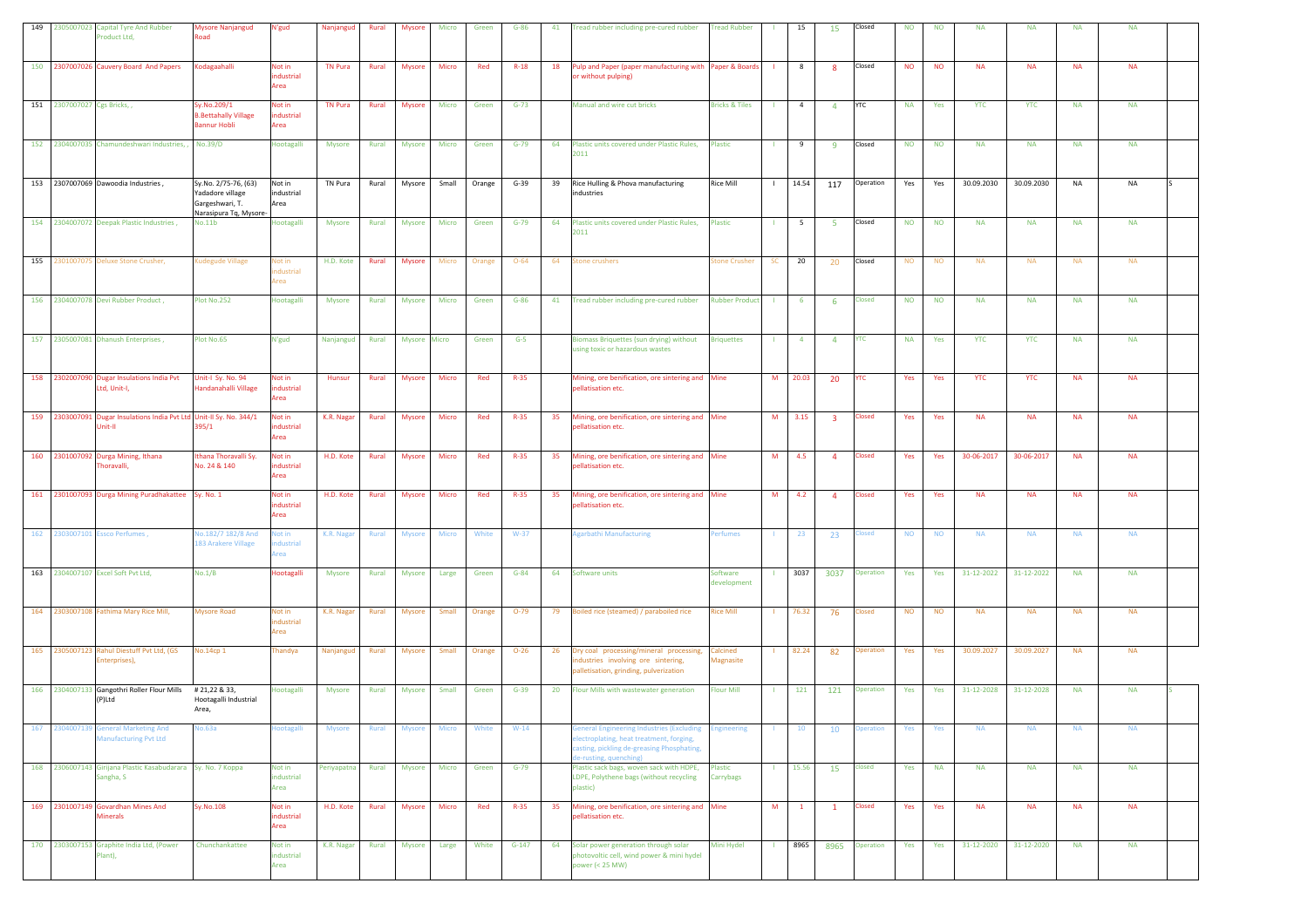| 149 |                             | 2305007023 Capital Tyre And Rubber<br>Product Ltd,                              | <b>Mysore Nanjangud</b><br>Road                                                       | N'gud                        | Nanjangud      | Rural        | <b>Mysore</b> | Micro        | Green  | $G-86$   | 41 | read rubber including pre-cured rubber                                                                                                                    | <b>Tread Rubber</b>       |                | 15             | 15                      | Closed           | <b>NO</b> | <b>NO</b> | <b>NA</b>  | <b>NA</b>  | <b>NA</b> | <b>NA</b> |  |
|-----|-----------------------------|---------------------------------------------------------------------------------|---------------------------------------------------------------------------------------|------------------------------|----------------|--------------|---------------|--------------|--------|----------|----|-----------------------------------------------------------------------------------------------------------------------------------------------------------|---------------------------|----------------|----------------|-------------------------|------------------|-----------|-----------|------------|------------|-----------|-----------|--|
|     |                             | 150 2307007026 Cauvery Board And Papers                                         | Kodagaahalli                                                                          | Not in<br>industrial<br>Area | <b>TN Pura</b> | Rural        | <b>Mysore</b> | Micro        | Red    | $R-18$   | 18 | Pulp and Paper (paper manufacturing with Paper & Boards<br>or without pulping)                                                                            |                           | - 11           | 8              | 8                       | Closed           | <b>NO</b> | <b>NO</b> | <b>NA</b>  | <b>NA</b>  | <b>NA</b> | <b>NA</b> |  |
|     | 151 2307007027 Cgs Bricks,, |                                                                                 | Sy.No.209/1<br><b>B.Bettahally Village</b><br>Bannur Hobli                            | Not in<br>ndustrial<br>Area  | <b>TN Pura</b> | Rural        | <b>Mysore</b> | Micro        | Green  | $G-73$   |    | Manual and wire cut bricks                                                                                                                                | <b>Bricks &amp; Tiles</b> | $\mathbf{1}$   | $\overline{4}$ | $\overline{4}$          | <b>YTC</b>       | <b>NA</b> | Yes       | <b>YTC</b> | <b>YTC</b> | $\sf NA$  | <b>NA</b> |  |
|     |                             | 152 2304007035 Chamundeshwari Industries, , No.39/D                             |                                                                                       | Hootagalli                   | <b>Mysore</b>  | Rural        | Mysore        | Micro        | Green  | $G-79$   | 64 | Plastic units covered under Plastic Rules,<br>2011                                                                                                        | Plastic                   | -11            | 9              | 9                       | Closed           | <b>NO</b> | <b>NO</b> | <b>NA</b>  | <b>NA</b>  | <b>NA</b> | <b>NA</b> |  |
|     |                             | 153 2307007069 Dawoodia Industries,                                             | Sy.No. 2/75-76, (63)<br>Yadadore village<br>Gargeshwari, T.<br>Narasipura Tq, Mysore- | Not in<br>industrial<br>Area | TN Pura        | Rural        | Mysore        | Small        | Orange | $G-39$   | 39 | Rice Hulling & Phova manufacturing<br>industries                                                                                                          | <b>Rice Mill</b>          | $\blacksquare$ | 14.54          | 117                     | Operation        | Yes       | Yes       | 30.09.2030 | 30.09.2030 | <b>NA</b> | NA        |  |
|     |                             | 154 2304007072 Deepak Plastic Industries,                                       | <b>No.11b</b>                                                                         | lootagalli                   | Mysore         | Rural        | <b>Mysore</b> | Micro        | Green  | $G-79$   | 64 | Plastic units covered under Plastic Rules,<br>2011                                                                                                        | Plastic                   | -11            | 5 <sup>5</sup> | -5                      | Closed           | <b>NO</b> | <b>NO</b> | <b>NA</b>  | <b>NA</b>  | <b>NA</b> | <b>NA</b> |  |
| 155 |                             | 2301007075 Deluxe Stone Crusher,                                                | udegude Village                                                                       | lot in<br>dustrial<br>Area   | H.D. Kote      | Rural        | <b>Mysore</b> | Micro        | Orange | $O - 64$ | 64 | tone crushers                                                                                                                                             | Stone Crusher             | <b>SC</b>      | 20             | 20                      | Closed           | <b>NO</b> | <b>NO</b> | <b>NA</b>  | <b>NA</b>  | <b>NA</b> | <b>NA</b> |  |
|     |                             | 156 2304007078 Devi Rubber Product,                                             | <b>Plot No.252</b>                                                                    | Hootagalli                   | Mysore         | Rural        | Mysore        | Micro        | Green  | $G-86$   | 41 | Fread rubber including pre-cured rubber                                                                                                                   | <b>Rubber Product</b>     |                | 6              | -6                      | Closed           | <b>NO</b> | <b>NO</b> | <b>NA</b>  | <b>NA</b>  | <b>NA</b> | <b>NA</b> |  |
|     |                             | 157 2305007081 Dhanush Enterprises,                                             | Plot No.65                                                                            | N'gud                        | Nanjangud      | Rural        | Mysore Micro  |              | Green  | $G-5$    |    | Biomass Briquettes (sun drying) without<br>using toxic or hazardous wastes                                                                                | <b>Briquettes</b>         |                | $-4$           | $\overline{4}$          | <b>YTC</b>       | <b>NA</b> | Yes       | <b>YTC</b> | <b>YTC</b> | <b>NA</b> | <b>NA</b> |  |
|     |                             | 158 2302007090 Dugar Insulations India Pvt<br>Ltd, Unit-I,                      | Unit-I Sy. No. 94<br>Handanahalli Village                                             | Not in<br>industrial<br>Area | Hunsur         | Rural        | <b>Mysore</b> | Micro        | Red    | $R-35$   |    | Mining, ore benification, ore sintering and Mine<br>pellatisation etc.                                                                                    |                           | M              | 20.03          | 20                      | <b>YTC</b>       | Yes       | Yes       | <b>YTC</b> | <b>YTC</b> | <b>NA</b> | <b>NA</b> |  |
|     |                             | 159 2303007091 Dugar Insulations India Pvt Ltd Unit-II Sy. No. 344/1<br>Unit-II | 395/1                                                                                 | Not in<br>ndustrial<br>Area  | K.R. Nagar     | Rural        | <b>Mysore</b> | Micro        | Red    | $R-35$   | 35 | Mining, ore benification, ore sintering and Mine<br>bellatisation etc.                                                                                    |                           | M              | 3.15           | $\overline{\mathbf{3}}$ | Closed           | Yes       | Yes       | <b>NA</b>  | <b>NA</b>  | <b>NA</b> | <b>NA</b> |  |
|     |                             | 160 2301007092 Durga Mining, Ithana<br>Thoravalli,                              | Ithana Thoravalli Sy.<br>No. 24 & 140                                                 | Not in<br>industrial<br>Area | H.D. Kote      | Rural        | Mysore        | Micro        | Red    | $R-35$   | 35 | Mining, ore benification, ore sintering and Mine<br>pellatisation etc.                                                                                    |                           | M              | 4.5            | $\overline{4}$          | <b>Closed</b>    | Yes       | Yes       | 30-06-2017 | 30-06-2017 | <b>NA</b> | <b>NA</b> |  |
|     |                             | 161 2301007093 Durga Mining Puradhakattee Sy. No. 1                             |                                                                                       | Not in<br>industrial<br>Area | H.D. Kote      | Rural        | <b>Mysore</b> | Micro        | Red    | $R-35$   | 35 | Mining, ore benification, ore sintering and Mine<br>bellatisation etc.                                                                                    |                           | M              | 4.2            | $\overline{4}$          | Closed           | Yes       | Yes       | <b>NA</b>  | <b>NA</b>  | <b>NA</b> | <b>NA</b> |  |
|     |                             | 162 2303007101 Essco Perfumes,                                                  | No.182/7 182/8 And<br>183 Arakere Village                                             | lot in<br>dustrial<br>rea    | K.R. Nagar     | Rural        | <b>Mysore</b> | Micro        | White  | $W-37$   |    | Agarbathi Manufacturing                                                                                                                                   | erfumes                   |                | 23             | 23                      | <b>Closed</b>    | <b>NO</b> | <b>NO</b> | <b>NA</b>  | <b>NA</b>  | <b>NA</b> | <b>NA</b> |  |
|     |                             | 163 2304007107 Excel Soft Pvt Ltd,                                              | No.1/B                                                                                | <b>Hootagalli</b>            | Mysore         | Rural        | Mysore        | Large        | Green  | $G-84$   | 64 | Software units                                                                                                                                            | Software<br>development   |                | 3037           | 3037                    | Operation        | Yes       | Yes       | 31-12-2022 | 31-12-2022 | <b>NA</b> | <b>NA</b> |  |
|     |                             | 164 2303007108 Fathima Mary Rice Mill,                                          | <b>Mysore Road</b>                                                                    | Not in<br>industrial<br>Area | K.R. Nagar     | Rural        | Mysore        | Small        | Orange | $O-79$   | 79 | Boiled rice (steamed) / paraboiled rice                                                                                                                   | <b>Rice Mill</b>          |                | 76.32          | 76                      | Closed           | <b>NO</b> | <b>NO</b> | <b>NA</b>  | <b>NA</b>  | <b>NA</b> | <b>NA</b> |  |
|     |                             | 165 2305007123 Rahul Diestuff Pvt Ltd, (GS<br>interprises),                     | No.14cp 1                                                                             | Thandya                      | Nanjangud      | Rural        | Mysore        | Small        | Orange | $O - 26$ | 26 | Dry coal processing/mineral processing,<br>dustries involving ore sintering,<br>palletisation, grinding, pulverization                                    | Calcined<br>Magnasite     | -11            | 82.24          | 82                      | Operation        | Yes       | Yes       | 30.09.2027 | 30.09.2027 | <b>NA</b> | <b>NA</b> |  |
|     |                             | 166 2304007133 Gangothri Roller Flour Mills<br>(P)Ltd                           | #21,22 & 33,<br>Hootagalli Industrial<br>Area,                                        | <b>lootagalli</b>            | Mysore         | Rural        | Mysore        | Small        | Green  | $G-39$   | 20 | Flour Mills with wastewater generation                                                                                                                    | <b>Flour Mill</b>         |                | 121            | 121                     | <b>Operation</b> | Yes       | Yes       | 31-12-2028 | 31-12-2028 | <b>NA</b> | <b>NA</b> |  |
| 167 |                             | 2304007139 General Marketing And<br>Manufacturing Pvt Ltd                       | <b>No.63a</b>                                                                         | lootagalli                   | <b>Mysore</b>  | Rural        | <b>Mysore</b> | Micro        | White  | $W-14$   |    | eneral Engineering Industries (Excluding<br>lectroplating, heat treatment, forging,<br>asting, pickling de-greasing Phosphating,<br>e-rusting, quenching) | <b>Engineering</b>        |                | 10             | 10                      | peration         | Yes       | Yes       | <b>NA</b>  | <b>NA</b>  | <b>NA</b> | <b>NA</b> |  |
|     |                             | 168 2306007143 Girijana Plastic Kasabudarara Sy. No. 7 Koppa<br>Sangha, S       |                                                                                       | Not in<br>industrial<br>Area | Periyapatna    | <b>Rural</b> | Mysore        | <b>Micro</b> | Green  | $G-79$   |    | Plastic sack bags, woven sack with HDPE,<br>LDPE, Polythene bags (without recycling<br>plastic)                                                           | Plastic<br>Carrybags      |                | 1 15.56        | 15                      | closed           | Yes       | <b>NA</b> | <b>NA</b>  | <b>NA</b>  | <b>NA</b> | <b>NA</b> |  |
|     |                             | 169 2301007149 Govardhan Mines And<br><b>Minerals</b>                           | <b>Sy.No.108</b>                                                                      | Not in<br>industrial<br>Area | H.D. Kote      | Rural        | Mysore        | Micro        | Red    | $R - 35$ | 35 | Mining, ore benification, ore sintering and Mine<br>pellatisation etc.                                                                                    |                           | M              | $\blacksquare$ | $\mathbf{1}$            | <b>Closed</b>    | Yes       | Yes       | <b>NA</b>  | <b>NA</b>  | <b>NA</b> | <b>NA</b> |  |
|     |                             | 170 2303007153 Graphite India Ltd, (Power<br>Plant),                            | Chunchankattee                                                                        | Not in<br>industrial<br>Area | K.R. Nagar     | Rural        | Mysore        | Large        | White  | $G-147$  | 64 | Solar power generation through solar<br>photovoltic cell, wind power & mini hydel<br>ower (< 25 MW)                                                       | Mini Hydel                | -11            | 8965           | 8965                    | Operation        | Yes       | Yes       | 31-12-2020 | 31-12-2020 | <b>NA</b> | <b>NA</b> |  |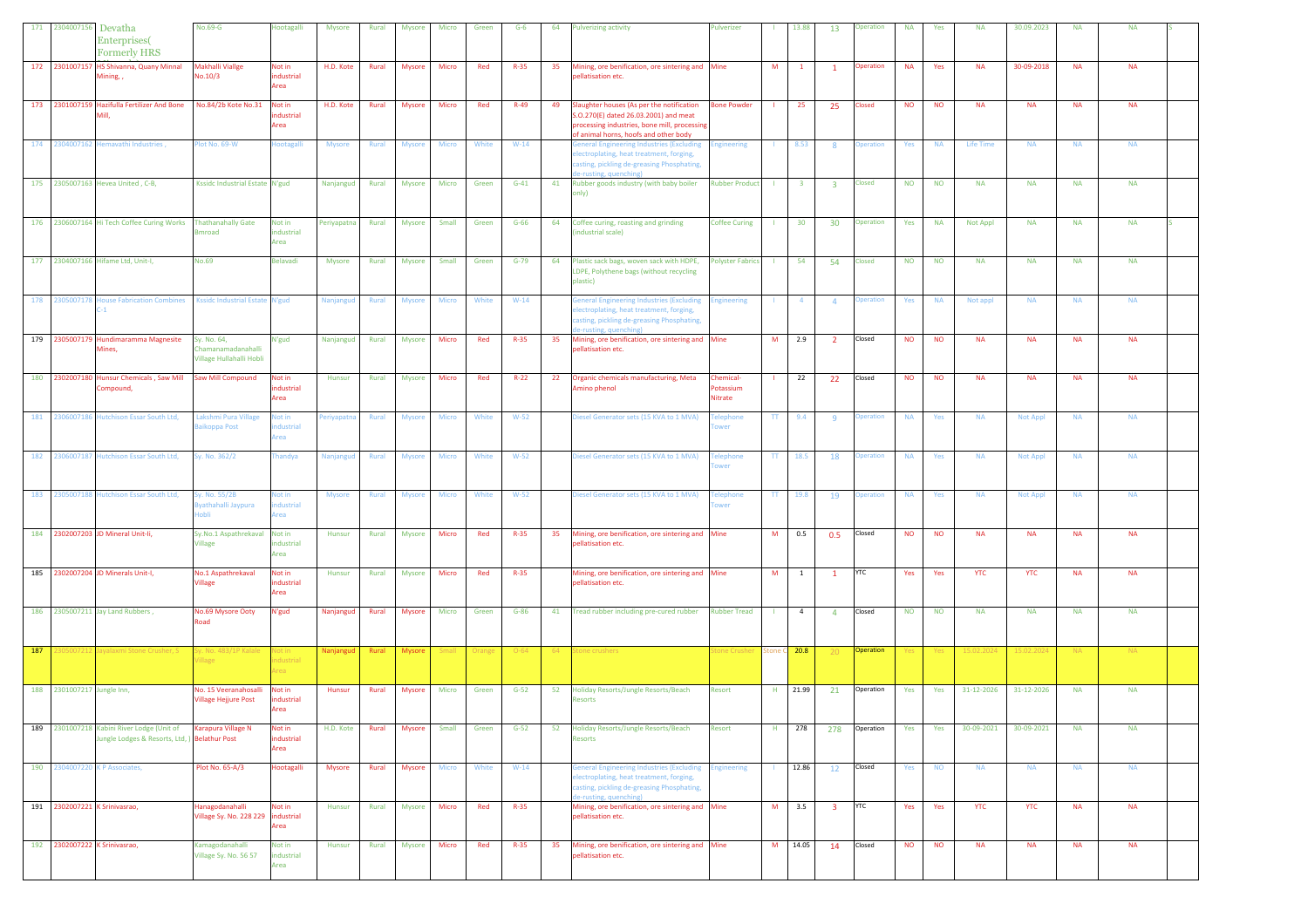|     | 171 2304007156 Devatha        | Enterprises(<br><b>Formerly HRS</b>                                                         | No.69-G                                                       | lootagalli                   | Mysore        | Rural | Mysore        | Micro        | Green  | $G-6$    | 64 | ulverizing activity                                                                                                                                                         | Pulverizer                                   |                          | 13.88                   | 13                      | <b>Joeration</b> | <b>NA</b> | Yes       | <b>NA</b>        | 30.09.2023      | <b>NA</b> | <b>NA</b> |  |
|-----|-------------------------------|---------------------------------------------------------------------------------------------|---------------------------------------------------------------|------------------------------|---------------|-------|---------------|--------------|--------|----------|----|-----------------------------------------------------------------------------------------------------------------------------------------------------------------------------|----------------------------------------------|--------------------------|-------------------------|-------------------------|------------------|-----------|-----------|------------------|-----------------|-----------|-----------|--|
|     |                               | 172 2301007157 HS Shivanna, Quany Minnal<br>Mining, ,                                       | <b>Makhalli Viallge</b><br>No.10/3                            | Not in<br>industrial<br>Area | H.D. Kote     | Rural | <b>Mysore</b> | Micro        | Red    | $R-35$   | 35 | Mining, ore benification, ore sintering and Mine<br>pellatisation etc.                                                                                                      |                                              | M                        | $\mathbf{1}$            |                         | <b>Operation</b> | <b>NA</b> | Yes       | <b>NA</b>        | 30-09-2018      | <b>NA</b> | <b>NA</b> |  |
|     |                               | 173 2301007159 Hazifulla Fertilizer And Bone<br>Mill.                                       | No.84/2b Kote No.31                                           | Not in<br>ndustrial<br>Area  | H.D. Kote     | Rural | <b>Mysore</b> | Micro        | Red    | $R-49$   | 49 | Slaughter houses (As per the notification<br>5.0.270(E) dated 26.03.2001) and meat<br>processing industries, bone mill, processing<br>of animal horns, hoofs and other body | <b>Bone Powder</b>                           |                          | 25                      | 25                      | <b>Closed</b>    | <b>NO</b> | <b>NO</b> | <b>NA</b>        | <b>NA</b>       | <b>NA</b> | <b>NA</b> |  |
|     |                               | 174 2304007162 Hemavathi Industries,                                                        | lot No. 69-W                                                  | lootagalli                   | <b>Mysore</b> | Rural | <b>Mysore</b> | Micro        | White  | $W-14$   |    | <b>General Engineering Industries (Excluding</b><br>lectroplating, heat treatment, forging,<br>asting, pickling de-greasing Phosphating,<br>e-rusting, quenching            | <b>Engineering</b>                           |                          | 8.53                    | 8                       | <b>Operation</b> | Yes       | <b>NA</b> | <b>Life Time</b> | <b>NA</b>       | <b>NA</b> | <b>NA</b> |  |
|     |                               | 175 2305007163 Hevea United, C-B,                                                           | Kssidc Industrial Estate N'gud                                |                              | Nanjangud     | Rural | Mysore        | Micro        | Green  | $G-41$   | 41 | Rubber goods industry (with baby boiler<br>nly)                                                                                                                             | <b>Rubber Product</b>                        | - 11                     | $\overline{\mathbf{3}}$ | $\overline{\mathbf{3}}$ | <b>Closed</b>    | <b>NO</b> | <b>NO</b> | <b>NA</b>        | <b>NA</b>       | <b>NA</b> | <b>NA</b> |  |
|     |                               | 176 2306007164 Hi Tech Coffee Curing Works Thathanahally Gate                               | nroad                                                         | Not in<br>industrial<br>Area | Periyapatna   | Rural | Mysore        | Small        | Green  | $G-66$   | 64 | Coffee curing, roasting and grinding<br>industrial scale)                                                                                                                   | <b>Coffee Curing</b>                         | - 11                     | 30                      | 30                      | Operation        | Yes       | <b>NA</b> | Not Appl         | <b>NA</b>       | <b>NA</b> | <b>NA</b> |  |
|     |                               | 177 2304007166 Hifame Ltd, Unit-I,                                                          | <b>No.69</b>                                                  | Belavadi                     | <b>Mysore</b> | Rural | <b>Mysore</b> | Small        | Green  | $G-79$   | 64 | Plastic sack bags, woven sack with HDPE,<br>LDPE, Polythene bags (without recycling<br>plastic)                                                                             | Polyster Fabrics                             |                          | 54                      | 54                      | <b>Closed</b>    | <b>NO</b> | <b>NO</b> | <b>NA</b>        | <b>NA</b>       | <b>NA</b> | <b>NA</b> |  |
|     | 178 2305007178                | House Fabrication Combines Kssidc Industrial Estate N'gud<br>$C-1$                          |                                                               |                              | Nanjangud     | Rural | Mysore        | Micro        | White  | $W-14$   |    | <b>Seneral Engineering Industries (Excluding</b><br>lectroplating, heat treatment, forging,<br>asting, pickling de-greasing Phosphating,<br>e-rusting, quenching)           | <b>Ingineering</b>                           |                          | $\overline{a}$          | $\overline{4}$          | peration         | Yes       | <b>NA</b> | Not appl         | <b>NA</b>       | <b>NA</b> | <b>NA</b> |  |
|     |                               | 179 2305007179 Hundimaramma Magnesite<br>Mines,                                             | Sy. No. 64,<br>Chamanamadanahalli<br>Village Hullahalli Hobli | N'gud                        | Nanjangud     | Rural | <b>Mysore</b> | Micro        | Red    | $R-35$   | 35 | Mining, ore benification, ore sintering and Mine<br>pellatisation etc.                                                                                                      |                                              | M                        | 2.9                     | $\overline{2}$          | Closed           | <b>NO</b> | <b>NO</b> | <b>NA</b>        | <b>NA</b>       | <b>NA</b> | <b>NA</b> |  |
|     |                               | 180 2302007180 Hunsur Chemicals , Saw Mill Saw Mill Compound<br>Compound,                   |                                                               | Not in<br>industrial<br>Area | Hunsur        | Rural | <b>Mysore</b> | Micro        | Red    | $R-22$   | 22 | Organic chemicals manufacturing, Meta<br>mino phenol                                                                                                                        | Chemical-<br>Potassium<br>Nitrate            |                          | 22                      | 22                      | Closed           | <b>NO</b> | <b>NO</b> | <b>NA</b>        | <b>NA</b>       | <b>NA</b> | <b>NA</b> |  |
|     |                               | 181 2306007186 Hutchison Essar South Ltd,                                                   | Lakshmi Pura Village<br>aikoppa Post                          | Vot in<br>ndustrial<br>Area  | Periyapatna   | Rural | <b>Mysore</b> | Micro        | White  | $W-52$   |    | Diesel Generator sets (15 KVA to 1 MVA)                                                                                                                                     | <b>Telephone</b><br>ower                     | TT                       | 9.4                     | -9                      | <b>peration</b>  | <b>NA</b> | Yes       | <b>NA</b>        | <b>Not Appl</b> | <b>NA</b> | <b>NA</b> |  |
|     |                               | 182 2306007187 Hutchison Essar South Ltd,                                                   | Sy. No. 362/2                                                 | <b>handya</b>                | Nanjangud     | Rural | Mysore        | Micro        | White  | $W-52$   |    | Diesel Generator sets (15 KVA to 1 MVA)                                                                                                                                     | <b><i><u><b>Telephone</b></u></i></b><br>wer | $\mathsf{T}\mathsf{T}$ . | 18.5                    | 18                      | peration         | <b>NA</b> | Yes       | <b>NA</b>        | <b>Not Appl</b> | <b>NA</b> | <b>NA</b> |  |
|     |                               | 183 2305007188 Hutchison Essar South Ltd,                                                   | y. No. 55/2B<br>vathahalli Jaypura<br>obli                    | lot in<br>dustrial<br>Area   | <b>Mysore</b> | Rural | <b>Mysore</b> | Micro        | White  | $W-52$   |    | liesel Generator sets (15 KVA to 1 MVA)                                                                                                                                     | <b>Telephone</b><br>wer                      | TT.                      | 19.8                    | 19                      | peration         | <b>NA</b> | Yes       | <b>NA</b>        | <b>Not Appl</b> | <b>NA</b> | <b>NA</b> |  |
|     |                               | 184 2302007203 JD Mineral Unit-Ii,                                                          | Sy.No.1 Aspathrekaval<br><b>Village</b>                       | Not in<br>industrial<br>Area | Hunsur        | Rural | <b>Mysore</b> | Micro        | Red    | $R-35$   | 35 | Mining, ore benification, ore sintering and Mine<br>bellatisation etc.                                                                                                      |                                              | M                        | 0.5                     | 0.5                     | Closed           | <b>NO</b> | <b>NO</b> | <b>NA</b>        | <b>NA</b>       | <b>NA</b> | <b>NA</b> |  |
|     |                               | 185 2302007204 JD Minerals Unit-I,                                                          | No.1 Aspathrekaval<br>Village                                 | Not in<br>ndustrial<br>Area  | Hunsur        | Rural | Mysore        | Micro        | Red    | $R-35$   |    | Mining, ore benification, ore sintering and Mine<br>pellatisation etc.                                                                                                      |                                              | M                        | $\overline{1}$          | $\mathbf{1}$            | <b>YTC</b>       | Yes       | Yes       | <b>YTC</b>       | <b>YTC</b>      | <b>NA</b> | <b>NA</b> |  |
|     |                               | 186 2305007211 Jay Land Rubbers,                                                            | No.69 Mysore Ooty<br><b>oad</b>                               | N'gud                        | Nanjangud     | Rural | Mysore        | Micro        | Green  | $G-86$   | 41 | Tread rubber including pre-cured rubber                                                                                                                                     | <b>Rubber Tread</b>                          | $\mathbf{L}$             | $\overline{4}$          | $\overline{4}$          | Closed           | <b>NO</b> | <b>NO</b> | <b>NA</b>        | <b>NA</b>       | <b>NA</b> | <b>NA</b> |  |
| 187 | 0500721                       | Jayalaxmi Stone Crusher, S                                                                  | Sy. No. 483/1P Kalale<br><b>illage</b>                        | Not in<br>dustrial<br>real   | Nanjanguo     | Rural | Mysore        | <b>Small</b> | Orange | $O - 64$ | 64 | tone crushers                                                                                                                                                               | tone Crushe                                  |                          | Stone C 20.8            | $-20$                   | Operation        | Yes       | Yes       | 15.02.2024       | 15.02.2024      | NA .      | NA.       |  |
|     | 188 2301007217 Jungle Inn,    |                                                                                             | No. 15 Veeranahosalli<br>Village Hejjure Post                 | Not in<br>dustrial<br>Area   | Hunsur        | Rural | <b>Mysore</b> | Micro        | Green  | $G-52$   | 52 | Holiday Resorts/Jungle Resorts/Beach<br>lesorts                                                                                                                             | Resort                                       |                          | H 21.99                 | 21                      | Operation        | Yes       | Yes       | 31-12-2026       | 31-12-2026      | <b>NA</b> | <b>NA</b> |  |
|     |                               | 189 2301007218 Kabini River Lodge (Unit of<br>Jungle Lodges & Resorts, Ltd, ) Belathur Post | Karapura Village N                                            | Not in<br>industrial<br>Area | H.D. Kote     | Rural | Mysore        | Small        | Green  | $G-52$   | 52 | Holiday Resorts/Jungle Resorts/Beach<br>Resorts                                                                                                                             | Resort                                       | H                        | 278                     | 278                     | Operation        | Yes       | Yes       | 30-09-2021       | 30-09-2021      | <b>NA</b> | <b>NA</b> |  |
|     |                               | 190 2304007220 K P Associates,                                                              | Plot No. 65-A/3                                               | Hootagalli                   | Mysore        | Rural | Mysore        | Micro        | White  | $W-14$   |    | General Engineering Industries (Excluding<br>lectroplating, heat treatment, forging,<br>asting, pickling de-greasing Phosphating,<br>-rusting, quenching)                   | <b>Engineering</b>                           |                          | 12.86                   | 12                      | Closed           | Yes       | <b>NO</b> | <b>NA</b>        | <b>NA</b>       | <b>NA</b> | <b>NA</b> |  |
|     | 191 2302007221 K Srinivasrao, |                                                                                             | Hanagodanahalli<br>Village Sy. No. 228 229 industrial         | Not in<br>Area               | Hunsur        | Rural | Mysore        | <b>Micro</b> | Red    | $R - 35$ |    | Mining, ore benification, ore sintering and Mine<br>pellatisation etc.                                                                                                      |                                              |                          | M 3.5                   | $\overline{\mathbf{3}}$ | <b>YTC</b>       | Yes       | Yes       | <b>YTC</b>       | <b>YTC</b>      | <b>NA</b> | <b>NA</b> |  |
|     | 192 2302007222 K Srinivasrao, |                                                                                             | Kamagodanahalli<br>Village Sy. No. 56 57                      | Not in<br>industrial<br>Area | Hunsur        | Rural | Mysore        | Micro        | Red    | $R - 35$ | 35 | Mining, ore benification, ore sintering and Mine<br>pellatisation etc.                                                                                                      |                                              |                          | M 14.05                 | 14                      | Closed           | <b>NO</b> | <b>NO</b> | <b>NA</b>        | <b>NA</b>       | <b>NA</b> | <b>NA</b> |  |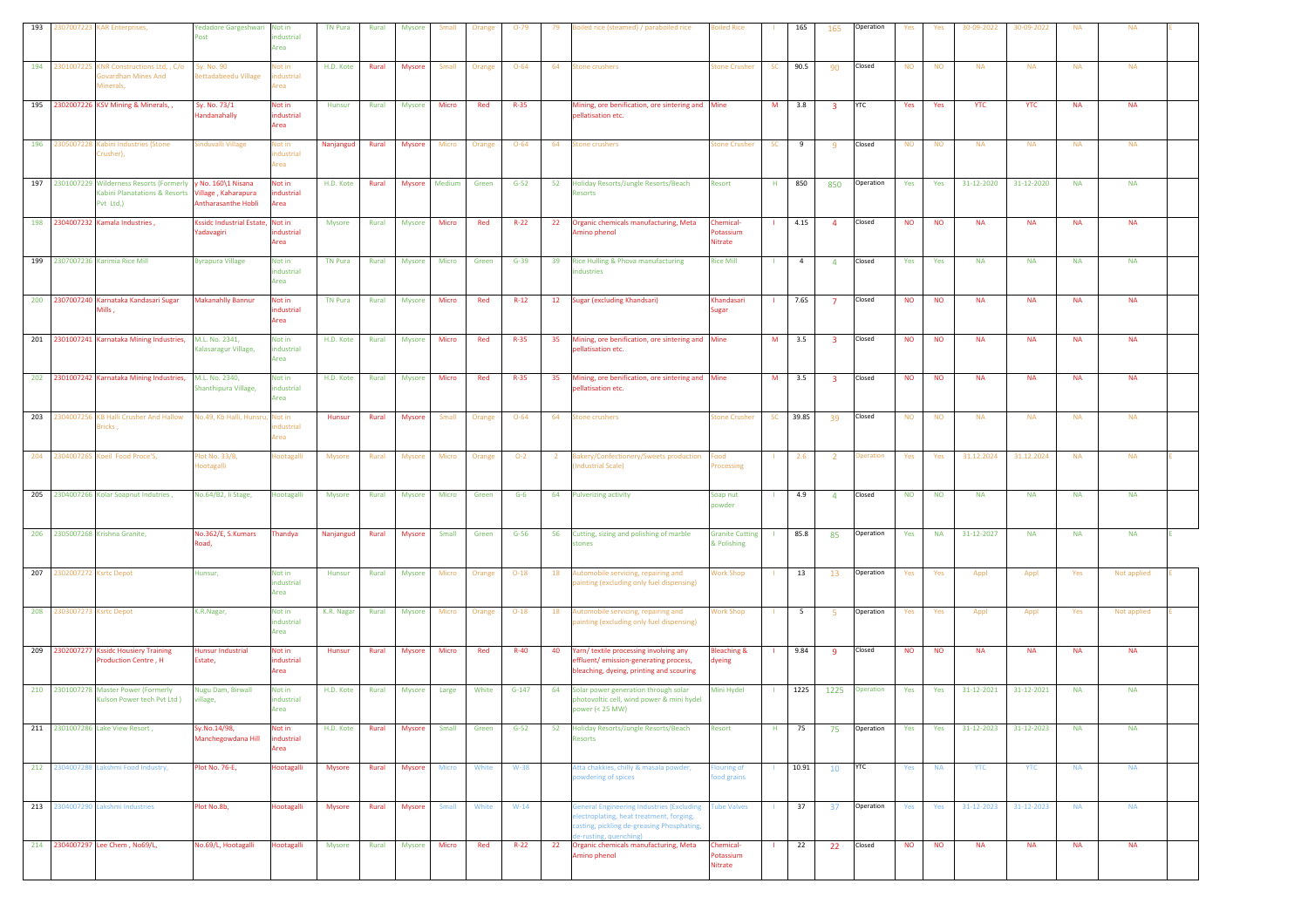| 193 |                            | 1307007223 KAR Enterprises,                                                                                  | Yedadore Gargeshwari Not in<br>Post           | ndustrial<br>Area            | <b>TN Pura</b> | Rural | <b>Mysore</b> | Small        | Orange | $O-79$   | 79             | oiled rice (steamed) / paraboiled rice                                                                                                                              | biled Rice                            |           | 165            | 165                     | Operation  | Yes       | Yes       | 30-09-2022 | 30-09-2022 | <b>NA</b> | <b>NA</b>   |  |
|-----|----------------------------|--------------------------------------------------------------------------------------------------------------|-----------------------------------------------|------------------------------|----------------|-------|---------------|--------------|--------|----------|----------------|---------------------------------------------------------------------------------------------------------------------------------------------------------------------|---------------------------------------|-----------|----------------|-------------------------|------------|-----------|-----------|------------|------------|-----------|-------------|--|
| 194 | 2301007225                 | KNR Constructions Ltd, , C/o<br>Govardhan Mines And<br>Minerals,                                             | Sy. No. 90<br>lettadabeedu Village            | Not in<br>dustrial<br>Area   | H.D. Kote      | Rural | Mysore        | Small        | Orange | $O - 64$ | 64             | tone crushers                                                                                                                                                       | <b>tone Crusher</b>                   | SC        | 90.5           | 90                      | Closed     | <b>NO</b> | <b>NO</b> | <b>NA</b>  | <b>NA</b>  | <b>NA</b> | <b>NA</b>   |  |
|     |                            | 195 2302007226 KSV Mining & Minerals, ,                                                                      | Sy. No. 73/1<br><b>Handanahally</b>           | Not in<br>ndustrial<br>Area  | Hunsur         | Rural | Mysore        | Micro        | Red    | $R - 35$ |                | Mining, ore benification, ore sintering and Mine<br>pellatisation etc.                                                                                              |                                       | M         | 3.8            | $\overline{\mathbf{3}}$ | <b>YTC</b> | Yes       | Yes       | <b>YTC</b> | <b>YTC</b> | <b>NA</b> | <b>NA</b>   |  |
|     |                            | 196 2305007228 Kabini Industries (Stone<br>Crusher),                                                         | induvalli Village                             | Vot in<br>ndustrial<br>Area  | Nanjangud      | Rural | Mysore        | Micro        | Orange | $O - 64$ | 64             | itone crushers                                                                                                                                                      | <b>Stone Crusher</b>                  | SC        | 9              | -9                      | Closed     | <b>NO</b> | <b>NO</b> | <b>NA</b>  | <b>NA</b>  | <b>NA</b> | <b>NA</b>   |  |
|     |                            | 197 2301007229 Wilderness Resorts (Formerly y No. 160\1 Nisana<br>Kabini Planatations & Resorts<br>Pvt Ltd,) | Village, Kaharapura<br>Antharasanthe Hobli    | Not in<br>industrial<br>Area | H.D. Kote      | Rural | <b>Mysore</b> | Medium       | Green  | $G-52$   | 52             | Holiday Resorts/Jungle Resorts/Beach<br>Resorts                                                                                                                     | Resort                                | H.        | 850            | 850                     | Operation  | Yes       | Yes       | 31-12-2020 | 31-12-2020 | <b>NA</b> | <b>NA</b>   |  |
|     |                            | 198 2304007232 Kamala Industries,                                                                            | Kssidc Industrial Estate, Not in<br>adavagiri | hdustrial<br>Area            | Mysore         | Rural | <b>Mysore</b> | Micro        | Red    | $R-22$   | 22             | Organic chemicals manufacturing, Meta<br>Amino phenol                                                                                                               | Chemical-<br>Potassium<br>Nitrate     |           | 4.15           | $\overline{4}$          | Closed     | <b>NO</b> | <b>NO</b> | <b>NA</b>  | <b>NA</b>  | <b>NA</b> | <b>NA</b>   |  |
|     |                            | 199 2307007236 Karimia Rice Mill                                                                             | <b>Byrapura Village</b>                       | Not in<br>industrial<br>Area | <b>TN Pura</b> | Rural | Mysore        | Micro        | Green  | $G-39$   | 39             | Rice Hulling & Phova manufacturing<br>ndustries                                                                                                                     | <b>Rice Mill</b>                      |           | $\overline{4}$ | 4                       | Closed     | Yes       | Yes       | <b>NA</b>  | <b>NA</b>  | <b>NA</b> | <b>NA</b>   |  |
|     |                            | 200 2307007240 Karnataka Kandasari Sugar<br>Mills,                                                           | <b>Makanahlly Bannur</b>                      | Not in<br>industrial<br>Area | <b>TN Pura</b> | Rural | <b>Mysore</b> | Micro        | Red    | $R-12$   | 12             | Sugar (excluding Khandsari)                                                                                                                                         | Khandasari<br>Sugar                   |           | 7.65           | $\overline{7}$          | Closed     | <b>NO</b> | <b>NO</b> | <b>NA</b>  | <b>NA</b>  | <b>NA</b> | <b>NA</b>   |  |
|     |                            | 201 2301007241 Karnataka Mining Industries, M.L. No. 2341,                                                   | Kalasaragur Village,                          | Not in<br>industrial<br>Area | H.D. Kote      | Rural | Mysore        | Micro        | Red    | $R - 35$ | 35             | Mining, ore benification, ore sintering and Mine<br>bellatisation etc.                                                                                              |                                       | M         | 3.5            | $\overline{\mathbf{3}}$ | Closed     | <b>NO</b> | <b>NO</b> | <b>NA</b>  | <b>NA</b>  | <b>NA</b> | <b>NA</b>   |  |
|     |                            | 202 2301007242 Karnataka Mining Industries,                                                                  | M.L. No. 2340,<br>Shanthipura Village,        | Not in<br>industrial<br>Area | H.D. Kote      | Rural | Mysore        | Micro        | Red    | $R-35$   | 35             | Mining, ore benification, ore sintering and Mine<br>pellatisation etc.                                                                                              |                                       | M         | 3.5            | $\overline{\mathbf{3}}$ | Closed     | <b>NO</b> | <b>NO</b> | <b>NA</b>  | <b>NA</b>  | <b>NA</b> | <b>NA</b>   |  |
| 203 |                            | 2304007256 KB Halli Crusher And Hallow<br>Bricks,                                                            | Vo.49, Kb Halli, Hunsr                        | Not in<br>dustrial<br>Area   | Hunsur         | Rural | Mysore        | Small        | Orange | $O - 64$ | 64             | itone crushers                                                                                                                                                      | <b>Stone Crusher</b>                  | <b>SC</b> | 39.85          | 39                      | Closed     | <b>NO</b> | <b>NO</b> | <b>NA</b>  | <b>NA</b>  | <b>NA</b> | <b>NA</b>   |  |
| 204 |                            | 2304007265 Koeil Food Proce'S,                                                                               | lot No. 33/B,<br>lootagalli                   | lootagalli                   | <b>Mysore</b>  | Rural | <b>Mysore</b> | Micro        | Orange | $O-2$    | $\overline{2}$ | Bakery/Confectionery/Sweets production<br><b>Industrial Scale)</b>                                                                                                  | Food<br>rocessing                     |           | 2.6            | $\overline{2}$          | peration   | Yes       | Yes       | 31.12.2024 | 31.12.2024 | <b>NA</b> | <b>NA</b>   |  |
| 205 |                            | 2304007266 Kolar Soapnut Indutries,                                                                          | No.64/B2, li Stage,                           | Hootagalli                   | Mysore         | Rural | Mysore        | Micro        | Green  | $G-6$    | 64             | <b>Pulverizing activity</b>                                                                                                                                         | Soap nut<br>powder                    |           | 4.9            | $\overline{4}$          | Closed     | <b>NO</b> | <b>NO</b> | <b>NA</b>  | <b>NA</b>  | <b>NA</b> | <b>NA</b>   |  |
|     |                            | 206 2305007268 Krishna Granite,                                                                              | No.362/E, S.Kumars<br>load,                   | Thandya                      | Nanjangud      | Rural | <b>Mysore</b> | Small        | Green  | $G-56$   | 56             | Cutting, sizing and polishing of marble<br>tones                                                                                                                    | <b>Granite Cutting</b><br>& Polishing | - 11      | 85.8           | 85                      | Operation  | Yes       | <b>NA</b> | 31-12-2027 | <b>NA</b>  | <b>NA</b> | <b>NA</b>   |  |
|     | 207 2302007272 Ksrtc Depot |                                                                                                              | Hunsur,                                       | Not in<br>industrial<br>Area | Hunsur         | Rural | <b>Mysore</b> | Micro        | Orange | $O-18$   | 18             | Automobile servicing, repairing and<br>painting (excluding only fuel dispensing)                                                                                    | <b>Work Shop</b>                      |           | 13             | 13                      | Operation  | Yes       | Yes       | Appl       | Appl       | Yes       | Not applied |  |
|     | 208 2303007273 Ksrtc Depot |                                                                                                              | K.R.Nagar,                                    | Not in<br>industrial<br>Area | K.R. Nagar     | Rural | <b>Mysore</b> | Micro        | Orange | $O-18$   | 18             | Automobile servicing, repairing and<br>painting (excluding only fuel dispensing)                                                                                    | <b>Work Shop</b>                      |           | 5              | - 5                     | Operation  | Yes       | Yes       | Appl       | Appl       | Yes       | Not applied |  |
|     |                            | 209 2302007277 Kssidc Housiery Training<br><b>Production Centre, H</b>                                       | Hunsur Industrial<br>Estate,                  | Not in<br>ndustrial<br>Area  | Hunsur         | Rural | Mysore        | Micro        | Red    | $R-40$   | 40             | Yarn/ textile processing involving any<br>ffluent/emission-generating process,<br>bleaching, dyeing, printing and scouring                                          | <b>Bleaching &amp;</b><br>dyeing      |           | 9.84           | -9                      | Closed     | <b>NO</b> | <b>NO</b> | <b>NA</b>  | <b>NA</b>  | NA        | <b>NA</b>   |  |
|     |                            | 210 2301007278 Master Power (Formerly                                                                        | <b>Nugu Dam, Birwall</b>                      | Not in                       | H.D. Kote      | Rural | Mysore        | Large        | White  | $G-147$  | 64             | Solar power generation through solar                                                                                                                                | Mini Hydel                            |           | 1225           | 1225                    | Operation  | Yes       | Yes       | 31-12-2021 | 31-12-2021 | <b>NA</b> | <b>NA</b>   |  |
|     |                            | Kulson Power tech Pvt Ltd )                                                                                  | rillage,                                      | ndustrial<br>Area            |                |       |               |              |        |          |                | photovoltic cell, wind power & mini hydel<br>power (< 25 MW)                                                                                                        |                                       |           |                |                         |            |           |           |            |            |           |             |  |
|     |                            | 211 2301007286 Lake View Resort,                                                                             | iy.No.14/98,<br>Manchegowdana Hill            | Not in<br>ndustrial<br>Area  | H.D. Kote      | Rural | <b>Mysore</b> | Small        | Green  | $G-52$   | 52             | Holiday Resorts/Jungle Resorts/Beach<br><b>Resorts</b>                                                                                                              | Resort                                | H.        | 75             | 75                      | Operation  | Yes       | Yes       | 31-12-2023 | 31-12-2023 | <b>NA</b> | <b>NA</b>   |  |
|     |                            | 212 2304007288 Lakshmi Food Industry,                                                                        | Plot No. 76-E,                                | Hootagalli                   | Mysore         | Rural | Mysore        | <b>Micro</b> | White  | $W-38$   |                | Atta chakkies, chilly & masala powder,<br>owdering of spices                                                                                                        | louring of<br>ood grains              |           | 10.91          | 10                      | <b>YTC</b> | Yes       | <b>NA</b> | <b>YTC</b> | <b>YTC</b> | <b>NA</b> | <b>NA</b>   |  |
|     |                            | 213 2304007290 Lakshmi Industries                                                                            | Plot No.8b,                                   | Hootagalli                   | Mysore         | Rural | Mysore        | Small        | White  | $W-14$   |                | <b>Seneral Engineering Industries (Excluding</b><br>electroplating, heat treatment, forging,<br>casting, pickling de-greasing Phosphating,<br>e-rusting, quenching) | <b>Tube Valves</b>                    | л.        | 37             | 37                      | Operation  | Yes       | Yes       | 31-12-2023 | 31-12-2023 | <b>NA</b> | <b>NA</b>   |  |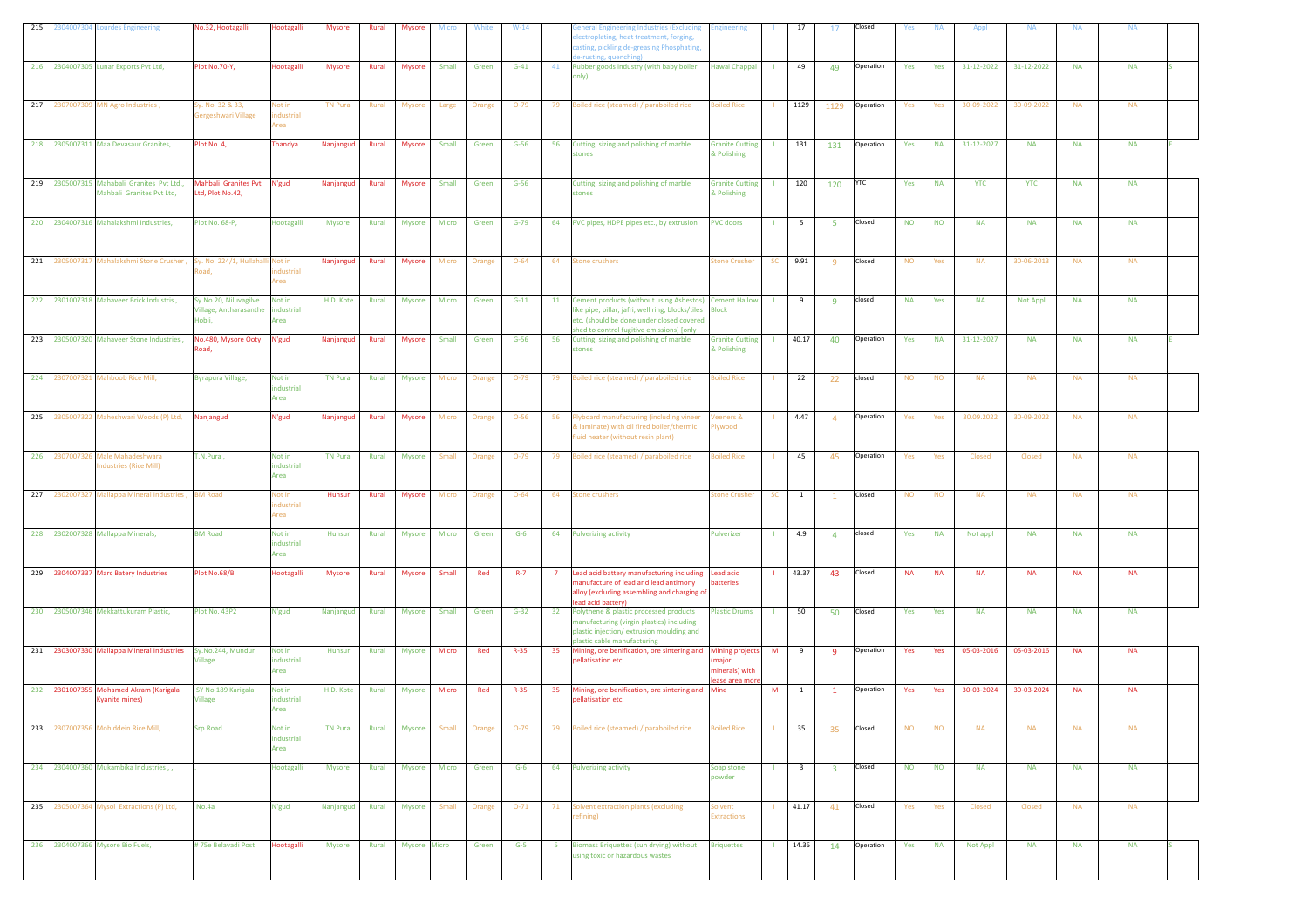|     |            | 215 2304007304 Lourdes Engineering                  | No.32, Hootagalli             | Hootagalli           | Mysore         | Rural | <b>Mysore</b> | <b>Micro</b> | White  | $W-14$   |                | eneral Engineering Industries (Excluding                                               | <b>Ingineering</b>     |              | 17                      | 17                      | Closed     | Yes       | <b>NA</b> | Appl          | <b>NA</b>  | <b>NA</b> | <b>NA</b> |  |
|-----|------------|-----------------------------------------------------|-------------------------------|----------------------|----------------|-------|---------------|--------------|--------|----------|----------------|----------------------------------------------------------------------------------------|------------------------|--------------|-------------------------|-------------------------|------------|-----------|-----------|---------------|------------|-----------|-----------|--|
|     |            |                                                     |                               |                      |                |       |               |              |        |          |                | lectroplating, heat treatment, forging,                                                |                        |              |                         |                         |            |           |           |               |            |           |           |  |
|     |            |                                                     |                               |                      |                |       |               |              |        |          |                | casting, pickling de-greasing Phosphating,                                             |                        |              |                         |                         |            |           |           |               |            |           |           |  |
|     |            |                                                     |                               |                      |                |       |               |              |        |          |                | e-rusting, quenching)                                                                  |                        |              |                         |                         |            |           |           |               |            |           |           |  |
|     |            | 216 2304007305 Lunar Exports Pvt Ltd,               | Plot No.70-Y,                 | <b>Hootagalli</b>    | <b>Mysore</b>  | Rural | Mysore        | Small        | Green  | $G-41$   | 41             | Rubber goods industry (with baby boiler<br>(ylnd                                       | <b>Hawai Chappal</b>   |              | 49                      | 49                      | Operation  | Yes       | Yes       | 31-12-2022    | 31-12-2022 | <b>NA</b> | <b>NA</b> |  |
|     |            |                                                     |                               |                      |                |       |               |              |        |          |                |                                                                                        |                        |              |                         |                         |            |           |           |               |            |           |           |  |
|     |            |                                                     |                               |                      |                |       |               |              |        |          |                |                                                                                        |                        |              |                         |                         |            |           |           |               |            |           |           |  |
|     |            | 217 2307007309 MN Agro Industries,                  | y. No. 32 & 33,               | <b>Not in</b>        | <b>TN Pura</b> | Rural | Mysore        | Large        | Orange | $O-79$   |                | 79 Boiled rice (steamed) / paraboiled rice                                             | <b>Boiled Rice</b>     |              | 1129                    | 1129                    | Operation  | Yes       | Yes       | 30-09-2022    | 30-09-2022 | <b>NA</b> | <b>NA</b> |  |
|     |            |                                                     | Gergeshwari Village           | dustrial             |                |       |               |              |        |          |                |                                                                                        |                        |              |                         |                         |            |           |           |               |            |           |           |  |
|     |            |                                                     |                               | Area                 |                |       |               |              |        |          |                |                                                                                        |                        |              |                         |                         |            |           |           |               |            |           |           |  |
|     |            | 218 2305007311 Maa Devasaur Granites,               | Plot No. 4,                   | <b>Thandya</b>       | Nanjangud      | Rural | <b>Mysore</b> | Small        | Green  | $G-56$   | 56             | Cutting, sizing and polishing of marble                                                | <b>Granite Cutting</b> |              | 131                     | 131                     | Operation  | Yes       | <b>NA</b> | 31-12-2027    | <b>NA</b>  | <b>NA</b> | <b>NA</b> |  |
|     |            |                                                     |                               |                      |                |       |               |              |        |          |                | stones                                                                                 | & Polishing            |              |                         |                         |            |           |           |               |            |           |           |  |
|     |            |                                                     |                               |                      |                |       |               |              |        |          |                |                                                                                        |                        |              |                         |                         |            |           |           |               |            |           |           |  |
|     |            | 219 2305007315 Mahabali Granites Pvt Ltd,,          | <b>Mahbali Granites Pyt</b>   | N'gud                | Nanjangud      | Rural | Mysore        | Small        | Green  | $G-56$   |                | Cutting, sizing and polishing of marble                                                | <b>Granite Cutting</b> |              | 120                     | 120                     | <b>YTC</b> | Yes       | <b>NA</b> | <b>YTC</b>    | <b>YTC</b> | <b>NA</b> | <b>NA</b> |  |
|     |            | Mahbali Granites Pvt Ltd,                           | Ltd, Plot.No.42,              |                      |                |       |               |              |        |          |                | stones                                                                                 | & Polishing            |              |                         |                         |            |           |           |               |            |           |           |  |
|     |            |                                                     |                               |                      |                |       |               |              |        |          |                |                                                                                        |                        |              |                         |                         |            |           |           |               |            |           |           |  |
|     |            |                                                     |                               |                      |                |       |               |              |        |          |                |                                                                                        |                        |              |                         |                         |            |           |           |               |            |           |           |  |
|     |            | 220 2304007316 Mahalakshmi Industries,              | Plot No. 68-P,                | <b>Hootagalli</b>    | <b>Mysore</b>  | Rural | Mysore        | Micro        | Green  | $G-79$   |                | 64 PVC pipes, HDPE pipes etc., by extrusion                                            | <b>PVC</b> doors       |              | 5                       | -5                      | Closed     | <b>NO</b> | <b>NO</b> | <b>NA</b>     | <b>NA</b>  | <b>NA</b> | <b>NA</b> |  |
|     |            |                                                     |                               |                      |                |       |               |              |        |          |                |                                                                                        |                        |              |                         |                         |            |           |           |               |            |           |           |  |
|     |            |                                                     |                               |                      |                |       |               |              |        |          |                |                                                                                        |                        |              |                         |                         |            |           |           |               |            |           |           |  |
| 221 |            | 2305007317 Mahalakshmi Stone Crusher,               | Sy. No. 224/1, Hullahall      | Not in               | Nanjangud      | Rural | <b>Mysore</b> | Micro        | Orange | $O - 64$ | 64             | <b>Stone crushers</b>                                                                  | itone Crusher          | <b>SC</b>    | 9.91                    | -9                      | Closed     | <b>NO</b> | Yes       | <b>NA</b>     | 30-06-2013 | <b>NA</b> | <b>NA</b> |  |
|     |            |                                                     | load,                         | dustrial             |                |       |               |              |        |          |                |                                                                                        |                        |              |                         |                         |            |           |           |               |            |           |           |  |
|     |            |                                                     |                               | Area                 |                |       |               |              |        |          |                |                                                                                        |                        |              |                         |                         |            |           |           |               |            |           |           |  |
|     |            | 222 2301007318 Mahaveer Brick Industris,            | Sy.No.20, Niluvagilve         | Not in               | H.D. Kote      | Rural | Mysore        | Micro        | Green  | $G-11$   | 11             | Cement products (without using Asbestos) Cement Hallow                                 |                        | -11          | 9                       | $\overline{9}$          | closed     | <b>NA</b> | Yes       | <b>NA</b>     | Not Appl   | <b>NA</b> | <b>NA</b> |  |
|     |            |                                                     | <b>Village, Antharasanthe</b> | ndustrial            |                |       |               |              |        |          |                | ike pipe, pillar, jafri, well ring, blocks/tiles                                       | <b>Block</b>           |              |                         |                         |            |           |           |               |            |           |           |  |
|     |            |                                                     | lobli,                        | Area                 |                |       |               |              |        |          |                | etc. (should be done under closed covered<br>shed to control fugitive emissions) fonly |                        |              |                         |                         |            |           |           |               |            |           |           |  |
|     |            | 223 2305007320 Mahaveer Stone Industries,           | No.480, Mysore Ooty           | V'gud                | Nanjangud      | Rural | <b>Mysore</b> | Small        | Green  | $G-56$   | 56             | Cutting, sizing and polishing of marble                                                | <b>Granite Cutting</b> |              | 40.17                   | 40                      | Operation  | Yes       | <b>NA</b> | 31-12-2027    | <b>NA</b>  | <b>NA</b> | <b>NA</b> |  |
|     |            |                                                     | load,                         |                      |                |       |               |              |        |          |                | stones                                                                                 | & Polishing            |              |                         |                         |            |           |           |               |            |           |           |  |
|     |            |                                                     |                               |                      |                |       |               |              |        |          |                |                                                                                        |                        |              |                         |                         |            |           |           |               |            |           |           |  |
|     |            |                                                     |                               |                      |                |       |               |              |        |          |                |                                                                                        |                        |              |                         |                         |            |           |           |               |            |           |           |  |
| 224 |            | 2307007321 Mahboob Rice Mill,                       | <b>Byrapura Village</b> ,     | Not in<br>industrial | <b>TN Pura</b> | Rural | <b>Mysore</b> | Micro        | Orange | $O-79$   | 79             | Boiled rice (steamed) / paraboiled rice                                                | <b>Boiled Rice</b>     |              | 22                      | 22                      | closed     | <b>NO</b> | <b>NO</b> | <b>NA</b>     | <b>NA</b>  | <b>NA</b> | <b>NA</b> |  |
|     |            |                                                     |                               | Area                 |                |       |               |              |        |          |                |                                                                                        |                        |              |                         |                         |            |           |           |               |            |           |           |  |
|     |            |                                                     |                               |                      |                |       |               |              |        |          |                |                                                                                        |                        |              |                         |                         |            |           |           |               |            |           |           |  |
| 225 |            | 2305007322 Maheshwari Woods (P) Ltd, Nanjangud      |                               | N'gud                | Nanjangud      | Rural | Mysore        | Micro        | Orange | $O-56$   | 56             | Plyboard manufacturing (including vineer                                               | <b>Veeners &amp;</b>   |              | 4.47                    | $\overline{4}$          | Operation  | Yes       | Yes       | 30.09.2022    | 30-09-2022 | <b>NA</b> | <b>NA</b> |  |
|     |            |                                                     |                               |                      |                |       |               |              |        |          |                | laminate) with oil fired boiler/thermic                                                | ywood                  |              |                         |                         |            |           |           |               |            |           |           |  |
|     |            |                                                     |                               |                      |                |       |               |              |        |          |                | fluid heater (without resin plant)                                                     |                        |              |                         |                         |            |           |           |               |            |           |           |  |
|     |            |                                                     |                               |                      |                |       |               |              |        |          |                |                                                                                        |                        |              |                         |                         |            |           |           |               |            |           |           |  |
| 226 |            |                                                     |                               |                      |                | Rural |               | Small        |        |          | 79             |                                                                                        |                        |              | 45                      |                         | Operation  |           |           |               |            |           |           |  |
|     | 2307007326 | Male Mahadeshwara<br>ndustries (Rice Mill)          | T.N.Pura,                     | Not in<br>industrial | <b>TN Pura</b> |       | Mysore        |              | Orange | $O-79$   |                | Boiled rice (steamed) / paraboiled rice                                                | oiled Rice             |              |                         | 45                      |            | Yes       | Yes       | <b>Closed</b> | Closed     | <b>NA</b> | <b>NA</b> |  |
|     |            |                                                     |                               | Area                 |                |       |               |              |        |          |                |                                                                                        |                        |              |                         |                         |            |           |           |               |            |           |           |  |
|     |            |                                                     |                               |                      |                |       |               |              |        |          |                |                                                                                        |                        |              |                         |                         |            |           |           |               |            |           |           |  |
|     |            | 227 2302007327 Mallappa Mineral Industries, BM Road |                               | Vot in               | Hunsur         | Rural | Mysore        | Micro        | Orange | $O - 64$ | 64             | <b>Stone crushers</b>                                                                  | <b>itone Crusher</b>   | SC           | $\mathbf{1}$            | $\overline{1}$          | Closed     | <b>NO</b> | <b>NO</b> | <b>NA</b>     | <b>NA</b>  | <b>NA</b> | <b>NA</b> |  |
|     |            |                                                     |                               | ndustrial<br>Area    |                |       |               |              |        |          |                |                                                                                        |                        |              |                         |                         |            |           |           |               |            |           |           |  |
|     |            |                                                     |                               |                      |                |       |               |              |        |          |                |                                                                                        |                        |              |                         |                         |            |           |           |               |            |           |           |  |
|     |            | 228 2302007328 Mallappa Minerals,                   | <b>BM Road</b>                | Not in               | Hunsur         | Rural | <b>Mysore</b> | Micro        | Green  | $G-6$    |                | 64 Pulverizing activity                                                                | Pulverizer             | $\mathbf{1}$ | 4.9                     | $\overline{4}$          | closed     | Yes       | <b>NA</b> | Not appl      | <b>NA</b>  | <b>NA</b> | <b>NA</b> |  |
|     |            |                                                     |                               | ndustrial            |                |       |               |              |        |          |                |                                                                                        |                        |              |                         |                         |            |           |           |               |            |           |           |  |
|     |            |                                                     |                               | Area                 |                |       |               |              |        |          |                |                                                                                        |                        |              |                         |                         |            |           |           |               |            |           |           |  |
|     |            | 229 2304007337 Marc Batery Industries               | Plot No.68/B                  | Hootagalli           | Mysore         | Rural | Mysore        | Small        | Red    | $R - 7$  | 7 <sup>7</sup> | Lead acid battery manufacturing including Lead acid                                    |                        |              | 43.37                   | 43                      | Closed     | <b>NA</b> | <b>NA</b> | <b>NA</b>     | <b>NA</b>  | <b>NA</b> | <b>NA</b> |  |
|     |            |                                                     |                               |                      |                |       |               |              |        |          |                | manufacture of lead and lead antimony                                                  | batteries              |              |                         |                         |            |           |           |               |            |           |           |  |
|     |            |                                                     |                               |                      |                |       |               |              |        |          |                | alloy (excluding assembling and charging of                                            |                        |              |                         |                         |            |           |           |               |            |           |           |  |
|     |            | 230 2305007346 Mekkattukuram Plastic,               | Plot No. 43P2                 | N'gud                | Nanjangud      | Rural | <b>Mysore</b> | Small        | Green  | $G-32$   |                | ead acid battery)<br>32 Polythene & plastic processed products                         | <b>Plastic Drums</b>   | $\mathbf{L}$ | 50                      | 50                      | Closed     | Yes       | Yes       | <b>NA</b>     | <b>NA</b>  | <b>NA</b> | <b>NA</b> |  |
|     |            |                                                     |                               |                      |                |       |               |              |        |          |                | manufacturing (virgin plastics) including                                              |                        |              |                         |                         |            |           |           |               |            |           |           |  |
|     |            |                                                     |                               |                      |                |       |               |              |        |          |                | plastic injection/extrusion moulding and                                               |                        |              |                         |                         |            |           |           |               |            |           |           |  |
|     |            |                                                     |                               |                      |                |       |               |              |        |          |                | plastic cable manufacturing                                                            |                        |              |                         |                         |            |           |           |               |            |           |           |  |
|     |            | 231 2303007330 Mallappa Mineral Industries          | Sy.No.244, Mundur             | Not in<br>ndustrial  | Hunsur         | Rural | Mysore        | Micro        | Red    | $R-35$   | 35             | Mining, ore benification, ore sintering and Mining projects<br>pellatisation etc.      | maior                  | M            | -9                      | $\overline{9}$          | Operation  | Yes       | Yes       | 05-03-2016    | 05-03-2016 | <b>NA</b> | <b>NA</b> |  |
|     |            |                                                     | /illage                       | Area                 |                |       |               |              |        |          |                |                                                                                        | ninerals) with         |              |                         |                         |            |           |           |               |            |           |           |  |
|     |            |                                                     |                               |                      |                |       |               |              |        |          |                |                                                                                        | ease area mor          |              |                         |                         |            |           |           |               |            |           |           |  |
|     |            | 232 2301007355 Mohamed Akram (Karigala              | SY No.189 Karigala            | Not in               | H.D. Kote      | Rural | <b>Mysore</b> | Micro        | Red    | $R - 35$ | 35             | Mining, ore benification, ore sintering and Mine                                       |                        | M            | $\mathbf{1}$            | $\mathbf{1}$            | Operation  | Yes       | Yes       | 30-03-2024    | 30-03-2024 | <b>NA</b> | <b>NA</b> |  |
|     |            | <b>Kyanite mines)</b>                               | <b>Village</b>                | industrial           |                |       |               |              |        |          |                | pellatisation etc.                                                                     |                        |              |                         |                         |            |           |           |               |            |           |           |  |
|     |            |                                                     |                               | Area                 |                |       |               |              |        |          |                |                                                                                        |                        |              |                         |                         |            |           |           |               |            |           |           |  |
| 233 |            | 2307007356 Mohiddein Rice Mill,                     | <b>Srp Road</b>               | Not in               | <b>TN Pura</b> | Rural | Mysore        | Small        | Orange | $O-79$   | 79             | Boiled rice (steamed) / paraboiled rice                                                | oiled Rice             |              | 35                      | 35                      | Closed     | <b>NO</b> | <b>NO</b> | <b>NA</b>     | <b>NA</b>  | <b>NA</b> | <b>NA</b> |  |
|     |            |                                                     |                               | industrial           |                |       |               |              |        |          |                |                                                                                        |                        |              |                         |                         |            |           |           |               |            |           |           |  |
|     |            |                                                     |                               | Area                 |                |       |               |              |        |          |                |                                                                                        |                        |              |                         |                         |            |           |           |               |            |           |           |  |
|     |            | 234 2304007360 Mukambika Industries , ,             |                               | Hootagalli           | Mysore         | Rural | <b>Mysore</b> | Micro        | Green  | $G-6$    |                | 64 Pulverizing activity                                                                | Soap stone             | $\mathbf{L}$ | $\overline{\mathbf{3}}$ |                         | Closed     | <b>NO</b> | <b>NO</b> | <b>NA</b>     | <b>NA</b>  | <b>NA</b> | <b>NA</b> |  |
|     |            |                                                     |                               |                      |                |       |               |              |        |          |                |                                                                                        | owder                  |              |                         | $\overline{\mathbf{3}}$ |            |           |           |               |            |           |           |  |
|     |            |                                                     |                               |                      |                |       |               |              |        |          |                |                                                                                        |                        |              |                         |                         |            |           |           |               |            |           |           |  |
|     |            |                                                     |                               |                      |                |       |               |              |        |          |                |                                                                                        |                        |              |                         |                         |            |           |           |               |            |           |           |  |
|     |            | 235 2305007364 Mysol Extractions (P) Ltd,           | No.4a                         | N'gud                | Nanjangud      | Rural | Mysore        | Small        | Orange | $O-71$   |                | 71 Solvent extraction plants (excluding                                                | iolvent                |              | 41.17                   | 41                      | Closed     | Yes       | Yes       | Closed        | Closed     | <b>NA</b> | <b>NA</b> |  |
|     |            |                                                     |                               |                      |                |       |               |              |        |          |                | efining)                                                                               | <b>Extractions</b>     |              |                         |                         |            |           |           |               |            |           |           |  |
|     |            |                                                     |                               |                      |                |       |               |              |        |          |                |                                                                                        |                        |              |                         |                         |            |           |           |               |            |           |           |  |
|     |            | 236 2304007366 Mysore Bio Fuels,                    | #75e Belavadi Post            | Hootagalli           | Mysore         | Rural | Mysore Micro  |              | Green  | $G-5$    | 5 <sub>1</sub> | Biomass Briquettes (sun drying) without                                                | <b>Briquettes</b>      | -11          | 14.36                   | 14                      | Operation  | Yes       | <b>NA</b> | Not Appl      | <b>NA</b>  | <b>NA</b> | <b>NA</b> |  |
|     |            |                                                     |                               |                      |                |       |               |              |        |          |                | using toxic or hazardous wastes                                                        |                        |              |                         |                         |            |           |           |               |            |           |           |  |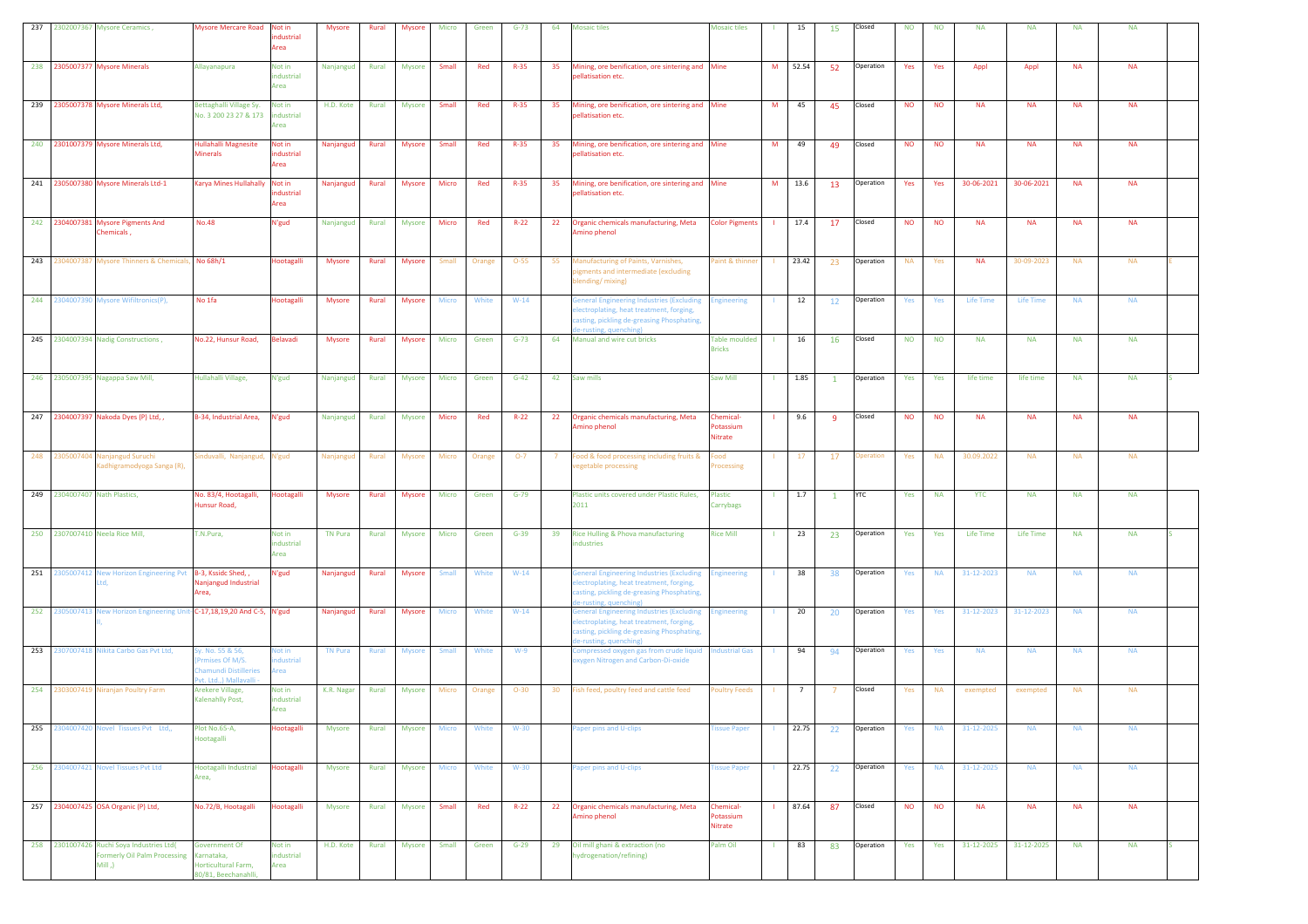|     |            | 237 2302007367 Mysore Ceramics,                                                               | <b>Mysore Mercare Road</b>                                                           | Not in<br>dustrial<br>Area   | <b>Mysore</b>  | Rural | Mysore        | Micro        | Green  | $G-73$   | 64 | <b>Mosaic tiles</b>                                                                                                                                         | <b>Mosaic tiles</b>                   |              | 15    | 15           | Closed    | <b>NO</b> | <b>NO</b> | <b>NA</b>        | <b>NA</b>        | <b>NA</b> | <b>NA</b> |  |
|-----|------------|-----------------------------------------------------------------------------------------------|--------------------------------------------------------------------------------------|------------------------------|----------------|-------|---------------|--------------|--------|----------|----|-------------------------------------------------------------------------------------------------------------------------------------------------------------|---------------------------------------|--------------|-------|--------------|-----------|-----------|-----------|------------------|------------------|-----------|-----------|--|
|     |            | 238 2305007377 Mysore Minerals                                                                | Allayanapura                                                                         | Not in<br>industrial<br>Area | Nanjangud      | Rural | <b>Mysore</b> | <b>Small</b> | Red    | $R - 35$ | 35 | Mining, ore benification, ore sintering and Mine<br>pellatisation etc.                                                                                      |                                       | M            | 52.54 | - 52         | Operation | Yes       | Yes       | Appl             | Appl             | <b>NA</b> | <b>NA</b> |  |
|     |            | 239 2305007378 Mysore Minerals Ltd,                                                           | Bettaghalli Village Sy.<br>No. 3 200 23 27 & 173                                     | Not in<br>ndustrial<br>Area  | H.D. Kote      | Rural | Mysore        | Small        | Red    | $R-35$   | 35 | Mining, ore benification, ore sintering and Mine<br>ellatisation etc.                                                                                       |                                       | M            | 45    | 45           | Closed    | <b>NO</b> | <b>NO</b> | <b>NA</b>        | <b>NA</b>        | <b>NA</b> | <b>NA</b> |  |
|     |            | 240 2301007379 Mysore Minerals Ltd,                                                           | Hullahalli Magnesite<br>Minerals                                                     | Not in<br>ndustrial<br>Area  | Nanjangud      | Rural | Mysore        | Small        | Red    | $R - 35$ | 35 | Mining, ore benification, ore sintering and Mine<br>bellatisation etc.                                                                                      |                                       | M            | 49    | 49           | Closed    | <b>NO</b> | <b>NO</b> | <b>NA</b>        | <b>NA</b>        | <b>NA</b> | <b>NA</b> |  |
|     |            | 241 2305007380 Mysore Minerals Ltd-1                                                          | Karya Mines Hullahally                                                               | Not in<br>ndustrial<br>Area  | Nanjangud      | Rural | <b>Mysore</b> | Micro        | Red    | $R - 35$ | 35 | Mining, ore benification, ore sintering and Mine<br>pellatisation etc.                                                                                      |                                       | M            | 13.6  | 13           | Operation | Yes       | Yes       | 30-06-2021       | 30-06-2021       | <b>NA</b> | <b>NA</b> |  |
|     |            | 242 2304007381 Mysore Pigments And<br>chemicals,                                              | <b>No.48</b>                                                                         | N'gud                        | Nanjangud      | Rural | Mysore        | Micro        | Red    | $R-22$   | 22 | Organic chemicals manufacturing, Meta<br>mino phenol                                                                                                        | <b>Color Pigments</b>                 | <b>COL</b>   | 17.4  | 17           | Closed    | <b>NO</b> | <b>NO</b> | <b>NA</b>        | <b>NA</b>        | <b>NA</b> | <b>NA</b> |  |
| 243 |            | 2304007387 Mysore Thinners & Chemicals, No 68h/1                                              |                                                                                      | Hootagalli                   | Mysore         | Rural | Mysore        | Small        | Orange | $O-55$   | 55 | Manufacturing of Paints, Varnishes,<br>igments and intermediate (excluding<br>blending/mixing)                                                              | aint & thinner                        |              | 23.42 | 23           | Operation | <b>NA</b> | Yes       | <b>NA</b>        | 30-09-2023       | <b>NA</b> | <b>NA</b> |  |
|     |            | 244 2304007390 Mysore Wifiltronics(P),                                                        | No 1fa                                                                               | Hootagalli                   | Mysore         | Rural | Mysore        | <b>Micro</b> | White  | $W-14$   |    | General Engineering Industries (Excluding<br>lectroplating, heat treatment, forging,<br>asting, pickling de-greasing Phosphating,<br>e-rusting, quenching)  | <b>Engineering</b>                    |              | 12    | 12           | Operation | Yes       | Yes       | <b>Life Time</b> | <b>Life Time</b> | <b>NA</b> | <b>NA</b> |  |
|     |            | 245 2304007394 Nadig Constructions,                                                           | No.22, Hunsur Road,                                                                  | <b>Belavadi</b>              | <b>Mysore</b>  | Rural | <b>Mysore</b> | Micro        | Green  | $G - 73$ | 64 | Manual and wire cut bricks                                                                                                                                  | <b>Table moulded</b><br><b>Bricks</b> | -11          | 16    | <b>16</b>    | Closed    | <b>NO</b> | <b>NO</b> | <b>NA</b>        | <b>NA</b>        | <b>NA</b> | <b>NA</b> |  |
|     |            | 246 2305007395 Nagappa Saw Mill,                                                              | Hullahalli Village,                                                                  | N'gud                        | Nanjangud      | Rural | <b>Mysore</b> | Micro        | Green  | $G-42$   | 42 | Saw mills                                                                                                                                                   | Saw Mill                              |              | 1.85  | $\mathbf{1}$ | Operation | Yes       | Yes       | life time        | life time        | <b>NA</b> | <b>NA</b> |  |
|     |            | 247 2304007397 Nakoda Dyes (P) Ltd, ,                                                         | B-34, Industrial Area,                                                               | N'gud                        | Nanjangud      | Rural | Mysore        | Micro        | Red    | $R-22$   | 22 | Organic chemicals manufacturing, Meta<br>mino phenol                                                                                                        | Chemical-<br>Potassium<br>Nitrate     |              | 9.6   | -9           | Closed    | <b>NO</b> | <b>NO</b> | <b>NA</b>        | <b>NA</b>        | <b>NA</b> | <b>NA</b> |  |
| 248 |            | 2305007404 Nanjangud Suruchi<br>Kadhigramodyoga Sanga (R),                                    | induvalli, Nanjangud, N'gud                                                          |                              | Nanjangud      | Rural | Mysore        | Micro        | Orange | $O-7$    |    | ood & food processing including fruits &<br>egetable processing                                                                                             | boo <sup>:</sup><br>Processing        |              | 17    | 17           | peration  | Yes       | <b>NA</b> | 30.09.2022       | <b>NA</b>        | <b>NA</b> | <b>NA</b> |  |
|     |            | 249 2304007407 Nath Plastics,                                                                 | No. 83/4, Hootagalli,<br>Hunsur Road,                                                | lootagalli                   | <b>Mysore</b>  | Rural | <b>Mysore</b> | Micro        | Green  | $G-79$   |    | Plastic units covered under Plastic Rules,<br>2011                                                                                                          | Plastic<br>Carrybags                  |              | 1.7   | $\mathbf{1}$ | YTC       | Yes       | <b>NA</b> | <b>YTC</b>       | <b>NA</b>        | <b>NA</b> | <b>NA</b> |  |
|     |            | 250 2307007410 Neela Rice Mill,                                                               | T.N.Pura,                                                                            | Not in<br>ndustrial<br>Area  | <b>TN Pura</b> | Rural | Mysore        | Micro        | Green  | $G-39$   | 39 | Rice Hulling & Phova manufacturing<br>ndustries                                                                                                             | <b>Rice Mill</b>                      |              | 23    | 23           | Operation | Yes       | Yes       | Life Time        | Life Time        | <b>NA</b> | <b>NA</b> |  |
|     |            | 251 2305007412 New Horizon Engineering Pvt B-3, Kssidc Shed, ,                                | Vanjangud Industrial<br>Area.                                                        | N'gud                        | Nanjangud      | Rural | Mysore        | Small        | White  | $W-14$   |    | General Engineering Industries (Excluding<br>lectroplating, heat treatment, forging,<br>casting, pickling de-greasing Phosphating,<br>e-rusting, quenching) | <b>Engineering</b>                    |              | 38    | 38           | Operation | Yes       | <b>NA</b> | 31-12-2023       | <b>NA</b>        | <b>NA</b> | <b>NA</b> |  |
|     |            | 252 2305007413 New Horizon Engineering Unit-C-17,18,19,20 And C-5, N'gud                      |                                                                                      |                              | Nanjangud      | Rural | <b>Mysore</b> | <b>Micro</b> | White  | $W-14$   |    | eneral Engineering Industries (Excluding<br>lectroplating, heat treatment, forging,<br>asting, pickling de-greasing Phosphating,<br>e-rusting, quenching)   | <b>Engineering</b>                    |              | 20    | 20           | Operation | Yes       | Yes       | 31-12-2023       | 31-12-2023       | <b>NA</b> | <b>NA</b> |  |
|     |            | 253 2307007418 Nikita Carbo Gas Pvt Ltd,                                                      | iy. No. 55 & 56,<br>mises Of M/S.<br>hamundi Distilleries<br>vt. Ltd.,) Mallavalli - | Not in<br>dustrial<br>Area   | <b>TN Pura</b> | Rural | <b>Mysore</b> | Small        | White  | $W-9$    |    | Compressed oxygen gas from crude liquid   Industrial Gas<br>xygen Nitrogen and Carbon-Di-oxide                                                              |                                       | -11          | 94    | 94           | Operation | Yes       | Yes       | <b>NA</b>        | <b>NA</b>        | <b>NA</b> | <b>NA</b> |  |
|     |            | 254 2303007419 Niranjan Poultry Farm                                                          | Arekere Village,<br>Kalenahlly Post,                                                 | Not in<br>industrial<br>Area | K.R. Nagar     | Rural | Mysore        | Micro        | Orange | $O-30$   | 30 | ish feed, poultry feed and cattle feed                                                                                                                      | oultry Feeds                          |              | 7     |              | Closed    | Yes       | <b>NA</b> | exempted         | exempted         | <b>NA</b> | <b>NA</b> |  |
| 255 | 2304007420 | Novel Tissues Pvt Ltd,,                                                                       | Plot No.65-A,<br><b>Hootagalli</b>                                                   | <b>lootagalli</b>            | Mysore         | Rural | <b>Mysore</b> | Micro        | White  | $W-30$   |    | aper pins and U-clips                                                                                                                                       | issue Paper                           |              | 22.75 | 22           | Operation | Yes       | <b>NA</b> | 31-12-2025       | <b>NA</b>        | <b>NA</b> | <b>NA</b> |  |
|     |            | 256 2304007421 Novel Tissues Pvt Ltd                                                          | Hootagalli Industrial<br>Area,                                                       | Hootagalli                   | Mysore         | Rural | <b>Mysore</b> | <b>Micro</b> | White  | $W-30$   |    | Paper pins and U-clips                                                                                                                                      | <b>Tissue Paper</b>                   | $\mathbf{L}$ | 22.75 | 22           | Operation | Yes       | <b>NA</b> | 31-12-2025       | <b>NA</b>        | <b>NA</b> | <b>NA</b> |  |
|     |            | 257 2304007425 OSA Organic (P) Ltd,                                                           | No.72/B, Hootagalli                                                                  | Hootagalli                   | Mysore         | Rural | <b>Mysore</b> | Small        | Red    | $R-22$   | 22 | Organic chemicals manufacturing, Meta<br>Amino phenol                                                                                                       | Chemical-<br>Potassium<br>Nitrate     |              | 87.64 | 87           | Closed    | <b>NO</b> | <b>NO</b> | <b>NA</b>        | <b>NA</b>        | <b>NA</b> | <b>NA</b> |  |
|     |            | 258 2301007426 Ruchi Soya Industries Ltd(<br><b>Formerly Oil Palm Processing</b><br>$Mill,$ ) | Government Of<br>Karnataka,<br>lorticultural Farm,<br>0/81. Beechanahlli.            | Not in<br>industrial<br>Area | H.D. Kote      | Rural | Mysore        | Small        | Green  | $G-29$   | 29 | Oil mill ghani & extraction (no<br>nydrogenation/refining)                                                                                                  | Palm Oil                              | -11          | 83    | 83           | Operation | Yes       | Yes       | 31-12-2025       | 31-12-2025       | <b>NA</b> | NA        |  |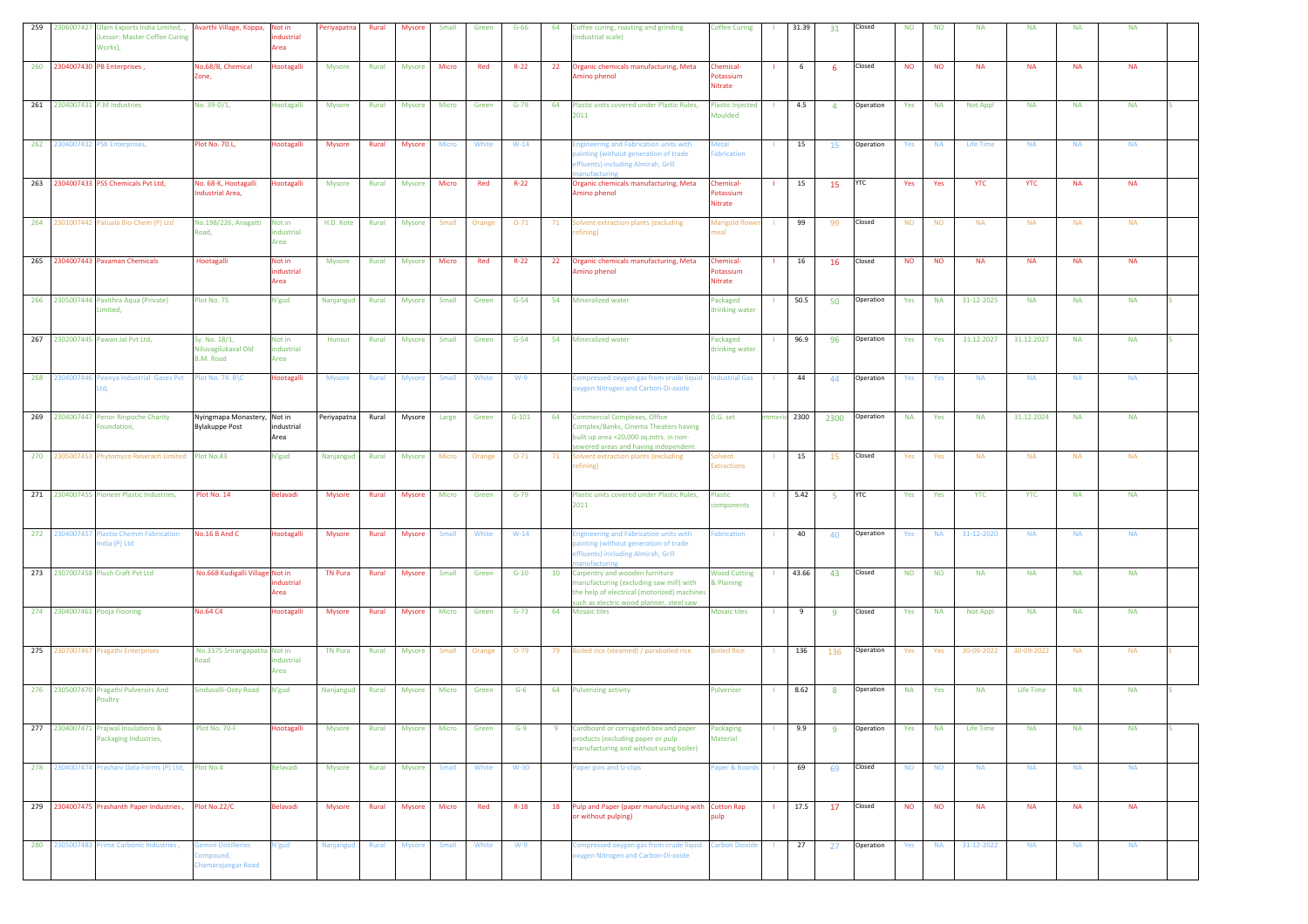| 259 | 2306007427 Olam Exports India Limited, , Avarthi Village, Koppa, Not in<br>Lessor: Master Coffee Curing<br>Works), |                                                      | ndustrial<br>Area            | Periyapatna    | Rural        | Mysore        | Small        | Green  | $G-66$   | 64 | Coffee curing, roasting and grinding<br>industrial scale)                                                                                                            | <b>Coffee Curing</b>                    |              | 31.39 | 31             | Closed     | <b>NO</b> | <b>NO</b> | <b>NA</b>       | <b>NA</b>  | <b>NA</b> | <b>NA</b> |  |
|-----|--------------------------------------------------------------------------------------------------------------------|------------------------------------------------------|------------------------------|----------------|--------------|---------------|--------------|--------|----------|----|----------------------------------------------------------------------------------------------------------------------------------------------------------------------|-----------------------------------------|--------------|-------|----------------|------------|-----------|-----------|-----------------|------------|-----------|-----------|--|
|     | 260 2304007430 PB Enterprises,                                                                                     | Vo.68/B, Chemical<br>Zone,                           | Hootagalli                   | <b>Mysore</b>  | Rural        | <b>Mysore</b> | Micro        | Red    | $R-22$   | 22 | Organic chemicals manufacturing, Meta<br>Amino phenol                                                                                                                | Chemical-<br>Potassium<br>Nitrate       |              | 6     | -6             | Closed     | <b>NO</b> | <b>NO</b> | <b>NA</b>       | <b>NA</b>  | <b>NA</b> | <b>NA</b> |  |
|     | 261 2304007431 P.M Industries                                                                                      | No. 39-D/1,                                          | Hootagalli                   | <b>Mysore</b>  | Rural        | Mysore        | Micro        | Green  | $G-79$   | 64 | Plastic units covered under Plastic Rules,<br>2011                                                                                                                   | <b>Plastic Injected</b><br>Moulded      | $\mathbf{1}$ | 4.5   | $\overline{4}$ | Operation  | Yes       | <b>NA</b> | Not Appl        | <b>NA</b>  | <b>NA</b> | <b>NA</b> |  |
| 262 | 2304007432 PSK Enterprises,                                                                                        | Plot No. 70.L,                                       | Hootagalli                   | Mysore         | Rural        | Mysore        | Micro        | White  | $W-14$   |    | <b>Engineering and Fabrication units with</b><br>ainting (without generation of trade<br>effluents) including Almirah, Grill<br>nanufacturing                        | <b>Aetal</b><br>abrication              |              | 15    | 15             | Operation  | Yes       | <b>NA</b> | Life Time       | <b>NA</b>  | <b>NA</b> | <b>NA</b> |  |
|     | 263 2304007433 PSS Chemicals Pvt Ltd,                                                                              | No. 68-K, Hootagalli<br>ndustrial Area.              | Hootagalli                   | <b>Mysore</b>  | Rural        | <b>Mysore</b> | Micro        | Red    | $R-22$   |    | Organic chemicals manufacturing, Meta<br>Amino phenol                                                                                                                | Chemical-<br>Potassium<br>Nitrate       |              | 15    | 15             | <b>YTC</b> | Yes       | Yes       | <b>YTC</b>      | <b>YTC</b> | <b>NA</b> | <b>NA</b> |  |
|     | 264 2301007442 Patuala Bio-Chem (P) Ltd                                                                            | No.198/226, Anagatti Not in<br>oad,                  | dustrial<br>Area             | H.D. Kote      | Rural        | Mysore        | Small        | Orange | $O-71$   | 71 | Solvent extraction plants (excluding<br>efining)                                                                                                                     | Marigold flowe<br>eal                   |              | 99    | - 99           | Closed     | <b>NO</b> | <b>NO</b> | <b>NA</b>       | <b>NA</b>  | <b>NA</b> | <b>NA</b> |  |
| 265 | 2304007443 Pavaman Chemicals                                                                                       | Hootagalli                                           | Not in<br>industrial<br>Area | Mysore         | Rural        | Mysore        | Micro        | Red    | $R - 22$ | 22 | Organic chemicals manufacturing, Meta<br>Amino phenol                                                                                                                | <b>Chemical-</b><br>otassium<br>Nitrate |              | 16    | 16             | Closed     | <b>NO</b> | <b>NO</b> | <b>NA</b>       | <b>NA</b>  | <b>NA</b> | <b>NA</b> |  |
|     | 266 2305007444 Pavithra Aqua (Private)<br>Limited,                                                                 | Plot No. 75                                          | N'gud                        | Nanjangud      | Rural        | <b>Mysore</b> | Small        | Green  | $G-54$   | 54 | <b>Mineralized water</b>                                                                                                                                             | Packaged<br>drinking water              |              | 50.5  | 50             | Operation  | Yes       | <b>NA</b> | 31-12-2025      | <b>NA</b>  | <b>NA</b> | <b>NA</b> |  |
|     | 267 2302007445 Pawan Jal Pvt Ltd,                                                                                  | iy. No. 18/1,<br>liluvagilukaval Old<br>B.M. Road    | Not in<br>industrial<br>Area | Hunsur         | Rural        | <b>Mysore</b> | Small        | Green  | $G-54$   | 54 | <b>Mineralized water</b>                                                                                                                                             | Packaged<br>drinking water              |              | 96.9  | 96             | Operation  | Yes       | Yes       | 31.12.2027      | 31.12.2027 | <b>NA</b> | <b>NA</b> |  |
| 268 | 2304007446 Peenya Industrial Gases Pvt                                                                             | lot No. 74. B\C                                      | Hootagalli                   | <b>Mysore</b>  | Rural        | Mysore        | Small        | White  | $W-9$    |    | Compressed oxygen gas from crude liquid<br>oxygen Nitrogen and Carbon-Di-oxide                                                                                       | ndustrial Gas                           |              | 44    | 44             | Operation  | Yes       | Yes       | <b>NA</b>       | <b>NA</b>  | <b>NA</b> | <b>NA</b> |  |
| 269 | 2304007447 Penor Rinpoche Charity<br>Foundation,                                                                   | Nyingmapa Monastery, Not in<br><b>Bylakuppe Post</b> | industrial<br>Area           | Periyapatna    | Rural        | Mysore        | Large        | Green  | $G-101$  | 64 | <b>Commercial Complexes, Office</b><br>Complex/Banks, Cinema Theaters having<br>built up area <20,000 sq.mtrs. in non-<br>sewered areas and having independent       | D.G. set                                | ımeri        | 2300  | 2300           | Operation  | <b>NA</b> | Yes       | <b>NA</b>       | 31.12.2024 | <b>NA</b> | <b>NA</b> |  |
|     | 270 2305007453 Phytomyco Reserach Limited Plot No.43                                                               |                                                      | N'gud                        | Nanjangud      | Rural        | Mysore        | Micro        | Orange | $O-71$   | 71 | Solvent extraction plants (excluding<br>efining)                                                                                                                     | olvent<br><b>xtractions</b>             |              | 15    | 15             | Closed     | Yes       | Yes       | <b>NA</b>       | <b>NA</b>  | <b>NA</b> | <b>NA</b> |  |
| 271 | 2304007455 Pioneer Plastic Industries,                                                                             | Plot No. 14                                          | Belavadi                     | <b>Mysore</b>  | Rural        | <b>Mysore</b> | Micro        | Green  | $G-79$   |    | Plastic units covered under Plastic Rules,<br>2011                                                                                                                   | Plastic<br>components                   |              | 5.42  | 5.             | <b>YTC</b> | Yes       | Yes       | <b>YTC</b>      | <b>YTC</b> | <b>NA</b> | <b>NA</b> |  |
|     | 272 2304007457 Plastio Chemm Fabrication<br>ndia (P) Ltd                                                           | No.16 B And C                                        | Hootagalli                   | Mysore         | Rural        | Mysore        | Small        | White  | $W-14$   |    | ingineering and Fabrication units with<br>ainting (without generation of trade<br>ffluents) including Almirah, Grill<br><b>anufacturing</b>                          | abrication                              |              | 40    | 40             | Operation  | Yes       | <b>NA</b> | 31-12-2020      | <b>NA</b>  | <b>NA</b> | <b>NA</b> |  |
|     | 273 2307007458 Plush Craft Pvt Ltd                                                                                 | No.668 Kudigalli Village Not in                      | ndustrial<br>Area            | <b>TN Pura</b> | Rural        | Mysore        | Small        | Green  | $G-10$   | 10 | Carpentry and wooden furniture<br>manufacturing (excluding saw mill) with<br>the help of electrical (motorized) machines<br>such as electric wood planner, steel saw | <b>Wood Cutting</b><br>& Plaining       |              | 43.66 | 43             | Closed     | <b>NO</b> | <b>NO</b> | <b>NA</b>       | <b>NA</b>  | <b>NA</b> | <b>NA</b> |  |
|     | 274 2304007461 Pooja Flooring                                                                                      | <b>No.64 C4</b>                                      | Hootagalli                   | <b>Mysore</b>  | Rural        | <b>Mysore</b> | Micro        | Green  | $G-73$   | 64 | <b>Mosaic tiles</b>                                                                                                                                                  | <b>Mosaic tiles</b>                     |              | 9     | -9             | Closed     | Yes       | <b>NA</b> | <b>Not Appl</b> | <b>NA</b>  | <b>NA</b> | <b>NA</b> |  |
|     | 275 2307007467 Pragathi Enterprises                                                                                | No.3375 Srirangapatna Not in<br>bso                  | dustrial<br>Area             | <b>TN Pura</b> | <b>Rural</b> | Mysore        | Small        | Orange | $O-79$   |    | 79 Boiled rice (steamed) / paraboiled rice                                                                                                                           | <b>Boiled Rice</b>                      |              | 136   | 136            | Operation  | Yes       | Yes       | 30-09-2022      | 30-09-2022 | <b>NA</b> | <b>NA</b> |  |
|     | 276 2305007470 Pragathi Pulversirs And<br>Poultry                                                                  | Sinduvalli-Ooty Road                                 | N'gud                        | Nanjangud      | Rural        | Mysore        | Micro        | Green  | $G-6$    | 64 | <b>Pulverizing activity</b>                                                                                                                                          | Pulverizer                              |              | 8.62  | 8              | Operation  | <b>NA</b> | Yes       | <b>NA</b>       | Life Time  | <b>NA</b> | <b>NA</b> |  |
| 277 | 2304007471 Praiwal Insulations &<br>Packaging Industries,                                                          | Plot No. 70-F                                        | <b>lootagalli</b>            | <b>Mysore</b>  | Rural        | Mysore        | Micro        | Green  | $G-9$    | -9 | Cardboard or corrugated box and paper<br>products (excluding paper or pulp<br>manufacturing and without using boiler)                                                | Packaging<br>Material                   |              | 9.9   | 9              | Operation  | Yes       | <b>NA</b> | Life Time       | <b>NA</b>  | <b>NA</b> | <b>NA</b> |  |
|     | 278 2304007474 Prashani Data Forms (P) Ltd,                                                                        | Plot No.4                                            | <b>Belavadi</b>              | Mysore         | Rural        | Mysore        | <b>Small</b> | White  | $W-30$   |    | Paper pins and U-clips                                                                                                                                               | Paper & Boards                          | $\mathbf{L}$ | 69    | 69             | Closed     | <b>NO</b> | <b>NO</b> | <b>NA</b>       | <b>NA</b>  | <b>NA</b> | <b>NA</b> |  |
|     | 279 2304007475 Prashanth Paper Industries,                                                                         | lot No.22/C                                          | Belavadi                     | <b>Mysore</b>  | Rural        | Mysore        | Micro        | Red    | $R-18$   | 18 | Pulp and Paper (paper manufacturing with Cotton Rap<br>or without pulping)                                                                                           | oulo                                    | -11          | 17.5  | 17             | Closed     | <b>NO</b> | <b>NO</b> | <b>NA</b>       | <b>NA</b>  | <b>NA</b> | <b>NA</b> |  |
| 280 | 2305007483 Prime Carbonic Industries,                                                                              | emini Distilleries<br>ompound,<br>hamarajangar Road  | N'gud                        | Nanjangud      | Rural        | <b>Mysore</b> | Small        | White  | $W-9$    |    | Compressed oxygen gas from crude liquid<br>xygen Nitrogen and Carbon-Di-oxide                                                                                        | <b>Carbon Dioxide</b>                   |              | 27    | 27             | Operation  | Yes       | <b>NA</b> | 31-12-2022      | <b>NA</b>  | <b>NA</b> | <b>NA</b> |  |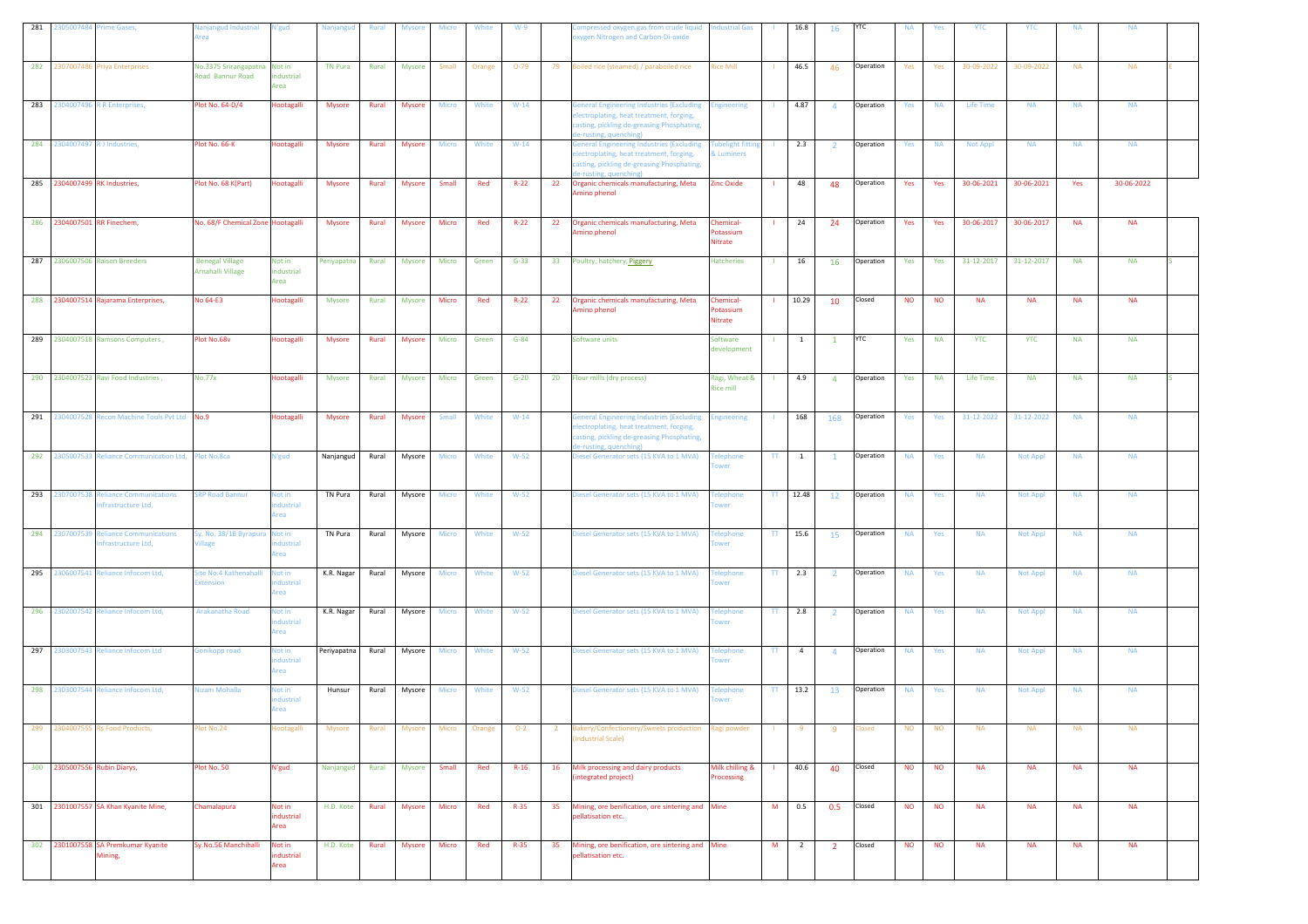| 281 |                                | 2305007484 Prime Gases,                                      | Vanjangud Industrial<br>rea                      | V'gud                            | Nanjangud      | Rural | <b>Mysore</b> | Micro        | White  | $W-9$    |                | ompressed oxygen gas from crude liquid lndustrial Gas<br>xygen Nitrogen and Carbon-Di-oxide                                                                       |                                          |              | 16.8           | 16             | YTC        | <b>NA</b> | Yes       | YTC             | <b>YTC</b>      | <b>NA</b> | <b>NA</b>  |  |
|-----|--------------------------------|--------------------------------------------------------------|--------------------------------------------------|----------------------------------|----------------|-------|---------------|--------------|--------|----------|----------------|-------------------------------------------------------------------------------------------------------------------------------------------------------------------|------------------------------------------|--------------|----------------|----------------|------------|-----------|-----------|-----------------|-----------------|-----------|------------|--|
| 282 | 2307007486                     | <b>Priya Enterprises</b>                                     | No.3375 Srirangapatna Not in<br>Road Bannur Road | ndustrial<br>Area                | <b>TN Pura</b> | Rural | <b>Mysore</b> | Small        | Orange | $O-79$   | 79             | Boiled rice (steamed) / paraboiled rice                                                                                                                           | Rice Mill                                |              | 46.5           | 46             | Operation  | Yes       | Yes       | 30-09-2022      | 30-09-2022      | <b>NA</b> | <b>NA</b>  |  |
|     |                                | 283 2304007496 R R Enterprises,                              | Plot No. 64-D/4                                  | Hootagalli                       | <b>Mysore</b>  | Rural | Mysore        | Micro        | White  | $W-14$   |                | eneral Engineering Industries (Excluding<br>lectroplating, heat treatment, forging,<br>asting, pickling de-greasing Phosphating,<br>e-rusting, quenching)         | <b>Engineering</b>                       |              | 4.87           | $\overline{4}$ | Operation  | Yes       | <b>NA</b> | Life Time       | <b>NA</b>       | <b>NA</b> | <b>NA</b>  |  |
|     | 284 2304007497 R J Industries, |                                                              | Plot No. 66-K                                    | Hootagalli                       | <b>Mysore</b>  | Rural | Mysore        | Micro        | White  | $W-14$   |                | <b>Seneral Engineering Industries (Excluding</b><br>lectroplating, heat treatment, forging,<br>asting, pickling de-greasing Phosphating,<br>e-rusting, quenching) | <b>Tubelight fitting</b><br>& Luminers   |              | 2.3            | $\overline{2}$ | Operation  | Yes       | <b>NA</b> | <b>Not Appl</b> | <b>NA</b>       | <b>NA</b> | <b>NA</b>  |  |
|     | 285 2304007499 RK Industries,  |                                                              | Plot No. 68 K(Part)                              | Hootagalli                       | <b>Mysore</b>  | Rural | <b>Mysore</b> | Small        | Red    | $R - 22$ | 22             | Organic chemicals manufacturing, Meta<br>mino phenol                                                                                                              | <b>Zinc Oxide</b>                        | - 11 -       | 48             | 48             | Operation  | Yes       | Yes       | 30-06-2021      | 30-06-2021      | Yes       | 30-06-2022 |  |
|     | 286 2304007501 RR Finechem,    |                                                              | No. 68/F Chemical Zone Hootagalli                |                                  | <b>Mysore</b>  | Rural | Mysore        | Micro        | Red    | $R-22$   | 22             | Organic chemicals manufacturing, Meta<br>mino phenol                                                                                                              | Chemical-<br>Potassium<br>Nitrate        |              | 24             | 24             | Operation  | Yes       | Yes       | 30-06-2017      | 30-06-2017      | <b>NA</b> | <b>NA</b>  |  |
|     |                                | 287 2306007506 Raison Breeders                               | <b>Benegal Village</b><br>Arnahalli Village      | Not in<br>industrial<br>Area     | Periyapatna    | Rural | Mysore        | Micro        | Green  | $G-33$   |                | 33 Poultry, hatchery, Piggery                                                                                                                                     | <b>Hatcheries</b>                        |              | 16             | 16             | Operation  | Yes       | Yes       | 31-12-2017      | 31-12-2017      | <b>NA</b> | <b>NA</b>  |  |
|     |                                | 288 2304007514 Rajarama Enterprises,                         | No 64-E3                                         | Hootagalli                       | Mysore         | Rural | <b>Mysore</b> | Micro        | Red    | $R-22$   | 22             | Organic chemicals manufacturing, Meta<br>mino phenol                                                                                                              | <b>Chemical-</b><br>Potassium<br>Nitrate |              | 10.29          | 10             | Closed     | <b>NO</b> | <b>NO</b> | <b>NA</b>       | <b>NA</b>       | <b>NA</b> | <b>NA</b>  |  |
|     |                                | 289 2304007518 Ramsons Computers,                            | Plot No.68v                                      | Hootagalli                       | <b>Mysore</b>  | Rural | <b>Mysore</b> | <b>Micro</b> | Green  | $G-84$   |                | Software units                                                                                                                                                    | Software<br>development                  |              | $\mathbf{1}$   | $\mathbf{1}$   | <b>YTC</b> | Yes       | <b>NA</b> | <b>YTC</b>      | <b>YTC</b>      | <b>NA</b> | <b>NA</b>  |  |
|     |                                | 290 2304007523 Ravi Food Industries,                         | <b>No.77x</b>                                    | Hootagalli                       | Mysore         | Rural | Mysore        | Micro        | Green  | $G-20$   | 20             | Flour mills (dry process)                                                                                                                                         | Ragi, Wheat &<br><b>Rice mill</b>        |              | 4.9            | 4              | Operation  | Yes       | <b>NA</b> | Life Time       | <b>NA</b>       | <b>NA</b> | <b>NA</b>  |  |
|     |                                | 291 2304007528 Recon Machine Tools Pvt Ltd No.9              |                                                  | <b>lootagalli</b>                | <b>Mysore</b>  | Rural | Mysore        | Small        | White  | $W-14$   |                | eneral Engineering Industries (Excluding<br>lectroplating, heat treatment, forging,<br>asting, pickling de-greasing Phosphating,<br>e-rusting, quenching)         | <b>Engineering</b>                       |              | 168            | 168            | Operation  | Yes       | Yes       | 31-12-2022      | 31-12-2022      | <b>NA</b> | <b>NA</b>  |  |
|     |                                | 292 2305007533 Reliance Communication Ltd, Plot No.8ca       |                                                  | <b>d'gud</b>                     | Nanjangud      | Rural | Mysore        | Micro        | White  | $W-52$   |                | liesel Generator sets (15 KVA to 1 MVA)                                                                                                                           | <b>Telephone</b><br>wer                  | $\Pi$        | $\overline{1}$ | $\mathbf{1}$   | Operation  | <b>NA</b> | Yes       | <b>NA</b>       | <b>Not Appl</b> | <b>NA</b> | <b>NA</b>  |  |
|     |                                | 293 2307007538 Reliance Communications<br>nfrastructure Ltd, | <b>SRP Road Bannur</b>                           | lot in<br>dustrial<br>Area       | TN Pura        | Rural | Mysore        | <b>Micro</b> | White  | $W-52$   |                | Diesel Generator sets (15 KVA to 1 MVA)                                                                                                                           | <b>Telephone</b><br>wer                  | TT.          | 12.48          | 12             | Operation  | <b>NA</b> | Yes       | <b>NA</b>       | <b>Not Appl</b> | <b>NA</b> | <b>NA</b>  |  |
|     | 294 2307007539                 | <b>Reliance Communications</b><br>nfrastructure Ltd,         | iy. No. 38/1B Byrapura<br>illage                 | Not in<br>dustrial<br>rea        | TN Pura        | Rural | Mysore        | Micro        | White  | $W-52$   |                | Diesel Generator sets (15 KVA to 1 MVA)                                                                                                                           | elephone <sup>-</sup><br>wer             | $\Pi$        | 15.6           | 15             | Operation  | <b>NA</b> | Yes       | <b>NA</b>       | <b>Not Appl</b> | <b>NA</b> | <b>NA</b>  |  |
|     |                                | 295 2306007541 Reliance Infocom Ltd,                         | Site No.4 Kathenahalli<br><b>Extension</b>       | <b>Not in</b><br>dustrial<br>rea | K.R. Nagar     | Rural | Mysore        | <b>Micro</b> | White  | $W-52$   |                | Diesel Generator sets (15 KVA to 1 MVA)                                                                                                                           | <b>Telephone</b>                         |              | $TT$ 2.3       | $\overline{2}$ | Operation  | <b>NA</b> | Yes       | <b>NA</b>       | <b>Not Appl</b> | <b>NA</b> | <b>NA</b>  |  |
|     |                                | 296 2302007542 Reliance Infocom Ltd,                         | Arakanatha Road                                  | Not in<br>ndustrial<br>Area      | K.R. Nagar     | Rural | Mysore        | <b>Micro</b> | White  | $W-52$   |                | Diesel Generator sets (15 KVA to 1 MVA)                                                                                                                           | <b>Telephone</b><br>wer                  |              | $TT$ 2.8       | $\overline{2}$ | Operation  | <b>NA</b> | Yes       | <b>NA</b>       | <b>Not Appl</b> | <b>NA</b> | <b>NA</b>  |  |
|     |                                | 297 2303007543 Reliance Infocom Ltd                          | ionikopp road                                    | Not in<br>dustrial<br>rea        | Periyapatna    | Rural | Mysore        | Micro        | White  | $W-52$   |                | Diesel Generator sets (15 KVA to 1 MVA)                                                                                                                           | <b>Telephone</b><br>wer                  |              | $TT$ 4         | $\overline{4}$ | Operation  | <b>NA</b> | Yes       | <b>NA</b>       | Not Appl        | <b>NA</b> | <b>NA</b>  |  |
|     |                                | 298 2303007544 Reliance Infocom Ltd,                         | <b>Vizam Mohalla</b>                             | lot in<br>dustrial<br>krea       | Hunsur         | Rural | Mysore        | <b>Micro</b> | White  | $W-52$   |                | Diesel Generator sets (15 KVA to 1 MVA)                                                                                                                           | <b>Telephone</b><br>wer                  | TT.          | 13.2           | 13             | Operation  | <b>NA</b> | Yes       | <b>NA</b>       | Not Appl        | <b>NA</b> | <b>NA</b>  |  |
|     |                                | 299 2304007555 Rs Food Products,                             | lot No.24                                        | lootagalli                       | <b>Mysore</b>  | Rural | <b>Mysore</b> | Micro        | Orange | $O-2$    | $\overline{2}$ | akery/Confectionery/Sweets production<br>Industrial Scale)                                                                                                        | Ragi powder                              |              | -9             | $\overline{9}$ | losed      | <b>NO</b> | <b>NO</b> | <b>NA</b>       | <b>NA</b>       | <b>NA</b> | <b>NA</b>  |  |
|     | 300 2305007556 Rubin Diarys,   |                                                              | Plot No. 50                                      | N'gud                            | Nanjangud      | Rural | Mysore        | Small        | Red    | $R-16$   | 16             | Milk processing and dairy products<br>integrated project)                                                                                                         | Milk chilling &<br>Processing            | $\mathbf{L}$ | 40.6           | 40             | Closed     | <b>NO</b> | <b>NO</b> | <b>NA</b>       | <b>NA</b>       | <b>NA</b> | <b>NA</b>  |  |
|     |                                | 301 2301007557 SA Khan Kyanite Mine,                         | Chamalapura                                      | Not in<br>industrial<br>Area     | H.D. Kote      | Rural | Mysore        | Micro        | Red    | $R-35$   | 35             | Mining, ore benification, ore sintering and Mine<br>pellatisation etc.                                                                                            |                                          | M            | 0.5            | 0.5            | Closed     | <b>NO</b> | <b>NO</b> | <b>NA</b>       | <b>NA</b>       | <b>NA</b> | <b>NA</b>  |  |
|     |                                | 302 2301007558 SA Premkumar Kyanite<br>Mining,               | Sy.No.56 Manchihalli                             | Not in<br>ndustrial<br>Area      | H.D. Kote      | Rural | Mysore        | Micro        | Red    | $R - 35$ | 35             | Mining, ore benification, ore sintering and Mine<br>pellatisation etc.                                                                                            |                                          | M            | $\overline{2}$ | $\overline{2}$ | Closed     | <b>NO</b> | <b>NO</b> | <b>NA</b>       | <b>NA</b>       | <b>NA</b> | <b>NA</b>  |  |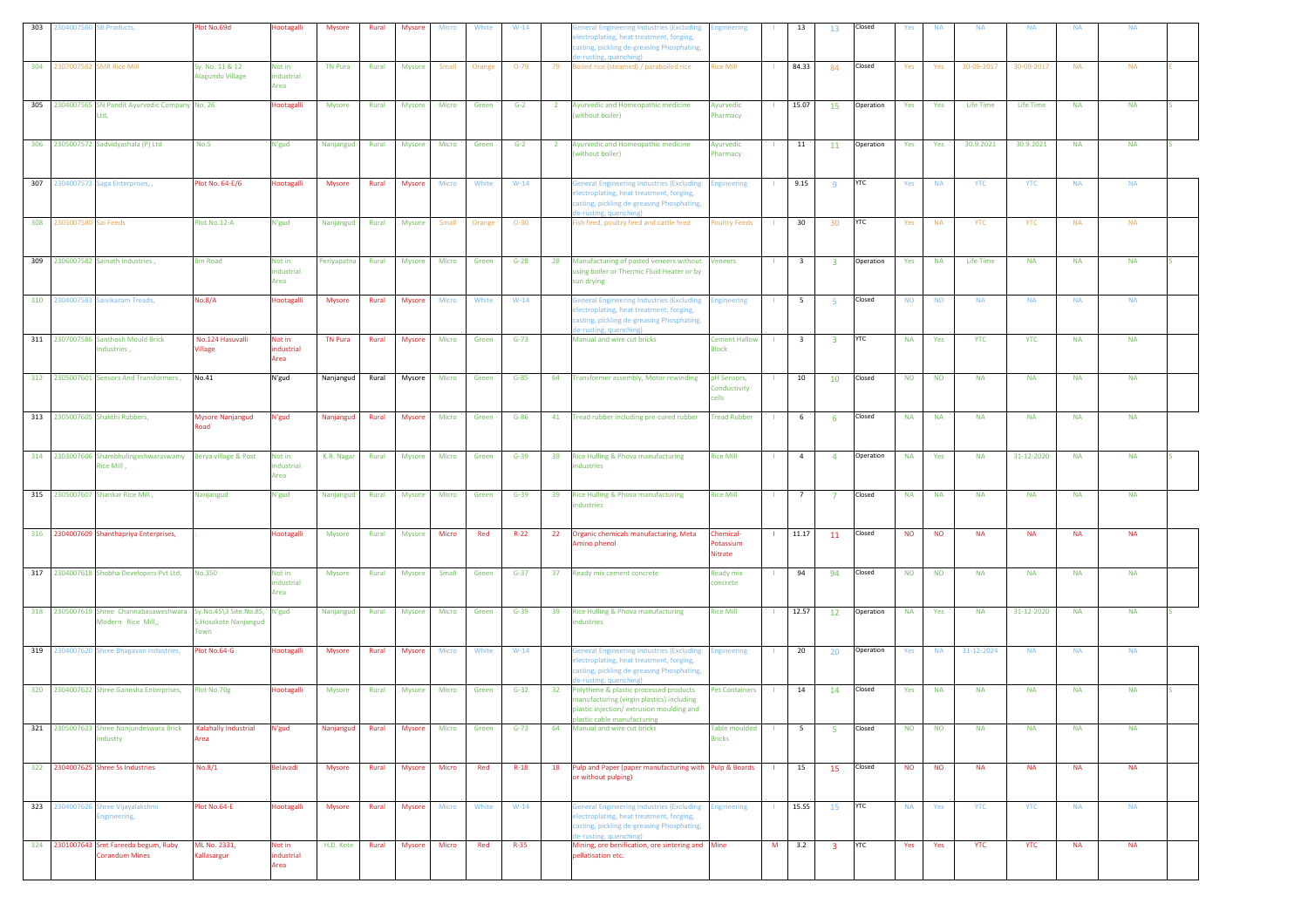| 303 | 2304007560 SB Products,  |                                                                                            | Plot No.69d                            | Hootagalli                   | Mysore         | Rural | Mysore        | Micro        | White  | $W-14$   |                 | eneral Engineering Industries (Excluding<br>lectroplating, heat treatment, forging,<br>asting, pickling de-greasing Phosphating,<br>e-rusting, quenching)                | <b>Engineering</b>                    |                | 13                      | 13                      | Closed     | Yes       | <b>NA</b> | <b>NA</b>  | <b>NA</b>  | <b>NA</b> | <b>NA</b> |  |
|-----|--------------------------|--------------------------------------------------------------------------------------------|----------------------------------------|------------------------------|----------------|-------|---------------|--------------|--------|----------|-----------------|--------------------------------------------------------------------------------------------------------------------------------------------------------------------------|---------------------------------------|----------------|-------------------------|-------------------------|------------|-----------|-----------|------------|------------|-----------|-----------|--|
|     |                          | 304 2307007562 SMR Rice Mill                                                               | Sy. No. 11 & 12<br>Alagundu Village    | Not in<br>industrial<br>Area | <b>TN Pura</b> | Rural | <b>Mysore</b> | Small        | Orange | $O-79$   | 79              | Boiled rice (steamed) / paraboiled rice                                                                                                                                  | <b>Rice Mill</b>                      |                | 84.33                   | 84                      | Closed     | Yes       | Yes       | 30-09-2017 | 30-09-2017 | <b>NA</b> | <b>NA</b> |  |
|     |                          | 305 2304007565 SN Pandit Ayurvedic Company No. 26<br>Ltd.                                  |                                        | Hootagalli                   | <b>Mysore</b>  | Rural | <b>Mysore</b> | Micro        | Green  | $G-2$    | $\overline{2}$  | Ayurvedic and Homeopathic medicine<br>without boiler)                                                                                                                    | Ayurvedic<br>Pharmacy                 | $\mathbf{L}$   | 15.07                   | 15                      | Operation  | Yes       | Yes       | Life Time  | Life Time  | <b>NA</b> | <b>NA</b> |  |
|     |                          | 306 2305007572 Sadvidyashala (P) Ltd                                                       | <b>No.5</b>                            | N'gud                        | Nanjangud      | Rural | Mysore        | <b>Micro</b> | Green  | $G-2$    | $\overline{2}$  | Ayurvedic and Homeopathic medicine<br>(without boiler)                                                                                                                   | Ayurvedic<br>Pharmacy                 | $\mathbf{L}$   | 11                      | 11                      | Operation  | Yes       | Yes       | 30.9.2021  | 30.9.2021  | <b>NA</b> | <b>NA</b> |  |
|     |                          | 307 2304007573 Saga Enterprises,                                                           | Plot No. 64-E/6                        | Hootagalli                   | <b>Mysore</b>  | Rural | <b>Mysore</b> | <b>Micro</b> | White  | $W-14$   |                 | <b>Seneral Engineering Industries (Excluding</b><br>lectroplating, heat treatment, forging,<br>asting, pickling de-greasing Phosphating,<br>e-rusting, quenching)        | <b>Engineering</b>                    |                | 9.15                    | 9                       | YTC        | Yes       | <b>NA</b> | <b>YTC</b> | <b>YTC</b> | <b>NA</b> | <b>NA</b> |  |
|     | 308 2305007580 Sai Feeds |                                                                                            | Plot.No.12-A                           | N'gud                        | Nanjangud      | Rural | Mysore        | Small        | Orange | $O-30$   |                 | ish feed, poultry feed and cattle feed                                                                                                                                   | <b>Poultry Feeds</b>                  |                | 30                      | 30 <sup>°</sup>         | <b>YTC</b> | Yes       | <b>NA</b> | <b>YTC</b> | <b>YTC</b> | <b>NA</b> | <b>NA</b> |  |
|     |                          | 309 2306007582 Sainath Industries,                                                         | <b>Bm Road</b>                         | Not in<br>industrial<br>Area | Periyapatna    | Rural | Mysore        | Micro        | Green  | $G-28$   | 28              | Manufacturing of pasted veneers without<br>using boiler or Thermic Fluid Heater or by<br>sun drying                                                                      | <b>Veneers</b>                        |                | $\overline{\mathbf{3}}$ | $\overline{\mathbf{3}}$ | Operation  | Yes       | <b>NA</b> | Life Time  | <b>NA</b>  | <b>NA</b> | <b>NA</b> |  |
|     |                          | 310 2304007583 Saivikaram Treads,                                                          | <b>No.8/A</b>                          | Hootagalli                   | Mysore         | Rural | Mysore        | <b>Micro</b> | White  | $W-14$   |                 | General Engineering Industries (Excluding<br>lectroplating, heat treatment, forging,<br>asting, pickling de-greasing Phosphating,<br>e-rusting, quenching)               | <b>Engineering</b>                    |                | 5                       | -5                      | Closed     | <b>NO</b> | <b>NO</b> | <b>NA</b>  | <b>NA</b>  | <b>NA</b> | <b>NA</b> |  |
|     |                          | 311 2307007586 Santhosh Mould Brick<br>Industries,                                         | No.124 Hasuvalli<br>Village            | Not in<br>industrial<br>Area | <b>TN Pura</b> | Rural | <b>Mysore</b> | Micro        | Green  | $G - 73$ |                 | Manual and wire cut bricks                                                                                                                                               | <b>Cement Hallow</b><br><b>Block</b>  | $\mathbf{L}$   | $\overline{\mathbf{3}}$ | $\overline{\mathbf{3}}$ | YTC        | <b>NA</b> | Yes       | <b>YTC</b> | <b>YTC</b> | <b>NA</b> | <b>NA</b> |  |
|     |                          | 312 2305007601 Sensors And Transformers,                                                   | No.41                                  | N'gud                        | Nanjangud      | Rural | Mysore        | Micro        | Green  | $G-85$   | 64              | Transformer assembly, Motor rewinding                                                                                                                                    | pH Sensors,<br>Conductivity<br>cells  | $\mathbf{1}$   | 10                      | 10                      | Closed     | <b>NO</b> | <b>NO</b> | <b>NA</b>  | <b>NA</b>  | <b>NA</b> | <b>NA</b> |  |
|     |                          | 313 2305007605 Shakthi Rubbers,                                                            | <b>Mysore Nanjangud</b><br><b>load</b> | N'gud                        | Nanjangud      | Rural | Mysore        | Micro        | Green  | $G-86$   | 41              | Tread rubber including pre-cured rubber                                                                                                                                  | <b>Tread Rubber</b>                   |                | 6                       | -6                      | Closed     | <b>NA</b> | <b>NA</b> | <b>NA</b>  | <b>NA</b>  | $\sf NA$  | <b>NA</b> |  |
|     |                          | 314 2303007606 Shambhulingeshwaraswamy Berya village & Post<br>Rice Mill,                  |                                        | Not in<br>industrial<br>Area | K.R. Nagar     | Rural | Mysore        | Micro        | Green  | $G-39$   | 39              | Rice Hulling & Phova manufacturing<br>ndustries                                                                                                                          | <b>Rice Mill</b>                      |                | $\overline{4}$          | $\overline{4}$          | Operation  | <b>NA</b> | Yes       | <b>NA</b>  | 31-12-2020 | <b>NA</b> | <b>NA</b> |  |
|     |                          | 315 2305007607 Shankar Rice Mill,                                                          | Nanjangud                              | N'gud                        | Nanjangud      | Rural | <b>Mysore</b> | Micro        | Green  | $G-39$   | 39              | Rice Hulling & Phova manufacturing<br>ndustries                                                                                                                          | <b>Rice Mill</b>                      |                | 7                       | $\overline{7}$          | Closed     | <b>NA</b> | <b>NA</b> | <b>NA</b>  | <b>NA</b>  | <b>NA</b> | <b>NA</b> |  |
|     |                          | 316 2304007609 Shanthapriya Enterprises,                                                   |                                        | Hootagalli                   | Mysore         | Rural | Mysore        | Micro        | Red    | $R-22$   | 22              | Organic chemicals manufacturing, Meta<br>mino phenol                                                                                                                     | Chemical-<br>Potassium<br>Nitrate     | $\mathbf{L}$   | 11.17                   | 11                      | Closed     | <b>NO</b> | <b>NO</b> | <b>NA</b>  | <b>NA</b>  | <b>NA</b> | <b>NA</b> |  |
|     |                          | 317 2304007618 Shobha Developers Pvt Ltd,                                                  | <b>No.350</b>                          | Not in<br>industrial<br>Area | Mysore         | Rural | Mysore        | Small        | Green  | $G-37$   | 37 <sub>2</sub> | Ready mix cement concrete                                                                                                                                                | <b>Ready mix</b><br>concrete          |                | 94                      | 94                      | Closed     | <b>NO</b> | <b>NO</b> | <b>NA</b>  | <b>NA</b>  | <b>NA</b> | <b>NA</b> |  |
|     |                          | 318 2305007619 Shree Channabasaweshwara Sy.No.45\3 Site.No.85, N'gud<br>Modern Rice Mill,, | S.Hosakote Nanjangud<br><b>Town</b>    |                              | Nanjangud      | Rural | <b>Mysore</b> | Micro        | Green  | $G-39$   | 39              | Rice Hulling & Phova manufacturing<br>ndustries                                                                                                                          | <b>Rice Mill</b>                      | $\mathbf{L}$   | 12.57                   | 12                      | Operation  | <b>NA</b> | Yes       | <b>NA</b>  | 31-12-2020 | <b>NA</b> | <b>NA</b> |  |
|     |                          | 319 2304007620 Shree Bhagavan Industries,                                                  | Plot No.64-G                           | Hootagalli                   | Mysore         | Rural | Mysore        | <b>Micro</b> | White  | $W-14$   |                 | <b>General Engineering Industries (Excluding</b><br>lectroplating, heat treatment, forging,<br>asting, pickling de-greasing Phosphating,<br>e-rusting, quenching)        | <b>Engineering</b>                    | -11            | 20                      | 20                      | Operation  | Yes       | <b>NA</b> | 31-12-2024 | <b>NA</b>  | <b>NA</b> | <b>NA</b> |  |
|     |                          | 320 2304007622 Shree Ganesha Enterprises,                                                  | Plot No.70g                            | Hootagalli                   | Mysore         | Rural | Mysore        | Micro        | Green  | $G-32$   | 32              | Polythene & plastic processed products<br>manufacturing (virgin plastics) including<br>plastic injection/extrusion moulding and<br>plastic cable manufacturing           | <b>Pet Containers</b>                 | -11            | 14                      | 14                      | Closed     | Yes       | <b>NA</b> | <b>NA</b>  | <b>NA</b>  | <b>NA</b> | <b>NA</b> |  |
|     |                          | 321 2305007623 Shree Nanjundeswara Brick<br>Industry                                       | Kalahally Industrial<br>Area           | N'gud                        | Nanjangud      | Rural | <b>Mysore</b> | Micro        | Green  | $G-73$   | 64              | Manual and wire cut bricks                                                                                                                                               | <b>Table moulded</b><br><b>Bricks</b> |                | $5\overline{5}$         | -5                      | Closed     | <b>NO</b> | <b>NO</b> | <b>NA</b>  | <b>NA</b>  | <b>NA</b> | <b>NA</b> |  |
|     |                          | 322 2304007625 Shree Ss Industries                                                         | No.8/1                                 | Belavadi                     | <b>Mysore</b>  | Rural | Mysore        | <b>Micro</b> | Red    | $R-18$   |                 | 18 Pulp and Paper (paper manufacturing with Pulp & Boards<br>or without pulping)                                                                                         |                                       | $\blacksquare$ | 15                      | 15                      | Closed     | <b>NO</b> | <b>NO</b> | <b>NA</b>  | <b>NA</b>  | <b>NA</b> | <b>NA</b> |  |
|     |                          | 323 2304007626 Shree Vijayalakshmi<br>Engineering,                                         | Plot No.64-E                           | Hootagalli                   | <b>Mysore</b>  | Rural | Mysore        | <b>Micro</b> | White  | $W-14$   |                 | General Engineering Industries (Excluding Engineering<br>electroplating, heat treatment, forging,<br>casting, pickling de-greasing Phosphating,<br>e-rusting, quenching) |                                       | -11            | 15.55                   | 15                      | <b>YTC</b> | <b>NA</b> | Yes       | <b>YTC</b> | <b>YTC</b> | <b>NA</b> | <b>NA</b> |  |
|     |                          | 324 2301007643 Smt Fareeda begum, Ruby<br><b>Corandum Mines</b>                            | ML No. 2331,<br>Kallasargur            | Not in<br>industrial<br>Area | H.D. Kote      | Rural | Mysore        | Micro        | Red    | $R-35$   |                 | Mining, ore benification, ore sintering and Mine<br>pellatisation etc.                                                                                                   |                                       | M              | 3.2                     | $\overline{\mathbf{3}}$ | <b>YTC</b> | Yes       | Yes       | <b>YTC</b> | <b>YTC</b> | <b>NA</b> | <b>NA</b> |  |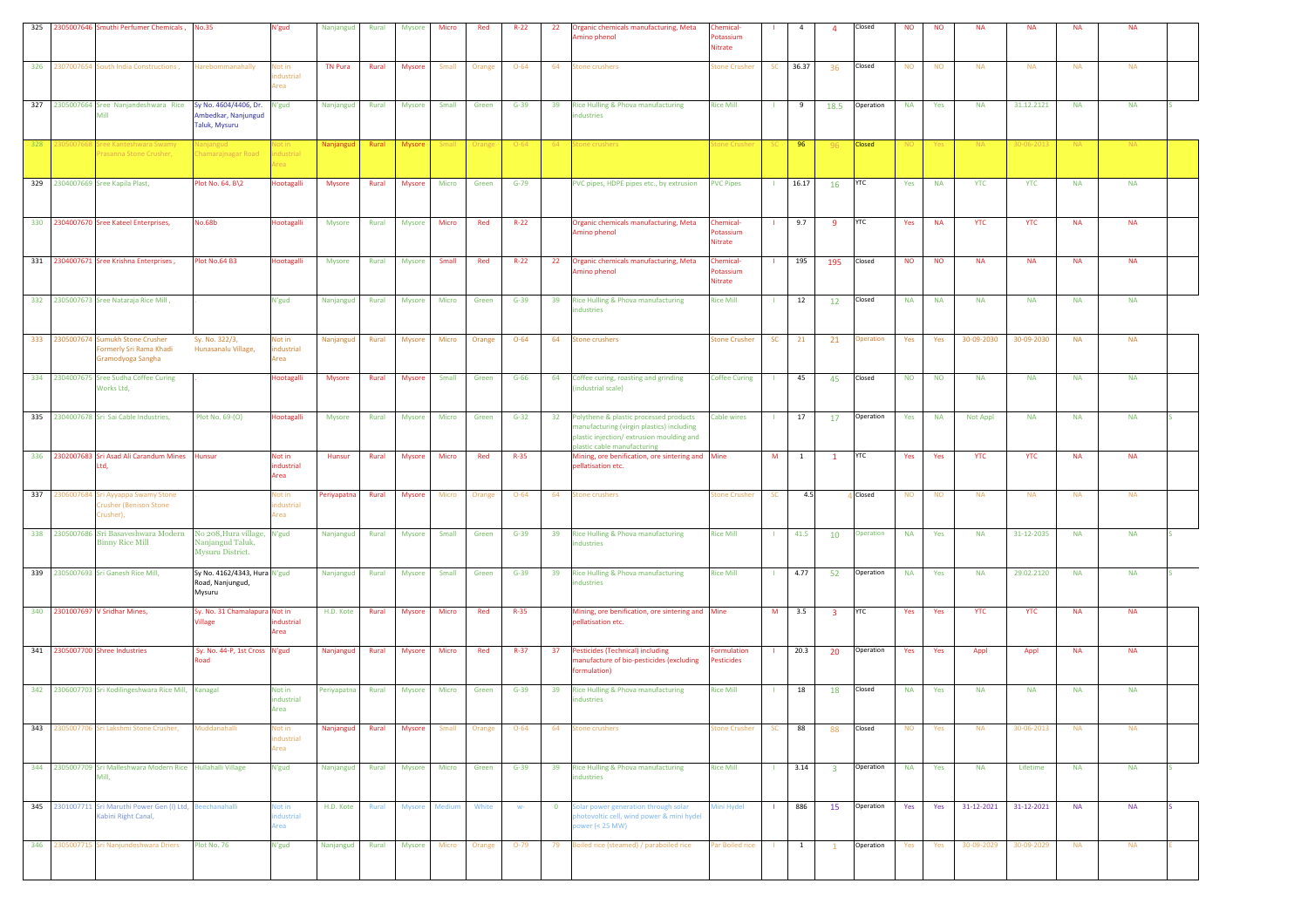| 325 |               | 2305007646 Smuthi Perfumer Chemicals,                                                        | <b>No.35</b>                                                        | N'gud                            | Nanjangud       | Rural | <b>Mysore</b> | Micro        | Red    | $R-22$   | 22           | Organic chemicals manufacturing, Meta<br>mino phenol                                                                                                           | hemical-<br>otassium<br>Nitrate         |              | $\overline{4}$ | $\overline{a}$          | Closed        | <b>NO</b> | <b>NO</b> | <b>NA</b>  | <b>NA</b>  | <b>NA</b> | <b>NA</b> |  |
|-----|---------------|----------------------------------------------------------------------------------------------|---------------------------------------------------------------------|----------------------------------|-----------------|-------|---------------|--------------|--------|----------|--------------|----------------------------------------------------------------------------------------------------------------------------------------------------------------|-----------------------------------------|--------------|----------------|-------------------------|---------------|-----------|-----------|------------|------------|-----------|-----------|--|
|     |               | 326 2307007654 South India Constructions,                                                    | Harebommanahally                                                    | <b>Not in</b><br>dustrial<br>rea | <b>TN Pura</b>  | Rural | <b>Mysore</b> | Small        | Orange | $O - 64$ | 64           | <b>Stone crushers</b>                                                                                                                                          | tone Crusher                            | <b>SC</b>    | 36.37          | 36                      | Closed        | <b>NO</b> | <b>NO</b> | <b>NA</b>  | <b>NA</b>  | <b>NA</b> | <b>NA</b> |  |
|     |               | 327 2305007664 Sree Nanjandeshwara Rice<br>Mill                                              | Sy No. 4604/4406, Dr. N'gud<br>Ambedkar, Nanjungud<br>Taluk, Mysuru |                                  | Nanjangud       | Rural | Mysore        | Small        | Green  | $G-39$   | 39           | Rice Hulling & Phova manufacturing<br>ndustries                                                                                                                | <b>Rice Mill</b>                        |              | 9              | 18.5                    | Operation     | <b>NA</b> | Yes       | <b>NA</b>  | 31.12.2121 | <b>NA</b> | <b>NA</b> |  |
| 328 | 30500766      | Sree Kanteshwara Swamy<br>Prasanna Stone Crusher,                                            | lanjangud<br>hamarainagar Roa                                       | Vot in<br>industrial<br>rea      | Nanjangud       | Rural | Mysore        | <b>Small</b> | Orange | $O - 64$ | 64           | tone crushers                                                                                                                                                  | one Crushe                              |              | 96             | 96                      | <b>Closed</b> | NO        | Yes       | NA.        | 30-06-2013 | NA.       | <b>NA</b> |  |
|     |               | 329 2304007669 Sree Kapila Plast,                                                            | Plot No. 64. B\2                                                    | Hootagalli                       | Mysore          | Rural | Mysore        | Micro        | Green  | $G-79$   |              | PVC pipes, HDPE pipes etc., by extrusion                                                                                                                       | <b>PVC Pipes</b>                        | $\mathbf{L}$ | 16.17          | 16                      | <b>YTC</b>    | Yes       | <b>NA</b> | <b>YTC</b> | <b>YTC</b> | <b>NA</b> | <b>NA</b> |  |
|     |               | 330 2304007670 Sree Kateel Enterprises,                                                      | <b>No.68b</b>                                                       | Hootagalli                       | Mysore          | Rural | Mysore        | Micro        | Red    | $R - 22$ |              | Organic chemicals manufacturing, Meta<br>Amino phenol                                                                                                          | <b>Chemical-</b><br>otassium<br>Nitrate |              | 9.7            | -9                      | <b>YTC</b>    | Yes       | <b>NA</b> | <b>YTC</b> | <b>YTC</b> | <b>NA</b> | <b>NA</b> |  |
|     |               | 331 2304007671 Sree Krishna Enterprises,                                                     | Plot No.64 B3                                                       | Hootagalli                       | Mysore          | Rural | <b>Mysore</b> | Small        | Red    | $R - 22$ | 22           | Organic chemicals manufacturing, Meta<br>Amino phenol                                                                                                          | <b>Chemical-</b><br>otassium<br>Nitrate |              | 195            | 195                     | Closed        | <b>NO</b> | <b>NO</b> | <b>NA</b>  | <b>NA</b>  | <b>NA</b> | <b>NA</b> |  |
|     |               | 332 2305007673 Sree Nataraja Rice Mill,                                                      |                                                                     | N'gud                            | Nanjangud       | Rural | <b>Mysore</b> | <b>Micro</b> | Green  | $G-39$   | 39           | Rice Hulling & Phova manufacturing<br>ndustries                                                                                                                | <b>Rice Mill</b>                        | -11          | 12             | <b>12</b>               | <b>Closed</b> | <b>NA</b> | <b>NA</b> | <b>NA</b>  | <b>NA</b>  | <b>NA</b> | <b>NA</b> |  |
|     |               | 333 2305007674 Sumukh Stone Crusher<br>Formerly Sri Rama Khadi<br>Gramodyoga Sangha          | Sy. No. 322/3,<br>Hunasanalu Village,                               | Not in<br>industrial<br>Area     | Nanjangud       | Rural | <b>Mysore</b> | Micro        | Orange | $O - 64$ | 64           | <b>Stone crushers</b>                                                                                                                                          | <b>itone Crusher</b>                    | SC           | 21             | 21                      | Operation     | Yes       | Yes       | 30-09-2030 | 30-09-2030 | <b>NA</b> | <b>NA</b> |  |
|     |               | 334 2304007675 Sree Sudha Coffee Curing<br>Works Ltd,                                        |                                                                     | <b>Hootagalli</b>                | Mysore          | Rural | Mysore        | Small        | Green  | $G-66$   | 64           | Coffee curing, roasting and grinding<br>industrial scale)                                                                                                      | <b>Coffee Curing</b>                    |              | 45             | 45                      | Closed        | <b>NO</b> | <b>NO</b> | <b>NA</b>  | <b>NA</b>  | <b>NA</b> | <b>NA</b> |  |
|     |               | 335 2304007678 Sri Sai Cable Industries,                                                     | Plot No. 69-(0)                                                     | Hootagalli                       | Mysore          | Rural | Mysore        | Micro        | Green  | $G-32$   | 32           | Polythene & plastic processed products<br>manufacturing (virgin plastics) including<br>plastic injection/extrusion moulding and<br>plastic cable manufacturing | <b>Cable wires</b>                      |              | 17             | 17                      | Operation     | Yes       | <b>NA</b> | Not Appl   | <b>NA</b>  | <b>NA</b> | <b>NA</b> |  |
|     |               | 336 2302007683 Sri Asad Ali Carandum Mines Hunsur<br>Ltd.                                    |                                                                     | Not in<br>industrial<br>Area     | Hunsur          | Rural | <b>Mysore</b> | Micro        | Red    | $R-35$   |              | Mining, ore benification, ore sintering and Mine<br>pellatisation etc.                                                                                         |                                         | M            | $\mathbf{1}$   | $\mathbf{1}$            | <b>YTC</b>    | Yes       | Yes       | YTC        | <b>YTC</b> | <b>NA</b> | <b>NA</b> |  |
|     | 337 230600768 | Sri Ayyappa Swamy Stone<br>Crusher (Benison Stone<br>Crusher),                               |                                                                     | <b>Not in</b><br>dustrial<br>rea | Periyapatna     | Rural | Mysore        | Micro        | Orange | $O - 64$ | 64           | <b>Stone crushers</b>                                                                                                                                          | <b>itone Crusher</b>                    | <b>SC</b>    | 4.5            |                         | Closed        | <b>NO</b> | <b>NO</b> | <b>NA</b>  | <b>NA</b>  | <b>NA</b> | <b>NA</b> |  |
|     |               | 338 2305007686 Sri Basaveshwara Modern No 208, Hura village, N'gud<br><b>Binny Rice Mill</b> | Nanjangud Taluk,<br>Mysuru District.                                |                                  | Nanjangud       | Rural | <b>Mysore</b> | Small        | Green  | $G-39$   | 39           | Rice Hulling & Phova manufacturing<br>ndustries                                                                                                                | <b>Rice Mill</b>                        |              | 41.5           | 10                      | Operation     | <b>NA</b> | Yes       | <b>NA</b>  | 31-12-2035 | <b>NA</b> | <b>NA</b> |  |
|     |               | 339 2305007693 Sri Ganesh Rice Mill,                                                         | Sy No. 4162/4343, Hura N'gud<br>Road, Nanjungud,<br>Mysuru          |                                  | Nanjangud       | Rural | Mysore        | Small        | Green  | $G-39$   | 39           | Rice Hulling & Phova manufacturing<br>ndustries                                                                                                                | <b>Rice Mill</b>                        |              | 4.77           | 52                      | Operation     | <b>NA</b> | Yes       | <b>NA</b>  | 29.02.2120 | <b>NA</b> | <b>NA</b> |  |
|     |               | 340 2301007697 V Sridhar Mines,                                                              | Sy. No. 31 Chamalapura Not in<br><b>Village</b>                     | dustrial<br>Area                 | H.D. Kote       | Rural | Mysore        | Micro        | Red    | $R-35$   |              | Mining, ore benification, ore sintering and Mine<br>pellatisation etc.                                                                                         |                                         | M            | 3.5            | $\overline{\mathbf{3}}$ | <b>YTC</b>    | Yes       | Yes       | <b>YTC</b> | <b>YTC</b> | <b>NA</b> | <b>NA</b> |  |
|     |               | 341 2305007700 Shree Industries                                                              | Sy. No. 44-P, 1st Cross N'gud<br>Road                               |                                  | Nanjangud       | Rural | <b>Mysore</b> | Micro        | Red    | $R - 37$ | 37           | <b>Pesticides (Technical) including</b><br>manufacture of bio-pesticides (excluding<br>formulation)                                                            | ormulation<br>Pesticides                |              | 20.3           | 20                      | Operation     | Yes       | Yes       | Appl       | Appl       | <b>NA</b> | <b>NA</b> |  |
|     |               | 342 2306007703 Sri Kodilingeshwara Rice Mill, Kanagal                                        |                                                                     | Not in<br>industrial<br>Area     | Periyapatna     | Rural | <b>Mysore</b> | Micro        | Green  | $G-39$   | 39           | Rice Hulling & Phova manufacturing<br>industries                                                                                                               | <b>Rice Mill</b>                        |              | 18             | 18                      | Closed        | <b>NA</b> | Yes       | <b>NA</b>  | <b>NA</b>  | <b>NA</b> | <b>NA</b> |  |
| 343 |               | 2305007706 Sri Lakshmi Stone Crusher,                                                        | Muddanahalli                                                        | lot in<br>dustrial<br>Area       | Nanjangud       | Rural | <b>Mysore</b> | Small        | Orange | $O - 64$ | 64           | <b>Stone crushers</b>                                                                                                                                          | tone Crusher                            | SC           | 88             | 88                      | Closed        | <b>NO</b> | Yes       | <b>NA</b>  | 30-06-2013 | <b>NA</b> | <b>NA</b> |  |
|     |               | 344 2305007709 Sri Malleshwara Modern Rice Hullahalli Village<br>Mill.                       |                                                                     | N'gud                            | Nanjangud Rural |       | <b>Mysore</b> | Micro        | Green  | $G-39$   | 39           | Rice Hulling & Phova manufacturing<br>industries                                                                                                               | <b>Rice Mill</b>                        |              | 3.14           | $\overline{\mathbf{3}}$ | Operation     | <b>NA</b> | Yes       | <b>NA</b>  | Lifetime   | <b>NA</b> | <b>NA</b> |  |
|     |               | 345 2301007711 Sri Maruthi Power Gen (I) Ltd, Beechanahalli<br>Kabini Right Canal,           |                                                                     | Not in<br>dustrial<br>rea        | H.D. Kote       | Rural | <b>Mysore</b> | Medium       | White  | $W^-$    | $\mathbf{0}$ | Solar power generation through solar<br>photovoltic cell, wind power & mini hydel<br>ower (< $25$ MW)                                                          | Mini Hydel                              |              | 886            | 15                      | Operation     | Yes       | Yes       | 31-12-2021 | 31-12-2021 | <b>NA</b> | <b>NA</b> |  |
|     |               | 346 2305007715 Sri Nanjundeshwara Driers Plot No. 76                                         |                                                                     | N'gud                            | Nanjangud       | Rural | Mysore        | Micro        | Orange | $O-79$   | 79           | Boiled rice (steamed) / paraboiled rice                                                                                                                        | Par Boiled rice                         |              | $\mathbf{1}$   | $\mathbf{1}$            | Operation     | Yes       | Yes       | 30-09-2029 | 30-09-2029 | <b>NA</b> | <b>NA</b> |  |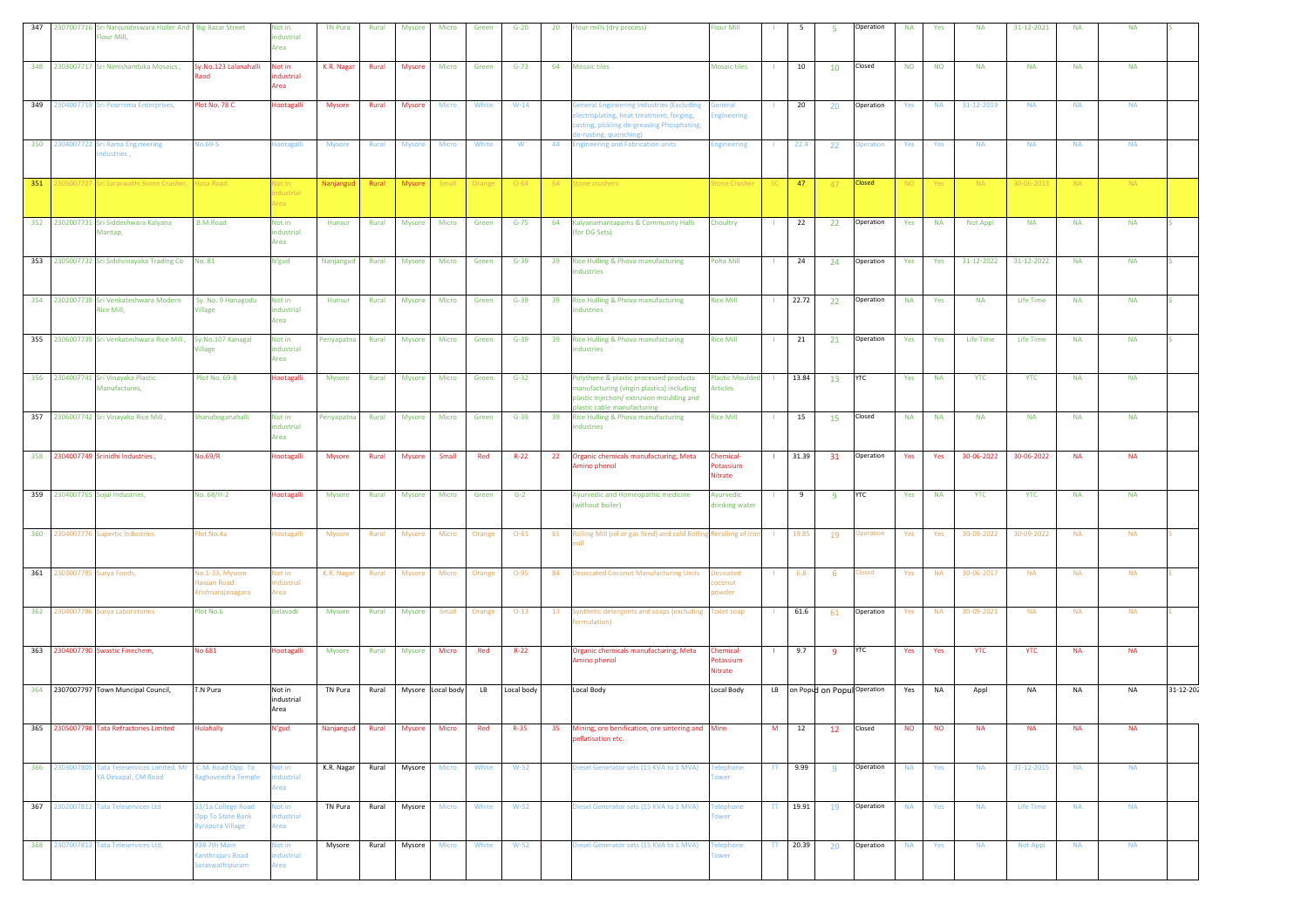| 347 | 2307007716 Sri Nanjundeswara Huller And   Big Bazar Street<br>Flour Mill, |                                                                    | Not in<br>industrial<br>Area        | <b>TN Pura</b> | Rural | <b>Mysore</b> | Micro             | Green  | $G-20$     | 20 | Flour mills (dry process)                                                                                                                                      | <b>Flour Mill</b>                         |         | 5        | - 5   | Operation                      | <b>NA</b>       | Yes        | <b>NA</b>  | 31-12-2021       | <b>NA</b> | <b>NA</b> |           |
|-----|---------------------------------------------------------------------------|--------------------------------------------------------------------|-------------------------------------|----------------|-------|---------------|-------------------|--------|------------|----|----------------------------------------------------------------------------------------------------------------------------------------------------------------|-------------------------------------------|---------|----------|-------|--------------------------------|-----------------|------------|------------|------------------|-----------|-----------|-----------|
|     | 348 2303007717 Sri Nimishambika Mosaics                                   | Sy.No.123 Lalanahalli<br>laod                                      | Not in<br>industrial<br>Area        | K.R. Nagar     | Rural | <b>Mysore</b> | Micro             | Green  | $G-73$     | 64 | <b>Mosaic tiles</b>                                                                                                                                            | <b>Mosaic tiles</b>                       | - 1     | 10       | 10    | Closed                         | <b>NO</b>       | <b>NO</b>  | <b>NA</b>  | <b>NA</b>        | <b>NA</b> | <b>NA</b> |           |
| 349 | 2304007719 Sri Poornima Enterprises,                                      | Plot No. 78 C                                                      | <b>Hootagalli</b>                   | Mysore         | Rural | <b>Mysore</b> | Micro             | White  | $W-14$     |    | eneral Engineering Industries (Excluding<br>ectroplating, heat treatment, forging,<br>asting, pickling de-greasing Phosphating,<br>-rusting, quenching)        | eneral<br><b>gineering</b>                |         | 20       | 20    | Operation                      | Yes             | <b>NA</b>  | 31-12-2019 | <b>NA</b>        | <b>NA</b> | <b>NA</b> |           |
|     | 350 2304007722 Sri Rama Engineering<br>ndustries,                         | <b>No.69-S</b>                                                     | <b>lootagalli</b>                   | Mysore         | Rural | Mysore        | Micro             | White  | W          |    | 44 Engineering and Fabrication units                                                                                                                           | <b>Engineering</b>                        | - 11    | 22.4     | 22    | <b>Operation</b>               | Yes             | Yes        | <b>NA</b>  | <b>NA</b>        | <b>NA</b> | <b>NA</b> |           |
| 351 | 305007727 Sri Saraswathi Stone Crusher, Hosa Road                         |                                                                    | Vot in<br>dustrial<br>real          | Nanjanguo      | Rural | Mysore        | <b>Small</b>      | Orange | $O - 64$   |    | 64 Stone crushers                                                                                                                                              | tone Crusher                              | - SC    | $-47$    | $-47$ | <b>Closed</b>                  | NO <sub>1</sub> | <b>Yes</b> | NA .       | 30-06-2013       | NA .      | NA.       |           |
|     | 352 2302007731 Sri Siddeshwara Kalyana<br>Mantap,                         | <b>B.M.Road</b>                                                    | Not in<br>industrial<br>Area        | Hunsur         | Rural | Mysore        | Micro             | Green  | $G-75$     | 64 | Kalyanamantapams & Community Halls<br>(for DG Sets)                                                                                                            | Choultry                                  | $\pm 1$ | 22       | 22    | Operation                      | Yes             | <b>NA</b>  | Not Appl   | <b>NA</b>        | <b>NA</b> | <b>NA</b> |           |
|     | 353 2305007732 Sri Siddivinayaka Trading Co                               | No. 81                                                             | N'gud                               | Nanjangud      | Rural | <b>Mysore</b> | Micro             | Green  | $G-39$     | 39 | Rice Hulling & Phova manufacturing<br>ndustries                                                                                                                | Poha Mill                                 | -11     | 24       | 24    | Operation                      | Yes             | Yes        | 31-12-2022 | 31-12-2022       | <b>NA</b> | <b>NA</b> |           |
|     | 354 2302007738 Sri Venkateshwara Modern<br>Rice Mill,                     | Sy. No. 9 Hanagodu<br>Village                                      | Not in<br>industrial<br>Area        | Hunsur         | Rural | <b>Mysore</b> | Micro             | Green  | $G-39$     | 39 | Rice Hulling & Phova manufacturing<br>ndustries                                                                                                                | <b>Rice Mill</b>                          | - 11    | 22.72    | 22    | Operation                      | <b>NA</b>       | Yes        | <b>NA</b>  | <b>Life Time</b> | <b>NA</b> | <b>NA</b> |           |
|     | 355 2306007739 Sri Venkateshwara Rice Mill                                | Sy.No.107 Kanagal<br><b>fillage</b>                                | Not in<br>ndustrial<br>Area         | Periyapatna    | Rural | <b>Mysore</b> | Micro             | Green  | $G-39$     | 39 | Rice Hulling & Phova manufacturing<br>ndustries                                                                                                                | <b>Rice Mill</b>                          | -11     | 21       | 21    | Operation                      | Yes             | Yes        | Life Time  | Life Time        | <b>NA</b> | <b>NA</b> |           |
|     | 356 2304007741 Sri Vinayaka Plastic<br>Manufactures,                      | Plot No. 69-B                                                      | Hootagalli                          | Mysore         | Rural | Mysore        | Micro             | Green  | $G-32$     |    | Polythene & plastic processed products<br>manufacturing (virgin plastics) including<br>plastic injection/extrusion moulding and<br>plastic cable manufacturing | <b>Plastic Moulded</b><br><b>Articles</b> | - 11    | 13.84    | 13    | <b>YTC</b>                     | Yes             | <b>NA</b>  | <b>YTC</b> | <b>YTC</b>       | <b>NA</b> | <b>NA</b> |           |
|     | 357 2306007742 Sri Vinayaka Rice Mill,                                    | Shanaboganahalli                                                   | Not in<br>industrial<br>Area        | Periyapatna    | Rural | <b>Mysore</b> | Micro             | Green  | $G-39$     | 39 | Rice Hulling & Phova manufacturing<br>ndustries                                                                                                                | <b>Rice Mill</b>                          | - 11    | 15       | 15    | Closed                         | <b>NA</b>       | <b>NA</b>  | <b>NA</b>  | <b>NA</b>        | <b>NA</b> | <b>NA</b> |           |
|     | 358 2304007749 Srinidhi Industries,                                       | No.69/R                                                            | Hootagalli                          | <b>Mysore</b>  | Rural | <b>Mysore</b> | Small             | Red    | $R-22$     | 22 | Organic chemicals manufacturing, Meta<br>Amino phenol                                                                                                          | Chemical-<br>Potassium<br>Nitrate         |         | 31.39    | 31    | Operation                      | Yes             | Yes        | 30-06-2022 | 30-06-2022       | <b>NA</b> | <b>NA</b> |           |
|     | 359 2304007765 Sujal Industries,                                          | No. 68/H-2                                                         | <b>Hootagalli</b>                   | <b>Mysore</b>  | Rural | <b>Mysore</b> | Micro             | Green  | $G-2$      |    | Ayurvedic and Homeopathic medicine<br>(without boiler)                                                                                                         | Ayurvedic<br>drinking water               | - 1     | 9        | -9    | <b>YTC</b>                     | Yes             | <b>NA</b>  | <b>YTC</b> | <b>YTC</b>       | <b>NA</b> | <b>NA</b> |           |
|     | 360 2304007776 Supertic Industries                                        | Plot No.4a                                                         | <b>Hootagalli</b>                   | Mysore         | Rural | Mysore        | Micro             | Orange | $O - 61$   | 61 | Rolling Mill (oil or gas fired) and cold Rolling Rerolling of Iron                                                                                             |                                           | - 11    | 19.85    | 19    | <b>Deration</b>                | Yes             | Yes        | 30-09-2022 | 30-09-2022       | <b>NA</b> | <b>NA</b> |           |
|     | 361 2303007785 Surya Foods,                                               | No.1-33, Mysore<br>Hassan Road<br>Krishnarajanagara                | <b>Not in</b><br>ndustrial<br>Area  | K.R. Nagar     | Rural | <b>Mysore</b> | Micro             | Orange | $O-95$     |    | 84 Desiccated Coconut Manufacturing Units                                                                                                                      | <b>Desicated</b><br>oconut<br>owder       |         | 6.8      | $-6$  | Closed                         | Yes             | <b>NA</b>  | 30-06-2017 | <b>NA</b>        | <b>NA</b> | <b>NA</b> |           |
|     | 362 2304007786 Surya Laboratories                                         | Plot No.6                                                          | <b>Belavadi</b>                     | Mysore         | Rural | <b>Mysore</b> | Small             | Orange | $O-13$     | 13 | Synthetic detergents and soaps (excluding Toilet soap<br>ormulation)                                                                                           |                                           | - 11    | 61.6     | 61    | Operation                      | Yes             | <b>NA</b>  | 30-09-2021 | <b>NA</b>        | <b>NA</b> | <b>NA</b> |           |
|     | 363 2304007790 Swastic Finechem,                                          | No 681                                                             | Hootagalli                          | Mysore         | Rural | Mysore        | Micro             | Red    | $R-22$     |    | Organic chemicals manufacturing, Meta<br>Amino phenol                                                                                                          | Chemical-<br>Potassium<br>Nitrate         | - 1     | 9.7      | 9     | <b>YTC</b>                     | Yes             | Yes        | <b>YTC</b> | <b>YTC</b>       | <b>NA</b> | <b>NA</b> |           |
|     | 364 2307007797 Town Muncipal Council,                                     | T.N Pura                                                           | Not in<br>industrial<br>Area        | TN Pura        | Rural |               | Mysore Local body | LB     | Local body |    | Local Body                                                                                                                                                     | Local Body                                |         |          |       | LB on Popud on Popul Operation | Yes             | NA         | Appl       | <b>NA</b>        | NA        | <b>NA</b> | 31-12-202 |
| 365 | 2305007798 Tata Refractories Limited                                      | <b>Hulahally</b>                                                   | N'gud                               | Nanjangud      | Rural | <b>Mysore</b> | Micro             | Red    | $R-35$     | 35 | Mining, ore benification, ore sintering and Mine<br>pellatisation etc.                                                                                         |                                           | M       | 12       | 12    | Closed                         | <b>NO</b>       | <b>NO</b>  | <b>NA</b>  | <b>NA</b>        | <b>NA</b> | <b>NA</b> |           |
| 366 | 2303007805 Tata Teleservices Limited, Mr<br>YA Devapal, CM Road           | C.M. Road Opp. To<br>laghavendra Temple                            | Not in<br>dustrial<br>rea           | K.R. Nagar     | Rural | Mysore        | <b>Micro</b>      | White  | $W-52$     |    | Diesel Generator sets (15 KVA to 1 MVA)                                                                                                                        | <b>Telephone</b><br>wer                   |         | TT 9.99  | 9     | Operation                      | <b>NA</b>       | Yes        | <b>NA</b>  | 31-12-2015       | <b>NA</b> | <b>NA</b> |           |
| 367 | 2302007812 Tata Teleservices Ltd                                          | 53/1a College Road<br>Opp To State Bank<br><b>Byrapura Village</b> | <b>Not in</b><br>industrial<br>Area | TN Pura        | Rural | Mysore        | Micro             | White  | $W-52$     |    | Diesel Generator sets (15 KVA to 1 MVA)                                                                                                                        | <b>Felephone</b><br>ower                  |         | TT 19.91 | 19    | Operation                      | <b>NA</b>       | Yes        | <b>NA</b>  | Life Time        | <b>NA</b> | <b>NA</b> |           |
| 368 | 2307007813 Tata Teleservices Ltd,                                         | 938 7th Main<br><b>Canthrajurs Road</b><br>araswathipuram          | Not in<br>industrial<br>Area        | Mysore         | Rural | Mysore        | Micro             | White  | $W-52$     |    | Diesel Generator sets (15 KVA to 1 MVA)                                                                                                                        | <b>Telephone</b><br>wer                   |         | TT 20.39 | 20    | Operation                      | <b>NA</b>       | Yes        | <b>NA</b>  | Not Appl         | <b>NA</b> | <b>NA</b> |           |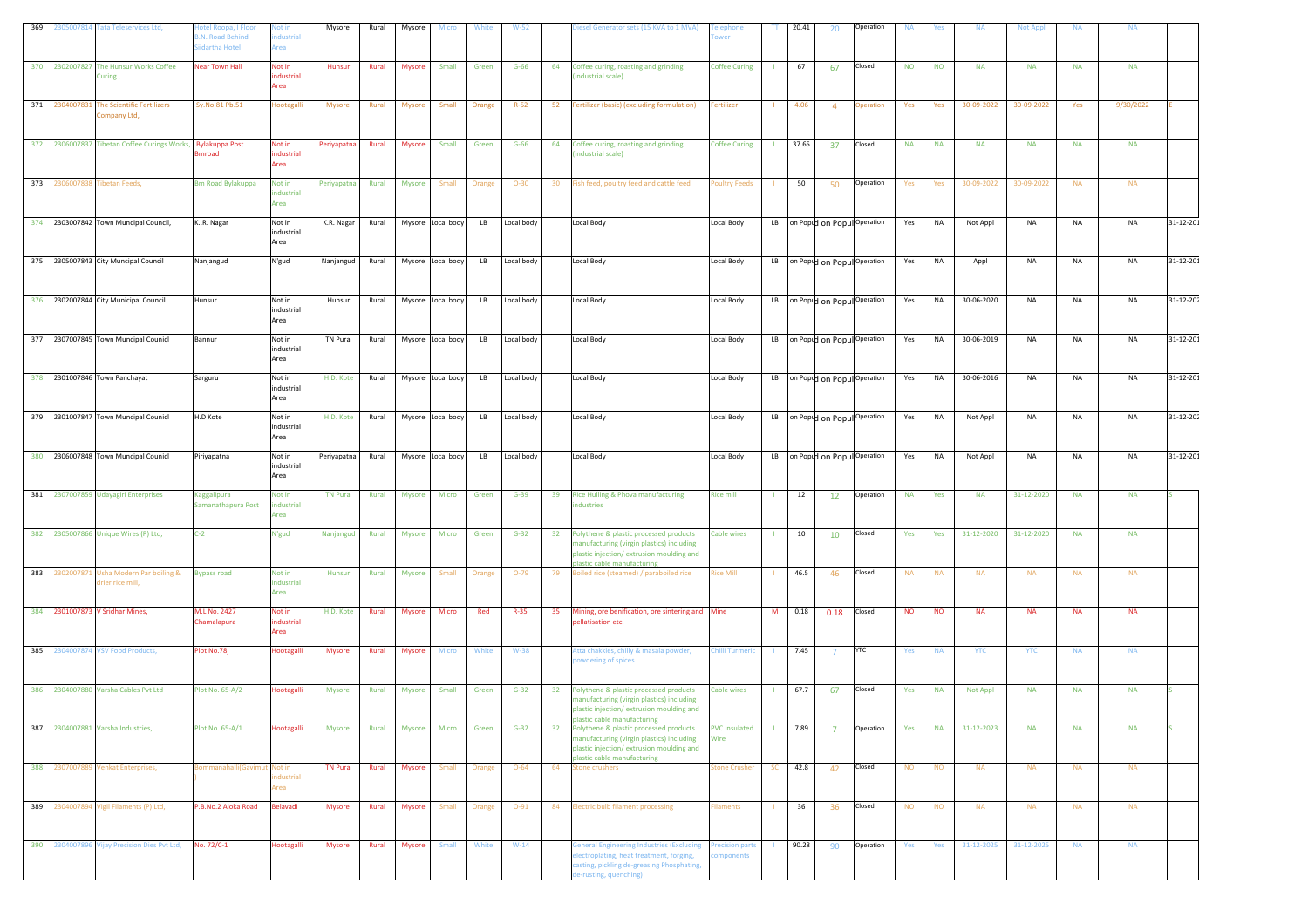| 369 | 2305007814 Tata Teleservices Ltd,                            | otel Roopa, I Floor<br><b>3.N. Road Behind</b><br>iidartha Hotel | lot in<br>dustrial<br>rea    | Mysore         | Rural | Mysore        | Micro             | White  | $W-52$     |    | Diesel Generator sets (15 KVA to 1 MVA)                                                                                                                      | wer                          | π            | 20.41 | 20                               | Operation                      | <b>NA</b> | Yes       | <b>NA</b>  | <b>Not Appl</b> | <b>NA</b> | <b>NA</b> |                 |
|-----|--------------------------------------------------------------|------------------------------------------------------------------|------------------------------|----------------|-------|---------------|-------------------|--------|------------|----|--------------------------------------------------------------------------------------------------------------------------------------------------------------|------------------------------|--------------|-------|----------------------------------|--------------------------------|-----------|-----------|------------|-----------------|-----------|-----------|-----------------|
|     | 370 2302007827 The Hunsur Works Coffee<br>Curing,            | <b>Near Town Hall</b>                                            | Not in<br>ndustrial<br>Area  | Hunsur         | Rural | Mysore        | Small             | Green  | $G-66$     | 64 | Coffee curing, roasting and grinding<br>industrial scale)                                                                                                    | <b>Coffee Curing</b>         |              | 67    | 67                               | Closed                         | <b>NO</b> | <b>NO</b> | <b>NA</b>  | <b>NA</b>       | <b>NA</b> | <b>NA</b> |                 |
|     | 371 2304007831 The Scientific Fertilizers<br>Company Ltd,    | Sy.No.81 Pb.51                                                   | <b>Hootagalli</b>            | <b>Mysore</b>  | Rural | <b>Mysore</b> | Small             | Orange | $R-52$     | 52 | Fertilizer (basic) (excluding formulation)                                                                                                                   | <b>Fertilizer</b>            | - 11         | 4.06  | $\overline{4}$                   | Operation                      | Yes       | Yes       | 30-09-2022 | 30-09-2022      | Yes       | 9/30/2022 |                 |
|     | 372 2306007837 Tibetan Coffee Curings Works, Bylakuppa Post  | nroad                                                            | Not in<br>ndustrial<br>Area  | Periyapatna    | Rural | <b>Mysore</b> | Small             | Green  | $G-66$     | 64 | Coffee curing, roasting and grinding<br>ndustrial scale)                                                                                                     | <b>Coffee Curing</b>         | - 11         | 37.65 | 37                               | Closed                         | <b>NA</b> | <b>NA</b> | <b>NA</b>  | <b>NA</b>       | <b>NA</b> | <b>NA</b> |                 |
|     | 373 2306007838 Tibetan Feeds,                                | <b>Bm Road Bylakuppa</b>                                         | Not in<br>industrial<br>Area | Periyapatna    | Rural | Mysore        | Small             | Orange | $O-30$     | 30 | Fish feed, poultry feed and cattle feed                                                                                                                      | Poultry Feeds                | - 11         | 50    | 50                               | Operation                      | Yes       | Yes       | 30-09-2022 | 30-09-2022      | <b>NA</b> | <b>NA</b> |                 |
|     | 374 2303007842 Town Muncipal Council,                        | KR. Nagar                                                        | Not in<br>industrial<br>Area | K.R. Nagar     | Rural |               | Mysore Local body | LB     | Local body |    | Local Body                                                                                                                                                   | <b>Local Body</b>            |              |       | LB on Popud on Popul Operation   |                                | Yes       | NA        | Not Appl   | NA              | <b>NA</b> | <b>NA</b> | 31-12-201       |
|     | 375 2305007843 City Muncipal Council                         | Nanjangud                                                        | N'gud                        | Nanjangud      | Rural |               | Mysore Local body | LB     | Local body |    | Local Body                                                                                                                                                   | Local Body                   |              |       | LB on Popud on Popul Operation   |                                | Yes       | NA        | Appl       | NA              | <b>NA</b> | NA        | 31-12-201       |
|     | 376 2302007844 City Municipal Council                        | Hunsur                                                           | Not in<br>industrial<br>Area | Hunsur         | Rural |               | Mysore Local body | LB     | Local body |    | Local Body                                                                                                                                                   | Local Body                   |              |       | LB on Popud on Popul Operation   |                                | Yes       | NA        | 30-06-2020 | NA              | NA        | NA        | 31-12-202       |
|     | 377 2307007845 Town Muncipal Counicl                         | Bannur                                                           | Not in<br>industrial<br>Area | TN Pura        | Rural |               | Mysore Local body | LB     | Local body |    | Local Body                                                                                                                                                   | Local Body                   |              |       | LB on Popud on Popul Operation   |                                | Yes       | <b>NA</b> | 30-06-2019 | <b>NA</b>       | <b>NA</b> | <b>NA</b> | $31 - 12 - 201$ |
|     | 378 2301007846 Town Panchayat                                | Sarguru                                                          | Not in<br>industrial<br>Area | H.D. Kote      | Rural |               | Mysore Local body | LB     | Local body |    | Local Body                                                                                                                                                   | <b>Local Body</b>            |              |       | LB   on Popud on Popul Operation |                                | Yes       | <b>NA</b> | 30-06-2016 | <b>NA</b>       | <b>NA</b> | <b>NA</b> | 31-12-201       |
|     | 379 2301007847 Town Muncipal Counicl                         | H.D Kote                                                         | Not in<br>industrial<br>Area | H.D. Kote      | Rural |               | Mysore Local body | LB     | Local body |    | Local Body                                                                                                                                                   | <b>Local Body</b>            |              |       | LB on Popud on Popul Operation   |                                | Yes       | NA        | Not Appl   | NA              | <b>NA</b> | NA        | 31-12-202       |
|     | 380 2306007848 Town Muncipal Counicl                         | Piriyapatna                                                      | Not in                       | Periyapatna    | Rural |               | Mysore Local body | LB     | Local body |    | Local Body                                                                                                                                                   | <b>Local Body</b>            |              |       |                                  | LB on Popud on Popul Operation | Yes       | NA        | Not Appl   | NA              | <b>NA</b> | NA        | 31-12-201       |
|     |                                                              |                                                                  | industrial<br>Area           |                |       |               |                   |        |            |    |                                                                                                                                                              |                              |              |       |                                  |                                |           |           |            |                 |           |           |                 |
|     | 381 2307007859 Udayagiri Enterprises                         | Kaggalipura<br>Samanathapura Post                                | Not in<br>ndustrial<br>Area  | <b>TN Pura</b> | Rural | Mysore        | Micro             | Green  | $G-39$     | 39 | Rice Hulling & Phova manufacturing<br>ndustries                                                                                                              | <b>Rice mill</b>             | -11          | 12    | 12                               | Operation                      | <b>NA</b> | Yes       | <b>NA</b>  | 31-12-2020      | <b>NA</b> | <b>NA</b> |                 |
|     | 382 2305007866 Unique Wires (P) Ltd,                         | $C-2$                                                            | N'gud                        | Nanjangud      | Rural | <b>Mysore</b> | Micro             | Green  | $G-32$     | 32 | Polythene & plastic processed products<br>manufacturing (virgin plastics) including<br>plastic injection/extrusion moulding and                              | Cable wires                  | $\mathbf{I}$ | 10    | 10                               | Closed                         | Yes       | Yes       | 31-12-2020 | 31-12-2020      | <b>NA</b> | <b>NA</b> |                 |
|     | 383 2302007871 Usha Modern Par boiling &<br>frier rice mill, | <b>Bypass road</b>                                               | Not in<br>ndustrial<br>Area  | Hunsur         | Rural | Mysore        | Small             | Orange | $O-79$     | 79 | plastic cable manufacturing<br>Boiled rice (steamed) / paraboiled rice                                                                                       | <b>Rice Mill</b>             | - 11         | 46.5  | 46                               | Closed                         | <b>NA</b> | <b>NA</b> | <b>NA</b>  | <b>NA</b>       | <b>NA</b> | <b>NA</b> |                 |
|     | 384 2301007873 V Sridhar Mines,                              | M.L No. 2427<br>Chamalapura                                      | Not in<br>industrial<br>Area | H.D. Kote      | Rural | Mysore        | Micro             | Red    | $R-35$     | 35 | Mining, ore benification, ore sintering and Mine<br>pellatisation etc.                                                                                       |                              | M            | 0.18  | 0.18                             | Closed                         | <b>NO</b> | <b>NO</b> | <b>NA</b>  | <b>NA</b>       | <b>NA</b> | <b>NA</b> |                 |
|     | 385 2304007874 VSV Food Products,                            | Plot No.78j                                                      | Hootagalli                   | <b>Mysore</b>  | Rural | Mysore        | <b>Micro</b>      | White  | W-38       |    | Atta chakkies, chilly & masala powder,<br>powdering of spices                                                                                                | <b>Chilli Turmeric</b>       | $\mathbf{I}$ | 7.45  | $\overline{7}$                   | <b>YTC</b>                     | Yes       | <b>NA</b> | <b>YTC</b> | <b>YTC</b>      | <b>NA</b> | <b>NA</b> |                 |
|     | 386 2304007880 Varsha Cables Pvt Ltd                         | Plot No. 65-A/2                                                  | Hootagalli                   | <b>Mysore</b>  | Rural | Mysore        | Small             | Green  | $G-32$     | 32 | Polythene & plastic processed products<br>manufacturing (virgin plastics) including<br>plastic injection/extrusion moulding and                              | <b>Cable wires</b>           |              | 67.7  | 67                               | Closed                         | Yes       | <b>NA</b> | Not Appl   | <b>NA</b>       | <b>NA</b> | <b>NA</b> |                 |
| 387 | 2304007881 Varsha Industries,                                | Plot No. 65-A/1                                                  | Hootagalli                   | Mysore         | Rural | Mysore        | Micro             | Green  | $G-32$     | 32 | plastic cable manufacturi<br>Polythene & plastic processed products<br>manufacturing (virgin plastics) including<br>plastic injection/extrusion moulding and | <b>PVC Insulated</b><br>Wire | -1           | 7.89  | $\overline{7}$                   | Operation                      | Yes       | <b>NA</b> | 31-12-2023 | <b>NA</b>       | <b>NA</b> | <b>NA</b> |                 |
|     | 388 2307007889 Venkat Enterprises,                           | ommanahalli(Gavimut Not in                                       | dustrial<br>rea              | <b>TN Pura</b> | Rural | <b>Mysore</b> | Small             | Orange | $O - 64$   | 64 | plastic cable manufacturing<br><b>Stone crushers</b>                                                                                                         | Stone Crusher                | <b>SC</b>    | 42.8  | 42                               | Closed                         | <b>NO</b> | <b>NO</b> | <b>NA</b>  | <b>NA</b>       | <b>NA</b> | <b>NA</b> |                 |
|     | 389 2304007894 Vigil Filaments (P) Ltd,                      | P.B.No.2 Aloka Road                                              | Belavadi                     | Mysore         | Rural | <b>Mysore</b> | Small             | Orange | $O-91$     |    | 84 Electric bulb filament processing                                                                                                                         | <b>Filaments</b>             | $\sim 10$    | 36    | 36                               | Closed                         | <b>NO</b> | <b>NO</b> | <b>NA</b>  | <b>NA</b>       | <b>NA</b> | <b>NA</b> |                 |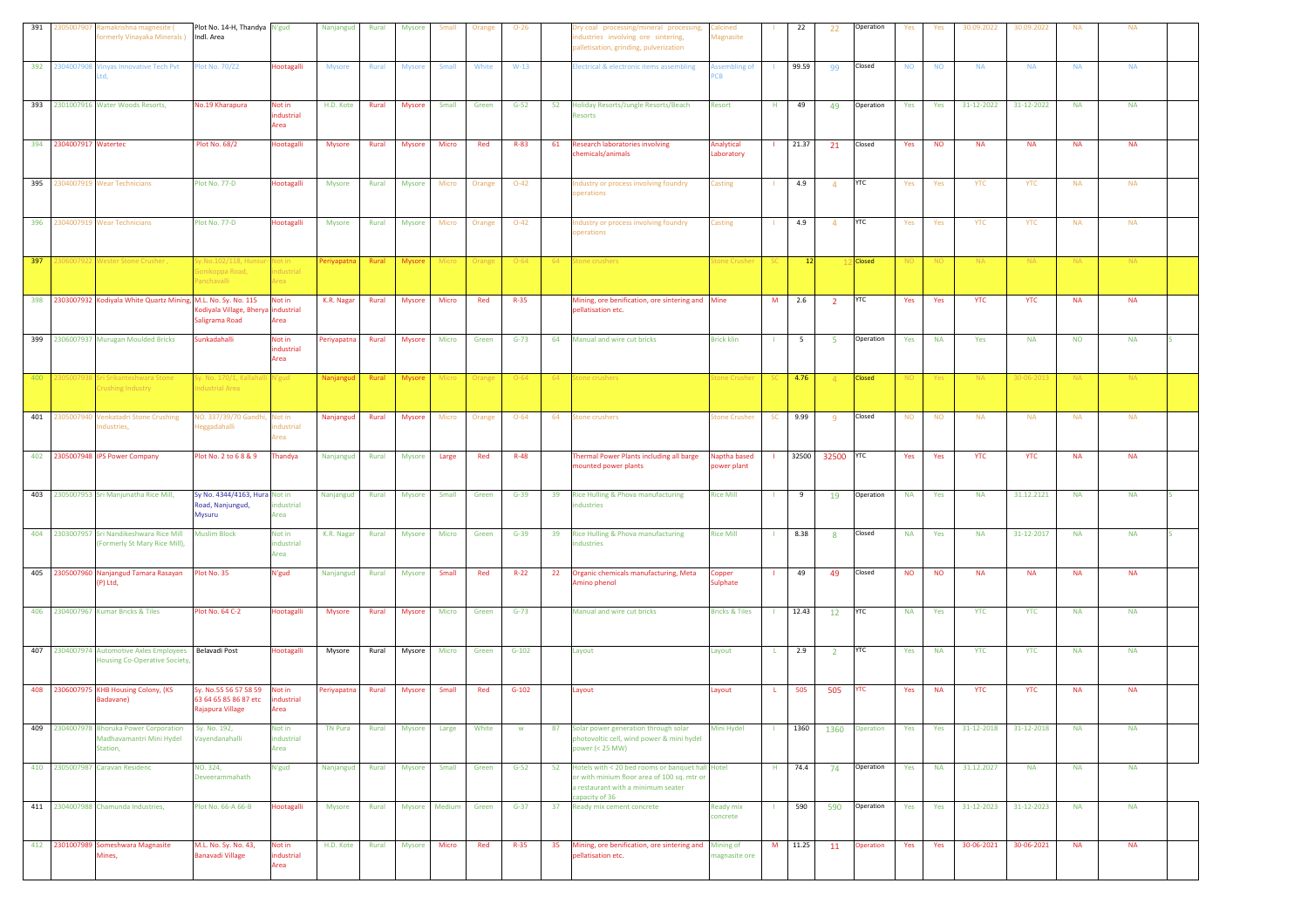| 391 | :30500790<br>amakrishna magnesite (<br>ormerly Vinayaka Minerals ) Indl. Area            | Plot No. 14-H, Thandya N'gud                                      |                              | Nanjangud      | Rural        | Mysore        | Small        | Orange | $O-26$   |     | ry coal processing/mineral processing,<br>ndustries involving ore sintering,<br>palletisation, grinding, pulverization                                     | Calcined<br>Magnasite        |              | 22              | 22             | Operation     | Yes             | Yes             | 30.09.2022 | 30.09.2022 | <b>NA</b> | <b>NA</b> |  |
|-----|------------------------------------------------------------------------------------------|-------------------------------------------------------------------|------------------------------|----------------|--------------|---------------|--------------|--------|----------|-----|------------------------------------------------------------------------------------------------------------------------------------------------------------|------------------------------|--------------|-----------------|----------------|---------------|-----------------|-----------------|------------|------------|-----------|-----------|--|
| 392 | 230400790<br><b>Jinyas Innovative Tech Pvt</b>                                           | lot No. 70/Z2                                                     | <b>Hootagalli</b>            | <b>Mysore</b>  | Rural        | <b>Mysore</b> | Small        | White  | $W-13$   |     | lectrical & electronic items assembling                                                                                                                    | ssembling of                 |              | 99.59           | 99             | Closed        | <b>NO</b>       | <b>NO</b>       | <b>NA</b>  | <b>NA</b>  | <b>NA</b> | <b>NA</b> |  |
|     | 393 2301007916 Water Woods Resorts,                                                      | No.19 Kharapura                                                   | Not in<br>dustrial<br>Area   | H.D. Kote      | Rural        | Mysore        | Small        | Green  | $G-52$   | 52  | Holiday Resorts/Jungle Resorts/Beach<br>esorts                                                                                                             | Resort                       | н.           | 49              | 49             | Operation     | Yes             | Yes             | 31-12-2022 | 31-12-2022 | <b>NA</b> | <b>NA</b> |  |
|     | 394 2304007917 Watertec                                                                  | <b>Plot No. 68/2</b>                                              | Hootagalli                   | Mysore         | Rural        | Mysore        | Micro        | Red    | R-83     | 61  | <b>Research laboratories involving</b><br>hemicals/animals                                                                                                 | Analytical<br>aboratory      |              | 21.37           | 21             | Closed        | Yes             | <b>NO</b>       | <b>NA</b>  | <b>NA</b>  | <b>NA</b> | <b>NA</b> |  |
| 395 | 2304007919 Wear Technicians                                                              | Plot No. 77-D                                                     | Hootagalli                   | <b>Mysore</b>  | Rural        | <b>Mysore</b> | Micro        | Orange | $O-42$   |     | dustry or process involving foundry<br>perations                                                                                                           | Casting                      |              | 4.9             | $\overline{4}$ | YTC           | Yes             | Yes             | <b>YTC</b> | <b>YTC</b> | <b>NA</b> | <b>NA</b> |  |
|     | 396 2304007919 Wear Technicians                                                          | Plot No. 77-D                                                     | Hootagalli                   | Mysore         | Rural        | Mysore        | Micro        | Orange | $O-42$   |     | ndustry or process involving foundry<br>perations                                                                                                          | Casting                      |              | 4.9             | $\Delta$       | <b>YTC</b>    | Yes             | Yes             | <b>YTC</b> | <b>YTC</b> | <b>NA</b> | <b>NA</b> |  |
| 397 | 2306007922 Wester Stone Crusher ,                                                        | y.No.102/118, Huns<br>ionikoppa Road,<br>anchavalli               | Not in<br>ndustrial<br>real  | Periyapatna    | Rural        | <b>Mysore</b> | Micro        | Orange | $O-64$   | -64 | Stone crushers                                                                                                                                             | tone Crusher                 |              | 12              |                | <b>Closed</b> | NO <sub>.</sub> | NO <sub>1</sub> | NA.        | <b>NA</b>  | <b>NA</b> | <b>NA</b> |  |
|     | 398 2303007932 Kodiyala White Quartz Mining, M.L. No. Sy. No. 115                        | odiyala Village, Bherya industrial<br>Saligrama Road              | Not in<br>Area               | K.R. Nagar     | Rural        | <b>Mysore</b> | Micro        | Red    | $R-35$   |     | Mining, ore benification, ore sintering and Mine<br>pellatisation etc.                                                                                     |                              | M            | 2.6             | $\overline{2}$ | YTC           | Yes             | Yes             | <b>YTC</b> | <b>YTC</b> | <b>NA</b> | <b>NA</b> |  |
|     | 399 2306007937 Murugan Moulded Bricks                                                    | <b>Sunkadahalli</b>                                               | Not in<br>industrial<br>Area | Periyapatna    | Rural        | <b>Mysore</b> | Micro        | Green  | $G-73$   |     | 64 Manual and wire cut bricks                                                                                                                              | <b>Brick klin</b>            |              | $5\overline{5}$ | -5             | Operation     | Yes             | <b>NA</b>       | Yes        | <b>NA</b>  | <b>NO</b> | <b>NA</b> |  |
| 400 | 3050079<br>Gri Srikanteshwara Stone<br>rushing Industry                                  | y. No. 170/1, Kallaha<br>ndustrial Area                           | li N'gud                     | Nanjanguo      | Rural        | <b>Mysore</b> | Micro        | Orange | $O - 64$ | 64  | Stone crushers                                                                                                                                             | tone Crush                   |              | 4.76            | $\overline{4}$ | <b>Closed</b> | NO <sub>1</sub> | Yes             | <b>NA</b>  | 30-06-2013 | NA.       | <b>NA</b> |  |
| 401 | Venkatadri Stone Crushing<br>30500794<br>dustries,                                       | IO. 337/39/70 Gandh<br>leggadahalli                               | Not in<br>dustrial<br>rea    | Nanjangud      | Rural        | Mysore        | Micro        | Orange | $O - 64$ | 64  | tone crushers                                                                                                                                              | tone Crusher                 | <b>SC</b>    | 9.99            | -9             | Closed        | <b>NO</b>       | <b>NO</b>       | <b>NA</b>  | <b>NA</b>  | <b>NA</b> | <b>NA</b> |  |
|     | 402 2305007948 IPS Power Company                                                         | Plot No. 2 to 6 8 & 9                                             | Thandya                      | Nanjangud      | Rural        | Mysore        | Large        | Red    | $R-48$   |     | Thermal Power Plants including all barge<br>mounted power plants                                                                                           | Naptha based<br>oower plant  |              | 32500           | 32500          | <b>YTC</b>    | Yes             | Yes             | <b>YTC</b> | <b>YTC</b> | <b>NA</b> | <b>NA</b> |  |
| 403 | 2305007953 Sri Manjunatha Rice Mill,                                                     | Sy No. 4344/4163, Hura Not in<br>Road, Nanjungud,<br>Mysuru       | industrial<br>Area           | Nanjangud      | Rural        | <b>Mysore</b> | Small        | Green  | $G-39$   | 39  | Rice Hulling & Phova manufacturing<br>dustries                                                                                                             | <b>Rice Mill</b>             |              | 9               | 19             | Operation     | <b>NA</b>       | Yes             | <b>NA</b>  | 31.12.2121 | <b>NA</b> | <b>NA</b> |  |
|     | 404 2303007957 Sri Nandikeshwara Rice Mill<br>(Formerly St Mary Rice Mill),              | <b>Muslim Block</b>                                               | Not in<br>industrial<br>Area | K.R. Nagar     | Rural        | Mysore        | Micro        | Green  | $G-39$   | 39  | Rice Hulling & Phova manufacturing<br>dustries                                                                                                             | <b>Rice Mill</b>             |              | 8.38            | -8             | Closed        | <b>NA</b>       | Yes             | <b>NA</b>  | 31-12-2017 | <b>NA</b> | <b>NA</b> |  |
|     | 405 2305007960 Nanjangud Tamara Rasayan<br>(P) Ltd,                                      | lot No. 35                                                        | N'gud                        | Nanjangud      | Rural        | Mysore        | Small        | Red    | $R-22$   | 22  | Organic chemicals manufacturing, Meta<br>Amino phenol                                                                                                      | Copper<br><b>Sulphate</b>    |              | 49              | 49             | Closed        | <b>NO</b>       | <b>NO</b>       | <b>NA</b>  | <b>NA</b>  | <b>NA</b> | <b>NA</b> |  |
|     | 406 2304007967 Kumar Bricks & Tiles                                                      | Plot No. 64 C-2                                                   | Hootagalli                   | <b>Mysore</b>  | Rural        | <b>Mysore</b> | Micro        | Green  | $G-73$   |     | Manual and wire cut bricks                                                                                                                                 | <b>Bricks &amp; Tiles</b>    |              | 12.43           | 12             | YTC           | <b>NA</b>       | Yes             | <b>YTC</b> | <b>YTC</b> | <b>NA</b> | <b>NA</b> |  |
|     | 407 2304007974 Automotive Axles Employees Belavadi Post<br>Housing Co-Operative Society, |                                                                   | Hootagalli                   | Mysore         | Rural        | Mysore        | Micro        | Green  | $G-102$  |     | Layout                                                                                                                                                     | Layout                       | L.           | 2.9             | $\overline{2}$ | <b>YTC</b>    | Yes             | <b>NA</b>       | <b>YTC</b> | <b>YTC</b> | <b>NA</b> | <b>NA</b> |  |
| 408 | 2306007975 KHB Housing Colony, (KS<br>Badavane)                                          | v. No.55 56 57 58 59<br>63 64 65 85 86 87 etc<br>Rajapura Village | Not in<br>ndustrial<br>Area  | Periyapatna    | Rural        | <b>Mysore</b> | Small        | Red    | $G-102$  |     | Layout                                                                                                                                                     | Layout                       | L.           | 505             | 505            | ⁄ТC           | Yes             | <b>NA</b>       | <b>YTC</b> | <b>YTC</b> | <b>NA</b> | <b>NA</b> |  |
| 409 | 2304007978 Bhoruka Power Corporation<br>Madhavamantri Mini Hydel<br>Station,             | Sy. No. 192,<br>ayendanahalli                                     | Not in<br>industrial<br>Area | <b>TN Pura</b> | Rural        | <b>Mysore</b> | Large        | White  | w        | 87  | Solar power generation through solar<br>photovoltic cell, wind power & mini hydel<br>ower (< 25 MW)                                                        | Mini Hydel                   |              | 1360            | 1360           | Operation     | Yes             | Yes             | 31-12-2018 | 31-12-2018 | <b>NA</b> | <b>NA</b> |  |
|     | 410 2305007987 Caravan Residenc                                                          | NO. 324,<br>Deveerammahath                                        | N'gud                        | Nanjangud      | <b>Rural</b> | <b>Mysore</b> | <b>Small</b> | Green  | $G-52$   |     | 52 Hotels with < 20 bed rooms or banquet hall Hotel<br>or with minium floor area of 100 sq. mtr or<br>a restaurant with a minimum seater<br>capacity of 36 |                              | H            | 74.4            | 74             | Operation     | Yes             | <b>NA</b>       | 31.12.2027 | <b>NA</b>  | <b>NA</b> | <b>NA</b> |  |
|     | 411 2304007988 Chamunda Industries,                                                      | Plot No. 66-A 66-B                                                | Hootagalli                   | Mysore         | Rural        | Mysore Medium |              | Green  | $G-37$   | 37  | Ready mix cement concrete                                                                                                                                  | <b>Ready mix</b><br>concrete | $\mathbf{L}$ | 590             | 590            | Operation     | Yes             | Yes             | 31-12-2023 | 31-12-2023 | <b>NA</b> | <b>NA</b> |  |
|     | 412 2301007989 Someshwara Magnasite<br>Mines,                                            | M.L. No. Sy. No. 43,<br><b>Banavadi Village</b>                   | Not in<br>ndustrial<br>Area  | H.D. Kote      | Rural        | Mysore        | Micro        | Red    | $R-35$   | 35  | Mining, ore benification, ore sintering and<br>pellatisation etc.                                                                                          | Mining of<br>nagnasite ore   | M            | 11.25           | 11             | Operation     | Yes             | Yes             | 30-06-2021 | 30-06-2021 | <b>NA</b> | <b>NA</b> |  |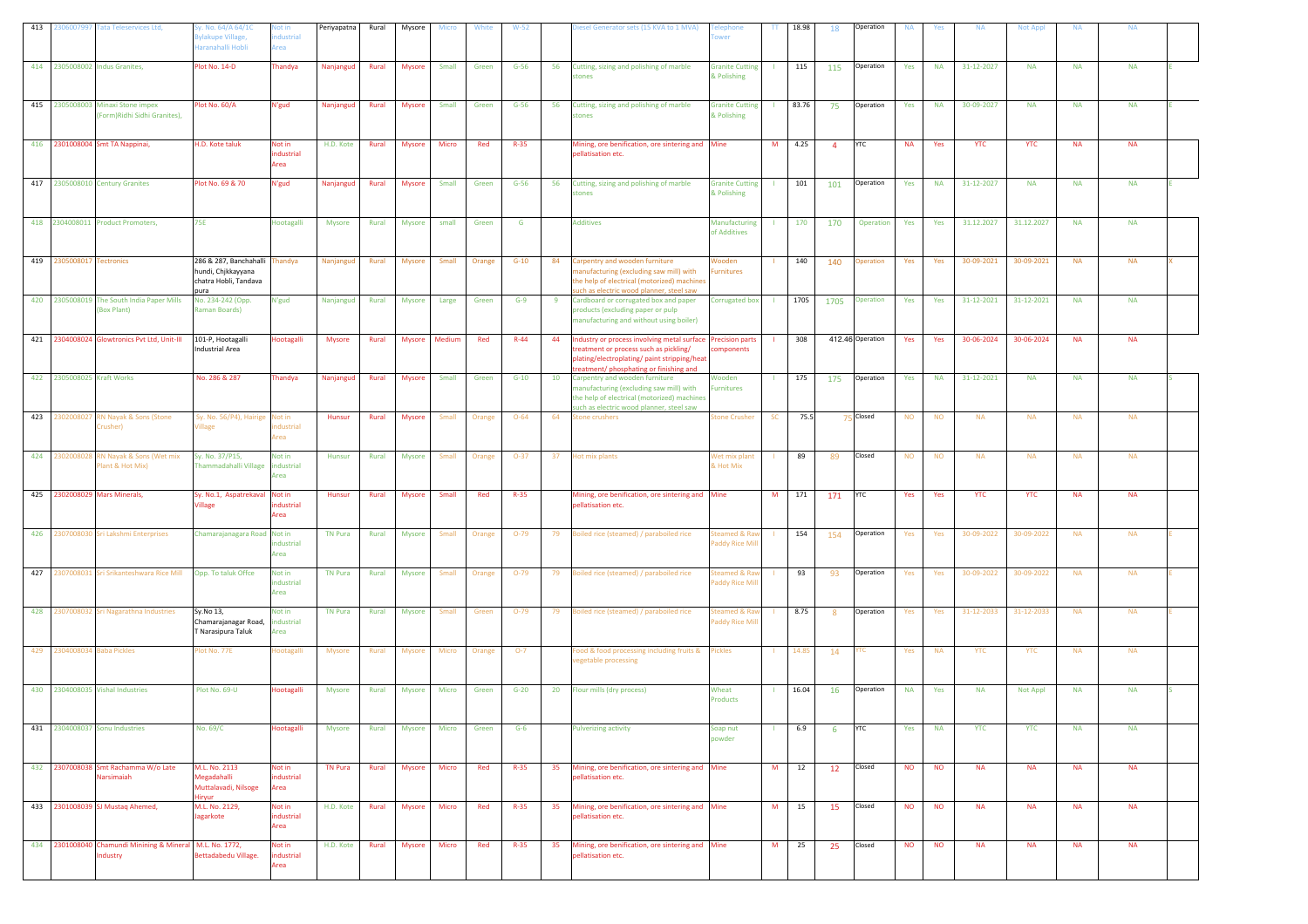| 413 | 306007997 Tata Teleservices Ltd,                                  | y. No. 64/A 64/1C<br>ylakupe Village,<br>laranahalli Hobli                            | lot in<br>dustrial<br>Area   | Periyapatna    | Rural | Mysore        | Micro  | White  | $W-52$   |    | Diesel Generator sets (15 KVA to 1 MVA)                                                                                                                                                         | ephone<br>wer                         | TT.       | 18.98 | 18             | Operation        | <b>NA</b> | Yes       | <b>NA</b>  | <b>Not Appl</b> | <b>NA</b> | <b>NA</b> |  |
|-----|-------------------------------------------------------------------|---------------------------------------------------------------------------------------|------------------------------|----------------|-------|---------------|--------|--------|----------|----|-------------------------------------------------------------------------------------------------------------------------------------------------------------------------------------------------|---------------------------------------|-----------|-------|----------------|------------------|-----------|-----------|------------|-----------------|-----------|-----------|--|
|     | 414 2305008002 Indus Granites,                                    | lot No. 14-D                                                                          | <b>Thandya</b>               | Nanjangud      | Rural | <b>Mysore</b> | Small  | Green  | $G-56$   | 56 | Cutting, sizing and polishing of marble<br>stones                                                                                                                                               | <b>Granite Cutting</b><br>& Polishing |           | 115   | 115            | Operation        | Yes       | <b>NA</b> | 31-12-2027 | <b>NA</b>       | <b>NA</b> | <b>NA</b> |  |
|     | 415 2305008003 Minaxi Stone impex<br>Form) Ridhi Sidhi Granites), | lot No. 60/A                                                                          | N'gud                        | Nanjangud      | Rural | <b>Mysore</b> | Small  | Green  | $G-56$   | 56 | Cutting, sizing and polishing of marble<br>tones                                                                                                                                                | <b>Granite Cutting</b><br>& Polishing |           | 83.76 | 75             | Operation        | Yes       | <b>NA</b> | 30-09-2027 | <b>NA</b>       | <b>NA</b> | <b>NA</b> |  |
|     | 416 2301008004 Smt TA Nappinai,                                   | H.D. Kote taluk                                                                       | Not in<br>ndustrial<br>Area  | H.D. Kote      | Rural | Mysore        | Micro  | Red    | $R-35$   |    | Mining, ore benification, ore sintering and Mine<br>pellatisation etc.                                                                                                                          |                                       | M         | 4.25  | $\overline{4}$ | <b>YTC</b>       | <b>NA</b> | Yes       | <b>YTC</b> | <b>YTC</b>      | <b>NA</b> | <b>NA</b> |  |
|     | 417 2305008010 Century Granites                                   | Plot No. 69 & 70                                                                      | N'gud                        | Nanjangud      | Rural | <b>Mysore</b> | Small  | Green  | $G-56$   | 56 | Cutting, sizing and polishing of marble<br>tones                                                                                                                                                | <b>Granite Cutting</b><br>& Polishing | - 11      | 101   | 101            | Operation        | Yes       | <b>NA</b> | 31-12-2027 | <b>NA</b>       | <b>NA</b> | <b>NA</b> |  |
|     | 418 2304008011 Product Promoters,                                 | <b>75E</b>                                                                            | Hootagalli                   | Mysore         | Rural | Mysore        | small  | Green  | G        |    | <b>Additives</b>                                                                                                                                                                                | Manufacturing<br>of Additives         |           | 170   | 170            | Operation        | Yes       | Yes       | 31.12.2027 | 31.12.2027      | <b>NA</b> | <b>NA</b> |  |
|     | 419 2305008017 Tectronics                                         | 286 & 287, Banchahalli Thandya<br>hundi, Chjkkayyana<br>chatra Hobli, Tandava<br>pura |                              | Nanjangud      | Rural | Mysore        | Small  | Orange | $G-10$   | 84 | Carpentry and wooden furniture<br>nanufacturing (excluding saw mill) with<br>the help of electrical (motorized) machines<br>such as electric wood planner, steel saw                            | Vooden<br>urnitures                   |           | 140   | 140            | <b>Operation</b> | Yes       | Yes       | 30-09-2021 | 30-09-2021      | <b>NA</b> | <b>NA</b> |  |
|     | 420 2305008019 The South India Paper Mills<br>(Box Plant)         | Vo. 234-242 (Opp.<br><b>Raman Boards)</b>                                             | N'gud                        | Nanjangud      | Rural | <b>Mysore</b> | Large  | Green  | $G-9$    | 9  | Cardboard or corrugated box and paper<br>products (excluding paper or pulp<br>manufacturing and without using boiler)                                                                           | Corrugated box                        | -11       | 1705  | 1705           | <b>Operation</b> | Yes       | Yes       | 31-12-2021 | 31-12-2021      | <b>NA</b> | <b>NA</b> |  |
|     | 421 2304008024 Glowtronics Pvt Ltd, Unit-III                      | 101-P, Hootagalli<br>Industrial Area                                                  | Hootagalli                   | Mysore         | Rural | <b>Mysore</b> | Medium | Red    | $R - 44$ | 44 | Industry or process involving metal surface Precision parts<br>reatment or process such as pickling/<br>plating/electroplating/ paint stripping/heat<br>treatment/ phosphating or finishing and | omponents                             |           | 308   |                | 412.46 Operation | Yes       | Yes       | 30-06-2024 | 30-06-2024      | <b>NA</b> | <b>NA</b> |  |
|     | 422 2305008025 Kraft Works                                        | No. 286 & 287                                                                         | Thandya                      | Nanjangud      | Rural | Mysore        | Small  | Green  | $G-10$   | 10 | Carpentry and wooden furniture<br>manufacturing (excluding saw mill) with<br>the help of electrical (motorized) machines<br>such as electric wood planner, steel saw                            | <b>Nooden</b><br>urnitures            |           | 175   | 175            | Operation        | Yes       | <b>NA</b> | 31-12-2021 | <b>NA</b>       | $\sf NA$  | <b>NA</b> |  |
| 423 | 302008027<br>RN Nayak & Sons (Stone<br>(rusher                    | Sy. No. 56/P4), Hairige<br><b>fillage</b>                                             | Not in<br>dustrial<br>Area   | Hunsur         | Rural | Mysore        | Small  | Orange | $O - 64$ | 64 | <b>Stone crushers</b>                                                                                                                                                                           | <b>tone Crusher</b>                   | <b>SC</b> | 75.5  |                | 75 Closed        | <b>NO</b> | <b>NO</b> | <b>NA</b>  | <b>NA</b>       | <b>NA</b> | <b>NA</b> |  |
| 424 | RN Nayak & Sons (Wet mix<br>3020080<br>ant & Hot Mix)             | iy. No. 37/P15,<br>hammadahalli Village                                               | Not in<br>ndustrial          | Hunsur         | Rural | Mysore        | Small  | Orange | $O-37$   | 37 | Hot mix plants                                                                                                                                                                                  | Vet mix plant<br>Hot Mix              |           | 89    | 89             | Closed           | <b>NO</b> | <b>NO</b> | <b>NA</b>  | <b>NA</b>       | <b>NA</b> | <b>NA</b> |  |
|     |                                                                   |                                                                                       | Area                         |                |       |               |        |        |          |    |                                                                                                                                                                                                 |                                       |           |       |                |                  |           |           |            |                 |           |           |  |
| 425 | 2302008029 Mars Minerals,                                         | Sy. No.1, Aspatrekaval Not in<br><b>fillage</b>                                       | ndustrial<br>Area            | Hunsur         | Rural | <b>Mysore</b> | Small  | Red    | $R-35$   |    | Mining, ore benification, ore sintering and Mine<br>pellatisation etc.                                                                                                                          |                                       | M         | 171   | 171            | <b>YTC</b>       | Yes       | Yes       | <b>YTC</b> | <b>YTC</b>      | <b>NA</b> | <b>NA</b> |  |
| 426 | Sri Lakshmi Enterprises<br>230700803                              | Chamarajanagara Road Not in                                                           | industrial<br>Area           | <b>TN Pura</b> | Rural | Mysore        | Small  | Orange | $O-79$   | 79 | Boiled rice (steamed) / paraboiled rice                                                                                                                                                         | teamed & R<br>addy Rice Mil           |           | 154   | 154            | Operation        | Yes       | Yes       | 30-09-2022 | 30-09-2022      | <b>NA</b> | <b>NA</b> |  |
|     | 427 2307008031 Sri Srikanteshwara Rice Mill                       | Opp. To taluk Offce                                                                   | Not in<br>ndustrial<br>Area  | <b>TN Pura</b> | Rural | <b>Mysore</b> | Small  | Orange | $O-79$   | 79 | Boiled rice (steamed) / paraboiled rice                                                                                                                                                         | teamed & Ra<br>addy Rice Mi           |           | 93    | 93             | Operation        | Yes       | Yes       | 30-09-2022 | 30-09-2022      | <b>NA</b> | <b>NA</b> |  |
| 428 | 2307008032 Sri Nagarathna Industries                              | Sy.No 13,<br>Chamarajanagar Road,<br>T Narasipura Taluk                               | Not in<br>industrial<br>Area | <b>TN Pura</b> | Rural | <b>Mysore</b> | Small  | Green  | $O-79$   | 79 | Boiled rice (steamed) / paraboiled rice                                                                                                                                                         | iteamed & Ra<br>Paddy Rice Mill       |           | 8.75  | 8              | Operation        | Yes       | Yes       | 31-12-2033 | 31-12-2033      | <b>NA</b> | <b>NA</b> |  |
|     | 429 2304008034 Baba Pickles                                       | lot No. 77E                                                                           | Hootagalli                   | Mysore         | Rural | Mysore        | Micro  | Orange | $O-7$    |    | Food & food processing including fruits &<br>egetable processing                                                                                                                                | <b>Pickles</b>                        |           | 14.85 | 14             | <b>TC</b>        | Yes       | <b>NA</b> | <b>YTC</b> | <b>YTC</b>      | <b>NA</b> | <b>NA</b> |  |
|     | 430 2304008035 Vishal Industries                                  | Plot No. 69-U                                                                         | Hootagalli                   | Mysore         | Rural | Mysore        | Micro  | Green  | $G-20$   | 20 | Flour mills (dry process)                                                                                                                                                                       | Wheat<br>roducts                      |           | 16.04 | 16             | Operation        | <b>NA</b> | Yes       | <b>NA</b>  | Not Appl        | <b>NA</b> | <b>NA</b> |  |
| 431 | 2304008037 Sonu Industries                                        | No. 69/C                                                                              | Hootagalli                   | <b>Mysore</b>  | Rural | <b>Mysore</b> | Micro  | Green  | $G-6$    |    | <b>Pulverizing activity</b>                                                                                                                                                                     | Soap nut<br>powder                    |           | 6.9   | 6              | <b>YTC</b>       | Yes       | <b>NA</b> | <b>YTC</b> | <b>YTC</b>      | <b>NA</b> | <b>NA</b> |  |
|     | 432 2307008038 Smt Rachamma W/o Late<br>Narsimaiah                | M.L. No. 2113<br>Megadahalli<br>Muttalavadi, Nilsoge                                  | Not in<br>ndustrial<br>Area  | <b>TN Pura</b> | Rural | <b>Mysore</b> | Micro  | Red    | $R - 35$ | 35 | Mining, ore benification, ore sintering and Mine<br>pellatisation etc.                                                                                                                          |                                       | M         | 12    | 12             | Closed           | <b>NO</b> | <b>NO</b> | <b>NA</b>  | <b>NA</b>       | <b>NA</b> | <b>NA</b> |  |
|     | 433 2301008039 SJ Mustaq Ahemed,                                  | liryur<br>M.L. No. 2129,<br>Jagarkote                                                 | Not in<br>industrial<br>Area | H.D. Kote      | Rural | Mysore        | Micro  | Red    | $R - 35$ | 35 | Mining, ore benification, ore sintering and Mine<br>pellatisation etc.<br>Mining, ore benification, ore sintering and Mine                                                                      |                                       | M         | 15    | 15             | Closed           | <b>NO</b> | <b>NO</b> | <b>NA</b>  | <b>NA</b>       | <b>NA</b> | <b>NA</b> |  |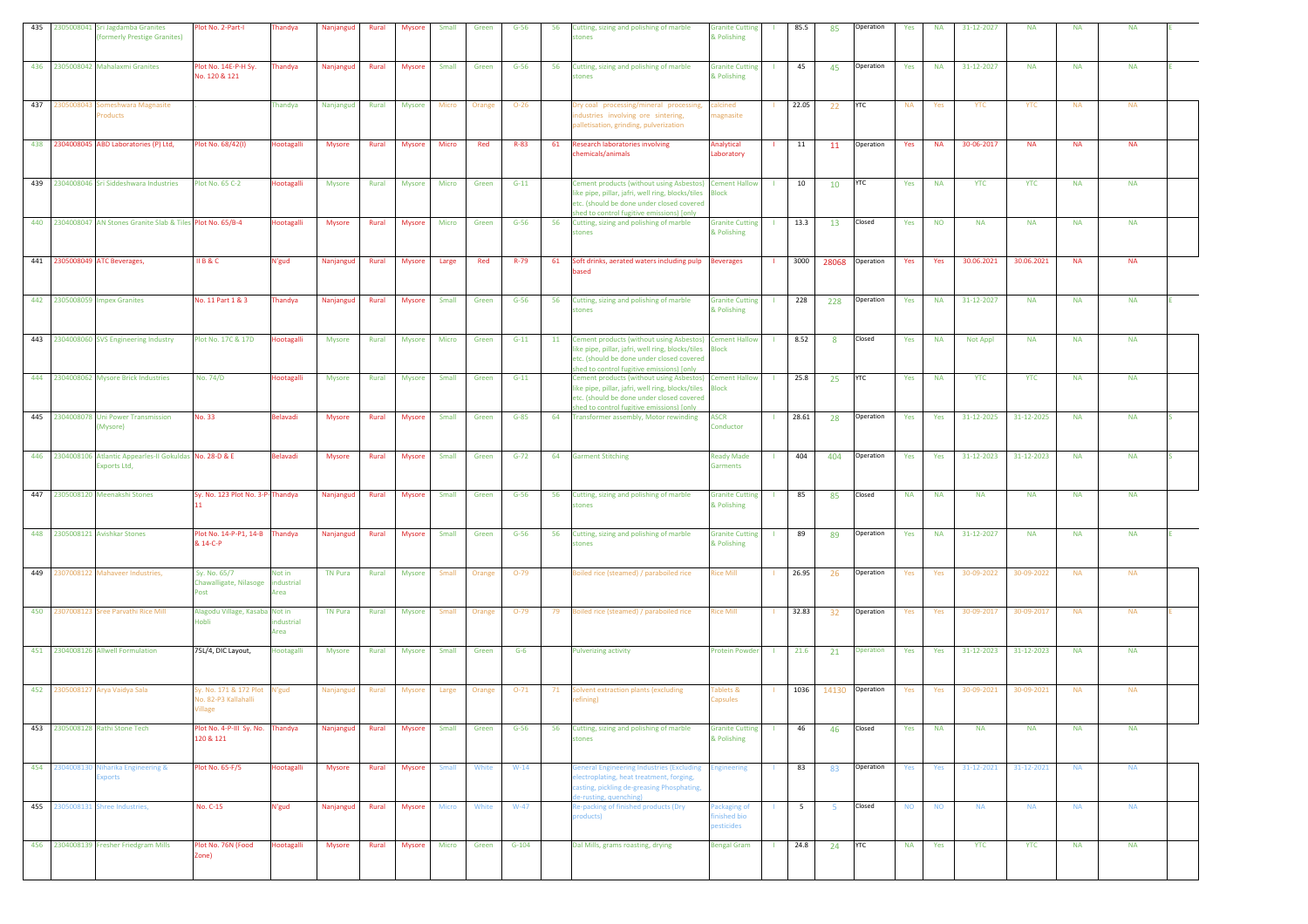|  | 435 2305008041 Sri Jagdamba Granites<br><b>formerly Prestige Granites)</b> | Plot No. 2-Part-I                                        | <b>Thandya</b>               | Nanjangud      | Rural | <b>Mysore</b> | Small        | Green  | $G-56$   | 56 | Cutting, sizing and polishing of marble<br><b>stones</b>                                                                                                                                                    | <b>Granite Cutting</b><br>& Polishing            |     | 85.5            | 85             | Operation  | Yes       | <b>NA</b> | 31-12-2027 | <b>NA</b>  | <b>NA</b> | <b>NA</b> |  |
|--|----------------------------------------------------------------------------|----------------------------------------------------------|------------------------------|----------------|-------|---------------|--------------|--------|----------|----|-------------------------------------------------------------------------------------------------------------------------------------------------------------------------------------------------------------|--------------------------------------------------|-----|-----------------|----------------|------------|-----------|-----------|------------|------------|-----------|-----------|--|
|  | 436 2305008042 Mahalaxmi Granites                                          | Plot No. 14E-P-H Sy.<br>No. 120 & 121                    | <b>handya</b>                | Nanjangud      | Rural | <b>Mysore</b> | Small        | Green  | $G-56$   | 56 | Cutting, sizing and polishing of marble<br>stones                                                                                                                                                           | <b>Granite Cutting</b><br>& Polishing            |     | 45              | 45             | Operation  | Yes       | <b>NA</b> | 31-12-2027 | <b>NA</b>  | <b>NA</b> | <b>NA</b> |  |
|  | 437 2305008043 Someshwara Magnasite<br>roducts                             |                                                          | Thandya                      | Nanjangud      | Rural | <b>Mysore</b> | Micro        | Orange | $O - 26$ |    | try coal processing/mineral processing,<br>idustries involving ore sintering,<br>valletisation, grinding, pulverization                                                                                     | calcined<br>nagnasite                            |     | 22.05           | 22             | <b>YTC</b> | <b>NA</b> | Yes       | <b>YTC</b> | <b>YTC</b> | <b>NA</b> | <b>NA</b> |  |
|  | 438 2304008045 ABD Laboratories (P) Ltd,                                   | Plot No. 68/42(I)                                        | Hootagalli                   | Mysore         | Rural | Mysore        | Micro        | Red    | $R-83$   | 61 | Research laboratories involving<br>hemicals/animals                                                                                                                                                         | Analytical<br>Laboratory                         |     | 11              | 11             | Operation  | Yes       | <b>NA</b> | 30-06-2017 | <b>NA</b>  | <b>NA</b> | <b>NA</b> |  |
|  | 439 2304008046 Sri Siddeshwara Industries                                  | Plot No. 65 C-2                                          | <b>Hootagalli</b>            | <b>Mysore</b>  | Rural | <b>Mysore</b> | Micro        | Green  | $G-11$   |    | Cement products (without using Asbestos) Cement Hallow<br>like pipe, pillar, jafri, well ring, blocks/tiles Block<br>etc. (should be done under closed covered<br>shed to control fugitive emissions) [only |                                                  |     | 10              | 10             | YTC        | Yes       | <b>NA</b> | <b>YTC</b> | <b>YTC</b> | <b>NA</b> | <b>NA</b> |  |
|  | 440 2304008047 AN Stones Granite Slab & Tiles Plot No. 65/B-4              |                                                          | Hootagalli                   | Mysore         | Rural | <b>Mysore</b> | Micro        | Green  | $G-56$   | 56 | Cutting, sizing and polishing of marble<br>tones                                                                                                                                                            | <b>Granite Cutting</b><br>& Polishing            |     | 13.3            | 13             | Closed     | Yes       | <b>NO</b> | <b>NA</b>  | <b>NA</b>  | <b>NA</b> | <b>NA</b> |  |
|  | 441 2305008049 ATC Beverages,                                              | <b>IIB&amp;C</b>                                         | N'gud                        | Nanjangud      | Rural | <b>Mysore</b> | Large        | Red    | R-79     | 61 | Soft drinks, aerated waters including pulp Beverages<br>based                                                                                                                                               |                                                  |     | 3000            | 28068          | Operation  | Yes       | Yes       | 30.06.2021 | 30.06.2021 | <b>NA</b> | <b>NA</b> |  |
|  | 442 2305008059 Impex Granites                                              | No. 11 Part 1 & 3                                        | <b>handya</b>                | Nanjangud      | Rural | Mysore        | Small        | Green  | $G-56$   | 56 | Cutting, sizing and polishing of marble<br>tones                                                                                                                                                            | <b>Granite Cutting</b><br>& Polishing            |     | 228             | 228            | Operation  | Yes       | <b>NA</b> | 31-12-2027 | <b>NA</b>  | <b>NA</b> | <b>NA</b> |  |
|  | 443 2304008060 SVS Engineering Industry                                    | Plot No. 17C & 17D                                       | <b>lootagalli</b>            | Mysore         | Rural | <b>Mysore</b> | Micro        | Green  | $G-11$   |    | 11 Cement products (without using Asbestos) Cement Hallow<br>like pipe, pillar, jafri, well ring, blocks/tiles<br>etc. (should be done under closed covered<br>shed to control fugitive emissions) [only    | <b>Block</b>                                     |     | 8.52            | $\mathbf{R}$   | Closed     | Yes       | <b>NA</b> | Not Appl   | <b>NA</b>  | <b>NA</b> | <b>NA</b> |  |
|  | 444 2304008062 Mysore Brick Industries                                     | No. 74/D                                                 | <b>lootagalli</b>            | <b>Mysore</b>  | Rural | Mysore        | Small        | Green  | $G-11$   |    | Cement products (without using Asbestos) Cement Hallow<br>like pipe, pillar, jafri, well ring, blocks/tiles Block<br>etc. (should be done under closed covered<br>hed to control fugitive emissions) [only  |                                                  | -11 | 25.8            | 25             | YTC        | Yes       | <b>NA</b> | <b>YTC</b> | <b>YTC</b> | <b>NA</b> | <b>NA</b> |  |
|  | 445 2304008078 Uni Power Transmission<br>(Mysore)                          | No. 33                                                   | Belavadi                     | <b>Mysore</b>  | Rural | Mysore        | Small        | Green  | $G-85$   | 64 | Transformer assembly, Motor rewinding                                                                                                                                                                       | <b>ASCR</b><br>Conductor                         |     | 28.61           | 28             | Operation  | Yes       | Yes       | 31-12-2025 | 31-12-2025 | <b>NA</b> | <b>NA</b> |  |
|  | 446 2304008106 Atlantic Appearles-II Gokuldas No. 28-D & E<br>Exports Ltd, |                                                          | <b>Belavadi</b>              | Mysore         | Rural | Mysore        | Small        | Green  | $G-72$   | 64 | <b>Garment Stitching</b>                                                                                                                                                                                    | <b>Ready Made</b><br><b>Garments</b>             |     | 404             | 404            | Operation  | Yes       | Yes       | 31-12-2023 | 31-12-2023 | <b>NA</b> | <b>NA</b> |  |
|  | 447 2305008120 Meenakshi Stones                                            | Sy. No. 123 Plot No. 3-P-Thandya                         |                              | Nanjangud      | Rural | <b>Mysore</b> | Small        | Green  | $G-56$   | 56 | Cutting, sizing and polishing of marble<br>stones                                                                                                                                                           | <b>Granite Cutting</b><br>& Polishing            |     | 85              | 85             | Closed     | <b>NA</b> | <b>NA</b> | <b>NA</b>  | <b>NA</b>  | <b>NA</b> | <b>NA</b> |  |
|  | 448 2305008121 Avishkar Stones                                             | Plot No. 14-P-P1, 14-B Thandya<br>& 14-C-P               |                              | Nanjangud      | Rural | Mysore        | Small        | Green  | $G-56$   | 56 | Cutting, sizing and polishing of marble<br>tones                                                                                                                                                            | <b>Granite Cutting</b><br>& Polishing            |     | 89              | 89             | Operation  | Yes       | <b>NA</b> | 31-12-2027 | <b>NA</b>  | <b>NA</b> | <b>NA</b> |  |
|  | 449 2307008122 Mahaveer Industries,                                        | Sy. No. 65/7<br>Chawalligate, Nilasoge<br>Post           | Not in<br>industrial<br>Area | <b>TN Pura</b> | Rural | Mysore        | Small        | Orange | $O-79$   |    | oiled rice (steamed) / paraboiled rice                                                                                                                                                                      | <b>Rice Mill</b>                                 |     | 26.95           | 26             | Operation  | Yes       | Yes       | 30-09-2022 | 30-09-2022 | <b>NA</b> | <b>NA</b> |  |
|  | 450 2307008123 Sree Parvathi Rice Mill                                     | Alagodu Village, Kasaba Not in<br>Hobli                  | industrial<br>Area           | <b>TN Pura</b> | Rural | <b>Mysore</b> | Small        | Orange | $O-79$   | 79 | Boiled rice (steamed) / paraboiled rice                                                                                                                                                                     | <b>Rice Mill</b>                                 |     | 32.83           | 32             | Operation  | Yes       | Yes       | 30-09-2017 | 30-09-2017 | <b>NA</b> | <b>NA</b> |  |
|  | 451 2304008126 Allwell Formulation                                         | 75L/4, DIC Layout,                                       | Hootagalli                   | <b>Mysore</b>  | Rural | <b>Mysore</b> | Small        | Green  | $G-6$    |    | <b>Pulverizing activity</b>                                                                                                                                                                                 | <b>Protein Powder</b>                            |     | 21.6            | 21             | Operation  | Yes       | Yes       | 31-12-2023 | 31-12-2023 | <b>NA</b> | <b>NA</b> |  |
|  | 452 2305008127 Arya Vaidya Sala                                            | v. No. 171 & 172 Plot<br>No. 82-P3 Kallahalli<br>/illage | V'gud                        | Nanjanguo      | Rural | Mysore        | Large        | Orange | $O-71$   | 71 | solvent extraction plants (excluding<br>efining)                                                                                                                                                            | Fablets &<br>Capsules                            |     | 1036            | 14130          | Operation  | Yes       | Yes       | 30-09-2021 | 30-09-2021 | <b>NA</b> | <b>NA</b> |  |
|  | 453 2305008128 Rathi Stone Tech                                            | Plot No. 4-P-III Sy. No.<br>120 & 121                    | Thandya                      | Nanjangud      | Rural | <b>Mysore</b> | Small        | Green  | $G-56$   | 56 | Cutting, sizing and polishing of marble<br>stones                                                                                                                                                           | <b>Granite Cutting</b><br>& Polishing            |     | 46              | 46             | Closed     | Yes       | <b>NA</b> | <b>NA</b>  | <b>NA</b>  | <b>NA</b> | <b>NA</b> |  |
|  | 454 2304008130 Niharika Engineering &<br><b>Exports</b>                    | Plot No. 65-F/5                                          | Hootagalli                   | <b>Mysore</b>  |       | Rural Mysore  | <b>Small</b> | White  | $W-14$   |    | eneral Engineering Industries (Excluding<br>lectroplating, heat treatment, forging,<br>casting, pickling de-greasing Phosphating,<br>e-rusting, quenching)                                                  | <b>Engineering</b>                               |     | 83              | 83             | Operation  | Yes       | Yes       | 31-12-2021 | 31-12-2021 | <b>NA</b> | <b>NA</b> |  |
|  | 455 2305008131 Shree Industries,                                           | No. C-15                                                 | N'gud                        | Nanjangud      | Rural | <b>Mysore</b> | <b>Micro</b> | White  | $W-47$   |    | Re-packing of finished products (Dry<br>products)                                                                                                                                                           | Packaging of<br>inished bio<br><b>pesticides</b> |     | $5\overline{5}$ | 5 <sup>5</sup> | Closed     | <b>NO</b> | <b>NO</b> | <b>NA</b>  | <b>NA</b>  | <b>NA</b> | <b>NA</b> |  |
|  | 456 2304008139 Fresher Friedgram Mills                                     | Plot No. 76N (Food<br>Zone)                              | Hootagalli                   | Mysore         | Rural | Mysore        | Micro        | Green  | $G-104$  |    | Dal Mills, grams roasting, drying                                                                                                                                                                           | <b>Bengal Gram</b>                               |     | 24.8            | 24             | <b>YTC</b> | <b>NA</b> | Yes       | <b>YTC</b> | <b>YTC</b> | <b>NA</b> | <b>NA</b> |  |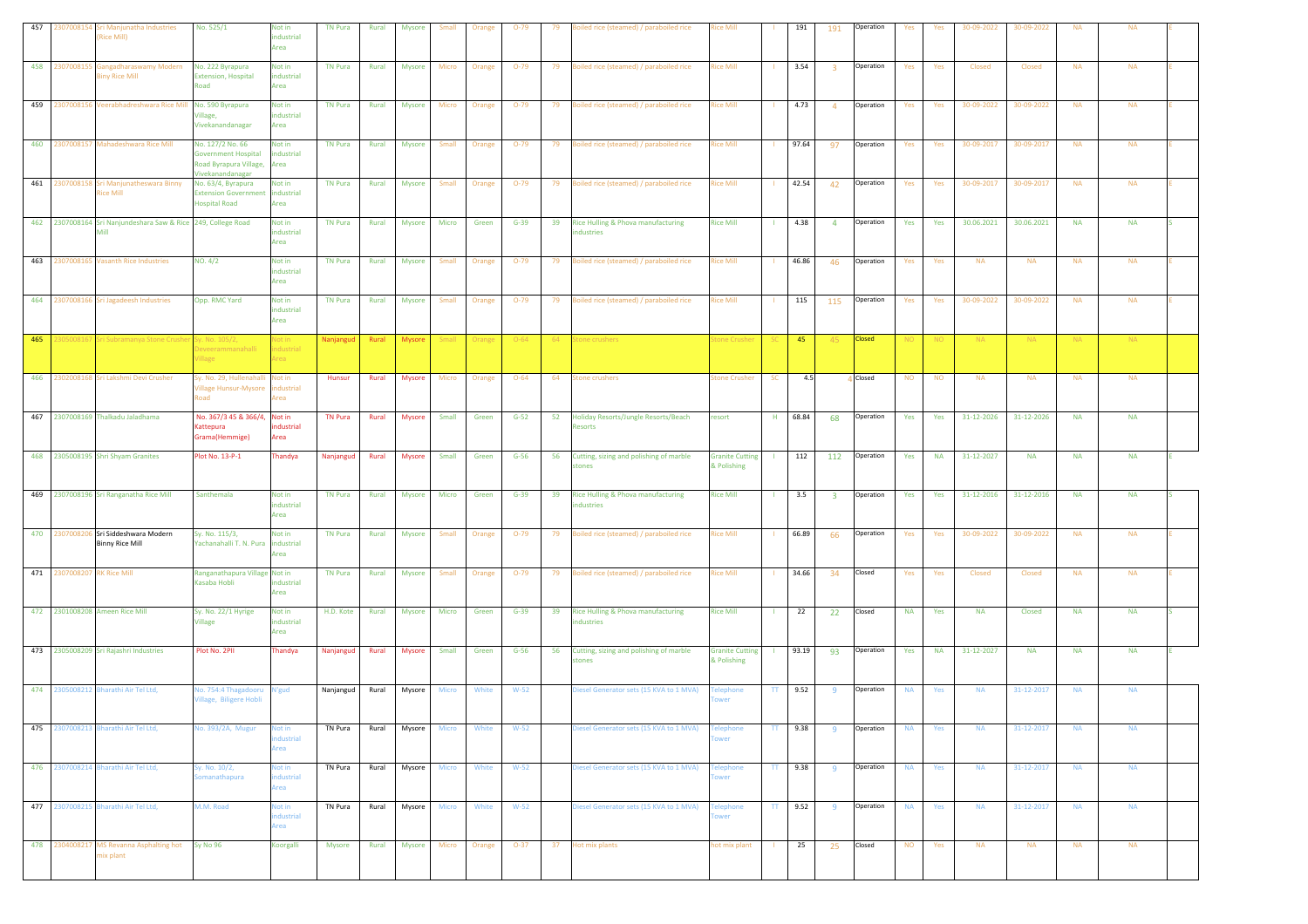| 457 | 230700815                   | ri Manjunatha Industries<br><b>Rice Mill)</b>                         | No. 525/1                                                                                     | Not in<br>ndustrial<br>Area        | <b>TN Pura</b>  | Rural | Mysore        | Small        | Orange | $O-79$   | 79 | oiled rice (steamed) / paraboiled rice            | <b>Rice Mill</b>                      |              | 191       | 191                     | Operation     | Yes       | Yes       | 30-09-2022 | 30-09-2022    | <b>NA</b> | <b>NA</b> |  |
|-----|-----------------------------|-----------------------------------------------------------------------|-----------------------------------------------------------------------------------------------|------------------------------------|-----------------|-------|---------------|--------------|--------|----------|----|---------------------------------------------------|---------------------------------------|--------------|-----------|-------------------------|---------------|-----------|-----------|------------|---------------|-----------|-----------|--|
| 458 | 230700815                   | Gangadharaswamy Modern<br><b>Biny Rice Mill</b>                       | No. 222 Byrapura<br><b>Extension, Hospital</b><br>Road                                        | Not in<br>industrial<br>Area       | <b>TN Pura</b>  | Rural | <b>Mysore</b> | Micro        | Orange | $O-79$   | 79 | Boiled rice (steamed) / paraboiled rice           | <b>Rice Mill</b>                      |              | 3.54      | $\overline{\mathbf{3}}$ | Operation     | Yes       | Yes       | Closed     | Closed        | <b>NA</b> | <b>NA</b> |  |
| 459 | 2307008156                  | Veerabhadreshwara Rice Mill No. 590 Byrapura                          | illage,<br>Vivekanandanagar                                                                   | Not in<br>ndustrial<br>Area        | <b>TN Pura</b>  | Rural | <b>Mysore</b> | Micro        | Orange | $O-79$   | 79 | Boiled rice (steamed) / paraboiled rice           | <b>Rice Mill</b>                      |              | 4.73      | $\overline{4}$          | Operation     | Yes       | Yes       | 30-09-2022 | 30-09-2022    | <b>NA</b> | <b>NA</b> |  |
|     |                             | 460 2307008157 Mahadeshwara Rice Mill                                 | No. 127/2 No. 66<br><b>Government Hospital</b><br>Road Byrapura Village,                      | Not in<br>ndustrial<br>Area        | <b>TN Pura</b>  | Rural | Mysore        | Small        | Orange | $O-79$   |    | 79 Boiled rice (steamed) / paraboiled rice        | <b>Rice Mill</b>                      |              | 97.64     | 97                      | Operation     | Yes       | Yes       | 30-09-2017 | 30-09-2017    | <b>NA</b> | <b>NA</b> |  |
|     | 461 2307008158              | Sri Manjunatheswara Binny<br>Rice Mill                                | Vivekanandanagar<br>No. 63/4, Byrapura<br><b>Extension Government</b><br><b>Hospital Road</b> | Not in<br>industrial<br>Area       | <b>TN Pura</b>  | Rural | <b>Mysore</b> | Small        | Orange | $O-79$   | 79 | Boiled rice (steamed) / paraboiled rice           | <b>Rice Mill</b>                      |              | 42.54     | 42                      | Operation     | Yes       | Yes       | 30-09-2017 | 30-09-2017    | <b>NA</b> | <b>NA</b> |  |
|     |                             | 462 2307008164 Sri Nanjundeshara Saw & Rice 249, College Road<br>Mill |                                                                                               | Not in<br>ndustrial<br>Area        | <b>TN Pura</b>  | Rural | Mysore        | Micro        | Green  | $G-39$   | 39 | Rice Hulling & Phova manufacturing<br>dustries    | <b>Rice Mill</b>                      |              | 4.38      | $\overline{4}$          | Operation     | Yes       | Yes       | 30.06.2021 | 30.06.2021    | <b>NA</b> | <b>NA</b> |  |
| 463 |                             | 2307008165 Vasanth Rice Industries                                    | NO. 4/2                                                                                       | Not in<br>industrial<br>Area       | <b>TN Pura</b>  | Rural | Mysore        | Small        | Orange | $O-79$   | 79 | Boiled rice (steamed) / paraboiled rice           | <b>Rice Mill</b>                      |              | 46.86     | 46                      | Operation     | Yes       | Yes       | <b>NA</b>  | <b>NA</b>     | <b>NA</b> | <b>NA</b> |  |
|     |                             | 464 2307008166 Sri Jagadeesh Industries                               | Opp. RMC Yard                                                                                 | Not in<br>industrial<br>Area       | <b>TN Pura</b>  | Rural | <b>Mysore</b> | Small        | Orange | $O-79$   | 79 | Boiled rice (steamed) / paraboiled rice           | <b>Rice Mill</b>                      |              | 115       | 115                     | Operation     | Yes       | Yes       | 30-09-2022 | 30-09-2022    | <b>NA</b> | <b>NA</b> |  |
| 465 | 230500816                   | Sri Subramanya Stone Cru                                              | iy. No. 105/2,<br>eveerami<br>'illage                                                         | Vot in<br>dustrial<br>rea          | Nanjangud Rural |       | Mysore        | Small        | Orange | $O - 64$ | 64 | Stone crushers                                    | tone Crushe                           |              | $-45$     | 45                      | <b>Closed</b> | NO.       | NO.       | NA.        | <b>NA</b>     | <b>NA</b> | <b>NA</b> |  |
|     |                             | 466 2302008168 Sri Lakshmi Devi Crusher                               | Sy. No. 29, Hullenahalli<br>Village Hunsur-Mysore<br>Road                                     | Not in<br>ndustrial<br>Area        | Hunsur          | Rural | <b>Mysore</b> | Micro        | Orange | $O - 64$ | 64 | <b>Stone crushers</b>                             | Stone Crusher                         | SC           | 4.5       |                         | Closed        | <b>NO</b> | <b>NO</b> | <b>NA</b>  | <b>NA</b>     | <b>NA</b> | <b>NA</b> |  |
|     |                             | 467 2307008169 Thalkadu Jaladhama                                     | No. 367/3 45 & 366/4, Not in<br>Kattepura<br>Grama(Hemmige)                                   | ndustrial<br>Area                  | <b>TN Pura</b>  | Rural | Mysore        | Small        | Green  | $G-52$   | 52 | Holiday Resorts/Jungle Resorts/Beach<br>Resorts   | resort                                | H            | 68.84     | 68                      | Operation     | Yes       | Yes       | 31-12-2026 | 31-12-2026    | <b>NA</b> | <b>NA</b> |  |
|     |                             | 468 2305008195 Shri Shyam Granites                                    | Plot No. 13-P-1                                                                               | Thandya                            | Nanjangud       | Rural | <b>Mysore</b> | Small        | Green  | $G-56$   | 56 | Cutting, sizing and polishing of marble<br>stones | <b>Granite Cutting</b><br>& Polishing |              | 112       | 112                     | Operation     | Yes       | <b>NA</b> | 31-12-2027 | <b>NA</b>     | <b>NA</b> | <b>NA</b> |  |
| 469 |                             | 2307008196 Sri Ranganatha Rice Mill                                   | Santhemala                                                                                    | Not in<br>industrial<br>Area       | <b>TN Pura</b>  | Rural | <b>Mysore</b> | Micro        | Green  | $G-39$   | 39 | Rice Hulling & Phova manufacturing<br>dustries    | <b>Rice Mill</b>                      |              | 3.5       | $\overline{\mathbf{3}}$ | Operation     | Yes       | Yes       | 31-12-2016 | 31-12-2016    | <b>NA</b> | <b>NA</b> |  |
|     |                             | 470 2307008206 Sri Siddeshwara Modern<br><b>Binny Rice Mill</b>       | Sy. No. 115/3,<br>Yachanahalli T. N. Pura industrial                                          | Not in<br>Area                     | TN Pura         | Rural | Mysore        | Small        | Orange | $O-79$   | 79 | Boiled rice (steamed) / paraboiled rice           | <b>Rice Mill</b>                      |              | 66.89     | 66                      | Operation     | Yes       | Yes       | 30-09-2022 | 30-09-2022    | <b>NA</b> | <b>NA</b> |  |
|     | 471 2307008207 RK Rice Mill |                                                                       | Ranganathapura Village Not in<br>Kasaba Hobli                                                 | ndustrial<br>Area                  | <b>TN Pura</b>  | Rural | Mysore        | Small        | Orange | $O-79$   |    | 79 Boiled rice (steamed) / paraboiled rice        | <b>Rice Mill</b>                      |              | 34.66     | 34                      | Closed        | Yes       | Yes       | Closed     | Closed        | <b>NA</b> | <b>NA</b> |  |
|     |                             | 472 2301008208 Ameen Rice Mill                                        | Sy. No. 22/1 Hyrige<br>Village                                                                | Not in<br>industrial<br>Area       | H.D. Kote       | Rural | <b>Mysore</b> | Micro        | Green  | $G-39$   | 39 | Rice Hulling & Phova manufacturing<br>dustries    | <b>Rice Mill</b>                      | $\mathbf{1}$ | 22        | 22                      | Closed        | <b>NA</b> | Yes       | <b>NA</b>  | <b>Closed</b> | <b>NA</b> | <b>NA</b> |  |
|     |                             | 473 2305008209 Sri Rajashri Industries                                | Plot No. 2PII                                                                                 | Thandya                            | Nanjangud       | Rural | <b>Mysore</b> | Small        | Green  | $G-56$   | 56 | Cutting, sizing and polishing of marble<br>tones  | <b>Granite Cutting</b><br>& Polishing |              | 93.19     | 93                      | Operation     | Yes       | <b>NA</b> | 31-12-2027 | <b>NA</b>     | <b>NA</b> | <b>NA</b> |  |
|     |                             | 474 2305008212 Bharathi Air Tel Ltd,                                  | Vo. 754:4 Thagadooru N'gud<br>/illage, Biligere Hobli                                         |                                    | Nanjangud       | Rural | Mysore        | <b>Micro</b> | White  | $W-52$   |    | Diesel Generator sets (15 KVA to 1 MVA)           | elephone<br>wer                       | TT.          | 9.52      | 9                       | Operation     | <b>NA</b> | Yes       | <b>NA</b>  | 31-12-2017    | <b>NA</b> | <b>NA</b> |  |
|     |                             | 475 2307008213 Bharathi Air Tel Ltd,                                  | No. 393/2A, Mugur                                                                             | Not in<br>dustrial<br>Area         | TN Pura         | Rural | Mysore        | <b>Micro</b> | White  | $W-52$   |    | liesel Generator sets (15 KVA to 1 MVA)           | <b>Telephone</b><br><b>ower</b>       | $\mathbf{H}$ | 9.38      | 9                       | Operation     | <b>NA</b> | Yes       | <b>NA</b>  | 31-12-2017    | <b>NA</b> | <b>NA</b> |  |
|     |                             | 476 2307008214 Bharathi Air Tel Ltd,                                  | iy. No. 10/2,<br>omanathapura                                                                 | <b>Not in</b><br>dustrial<br>rea   | TN Pura         | Rural | Mysore        | <b>Micro</b> | White  | $W-52$   |    | Diesel Generator sets (15 KVA to 1 MVA)           | <b>Felephone</b><br>wer               |              | $TT$ 9.38 | 9 <sup>1</sup>          | Operation     | <b>NA</b> | Yes       | <b>NA</b>  | 31-12-2017    | <b>NA</b> | <b>NA</b> |  |
|     |                             | 477 2307008215 Bharathi Air Tel Ltd,                                  | M.M. Road                                                                                     | <b>Not in</b><br>ndustrial<br>Area | TN Pura         | Rural | Mysore        | Micro        | White  | $W-52$   |    | Diesel Generator sets (15 KVA to 1 MVA)           | Telephone<br>wer                      | TT           | 9.52      | 9 <sup>1</sup>          | Operation     | <b>NA</b> | Yes       | <b>NA</b>  | 31-12-2017    | <b>NA</b> | <b>NA</b> |  |
|     |                             | 478 2304008217 MS Revanna Asphalting hot<br>mix plant                 | Sy No 96                                                                                      | Koorgalli                          | Mysore          | Rural | Mysore        | Micro        | Orange | $O-37$   |    | 37 Hot mix plants                                 | hot mix plant                         |              | 25        | 25                      | Closed        | <b>NO</b> | Yes       | <b>NA</b>  | <b>NA</b>     | <b>NA</b> | <b>NA</b> |  |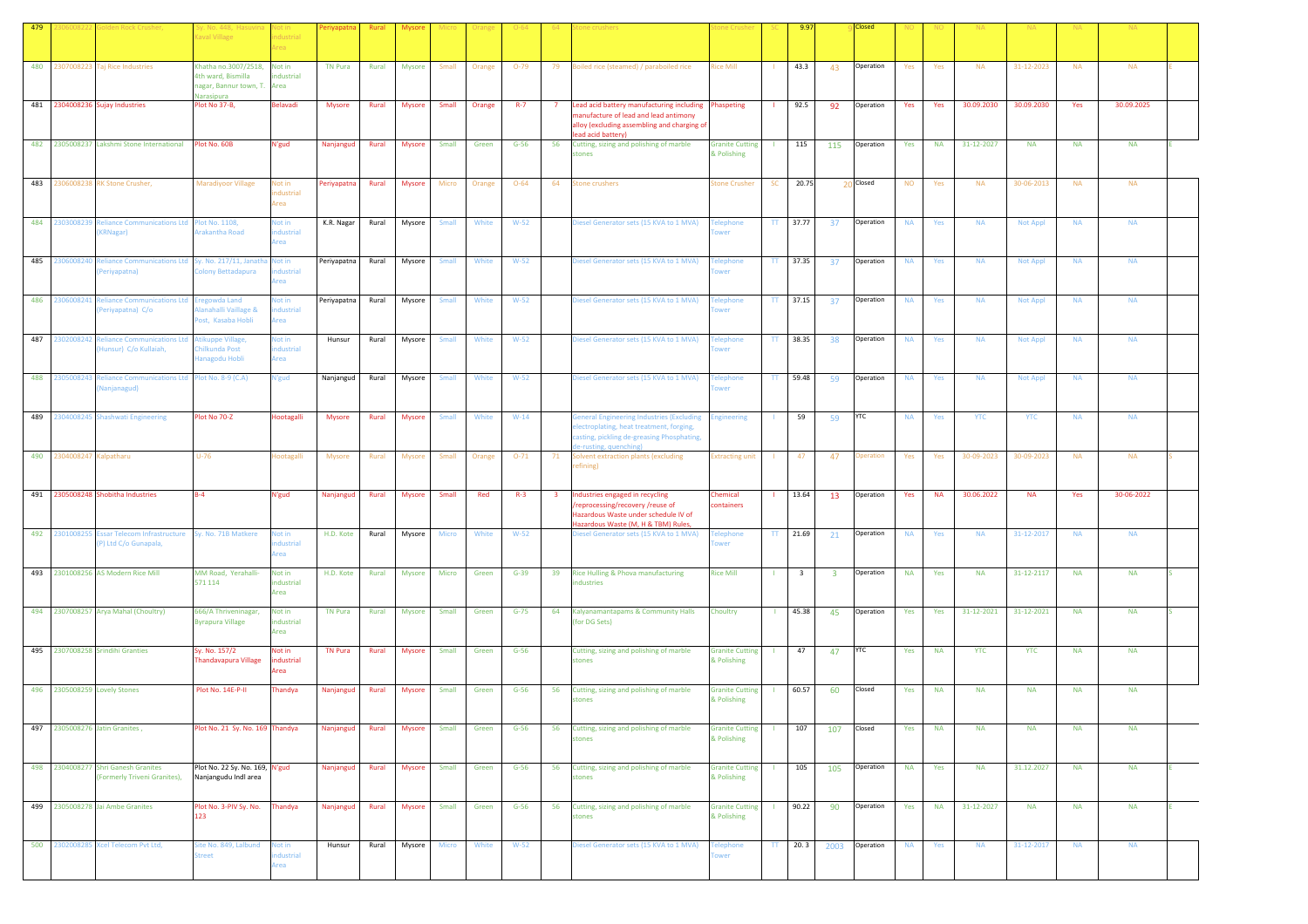| 479 |                | lden Rock Crusher                                                   | Sy. No. 448, Hasuvina<br><b>Caval Village</b>                                     | Not in<br>dustrial<br>rea          | Periyapatna    | Rural | <b>Mysore</b> |       |        |          |                                                                                                                                                                                  | one Crushe                            |              | 9.97                    |                         | Closed     |           |           |            |                 |           |            |  |
|-----|----------------|---------------------------------------------------------------------|-----------------------------------------------------------------------------------|------------------------------------|----------------|-------|---------------|-------|--------|----------|----------------------------------------------------------------------------------------------------------------------------------------------------------------------------------|---------------------------------------|--------------|-------------------------|-------------------------|------------|-----------|-----------|------------|-----------------|-----------|------------|--|
| 480 | 2307008223     | <b>Tai Rice Industries</b>                                          | Khatha no.3007/2518,<br>4th ward, Bismilla<br>agar, Bannur town, T.<br>Varasipura | Not in<br>industrial<br>Area       | <b>TN Pura</b> | Rural | Mysore        | Small | Orange | $O-79$   | 79 Boiled rice (steamed) / paraboiled rice                                                                                                                                       | Rice Mill                             |              | 43.3                    | 43                      | Operation  | Yes       | Yes       | <b>NA</b>  | 31-12-2023      | <b>NA</b> | <b>NA</b>  |  |
|     |                | 481 2304008236 Sujay Industries                                     | Plot No 37-B,                                                                     | Belavadi                           | <b>Mysore</b>  | Rural | Mysore        | Small | Orange | $R - 7$  | Lead acid battery manufacturing including Phaspeting<br>$7^{\circ}$<br>manufacture of lead and lead antimony<br>alloy (excluding assembling and charging of<br>ead acid battery) |                                       | $\mathbf{L}$ | 92.5                    | 92                      | Operation  | Yes       | Yes       | 30.09.2030 | 30.09.2030      | Yes       | 30.09.2025 |  |
|     |                | 482 2305008237 Lakshmi Stone International Plot No. 60B             |                                                                                   | N'gud                              | Nanjangud      | Rural | <b>Mysore</b> | Small | Green  | $G-56$   | 56<br>Cutting, sizing and polishing of marble<br>stones                                                                                                                          | <b>Granite Cutting</b><br>& Polishing | -11          | 115                     | 115                     | Operation  | Yes       | <b>NA</b> | 31-12-2027 | <b>NA</b>       | <b>NA</b> | <b>NA</b>  |  |
|     | 483 2306008238 | RK Stone Crusher,                                                   | <b>Maradiyoor Village</b>                                                         | Not in<br>ndustrial<br><b>rea</b>  | Periyapatna    | Rural | Mysore        | Micro | Orange | $O - 64$ | 64<br><b>Stone crushers</b>                                                                                                                                                      | <b>Stone Crusher</b>                  | SC           | 20.75                   |                         | 20 Closed  | <b>NO</b> | Yes       | <b>NA</b>  | 30-06-2013      | <b>NA</b> | <b>NA</b>  |  |
|     | 484 2303008239 | eliance Communications Ltd Plot No. 1108,<br>(RNagar)               | rakantha Road                                                                     | Not in<br>dustrial<br>Area         | K.R. Nagar     | Rural | Mysore        | Small | White  | $W-52$   | Diesel Generator sets (15 KVA to 1 MVA)                                                                                                                                          | <b>Telephone</b><br>wer               |              | TT 37.77                | 37                      | Operation  | <b>NA</b> | Yes       | <b>NA</b>  | Not Appl        | <b>NA</b> | <b>NA</b>  |  |
| 485 | 2306008240     | <b>Reliance Communications Ltd</b><br>Periyapatna)                  | Sy. No. 217/11, Janatha<br>olony Bettadapura                                      | Not in<br>industrial<br>Area       | Periyapatna    | Rural | Mysore        | Small | White  | $W-52$   | Diesel Generator sets (15 KVA to 1 MVA)                                                                                                                                          | <b>Telephone</b>                      | TT.          | 37.35                   | 37                      | Operation  | <b>NA</b> | Yes       | <b>NA</b>  | Not Appl        | <b>NA</b> | <b>NA</b>  |  |
|     | 486 2306008241 | eliance Communications Ltd<br>Periyapatna) C/o                      | regowda Land<br>lanahalli Vaillage &<br>ost, Kasaba Hobli                         | <b>Not in</b><br>dustrial<br>rea   | Periyapatna    | Rural | Mysore        | Small | White  | $W-52$   | Diesel Generator sets (15 KVA to 1 MVA)                                                                                                                                          | <b><i><u><b>Telephone</b></u></i></b> |              | TT 37.15                | 37                      | Operation  | <b>NA</b> | Yes       | <b>NA</b>  | <b>Not Appl</b> | <b>NA</b> | <b>NA</b>  |  |
|     | 487 2302008242 | eliance Communications Ltd<br>Hunsur) C/o Kullaiah,                 | tikuppe Village,<br>Chilkunda Post<br>lanagodu Hobli                              | <b>Not in</b><br>ndustrial<br>Area | Hunsur         | Rural | Mysore        | Small | White  | $W-52$   | Diesel Generator sets (15 KVA to 1 MVA)                                                                                                                                          | <b>Felephone</b><br>wer               | TT           | 38.35                   | 38                      | Operation  | <b>NA</b> | Yes       | <b>NA</b>  | <b>Not Appl</b> | <b>NA</b> | <b>NA</b>  |  |
|     |                | 488 2305008243 Reliance Communications Ltd<br>Nanjanagud)           | lot No. 8-9 (C.A)                                                                 | N'gud                              | Nanjangud      | Rural | Mysore        | Small | White  | $W-52$   | Diesel Generator sets (15 KVA to 1 MVA)                                                                                                                                          | <b>Telephone</b><br>ower              | $\Pi^-$      | 59.48                   | 59                      | Operation  | <b>NA</b> | Yes       | <b>NA</b>  | <b>Not Appl</b> | <b>NA</b> | <b>NA</b>  |  |
|     |                | 489 2304008245 Shashwati Engineering                                | Plot No 70-Z                                                                      | Hootagalli                         | <b>Mysore</b>  | Rural | <b>Mysore</b> | Small | White  | $W-14$   | General Engineering Industries (Excluding<br>lectroplating, heat treatment, forging,<br>asting, pickling de-greasing Phosphating,<br>e-rusting, quenching)                       | <b>Engineering</b>                    |              | 59                      | 59                      | <b>YTC</b> | <b>NA</b> | Yes       | <b>YTC</b> | <b>YTC</b>      | <b>NA</b> | <b>NA</b>  |  |
| 490 | 2304008247     | Kalpatharu                                                          | $U-76$                                                                            | lootagalli                         | Mysore         | Rural | Mysore        | Small | Orange | $O-71$   | Solvent extraction plants (excluding<br>71<br>efining)                                                                                                                           | <b>Extracting unit</b>                |              | 47                      | 47                      | peration   | Yes       | Yes       | 30-09-2023 | 30-09-2023      | <b>NA</b> | <b>NA</b>  |  |
|     |                | 491 2305008248 Shobitha Industries                                  | $B-4$                                                                             | N'gud                              | Nanjangud      | Rural | <b>Mysore</b> | Small | Red    | $R-3$    | Industries engaged in recycling<br>$\overline{\mathbf{3}}$<br>reprocessing/recovery /reuse of                                                                                    | Chemical<br>containers                |              | 13.64                   | 13                      | Operation  | Yes       | <b>NA</b> | 30.06.2022 | <b>NA</b>       | Yes       | 30-06-2022 |  |
|     |                |                                                                     |                                                                                   |                                    |                |       |               |       |        |          | Hazardous Waste under schedule IV of                                                                                                                                             |                                       |              |                         |                         |            |           |           |            |                 |           |            |  |
|     | 492 2301008255 | <b>Essar Telecom Infrastructure</b><br>P) Ltd C/o Gunapala,         | Sy. No. 71B Matkere                                                               | Not in<br>dustrial<br>rea          | H.D. Kote      | Rural | Mysore        | Micro | White  | $W-52$   | Hazardous Waste (M, H & TBM) Rules,<br>Diesel Generator sets (15 KVA to 1 MVA)                                                                                                   | elephone<br>wer                       |              | TT 21.69                | 21                      | Operation  | <b>NA</b> | Yes       | <b>NA</b>  | 31-12-2017      | <b>NA</b> | <b>NA</b>  |  |
|     |                | 493 2301008256 AS Modern Rice Mill                                  | MM Road, Yerahalli-<br>571 114                                                    | Not in<br>industrial<br>Area       | H.D. Kote      | Rural | Mysore        | Micro | Green  | $G-39$   | <b>Rice Hulling &amp; Phova manufacturing</b><br>39<br>ndustries                                                                                                                 | <b>Rice Mill</b>                      | $\mathbf{I}$ | $\overline{\mathbf{3}}$ | $\overline{\mathbf{3}}$ | Operation  | <b>NA</b> | Yes       | <b>NA</b>  | 31-12-2117      | <b>NA</b> | <b>NA</b>  |  |
|     |                | 494 2307008257 Arya Mahal (Choultry)                                | 666/A Thriveninagar,<br><b>Byrapura Village</b>                                   | Not in<br>industrial<br>Area       | <b>TN Pura</b> | Rural | Mysore        | Small | Green  | $G-75$   | 64<br>Kalyanamantapams & Community Halls<br>(for DG Sets)                                                                                                                        | Choultry                              |              | 45.38                   | 45                      | Operation  | Yes       | Yes       | 31-12-2021 | 31-12-2021      | <b>NA</b> | <b>NA</b>  |  |
|     |                | 495 2307008258 Srindihi Granties                                    | iy. No. 157/2<br>handavapura Village                                              | Not in<br>dustrial<br>Area         | <b>TN Pura</b> | Rural | <b>Mysore</b> | Small | Green  | $G-56$   | Cutting, sizing and polishing of marble<br>stones                                                                                                                                | <b>Granite Cutting</b><br>& Polishing |              | 47                      | 47                      | <b>YTC</b> | Yes       | <b>NA</b> | <b>YTC</b> | <b>YTC</b>      | <b>NA</b> | <b>NA</b>  |  |
|     |                | 496 2305008259 Lovely Stones                                        | Plot No. 14E-P-II                                                                 | Thandya                            | Nanjangud      | Rural | <b>Mysore</b> | Small | Green  | $G-56$   | Cutting, sizing and polishing of marble<br>56<br>stones                                                                                                                          | <b>Granite Cutting</b><br>& Polishing |              | 60.57                   | 60                      | Closed     | Yes       | <b>NA</b> | <b>NA</b>  | <b>NA</b>       | <b>NA</b> | <b>NA</b>  |  |
|     |                | 497 2305008276 Jatin Granites,                                      | Plot No. 21 Sy. No. 169 Thandya                                                   |                                    | Nanjangud      | Rural | Mysore        | Small | Green  | $G-56$   | Cutting, sizing and polishing of marble<br>56<br>tones                                                                                                                           | <b>Granite Cutting</b><br>& Polishing | $\mathbf{L}$ | 107                     | 107                     | Closed     | Yes       | <b>NA</b> | <b>NA</b>  | <b>NA</b>       | <b>NA</b> | <b>NA</b>  |  |
|     |                | 498 2304008277 Shri Ganesh Granites<br>(Formerly Triveni Granites), | Plot No. 22 Sy. No. 169, N'gud<br>Nanjangudu Indl area                            |                                    | Nanjangud      | Rural | Mysore        | Small | Green  | $G-56$   | Cutting, sizing and polishing of marble<br>56<br>stones                                                                                                                          | <b>Granite Cutting</b><br>& Polishing | -11          | 105                     | 105                     | Operation  | <b>NA</b> | Yes       | <b>NA</b>  | 31.12.2027      | <b>NA</b> | <b>NA</b>  |  |
|     |                | 499 2305008278 Jai Ambe Granites                                    | Plot No. 3-PIV Sy. No.<br>$123 -$                                                 | Thandya                            | Nanjangud      | Rural | Mysore        | Small | Green  | $G-56$   | 56<br>Cutting, sizing and polishing of marble<br>stones                                                                                                                          | <b>Granite Cutting</b><br>& Polishing |              | 90.22                   | 90                      | Operation  | Yes       | <b>NA</b> | 31-12-2027 | <b>NA</b>       | <b>NA</b> | <b>NA</b>  |  |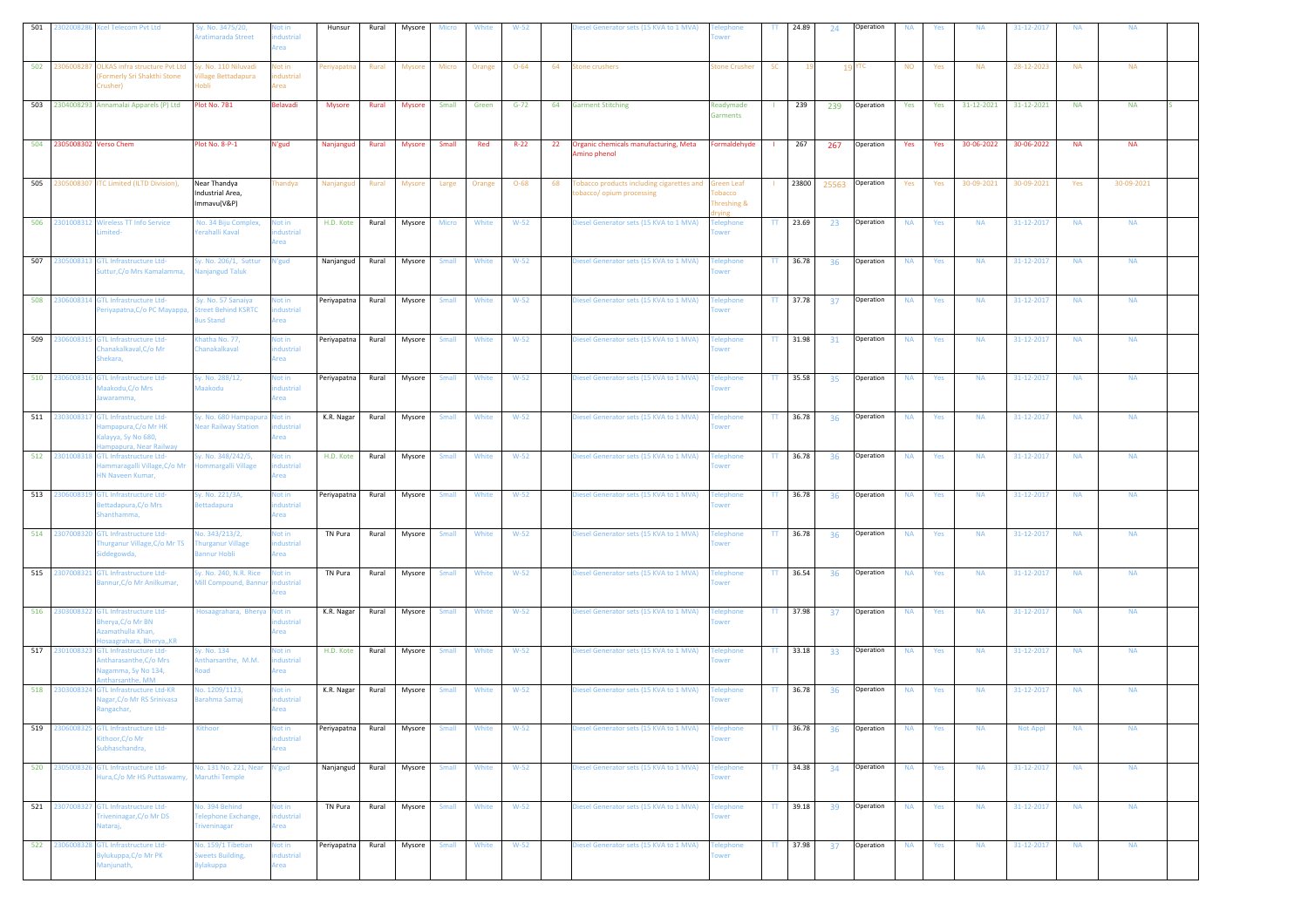| 501 |                           | 2302008286 Xcel Telecom Pvt Ltd                                                                      | iy. No. 3475/20,<br>ratimarada Street                        | lot in<br>dustrial<br>Area        | Hunsur        | Rural | Mysore        | Micro        | White  | $W-52$   |    | iesel Generator sets (15 KVA to 1 MVA)                               | lephone<br>wer                                      | $\mathbf{H}$ | 24.89      | 24  | Operation       | <b>NA</b> | Yes | <b>NA</b>  | 31-12-2017      | <b>NA</b> | <b>NA</b>  |  |
|-----|---------------------------|------------------------------------------------------------------------------------------------------|--------------------------------------------------------------|-----------------------------------|---------------|-------|---------------|--------------|--------|----------|----|----------------------------------------------------------------------|-----------------------------------------------------|--------------|------------|-----|-----------------|-----------|-----|------------|-----------------|-----------|------------|--|
| 502 | 230600828                 | <b>OLKAS infra structure Pvt Ltd</b><br>Formerly Sri Shakthi Stone<br>Crusher)                       | y. No. 110 Niluvadi<br>illage Bettadapura<br>ildof           | Not in<br>ndustrial<br>Area       | 'eriyapatn    | Rural | Mysor         | Micro        | Orange | $O - 64$ | 64 | tone crushers                                                        | tone Crusher                                        | SC           |            |     | 19 YTC          | <b>NO</b> | Yes | <b>NA</b>  | 28-12-2023      | <b>NA</b> | <b>NA</b>  |  |
|     |                           | 503 2304008293 Annamalai Apparels (P) Ltd                                                            | Plot No. 7B1                                                 | Belavadi                          | <b>Mysore</b> | Rural | <b>Mysore</b> | Small        | Green  | $G-72$   | 64 | <b>Garment Stitching</b>                                             | Readymade<br>iarments                               |              | 239        | 239 | Operation       | Yes       | Yes | 31-12-2021 | 31-12-2021      | <b>NA</b> | <b>NA</b>  |  |
|     | 504 2305008302 Verso Chem |                                                                                                      | Plot No. 8-P-1                                               | N'gud                             | Nanjangud     | Rural | Mysore        | Small        | Red    | $R-22$   | 22 | Organic chemicals manufacturing, Meta<br>Amino phenol                | ormaldehyde                                         |              | 267        | 267 | Operation       | Yes       | Yes | 30-06-2022 | 30-06-2022      | <b>NA</b> | <b>NA</b>  |  |
|     | 505 2305008307            | <b>ITC Limited (ILTD Division),</b>                                                                  | Near Thandya<br>Industrial Area,<br>Immavu(V&P)              | Thandya                           | Nanjanguo     | Rural | Mysore        | Large        | Orange | $O-68$   | 68 | obacco products including cigarettes and<br>obacco/ opium processing | <b>Green Leaf</b><br>obacco<br>Threshing &<br>rving |              | 23800      |     | 25563 Operation | Yes       | Yes | 30-09-2021 | 30-09-2021      | Yes       | 30-09-2021 |  |
|     | 506 2301008312            | <b>Wireless TT Info Service</b>                                                                      | No. 34 Biju Complex,<br>erahalli Kaval                       | Not in<br>dustrial<br>rea         | H.D. Kote     | Rural | Mysore        | Micro        | White  | $W-52$   |    | Diesel Generator sets (15 KVA to 1 MVA)                              | elephone<br>wer                                     |              | TT 23.69   | 23  | Operation       | <b>NA</b> | Yes | <b>NA</b>  | 31-12-2017      | <b>NA</b> | <b>NA</b>  |  |
|     | 507 2305008313            | <b>GTL Infrastructure Ltd-</b><br>Suttur, C/o Mrs Kamalamma,                                         | y. No. 206/1, Suttur<br>lanjangud Taluk                      | V'gud                             | Nanjangud     | Rural | Mysore        | Small        | White  | $W-52$   |    | iesel Generator sets (15 KVA to 1 MVA)                               | elephone<br>wer                                     | TT.          | 36.78      | 36  | Operation       | <b>NA</b> | Yes | <b>NA</b>  | 31-12-2017      | <b>NA</b> | <b>NA</b>  |  |
|     |                           | 508 2306008314 GTL Infrastructure Ltd-<br>Periyapatna, C/o PC Mayappa,                               | Sy. No. 57 Sanaiya<br>treet Behind KSRTC<br><b>Bus Stand</b> | <b>Not in</b><br>dustrial<br>Area | Periyapatna   | Rural | Mysore        | <b>Small</b> | White  | $W-52$   |    | iesel Generator sets (15 KVA to 1 MVA)                               | elephone<br>wer                                     | TT.          | 37.78      | 37  | Operation       | <b>NA</b> | Yes | <b>NA</b>  | 31-12-2017      | <b>NA</b> | <b>NA</b>  |  |
|     | 509 2306008315            | GTL Infrastructure Ltd-<br>hanakalkaval, C/o Mr<br>hekara,                                           | hatha No. 77,<br>hanakalkaval                                | Vot in<br>dustrial<br>Area        | Periyapatna   | Rural | Mysore        | Small        | White  | $W-52$   |    | liesel Generator sets (15 KVA to 1 MVA)                              | elephone<br>wer                                     | $\Pi$        | 31.98      | 31  | Operation       | <b>NA</b> | Yes | <b>NA</b>  | 31-12-2017      | <b>NA</b> | <b>NA</b>  |  |
| 510 | 2306008316                | <b>GTL Infrastructure Ltd-</b><br>Maakodu, C/o Mrs<br>lawaramma,                                     | iy. No. 288/12,<br>Maakodu                                   | Vot in<br>ndustrial<br>Area       | Periyapatna   | Rural | Mysore        | Small        | White  | $W-52$   |    | Diesel Generator sets (15 KVA to 1 MVA)                              | elephone<br>wer                                     | TT.          | 35.58      | 35  | Operation       | <b>NA</b> | Yes | <b>NA</b>  | 31-12-2017      | <b>NA</b> | <b>NA</b>  |  |
|     | 511 2303008317            | <b>GTL Infrastructure Ltd-</b><br>ampapura, C/o Mr HK<br>alayya, Sy No 680,<br>npapura, Near Railway | Sy. No. 680 Hampapu<br><b>Jear Railway Station</b>           | Not in<br>dustrial<br>rea         | K.R. Nagar    | Rural | Mysore        | Small        | White  | $W-52$   |    | Diesel Generator sets (15 KVA to 1 MVA)                              | elephone<br>wer                                     | TT.          | 36.78      | 36  | Operation       | <b>NA</b> | Yes | <b>NA</b>  | 31-12-2017      | <b>NA</b> | <b>NA</b>  |  |
|     |                           | 512 2301008318 GTL Infrastructure Ltd-<br>mmaragalli Village, C/o Mr<br>HN Naveen Kumar,             | y. No. 348/242/5,<br>ommargalli Village                      | Not in<br>dustrial<br>Area        | H.D. Kote     | Rural | Mysore        | Small        | White  | $W-52$   |    | iesel Generator sets (15 KVA to 1 MVA)                               | elephone<br>wer                                     | $\Pi$        | 36.78      | 36  | Operation       | <b>NA</b> | Yes | <b>NA</b>  | 31-12-2017      | <b>NA</b> | <b>NA</b>  |  |
| 513 | 2306008319                | <b>GTL Infrastructure Ltd-</b><br>Bettadapura, C/o Mrs<br>Shanthamma,                                | šy. No. 221/3A,<br><b>Bettadapura</b>                        | Not in<br>ndustrial<br>Area       | Periyapatna   | Rural | Mysore        | Small        | White  | $W-52$   |    | liesel Generator sets (15 KVA to 1 MVA)                              | elephone<br>wer                                     | TT.          | 36.78      | 36  | Operation       | <b>NA</b> | Yes | <b>NA</b>  | 31-12-2017      | <b>NA</b> | <b>NA</b>  |  |
| 514 | 2307008320                | <b>GTL Infrastructure Ltd-</b><br>hurganur Village, C/o Mr TS<br>iddegowda,                          | lo. 343/213/2,<br>hurganur Village<br>annur Hobli            | Not in<br>ndustrial<br>rea        | TN Pura       | Rural | Mysore        | Small        | White  | $W-52$   |    | liesel Generator sets (15 KVA to 1 MVA)                              | elephone<br>wer                                     | TT           | 36.78      | 36  | Operation       | <b>NA</b> | Yes | <b>NA</b>  | 31-12-2017      | <b>NA</b> | <b>NA</b>  |  |
|     |                           | 515 2307008321 GTL Infrastructure Ltd-<br>annur, C/o Mr Anilkumar,                                   | y. No. 240, N.R. Rice<br><b>Aill Compound, Bannur</b>        | Not in<br>ndustrial<br>rea        | TN Pura       | Rural | Mysore        | Small        | White  | $W-52$   |    | iesel Generator sets (15 KVA to 1 MVA)                               | elephone<br>wer                                     |              | TT 36.54   | 36  | Operation       | <b>NA</b> | Yes | <b>NA</b>  | 31-12-2017      | <b>NA</b> | <b>NA</b>  |  |
|     | 516 2303008322            | <b>GTL Infrastructure Ltd-</b><br>Bherya, C/o Mr BN<br>Azamathulla Khan,<br>osaagrahara, Bherya,, KR | losaagrahara, Bherya                                         | Not in<br>dustrial<br>Area        | K.R. Nagar    | Rural | Mysore        | <b>Small</b> | White  | $W-52$   |    | Diesel Generator sets (15 KVA to 1 MVA)                              | elephone<br>wer                                     | TT.          | 37.98      | 37  | Operation       | <b>NA</b> | Yes | <b>NA</b>  | 31-12-2017      | <b>NA</b> | <b>NA</b>  |  |
|     | 517 2301008323            | <b>GTL Infrastructure Ltd-</b><br>ntharasanthe, C/o Mrs<br>agamma, Sy No 134,<br>tharsanthe, MM      | y. No. 134<br>ntharsanthe, M.M.<br>bso                       | Not in<br>dustrial<br>rea         | H.D. Kote     | Rural | Mysore        | Small        | White  | $W-52$   |    | Diesel Generator sets (15 KVA to 1 MVA)                              | elephone<br>wer                                     |              | $TT$ 33.18 | 33  | Operation       | <b>NA</b> | Yes | <b>NA</b>  | 31-12-2017      | <b>NA</b> | <b>NA</b>  |  |
|     |                           | 518 2303008324 GTL Infrastructure Ltd-KR<br>Nagar, C/o Mr RS Srinivasa<br>Rangachar,                 | lo. 1209/1123,<br>Barahma Samaj                              | Not in<br>dustrial<br>Area        | K.R. Nagar    | Rural | Mysore        | Small        | White  | $W-52$   |    | iesel Generator sets (15 KVA to 1 MVA)                               | elephone<br>wer                                     | TT.          | 36.78      | 36  | Operation       | <b>NA</b> | Yes | <b>NA</b>  | 31-12-2017      | <b>NA</b> | <b>NA</b>  |  |
| 519 | 2306008325                | <b>GTL Infrastructure Ltd-</b><br>Gthoor, C/o Mr<br>ubhaschandra,                                    | <b>Cithoor</b>                                               | Not in<br>ndustrial<br>Area       | Periyapatna   | Rural | Mysore        | Small        | White  | $W-52$   |    | iesel Generator sets (15 KVA to 1 MVA)                               | elephone<br>wer                                     | $\mathbf{H}$ | 36.78      | 36  | Operation       | <b>NA</b> | Yes | <b>NA</b>  | <b>Not Appl</b> | <b>NA</b> | <b>NA</b>  |  |
|     | 520 2305008326            | GTL Infrastructure Ltd-<br>lura, C/o Mr HS Puttaswamy,                                               | lo. 131 No. 221, Near<br><b>Maruthi Temple</b>               | N'gud                             | Nanjangud     | Rural | Mysore        | <b>Small</b> | White  | $W-52$   |    | Diesel Generator sets (15 KVA to 1 MVA)                              | elephone<br>wer                                     |              | TT 34.38   | 34  | Operation       | <b>NA</b> | Yes | <b>NA</b>  | 31-12-2017      | <b>NA</b> | <b>NA</b>  |  |
|     | 521 2307008327            | <b>GTL Infrastructure Ltd-</b><br>riveninagar, C/o Mr DS<br>Vataraj,                                 | lo. 394 Behind<br>Felephone Exchange,<br><b>riveninagar</b>  | Not in<br>ndustrial<br>Area       | TN Pura       | Rural | Mysore        | <b>Small</b> | White  | $W-52$   |    | Diesel Generator sets (15 KVA to 1 MVA)                              | elephone<br>wer                                     | $\Pi$        | 39.18      | 39  | Operation       | <b>NA</b> | Yes | <b>NA</b>  | 31-12-2017      | <b>NA</b> | <b>NA</b>  |  |
|     | 522 2306008328            | <b>GTL Infrastructure Ltd-</b><br>3ylukuppa,C/o Mr PK<br>Manjunath,                                  | No. 159/1 Tibetian<br>weets Building,<br>ylakuppa            | Not in<br>ndustrial<br>Area       | Periyapatna   | Rural | Mysore        | Small        | White  | $W-52$   |    | Diesel Generator sets (15 KVA to 1 MVA)                              | elephone<br>ower                                    |              | TT 37.98   | 37  | Operation       | <b>NA</b> | Yes | <b>NA</b>  | 31-12-2017      | <b>NA</b> | <b>NA</b>  |  |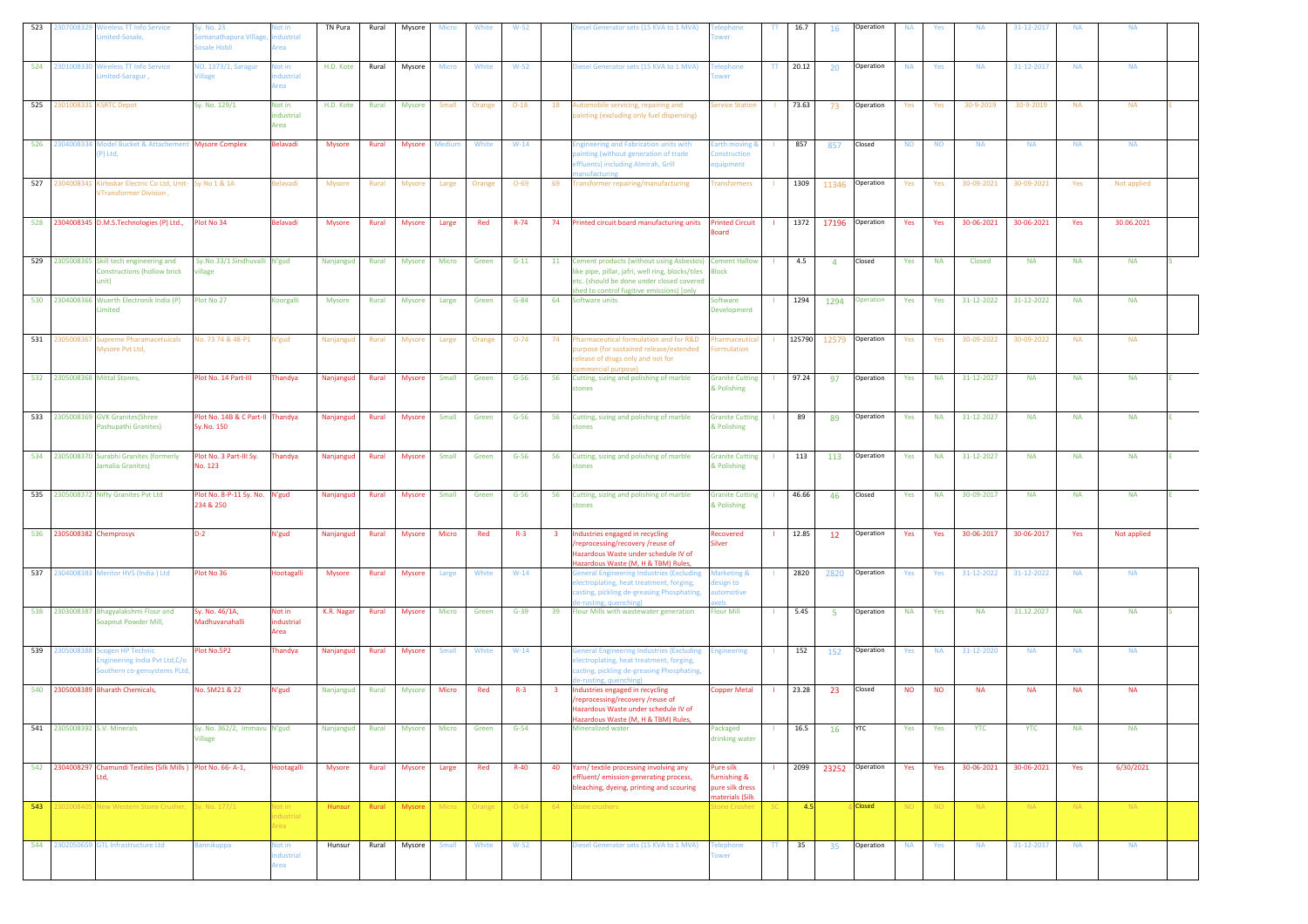| 523 | 2307008329                    | <b>Vireless TT Info Service</b><br>mited-Sosale,                                         | y. No. 23<br>omanathapura Village,<br>osale Hobli | lot in<br>dustrial<br>rea    | TN Pura         | Rural | Mysore        | Micro  | White  | $W-52$   |                         | liesel Generator sets (15 KVA to 1 MVA)                                                                                                                                                                  | lephone<br>wer                              | TT  | 16.7   | 16                   | Operation       | <b>NA</b>       | Yes             | <b>NA</b>  | 31-12-2017 | <b>NA</b> | <b>NA</b>   |  |
|-----|-------------------------------|------------------------------------------------------------------------------------------|---------------------------------------------------|------------------------------|-----------------|-------|---------------|--------|--------|----------|-------------------------|----------------------------------------------------------------------------------------------------------------------------------------------------------------------------------------------------------|---------------------------------------------|-----|--------|----------------------|-----------------|-----------------|-----------------|------------|------------|-----------|-------------|--|
| 524 | 2301008330                    | <b>Wireless TT Info Service</b><br>mited-Saragur,                                        | <b>10. 1373/1, Saragur</b><br>illage              | lot in<br>dustrial<br>Area   | H.D. Kote       | Rural | Mysore        | Micro  | White  | $W-52$   |                         | Diesel Generator sets (15 KVA to 1 MVA)                                                                                                                                                                  | elephone<br>wer                             | TT. | 20.12  | -20                  | Operation       | <b>NA</b>       | Yes             | <b>NA</b>  | 31-12-2017 | <b>NA</b> | <b>NA</b>   |  |
|     | 525 2301008331 KSRTC Depot    |                                                                                          | Sy. No. 129/1                                     | Not in<br>industrial<br>Area | H.D. Kote       | Rural | <b>Mysore</b> | Small  | Orange | $O-18$   | 18                      | Automobile servicing, repairing and<br>painting (excluding only fuel dispensing)                                                                                                                         | ervice Station                              |     | 73.63  | 73                   | Operation       | Yes             | Yes             | 30-9-2019  | 30-9-2019  | <b>NA</b> | <b>NA</b>   |  |
|     |                               | 526 2304008334 Model Bucket & Attachement Mysore Complex<br>P) Ltd,                      |                                                   | Belavadi                     | <b>Mysore</b>   | Rural | <b>Mysore</b> | Medium | White  | $W-14$   |                         | ingineering and Fabrication units with<br>ainting (without generation of trade<br>ffluents) including Almirah, Grill<br><b>anufacturing</b>                                                              | irth moving &<br>onstruction<br>quipment    |     | 857    | 857                  | Closed          | <b>NO</b>       | <b>NO</b>       | <b>NA</b>  | <b>NA</b>  | <b>NA</b> | <b>NA</b>   |  |
|     | 527 2304008341                | Kirloskar Electric Co Ltd, Unit- Sy No 1 & 1A<br>VTransformer Division,                  |                                                   | Belavadi                     | Mysore          | Rural | <b>Mysore</b> | Large  | Orange | $O - 69$ | 69                      | Transformer repairing/manufacturing                                                                                                                                                                      | <b>Transformers</b>                         |     | 1309   |                      | 11346 Operation | Yes             | Yes             | 30-09-2021 | 30-09-2021 | Yes       | Not applied |  |
|     |                               | 528 2304008345 D.M.S.Technologies (P) Ltd.,                                              | Plot No 34                                        | Belavadi                     | <b>Mysore</b>   | Rural | Mysore        | Large  | Red    | $R - 74$ | 74                      | Printed circuit board manufacturing units                                                                                                                                                                | <b>Printed Circuit</b><br>baard             |     | 1372   | 17196                | Operation       | Yes             | Yes             | 30-06-2021 | 30-06-2021 | Yes       | 30.06.2021  |  |
|     |                               | 529 2305008365 Skill tech engineering and<br><b>Constructions (hollow brick</b><br>unit) | Sy.No.33/1 Sindhuvalli N'gud<br>illage            |                              | Nanjangud Rural |       | <b>Mysore</b> | Micro  | Green  | $G-11$   |                         | 11 Cement products (without using Asbestos) Cement Hallow<br>like pipe, pillar, jafri, well ring, blocks/tiles<br>etc. (should be done under closed covered<br>shed to control fugitive emissions) [only | <b>Block</b>                                |     | 4.5    | $\overline{4}$       | Closed          | Yes             | <b>NA</b>       | Closed     | <b>NA</b>  | <b>NA</b> | <b>NA</b>   |  |
|     |                               | 530 2304008366 Wuerth Electronik India (P)<br>Limited                                    | Plot No 27                                        | Koorgalli                    | Mysore          | Rural | <b>Mysore</b> | Large  | Green  | $G-84$   | 64                      | Software units                                                                                                                                                                                           | Software<br>Development                     |     | 1294   | 1294                 | Operation       | Yes             | Yes             | 31-12-2022 | 31-12-2022 | <b>NA</b> | <b>NA</b>   |  |
|     |                               | 531 2305008367 Supreme Pharamacetuicals<br>Mysore Pvt Ltd,                               | No. 73 74 & 48-P1                                 | N'gud                        | Nanjangud       | Rural | Mysore        | Large  | Orange | $O-74$   | 74                      | Pharmaceutical formulation and for R&D<br>urpose (for sustained release/extended<br>release of drugs only and not for                                                                                    | harmaceutic<br><b>prmulation</b>            |     | 125790 |                      | 12579 Operation | Yes             | Yes             | 30-09-2022 | 30-09-2022 | <b>NA</b> | <b>NA</b>   |  |
|     | 532 2305008368 Mittal Stones. |                                                                                          | Plot No. 14 Part-III                              | Thandya                      | Nanjangud       | Rural | Mysore        | Small  | Green  | $G-56$   | 56                      | mmercial purpose)<br>Cutting, sizing and polishing of marble<br>stones                                                                                                                                   | <b>Granite Cutting</b><br>& Polishing       |     | 97.24  | 97                   | Operation       | Yes             | <b>NA</b>       | 31-12-2027 | <b>NA</b>  | <b>NA</b> | <b>NA</b>   |  |
|     |                               | 533 2305008369 GVK Granites(Shree<br>Pashupathi Granites)                                | Plot No. 14B & C Part-II Thandya<br>Sy.No. 150    |                              | Nanjangud       | Rural | <b>Mysore</b> | Small  | Green  | $G-56$   | 56                      | Cutting, sizing and polishing of marble<br>stones                                                                                                                                                        | <b>Granite Cutting</b><br>& Polishing       |     | 89     | 89                   | Operation       | Yes             | <b>NA</b>       | 31-12-2027 | <b>NA</b>  | <b>NA</b> | <b>NA</b>   |  |
|     |                               | 534 2305008370 Surabhi Granites (formerly<br>lamalia Granites)                           | Plot No. 3 Part-III Sy.<br>No. 123                | Thandya                      | Nanjangud       | Rural | Mysore        | Small  | Green  | $G-56$   | 56                      | Cutting, sizing and polishing of marble<br>tones                                                                                                                                                         | <b>Granite Cutting</b><br>& Polishing       |     | 113    | 113                  | Operation       | Yes             | <b>NA</b>       | 31-12-2027 | <b>NA</b>  | <b>NA</b> | <b>NA</b>   |  |
|     |                               |                                                                                          |                                                   |                              |                 |       |               |        | Green  |          |                         |                                                                                                                                                                                                          |                                             |     | 46.66  | 46                   | Closed          |                 |                 |            |            |           |             |  |
|     |                               | 535 2305008372 Nifty Granites Pvt Ltd                                                    | Plot No. 8-P-11 Sy. No. N'gud<br>234 & 250        |                              | Nanjangud       | Rural | <b>Mysore</b> | Small  |        | $G-56$   | 56                      | Cutting, sizing and polishing of marble<br>stones                                                                                                                                                        | <b>Granite Cutting</b><br>& Polishing       |     |        |                      |                 | Yes             | <b>NA</b>       | 30-09-2017 | <b>NA</b>  | <b>NA</b> | <b>NA</b>   |  |
|     | 536 2305008382 Chemprosys     |                                                                                          | $D-2$                                             | N'gud                        | Nanjangud       | Rural | <b>Mysore</b> | Micro  | Red    | $R-3$    | -3                      | Industries engaged in recycling<br>reprocessing/recovery /reuse of<br>Hazardous Waste under schedule IV of                                                                                               | Recovered<br>ilver                          |     | 12.85  | 12                   | Operation       | Yes             | Yes             | 30-06-2017 | 30-06-2017 | Yes       | Not applied |  |
|     |                               | 537 2304008383 Meritor HVS (India ) Ltd                                                  | Plot No 36                                        | Hootagalli                   | <b>Mysore</b>   | Rural | Mysore        | Large  | White  | $W-14$   |                         | Hazardous Waste (M, H & TBM) Rules,<br><b>General Engineering Industries (Excluding</b><br>lectroplating, heat treatment, forging,<br>casting, pickling de-greasing Phosphating,                         | Marketing &<br>sign to<br>utomotive         |     | 2820   | 2820                 | Operation       | Yes             | Yes             | 31-12-2022 | 31-12-2022 | <b>NA</b> | <b>NA</b>   |  |
|     |                               | 538 2303008387 Bhagyalakshmi Flour and<br>Soapnut Powder Mill,                           | Sy. No. 46/1A,<br>Madhuvanahalli                  | Not in<br>industrial<br>Area | K.R. Nagar      | Rural | Mysore        | Micro  | Green  | $G-39$   | 39                      | e-rusting, quenching)<br>Flour Mills with wastewater generation                                                                                                                                          | Flour Mill                                  |     | 5.45   | 5 <sup>5</sup>       | Operation       | <b>NA</b>       | Yes             | <b>NA</b>  | 31.12.2027 | <b>NA</b> | <b>NA</b>   |  |
|     | 539 230500838                 | <b>Scogen HP Technic</b><br>ngineering India Pvt Ltd, C/o<br>outhern co-gensystems PLtd, | Plot No.5P2                                       | Thandya                      | Nanjangud       | Rural | Mysore        | Small  | White  | $W-14$   |                         | <b>General Engineering Industries (Excluding</b><br>lectroplating, heat treatment, forging,<br>asting, pickling de-greasing Phosphating,                                                                 | ngineering                                  |     | 152    | 152                  | Operation       | Yes             | <b>NA</b>       | 31-12-2020 | <b>NA</b>  | <b>NA</b> | <b>NA</b>   |  |
|     |                               | 540 2305008389 Bharath Chemicals,                                                        | No. SM21 & 22                                     | N'gud                        | Nanjangud       | Rural | Mysore        | Micro  | Red    | $R-3$    | $\overline{\mathbf{3}}$ | e-rusting, quenching<br>Industries engaged in recycling<br>reprocessing/recovery /reuse of<br>Hazardous Waste under schedule IV of<br>Hazardous Waste (M, H & TBM) Rule                                  | Copper Metal                                |     | 23.28  | 23                   | Closed          | <b>NO</b>       | <b>NO</b>       | <b>NA</b>  | <b>NA</b>  | <b>NA</b> | <b>NA</b>   |  |
| 541 | 2305008392 S.V. Minerals      |                                                                                          | Sy. No. 362/2, Immavu N'gud<br>Village            |                              | Nanjangud       | Rural | <b>Mysore</b> | Micro  | Green  | $G-54$   |                         | <b>Mineralized water</b>                                                                                                                                                                                 | Packaged<br>drinking water                  |     | 16.5   | 16                   | <b>YTC</b>      | Yes             | Yes             | <b>YTC</b> | <b>YTC</b> | <b>NA</b> | <b>NA</b>   |  |
|     |                               | 542 2304008297 Chamundi Textiles (Silk Mills ) Plot No. 66-A-1,<br>Ltd.                  |                                                   | Hootagalli                   | Mysore          | Rural | Mysore        | Large  | Red    | $R-40$   | 40                      | Yarn/ textile processing involving any<br>ffluent/emission-generating process,<br>bleaching, dyeing, printing and scouring                                                                               | Pure silk<br>urnishing &<br>pure silk dress |     |        | 2099 23252 Operation |                 | Yes             | Yes             | 30-06-2021 | 30-06-2021 | Yes       | 6/30/2021   |  |
| 543 | 130200840                     | New Western Stone Crusher, Sy. No. 177/1                                                 |                                                   | vot in<br>industrial<br>Area | Hunsur          | Rural | Mysore        | Micro  | Orange | $O - 64$ | -64                     | Stone crushers                                                                                                                                                                                           | naterials (Silk<br>tone Crushei             | ЪU, | 4.5    |                      | <b>Closed</b>   | NO <sub>1</sub> | NO <sub>1</sub> | NA         | NA.        | NA.       | NA          |  |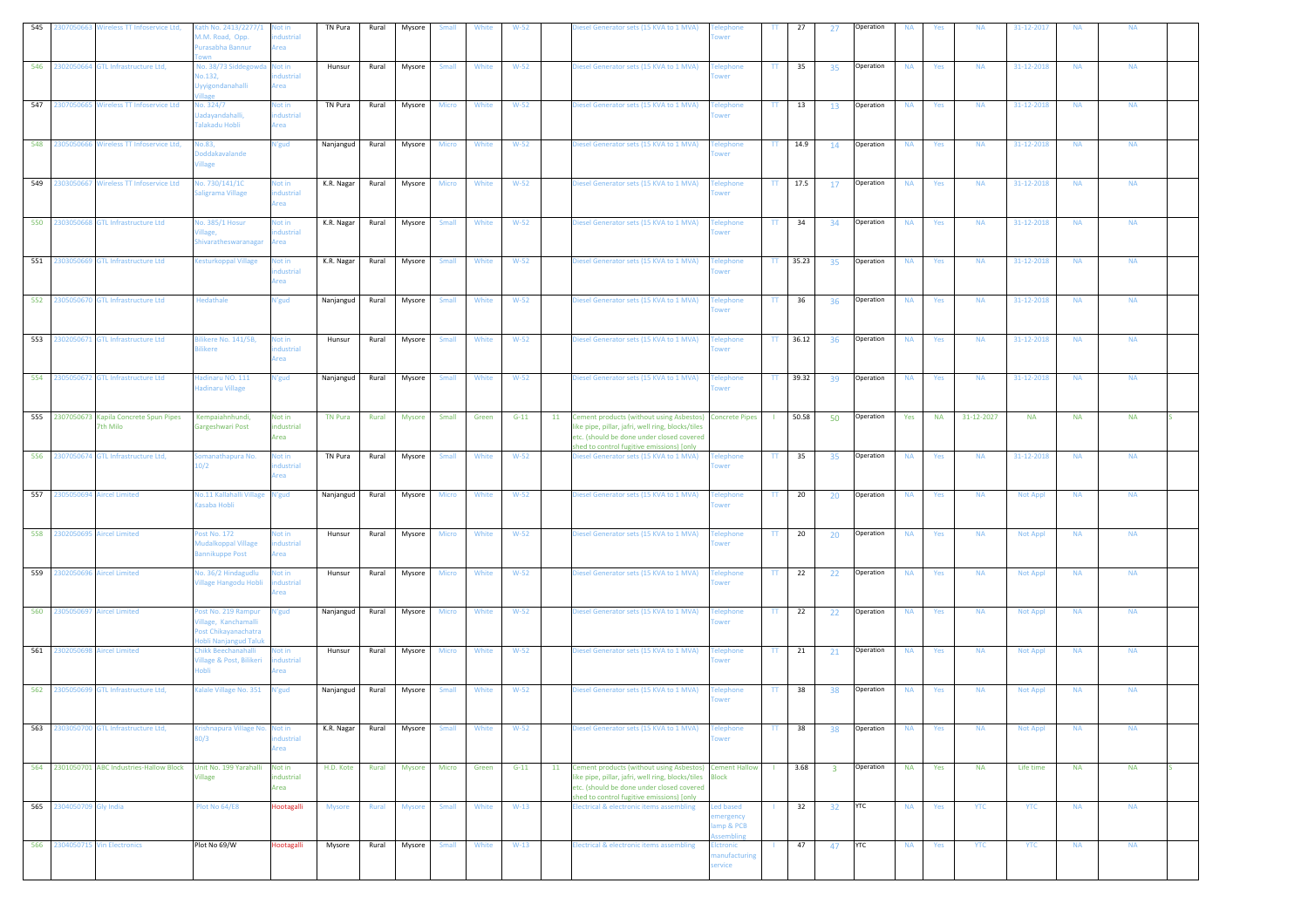| 545                           | 2307050663 Wireless TT Infoservice Ltd,     | ath No. 2413/2277/1<br>A.M. Road, Opp.<br>urasabha Bannur                                   | Not in<br>dustrial<br>krea  | TN Pura        | Rural | Mysore        | Small        | White | $W-52$ |    | iesel Generator sets (15 KVA to 1 MVA)                                                                                                                                                                  | lephone<br>wer                                         | TT.           | 27       | 27                      | Operation  | <b>NA</b> | Yes       | <b>NA</b>  | 31-12-2017      | <b>NA</b> | <b>NA</b> |  |
|-------------------------------|---------------------------------------------|---------------------------------------------------------------------------------------------|-----------------------------|----------------|-------|---------------|--------------|-------|--------|----|---------------------------------------------------------------------------------------------------------------------------------------------------------------------------------------------------------|--------------------------------------------------------|---------------|----------|-------------------------|------------|-----------|-----------|------------|-----------------|-----------|-----------|--|
|                               | 546 2302050664 GTL Infrastructure Ltd,      | No. 38/73 Siddegowd:<br>Vo.132,<br><b>Jyyigondanahalli</b><br>lage                          | Not in<br>dustrial<br>Area  | Hunsur         | Rural | Mysore        | Small        | White | $W-52$ |    | Diesel Generator sets (15 KVA to 1 MVA)                                                                                                                                                                 | elephone<br>wei                                        | TT.           | 35       | 35                      | Operation  | <b>NA</b> | Yes       | <b>NA</b>  | 31-12-2018      | <b>NA</b> | <b>NA</b> |  |
| 547 2307050665                | <b>Wireless TT Infoservice Ltd</b>          | lo. 324/7<br>adayandahalli,<br>alakadu Hobli                                                | lot in<br>dustrial<br>rea   | TN Pura        | Rural | Mysore        | Micro        | White | $W-52$ |    | Diesel Generator sets (15 KVA to 1 MVA)                                                                                                                                                                 | elephone<br>wer                                        | TT.           | 13       | 13                      | Operation  | <b>NA</b> | Yes       | <b>NA</b>  | 31-12-2018      | <b>NA</b> | <b>NA</b> |  |
|                               | 548 2305050666 Wireless TT Infoservice Ltd, | lo.83,<br>oddakavalande<br><b>illage</b>                                                    | V'gud                       | Nanjangud      | Rural | Mysore        | Micro        | White | $W-52$ |    | liesel Generator sets (15 KVA to 1 MVA)                                                                                                                                                                 | elephone                                               | TT.           | 14.9     | 14                      | Operation  | <b>NA</b> | Yes       | <b>NA</b>  | 31-12-2018      | <b>NA</b> | <b>NA</b> |  |
| 549                           | 2303050667 Wireless TT Infoservice Ltd      | lo. 730/141/1C<br>aligrama Village                                                          | lot in<br>ndustrial<br>Area | K.R. Nagar     | Rural | Mysore        | <b>Micro</b> | White | $W-52$ |    | Diesel Generator sets (15 KVA to 1 MVA)                                                                                                                                                                 | <b>Telephone</b><br>wei                                | TT.           | 17.5     | 17                      | Operation  | <b>NA</b> | Yes       | <b>NA</b>  | 31-12-2018      | <b>NA</b> | <b>NA</b> |  |
|                               | 550 2303050668 GTL Infrastructure Ltd       | <b>Vo. 385/1 Hosur</b><br>hivaratheswaranaga                                                | Not in<br>dustrial<br>rea   | K.R. Nagar     | Rural | Mysore        | Small        | White | $W-52$ |    | Diesel Generator sets (15 KVA to 1 MVA)                                                                                                                                                                 | <b>Telephone</b><br>wer                                | $\mathsf{TT}$ | 34       | 34                      | Operation  | <b>NA</b> | Yes       | <b>NA</b>  | 31-12-2018      | <b>NA</b> | <b>NA</b> |  |
| 551                           | 2303050669 GTL Infrastructure Ltd           | esturkoppal Village                                                                         | lot in<br>dustrial<br>Area  | K.R. Nagar     | Rural | Mysore        | Small        | White | $W-52$ |    | liesel Generator sets (15 KVA to 1 MVA)                                                                                                                                                                 | elephone<br>wer                                        | TT.           | 35.23    | 35                      | Operation  | <b>NA</b> | Yes       | <b>NA</b>  | 31-12-2018      | <b>NA</b> | <b>NA</b> |  |
|                               | 552 2305050670 GTL Infrastructure Ltd       | Hedathale                                                                                   | l'gud                       | Nanjangud      | Rural | Mysore        | Small        | White | $W-52$ |    | Diesel Generator sets (15 KVA to 1 MVA)                                                                                                                                                                 | <b>Telephone</b><br>wer                                | TT.           | 36       | 36                      | Operation  | <b>NA</b> | Yes       | <b>NA</b>  | 31-12-2018      | <b>NA</b> | <b>NA</b> |  |
|                               | 553 2302050671 GTL Infrastructure Ltd       | ilikere No. 141/5B,<br>ilikere                                                              | lot in<br>dustrial<br>krea  | Hunsur         | Rural | Mysore        | Small        | White | $W-52$ |    | Diesel Generator sets (15 KVA to 1 MVA)                                                                                                                                                                 | <b>Felephone</b><br>wer                                |               | TT 36.12 | 36                      | Operation  | <b>NA</b> | Yes       | <b>NA</b>  | 31-12-2018      | <b>NA</b> | <b>NA</b> |  |
| 554                           | 2305050672 GTL Infrastructure Ltd           | ladinaru NO. 111<br>ladinaru Village                                                        | V'gud                       | Nanjangud      | Rural | Mysore        | Small        | White | $W-52$ |    | Diesel Generator sets (15 KVA to 1 MVA)                                                                                                                                                                 | elephone <sup>.</sup><br>ower                          | TT.           | 39.32    | 39                      | Operation  | <b>NA</b> | Yes       | <b>NA</b>  | 31-12-2018      | <b>NA</b> | <b>NA</b> |  |
| 555 2307050673                | Kapila Concrete Spun Pipes<br>7th Milo      | Kempaiahnhundi,<br>Gargeshwari Post                                                         | Not in<br>ndustrial<br>Area | <b>TN Pura</b> | Rural | Mysore        | Small        | Green | $G-11$ | 11 | Cement products (without using Asbestos)<br>ike pipe, pillar, jafri, well ring, blocks/tiles<br>etc. (should be done under closed covered<br>shed to control fugitive emissions) [only                  | <b>Concrete Pipes</b>                                  |               | 50.58    | 50                      | Operation  | Yes       | <b>NA</b> | 31-12-2027 | <b>NA</b>       | <b>NA</b> | <b>NA</b> |  |
|                               | 556 2307050674 GTL Infrastructure Ltd,      | manathapura No.<br>0/2                                                                      | lot in<br>dustrial<br>Area  | TN Pura        | Rural | Mysore        | <b>Small</b> | White | $W-52$ |    | liesel Generator sets (15 KVA to 1 MVA)                                                                                                                                                                 | <b>Felephone</b><br>wer                                | $\mathbf{H}$  | 35       | 35                      | Operation  | <b>NA</b> | Yes       | <b>NA</b>  | 31-12-2018      | <b>NA</b> | <b>NA</b> |  |
| 557                           | 2305050694 Aircel Limited                   | <b>Vo.11 Kallahalli Village</b><br><b>Kasaba Hobli</b>                                      | l'gud                       | Nanjangud      | Rural | Mysore        | Micro        | White | $W-52$ |    | Diesel Generator sets (15 KVA to 1 MVA)                                                                                                                                                                 | <b>Telephone</b><br>wer                                | TT.           | 20       | 20                      | Operation  | <b>NA</b> | Yes       | <b>NA</b>  | <b>Not Appl</b> | <b>NA</b> | <b>NA</b> |  |
| 558 2302050695 Aircel Limited |                                             | ost No. 172<br>Audalkoppal Village<br>annikuppe Post                                        | Not in<br>dustrial<br>rea   | Hunsur         | Rural | Mysore        | Micro        | White | $W-52$ |    | Diesel Generator sets (15 KVA to 1 MVA)                                                                                                                                                                 | <b>Telephone</b><br>wer                                | $\mathbf{H}$  | 20       | 20                      | Operation  | <b>NA</b> | Yes       | <b>NA</b>  | <b>Not Appl</b> | <b>NA</b> | <b>NA</b> |  |
| 559 2302050696 Aircel Limited |                                             | lo. 36/2 Hindagudlu<br>fillage Hangodu Hobli                                                | lot in<br>dustrial<br>krea  | Hunsur         | Rural | Mysore        | <b>Micro</b> | White | $W-52$ |    | Diesel Generator sets (15 KVA to 1 MVA)                                                                                                                                                                 | <b>Telephone</b><br>wer                                | $\Pi$         | 22       | 22                      | Operation  | <b>NA</b> | Yes       | <b>NA</b>  | <b>Not Appl</b> | <b>NA</b> | <b>NA</b> |  |
| 560 2305050697 Aircel Limited |                                             | ost No. 219 Rampur<br>'illage, Kanchamalli<br>Post Chikayanachatra<br>iobli Nanjangud Taluk | N'gud                       | Nanjangud      | Rural | Mysore        | <b>Micro</b> | White | $W-52$ |    | Diesel Generator sets (15 KVA to 1 MVA)                                                                                                                                                                 | <b>Telephone</b><br>wer                                | TT.           | 22       | 22                      | Operation  | <b>NA</b> | Yes       | <b>NA</b>  | <b>Not Appl</b> | <b>NA</b> | <b>NA</b> |  |
| 561<br>230205069              | <b>Aircel Limited</b>                       | hikk Beechanahalli<br>fillage & Post, Bilikeri<br>obli                                      | lot in<br>dustrial<br>rea   | Hunsur         | Rural | Mysore        | Micro        | White | $W-52$ |    | Diesel Generator sets (15 KVA to 1 MVA)                                                                                                                                                                 | elephone <sup>.</sup><br>wer                           | $\pi$ .       | 21       | 21                      | Operation  | <b>NA</b> | Yes       | <b>NA</b>  | <b>Not Appl</b> | <b>NA</b> | <b>NA</b> |  |
|                               | 562 2305050699 GTL Infrastructure Ltd,      | Galale Village No. 351                                                                      | l'gud                       | Nanjangud      | Rural | Mysore        | Small        | White | $W-52$ |    | liesel Generator sets (15 KVA to 1 MVA)                                                                                                                                                                 | elephone<br>wer                                        | TT.           | 38       | 38                      | Operation  | <b>NA</b> | Yes       | <b>NA</b>  | <b>Not Appl</b> | <b>NA</b> | <b>NA</b> |  |
| 563                           | 2303050700 GTL Infrastructure Ltd,          | rishnapura Village No.<br>0/3                                                               | Not in<br>dustrial<br>Area  | K.R. Nagar     | Rural | Mysore        | Small        | White | $W-52$ |    | liesel Generator sets (15 KVA to 1 MVA)                                                                                                                                                                 | <b>Felephone</b><br>ower                               | $\mathbf{H}$  | 38       | 38                      | Operation  | <b>NA</b> | Yes       | <b>NA</b>  | <b>Not Appl</b> | <b>NA</b> | <b>NA</b> |  |
|                               | 564 2301050701 ABC Industries-Hallow Block  | Unit No. 199 Yarahalli<br><b>illage</b>                                                     | Not in<br>ndustrial<br>Area | H.D. Kote      | Rural | <b>Mysore</b> | Micro        | Green | $G-11$ |    | 11 Cement products (without using Asbestos) Cement Hallow<br>ike pipe, pillar, jafri, well ring, blocks/tiles<br>etc. (should be done under closed covered<br>shed to control fugitive emissions) [only | <b>Block</b>                                           | $\mathbf{L}$  | 3.68     | $\overline{\mathbf{3}}$ | Operation  | <b>NA</b> | Yes       | <b>NA</b>  | Life time       | <b>NA</b> | <b>NA</b> |  |
| 565 2304050709 Gly India      |                                             | Plot No 64/E8                                                                               | Hootagalli                  | Mysore         | Rural | <b>Mysore</b> | Small        | White | $W-13$ |    | lectrical & electronic items assembling                                                                                                                                                                 | <b>Led based</b><br>mergency<br>amp & PCB<br>ssembling | $\mathbf{I}$  | 32       | 32                      | <b>YTC</b> | <b>NA</b> | Yes       | <b>YTC</b> | <b>YTC</b>      | <b>NA</b> | <b>NA</b> |  |
|                               | 566 2304050715 Vin Electronics              | Plot No 69/W                                                                                | Hootagalli                  | Mysore         | Rural | Mysore        | Small        | White | $W-13$ |    | lectrical & electronic items assembling                                                                                                                                                                 | Elctronic<br>anufacturing<br>ervice                    |               | 47       | 47                      | <b>YTC</b> | <b>NA</b> | Yes       | <b>YTC</b> | <b>YTC</b>      | <b>NA</b> | <b>NA</b> |  |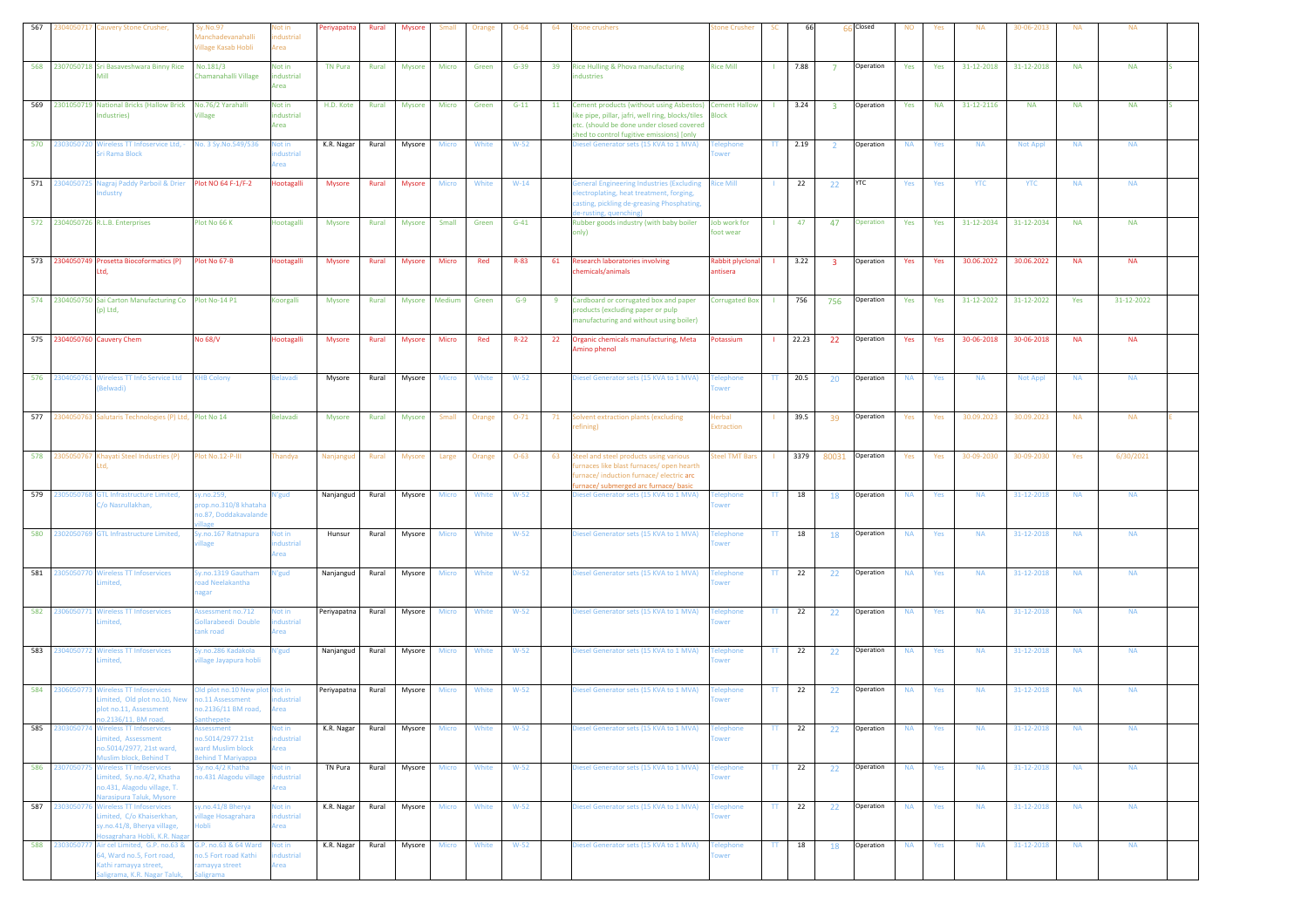| 567 |                | 2304050717 Cauvery Stone Crusher,                                                                                                      | iy.No.97<br>lanchadevanahalli<br><b>Village Kasab Hobli</b>               | lot in<br>dustrial<br>rea        | Periyapatna    | Rural | <b>Mysore</b> | Small        | Orange | $O - 64$ | 64 | tone crushers                                                                                                                                                                                        | one Crusher                                   | SC                       | 66        |                         | 66 Closed | <b>NO</b> | Yes       | <b>NA</b>  | 30-06-2013      | <b>NA</b> | <b>NA</b>  |  |
|-----|----------------|----------------------------------------------------------------------------------------------------------------------------------------|---------------------------------------------------------------------------|----------------------------------|----------------|-------|---------------|--------------|--------|----------|----|------------------------------------------------------------------------------------------------------------------------------------------------------------------------------------------------------|-----------------------------------------------|--------------------------|-----------|-------------------------|-----------|-----------|-----------|------------|-----------------|-----------|------------|--|
|     |                | 568 2307050718 Sri Basaveshwara Binny Rice<br>Mill                                                                                     | No.181/3<br>Chamanahalli Village                                          | Not in<br>ndustrial<br>Area      | <b>TN Pura</b> | Rural | Mysore        | Micro        | Green  | $G-39$   | 39 | Rice Hulling & Phova manufacturing<br>ndustries                                                                                                                                                      | <b>Rice Mill</b>                              |                          | 7.88      | $\overline{7}$          | Operation | Yes       | Yes       | 31-12-2018 | 31-12-2018      | <b>NA</b> | <b>NA</b>  |  |
|     |                | 569 2301050719 National Bricks (Hallow Brick No.76/2 Yarahalli<br>Industries)                                                          | Village                                                                   | Not in<br>industrial<br>Area     | H.D. Kote      | Rural | Mysore        | Micro        | Green  | $G-11$   | 11 | Cement products (without using Asbestos) Cement Hallow<br>ike pipe, pillar, jafri, well ring, blocks/tiles<br>etc. (should be done under closed covered<br>shed to control fugitive emissions) [only | <b>Block</b>                                  | $\mathbf{L}$             | 3.24      | $\overline{\mathbf{3}}$ | Operation | Yes       | <b>NA</b> | 31-12-2116 | <b>NA</b>       | <b>NA</b> | <b>NA</b>  |  |
|     |                | 570 2303050720 Wireless TT Infoservice Ltd, -<br>iri Rama Block                                                                        | No. 3 Sy. No. 549/536                                                     | lot in<br>dustrial<br>rea        | K.R. Nagar     | Rural | Mysore        | <b>Micro</b> | White  | $W-52$   |    | Diesel Generator sets (15 KVA to 1 MVA)                                                                                                                                                              | <b>Telephone</b><br>wer                       |                          | $TT$ 2.19 | $\overline{2}$          | Operation | <b>NA</b> | Yes       | <b>NA</b>  | <b>Not Appl</b> | <b>NA</b> | <b>NA</b>  |  |
|     |                | 571 2304050725 Nagraj Paddy Parboil & Drier Plot NO 64 F-1/F-2<br>ndustry                                                              |                                                                           | Hootagalli                       | <b>Mysore</b>  | Rural | Mysore        | Micro        | White  | $W-14$   |    | General Engineering Industries (Excluding<br>lectroplating, heat treatment, forging,<br>casting, pickling de-greasing Phosphating,<br>e-rusting, quenching)                                          | <b>Rice Mill</b>                              |                          | 22        | 22                      | YTC       | Yes       | Yes       | <b>YTC</b> | <b>YTC</b>      | <b>NA</b> | <b>NA</b>  |  |
|     |                | 572 2304050726 R.L.B. Enterprises                                                                                                      | Plot No 66 K                                                              | Hootagalli                       | Mysore         | Rural | Mysore        | Small        | Green  | $G-41$   |    | Rubber goods industry (with baby boiler<br>(ylnc                                                                                                                                                     | Job work for<br>foot wear                     | $\mathbf{L}$             | 47        | 47                      | Operation | Yes       | Yes       | 31-12-2034 | 31-12-2034      | <b>NA</b> | <b>NA</b>  |  |
|     |                | 573 2304050749 Prosetta Biocoformatics (P) Plot No 67-B                                                                                |                                                                           | Hootagalli                       | <b>Mysore</b>  | Rural | <b>Mysore</b> | Micro        | Red    | $R - 83$ | 61 | <b>Research laboratories involving</b><br>hemicals/animals                                                                                                                                           | Rabbit plyclonal<br>antisera                  |                          | 3.22      | $\overline{3}$          | Operation | Yes       | Yes       | 30.06.2022 | 30.06.2022      | <b>NA</b> | <b>NA</b>  |  |
|     |                | 574 2304050750 Sai Carton Manufacturing Co Plot No-14 P1<br>(p) Ltd,                                                                   |                                                                           | Koorgalli                        | <b>Mysore</b>  | Rural | <b>Mysore</b> | Medium       | Green  | $G-9$    | -9 | Cardboard or corrugated box and paper<br>products (excluding paper or pulp<br>manufacturing and without using boiler)                                                                                | Corrugated Box                                |                          | 756       | 756                     | Operation | Yes       | Yes       | 31-12-2022 | 31-12-2022      | Yes       | 31-12-2022 |  |
|     |                | 575 2304050760 Cauvery Chem                                                                                                            | No 68/V                                                                   | Hootagalli                       | Mysore         | Rural | Mysore        | Micro        | Red    | $R-22$   | 22 | Organic chemicals manufacturing, Meta<br>mino phenol                                                                                                                                                 | Potassium                                     |                          | 22.23     | 22                      | Operation | Yes       | Yes       | 30-06-2018 | 30-06-2018      | <b>NA</b> | <b>NA</b>  |  |
|     |                | 576 2304050761 Wireless TT Info Service Ltd<br>Belwadi)                                                                                | <b>KHB Colony</b>                                                         | elavadi                          | Mysore         | Rural | Mysore        | Micro        | White  | $W-52$   |    | Diesel Generator sets (15 KVA to 1 MVA)                                                                                                                                                              | <b>Telephone</b><br>wer                       | TT.                      | 20.5      | 20                      | Operation | <b>NA</b> | Yes       | <b>NA</b>  | <b>Not Appl</b> | <b>NA</b> | <b>NA</b>  |  |
|     |                | 577 2304050763 Salutaris Technologies (P) Ltd, Plot No 14                                                                              |                                                                           | Belavadi                         | Mysore         | Rural | Mysore        | Small        | Orange | $O-71$   | 71 | olvent extraction plants (excluding<br>efining)                                                                                                                                                      | Herbal<br>Extraction                          |                          | 39.5      | 39                      | Operation | Yes       | Yes       | 30.09.2023 | 30.09.2023      | <b>NA</b> | <b>NA</b>  |  |
|     | 578 2305050767 | Khayati Steel Industries (P)                                                                                                           | Plot No.12-P-III                                                          | handya                           | Nanjangud      | Rural | <b>Mysore</b> | Large        | Orange | $O - 63$ | 63 | Steel and steel products using various<br>urnaces like blast furnaces/ open hearth<br>urnace/induction furnace/electric arc<br>irnace/submerged arc furnace/basic                                    | <b>Steel TMT Bars</b>                         |                          | 3379      | 80031                   | Operation | Yes       | Yes       | 30-09-2030 | 30-09-2030      | Yes       | 6/30/2021  |  |
| 579 | 2305050768     | <b>GTL Infrastructure Limited,</b><br>C/o Nasrullakhan,                                                                                | y.no.259,<br>rop.no.310/8 khataha<br>0.87, Doddakavalande                 | <b>V'gud</b>                     | Nanjangud      | Rural | Mysore        | Micro        | White  | $W-52$   |    | Diesel Generator sets (15 KVA to 1 MVA)                                                                                                                                                              | <b><i><u><b>Telephone</b></u></i></b><br>ower | TT.                      | 18        | 18                      | Operation | <b>NA</b> | Yes       | <b>NA</b>  | 31-12-2018      | <b>NA</b> | <b>NA</b>  |  |
|     |                | 580 2302050769 GTL Infrastructure Limited,                                                                                             | y.no.167 Ratnapura<br>llage                                               | <b>Not in</b><br>dustrial<br>rea | Hunsur         | Rural | Mysore        | <b>Micro</b> | White  | $W-52$   |    | Diesel Generator sets (15 KVA to 1 MVA)                                                                                                                                                              | <b>Telephone</b><br>wer                       | TT                       | 18        | 18                      | Operation | <b>NA</b> | Yes       | <b>NA</b>  | 31-12-2018      | <b>NA</b> | <b>NA</b>  |  |
|     |                | 581 2305050770 Wireless TT Infoservices<br>mited,                                                                                      | y.no.1319 Gautham<br>oad Neelakantha                                      | N'gud                            | Nanjangud      | Rural | Mysore        | Micro        | White  | $W-52$   |    | Diesel Generator sets (15 KVA to 1 MVA)                                                                                                                                                              | <b>Telephone</b>                              | $\Pi$                    | 22        | 22                      | Operation | <b>NA</b> | Yes       | <b>NA</b>  | 31-12-2018      | <b>NA</b> | <b>NA</b>  |  |
|     |                | 582 2306050771 Wireless TT Infoservices<br>imited.                                                                                     | <b>Assessment no.712</b><br>Sollarabeedi Double<br>tank road              | lot in<br>dustrial<br>krea       | Periyapatna    | Rural | Mysore        | Micro        | White  | $W-52$   |    | Diesel Generator sets (15 KVA to 1 MVA)                                                                                                                                                              | <b>Telephone</b>                              | TT.                      | 22        | 22                      | Operation | <b>NA</b> | Yes       | <b>NA</b>  | 31-12-2018      | <b>NA</b> | <b>NA</b>  |  |
|     |                | 583 2304050772 Wireless TT Infoservices<br>mited,                                                                                      | Sy.no.286 Kadakola<br>illage Jayapura hobli                               | N'gud                            | Nanjangud      | Rural | Mysore        | Micro        | White  | $W-52$   |    | liesel Generator sets (15 KVA to 1 MVA)                                                                                                                                                              | <b>Telephone</b><br>wer                       | $\Pi$                    | 22        | 22                      | Operation | <b>NA</b> | Yes       | <b>NA</b>  | 31-12-2018      | <b>NA</b> | <b>NA</b>  |  |
|     |                | 584 2306050773 Wireless TT Infoservices<br>imited, Old plot no.10, New<br>lot no.11, Assessment                                        | Old plot no.10 New plot Not in<br>10.11 Assessment<br>10.2136/11 BM road, | dustrial<br>Area                 | Periyapatna    | Rural | Mysore        | <b>Micro</b> | White  | $W-52$   |    | Diesel Generator sets (15 KVA to 1 MVA)                                                                                                                                                              | <b>Telephone</b><br>wer                       | $\Pi$                    | 22        | 22                      | Operation | <b>NA</b> | Yes       | <b>NA</b>  | 31-12-2018      | <b>NA</b> | <b>NA</b>  |  |
| 585 |                | 2303050774 Wireless TT Infoservices<br>imited, Assessment<br>no.5014/2977, 21st ward,<br>Muslim block, Behind T                        | ssessment<br>0.5014/2977 21st<br>vard Muslim block<br>hind T Mariyappa    | lot in<br>dustrial<br>krea       | K.R. Nagar     | Rural | Mysore        | Micro        | White  | $W-52$   |    | liesel Generator sets (15 KVA to 1 MVA)                                                                                                                                                              | elephone<br>ower                              | TT.                      | 22        | 22                      | Operation | <b>NA</b> | Yes       | <b>NA</b>  | 31-12-2018      | <b>NA</b> | <b>NA</b>  |  |
|     |                | 586 2307050775 Wireless TT Infoservices<br>imited, Sy.no.4/2, Khatha<br>10.431, Alagodu village, T.<br>larasipura Taluk, Mysore        | Sy.no.4/2 Khatha<br>10.431 Alagodu village                                | <b>Not in</b><br>dustrial<br>rea | TN Pura        | Rural | Mysore        | Micro        | White  | $W-52$   |    | Diesel Generator sets (15 KVA to 1 MVA)                                                                                                                                                              | <b>Telephone</b><br>wer                       | $\mathsf{TT}$ .          | 22        | 22                      | Operation | <b>NA</b> | Yes       | <b>NA</b>  | 31-12-2018      | <b>NA</b> | <b>NA</b>  |  |
|     |                | 587 2303050776 Wireless TT Infoservices<br>Limited, C/o Khaiserkhan,<br>sy.no.41/8, Bherya village,<br>losagrahara Hobli, K.R. Nagar   | sy.no.41/8 Bherya<br>rillage Hosagrahara<br>iobli                         | lot in<br>ndustrial<br>Area      | K.R. Nagar     | Rural | Mysore        | Micro        | White  | $W-52$   |    | Diesel Generator sets (15 KVA to 1 MVA)                                                                                                                                                              | <b>Telephone</b><br>ower                      | $\mathbf{T}\mathbf{T}$ . | 22        | 22                      | Operation | <b>NA</b> | Yes       | <b>NA</b>  | 31-12-2018      | <b>NA</b> | <b>NA</b>  |  |
|     | 588 2303050777 | Air cel Limited, G.P. no.63 & G.P. no.63 & 64 Ward<br>64, Ward no.5, Fort road,<br>Kathi ramayya street,<br>aligrama, K.R. Nagar Taluk | o.5 Fort road Kathi<br>amayya street<br>ierama                            | Not in<br>dustrial<br>krea       | K.R. Nagar     | Rural | Mysore        | <b>Micro</b> | White  | $W-52$   |    | Diesel Generator sets (15 KVA to 1 MVA)                                                                                                                                                              | <b>Telephone</b><br>ower                      |                          | $TT$ 18   | 18                      | Operation | <b>NA</b> | Yes       | <b>NA</b>  | 31-12-2018      | <b>NA</b> | <b>NA</b>  |  |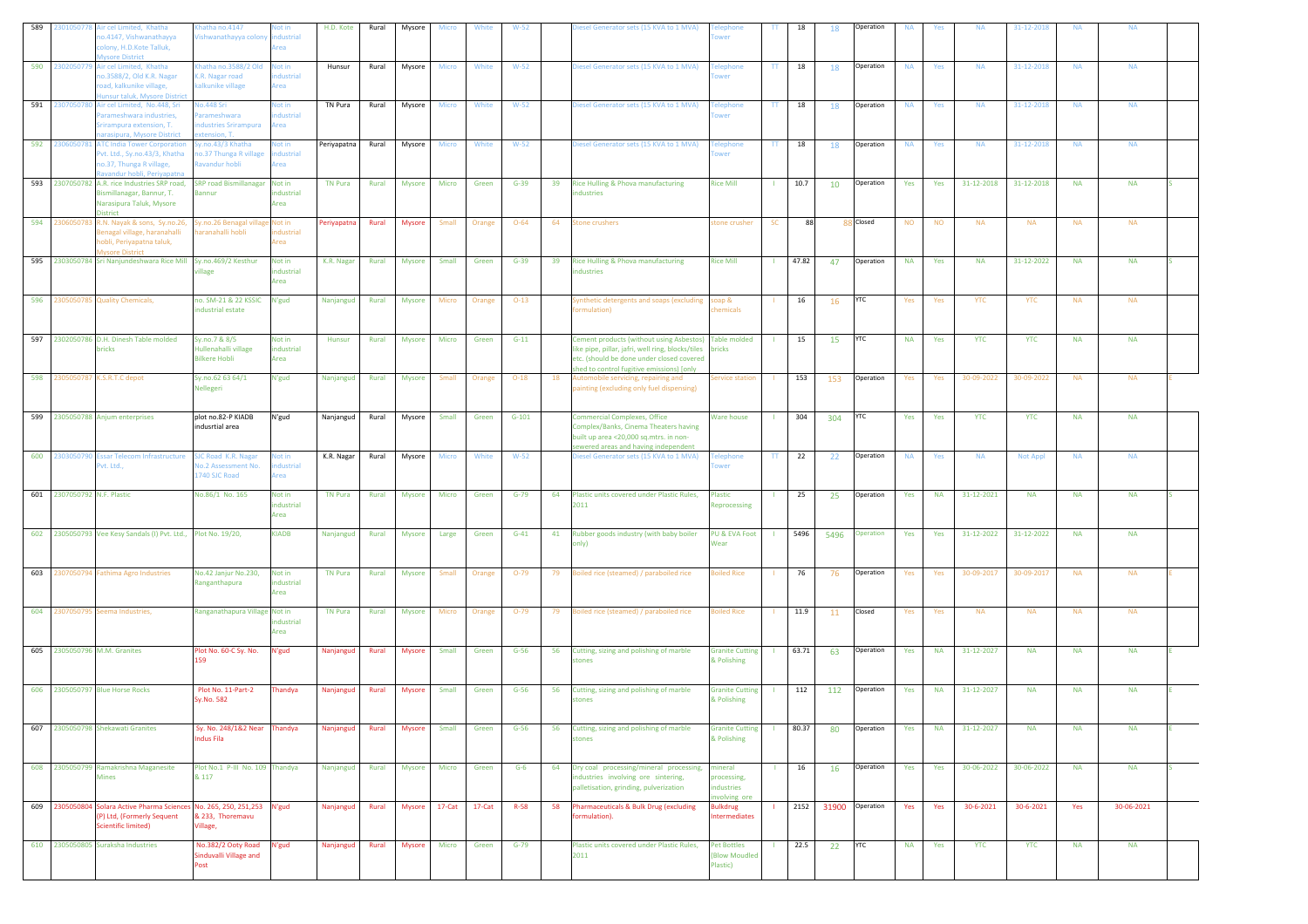|     | 2301050778              | Air cel Limited, Khatha<br>o.4147, Vishwanathayya<br>olony, H.D.Kote Talluk,<br>sore District                                                                               | hatha no.4147<br>'ishwanathayya colony                          | ot in<br>dustrial<br>rea          | H.D. Kote              | Rural          | Mysore                  | Micro           | White           | $W-52$         |    | iesel Generator sets (15 KVA to 1 MVA)                                                                                                                                                              | wer                                                           | π            | 18    | 18        | Operation                          | <b>NA</b>        | Yes        | <b>NA</b>               | 31-12-2018              | <b>NA</b>        | <b>NA</b>               |  |
|-----|-------------------------|-----------------------------------------------------------------------------------------------------------------------------------------------------------------------------|-----------------------------------------------------------------|-----------------------------------|------------------------|----------------|-------------------------|-----------------|-----------------|----------------|----|-----------------------------------------------------------------------------------------------------------------------------------------------------------------------------------------------------|---------------------------------------------------------------|--------------|-------|-----------|------------------------------------|------------------|------------|-------------------------|-------------------------|------------------|-------------------------|--|
| 590 |                         | 2302050779 Air cel Limited, Khatha<br>10.3588/2, Old K.R. Nagar<br>oad, kalkunike village,<br>unsur taluk, Mysore District                                                  | hatha no.3588/2 Old<br>K.R. Nagar road<br>kalkunike village     | Not in<br>dustrial<br>Area        | Hunsur                 | Rural          | Mysore                  | Micro           | White           | $W-52$         |    | iesel Generator sets (15 KVA to 1 MVA)                                                                                                                                                              | elephone<br>wer                                               | π            | 18    | 18        | Operation                          | <b>NA</b>        | Yes        | <b>NA</b>               | 31-12-2018              | <b>NA</b>        | <b>NA</b>               |  |
| 591 |                         | 2307050780 Air cel Limited, No.448, Sri<br>Parameshwara industries,<br>irirampura extension, T.<br>arasipura, Mysore District                                               | lo.448 Sri<br>arameshwara<br>dustries Srirampura<br>tension. T. | Not in<br>ndustrial<br>rea        | TN Pura                | Rural          | Mysore                  | Micro           | White           | $W-52$         |    | liesel Generator sets (15 KVA to 1 MVA)                                                                                                                                                             | elephone                                                      | TT.          | 18    | 18        | Operation                          | <b>NA</b>        | Yes        | <b>NA</b>               | 31-12-2018              | <b>NA</b>        | <b>NA</b>               |  |
|     |                         | 592 2306050781 ATC India Tower Corporation<br>vt. Ltd., Sy.no.43/3, Khatha<br>to.37, Thunga R village,<br>avandur hobli, Periyapatna                                        | y.no.43/3 Khatha<br>o.37 Thunga R village<br>avandur hobli      | lot in<br>dustrial<br>rea         | Periyapatna            | Rural          | Mysore                  | Micro           | White           | $W-52$         |    | iesel Generator sets (15 KVA to 1 MVA)                                                                                                                                                              | elephone                                                      | $\mathbf{H}$ | 18    | 18        | Operation                          | <b>NA</b>        | Yes        | <b>NA</b>               | 31-12-2018              | <b>NA</b>        | <b>NA</b>               |  |
|     |                         | 593 2307050782 A.R. rice Industries SRP road,<br>Bismillanagar, Bannur, T.<br>Narasipura Taluk, Mysore<br><b>District</b>                                                   | <b>SRP road Bismillanagar</b><br>Bannur                         | Not in<br>industrial<br>Area      | <b>TN Pura</b>         | Rural          | Mysore                  | Micro           | Green           | $G-39$         | 39 | Rice Hulling & Phova manufacturing<br>dustries                                                                                                                                                      | <b>Rice Mill</b>                                              |              | 10.7  | 10        | Operation                          | Yes              | Yes        | 31-12-2018              | 31-12-2018              | <b>NA</b>        | <b>NA</b>               |  |
|     | 594 230605078           | R.N. Nayak & sons, Sy.no.26,<br>Benagal village, haranahalli<br>obli, Periyapatna taluk,<br><b>Iysore District</b>                                                          | Sy.no.26 Benagal villag<br>aranahalli hobli                     | Not in<br>ndustrial<br>krea       | Periyapatna            | Rural          | Mysore                  | Small           | Orange          | $O - 64$       | 64 | <b>Stone crushers</b>                                                                                                                                                                               | stone crusher                                                 | <b>SC</b>    | 88    |           | 88 Closed                          | <b>NO</b>        | <b>NO</b>  | <b>NA</b>               | <b>NA</b>               | <b>NA</b>        | <b>NA</b>               |  |
|     |                         | 595 2303050784 Sri Nanjundeshwara Rice Mill Sy.no.469/2 Kesthur                                                                                                             | llage                                                           | Not in<br>ndustrial<br>Area       | K.R. Nagar             | Rural          | <b>Mysore</b>           | Small           | Green           | $G-39$         | 39 | Rice Hulling & Phova manufacturing<br>dustries                                                                                                                                                      | <b>Rice Mill</b>                                              |              | 47.82 | 47        | Operation                          | <b>NA</b>        | Yes        | <b>NA</b>               | 31-12-2022              | <b>NA</b>        | <b>NA</b>               |  |
| 596 |                         | 2305050785 Quality Chemicals,                                                                                                                                               | no. SM-21 & 22 KSSIC<br>ndustrial estate                        | N'gud                             | Nanjangud              | Rural          | <b>Mysore</b>           | Micro           | Orange          | $O-13$         |    | lynthetic detergents and soaps (excluding<br>ormulation)                                                                                                                                            | soap &<br>hemicals                                            |              | 16    | <b>16</b> | <b>YTC</b>                         | Yes              | Yes        | YTC                     | YTC                     | <b>NA</b>        | <b>NA</b>               |  |
|     |                         | 597 2302050786 D.H. Dinesh Table molded<br>bricks                                                                                                                           | Sy.no.7 & 8/5<br>Hullenahalli village<br><b>Bilkere Hobli</b>   | Not in<br>industrial<br>Area      | Hunsur                 | Rural          | Mysore                  | Micro           | Green           | $G-11$         |    | Cement products (without using Asbestos) Table molded<br>ike pipe, pillar, jafri, well ring, blocks/tiles<br>etc. (should be done under closed covered<br>shed to control fugitive emissions) [only | bricks                                                        |              | 15    | <b>15</b> | <b>YTC</b>                         | <b>NA</b>        | Yes        | <b>YTC</b>              | <b>YTC</b>              | <b>NA</b>        | <b>NA</b>               |  |
|     | 598 2305050787          | K.S.R.T.C depot                                                                                                                                                             | Sy.no.62 63 64/1<br>Nellegeri                                   | N'gud                             | Nanjangud              | Rural          | Mysore                  | Small           | Orange          | $O-18$         | 18 | Automobile servicing, repairing and<br>painting (excluding only fuel dispensing)                                                                                                                    | ervice station                                                |              | 153   | 153       | Operation                          | Yes              | Yes        | 30-09-2022              | 30-09-2022              | <b>NA</b>        | <b>NA</b>               |  |
|     |                         | 599 2305050788 Anjum enterprises                                                                                                                                            | plot no.82-P KIADB<br>indusrtial area                           | N'gud                             | Nanjangud              | Rural          | Mysore                  | Small           | Green           | $G-101$        |    | <b>Commercial Complexes, Office</b><br>Complex/Banks, Cinema Theaters having<br>built up area <20,000 sq.mtrs. in non-<br>ewered areas and having independent                                       | <b>Ware house</b>                                             |              | 304   | 304       | <b>YTC</b>                         | Yes              | Yes        | <b>YTC</b>              | <b>YTC</b>              | <b>NA</b>        | <b>NA</b>               |  |
|     | 600 2303050790          | <b>Essar Telecom Infrastructure</b><br>vt. Ltd.,                                                                                                                            | SJC Road K.R. Nagar<br>lo.2 Assessment No.<br>1740 SJC Road     | Not in<br>dustrial<br><b>krea</b> | K.R. Nagar             | Rural          | Mysore                  | <b>Micro</b>    | White           | $W-52$         |    | Diesel Generator sets (15 KVA to 1 MVA)                                                                                                                                                             | elephone<br>wer                                               | $\Pi$        | 22    | 22        | Operation                          | <b>NA</b>        | Yes        | <b>NA</b>               | Not Appl                | <b>NA</b>        | <b>NA</b>               |  |
| 601 |                         |                                                                                                                                                                             |                                                                 |                                   |                        |                |                         |                 |                 |                |    |                                                                                                                                                                                                     |                                                               |              |       |           |                                    |                  |            |                         |                         |                  |                         |  |
|     | 2307050792 N.F. Plastic |                                                                                                                                                                             | No.86/1 No. 165                                                 | Not in<br>industrial<br>Area      | <b>TN Pura</b>         | Rural          | <b>Mysore</b>           | Micro           | Green           | $G-79$         | 64 | Plastic units covered under Plastic Rules,<br>2011                                                                                                                                                  | <b>Plastic</b><br>Reprocessing                                |              | 25    | 25        | Operation                          | Yes              | <b>NA</b>  | 31-12-2021              | <b>NA</b>               | <b>NA</b>        | <b>NA</b>               |  |
|     |                         | 602 2305050793 Vee Kesy Sandals (I) Pvt. Ltd., Plot No. 19/20,                                                                                                              |                                                                 | <b>KIADB</b>                      | Nanjangud              | Rural          | <b>Mysore</b>           | Large           | Green           | $G-41$         | 41 | Rubber goods industry (with baby boiler<br>(yInc                                                                                                                                                    | PU & EVA Foot<br>Wear                                         |              | 5496  | 5496      | Operation                          | Yes              | Yes        | 31-12-2022              | 31-12-2022              | <b>NA</b>        | <b>NA</b>               |  |
|     |                         | 603 2307050794 Fathima Agro Industries                                                                                                                                      | No.42 Janjur No.230,<br>Ranganthapura                           | Not in<br>ndustrial<br>Area       | <b>TN Pura</b>         | Rural          | Mysore                  | Small           | Orange          | $O-79$         | 79 | Boiled rice (steamed) / paraboiled rice                                                                                                                                                             | oiled Rice                                                    |              | 76    | 76        | Operation                          | Yes              | Yes        | 30-09-2017              | 30-09-2017              | <b>NA</b>        | <b>NA</b>               |  |
|     |                         | 604 2307050795 Seema Industries,                                                                                                                                            | Ranganathapura Village Not in                                   | industrial<br>Area                | <b>TN Pura</b>         | Rural          | <b>Mysore</b>           | Micro           | Orange          | $O-79$         |    | 79 Boiled rice (steamed) / paraboiled rice                                                                                                                                                          | <b>Boiled Rice</b>                                            |              | 11.9  | 11        | Closed                             | Yes              | Yes        | <b>NA</b>               | <b>NA</b>               | <b>NA</b>        | <b>NA</b>               |  |
|     |                         | 605 2305050796 M.M. Granites                                                                                                                                                | Plot No. 60-C Sy. No.<br>159                                    | N'gud                             | Nanjangud              | Rural          | Mysore                  | Small           | Green           | $G-56$         | 56 | Cutting, sizing and polishing of marble<br>tones                                                                                                                                                    | <b>Granite Cutting</b><br>& Polishing                         |              | 63.71 | 63        | Operation                          | Yes              | <b>NA</b>  | 31-12-2027              | <b>NA</b>               | <b>NA</b>        | <b>NA</b>               |  |
|     |                         | 606 2305050797 Blue Horse Rocks                                                                                                                                             | Plot No. 11-Part-2<br>Sy.No. 582                                | Thandya                           | Nanjangud              | Rural          | <b>Mysore</b>           | Small           | Green           | $G-56$         | 56 | Cutting, sizing and polishing of marble<br><b>stones</b>                                                                                                                                            | <b>Granite Cutting</b><br>& Polishing                         |              | 112   | 112       | Operation                          | Yes              | <b>NA</b>  | 31-12-2027              | <b>NA</b>               | <b>NA</b>        | <b>NA</b>               |  |
| 607 |                         | 2305050798 Shekawati Granites                                                                                                                                               | Sy. No. 248/1&2 Near<br>ndus Fila                               | handya                            | Nanjangud              | Rural          | <b>Mysore</b>           | Small           | Green           | $G-56$         | 56 | Cutting, sizing and polishing of marble<br><b>stones</b>                                                                                                                                            | <b>Sranite Cutting</b><br>& Polishing                         |              | 80.37 | 80        | Operation                          | Yes              | <b>NA</b>  | 31-12-2027              | <b>NA</b>               | <b>NA</b>        | <b>NA</b>               |  |
|     |                         | 608 2305050799 Ramakrishna Maganesite<br><b>Mines</b>                                                                                                                       | Plot No.1 P-III No. 109 Thandya<br>& 117                        |                                   | Nanjangud              | Rural          | <b>Mysore</b>           | Micro           | Green           | $G-6$          | 64 | Dry coal processing/mineral processing,<br>ndustries involving ore sintering,<br>palletisation, grinding, pulverization                                                                             | mineral<br>processing,<br>dustries<br>volving or              |              | 16    | <b>16</b> | Operation                          | Yes              | Yes        | 30-06-2022              | 30-06-2022              | <b>NA</b>        | <b>NA</b>               |  |
|     |                         | 609 2305050804 Solara Active Pharma Sciences No. 265, 250, 251, 253 N'gud<br>(P) Ltd, (Formerly Sequent<br><b>Scientific limited)</b><br>610 2305050805 Suraksha Industries | & 233. Thoremavu<br>Village,<br>No.382/2 Ooty Road              | N'gud                             | Nanjangud<br>Nanjangud | Rural<br>Rural | <b>Mysore</b><br>Mysore | 17-Cat<br>Micro | 17-Cat<br>Green | R-58<br>$G-79$ | 58 | Pharmaceuticals & Bulk Drug (excluding<br>formulation).<br>Plastic units covered under Plastic Rules,                                                                                               | <b>Bulkdrug</b><br><b>Intermediates</b><br><b>Pet Bottles</b> |              | 22.5  | 22        | 2152 31900 Operation<br><b>YTC</b> | Yes<br><b>NA</b> | Yes<br>Yes | 30-6-2021<br><b>YTC</b> | 30-6-2021<br><b>YTC</b> | Yes<br><b>NA</b> | 30-06-2021<br><b>NA</b> |  |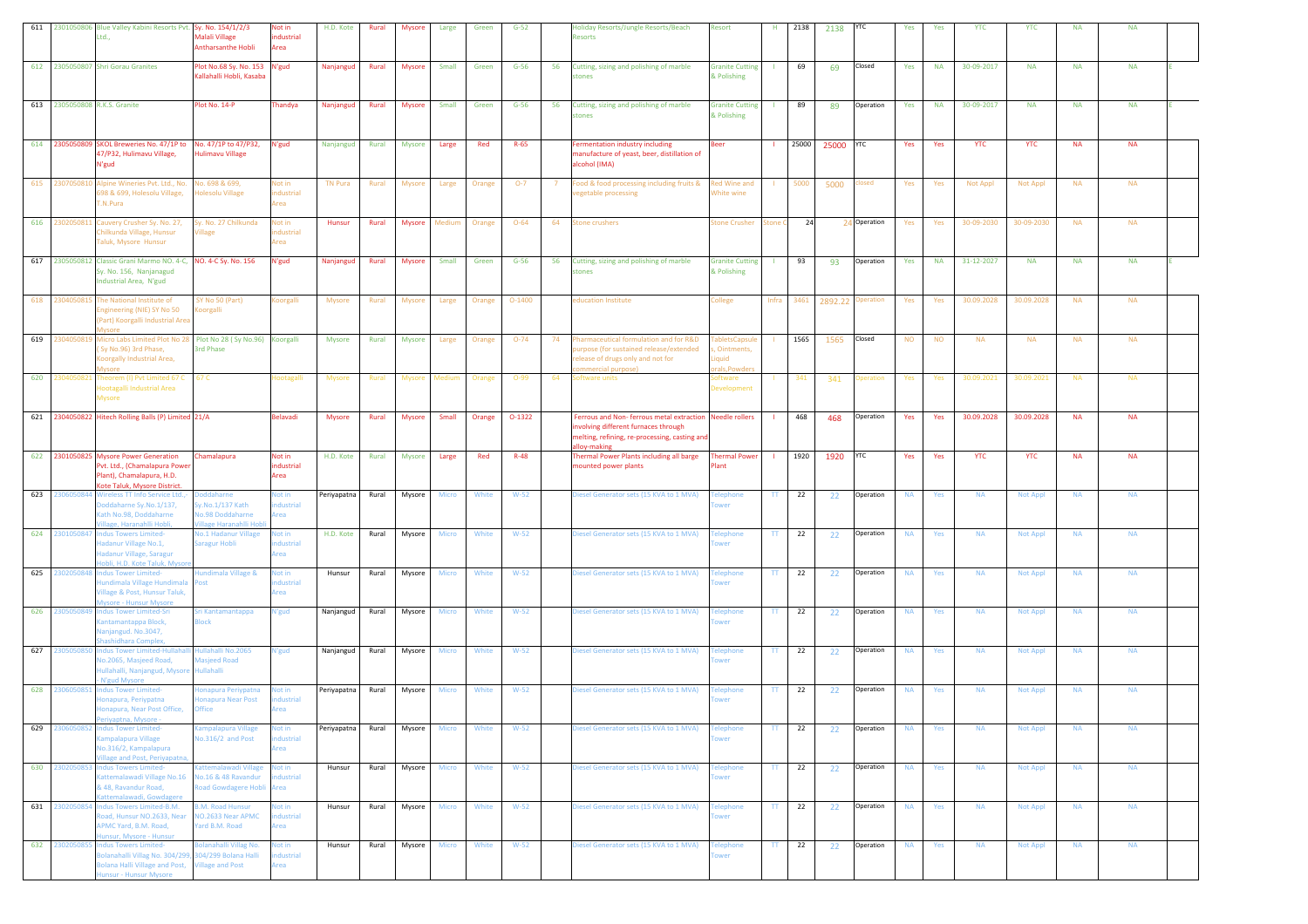|     |                                 | 611 2301050806 Blue Valley Kabini Resorts Pvt. Sy. No. 154/1/2/3<br>Ltd                                                                    | Aalali Village<br>Antharsanthe Hobli                                                    | Not in<br>ndustrial<br>Area            | H.D. Kote        | Rural          | <b>Mysore</b>    | Large                 | Green          | $G-52$           | <b>Holiday Resorts/Jungle Resorts/Beach</b><br>Resorts                                                                                                         | Resort                                          | H.                     | 2138     | 2138      | YTC                          | Yes                    | Yes        | <b>YTC</b>             | <b>YTC</b>           | <b>NA</b>              | <b>NA</b>              |  |
|-----|---------------------------------|--------------------------------------------------------------------------------------------------------------------------------------------|-----------------------------------------------------------------------------------------|----------------------------------------|------------------|----------------|------------------|-----------------------|----------------|------------------|----------------------------------------------------------------------------------------------------------------------------------------------------------------|-------------------------------------------------|------------------------|----------|-----------|------------------------------|------------------------|------------|------------------------|----------------------|------------------------|------------------------|--|
|     |                                 | 612 2305050807 Shri Gorau Granites                                                                                                         | lot No.68 Sy. No. 153<br>Kallahalli Hobli, Kasaba                                       | N'gud                                  | Nanjangud        | Rural          | <b>Mysore</b>    | Small                 | Green          | $G-56$           | 56<br>Cutting, sizing and polishing of marble<br>stones                                                                                                        | <b>Granite Cutting</b><br>& Polishing           |                        | 69       | 69        | Closed                       | Yes                    | <b>NA</b>  | 30-09-2017             | <b>NA</b>            | <b>NA</b>              | <b>NA</b>              |  |
|     | 613 2305050808 R.K.S. Granite   |                                                                                                                                            | Plot No. 14-P                                                                           | Thandya                                | Nanjangud        | Rural          | Mysore           | Small                 | Green          | $G-56$           | 56<br>Cutting, sizing and polishing of marble<br>tones                                                                                                         | <b>Granite Cutting</b><br>& Polishing           | -11                    | 89       | 89        | Operation                    | Yes                    | <b>NA</b>  | 30-09-2017             | <b>NA</b>            | <b>NA</b>              | <b>NA</b>              |  |
|     | 614 2305050809                  | SKOL Breweries No. 47/1P to<br>47/P32, Hulimavu Village,<br>N'gud                                                                          | No. 47/1P to 47/P32,<br><b>Iulimavu Village</b>                                         | N'gud                                  | Nanjangud        | Rural          | Mysore           | Large                 | Red            | $R-65$           | ermentation industry including<br>manufacture of yeast, beer, distillation of<br>alcohol (IMA)                                                                 | Beer                                            |                        | 25000    | 25000 YTC |                              | Yes                    | Yes        | <b>YTC</b>             | <b>YTC</b>           | <b>NA</b>              | <b>NA</b>              |  |
|     | 615 2307050810                  | Alpine Wineries Pvt. Ltd., No.<br>598 & 699, Holesolu Village,<br>T.N.Pura                                                                 | Vo. 698 & 699,<br><b>Iolesolu Village</b>                                               | Not in<br>industrial<br>Area           | <b>TN Pura</b>   | Rural          | <b>Mysore</b>    | Large                 | Orange         | $O-7$            | Food & food processing including fruits &<br>7<br>regetable processing                                                                                         | Red Wine and<br>White wine                      |                        | 5000     | 5000      | losed                        | Yes                    | Yes        | Not Appl               | Not Appl             | <b>NA</b>              | <b>NA</b>              |  |
|     | 616 2302050811                  | Cauvery Crusher Sy. No. 27,<br>hilkunda Village, Hunsur<br>Faluk, Mysore Hunsur                                                            | Sy. No. 27 Chilkunda<br>illage                                                          | Not in<br>dustrial<br>rea              | Hunsur           | Rural          | Mysore Medium    |                       | Orange         | $O - 64$         | <b>Stone crushers</b><br>64                                                                                                                                    | Stone Crusher                                   | itone                  | 24       |           | 24 Operation                 | Yes                    | Yes        | 30-09-2030             | 30-09-2030           | <b>NA</b>              | <b>NA</b>              |  |
|     |                                 | 617 2305050812 Classic Grani Marmo NO. 4-C, NO. 4-C Sy. No. 156<br>Sy. No. 156, Nanjanagud<br>Industrial Area, N'gud                       |                                                                                         | N'gud                                  | Nanjangud        | Rural          | <b>Mysore</b>    | Small                 | Green          | $G-56$           | 56<br>Cutting, sizing and polishing of marble<br>stones                                                                                                        | <b>Granite Cutting</b><br>& Polishing           |                        | 93       | 93        | Operation                    | Yes                    | <b>NA</b>  | 31-12-2027             | <b>NA</b>            | <b>NA</b>              | <b>NA</b>              |  |
|     | 618 2304050815                  | The National Institute of<br>Ingineering (NIE) SY No 50<br>(Part) Koorgalli Industrial Area<br>lysore                                      | SY No 50 (Part)<br>oorgalli                                                             | illegroo!                              | <b>Mysore</b>    | Rural          | <b>Mysore</b>    | Large                 | Orange         | $O-1400$         | education Institute                                                                                                                                            | ollege                                          |                        |          |           | Infra 3461 2892.22 Operation | Yes                    | Yes        | 30.09.2028             | 30.09.2028           | <b>NA</b>              | <b>NA</b>              |  |
|     | 619 2304050819                  | Micro Labs Limited Plot No 28 Plot No 28 (Sy No.96) Koorgalli<br>Sy No.96) 3rd Phase,<br>Koorgally Industrial Area,                        | <b>Srd Phase</b>                                                                        |                                        | <b>Mysore</b>    | Rural          | <b>Mysore</b>    | Large                 | Orange         | $O - 74$         | 74<br>Pharmaceutical formulation and for R&D<br>urpose (for sustained release/extended<br>elease of drugs only and not for<br>ommercial purpose)               | abletsCapsule<br>Ointments,<br>iquid<br>als.Pov |                        | 1565     | 1565      | Closed                       | <b>NO</b>              | <b>NO</b>  | <b>NA</b>              | <b>NA</b>            | <b>NA</b>              | <b>NA</b>              |  |
| 620 | 2304050821                      | Theorem (I) Pvt Limited 67 C<br>Hootagalli Industrial Area<br>Mysore                                                                       | 67 C                                                                                    | lootagalli                             | <b>Mysore</b>    | Rural          | <b>Mysore</b>    | Medium                | Orange         | $O-99$           | Software units<br>64                                                                                                                                           | oftware<br><b>Developmen</b>                    |                        | 341      | 341       | peration                     | Yes                    | Yes        | 30.09.2021             | 30.09.2021           | <b>NA</b>              | <b>NA</b>              |  |
|     | 621 2304050822                  | Hitech Rolling Balls (P) Limited 21/A                                                                                                      |                                                                                         | <b>Belavadi</b>                        | <b>Mysore</b>    | Rural          | Mysore           | Small                 | Orange         | $O-1322$         | Ferrous and Non- ferrous metal extraction Needle rollers<br>wolving different furnaces through<br>melting, refining, re-processing, casting and<br>llov-makine |                                                 |                        | 468      | 468       | Operation                    | Yes                    | Yes        | 30.09.2028             | 30.09.2028           | <b>NA</b>              | <b>NA</b>              |  |
|     |                                 |                                                                                                                                            |                                                                                         |                                        |                  |                |                  |                       |                |                  |                                                                                                                                                                |                                                 |                        |          |           |                              |                        |            |                        |                      |                        |                        |  |
|     |                                 | 622 2301050825 Mysore Power Generation<br>Pvt. Ltd., (Chamalapura Power<br>Plant), Chamalapura, H.D.<br>Kote Taluk, Mysore District.       | Chamalapura                                                                             | Not in<br>industrial<br>Area           | H.D. Kote        | Rural          | Mysore           | Large                 | Red            | $R-48$           | Thermal Power Plants including all barge<br>mounted power plants                                                                                               | <b>Thermal Power</b><br>Plant                   | -11                    | 1920     | 1920      | YTC                          | Yes                    | Yes        | <b>YTC</b>             | <b>YTC</b>           | <b>NA</b>              | <b>NA</b>              |  |
| 623 | 2306050844                      | Wireless TT Info Service Ltd.,-<br>oddaharne Sy.No.1/137,<br>Kath No.98, Doddaharne<br>illage, Haranahlli Hobli,                           | oddaharne<br>y.No.1/137 Kath<br><b>Vo.98 Doddaharne</b><br>illage Haranahlli Hob        | Not in<br>dustrial<br>Area             | Periyapatna      | Rural          | Mysore           | Micro                 | White          | $W-52$           | Diesel Generator sets (15 KVA to 1 MVA)                                                                                                                        | <b>Telephone</b><br>wer                         | TT.                    | 22       | 22        | Operation                    | <b>NA</b>              | Yes        | <b>NA</b>              | <b>Not Appl</b>      | <b>NA</b>              | <b>NA</b>              |  |
| 624 | 2301050847                      | ndus Towers Limited-<br>Hadanur Village No.1,<br>Hadanur Village, Saragur<br>obli, H.D. Kote Taluk, Myso                                   | <b>Vo.1 Hadanur Village</b><br>aragur Hobli                                             | <b>Not in</b><br>dustrial<br>rea       | H.D. Kote        | Rural          | Mysore           | Micro                 | White          | $W-52$           | liesel Generator sets (15 KVA to 1 MVA)                                                                                                                        | elephone<br>wer                                 | TT.                    | 22       | 22        | Operation                    | <b>NA</b>              | Yes        | <b>NA</b>              | <b>Not Appl</b>      | <b>NA</b>              | <b>NA</b>              |  |
|     | 625 2302050848                  | ndus Tower Limited-<br>undimala Village Hundimala<br>illage & Post, Hunsur Taluk,<br><b>Nysore - Hunsur Mysore</b>                         | undimala Village &<br>ost                                                               | lot in<br>dustrial<br>Area             | Hunsur           | Rural          | Mysore           | <b>Micro</b>          | White          | $W-52$           | Diesel Generator sets (15 KVA to 1 MVA)                                                                                                                        | <b>Telephone</b><br>wer                         | $\mathbf{H}$           | 22       | 22        | Operation                    | <b>NA</b>              | Yes        | <b>NA</b>              | Not Appl             | <b>NA</b>              | <b>NA</b>              |  |
|     | 626 2305050849                  | <b>Indus Tower Limited-Sri</b><br>Kantamantappa Block,<br>Vanjangud. No.3047,<br>hashidhara Complex,                                       | iri Kantamantappa<br><b>Block</b>                                                       | N'gud                                  | Nanjangud        | Rural          | Mysore           | Micro                 | White          | $W-52$           | Diesel Generator sets (15 KVA to 1 MVA)                                                                                                                        | <b>Telephone</b><br>wer                         | TT.                    | 22       | 22        | Operation                    | <b>NA</b>              | Yes        | <b>NA</b>              | Not Appl             | <b>NA</b>              | <b>NA</b>              |  |
|     | 627 230505085                   | Indus Tower Limited-Hullah<br>lo.2065, Masjeed Road,<br>ullahalli, Nanjangud, Mysore<br>N'gud Mysore                                       | Hullahalli No.2065<br>Masjeed Road<br><b>Iullahalli</b>                                 | N'gud                                  | Nanjangud        | Rural          | Mysore           | Micro                 | White          | $W-52$           | Diesel Generator sets (15 KVA to 1 MVA)                                                                                                                        | <b>Felephone</b><br>wer                         | $\mathsf{TT}$          | 22       | 22        | Operation                    | <b>NA</b>              | Yes        | <b>NA</b>              | Not Appl             | <b>NA</b>              | <b>NA</b>              |  |
|     | 628 2306050851                  | <b>Indus Tower Limited-</b><br>Honapura, Periypatna<br>Honapura, Near Post Office,<br>riyaptna, Mysore -                                   | onapura Periypatna<br>onapura Near Post<br><b>Iffice</b>                                | <b>Not in</b><br>dustrial<br>Area      | Periyapatna      | Rural          | Mysore           | Micro                 | White          | $W-52$           | Diesel Generator sets (15 KVA to 1 MVA)                                                                                                                        | elephone<br>wer                                 | TT.                    | 22       | 22        | Operation                    | <b>NA</b>              | Yes        | <b>NA</b>              | Not Appl             | <b>NA</b>              | <b>NA</b>              |  |
| 629 | 2306050852                      | <b>Indus Tower Limited-</b><br>ampalapura Village<br>No.316/2, Kampalapura<br>illage and Post, Periyapatn                                  | ampalapura Village<br>lo.316/2 and Post                                                 | Not in<br>ndustrial<br><b>rea</b>      | Periyapatna      | Rural          | Mysore           | Micro                 | White          | $W-52$           | Diesel Generator sets (15 KVA to 1 MVA)                                                                                                                        | <b>Telephone</b><br>ower                        | TT                     | 22       | 22        | Operation                    | <b>NA</b>              | Yes        | <b>NA</b>              | Not Appl             | <b>NA</b>              | <b>NA</b>              |  |
|     | 630 2302050853                  | <b>Indus Towers Limited-</b><br>attemalawadi Village No.16<br>48, Ravandur Road,<br>attemalawadi, Gowdagere                                | attemalawadi Village<br>lo.16 & 48 Ravandur<br>oad Gowdagere Hobli                      | Not in<br>dustrial<br>Area             | Hunsur           | Rural          | Mysore           | Micro                 | White          | $W-52$           | Diesel Generator sets (15 KVA to 1 MVA)                                                                                                                        | <b>Telephone</b><br>wer                         | $\Pi$                  | 22       | 22        | Operation                    | <b>NA</b>              | Yes        | <b>NA</b>              | <b>Not Appl</b>      | <b>NA</b>              | <b>NA</b>              |  |
|     | 631 2302050854<br>632 230205085 | Indus Towers Limited-B.M.<br>Road, Hunsur NO.2633, Near<br>APMC Yard, B.M. Road,<br>unsur, Mysore - Hunsur<br><b>Indus Towers Limited-</b> | <b>B.M. Road Hunsur</b><br>NO.2633 Near APMC<br>Yard B.M. Road<br>olanahalli Villag No. | Not in<br>industrial<br>Area<br>Not in | Hunsur<br>Hunsur | Rural<br>Rural | Mysore<br>Mysore | Micro<br><b>Micro</b> | White<br>White | $W-52$<br>$W-52$ | Diesel Generator sets (15 KVA to 1 MVA)<br>Diesel Generator sets (15 KVA to 1 MVA)                                                                             | <b>Telephone</b><br><b>Telephone</b>            | $\mathsf{TT}$<br>$\pi$ | 22<br>22 | 22<br>22  | Operation<br>Operation       | <b>NA</b><br><b>NA</b> | Yes<br>Yes | <b>NA</b><br><b>NA</b> | Not Appl<br>Not Appl | <b>NA</b><br><b>NA</b> | <b>NA</b><br><b>NA</b> |  |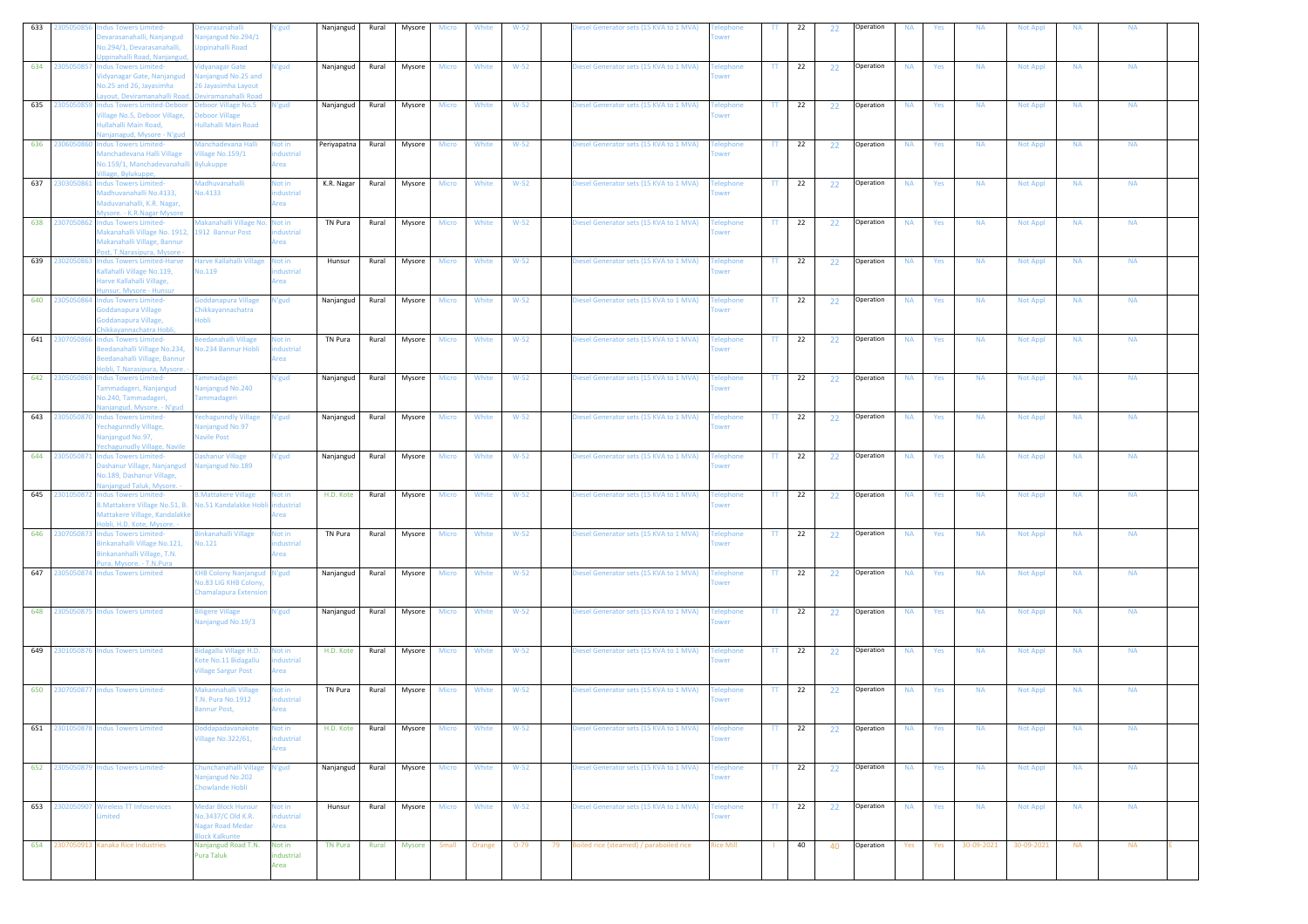| 633 | 230505085      | ndus Towers Limited-<br>varasanahalli, Nanjangud<br>Vo.294/1, Devarasanahalli,                                                                                             | evarasanaha<br>anjangud No.294/1<br>ppinahalli Road                                                                | <b>V'gud</b>                     | Nanjangud   | Rural | Mysore | <b>Micro</b> | White | $W-52$ | iesel Generator sets (15 KVA to 1 MVA)  | wer                                         |              | 22 | 22 | Operation | NA        | Yes | <b>NA</b> | Not Appl        | <b>NA</b> | <b>NA</b>              |  |
|-----|----------------|----------------------------------------------------------------------------------------------------------------------------------------------------------------------------|--------------------------------------------------------------------------------------------------------------------|----------------------------------|-------------|-------|--------|--------------|-------|--------|-----------------------------------------|---------------------------------------------|--------------|----|----|-----------|-----------|-----|-----------|-----------------|-----------|------------------------|--|
|     | 634 2305050857 | pinahalli Road, Nanjangud<br><b>Indus Towers Limited-</b><br>'idyanagar Gate, Nanjangud<br>No.25 and 26, Jayasimha                                                         | idyanagar Gate<br>anjangud No.25 and<br>26 Jayasimha Layout                                                        | N'gud                            | Nanjangud   | Rural | Mysore | <b>Micro</b> | White | $W-52$ | Diesel Generator sets (15 KVA to 1 MVA) | elephone<br>wer                             | TT.          | 22 | 22 | Operation | <b>NA</b> | Yes | <b>NA</b> | <b>Not Appl</b> | <b>NA</b> | <b>NA</b>              |  |
|     | 635 230505085  | ayout, Deviramanahalli Road<br><b>Indus Towers Limited-Deboor</b><br>Village No.5, Deboor Village,<br>ullahalli Main Road.                                                 | eviramanahalli Road<br>eboor Village No.5<br>eboor Village<br>ullahalli Main Road                                  | N'gud                            | Nanjangud   | Rural | Mysore | Micro        | White | $W-52$ | Diesel Generator sets (15 KVA to 1 MVA) | <b>Telephone</b><br>wer                     | TT.          | 22 | 22 | Operation | <b>NA</b> | Yes | <b>NA</b> | <b>Not Appl</b> | <b>NA</b> | <b>NA</b>              |  |
|     | 636 2306050860 | anjanagud, Mysore - N'gud<br><b>Indus Towers Limited-</b><br><b>Manchadevana Halli Village</b><br>Vo.159/1, Manchadevanahal                                                | lanchadevana Halli<br>llage No.159/1<br><b>Bylukuppe</b>                                                           | Not in<br>dustrial<br>ea.        | Periyapatna | Rural | Mysore | <b>Micro</b> | White | $W-52$ | Diesel Generator sets (15 KVA to 1 MVA) | elephone                                    | $\mathbf{H}$ | 22 | 22 | Operation | <b>NA</b> | Yes | <b>NA</b> | <b>Not Appl</b> | <b>NA</b> | <b>NA</b>              |  |
|     | 637 2303050861 | llage, Bylukuppe,<br><b>Indus Towers Limited-</b><br>Madhuvanahalli No.4133,<br>Maduvanahalli, K.R. Nagar,                                                                 | <b>Madhuvanahalli</b><br><b>Vo.4133</b>                                                                            | <b>Not in</b><br>dustrial<br>rea | K.R. Nagar  | Rural | Mysore | Micro        | White | $W-52$ | Diesel Generator sets (15 KVA to 1 MVA) | elephone<br>wer                             | TT.          | 22 | 22 | Operation | <b>NA</b> | Yes | <b>NA</b> | <b>Not Appl</b> | <b>NA</b> | <b>NA</b>              |  |
|     | 638 2307050862 | Mysore. - K.R.Nagar Mysore<br><b>Indus Towers Limited-</b><br>Makanahalli Village No. 1912, 1912 Bannur Post<br>Makanahalli Village, Bannur<br>ost, T.Narasipura, Mysore - | Makanahalli Village No. Not in                                                                                     | dustrial<br>rea                  | TN Pura     | Rural | Mysore | Micro        | White | $W-52$ | Diesel Generator sets (15 KVA to 1 MVA) | <b>Felephone</b><br>wer                     | $\Pi$        | 22 | 22 | Operation | <b>NA</b> | Yes | <b>NA</b> | <b>Not Appl</b> | <b>NA</b> | <b>NA</b>              |  |
|     | 639 2302050863 | Indus Towers Limited-Harve<br>allahalli Village No.119,<br>larve Kallahalli Village,<br>insur, Mysore - Hunsur                                                             | larve Kallahalli Village<br>0.119                                                                                  | Not in<br>dustrial<br>rea        | Hunsur      | Rural | Mysore | <b>Micro</b> | White | $W-52$ | Diesel Generator sets (15 KVA to 1 MVA) | elephone                                    | TT.          | 22 | 22 | Operation | <b>NA</b> | Yes | <b>NA</b> | <b>Not Appl</b> | <b>NA</b> | <b>NA</b>              |  |
|     | 640 2305050864 | ndus Towers Limited-<br>ioddanapura Village<br>Goddanapura Village,<br>Chikkayannachatra Hobli,                                                                            | oddanapura Village<br>Chikkayannachatra<br>Inhli                                                                   | <b>\'gud</b>                     | Nanjangud   | Rural | Mysore | <b>Micro</b> | White | $W-52$ | Diesel Generator sets (15 KVA to 1 MVA) | elephone                                    | π            | 22 | 22 | Operation | <b>NA</b> | Yes | <b>NA</b> | <b>Not Appl</b> | <b>NA</b> | <b>NA</b>              |  |
|     | 641 2307050866 | <b>Indus Towers Limited-</b><br>Beedanahalli Village No.234,<br>leedanahalli Village, Bannur<br>obli, T.Narasipura, Mysore.                                                | Beedanahalli Village<br>lo.234 Bannur Hobli                                                                        | <b>Not in</b><br>dustrial<br>ea. | TN Pura     | Rural | Mysore | Micro        | White | $W-52$ | Diesel Generator sets (15 KVA to 1 MVA) | <b>Telephone</b><br><b>NPT</b>              | TT.          | 22 | 22 | Operation | <b>NA</b> | Yes | <b>NA</b> | <b>Not Appl</b> | <b>NA</b> | <b>NA</b>              |  |
|     | 642 230505086  | <b>Indus Towers Limited-</b><br>ammadageri, Nanjangud<br>No.240, Tammadageri,<br>anjangud, Mysore. - N'gud                                                                 | ammadageri<br>anjangud No.240<br><b>Tammadageri</b>                                                                | N'gud                            | Nanjangud   | Rural | Mysore | <b>Micro</b> | White | $W-52$ | Diesel Generator sets (15 KVA to 1 MVA) | elephone                                    | $\mathbf{H}$ | 22 | 22 | Operation | <b>NA</b> | Yes | <b>NA</b> | Not Appl        | <b>NA</b> | <b>NA</b>              |  |
|     | 643 2305050870 | <b>Indus Towers Limited-</b><br>Yechagunndly Village,<br>Vanjangud No.97,<br>echagunudly Village, Navile                                                                   | echagunndly Village<br><b>Vanjangud No.97</b><br><b>Vavile Post</b>                                                | N'gud                            | Nanjangud   | Rural | Mysore | <b>Micro</b> | White | $W-52$ | Diesel Generator sets (15 KVA to 1 MVA) | elephone<br>wer                             | TT.          | 22 | 22 | Operation | <b>NA</b> | Yes | <b>NA</b> | <b>Not Appl</b> | <b>NA</b> | <b>NA</b>              |  |
|     | 644 2305050871 | <b>Indus Towers Limited-</b><br>ashanur Village, Nanjangud<br>No.189, Dashanur Village,<br>njangud Taluk, Mysore.                                                          | ashanur Village<br>anjangud No.189                                                                                 | N'gud                            | Nanjangud   | Rural | Mysore | Micro        | White | $W-52$ | Diesel Generator sets (15 KVA to 1 MVA) | elephone<br>wer                             | TT           | 22 | 22 | Operation | <b>NA</b> | Yes | <b>NA</b> | <b>Not Appl</b> | <b>NA</b> | <b>NA</b>              |  |
|     | 645 2301050872 | <b>Indus Towers Limited-</b>                                                                                                                                               | <b>B.Mattakere Village</b>                                                                                         | Not in                           | H.D. Kote   | Rural | Mysore | <b>Micro</b> | White | $W-52$ | Diesel Generator sets (15 KVA to 1 MVA) | elephone<br>wer                             | TT.          | 22 | 22 | Operation | <b>NA</b> | Yes | <b>NA</b> | <b>Not Appl</b> | <b>NA</b> | <b>NA</b>              |  |
|     |                | 3. Mattakere Village No. 51, B.<br>Mattakere Village, Kandalakke                                                                                                           | No.51 Kandalakke Hobli                                                                                             | dustrial<br>rea                  |             |       |        |              |       |        |                                         |                                             |              |    |    |           |           |     |           |                 |           |                        |  |
|     | 646 2307050873 | iobli, H.D. Kote, Mysore. -<br><b>Indus Towers Limited-</b><br>linkanahalli Village No.121,<br>Binkananhalli Village, T.N.<br>ura, Mysore. - T.N.Pura                      | inkanahalli Village<br>0.121                                                                                       | Not in<br>dustrial<br>rea        | TN Pura     | Rural | Mysore | <b>Micro</b> | White | $W-52$ | Diesel Generator sets (15 KVA to 1 MVA) | <b>Telephone</b><br>wer                     | TT.          | 22 | 22 | Operation | <b>NA</b> | Yes | <b>NA</b> | <b>Not Appl</b> | <b>NA</b> | <b>NA</b>              |  |
|     | 647 2305050874 | <b>Indus Towers Limited</b>                                                                                                                                                | <b>KHB Colony Nanjangud N'gud</b><br><b>Vo.83 LIG KHB Colony</b><br>Chamalapura Extensio                           |                                  | Nanjangud   | Rural | Mysore | Micro        | White | $W-52$ | Diesel Generator sets (15 KVA to 1 MVA) | elephone                                    | TT.          | 22 | 22 | Operation | <b>NA</b> | Yes | <b>NA</b> | <b>Not Appl</b> | <b>NA</b> | <b>NA</b>              |  |
|     |                | 648 2305050875 Indus Towers Limited                                                                                                                                        | ligere Village<br>lanjangud No.19/3                                                                                | V'gud                            | Nanjangud   | Rural | Mysore | Micro        | White | $W-52$ | Diesel Generator sets (15 KVA to 1 MVA) | elephone<br>wer                             | TT.          | 22 | 22 | Operation | <b>NA</b> | Yes | <b>NA</b> | <b>Not Appl</b> | <b>NA</b> | <b>NA</b>              |  |
|     |                | 649 2301050876 Indus Towers Limited                                                                                                                                        | idagallu Village H.D.<br><b>Cote No.11 Bidagallu</b><br><b>Village Sargur Post</b>                                 | Not in<br>dustrial<br>rea        | H.D. Kote   | Rural | Mysore | Micro        | White | $W-52$ | Diesel Generator sets (15 KVA to 1 MVA) | <b>Felephone</b><br>wer                     | $\Pi$        | 22 | 22 | Operation | <b>NA</b> | Yes | <b>NA</b> | <b>Not Appl</b> | <b>NA</b> | <b>NA</b>              |  |
|     |                | 650 2307050877 Indus Towers Limited-                                                                                                                                       | Aakannahalli Village<br>T.N. Pura No.1912<br>annur Post,                                                           | Vot in<br>dustrial<br>rea        | TN Pura     | Rural | Mysore | <b>Micro</b> | White | $W-52$ | Diesel Generator sets (15 KVA to 1 MVA) | elephone                                    | TT.          | 22 | 22 | Operation | <b>NA</b> | Yes | <b>NA</b> | <b>Not Appl</b> | <b>NA</b> | <b>NA</b>              |  |
| 651 |                | 2301050878 Indus Towers Limited                                                                                                                                            | oddapadavanakote<br>illage No.322/61,                                                                              | Not in<br>dustrial<br>Area       | H.D. Kote   | Rural | Mysore | Micro        | White | $W-52$ | Diesel Generator sets (15 KVA to 1 MVA) | elephone<br>wer                             | TT.          | 22 | 22 | Operation | <b>NA</b> | Yes | <b>NA</b> | <b>Not Appl</b> | <b>NA</b> | <b>NA</b>              |  |
|     |                | 652 2305050879 Indus Towers Limited-                                                                                                                                       | Chunchanahalli Village<br>anjangud No.202<br>howlande Hobli                                                        | N'gud                            | Nanjangud   | Rural | Mysore | <b>Micro</b> | White | $W-52$ | Diesel Generator sets (15 KVA to 1 MVA) | <b>Felephone</b><br>wer                     | TT.          | 22 | 22 | Operation | <b>NA</b> | Yes | <b>NA</b> | <b>Not Appl</b> | <b>NA</b> | <b>NA</b>              |  |
|     |                | 653 2302050907 Wireless TT Infoservices<br>mited                                                                                                                           | <b>Medar Block Hunsur</b><br>lo.3437/C Old K.R.<br><b>Jagar Road Medar</b><br>lock Kalkunte<br>Nanjangud Road T.N. | Not in<br>dustrial<br>Area       | Hunsur      | Rural | Mysore | Micro        | White | $W-52$ | Diesel Generator sets (15 KVA to 1 MVA) | <b>Felephone</b><br>wer<br><b>Rice Mill</b> | $\Pi$        | 22 | 22 | Operation | <b>NA</b> | Yes | <b>NA</b> | Not Appl        | <b>NA</b> | <b>NA</b><br><b>NA</b> |  |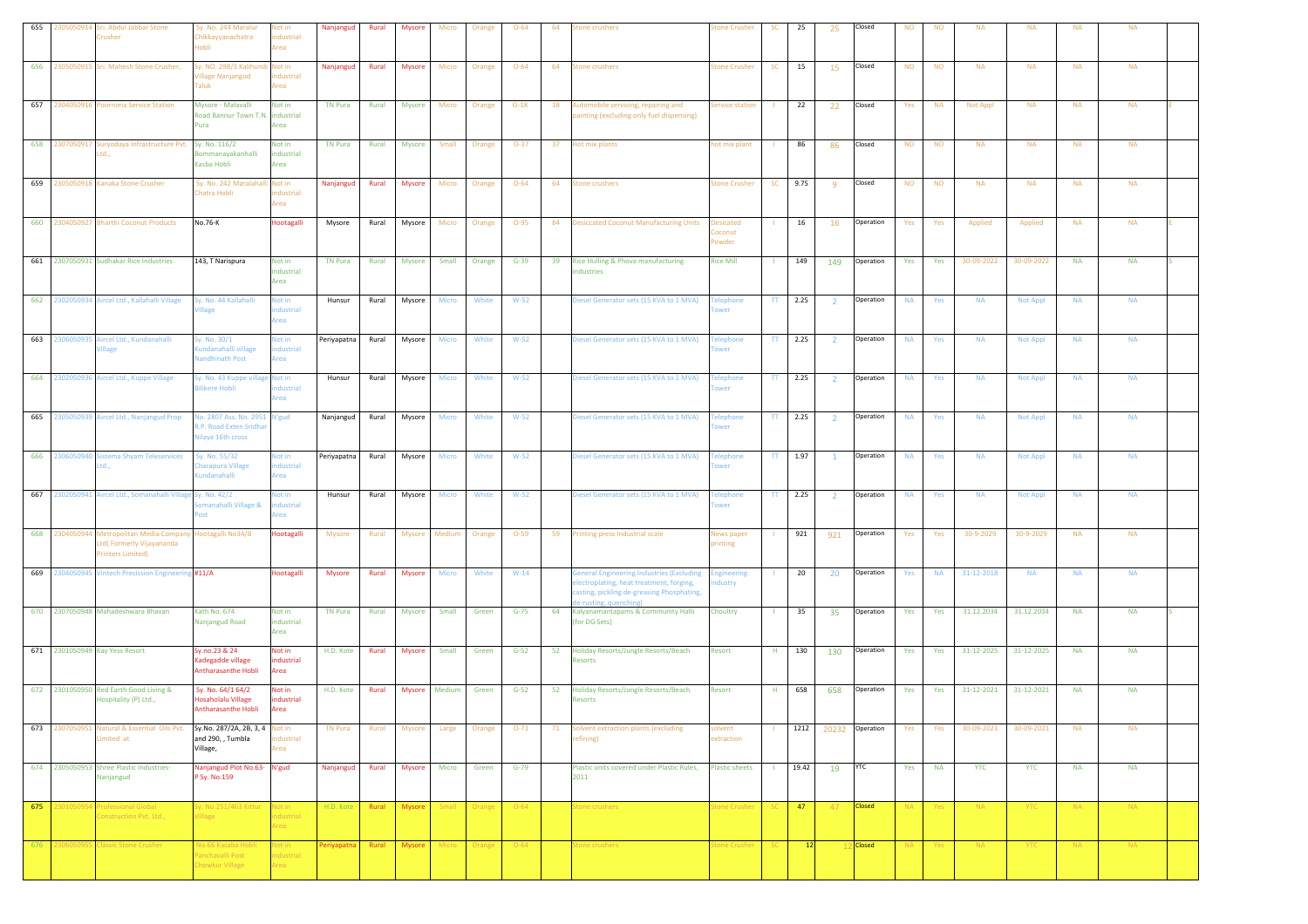| 655 | 305050914<br>Sri. Abdul Jabbar Stone<br>crusher                                               | Sy. No. 244 Maralur<br>hikkayyanachatra<br>ildol                           | Not in<br>dustrial<br>Area                              | Nanjangud              | Rural | <b>Mysore</b> | Micro        | Orange       | $O - 64$ | 64 | tone crushers                                                                                                                                                 | one Crusher                         | <b>SC</b>       | 25    | 25             | Closed        | <b>NO</b> | <b>NO</b> | <b>NA</b>  | <b>NA</b>       | <b>NA</b> | <b>NA</b> |  |
|-----|-----------------------------------------------------------------------------------------------|----------------------------------------------------------------------------|---------------------------------------------------------|------------------------|-------|---------------|--------------|--------------|----------|----|---------------------------------------------------------------------------------------------------------------------------------------------------------------|-------------------------------------|-----------------|-------|----------------|---------------|-----------|-----------|------------|-----------------|-----------|-----------|--|
| 656 | 2305050915 Sri. Mahesh Stone Crusher,                                                         | y. NO. 298/3 Kalihur<br>fillage Nanjangud<br><b>Taluk</b>                  | Not in<br>industrial<br>Area                            | Nanjangud              | Rural | <b>Mysore</b> | Micro        | Orange       | $O - 64$ | 64 | <b>Stone crushers</b>                                                                                                                                         | <b>tone Crusher</b>                 | <b>SC</b>       | 15    | 15             | Closed        | <b>NO</b> | <b>NO</b> | <b>NA</b>  | <b>NA</b>       | <b>NA</b> | <b>NA</b> |  |
| 657 | 2304050916 Poornima Service Station                                                           | Mysore - Malavalli<br>load Bannur Town T.N. industrial<br><b>ura</b>       | Not in<br>Area                                          | <b>TN Pura</b>         | Rural | Mysore        | Micro        | Orange       | $O-18$   | 18 | Automobile servicing, repairing and<br>painting (excluding only fuel dispensing)                                                                              | ervice station                      |                 | 22    | 22             | Closed        | Yes       | <b>NA</b> | Not Appl   | <b>NA</b>       | <b>NA</b> | <b>NA</b> |  |
| 658 | 2307050917 Suryodaya Infrastructure Pvt.<br>td                                                | Sy. No. 116/2<br><b>Sommanayakanhalli</b><br>Kasba Hobli                   | Not in<br>industrial<br>Area                            | TN Pura                | Rural | Mysore        | Small        | Orange       | $O-37$   | 37 | Hot mix plants                                                                                                                                                | ot mix plant                        |                 | 86    | 86             | Closed        | <b>NO</b> | <b>NO</b> | <b>NA</b>  | <b>NA</b>       | <b>NA</b> | <b>NA</b> |  |
| 659 | 2305050918 Kanaka Stone Crusher                                                               | Sy. No. 242 Maralaha<br>hatra Hobli                                        | Not in<br>ndustrial<br>Area                             | Nanjangud              | Rural | Mysore        | Micro        | Orange       | $O - 64$ | 64 | <b>Stone crushers</b>                                                                                                                                         | <b>tone Crusher</b>                 | <b>SC</b>       | 9.75  | -9             | Closed        | <b>NO</b> | <b>NO</b> | <b>NA</b>  | <b>NA</b>       | <b>NA</b> | <b>NA</b> |  |
|     | 660 2304050927 Bharthi Coconut Products                                                       | No.76-K                                                                    | Hootagalli                                              | Mysore                 | Rural | Mysore        | Micro        | Orange       | $O-95$   |    | 84 Desiccated Coconut Manufacturing Units                                                                                                                     | <b>Desicated</b><br>pconut<br>owder |                 | 16    | 16             | Operation     | Yes       | Yes       | Applied    | Applied         | <b>NA</b> | <b>NA</b> |  |
|     | 661 2307050931 Sudhakar Rice Industries                                                       | 143, T Narispura                                                           | Not in<br>industrial<br>Area                            | TN Pura                | Rural | Mysore        | Small        | Orange       | $G-39$   | 39 | Rice Hulling & Phova manufacturing<br>ndustries                                                                                                               | <b>Rice Mill</b>                    |                 | 149   | 149            | Operation     | Yes       | Yes       | 30-09-2022 | 30-09-2022      | <b>NA</b> | <b>NA</b> |  |
| 662 | 2302050934 Aircel Ltd., Kallahalli Village                                                    | y. No. 44 Kallahalli<br>illage                                             | Not in<br>ndustrial<br>rea                              | Hunsur                 | Rural | Mysore        | Micro        | White        | $W-52$   |    | Diesel Generator sets (15 KVA to 1 MVA)                                                                                                                       | elephone<br>wer                     | TT              | 2.25  | $\overline{2}$ | Operation     | <b>NA</b> | Yes       | <b>NA</b>  | <b>Not Appl</b> | <b>NA</b> | <b>NA</b> |  |
|     | 663 2306050935 Aircel Ltd., Kundanahalli<br>llage                                             | y. No. 30/1<br>undanahalli village<br><b>Jandhinath Post</b>               | Not in<br>dustrial<br>Area                              | Periyapatna            | Rural | Mysore        | Micro        | White        | $W-52$   |    | Diesel Generator sets (15 KVA to 1 MVA)                                                                                                                       | elephone<br>wer                     | TT.             | 2.25  | $\overline{2}$ | Operation     | <b>NA</b> | Yes       | <b>NA</b>  | Not Appl        | <b>NA</b> | <b>NA</b> |  |
| 664 | 2302050936 Aircel Ltd., Kuppe Village                                                         | y. No. 43 Kuppe village Not in<br>ilikere Hobli                            | ndustrial<br>Area                                       | Hunsur                 | Rural | Mysore        | Micro        | White        | $W-52$   |    | Diesel Generator sets (15 KVA to 1 MVA)                                                                                                                       | <b>Telephone</b><br>ower            | TT.             | 2.25  | $\overline{2}$ | Operation     | <b>NA</b> | Yes       | <b>NA</b>  | <b>Not Appl</b> | <b>NA</b> | <b>NA</b> |  |
| 665 | Aircel Ltd., Nanjangud Prop<br>:305050939                                                     | lo. 2807 Ass. No. 2951 N'gud<br>LP. Road Exten Sridha<br>lilaya 16th cross |                                                         | Nanjangud              | Rural | Mysore        | Micro        | White        | $W-52$   |    | Diesel Generator sets (15 KVA to 1 MVA)                                                                                                                       | elephone<br>wer                     | $_{\rm IT}$     | 2.25  | $\overline{2}$ | Operation     | <b>NA</b> | Yes       | <b>NA</b>  | <b>Not Appl</b> | $\sf NA$  | <b>NA</b> |  |
| 666 | 230605094<br>istema Shyam Teleservices<br>.td.,                                               | y. No. 55/32<br>harapura Village<br>undanahalli                            | Not in<br>ndustrial<br>Area                             | Periyapatna            | Rural | Mysore        | Micro        | White        | $W-52$   |    | Diesel Generator sets (15 KVA to 1 MVA)                                                                                                                       | elephone<br>ower                    | TT.             | 1.97  | $\overline{1}$ | Operation     | <b>NA</b> | Yes       | <b>NA</b>  | <b>Not Appl</b> | <b>NA</b> | <b>NA</b> |  |
| 667 | 2302050941 Aircel Ltd., Somanahalli Village Sy. No. 42/2                                      | omanahalli Village &                                                       | Not in<br>dustrial<br>Area                              | Hunsur                 | Rural | Mysore        | Micro        | White        | $W-52$   |    | Diesel Generator sets (15 KVA to 1 MVA)                                                                                                                       | elephone<br>wer                     | TT.             | 2.25  | $\overline{2}$ | Operation     | <b>NA</b> | Yes       | <b>NA</b>  | <b>Not Appl</b> | <b>NA</b> | <b>NA</b> |  |
| 668 | 2304050944<br>Metropolitan Media Compa<br>td(Formerly Vijayananda<br><b>Trinters Limited)</b> | lootagalli No34/B                                                          | Hootagalli                                              | Mysore                 | Rural | Mysore        | Medium       | Orange       | $O-59$   | 59 | Printing press Industrial scale                                                                                                                               | lews paper<br>rinting               |                 | 921   | 921            | Operation     | Yes       | Yes       | 30-9-2029  | 30-9-2029       | <b>NA</b> | <b>NA</b> |  |
| 669 | 2304050945 Vintech Precission Engineering #11/A                                               |                                                                            | Hootagalli                                              | Mysore                 | Rural | Mysore        | Micro        | White        | $W-14$   |    | General Engineering Industries (Excluding<br>electroplating, heat treatment, forging,<br>casting, pickling de-greasing Phosphating,<br>le-rusting, quenching) | ngineering<br>dustry                |                 | 20    | 20             | Operation     | Yes       | <b>NA</b> | 31-12-2018 | <b>NA</b>       | <b>NA</b> | <b>NA</b> |  |
|     | 670 2307050948 Mahadeshwara Bhavan                                                            | Kath No. 674<br>Nanjangud Road                                             | Not in<br>industrial<br>Area                            | <b>TN Pura</b>         | Rural | Mysore        | Small        | Green        | $G-75$   | 64 | Kalyanamantapams & Community Halls<br>(for DG Sets)                                                                                                           | Choultry                            |                 | 35    | 35             | Operation     | Yes       | Yes       | 31.12.2034 | 31.12.2034      | <b>NA</b> | <b>NA</b> |  |
|     | 671 2301050949 Kay Yess Resort                                                                | Sy.no.23 & 24<br>adegadde village<br>Antharasanthe Hobli                   | Not in<br>dustrial<br>Area                              | H.D. Kote              | Rural | <b>Mysore</b> | Small        | Green        | $G-52$   | 52 | Holiday Resorts/Jungle Resorts/Beach<br><b>Resorts</b>                                                                                                        | Resort                              | H.              | 130   | 130            | Operation     | Yes       | Yes       | 31-12-2025 | 31-12-2025      | <b>NA</b> | <b>NA</b> |  |
|     | 672 2301050950 Red Earth Good Living &<br>Hospitality (P) Ltd.,                               | Sy. No. 64/1 64/2<br>Hosaholalu Village<br>Antharasanthe Hobli             | Not in<br>industrial<br>Area                            | H.D. Kote              | Rural | <b>Mysore</b> | Medium       | Green        | $G-52$   | 52 | Holiday Resorts/Jungle Resorts/Beach<br>Resorts                                                                                                               | Resort                              | H               | 658   | 658            | Operation     | Yes       | Yes       | 31-12-2021 | 31-12-2021      | <b>NA</b> | <b>NA</b> |  |
| 673 | 2307050951 Natural & Essential Oils Pvt.<br>imited at                                         | Sy.No. 287/2A, 2B, 3, 4 Not in<br>and 290, , Tumbla<br>Village,            | industrial<br>Area                                      | <b>TN Pura</b>         | Rural | Mysore        | Large        | Orange       | $O-71$   | 71 | Solvent extraction plants (excluding<br>refining)                                                                                                             | olvent<br>extraction                |                 | 1212  | 20232          | Operation     | Yes       | Yes       | 30-09-2021 | 30-09-2021      | <b>NA</b> | <b>NA</b> |  |
|     | 674 2305050953 Shree Plastic Industries-<br>Nanjangud                                         | Nanjangud Plot No.63- N'gud<br>P Sy. No.159                                |                                                         | Nanjangud              | Rural | Mysore        | <b>Micro</b> | Green        | $G-79$   |    | Plastic units covered under Plastic Rules,<br>2011                                                                                                            | <b>Plastic sheets</b>               | $\mathbf{L}$    | 19.42 | 19 YTC         |               | Yes       | <b>NA</b> | <b>YTC</b> | <b>YTC</b>      | <b>NA</b> | <b>NA</b> |  |
| 675 | 30105095<br><b>Professional Global</b><br>Construction Pyt. Ltd                               | Sy. No.251/463 Kittur Not in<br>/illage                                    | industrial<br>rea                                       | H.D. Kote Rural Mysore |       |               |              | Small Orange | $O-64$   |    | itone crushers                                                                                                                                                | tone Crusher                        | SC <sub>1</sub> | $-47$ | $-47$          | <b>Closed</b> | NA.       | Yes       | NA .       | YTC             | NA .      | NA .      |  |
| 676 | <b>Classic Stone Crusher</b><br>230605095                                                     | No.66 Kasaba Hobli<br>anchavalli Post<br>howkur Village                    | Not in<br>ndustrial<br><i><u><b><u>krea</u></b></u></i> | Periyapatna            | Rural | Mysore        | Micro        | Orange       | $O-64$   |    | Stone crushers                                                                                                                                                | tone Crusher                        | SC.             | 12    |                | <b>Closed</b> | NA.       | Yes       | $N_A$      | YTC             | $N_A$     | $N_A$     |  |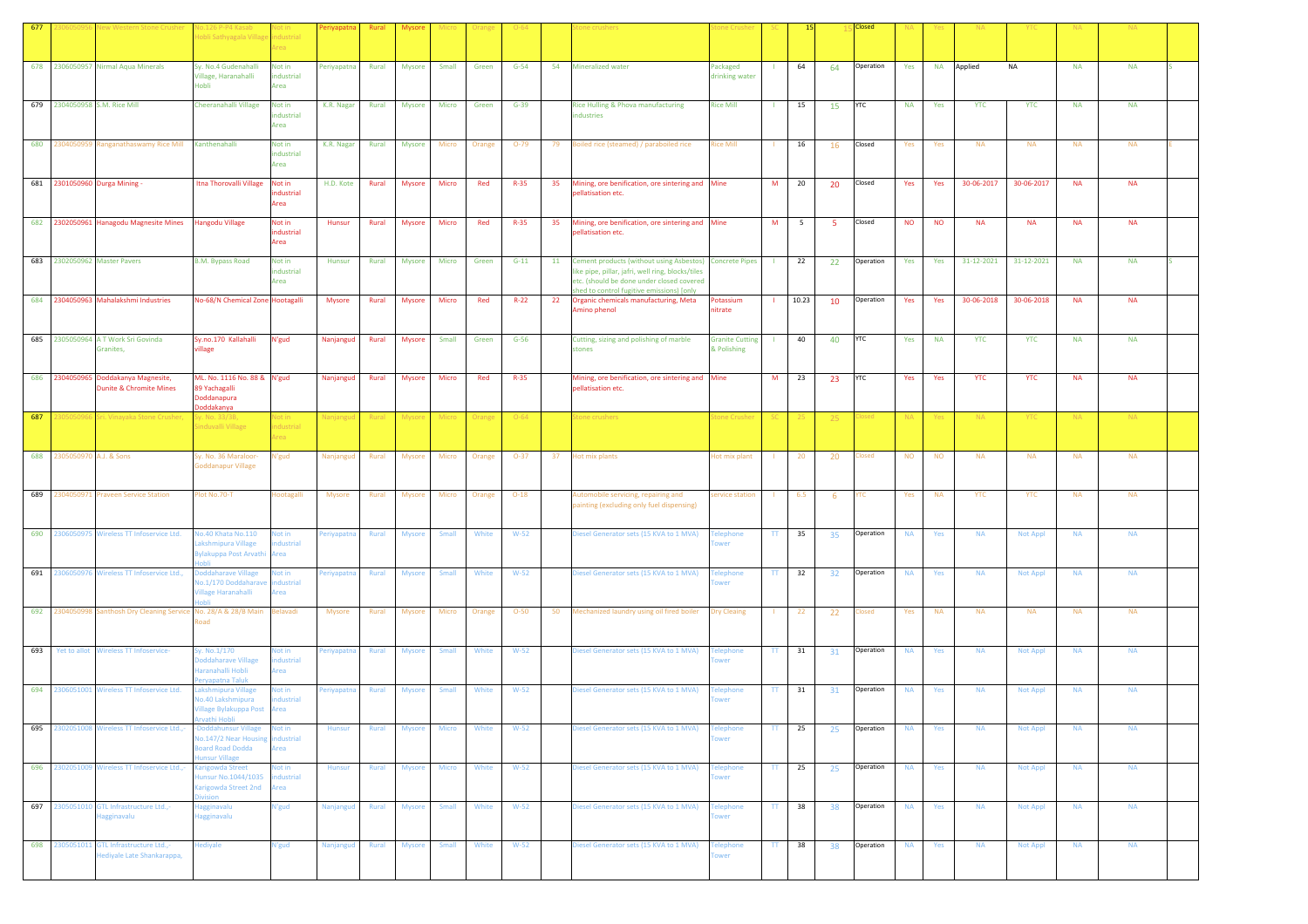|     |                |                                                                                             | lo.126 P-P4 Kasab<br>lobli Sathyagala Villag                                                 | vot in<br>ndustrial<br>Area         | Periyapatn    | Rural        |               |              |        |                  |    |                                                                                                                                                                                                        |                                       |                        |             |     |                     |           |           |            |                 |           |                        |  |
|-----|----------------|---------------------------------------------------------------------------------------------|----------------------------------------------------------------------------------------------|-------------------------------------|---------------|--------------|---------------|--------------|--------|------------------|----|--------------------------------------------------------------------------------------------------------------------------------------------------------------------------------------------------------|---------------------------------------|------------------------|-------------|-----|---------------------|-----------|-----------|------------|-----------------|-----------|------------------------|--|
|     |                | 678 2306050957 Nirmal Aqua Minerals                                                         | Sy. No.4 Gudenahalli<br>Village, Haranahalli<br>Hobli                                        | Not in<br>industrial<br>Area        | Periyapatna   | Rural        | <b>Mysore</b> | Small        | Green  | $G-54$           | 54 | <b>Mineralized water</b>                                                                                                                                                                               | Packaged<br>drinking water            |                        | 64          | 64  | Operation           | Yes       | <b>NA</b> | Applied    | <b>NA</b>       | <b>NA</b> | <b>NA</b>              |  |
|     |                | 679 2304050958 S.M. Rice Mill                                                               | Cheeranahalli Village                                                                        | Not in<br>ndustrial<br>Area         | K.R. Nagar    | Rural        | Mysore        | Micro        | Green  | $G-39$           |    | Rice Hulling & Phova manufacturing<br>ndustries                                                                                                                                                        | <b>Rice Mill</b>                      |                        | 15          | 15  | <b>YTC</b>          | <b>NA</b> | Yes       | <b>YTC</b> | <b>YTC</b>      | <b>NA</b> | <b>NA</b>              |  |
|     |                | 680 2304050959 Ranganathaswamy Rice Mill                                                    | Kanthenahalli                                                                                | Not in<br>industrial<br>Area        | K.R. Nagar    | Rural        | Mysore        | Micro        | Orange | $O-79$           | 79 | Boiled rice (steamed) / paraboiled rice                                                                                                                                                                | <b>Rice Mill</b>                      |                        | 16          | 16  | Closed              | Yes       | Yes       | <b>NA</b>  | <b>NA</b>       | <b>NA</b> | <b>NA</b>              |  |
|     |                | 681 2301050960 Durga Mining -                                                               | Itna Thorovalli Village                                                                      | Not in<br>ndustrial<br>Area         | H.D. Kote     | Rural        | <b>Mysore</b> | Micro        | Red    | $R-35$           |    | 35 Mining, ore benification, ore sintering and Mine<br>pellatisation etc.                                                                                                                              |                                       | M                      | 20          | 20  | Closed              | Yes       | Yes       | 30-06-2017 | 30-06-2017      | <b>NA</b> | <b>NA</b>              |  |
|     |                | 682 2302050961 Hanagodu Magnesite Mines                                                     | <b>Hangodu Village</b>                                                                       | Not in<br>ndustrial<br>Area         | Hunsur        | Rural        | Mysore        | Micro        | Red    | $R-35$           | 35 | Mining, ore benification, ore sintering and Mine<br>bellatisation etc.                                                                                                                                 |                                       | M                      | $5^{\circ}$ | -5  | Closed              | <b>NO</b> | <b>NO</b> | <b>NA</b>  | <b>NA</b>       | <b>NA</b> | <b>NA</b>              |  |
|     |                | 683 2302050962 Master Pavers                                                                | <b>B.M. Bypass Road</b>                                                                      | Not in<br>industrial<br>Area        | Hunsur        | Rural        | <b>Mysore</b> | Micro        | Green  | $G-11$           | 11 | Cement products (without using Asbestos) Concrete Pipes<br>like pipe, pillar, jafri, well ring, blocks/tiles<br>etc. (should be done under closed covered<br>shed to control fugitive emissions) [only |                                       |                        | 22          | 22  | Operation           | Yes       | Yes       | 31-12-2021 | 31-12-2021      | <b>NA</b> | <b>NA</b>              |  |
|     |                | 684 2304050963 Mahalakshmi Industries                                                       | <b>No-68/N Chemical Zone Hootagalli</b>                                                      |                                     | Mysore        | Rural        | Mysore        | Micro        | Red    | $R-22$           | 22 | Organic chemicals manufacturing, Meta<br>Amino phenol                                                                                                                                                  | Potassium<br>nitrate                  |                        | 10.23       | 10  | Operation           | Yes       | Yes       | 30-06-2018 | 30-06-2018      | <b>NA</b> | <b>NA</b>              |  |
|     |                | 685 2305050964 A T Work Sri Govinda<br>Granites,                                            | Sy.no.170 Kallahalli<br>rillage                                                              | N'gud                               | Nanjangud     | Rural        | <b>Mysore</b> | Small        | Green  | $G-56$           |    | Cutting, sizing and polishing of marble<br>stones                                                                                                                                                      | <b>Granite Cutting</b><br>& Polishing |                        | 40          | 40  | <b>YTC</b>          | Yes       | <b>NA</b> | <b>YTC</b> | <b>YTC</b>      | <b>NA</b> | <b>NA</b>              |  |
|     | 686 230405096  | Doddakanya Magnesite,<br><b>Dunite &amp; Chromite Mines</b>                                 | ML. No. 1116 No. 88 & N'gud<br>89 Yachagalli<br>Doddanapura<br>Doddakanya                    |                                     | Nanjangud     | Rural        | <b>Mysore</b> | Micro        | Red    | $R-35$           |    | Mining, ore benification, ore sintering and<br>pellatisation etc.                                                                                                                                      | Mine                                  | M                      | 23          | 23  | <b>YTC</b>          | Yes       | Yes       | <b>YTC</b> | <b>YTC</b>      | <b>NA</b> | <b>NA</b>              |  |
| 687 | 30505096       | Sri. Vinayaka Stone Crushe                                                                  | šy. No. 33/3B,<br>induvalli Village                                                          | Not in<br>dustrial<br>real          | Vanjang       | Rural        | Mysi          | Micro        | Orang  | $O - 64$         |    | tone crushers                                                                                                                                                                                          | tone Crush                            |                        |             | -25 | losed               | <b>NA</b> | Yes       | NA.        | <b>YTC</b>      | <b>NA</b> | <b>NA</b>              |  |
| 688 | 2305050970     | A.J. & Sons                                                                                 | Sy. No. 36 Maraloor-<br><b>Goddanapur Village</b>                                            | N'gud                               | Nanjangud     | Rural        | <b>Mysore</b> | Micro        | Orange | $O-37$           | 37 | Hot mix plants                                                                                                                                                                                         | Hot mix plant                         |                        | 20          | 20  | losed               | <b>NO</b> | <b>NO</b> | <b>NA</b>  | <b>NA</b>       | <b>NA</b> | <b>NA</b>              |  |
| 689 | 2304050971     | <b>Praveen Service Station</b>                                                              | lot No.70-T                                                                                  | <b>Hootagalli</b>                   | <b>Mysore</b> | Rural        | <b>Mysore</b> | Micro        | Orange | $O-18$           |    | Automobile servicing, repairing and<br>painting (excluding only fuel dispensing)                                                                                                                       | ervice station                        |                        | 6.5         | -6  | /TC                 | Yes       | <b>NA</b> | <b>YTC</b> | <b>YTC</b>      | <b>NA</b> | <b>NA</b>              |  |
|     |                | 690 2306050975 Wireless TT Infoservice Ltd.                                                 | lo.40 Khata No.110<br>akshmipura Village<br>ylakuppa Post Arvathi                            | Not in<br>dustrial<br>Area          | Periyapatna   | Rural        | <b>Mysore</b> | Small        | White  | $W-52$           |    | Diesel Generator sets (15 KVA to 1 MVA)                                                                                                                                                                | Felephone<br>wer                      | TT.                    | 35          | 35  | Operation           | <b>NA</b> | Yes       | <b>NA</b>  | Not Appl        | <b>NA</b> | <b>NA</b>              |  |
|     | 691 2306050976 | Wireless TT Infoservice Ltd.,                                                               | oddaharave Village<br>lo.1/170 Doddaharav<br>illage Haranahalli<br>abli                      | <b>Not in</b><br>industrial<br>Area | Periyapatna   | Rural        | <b>Mysore</b> | Small        | White  | $W-52$           |    | Diesel Generator sets (15 KVA to 1 MVA)                                                                                                                                                                | elephone<br>wer                       | TT                     | 32          | 32  | Operation           | <b>NA</b> | Yes       | <b>NA</b>  | Not Appl        | <b>NA</b> | <b>NA</b>              |  |
| 693 | 692 2304050998 | Santhosh Dry Cleaning Service No. 28/A & 28/B Main<br>Yet to allot Wireless TT Infoservice- | had                                                                                          | Belavadi<br>Not in                  | Mysore        | Rural        | <b>Mysore</b> | Micro        | Orange | $O-50$<br>$W-52$ |    | 50 Mechanized laundry using oil fired boiler                                                                                                                                                           | <b>Dry Cleaing</b>                    |                        | 22          | 22  | Closed<br>Operation | Yes       | <b>NA</b> | <b>NA</b>  | <b>NA</b>       | <b>NA</b> | <b>NA</b><br><b>NA</b> |  |
|     |                | 694 2306051001 Wireless TT Infoservice Ltd.                                                 | y. No.1/170<br>oddaharave Village<br>laranahalli Hobli<br>eryapatna Taluk                    | dustrial<br>Area                    | Periyapatna   | <b>Rural</b> | <b>Mysore</b> | <b>Small</b> | White  |                  |    | Diesel Generator sets (15 KVA to 1 MVA)                                                                                                                                                                | <b>Telephone</b><br>wer               | TT.                    | 31          | 31  | Operation           | <b>NA</b> | Yes       | <b>NA</b>  | <b>Not Appl</b> | <b>NA</b> | <b>NA</b>              |  |
|     |                |                                                                                             | akshmipura Village<br>No.40 Lakshmipura<br><b>Village Bylakuppa Post Area</b><br>vathi Hobli | Not in<br>ndustrial                 | eriyapatna    | Rural        | <b>Mysore</b> | Small        | White  | $W-52$           |    | Diesel Generator sets (15 KVA to 1 MVA)                                                                                                                                                                | elephone<br>wer                       | TT.                    | 31          | 31  |                     | <b>NA</b> | Yes       | <b>NA</b>  | Not Appl        | <b>NA</b> |                        |  |
| 695 |                | 2302051008 Wireless TT Infoservice Ltd.,-                                                   | Doddahunsur Village<br>lo.147/2 Near Housing<br>oard Road Dodda<br>unsur Village             | Not in<br>industrial<br>Area        | Hunsur        | Rural        | Mysore        | Micro        | White  | $W-52$           |    | Diesel Generator sets (15 KVA to 1 MVA)                                                                                                                                                                | <b>Telephone</b><br><b>ower</b>       | TT                     | 25          | 25  | Operation           | <b>NA</b> | Yes       | <b>NA</b>  | <b>Not Appl</b> | <b>NA</b> | <b>NA</b>              |  |
|     |                | 696 2302051009 Wireless TT Infoservice Ltd.,-                                               | arigowda Street<br>unsur No.1044/1035<br>Carigowda Street 2nd<br>vision                      | Not in<br>industrial<br>Area        | Hunsur        | Rural        | Mysore        | <b>Micro</b> | White  | $W-52$           |    | Diesel Generator sets (15 KVA to 1 MVA)                                                                                                                                                                | <b>Telephone</b><br>wer               | TT -                   | 25          | 25  | Operation           | <b>NA</b> | Yes       | <b>NA</b>  | Not Appl        | <b>NA</b> | <b>NA</b>              |  |
|     |                | 697 2305051010 GTL Infrastructure Ltd.,-<br>Hagginavalu                                     | lagginavalu<br><b>Hagginavalu</b>                                                            | N'gud                               | Nanjangud     | <b>Rural</b> | <b>Mysore</b> | <b>Small</b> | White  | $W-52$           |    | Diesel Generator sets (15 KVA to 1 MVA)                                                                                                                                                                | <b>Telephone</b>                      | $\mathbf{H}$           | 38          | 38  | Operation           | <b>NA</b> | Yes       | <b>NA</b>  | <b>Not Appl</b> | <b>NA</b> | <b>NA</b>              |  |
|     | 698 2305051011 | GTL Infrastructure Ltd.,-<br>Hediyale Late Shankarappa,                                     | lediyale                                                                                     | N'gud                               | Nanjangud     | Rural        | <b>Mysore</b> | Small        | White  | $W-52$           |    | Diesel Generator sets (15 KVA to 1 MVA)                                                                                                                                                                | Telephone<br>ower                     | $\mathsf{T}\mathsf{T}$ | 38          | 38  | Operation           | <b>NA</b> | Yes       | <b>NA</b>  | Not Appl        | <b>NA</b> | <b>NA</b>              |  |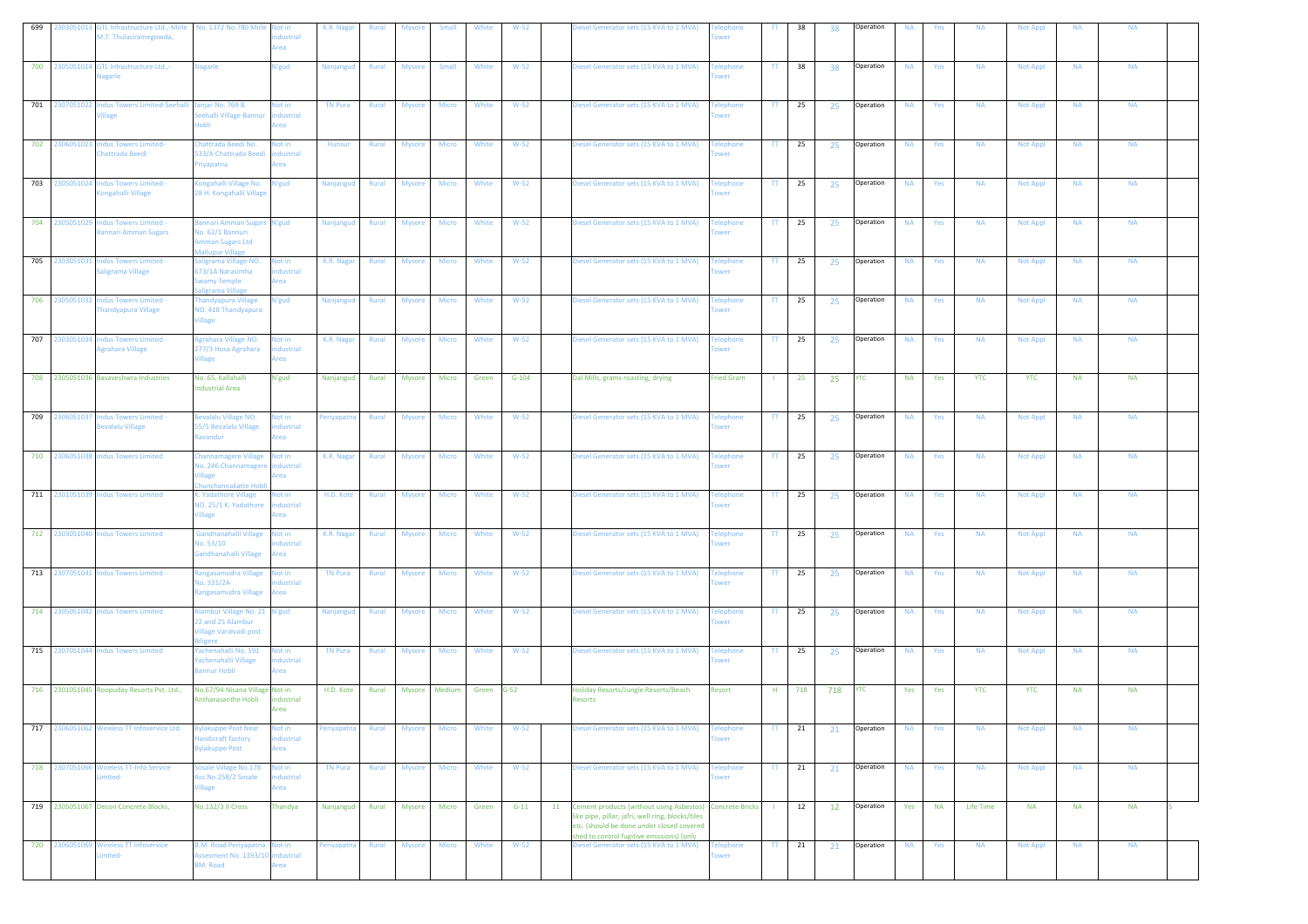| 699 | GTL Infrastructure Ltd.,-Mirle<br>303051013<br>A.T. Thulasiramegowda,   | No. 1372 No.780 Mirle Not in                                                                 | dustrial<br>Area            | K.R. Nagar      | Rural        | <b>Mysore</b> | <b>Small</b> | White      | $W-52$  | Diesel Generator sets (15 KVA to 1 MVA)                                                                                                                                                                    | wer                      | TT.                      | 38  | 38        | Operation  | <b>NA</b> | Yes       | <b>NA</b>  | <b>Not Appl</b> | <b>NA</b> | <b>NA</b> |  |
|-----|-------------------------------------------------------------------------|----------------------------------------------------------------------------------------------|-----------------------------|-----------------|--------------|---------------|--------------|------------|---------|------------------------------------------------------------------------------------------------------------------------------------------------------------------------------------------------------------|--------------------------|--------------------------|-----|-----------|------------|-----------|-----------|------------|-----------------|-----------|-----------|--|
| 700 | 2305051014 GTL Infrastructure Ltd.,-<br>lagarle                         | lagarle                                                                                      | N'gud                       | Nanjangud       | Rural        | <b>Mysore</b> | Small        | White      | $W-52$  | Diesel Generator sets (15 KVA to 1 MVA)                                                                                                                                                                    | elephone<br>ower         | TT.                      | 38  | 38        | Operation  | <b>NA</b> | Yes       | <b>NA</b>  | <b>Not Appl</b> | <b>NA</b> | <b>NA</b> |  |
| 701 | 2307051022 Indus Towers Limited-Seehalli<br>illage                      | anjar No. 769 B.<br>eehalli Village Bannur                                                   | Not in<br>industrial<br>rea | <b>TN Pura</b>  | Rural        | Mysore        | Micro        | White      | $W-52$  | Diesel Generator sets (15 KVA to 1 MVA)                                                                                                                                                                    | elephone<br>wer          | TT.                      | 25  | 25        | Operation  | <b>NA</b> | Yes       | <b>NA</b>  | <b>Not Appl</b> | <b>NA</b> | <b>NA</b> |  |
| 702 | 2306051023<br><b>Indus Towers Limited-</b><br>hattrada Beedi            | hattrada Beedi No.<br>33/A Chattrada Beedi<br>riyapatna                                      | Not in<br>dustrial<br>rea   | Hunsur          | Rural        | Mysore        | Micro        | White      | $W-52$  | Diesel Generator sets (15 KVA to 1 MVA)                                                                                                                                                                    | elephone<br>wer          | $\mathbf{H}$             | 25  | 25        | Operation  | <b>NA</b> | Yes       | <b>NA</b>  | <b>Not Appl</b> | <b>NA</b> | <b>NA</b> |  |
| 703 | 2305051024<br><b>Indus Towers Limited-</b><br><b>Congahalli Village</b> | ongahalli Village No.<br>28 H. Kongahalli Village                                            | N'gud                       | Nanjangud       | Rural        | <b>Mysore</b> | Micro        | White      | $W-52$  | Diesel Generator sets (15 KVA to 1 MVA)                                                                                                                                                                    | elephone<br>ower         | TT.                      | 25  | 25        | Operation  | <b>NA</b> | Yes       | <b>NA</b>  | <b>Not Appl</b> | <b>NA</b> | <b>NA</b> |  |
|     | 704 2305051029<br><b>Indus Towers Limited -</b><br>annari Amman Sugars  | annari Amman Sugars N'gud<br>lo. 62/1 Bannuri<br>mman Sugars Ltd<br><b>Mallupur Village</b>  |                             | Nanjangud       | Rural        | <b>Mysore</b> | Micro        | White      | $W-52$  | Diesel Generator sets (15 KVA to 1 MVA)                                                                                                                                                                    | <b>Telephone</b><br>ower | $\mathbf{H}$             | 25  | 25        | Operation  | <b>NA</b> | Yes       | <b>NA</b>  | <b>Not Appl</b> | <b>NA</b> | <b>NA</b> |  |
| 705 | 2303051031<br><b>Indus Towers Limited -</b><br>aligrama Village         | aligrama Village NO.<br>73/1A Narasimha<br>wamy Temple<br>aligrama Village                   | Not in<br>dustrial<br>Area  | K.R. Nagar      | Rural        | Mysore        | Micro        | White      | $W-52$  | Diesel Generator sets (15 KVA to 1 MVA)                                                                                                                                                                    | elephone<br>wer          | $\mathbf{H}$             | 25  | 25        | Operation  | <b>NA</b> | Yes       | <b>NA</b>  | <b>Not Appl</b> | <b>NA</b> | <b>NA</b> |  |
| 706 | 2305051032<br><b>Indus Towers Limited -</b><br>Thandyapura Village      | handyapura Village<br>VO. 418 Thandyapura<br><b>Village</b>                                  | N'gud                       | Nanjangud       | <b>Rural</b> | <b>Mysore</b> | Micro        | White      | $W-52$  | Diesel Generator sets (15 KVA to 1 MVA)                                                                                                                                                                    | <b>Telephone</b><br>wer  | TT.                      | 25  | 25        | Operation  | <b>NA</b> | Yes       | <b>NA</b>  | Not Appl        | <b>NA</b> | <b>NA</b> |  |
| 707 | 2303051034<br>Indus Towers Limited -<br>grahara Village                 | grahara Village NO.<br>277/3 Hosa Agrahara<br><b>illage</b>                                  | Not in<br>dustrial<br>rea   | K.R. Nagar      | Rural        | <b>Mysore</b> | Micro        | White      | $W-52$  | Diesel Generator sets (15 KVA to 1 MVA)                                                                                                                                                                    | elephone<br>wer          | TT.                      | 25  | 25        | Operation  | <b>NA</b> | Yes       | <b>NA</b>  | <b>Not Appl</b> | <b>NA</b> | <b>NA</b> |  |
|     | 708 2305051036 Basaveshwra Industries                                   | No. 65, Kallahalli<br><b>Industrial Area</b>                                                 | N'gud                       | Nanjangud       | Rural        | <b>Mysore</b> | Micro        | Green      | $G-104$ | Dal Mills, grams roasting, drying                                                                                                                                                                          | <b>Fried Gram</b>        |                          | 25  | 25        | <b>YTC</b> | <b>NA</b> | Yes       | <b>YTC</b> | <b>YTC</b>      | <b>NA</b> | <b>NA</b> |  |
| 709 | 306051037<br>Indus Towers Limited -<br>Bevalalu Village                 | evalalu Village NO.<br>55/5 Bevalalu Village<br>Ravandur                                     | Not in<br>ndustrial<br>krea | Periyapatna     | Rural        | Mysore        | Micro        | White      | $W-52$  | Diesel Generator sets (15 KVA to 1 MVA)                                                                                                                                                                    | <b>Felephone</b><br>ower | $\mathbf{H}$             | 25  | 25        | Operation  | <b>NA</b> | Yes       | <b>NA</b>  | <b>Not Appl</b> | <b>NA</b> | <b>NA</b> |  |
| 710 | <b>Indus Towers Limited</b><br>2306051038                               | hannamagere Village<br>lo. 246 Channamager<br>unchannakatte Hob                              | Not in<br>dustrial<br>rea   | K.R. Nagar      | Rural        | <b>Mysore</b> | Micro        | White      | $W-52$  | Diesel Generator sets (15 KVA to 1 MVA)                                                                                                                                                                    | elephone<br>wer          | $\mathbf{H}$             | 25  | 25        | Operation  | <b>NA</b> | Yes       | <b>NA</b>  | <b>Not Appl</b> | <b>NA</b> | <b>NA</b> |  |
| 711 | 2301051039<br><b>Indus Towers Limited</b>                               | . Yadathore Village<br>VO. 25/1 K. Yadathore<br><b>illage</b>                                | Not in<br>dustrial<br>krea  | H.D. Kote       | Rural        | <b>Mysore</b> | Micro        | White      | $W-52$  | Diesel Generator sets (15 KVA to 1 MVA)                                                                                                                                                                    | elephone<br>ower         | TT.                      | 25  | 25        | Operation  | <b>NA</b> | Yes       | <b>NA</b>  | <b>Not Appl</b> | <b>NA</b> | <b>NA</b> |  |
| 712 | 2303051040<br>Indus Towers Limited                                      | Gandhanahalli Village<br>lo. 53/10<br>iandhanahalli Village                                  | Not in<br>dustrial<br>Area  | K.R. Nagar      | Rural        | Mysore        | <b>Micro</b> | White      | $W-52$  | Diesel Generator sets (15 KVA to 1 MVA)                                                                                                                                                                    | elephone<br>wer          | TT.                      | 25  | 25        | Operation  | <b>NA</b> | Yes       | <b>NA</b>  | <b>Not Appl</b> | <b>NA</b> | <b>NA</b> |  |
|     | 713 2307051041 Indus Towers Limited -                                   | angasamudra Village<br>lo. 331/2A<br>tangasamudra Village                                    | Not in<br>dustrial<br>rea   | <b>TN Pura</b>  | Rural        | <b>Mysore</b> | Micro        | White      | $W-52$  | Diesel Generator sets (15 KVA to 1 MVA)                                                                                                                                                                    | elephone<br>wer          | $\mathbf{H}$             | 25  | 25        | Operation  | <b>NA</b> | Yes       | <b>NA</b>  | Not Appl        | <b>NA</b> | <b>NA</b> |  |
| 714 | 2305051042 Indus Towers Limited                                         | dambur Village No. 21 N'gud<br>22 and 25 Alambur<br><b>Village Varalvadi post</b><br>iligere |                             | Nanjangud       | <b>Rural</b> | <b>Mysore</b> | Micro        | White      | $W-52$  | Diesel Generator sets (15 KVA to 1 MVA)                                                                                                                                                                    | elephone<br>ower         | TT.                      | 25  | 25        | Operation  | <b>NA</b> | Yes       | <b>NA</b>  | <b>Not Appl</b> | <b>NA</b> | <b>NA</b> |  |
| 715 | 2307051044 Indus Towers Limited                                         | achenahalli No. 591<br>achenahalli Village<br>annur Hobli                                    | Not in<br>dustrial<br>rea   | <b>TN Pura</b>  | Rural        | <b>Mysore</b> | Micro        | White      | $W-52$  | Diesel Generator sets (15 KVA to 1 MVA)                                                                                                                                                                    | elephone<br>ower         | $\mathbf{H}$             | 25  | 25        | Operation  | <b>NA</b> | Yes       | <b>NA</b>  | Not Appl        | <b>NA</b> | <b>NA</b> |  |
|     | 716 2301051045 Roopuday Resorts Pvt. Ltd.,                              | No.67/94 Nisana Village Not in<br>Antharasanthe Hobli                                        | industrial<br>Area          | H.D. Kote       | Rural        | Mysore        | Medium       | Green G-52 |         | Holiday Resorts/Jungle Resorts/Beach<br>Resorts                                                                                                                                                            | Resort                   | H                        | 718 | 718       | YTC        | Yes       | Yes       | <b>YTC</b> | <b>YTC</b>      | <b>NA</b> | <b>NA</b> |  |
| 717 | 306051062<br>Wireless TT Infoservice Ltd.                               | vlakuppe Post Near<br>andicraft factory<br>vlakuppe Post                                     | Not in<br>ndustrial<br>Area | Periyapatna     | Rural        | <b>Mysore</b> | Micro        | White      | $W-52$  | Diesel Generator sets (15 KVA to 1 MVA)                                                                                                                                                                    | elephone<br>wer          | TT.                      | 21  | 21        | Operation  | <b>NA</b> | Yes       | <b>NA</b>  | <b>Not Appl</b> | <b>NA</b> | <b>NA</b> |  |
|     | 718 2307051066 Wireless TT-Info Service<br>mited-                       | osale Village No.178<br>ss.No.258/2 Sosale<br><b>illage</b>                                  | Not in<br>dustrial<br>rea   | <b>TN Pura</b>  | Rural        | Mysore        | Micro        | White      | $W-52$  | Diesel Generator sets (15 KVA to 1 MVA)                                                                                                                                                                    | <b>Telephone</b><br>wer  | $\mathbf{T}\mathbf{T}$ . | 21  | 21        | Operation  | <b>NA</b> | Yes       | <b>NA</b>  | Not Appl        | <b>NA</b> | <b>NA</b> |  |
|     | 719 2305051067 Decon Concrete Blocks,                                   | No.132/3 II Cross                                                                            | Thandya                     | Nanjangud Rural |              | Mysore        | Micro        | Green      | $G-11$  | 11 Cement products (without using Asbestos) Concrete Bricks<br>like pipe, pillar, jafri, well ring, blocks/tiles<br>etc. (should be done under closed covered<br>shed to control fugitive emissions) [only |                          | $\mathbf{L}$             | 12  | <b>12</b> | Operation  | Yes       | <b>NA</b> | Life Time  | <b>NA</b>       | <b>NA</b> | <b>NA</b> |  |
|     | 720 2306051069 Wireless TT Infoservice<br>mited-                        | <b>3.M. Road Periyapatna</b> Not in<br>Assesment No. 1393/10 industrial<br><b>BM. Road</b>   | Area                        | Periyapatna     | <b>Rural</b> | <b>Mysore</b> | <b>Micro</b> | White      | $W-52$  | Diesel Generator sets (15 KVA to 1 MVA)                                                                                                                                                                    | <b>Telephone</b><br>ower | TT                       | 21  | 21        | Operation  | <b>NA</b> | Yes       | <b>NA</b>  | <b>Not Appl</b> | <b>NA</b> | <b>NA</b> |  |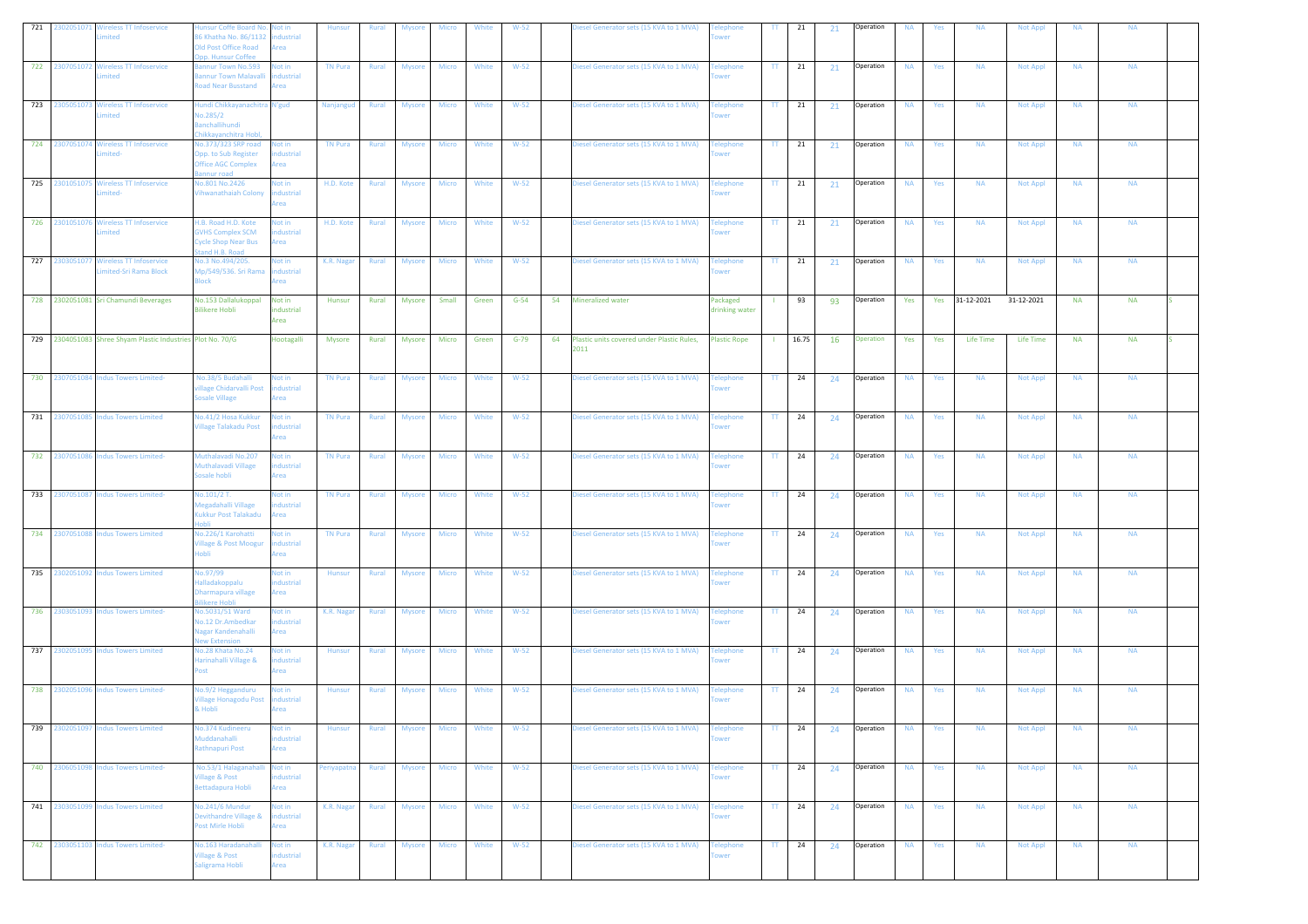| 721 |                | 2302051071 Wireless TT Infoservice<br>nited                     | insur Coffe Board No.<br>6 Khatha No. 86/1132<br><b>Old Post Office Road</b><br>p. Hunsur Coffee | Not in<br>dustrial<br>rea        | <b>Hunsur</b>  | Rural | <b>Mysore</b> | Micro        | White | $W-52$   |    | iesel Generator sets (15 KVA to 1 MVA)             | lephone<br>wer                               | TT.                      | 21                                 | 21        | Operation | <b>NA</b> | Yes | <b>NA</b>      | <b>Not Appl</b> | <b>NA</b> | <b>NA</b> |  |
|-----|----------------|-----------------------------------------------------------------|--------------------------------------------------------------------------------------------------|----------------------------------|----------------|-------|---------------|--------------|-------|----------|----|----------------------------------------------------|----------------------------------------------|--------------------------|------------------------------------|-----------|-----------|-----------|-----|----------------|-----------------|-----------|-----------|--|
|     |                | 722 2307051072 Wireless TT Infoservice<br>imited                | annur Town No.593<br>annur Town Malavalli<br>oad Near Busstand                                   | lot in<br>dustrial<br>rea        | <b>TN Pura</b> | Rural | <b>Mysore</b> | Micro        | White | $W-52$   |    | liesel Generator sets (15 KVA to 1 MVA)            | Felephone<br>wer                             | π.                       | 21                                 | 21        | Operation | <b>NA</b> | Yes | <b>NA</b>      | Not Appl        | <b>NA</b> | <b>NA</b> |  |
|     |                | 723 2305051073 Wireless TT Infoservice<br>imited                | lundi Chikkayanachitra N'gud<br><b>Jo.285/2</b><br>anchallihundi<br>hikkayanchitra Hobl          |                                  | Nanjangud      | Rural | <b>Mysore</b> | <b>Micro</b> | White | $W-52$   |    | liesel Generator sets (15 KVA to 1 MVA)            | <b>Telephone</b><br>wer                      | $\Pi$                    | 21                                 | 21        | Operation | <b>NA</b> | Yes | <b>NA</b>      | <b>Not Appl</b> | <b>NA</b> | <b>NA</b> |  |
|     |                | 724 2307051074 Wireless TT Infoservice<br>mited-                | lo.373/323 SRP road<br>pp. to Sub Register<br><b>Office AGC Complex</b><br>nnur road             | lot in<br>dustrial<br>rea        | <b>TN Pura</b> | Rural | <b>Mysore</b> | <b>Micro</b> | White | $W-52$   |    | Diesel Generator sets (15 KVA to 1 MVA)            | <b>Telephone</b><br>wer                      | $\Pi$                    | 21                                 | 21        | Operation | <b>NA</b> | Yes | <b>NA</b>      | <b>Not Appl</b> | <b>NA</b> | <b>NA</b> |  |
|     |                | 725 2301051075 Wireless TT Infoservice<br>imited-               | lo.801 No.2426<br>'ihwanathaiah Colony                                                           | lot in<br>ndustrial<br>rea       | H.D. Kote      | Rural | <b>Mysore</b> | Micro        | White | $W-52$   |    | Diesel Generator sets (15 KVA to 1 MVA)            | <b>Telephone</b>                             | TT.                      | 21                                 | 21        | Operation | <b>NA</b> | Yes | <b>NA</b>      | <b>Not Appl</b> | <b>NA</b> | <b>NA</b> |  |
|     | 726 2301051076 | <b>Wireless TT Infoservice</b><br>mited                         | H.B. Road H.D. Kote<br><b>GVHS Complex SCM</b><br><b>Cycle Shop Near Bus</b><br>tand H.B. Road   | Not in<br>dustrial<br>rea        | H.D. Kote      | Rural | <b>Mysore</b> | <b>Micro</b> | White | $W-52$   |    | Diesel Generator sets (15 KVA to 1 MVA)            | <b>Telephone</b><br>wer                      | $\Pi$                    | $\begin{array}{cc} 21 \end{array}$ | 21        | Operation | <b>NA</b> | Yes | <b>NA</b>      | <b>Not Appl</b> | <b>NA</b> | <b>NA</b> |  |
|     |                | 727 2303051077 Wireless TT Infoservice<br>imited-Sri Rama Block | No.3 No.494/205.<br>1p/549/536. Sri Rama<br>llock                                                | lot in<br>dustrial<br>rea        | K.R. Nagar     | Rural | <b>Mysore</b> | <b>Micro</b> | White | $W-52$   |    | Diesel Generator sets (15 KVA to 1 MVA)            | <b>Telephone</b><br>wer                      | TT.                      | 21                                 | 21        | Operation | <b>NA</b> | Yes | <b>NA</b>      | Not Appl        | <b>NA</b> | <b>NA</b> |  |
|     |                | 728 2302051081 Sri Chamundi Beverages                           | No.153 Dallalukoppal<br><b>Bilikere Hobli</b>                                                    | Not in<br>industrial<br>Area     | Hunsur         | Rural | <b>Mysore</b> | Small        | Green | $G-54$   | 54 | Mineralized water                                  | Packaged<br>drinking water                   |                          | 93                                 | 93        | Operation | Yes       |     | Yes 31-12-2021 | 31-12-2021      | <b>NA</b> | <b>NA</b> |  |
|     |                | 729 2304051083 Shree Shyam Plastic Industries Plot No. 70/G     |                                                                                                  | Hootagalli                       | Mysore         | Rural | Mysore        | Micro        | Green | $G - 79$ | 64 | Plastic units covered under Plastic Rules,<br>2011 | <b>Plastic Rope</b>                          |                          | 16.75                              | <b>16</b> | Operation | Yes       | Yes | Life Time      | Life Time       | <b>NA</b> | <b>NA</b> |  |
|     |                | 730 2307051084 Indus Towers Limited-                            | No.38/5 Budahalli<br>illage Chidarvalli Post<br><b>Sosale Village</b>                            | lot in<br>dustrial<br>Area       | <b>TN Pura</b> | Rural | Mysore        | Micro        | White | $W-52$   |    | Diesel Generator sets (15 KVA to 1 MVA)            | <b>Telephone</b><br>wer                      | TT.                      | 24                                 | 24        | Operation | <b>NA</b> | Yes | <b>NA</b>      | <b>Not Appl</b> | <b>NA</b> | <b>NA</b> |  |
|     |                | 731 2307051085 Indus Towers Limited                             | lo.41/2 Hosa Kukkur<br>fillage Talakadu Post                                                     | lot in<br>dustrial<br>rea        | <b>TN Pura</b> | Rural | <b>Mysore</b> | Micro        | White | $W-52$   |    | Diesel Generator sets (15 KVA to 1 MVA)            | <b>Telephone</b><br>ower                     | $\Pi$                    | 24                                 | 24        | Operation | <b>NA</b> | Yes | <b>NA</b>      | <b>Not Appl</b> | <b>NA</b> | <b>NA</b> |  |
|     |                | 732 2307051086 Indus Towers Limited-                            | Muthalavadi No.207<br><b>Authalavadi Village</b><br>osale hobli                                  | <b>Not in</b><br>dustrial<br>rea | <b>TN Pura</b> | Rural | <b>Mysore</b> | Micro        | White | $W-52$   |    | liesel Generator sets (15 KVA to 1 MVA)            | <b>Telephone</b><br>wer                      | $\Pi$                    | 24                                 | 24        | Operation | <b>NA</b> | Yes | <b>NA</b>      | Not Appl        | <b>NA</b> | <b>NA</b> |  |
| 733 |                | 2307051087 Indus Towers Limited-                                | Io.101/2 T.<br>legadahalli Village<br><b>Kukkur Post Talakadu</b><br>obli                        | <b>Not in</b><br>dustrial<br>rea | <b>TN Pura</b> | Rural | <b>Mysore</b> | Micro        | White | $W-52$   |    | Diesel Generator sets (15 KVA to 1 MVA)            | Felephone<br>wer                             | TT.                      | 24                                 | 24        | Operation | <b>NA</b> | Yes | <b>NA</b>      | <b>Not Appl</b> | <b>NA</b> | <b>NA</b> |  |
|     | 734 2307051088 | <b>Indus Towers Limited</b>                                     | lo.226/1 Karohatti<br>fillage & Post Moogur<br>nhli                                              | <b>Not in</b><br>dustrial<br>rea | <b>TN Pura</b> | Rural | <b>Mysore</b> | <b>Micro</b> | White | $W-52$   |    | Diesel Generator sets (15 KVA to 1 MVA)            | <b>Telephone</b><br>wer                      | TT.                      | 24                                 | 24        | Operation | <b>NA</b> | Yes | <b>NA</b>      | <b>Not Appl</b> | <b>NA</b> | <b>NA</b> |  |
|     |                | 735 2302051092 Indus Towers Limited                             | 0.97/99ه<br>alladakoppalu<br>harmapura village<br>likere Hobli                                   | lot in<br>dustrial<br>rea        | Hunsur         | Rural | <b>Mysore</b> | <b>Micro</b> | White | $W-52$   |    | Diesel Generator sets (15 KVA to 1 MVA)            | <b><i><u><b>Telephone</b></u></i></b><br>wer | $\Pi$                    | 24                                 | 24        | Operation | <b>NA</b> | Yes | <b>NA</b>      | Not Appl        | <b>NA</b> | <b>NA</b> |  |
|     |                | 736 2303051093 Indus Towers Limited-                            | lo.5031/51 Ward<br>lo.12 Dr.Ambedkar<br><b>Jagar Kandenahalli</b><br>lew Extension               | lot in<br>ndustrial<br>krea      | K.R. Nagar     | Rural | <b>Mysore</b> | Micro        | White | $W-52$   |    | Diesel Generator sets (15 KVA to 1 MVA)            | <b>Telephone</b><br>wer                      | $\pi$ .                  | 24                                 | 24        | Operation | <b>NA</b> | Yes | <b>NA</b>      | <b>Not Appl</b> | <b>NA</b> | <b>NA</b> |  |
|     |                | 737 2302051095 Indus Towers Limited                             | lo.28 Khata No.24<br>larinahalli Village &<br>ost <sup>.</sup>                                   | Not in<br>dustrial<br>rea        | Hunsur         | Rural | <b>Mysore</b> | <b>Micro</b> | White | $W-52$   |    | liesel Generator sets (15 KVA to 1 MVA)            | <b>Telephone</b><br>wer                      | $\Pi$                    | 24                                 | 24        | Operation | <b>NA</b> | Yes | <b>NA</b>      | <b>Not Appl</b> | <b>NA</b> | <b>NA</b> |  |
|     |                | 738 2302051096 Indus Towers Limited-                            | lo.9/2 Hegganduru<br>illage Honagodu Post<br>& Hobli                                             | lot in<br>dustrial<br>krea       | Hunsur         | Rural | <b>Mysore</b> | <b>Micro</b> | White | $W-52$   |    | Diesel Generator sets (15 KVA to 1 MVA)            | <b>Telephone</b><br>wer                      | TT.                      | 24                                 | 24        | Operation | <b>NA</b> | Yes | <b>NA</b>      | Not Appl        | <b>NA</b> | <b>NA</b> |  |
| 739 |                | 2302051097 Indus Towers Limited                                 | <b>Jo.374 Kudineeru</b><br><b>Muddanahalli</b><br>Rathnapuri Post                                | Vot in<br>ndustrial<br>Area      | Hunsur         | Rural | <b>Mysore</b> | Micro        | White | $W-52$   |    | Diesel Generator sets (15 KVA to 1 MVA)            | elephone<br>ower                             | TT.                      | 24                                 | 24        | Operation | <b>NA</b> | Yes | <b>NA</b>      | Not Appl        | <b>NA</b> | <b>NA</b> |  |
|     |                | 740 2306051098 Indus Towers Limited-                            | No.53/1 Halaganahalli<br><b>illage &amp; Post</b><br>Bettadapura Hobli                           | Not in<br>dustrial<br>rea        | Periyapatna    | Rural | <b>Mysore</b> | Micro        | White | $W-52$   |    | Diesel Generator sets (15 KVA to 1 MVA)            | <b>Telephone</b><br>wer                      |                          | $TT$ 24                            | 24        | Operation | <b>NA</b> | Yes | <b>NA</b>      | <b>Not Appl</b> | <b>NA</b> | <b>NA</b> |  |
|     |                | 741 2303051099 Indus Towers Limited                             | lo.241/6 Mundur<br>evithandre Village &<br>Post Mirle Hobli                                      | lot in<br>dustrial<br>Area       | K.R. Nagar     | Rural | Mysore        | Micro        | White | $W-52$   |    | Diesel Generator sets (15 KVA to 1 MVA)            | <b>Telephone</b><br>ower                     | $\mathbf{T}\mathbf{T}$ . | 24                                 | 24        | Operation | <b>NA</b> | Yes | <b>NA</b>      | Not Appl        | <b>NA</b> | <b>NA</b> |  |
|     |                | 742 2303051103 Indus Towers Limited-                            | No.163 Haradanahalli<br><b>fillage &amp; Post</b><br>aligrama Hobli                              | Not in<br>ndustrial<br>Area      | K.R. Nagar     | Rural | <b>Mysore</b> | <b>Micro</b> | White | $W-52$   |    | Diesel Generator sets (15 KVA to 1 MVA)            | <b>Telephone</b><br>wer                      |                          | $TT$ 24                            | 24        | Operation | <b>NA</b> | Yes | <b>NA</b>      | <b>Not Appl</b> | <b>NA</b> | <b>NA</b> |  |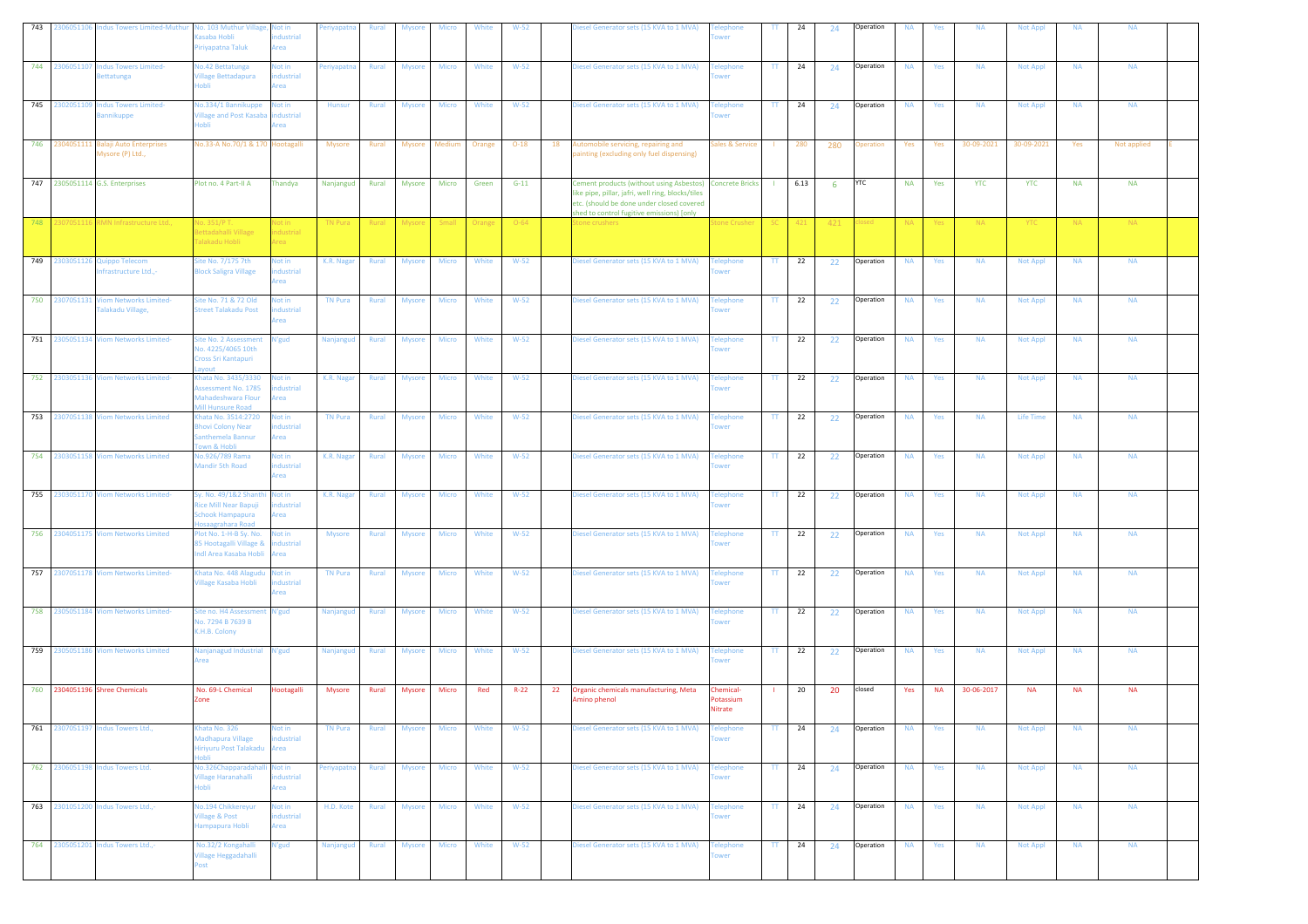| 743<br>2306051106                                  | ndus Towers Limited-Muthui                         | No. 103 Muthur Village, Not in<br>asaba Hobli<br>iriyapatna Taluk                      | dustrial<br>rea                                | eriyapatna                  | Rural          | Mysore           | Micro          | White           | $W-52$             |    | iesel Generator sets (15 KVA to 1 MVA)                                                                                                                                                                   | wer                                  | π                    | 24             | 24  | Operation          | <b>NA</b>              | Yes        | <b>NA</b>               | <b>Not Appl</b>          | <b>NA</b>        | <b>NA</b>        |  |
|----------------------------------------------------|----------------------------------------------------|----------------------------------------------------------------------------------------|------------------------------------------------|-----------------------------|----------------|------------------|----------------|-----------------|--------------------|----|----------------------------------------------------------------------------------------------------------------------------------------------------------------------------------------------------------|--------------------------------------|----------------------|----------------|-----|--------------------|------------------------|------------|-------------------------|--------------------------|------------------|------------------|--|
| 744 2306051107                                     | ndus Towers Limited-<br><b>Bettatunga</b>          | No.42 Bettatunga<br><b>Village Bettadapura</b><br>Hobli                                | lot in<br>dustrial<br>Area                     | 'eriyapatna                 | Rural          | <b>Mysore</b>    | Micro          | White           | $W-52$             |    | iesel Generator sets (15 KVA to 1 MVA)                                                                                                                                                                   | elephone<br>wer                      | TT.                  | 24             | 24  | Operation          | <b>NA</b>              | Yes        | <b>NA</b>               | Not Appl                 | <b>NA</b>        | <b>NA</b>        |  |
| 745<br>2302051109                                  | <b>Indus Towers Limited-</b><br>annikuppe          | lo.334/1 Bannikuppe<br><b>Village and Post Kasaba</b><br>ildol                         | lot in<br>ndustrial<br>rea                     | Hunsur                      | Rural          | <b>Mysore</b>    | Micro          | White           | $W-52$             |    | liesel Generator sets (15 KVA to 1 MVA)                                                                                                                                                                  | elephone<br>wer                      | TT.                  | 24             | 24  | Operation          | <b>NA</b>              | Yes        | <b>NA</b>               | <b>Not Appl</b>          | <b>NA</b>        | <b>NA</b>        |  |
| 746 2304051111                                     | <b>Balaji Auto Enterprises</b><br>Mysore (P) Ltd., | No.33-A No.70/1 & 170 Hootagalli                                                       |                                                | <b>Mysore</b>               | Rural          | Mysore Medium    |                | Orange          | $O-18$             | 18 | Automobile servicing, repairing and<br>ainting (excluding only fuel dispensing)                                                                                                                          | ales & Service                       |                      | 280            | 280 | Operation          | Yes                    | Yes        | 30-09-2021              | 30-09-2021               | Yes              | Not applied      |  |
| 747 2305051114 G.S. Enterprises<br>748<br>30705111 | RMN Infrastructure Ltd.,                           | Plot no. 4 Part-II A<br>lo. 351/Р Т.                                                   | Thandya<br>Vot in                              | Nanjangud<br><b>TN Pura</b> | Rural<br>Rural | Mysore<br>Mysore | Micro<br>Small | Green<br>Orange | $G-11$<br>$O - 64$ |    | Cement products (without using Asbestos)<br>like pipe, pillar, jafri, well ring, blocks/tiles<br>etc. (should be done under closed covered<br>shed to control fugitive emissions) [only<br>tone crushers | <b>Concrete Bricks</b><br>one Crushe | $\mathbf{I}$<br>SC - | 6.13<br>$-421$ | -6  | <b>YTC</b><br>osed | <b>NA</b><br><b>NA</b> | Yes<br>Yes | <b>YTC</b><br><b>NA</b> | <b>YTC</b><br><b>YTC</b> | <b>NA</b><br>NA. | <b>NA</b><br>NA. |  |
|                                                    |                                                    | Bettadahalli Village<br>Talakadu Hobli                                                 | <b>industrial</b><br><b>Area</b>               |                             |                |                  |                |                 |                    |    |                                                                                                                                                                                                          |                                      |                      |                | 421 |                    |                        |            |                         |                          |                  |                  |  |
| 749 2303051126 Quippo Telecom                      | frastructure Ltd.,-                                | Site No. 7/175 7th<br><b>Ilock Saligra Village</b>                                     | Not in<br>dustrial<br>rea                      | K.R. Nagar                  | Rural          | <b>Mysore</b>    | Micro          | White           | $W-52$             |    | Diesel Generator sets (15 KVA to 1 MVA)                                                                                                                                                                  | <b>Telephone</b>                     | $\mathbf{H}$         | 22             | 22  | Operation          | <b>NA</b>              | Yes        | <b>NA</b>               | Not Appl                 | <b>NA</b>        | <b>NA</b>        |  |
| 750 2307051131                                     | <b>Viom Networks Limited-</b><br>alakadu Village,  | Site No. 71 & 72 Old<br><b>Street Talakadu Post</b>                                    | lot in<br>dustrial<br><b><i><u>rea</u></i></b> | <b>TN Pura</b>              | Rural          | <b>Mysore</b>    | Micro          | White           | $W-52$             |    | liesel Generator sets (15 KVA to 1 MVA)                                                                                                                                                                  | elephone<br>wer                      | TT.                  | 22             | 22  | Operation          | <b>NA</b>              | Yes        | <b>NA</b>               | Not Appl                 | <b>NA</b>        | <b>NA</b>        |  |
|                                                    | 751 2305051134 Viom Networks Limited-              | ite No. 2 Assessment<br>No. 4225/4065 10th<br>Cross Sri Kantapuri                      | N'gud                                          | Nanjanguo                   | Rural          | <b>Mysore</b>    | Micro          | White           | $W-52$             |    | iesel Generator sets (15 KVA to 1 MVA)                                                                                                                                                                   | elephone<br><b>NPT</b>               | $\Pi$                | 22             | 22  | Operation          | <b>NA</b>              | Yes        | <b>NA</b>               | Not Appl                 | <b>NA</b>        | <b>NA</b>        |  |
|                                                    | 752 2303051136 Viom Networks Limited-              | Khata No. 3435/3330<br>ssessment No. 1785<br>Mahadeshwara Flour<br>Mill Hunsure Road   | Not in<br>dustrial<br>Area                     | K.R. Nagar                  | Rural          | <b>Mysore</b>    | <b>Micro</b>   | White           | $W-52$             |    | Diesel Generator sets (15 KVA to 1 MVA)                                                                                                                                                                  | elephone<br><b>MPT</b>               | $\mathbf{H}$         | 22             | 22  | Operation          | <b>NA</b>              | Yes        | <b>NA</b>               | <b>Not Appl</b>          | <b>NA</b>        | <b>NA</b>        |  |
|                                                    | 753 2307051138 Viom Networks Limited               | hata No. 3514:2720<br><b>Bhovi Colony Near</b><br>Santhemela Bannur<br>own & Hobli     | Not in<br>ndustrial<br>Area                    | <b>TN Pura</b>              | Rural          | <b>Mysore</b>    | Micro          | White           | $W-52$             |    | Diesel Generator sets (15 KVA to 1 MVA)                                                                                                                                                                  | elephone<br>wer                      | $\Pi$                | 22             | 22  | Operation          | <b>NA</b>              | Yes        | <b>NA</b>               | <b>Life Time</b>         | <b>NA</b>        | <b>NA</b>        |  |
| 754 2303051158                                     | <b>Viom Networks Limited</b>                       | No.926/789 Rama<br><b>Mandir 5th Road</b>                                              | Not in<br>dustrial<br>rea                      | K.R. Nagar                  | Rural          | <b>Mysore</b>    | Micro          | White           | $W-52$             |    | liesel Generator sets (15 KVA to 1 MVA)                                                                                                                                                                  | elephone<br>wer                      | TT.                  | 22             | 22  | Operation          | <b>NA</b>              | Yes        | <b>NA</b>               | Not Appl                 | <b>NA</b>        | <b>NA</b>        |  |
|                                                    | 755 2303051170 Viom Networks Limited-              | y. No. 49/1&2 Shanth<br>Rice Mill Near Bapuji<br>Schook Hampapura<br>losaagrahara Road | Not in<br>dustrial<br>Area                     | K.R. Nagar                  | Rural          | <b>Mysore</b>    | Micro          | White           | $W-52$             |    | iesel Generator sets (15 KVA to 1 MVA)                                                                                                                                                                   | elephone<br>wer                      | TT.                  | 22             | 22  | Operation          | <b>NA</b>              | Yes        | <b>NA</b>               | <b>Not Appl</b>          | <b>NA</b>        | <b>NA</b>        |  |
| 756                                                | 2304051175 Viom Networks Limited                   | lot No. 1-H-B Sy. No.<br>85 Hootagalli Village &<br>Indi Area Kasaba Hobli             | Not in<br>dustrial<br>rea                      | <b>Mysore</b>               | Rural          | <b>Mysore</b>    | Micro          | White           | $W-52$             |    | liesel Generator sets (15 KVA to 1 MVA)                                                                                                                                                                  | elephone                             | TT.                  | 22             | 22  | Operation          | <b>NA</b>              | Yes        | <b>NA</b>               | <b>Not Appl</b>          | <b>NA</b>        | <b>NA</b>        |  |
|                                                    | 757 2307051178 Viom Networks Limited-              | Khata No. 448 Alagudu<br><b>Village Kasaba Hobli</b>                                   | Not in<br>dustrial<br>rea                      | <b>TN Pura</b>              | Rural          | <b>Mysore</b>    | Micro          | White           | $W-52$             |    | Diesel Generator sets (15 KVA to 1 MVA)                                                                                                                                                                  | elephone                             | $\mathbf{H}$         | 22             | 22  | Operation          | <b>NA</b>              | Yes        | <b>NA</b>               | Not Appl                 | <b>NA</b>        | <b>NA</b>        |  |
|                                                    | 758 2305051184 Viom Networks Limited-              | Site no. H4 Assessme<br>No. 7294 B 7639 B<br>K.H.B. Colony                             | N'gud                                          | <b>Nanjangud</b>            | Rural          | <b>Mysore</b>    | Micro          | White           | $W-52$             |    | liesel Generator sets (15 KVA to 1 MVA)                                                                                                                                                                  | elephone<br>wer                      | TT.                  | 22             | 22  | Operation          | <b>NA</b>              | Yes        | <b>NA</b>               | Not Appl                 | <b>NA</b>        | <b>NA</b>        |  |
| 759 2305051186                                     | <b>Viom Networks Limited</b>                       | Nanjanagud Industrial<br>Area                                                          | N'gud                                          | Nanjangu                    | Rural          | <b>Mysore</b>    | Micro          | White           | $W-52$             |    | Diesel Generator sets (15 KVA to 1 MVA)                                                                                                                                                                  | <b>Telephone</b><br>wer              | $\mathbf{H}$         | 22             | 22  | Operation          | <b>NA</b>              | Yes        | <b>NA</b>               | <b>Not Appl</b>          | <b>NA</b>        | <b>NA</b>        |  |
| 760 2304051196 Shree Chemicals                     |                                                    | No. 69-L Chemical<br>one                                                               | Hootagalli                                     | <b>Mysore</b>               | Rural          | Mysore           | Micro          | Red             | $R - 22$           | 22 | Organic chemicals manufacturing, Meta<br>Amino phenol                                                                                                                                                    | Chemical-<br>otassium<br>Nitrate     |                      | 20             | 20  | closed             | Yes                    | NA         | 30-06-2017              | <b>NA</b>                | <b>NA</b>        | <b>NA</b>        |  |
| 761                                                | 2307051197 Indus Towers Ltd.,                      | hata No. 326<br>Madhapura Village<br>Hiriyuru Post Talakadu<br>ildol                   | <b>Not in</b><br>dustrial<br>Area              | <b>TN Pura</b>              | Rural          | <b>Mysore</b>    | <b>Micro</b>   | White           | $W-52$             |    | iesel Generator sets (15 KVA to 1 MVA)                                                                                                                                                                   | elephone<br>wer                      | TT.                  | 24             | 24  | Operation          | <b>NA</b>              | Yes        | <b>NA</b>               | <b>Not Appl</b>          | <b>NA</b>        | <b>NA</b>        |  |
|                                                    | 762 2306051198 Indus Towers Ltd.                   | No.326Chapparadahal<br><b>Village Haranahalli</b><br>ildol                             | Not in<br>ndustrial<br>rea                     | Periyapatna                 | Rural          | <b>Mysore</b>    | <b>Micro</b>   | White           | $W-52$             |    | iesel Generator sets (15 KVA to 1 MVA)                                                                                                                                                                   | <b>Felephone</b><br>wer              | TT.                  | 24             | 24  | Operation          | <b>NA</b>              | Yes        | <b>NA</b>               | Not Appl                 | <b>NA</b>        | <b>NA</b>        |  |
|                                                    | 763 2301051200 Indus Towers Ltd.,-                 | No.194 Chikkereyur<br><b>Village &amp; Post</b><br>Hampapura Hobli                     | Not in<br>ndustrial<br>Area                    | H.D. Kote                   | <b>Rural</b>   | <b>Mysore</b>    | Micro          | White           | $W-52$             |    | Diesel Generator sets (15 KVA to 1 MVA)                                                                                                                                                                  | <b>Telephone</b><br>wer              | $\mathbf{H}$         | 24             | 24  | Operation          | <b>NA</b>              | Yes        | <b>NA</b>               | <b>Not Appl</b>          | <b>NA</b>        | <b>NA</b>        |  |
|                                                    | 764 2305051201 Indus Towers Ltd.,-                 | No.32/2 Kongahalli<br>Village Heggadahalli<br>Post                                     | N'gud                                          | Nanjangud                   | Rural          | Mysore           | <b>Micro</b>   | White           | $W-52$             |    | Diesel Generator sets (15 KVA to 1 MVA)                                                                                                                                                                  | <b>Telephone</b>                     | $\mathbf{H}$         | 24             | 24  | Operation          | <b>NA</b>              | Yes        | <b>NA</b>               | Not Appl                 | <b>NA</b>        | <b>NA</b>        |  |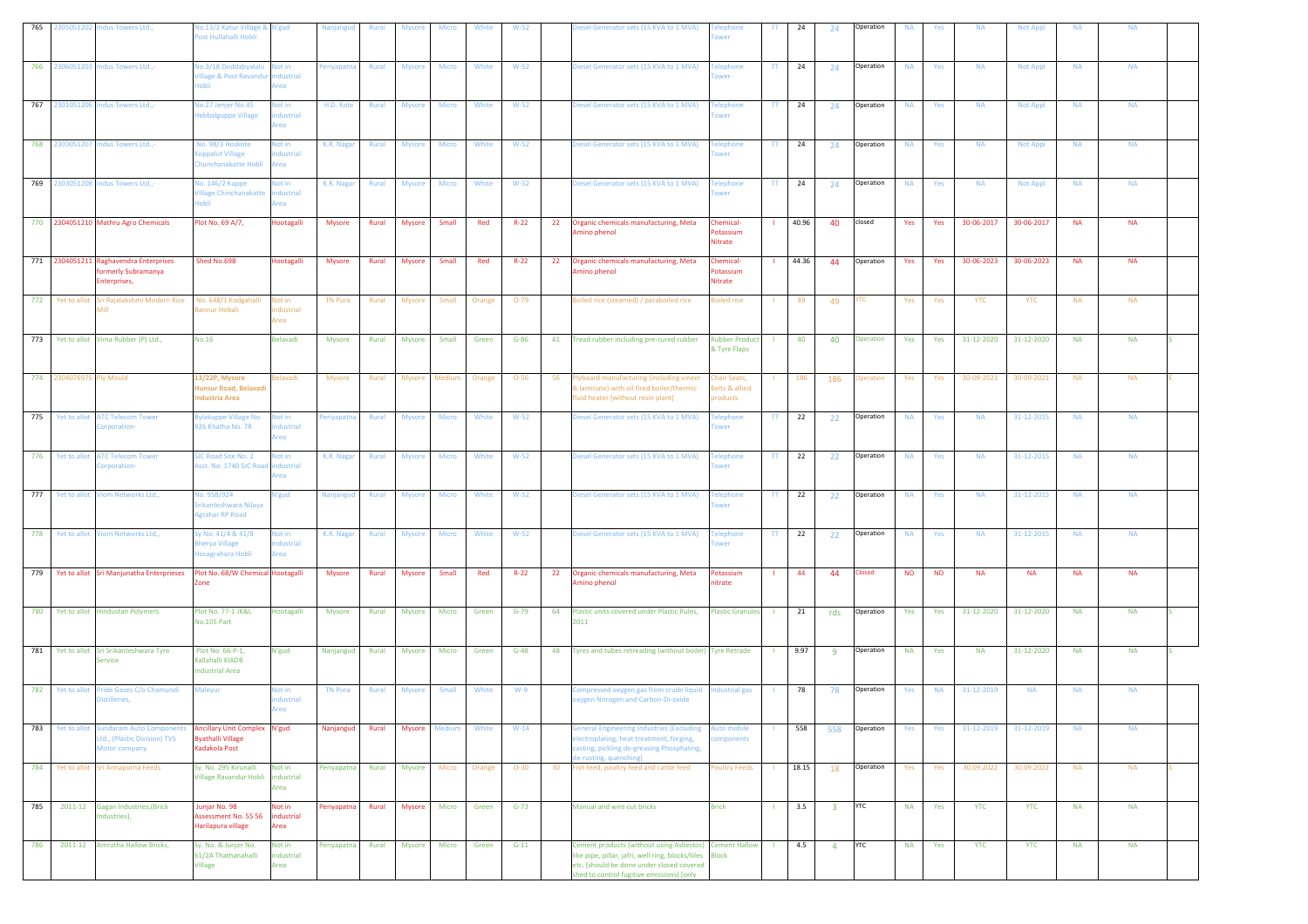| 765 | 305051202<br>ndus Towers Ltd.,                                                                   | lo.13/2 Katur Village & N'gud<br>ost Hullahalli Hobli                     |                                   | Nanjangud      | <b>Rural</b> | <b>Mysore</b> | Micro        | White  | $W-52$   | Diesel Generator sets (15 KVA to 1 MVA)                                                                                                                                                               | wer                                       | TΤ           | 24    | 24                      | Operation     | <b>NA</b> | Yes       | <b>NA</b>  | <b>Not Appl</b> | <b>NA</b> | <b>NA</b> |  |
|-----|--------------------------------------------------------------------------------------------------|---------------------------------------------------------------------------|-----------------------------------|----------------|--------------|---------------|--------------|--------|----------|-------------------------------------------------------------------------------------------------------------------------------------------------------------------------------------------------------|-------------------------------------------|--------------|-------|-------------------------|---------------|-----------|-----------|------------|-----------------|-----------|-----------|--|
| 766 | 2306051203<br>Indus Towers Ltd.,-                                                                | lo.3/18 Doddabyalalu Not in<br>illage & Post Ravandur<br>lobli            | ndustrial<br>Area                 | 'eriyapatna    | Rural        | <b>Mysore</b> | Micro        | White  | $W-52$   | Diesel Generator sets (15 KVA to 1 MVA)                                                                                                                                                               | elephone<br>wer                           | π            | 24    | 24                      | Operation     | <b>NA</b> | Yes       | <b>NA</b>  | <b>Not Appl</b> | <b>NA</b> | <b>NA</b> |  |
| 767 | Indus Towers Ltd.,-<br>230105120                                                                 | lo.27 Jenjer No.45<br>lebbalguppe Village                                 | Not in<br>dustrial<br>rea         | H.D. Kote      | Rural        | Mysore        | Micro        | White  | $W-52$   | Diesel Generator sets (15 KVA to 1 MVA)                                                                                                                                                               | elephone<br><b>NPT</b>                    | TT.          | 24    | 24                      | Operation     | <b>NA</b> | Yes       | <b>NA</b>  | <b>Not Appl</b> | <b>NA</b> | <b>NA</b> |  |
| 768 | 2303051207 Indus Towers Ltd.,-                                                                   | Vo. 98/3 Hoskote<br>oppalut Village<br>hunchanakatte Hobli                | Not in<br>dustrial<br>rea         | K.R. Nagar     | Rural        | <b>Mysore</b> | Micro        | White  | $W-52$   | Diesel Generator sets (15 KVA to 1 MVA)                                                                                                                                                               | elephone<br>wer                           | $\mathbf{H}$ | 24    | 24                      | Operation     | <b>NA</b> | Yes       | <b>NA</b>  | <b>Not Appl</b> | <b>NA</b> | <b>NA</b> |  |
| 769 | 2303051208 Indus Towers Ltd.,-                                                                   | <b>lo. 146/2 Kuppe</b><br>illage Chinchanakatte<br>Inhli                  | Not in<br>ndustrial<br>Area       | K.R. Nagar     | Rural        | <b>Mysore</b> | Micro        | White  | $W-52$   | Diesel Generator sets (15 KVA to 1 MVA)                                                                                                                                                               | elephone<br>ower                          | TT.          | 24    | 24                      | Operation     | <b>NA</b> | Yes       | <b>NA</b>  | <b>Not Appl</b> | <b>NA</b> | <b>NA</b> |  |
|     | 770 2304051210 Mathru Agro Chemicals                                                             | Plot No. 69 A/7,                                                          | Hootagalli                        | <b>Mysore</b>  | Rural        | Mysore        | Small        | Red    | $R-22$   | 22<br>Organic chemicals manufacturing, Meta<br>mino phenol                                                                                                                                            | Chemical-<br>Potassium<br>Nitrate         |              | 40.96 | 40                      | closed        | Yes       | Yes       | 30-06-2017 | 30-06-2017      | <b>NA</b> | <b>NA</b> |  |
|     | 771 2304051211 Raghavendra Enterprises<br>ormerly Subramanya<br>Enterprises,                     | Shed No.69B                                                               | Hootagalli                        | <b>Mysore</b>  | Rural        | <b>Mysore</b> | Small        | Red    | $R-22$   | 22<br>Organic chemicals manufacturing, Meta<br>mino phenol                                                                                                                                            | Chemical-<br>otassium<br>Nitrate          |              | 44.36 | 44                      | Operation     | Yes       | Yes       | 30-06-2023 | 30-06-2023      | <b>NA</b> | <b>NA</b> |  |
| 772 | Yet to allot Sri Rajalakshmi Modern Rice<br>Aill -                                               | No. 648/1 Kodgahalli<br>annur Hobali                                      | Not in<br>ndustrial<br>Area       | TN Pura        | Rural        | <b>Mysore</b> | Small        | Orange | $O-79$   | Boiled rice (steamed) / paraboiled rice                                                                                                                                                               | oiled rice                                |              | 49    | 49                      | ⁄ТC           | Yes       | Yes       | YTC        | YTC             | <b>NA</b> | <b>NA</b> |  |
| 773 | Yet to allot Vima Rubber (P) Ltd.,                                                               | <b>No.16</b>                                                              | <b>Belavadi</b>                   | Mysore         | Rural        | Mysore        | Small        | Green  | $G-86$   | 41<br>Tread rubber including pre-cured rubber                                                                                                                                                         | <b>Rubber Product</b><br>& Tyre Flaps     |              | 40    | 40                      | Operation     | Yes       | Yes       | 31-12-2020 | 31-12-2020      | <b>NA</b> | <b>NA</b> |  |
|     | 774 2304076975 Ply Mould                                                                         | 3/22P, Mysore<br>lunsur Road, Belavad<br>ndustria Area                    | elavadi                           | Mysore         | Rural        | Mysore        | Medium       | Orange | $O - 56$ | 56<br>lyboard manufacturing (including vineer<br>& laminate) with oil fired boiler/thermic<br>fluid heater (without resin plant)                                                                      | hair Seats,<br>selts & allied<br>products |              | 186   | 186                     | peration      | Yes       | Yes       | 30-09-2021 | 30-09-2021      | <b>NA</b> | <b>NA</b> |  |
| 775 | Yet to allot<br><b>ATC Telecom Tower</b><br>Corporation-                                         | vlakuppe Village No.<br>926 Khatha No. 78                                 | Not in<br>dustrial<br><b>Area</b> | Periyapatna    | Rural        | Mysore        | Micro        | White  | $W-52$   | Diesel Generator sets (15 KVA to 1 MVA)                                                                                                                                                               | <b>Felephone</b><br>ower                  | TT.          | 22    | 22                      | Operation     | <b>NA</b> | Yes       | <b>NA</b>  | 31-12-2015      | <b>NA</b> | <b>NA</b> |  |
| 776 | <b>ATC Telecom Tower</b><br>Yet to allot<br>prporation-                                          | JC Road Site No. 2<br>sst. No. 1740 SJC Ro                                | Not in<br>dustrial<br>rea         | K.R. Nagar     | Rural        | <b>Mysore</b> | Micro        | White  | $W-52$   | Diesel Generator sets (15 KVA to 1 MVA)                                                                                                                                                               | elephone<br>wer                           | $\mathbf{H}$ | 22    | 22                      | Operation     | <b>NA</b> | Yes       | <b>NA</b>  | 31-12-2015      | <b>NA</b> | <b>NA</b> |  |
| 777 | Yet to allot<br><b>Jiom Networks Ltd.,</b>                                                       | lo. 958/924<br>irikanteshwara Nilaya<br>grahar RP Road                    | N'gud                             | Nanjangud      | Rural        | <b>Mysore</b> | Micro        | White  | $W-52$   | Diesel Generator sets (15 KVA to 1 MVA)                                                                                                                                                               | elephone<br>wer                           | TT.          | 22    | 22                      | Operation     | <b>NA</b> | Yes       | <b>NA</b>  | 31-12-2015      | <b>NA</b> | <b>NA</b> |  |
| 778 | Yet to allot<br>Viom Networks Ltd.,                                                              | y No. 41/4 & 41/8<br>herya Village<br>losagrahara Hobli                   | Not in<br>ndustrial<br>Area       | K.R. Nagar     | Rural        | <b>Mysore</b> | <b>Micro</b> | White  | $W-52$   | Diesel Generator sets (15 KVA to 1 MVA)                                                                                                                                                               | elephone<br>wer                           | TT.          | 22    | 22                      | Operation     | <b>NA</b> | Yes       | <b>NA</b>  | 31-12-2015      | <b>NA</b> | <b>NA</b> |  |
|     | 779 Yet to allot Sri Manjunatha Enterprieses                                                     | lot No. 68/W Chemical Hootagalli<br>one                                   |                                   | <b>Mysore</b>  | Rural        | <b>Mysore</b> | Small        | Red    | $R-22$   | Organic chemicals manufacturing, Meta<br>22<br>mino phenol                                                                                                                                            | Potassium<br>itrate                       |              | 44    | 44                      | <b>Closed</b> | <b>NO</b> | <b>NO</b> | <b>NA</b>  | <b>NA</b>       | <b>NA</b> | <b>NA</b> |  |
| 780 | Yet to allot Hindustan Polymers                                                                  | Plot No. 77-1 JK&L<br>No.105 Part                                         | Hootagalli                        | Mysore         | Rural        | <b>Mysore</b> | Micro        | Green  | $G-79$   | Plastic units covered under Plastic Rules,<br>64<br>2011                                                                                                                                              | <b>Plastic Granules</b>                   | - 11         | 21    | rds                     | Operation     | Yes       | Yes       | 31-12-2020 | 31-12-2020      | <b>NA</b> | <b>NA</b> |  |
| 781 | Yet to allot<br>Sri Srikanteshwara Tyre<br>Service                                               | Plot No. 66-P-1,<br>Kallahalli KIADB<br>ndustrial Area                    | N'gud                             | Nanjangud      | Rural        | Mysore        | Micro        | Green  | $G-48$   | 48<br>Tyres and tubes retreading (without boiler) Tyre Retrade                                                                                                                                        |                                           |              | 9.97  | 9                       | Operation     | <b>NA</b> | Yes       | <b>NA</b>  | 31-12-2020      | <b>NA</b> | <b>NA</b> |  |
| 782 | Yet to allot<br>Pride Gases C/o Chamundi<br>istilleries,                                         | <b>Aaleyur</b>                                                            | Not in<br>dustrial<br>Area        | <b>TN Pura</b> | Rural        | <b>Mysore</b> | Small        | White  | $W-9$    | Compressed oxygen gas from crude liquid<br>xygen Nitrogen and Carbon-Di-oxide                                                                                                                         | ndustrial gas                             |              | 78    | 78                      | Operation     | Yes       | <b>NA</b> | 31-12-2019 | <b>NA</b>       | <b>NA</b> | <b>NA</b> |  |
| 783 | <b>Sundaram Auto Components</b><br>Yet to allot<br>Ltd., (Plastic Division) TVS<br>Motor company | Ancillary Unit Complex N'gud<br><b>Byathalli Village</b><br>Kadakola Post |                                   | Nanjangud      | Rural        | <b>Mysore</b> | Medium       | White  | $W-14$   | <b>Seneral Engineering Industries (Excluding</b><br>electroplating, heat treatment, forging,<br>casting, pickling de-greasing Phosphating,<br>e-rusting, quenching)                                   | <b>uto mobile</b><br>ponents              |              | 558   | 558                     | Operation     | Yes       | Yes       | 31-12-2019 | 31-12-2019      | <b>NA</b> | <b>NA</b> |  |
| 784 | Sri Annapurna Feeds<br>Yet to allot                                                              | Sy. No. 295 Kirunalli<br>Village Ravandur Hobli industrial                | Not in<br>Area                    | Periyapatna    | Rural        | Mysore        | Micro        | Orange | $O-30$   | Fish feed, poultry feed and cattle feed<br>30                                                                                                                                                         | <b>Poultry Feeds</b>                      |              | 18.15 | 18                      | Operation     | Yes       | Yes       | 30.09.2022 | 30.09.2022      | <b>NA</b> | <b>NA</b> |  |
| 785 | 2011-12<br><b>Gagan Industries, (Brick</b><br>ndustries),                                        | lunjar No. 98<br>Assessment No. 55 56<br>Harilapura village               | Not in<br>industrial<br>Area      | Periyapatna    | Rural        | Mysore        | Micro        | Green  | $G-73$   | Manual and wire cut bricks                                                                                                                                                                            | <b>Brick</b>                              | $\mathbf{L}$ | 3.5   | $\overline{\mathbf{3}}$ | <b>YTC</b>    | <b>NA</b> | Yes       | <b>YTC</b> | <b>YTC</b>      | <b>NA</b> | <b>NA</b> |  |
| 786 | Amrutha Hallow Bricks,<br>2011-12                                                                | Sy. No. & Junjer No.<br>61/2A Thathanahalli<br>Village                    | Not in<br>industrial<br>Area      | Periyapatna    | Rural        | Mysore        | Micro        | Green  | $G-11$   | Cement products (without using Asbestos) Cement Hallow<br>like pipe, pillar, jafri, well ring, blocks/tiles<br>etc. (should be done under closed covered<br>shed to control fugitive emissions) [only | <b>Block</b>                              | - 11         | 4.5   | $\overline{4}$          | <b>YTC</b>    | <b>NA</b> | Yes       | <b>YTC</b> | <b>YTC</b>      | <b>NA</b> | <b>NA</b> |  |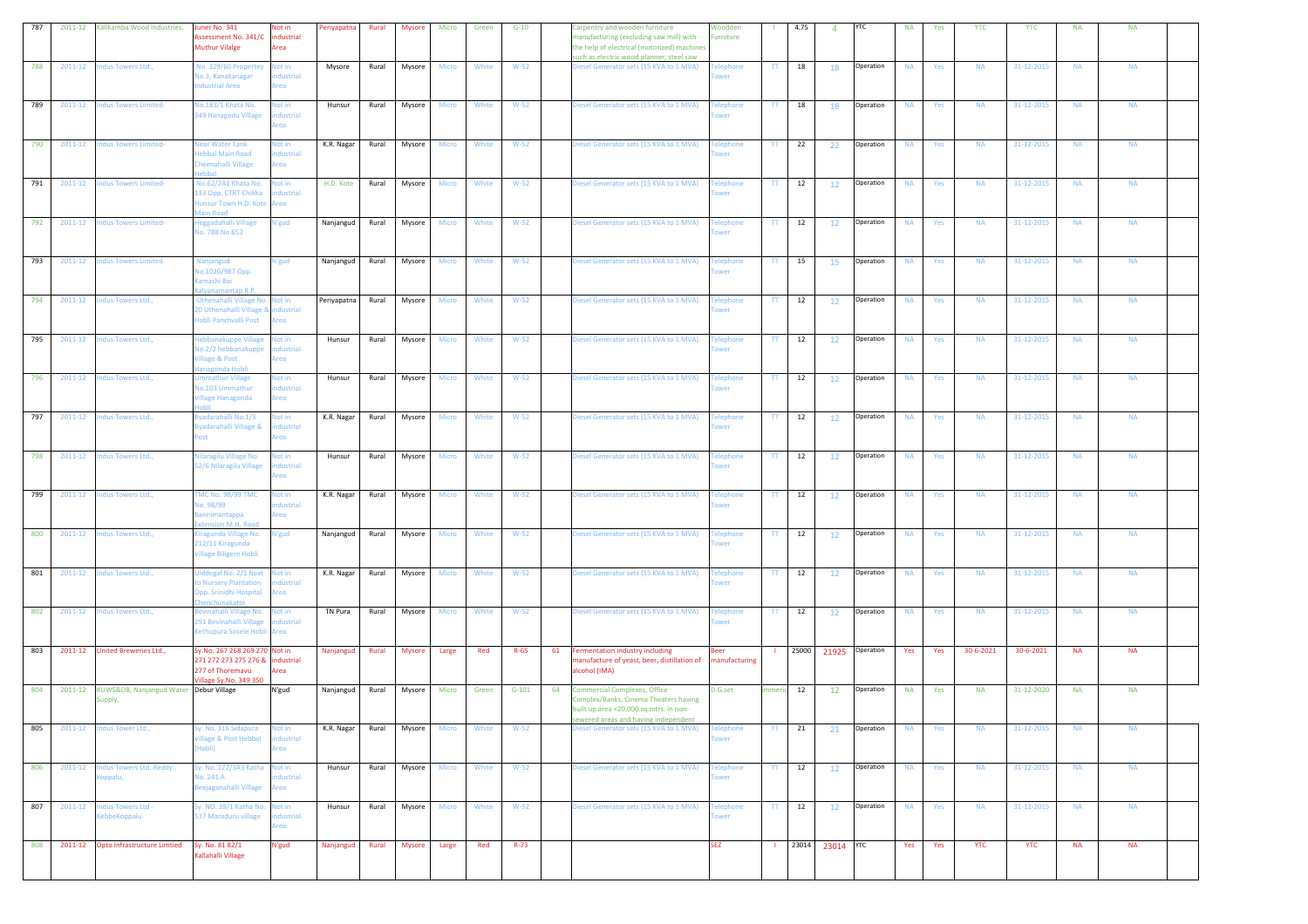| 787 | 2011-12<br>Kalikamba Wood Industries,                        | uner No. 341<br>ssessment No. 341/C<br><b>Muthur Vilalge</b>                                                    | Not in<br>Periyapatna<br>dustrial<br>Area       | Rural | <b>Mysore</b> | Micro        | Green | $G-10$   | Carpentry and wooden furniture<br>nanufacturing (excluding saw mill) with<br>the help of electrical (motorized) machines<br>such as electric wood planner, steel saw | Woodden<br>urniture      |                          | 4.75  | $\overline{4}$  | <b>YTC</b> | <b>NA</b> | Yes | <b>YTC</b> | <b>YTC</b> | <b>NA</b> | <b>NA</b> |  |
|-----|--------------------------------------------------------------|-----------------------------------------------------------------------------------------------------------------|-------------------------------------------------|-------|---------------|--------------|-------|----------|----------------------------------------------------------------------------------------------------------------------------------------------------------------------|--------------------------|--------------------------|-------|-----------------|------------|-----------|-----|------------|------------|-----------|-----------|--|
| 788 | 2011-12<br>ndus Towers Ltd.,                                 | Vo. 329/60 Propertey<br>lo.3, Kanakanagar<br>ndustrial Area                                                     | Not in<br>Mysore<br>dustrial<br>Area            | Rural | Mysore        | Micro        | White | $W-52$   | Diesel Generator sets (15 KVA to 1 MVA)                                                                                                                              | elephone<br>ower         | TT.                      | 18    | 18              | Operation  | <b>NA</b> | Yes | <b>NA</b>  | 31-12-2015 | <b>NA</b> | <b>NA</b> |  |
| 789 | <b>Indus Towers Limited-</b><br>2011-12                      | lo.183/1 Khata No.<br>349 Hanagodu Village                                                                      | Not in<br>Hunsur<br>dustrial<br>rea             | Rural | Mysore        | Micro        | White | $W-52$   | Diesel Generator sets (15 KVA to 1 MVA)                                                                                                                              | elephone<br><b>NPT</b>   | TT.                      | 18    | 18              | Operation  | <b>NA</b> | Yes | <b>NA</b>  | 31-12-2015 | <b>NA</b> | <b>NA</b> |  |
| 790 | 2011-12<br><b>Indus Towers Limited-</b>                      | lear Water Tank<br>ebbal Main Road<br>heenahalli Village                                                        | lot in<br>K.R. Nagar<br>dustrial<br><b>Area</b> | Rural | Mysore        | Micro        | White | $W-52$   | Diesel Generator sets (15 KVA to 1 MVA)                                                                                                                              | elephone<br>wer          | TT.                      | 22    | 22              | Operation  | <b>NA</b> | Yes | <b>NA</b>  | 31-12-2015 | <b>NA</b> | <b>NA</b> |  |
| 791 | 2011-12<br><b>Indus Towers Limited-</b>                      | Vo.62/2A1 Khata No.<br>133 Opp. CTRT Chikka<br>lunsur Town H.D. Kote Area<br><b>Aain Road</b>                   | H.D. Kote<br>Not in<br>ndustrial                | Rural | Mysore        | Micro        | White | $W-52$   | Diesel Generator sets (15 KVA to 1 MVA)                                                                                                                              | elephone<br>ower         | TT.                      | 12    | 12              | Operation  | <b>NA</b> | Yes | <b>NA</b>  | 31-12-2015 | <b>NA</b> | <b>NA</b> |  |
| 792 | 2011-12<br><b>Indus Towers Limited-</b>                      | eggadahalli Village<br>lo. 788 No.653                                                                           | N'gud<br>Nanjangud                              | Rural | Mysore        | Micro        | White | $W-52$   | Diesel Generator sets (15 KVA to 1 MVA)                                                                                                                              | <b>Telephone</b><br>wer  | $\Pi$                    | 12    | 12              | Operation  | <b>NA</b> | Yes | <b>NA</b>  | 31-12-2015 | <b>NA</b> | <b>NA</b> |  |
| 793 | 2011-12<br><b>Indus Towers Limited</b>                       | Vanjangud<br>io.1020/987 Opp.<br>amashi Bai<br>alyanamantap R.P.                                                | N'gud<br>Nanjangud                              | Rural | Mysore        | Micro        | White | $W-52$   | Diesel Generator sets (15 KVA to 1 MVA)                                                                                                                              | elephone<br>wer          | TT.                      | 15    | 15              | Operation  | <b>NA</b> | Yes | <b>NA</b>  | 31-12-2015 | <b>NA</b> | <b>NA</b> |  |
| 794 | 2011-12<br>Indus Towers Ltd.,                                | Uthenahalli Village No. Not in<br>0 Uthenahalli Village &<br>lobli Panchvalli Post                              | Periyapatna<br>ndustrial<br><b>Area</b>         | Rural | Mysore        | <b>Micro</b> | White | $W-52$   | Diesel Generator sets (15 KVA to 1 MVA)                                                                                                                              | <b>Telephone</b><br>wer  | TT.                      | 12    | <b>12</b>       | Operation  | <b>NA</b> | Yes | <b>NA</b>  | 31-12-2015 | <b>NA</b> | <b>NA</b> |  |
| 795 | 2011-12<br>Indus Towers Ltd.,                                | lebbanakuppe Village<br>lo.2/2 hebbanakuppe<br>illage & Post<br>nagonda Hobl                                    | Not in<br>Hunsur<br>dustrial<br>rea             | Rural | Mysore        | Micro        | White | $W-52$   | Diesel Generator sets (15 KVA to 1 MVA)                                                                                                                              | elephone                 | TT.                      | 12    | <b>12</b>       | Operation  | <b>NA</b> | Yes | <b>NA</b>  | 31-12-2015 | <b>NA</b> | <b>NA</b> |  |
| 796 | 2011-12<br>Indus Towers Ltd.,                                | nmathur Village<br>lo.103 Ummathur<br>'illage Hanagonda                                                         | Not in<br>Hunsur<br>ndustrial<br>Area           | Rural | Mysore        | Micro        | White | $W-52$   | Diesel Generator sets (15 KVA to 1 MVA)                                                                                                                              | elephone<br>ower         | TT.                      | 12    | 12              | Operation  | <b>NA</b> | Yes | <b>NA</b>  | 31-12-2015 | <b>NA</b> | <b>NA</b> |  |
| 797 | 2011-12<br>Indus Towers Ltd.,                                | vadarahalli No.1/3<br>vadarahalli Village &                                                                     | Not in<br>K.R. Nagar<br>ndustrial<br>krea       | Rural | Mysore        | Micro        | White | $W-52$   | Diesel Generator sets (15 KVA to 1 MVA)                                                                                                                              | <b>Felephone</b><br>ower | TT.                      | 12    | 12              | Operation  | <b>NA</b> | Yes | <b>NA</b>  | 31-12-2015 | <b>NA</b> | <b>NA</b> |  |
| 798 | Indus Towers Ltd.,<br>2011-12                                | Iilaragilu Village No.<br>52/6 Nilaragilu Village                                                               | Not in<br>Hunsur<br>dustrial<br>rea             | Rural | Mysore        | Micro        | White | $W-52$   | Diesel Generator sets (15 KVA to 1 MVA)                                                                                                                              | elephone<br>wer          | $\mathbf{H}$             | 12    | 12              | Operation  | <b>NA</b> | Yes | <b>NA</b>  | 31-12-2015 | <b>NA</b> | <b>NA</b> |  |
| 799 | 2011-12<br>ndus Towers Ltd.,                                 | MC No. 98/99 TMC<br>lo. 98/99<br>annimantappa<br>xtension M.H. Road                                             | Not in<br>K.R. Nagar<br>dustrial<br>Area        | Rural | Mysore        | Micro        | White | $W-52$   | Diesel Generator sets (15 KVA to 1 MVA)                                                                                                                              | elephone<br>ower         | TT.                      | 12    | 12              | Operation  | <b>NA</b> | Yes | <b>NA</b>  | 31-12-2015 | <b>NA</b> | <b>NA</b> |  |
| 800 | 2011-12<br>Indus Towers Ltd.,                                | iragunda Village No.<br>212/11 Kiragunda<br>fillage Biligere Hobli                                              | N'gud<br>Nanjangud                              | Rural | Mysore        | Micro        | White | $W-52$   | Diesel Generator sets (15 KVA to 1 MVA)                                                                                                                              | <b>Felephone</b><br>wer  | TT.                      | 12    | 12              | Operation  | <b>NA</b> | Yes | <b>NA</b>  | 31-12-2015 | <b>NA</b> | <b>NA</b> |  |
| 801 | 2011-12<br>Indus Towers Ltd.,                                | liddegal No. 2/1 Next Not in<br><b>D</b> Nursery Plantation<br>Opp. Srinidhi Hospital<br><b>nenchunakatte</b>   | K.R. Nagar<br>dustrial<br>rea                   | Rural | Mysore        | Micro        | White | $W-52$   | Diesel Generator sets (15 KVA to 1 MVA)                                                                                                                              | elephone<br>wer          | $\Pi$                    | 12    | 12              | Operation  | <b>NA</b> | Yes | <b>NA</b>  | 31-12-2015 | <b>NA</b> | <b>NA</b> |  |
| 802 | 2011-12<br>Indus Towers Ltd.,                                | evinahalli Village No.<br>291 Bevinahalli Village<br>Cethupura Sosele Hobli Area                                | TN Pura<br>Not in<br>ndustrial                  | Rural | Mysore        | Micro        | White | $W-52$   | Diesel Generator sets (15 KVA to 1 MVA)                                                                                                                              | elephone<br>ower         | TT.                      | 12    | 12              | Operation  | <b>NA</b> | Yes | <b>NA</b>  | 31-12-2015 | <b>NA</b> | <b>NA</b> |  |
| 803 | 2011-12<br>United Breweries Ltd.,                            | Sy.No. 267 268 269 270 Not in<br>271 272 273 275 276 & industrial<br>277 of Thoremavu<br>fillage Sy.No. 349 350 | Nanjangud<br>Area                               | Rural | Mysore        | Large        | Red   | $R-65$   | 61<br>Fermentation industry including<br>manufacture of yeast, beer, distillation of<br>alcohol (IMA)                                                                | Beer<br>manufacturing    |                          | 25000 | 21925 Operation |            | Yes       | Yes | 30-6-2021  | 30-6-2021  | <b>NA</b> | <b>NA</b> |  |
| 804 | 2011-12<br>KUWS&DB, Nanjangud Water Debur Village<br>Supply, |                                                                                                                 | N'gud<br>Nanjangud                              | Rural | Mysore        | Micro        | Green | $G-101$  | <b>Commercial Complexes, Office</b><br>64<br>Complex/Banks, Cinema Theaters having<br>built up area <20,000 sq.mtrs. in non-<br>sewered areas and having independen  | D.G.set                  | nmeri                    | 12    | 12              | Operation  | <b>NA</b> | Yes | <b>NA</b>  | 31-12-2020 | <b>NA</b> | <b>NA</b> |  |
| 805 | 2011-12<br>ndus Tower Ltd.,                                  | y. No. 316 Sidapura<br>illage & Post Hebbal<br>Hobli)                                                           | Not in<br>K.R. Nagar<br>ndustrial<br>Area       | Rural | Mysore        | <b>Micro</b> | White | $W-52$   | Diesel Generator sets (15 KVA to 1 MVA)                                                                                                                              | elephone<br>ower         | TT.                      | 21    | 21              | Operation  | <b>NA</b> | Yes | <b>NA</b>  | 31-12-2015 | <b>NA</b> | <b>NA</b> |  |
| 806 | $2011 - 12$<br><b>Indus Towers Ltd, Reddy</b><br>oppalu,     | y. No. 122/3A3 Katha Not in<br><b>lo. 241 A</b><br>eejaganahalli Village                                        | Hunsur<br>dustrial<br>rea                       | Rural | Mysore        | Micro        | White | $W-52$   | Diesel Generator sets (15 KVA to 1 MVA)                                                                                                                              | elephone<br>wer          | $\mathsf{T}\mathsf{T}$ . | 12    | 12              | Operation  | <b>NA</b> | Yes | <b>NA</b>  | 31-12-2015 | <b>NA</b> | <b>NA</b> |  |
| 807 | <b>Indus Towers Ltd -</b><br>2011-12<br>KebbeKoppalu         | y. NO. 39/1 Katha No. Not in<br>537 Maraduru village                                                            | Hunsur<br>dustrial<br>Area                      | Rural | Mysore        | Micro        | White | $W-52$   | Diesel Generator sets (15 KVA to 1 MVA)                                                                                                                              | elephone<br>ower         | $\mathsf{T}\mathsf{T}$ . | 12    | 12              | Operation  | <b>NA</b> | Yes | <b>NA</b>  | 31-12-2015 | <b>NA</b> | <b>NA</b> |  |
| 808 | 2011-12<br>Opto Infrastructure Limtied                       | Sy. No. 81 82/1<br>Kallahalli Village                                                                           | N'gud<br>Nanjangud                              | Rural | <b>Mysore</b> | Large        | Red   | $R - 73$ |                                                                                                                                                                      | <b>SEZ</b>               | $\mathbf{L}$             |       | 23014 23014 YTC |            | Yes       | Yes | <b>YTC</b> | <b>YTC</b> | <b>NA</b> | <b>NA</b> |  |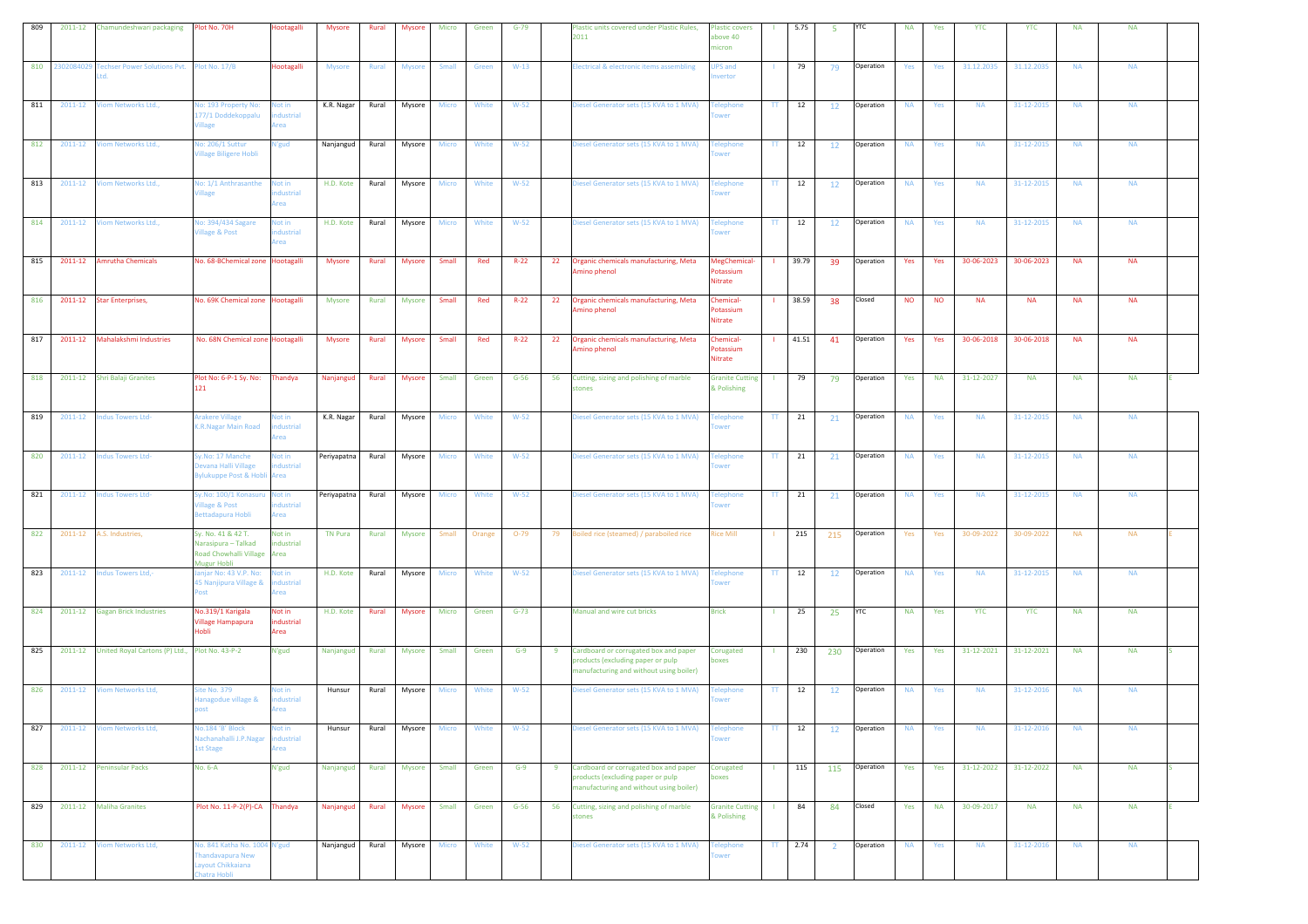| 809 | 2011-12        | Chamundeshwari packaging                       | Plot No. 70H                                                                       | Hootagalli                       | <b>Mysore</b>   | Rural | <b>Mysore</b> | Micro | Green  | $G-79$ | Plastic units covered under Plastic Rules,<br>2011                                                                         | Plastic covers<br>bove 40<br>nicron     |                 | 5.75  | 5              | YTC       | <b>NA</b> | Yes       | <b>YTC</b> | <b>YTC</b> | <b>NA</b> | <b>NA</b> |  |
|-----|----------------|------------------------------------------------|------------------------------------------------------------------------------------|----------------------------------|-----------------|-------|---------------|-------|--------|--------|----------------------------------------------------------------------------------------------------------------------------|-----------------------------------------|-----------------|-------|----------------|-----------|-----------|-----------|------------|------------|-----------|-----------|--|
|     | 810 2302084029 | Fechser Power Solutions Pvt. Plot No. 17/B     |                                                                                    | <b>Hootagalli</b>                | <b>Mysore</b>   | Rural | <b>Mysore</b> | Small | Green  | $W-13$ | lectrical & electronic items assembling                                                                                    | <b>IPS</b> and<br>vertor                |                 | 79    | 79             | Operation | Yes       | Yes       | 31.12.2035 | 31.12.2035 | <b>NA</b> | <b>NA</b> |  |
| 811 | 2011-12        | /iom Networks Ltd.,                            | lo: 193 Property No:<br>177/1 Doddekoppalu<br>'illage                              | lot in<br>dustrial<br>rea        | K.R. Nagar      | Rural | Mysore        | Micro | White  | $W-52$ | Diesel Generator sets (15 KVA to 1 MVA)                                                                                    | elephone<br>wer                         | $\mathbf{H}$    | 12    | 12             | Operation | <b>NA</b> | Yes       | <b>NA</b>  | 31-12-2015 | <b>NA</b> | <b>NA</b> |  |
| 812 | 2011-12        | <b>/iom Networks Ltd.</b> ,                    | lo: 206/1 Suttur<br>/illage Biligere Hobli                                         | <b>V'gud</b>                     | Nanjangud       | Rural | Mysore        | Micro | White  | $W-52$ | Diesel Generator sets (15 KVA to 1 MVA)                                                                                    | elephone<br>wer                         | TT.             | 12    | 12             | Operation | <b>NA</b> | Yes       | <b>NA</b>  | 31-12-2015 | <b>NA</b> | <b>NA</b> |  |
| 813 | 2011-12        | Viom Networks Ltd.,                            | No: 1/1 Anthrasanthe<br><b>Ilage</b>                                               | Not in<br>dustrial<br>rea        | H.D. Kote       | Rural | Mysore        | Micro | White  | $W-52$ | Diesel Generator sets (15 KVA to 1 MVA)                                                                                    | <b>Felephone</b><br>wer                 | TT.             | 12    | 12             | Operation | <b>NA</b> | Yes       | <b>NA</b>  | 31-12-2015 | <b>NA</b> | <b>NA</b> |  |
| 814 | 2011-12        | Viom Networks Ltd.,                            | No: 394/434 Sagare<br>illage & Post                                                | <b>Not in</b><br>dustrial<br>rea | H.D. Kote       | Rural | Mysore        | Micro | White  | $W-52$ | Diesel Generator sets (15 KVA to 1 MVA)                                                                                    | elephone<br>wer                         | TT.             | 12    | 12             | Operation | <b>NA</b> | Yes       | <b>NA</b>  | 31-12-2015 | <b>NA</b> | <b>NA</b> |  |
| 815 | 2011-12        | <b>Amrutha Chemicals</b>                       | No. 68-BChemical zone Hootagalli                                                   |                                  | <b>Mysore</b>   | Rural | <b>Mysore</b> | Small | Red    | $R-22$ | Organic chemicals manufacturing, Meta<br>22<br>Amino phenol                                                                | MegChemical-<br>otassium<br>Nitrate     |                 | 39.79 | 39             | Operation | Yes       | Yes       | 30-06-2023 | 30-06-2023 | <b>NA</b> | <b>NA</b> |  |
| 816 | 2011-12        | <b>Star Enterprises,</b>                       | No. 69K Chemical zone Hootagalli                                                   |                                  | Mysore          | Rural | Mysore        | Small | Red    | $R-22$ | 22<br>Organic chemicals manufacturing, Meta<br>Amino phenol                                                                | <b>Chemical-</b><br>otassium<br>Nitrate |                 | 38.59 | 38             | Closed    | <b>NO</b> | <b>NO</b> | <b>NA</b>  | <b>NA</b>  | <b>NA</b> | <b>NA</b> |  |
| 817 | 2011-12        | Mahalakshmi Industries                         | No. 68N Chemical zone Hootagalli                                                   |                                  | <b>Mysore</b>   | Rural | <b>Mysore</b> | Small | Red    | $R-22$ | 22<br>Organic chemicals manufacturing, Meta<br>Amino phenol                                                                | <b>Chemical-</b><br>otassium<br>Nitrate |                 | 41.51 | 41             | Operation | Yes       | Yes       | 30-06-2018 | 30-06-2018 | <b>NA</b> | <b>NA</b> |  |
| 818 | 2011-12        | Shri Balaji Granites                           | Plot No: 6-P-1 Sy. No:<br>121                                                      | Thandya                          | Nanjangud       | Rural | <b>Mysore</b> | Small | Green  | $G-56$ | Cutting, sizing and polishing of marble<br>56<br>stones                                                                    | <b>Granite Cutting</b><br>& Polishing   |                 | 79    | 79             | Operation | Yes       | <b>NA</b> | 31-12-2027 | <b>NA</b>  | <b>NA</b> | <b>NA</b> |  |
| 819 | 2011-12        | ndus Towers Ltd-                               | Arakere Village<br>K.R.Nagar Main Road                                             | lot in<br>dustrial<br>rea        | K.R. Nagar      | Rural | Mysore        | Micro | White  | $W-52$ | Diesel Generator sets (15 KVA to 1 MVA)                                                                                    | elephone<br>wer                         | $_{\rm IT}$     | 21    | 21             | Operation | <b>NA</b> | Yes       | <b>NA</b>  | 31-12-2015 | <b>NA</b> | <b>NA</b> |  |
| 820 | 2011-12        | ndus Towers Ltd-                               | Sy.No: 17 Manche<br>Devana Halli Village<br>Sylukuppe Post & Hobli                 | lot in<br>dustrial<br>Area       | Periyapatna     | Rural | Mysore        | Micro | White  | $W-52$ | Diesel Generator sets (15 KVA to 1 MVA)                                                                                    | elephone<br>wer                         | $_{\rm IT}$     | 21    | 21             | Operation | <b>NA</b> | Yes       | <b>NA</b>  | 31-12-2015 | <b>NA</b> | <b>NA</b> |  |
| 821 | 2011-12        | <b>Indus Towers Ltd-</b>                       | Sy.No: 100/1 Konasuru<br><b>illage &amp; Post</b><br>Bettadapura Hobli             | Not in<br>dustrial<br>rea        | Periyapatna     | Rural | Mysore        | Micro | White  | $W-52$ | Diesel Generator sets (15 KVA to 1 MVA)                                                                                    | elephone<br>wer                         | TT.             | 21    | 21             | Operation | <b>NA</b> | Yes       | <b>NA</b>  | 31-12-2015 | <b>NA</b> | <b>NA</b> |  |
| 822 | 2011-12        | A.S. Industries,                               | Sy. No. 41 & 42 T.<br>Narasipura – Talkad<br>Road Chowhalli Village<br>Mugur Hobli | Not in<br>dustrial<br>Area       | <b>TN Pura</b>  | Rural | Mysore        | Small | Orange | $O-79$ | Boiled rice (steamed) / paraboiled rice<br>79                                                                              | <b>Rice Mill</b>                        |                 | 215   | 215            | Operation | Yes       | Yes       | 30-09-2022 | 30-09-2022 | <b>NA</b> | <b>NA</b> |  |
| 823 | 2011-12        | Indus Towers Ltd,-                             | anjar No: 43 V.P. No:<br>45 Nanjipura Village &<br>host                            | lot in<br>dustrial<br>rea        | H.D. Kote       | Rural | Mysore        | Micro | White  | $W-52$ | Diesel Generator sets (15 KVA to 1 MVA)                                                                                    | elephone<br>wer                         | TT.             | 12    | 12             | Operation | <b>NA</b> | Yes       | <b>NA</b>  | 31-12-2015 | <b>NA</b> | <b>NA</b> |  |
| 824 | 2011-12        | <b>Gagan Brick Industries</b>                  | No.319/1 Karigala<br><b>Village Hampapura</b><br>Hobli                             | Not in<br>industrial<br>Area     | H.D. Kote       | Rural | <b>Mysore</b> | Micro | Green  | $G-73$ | Manual and wire cut bricks                                                                                                 | <b>Brick</b>                            |                 | 25    | 25             | YTC       | <b>NA</b> | Yes       | <b>YTC</b> | <b>YTC</b> | <b>NA</b> | <b>NA</b> |  |
| 825 | 2011-12        | United Royal Cartons (P) Ltd., Plot No. 43-P-2 |                                                                                    | N'gud                            | Nanjangud       | Rural | Mysore        | Small | Green  | $G-9$  | 9<br>Cardboard or corrugated box and paper<br>products (excluding paper or pulp<br>manufacturing and without using boiler) | Corugated<br>oxes                       | -11             | 230   | 230            | Operation | Yes       | Yes       | 31-12-2021 | 31-12-2021 | <b>NA</b> | <b>NA</b> |  |
| 826 | 2011-12        | Viom Networks Ltd,                             | ite No. 379<br>lanagodue village &<br>ost                                          | lot in<br>dustrial<br>rea        | Hunsur          | Rural | Mysore        | Micro | White  | $W-52$ | Diesel Generator sets (15 KVA to 1 MVA)                                                                                    | elephone<br>wer                         | π               | 12    | 12             | Operation | <b>NA</b> | Yes       | <b>NA</b>  | 31-12-2016 | <b>NA</b> | <b>NA</b> |  |
| 827 | 2011-12        | Viom Networks Ltd,                             | lo.184 'B' Block<br>Nachanahalli J.P.Nagar<br><b>1st Stage</b>                     | lot in<br>dustrial<br>rea        | Hunsur          | Rural | Mysore        | Micro | White  | $W-52$ | Diesel Generator sets (15 KVA to 1 MVA)                                                                                    | elephone<br>wer                         | TT.             | 12    | 12             | Operation | <b>NA</b> | Yes       | <b>NA</b>  | 31-12-2016 | <b>NA</b> | <b>NA</b> |  |
| 828 |                | 2011-12 Peninsular Packs                       | No. 6-A                                                                            | N'gud                            | Nanjangud Rural |       | Mysore        | Small | Green  | $G-9$  | Cardboard or corrugated box and paper<br>9<br>products (excluding paper or pulp<br>manufacturing and without using boiler) | Corugated<br>boxes                      | $\mathbf{L}$    | 115   | 115            | Operation | Yes       | Yes       | 31-12-2022 | 31-12-2022 | <b>NA</b> | <b>NA</b> |  |
| 829 |                | 2011-12 Maliha Granites                        | Plot No. 11-P-2(P)-CA Thandya                                                      |                                  | Nanjangud       | Rural | Mysore        | Small | Green  | $G-56$ | Cutting, sizing and polishing of marble<br>56<br>stones                                                                    | <b>Granite Cutting</b><br>& Polishing   | -11             | 84    | 84             | Closed    | Yes       | <b>NA</b> | 30-09-2017 | <b>NA</b>  | <b>NA</b> | <b>NA</b> |  |
| 830 | 2011-12        | <b>Viom Networks Ltd,</b>                      | No. 841 Katha No. 1004 N'gud<br>handavapura New<br>ayout Chikkaiana<br>atra Hobli  |                                  | Nanjangud       | Rural | Mysore        | Micro | White  | $W-52$ | Diesel Generator sets (15 KVA to 1 MVA)                                                                                    | elephone<br>wer                         | $\mathbf{TT}$ . | 2.74  | $\overline{2}$ | Operation | <b>NA</b> | Yes       | <b>NA</b>  | 31-12-2016 | <b>NA</b> | <b>NA</b> |  |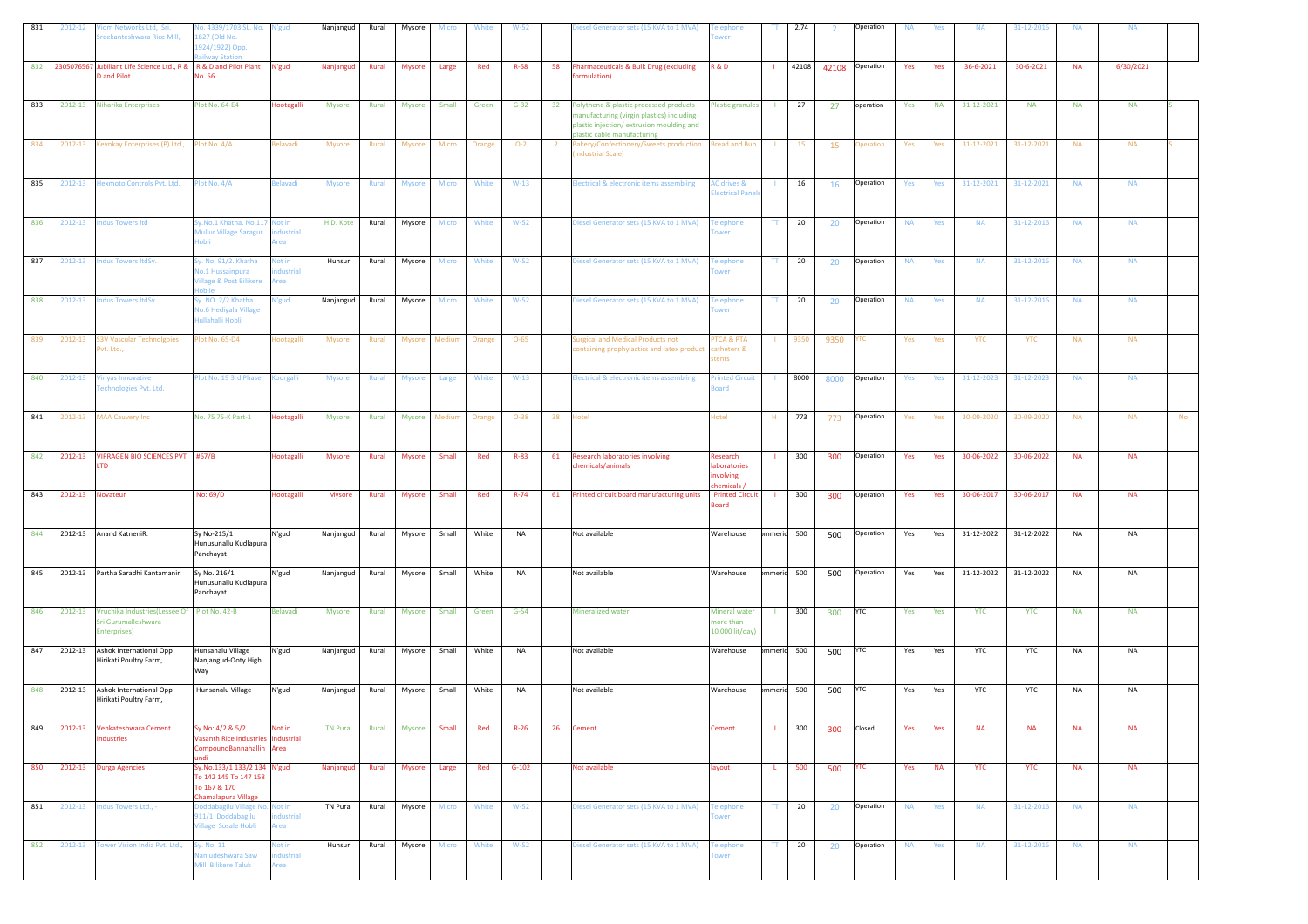| 831 | 2012-12 | om Networks Ltd, Sri.<br>reekanteshwara Rice Mill,                                      | Vo. 4339/1703 SL. No.<br>827 (Old No.<br>924/1922) Opp.<br>ailway Station                       | l'gud                            | Nanjangud      | Rural | Mysore        | Micro        | White  | $W-52$   |                | Diesel Generator sets (15 KVA to 1 MVA)                                                                                                                          | elephone<br>ower                                     | TT.           | 2.74       |       | Operation  | <b>NA</b> | Yes       | <b>NA</b>  | 31-12-2016 | <b>NA</b> | <b>NA</b> |           |
|-----|---------|-----------------------------------------------------------------------------------------|-------------------------------------------------------------------------------------------------|----------------------------------|----------------|-------|---------------|--------------|--------|----------|----------------|------------------------------------------------------------------------------------------------------------------------------------------------------------------|------------------------------------------------------|---------------|------------|-------|------------|-----------|-----------|------------|------------|-----------|-----------|-----------|
| 832 |         | 2305076567 Jubiliant Life Science Ltd., R & R & D and Pilot Plant<br><b>D</b> and Pilot | No. 56                                                                                          | N'gud                            | Nanjangud      | Rural | <b>Mysore</b> | Large        | Red    | $R-58$   | 58             | Pharmaceuticals & Bulk Drug (excluding<br>ormulation).                                                                                                           | R&D                                                  |               | 42108      | 42108 | Operation  | Yes       | Yes       | 36-6-2021  | 30-6-2021  | <b>NA</b> | 6/30/2021 |           |
| 833 | 2012-13 | <b>Niharika Enterprises</b>                                                             | <b>Plot No. 64-E4</b>                                                                           | <b>lootagalli</b>                | Mysore         | Rural | <b>Mysore</b> | Small        | Green  | $G-32$   |                | 32 Polythene & plastic processed products<br>nanufacturing (virgin plastics) including<br>plastic injection/extrusion moulding and<br>lastic cable manufacturing | <b>Plastic granules</b>                              | - 11          | 27         | 27    | operation  | Yes       | <b>NA</b> | 31-12-2021 | <b>NA</b>  | <b>NA</b> | <b>NA</b> |           |
| 834 | 2012-13 | Keynkay Enterprises (P) Ltd.,                                                           | Plot No. 4/A                                                                                    | elavadi                          | Mysore         | Rural | Mysore        | Micro        | Orange | $O-2$    | $\overline{2}$ | Bakery/Confectionery/Sweets production<br>ndustrial Scale)                                                                                                       | <b>Bread and Bun</b>                                 | -11           | <b>15</b>  | 15    | peration   | Yes       | Yes       | 31-12-2021 | 31-12-2021 | <b>NA</b> | <b>NA</b> |           |
| 835 | 2012-13 | lexmoto Controls Pvt. Ltd.,                                                             | lot No. 4/A                                                                                     | <b>Belavadi</b>                  | <b>Mysore</b>  | Rural | <b>Mysore</b> | Micro        | White  | $W-13$   |                | <b>Electrical &amp; electronic items assembling</b>                                                                                                              | <b>AC drives &amp;</b><br>lectrical Pane             |               | 16         | 16    | Operation  | Yes       | Yes       | 31-12-2021 | 31-12-2021 | <b>NA</b> | <b>NA</b> |           |
| 836 | 2012-13 | <b>Indus Towers Itd</b>                                                                 | Sy.No.1 Khatha. No.117 Not in<br>Mullur Village Saragur<br>lobli                                | dustrial<br>rea                  | H.D. Kote      | Rural | Mysore        | Micro        | White  | $W-52$   |                | Diesel Generator sets (15 KVA to 1 MVA)                                                                                                                          | <b>Telephone</b><br>wer                              | TT.           | 20         | 20    | Operation  | <b>NA</b> | Yes       | <b>NA</b>  | 31-12-2016 | <b>NA</b> | <b>NA</b> |           |
| 837 | 2012-13 | ndus Towers ItdSy.                                                                      | Sy. No. 91/2. Khatha<br><b>Vo.1 Hussainpura</b><br><b>Village &amp; Post Bilikere</b><br>Ioblie | lot in<br>dustrial<br>rea        | Hunsur         | Rural | Mysore        | Micro        | White  | $W-52$   |                | Diesel Generator sets (15 KVA to 1 MVA)                                                                                                                          | <b><i><u><b>Telephone</b></u></i></b><br>ower        | TT.           | 20         | 20    | Operation  | <b>NA</b> | Yes       | <b>NA</b>  | 31-12-2016 | <b>NA</b> | <b>NA</b> |           |
| 838 | 2012-13 | ndus Towers ItdSy                                                                       | y. NO. 2/2 Khatha<br><b>Vo.6 Hediyala Village</b><br><b>Iullahalli Hobli</b>                    | l'gud                            | Nanjangud      | Rural | Mysore        | Micro        | White  | $W-52$   |                | Diesel Generator sets (15 KVA to 1 MVA)                                                                                                                          | <b>Felephone</b><br>ower                             | TT.           | 20         | 20    | Operation  | <b>NA</b> | Yes       | <b>NA</b>  | 31-12-2016 | <b>NA</b> | <b>NA</b> |           |
| 839 | 2012-13 | 3V Vascular Technolgoies<br>vt. Ltd.,                                                   | lot No. 65-D4                                                                                   | ootagalli                        | <b>Mysore</b>  | Rural | Mysore        | Medium       | Orange | $O - 65$ |                | urgical and Medical Products not<br>containing prophylactics and latex product                                                                                   | TCA & PTA<br>catheters &<br>tents                    |               | 9350       | 9350  |            | Yes       | Yes       | <b>YTC</b> | <b>YTC</b> | <b>NA</b> | <b>NA</b> |           |
| 840 | 2012-13 | inyas Innovative<br>Fechnologies Pvt. Ltd.                                              | lot No. 19 3rd Phase                                                                            | oorgalli                         | <b>Mysore</b>  | Rural | <b>Mysore</b> | Large        | White  | $W-13$   |                | Electrical & electronic items assembling                                                                                                                         | rinted Circuit<br>bard                               | п.            | 8000       | 8000  | Operation  | Yes       | Yes       | 31-12-2023 | 31-12-2023 | <b>NA</b> | <b>NA</b> |           |
| 841 | 2012-13 | <b>MAA Cauvery Inc</b>                                                                  | No. 75 75-K Part-1                                                                              | lootagalli                       | Mysore         | Rural | Mysore        | Mediun       | Orange | $O-38$   | 38             | Hotel                                                                                                                                                            | lotel                                                |               | 773        | 773   | Operation  | Yes       | Yes       | 30-09-2020 | 30-09-2020 | <b>NA</b> | <b>NA</b> | <b>No</b> |
| 842 | 2012-13 | VIPRAGEN BIO SCIENCES PVT #67/B<br>TD.                                                  |                                                                                                 | lootagalli                       | <b>Mysore</b>  | Rural | Mysore        | Small        | Red    | $R-83$   | 61             | <b>Research laboratories involving</b><br>hemicals/animals                                                                                                       | Research<br>aboratories<br>nvolving<br>hemicals,     |               | 300        | 300   | Operation  | Yes       | Yes       | 30-06-2022 | 30-06-2022 | <b>NA</b> | <b>NA</b> |           |
| 843 | 2012-13 | lovateur                                                                                | No: 69/D                                                                                        | <b>lootagalli</b>                | <b>Mysore</b>  | Rural | <b>Mysore</b> | Small        | Red    | $R - 74$ | 61             | Printed circuit board manufacturing units                                                                                                                        | <b>Printed Circuit</b><br><b>Board</b>               |               | 300        | 300   | Operation  | Yes       | Yes       | 30-06-2017 | 30-06-2017 | <b>NA</b> | <b>NA</b> |           |
| 844 | 2012-13 | Anand KatneniR.                                                                         | Sy No-215/1<br>Hunusunallu Kudlapura<br>Panchayat                                               | N'gud                            | Nanjangud      | Rural | Mysore        | Small        | White  | NA       |                | Not available                                                                                                                                                    | Warehouse                                            | mmeric 500    |            | 500   | Operation  | Yes       | Yes       | 31-12-2022 | 31-12-2022 | <b>NA</b> | <b>NA</b> |           |
| 845 | 2012-13 | Partha Saradhi Kantamanir.                                                              | Sy No. 216/1<br>Hunusunallu Kudlapura<br>Panchayat                                              | N'gud                            | Nanjangud      | Rural | Mysore        | Small        | White  | NA       |                | Not available                                                                                                                                                    | Warehouse                                            |               | mmeric 500 | 500   | Operation  | Yes       | Yes       | 31-12-2022 | 31-12-2022 | <b>NA</b> | NA        |           |
| 846 | 2012-13 | Vruchika Industries (Lessee Of Plot No. 42-B<br>Sri Gurumalleshwara<br>Enterprises)     |                                                                                                 | Belavadi                         | <b>Mysore</b>  | Rural | <b>Mysore</b> | Small        | Green  | $G-54$   |                | <b>Mineralized water</b>                                                                                                                                         | <b>Mineral water</b><br>more than<br>10,000 lit/day) |               | 300        | 300   | YTC        | Yes       | Yes       | <b>YTC</b> | <b>YTC</b> | <b>NA</b> | <b>NA</b> |           |
| 847 | 2012-13 | Ashok International Opp<br>Hirikati Poultry Farm,                                       | Hunsanalu Village<br>Nanjangud-Ooty High<br>Way                                                 | N'gud                            | Nanjangud      | Rural | Mysore        | Small        | White  | NA       |                | Not available                                                                                                                                                    | Warehouse                                            | mmeric 500    |            | 500   | <b>YTC</b> | Yes       | Yes       | YTC        | YTC        | <b>NA</b> | <b>NA</b> |           |
| 848 | 2012-13 | Ashok International Opp<br>Hirikati Poultry Farm,                                       | Hunsanalu Village                                                                               | N'gud                            | Nanjangud      | Rural | Mysore        | Small        | White  | NA       |                | Not available                                                                                                                                                    | Warehouse                                            | mmerid        | 500        | 500   | /TC        | Yes       | Yes       | YTC        | YTC        | <b>NA</b> | <b>NA</b> |           |
| 849 | 2012-13 | Venkateshwara Cement<br>ndustries                                                       | Sv No: 4/2 & 5/2<br>Vasanth Rice Industries industrial<br>CompoundBannahallih                   | Not in<br>Area                   | <b>TN Pura</b> | Rural | <b>Mysore</b> | Small        | Red    | $R-26$   | 26             | <b>Cement</b>                                                                                                                                                    | Cement                                               |               | 300        | 300   | Closed     | Yes       | Yes       | <b>NA</b>  | <b>NA</b>  | <b>NA</b> | <b>NA</b> |           |
| 850 | 2012-13 | <b>Durga Agencies</b>                                                                   | Sy.No.133/1 133/2 134 N'gud<br>To 142 145 To 147 158<br>To 167 & 170<br>Chamalapura Village     |                                  | Nanjangud      |       | Rural Mysore  | Large        | Red    | $G-102$  |                | Not available                                                                                                                                                    | layout                                               | $\mathbf{L}$  | 500        | 500   | <b>YTC</b> | Yes       | <b>NA</b> | <b>YTC</b> | <b>YTC</b> | <b>NA</b> | <b>NA</b> |           |
| 851 | 2012-13 | Indus Towers Ltd., -                                                                    | Doddabagilu Village No. Not in<br>911/1 Doddabagilu<br><b>Village Sosale Hobli</b>              | dustrial<br>rea                  | TN Pura        | Rural | Mysore        | <b>Micro</b> | White  | $W-52$   |                | Diesel Generator sets (15 KVA to 1 MVA)                                                                                                                          | <b>Telephone</b><br>ower                             | TT            | 20         | 20    | Operation  | <b>NA</b> | Yes       | <b>NA</b>  | 31-12-2016 | <b>NA</b> | <b>NA</b> |           |
| 852 | 2012-13 | Fower Vision India Pvt. Ltd.,                                                           | iy. No. 11<br>anjudeshwara Saw<br><b>Mill Bilikere Taluk</b>                                    | <b>Not in</b><br>dustrial<br>rea | Hunsur         | Rural | Mysore        | Micro        | White  | $W-52$   |                | Diesel Generator sets (15 KVA to 1 MVA)                                                                                                                          | <b>Telephone</b><br>ower                             | $\mathsf{TT}$ | 20         | 20    | Operation  | <b>NA</b> | Yes       | <b>NA</b>  | 31-12-2016 | <b>NA</b> | <b>NA</b> |           |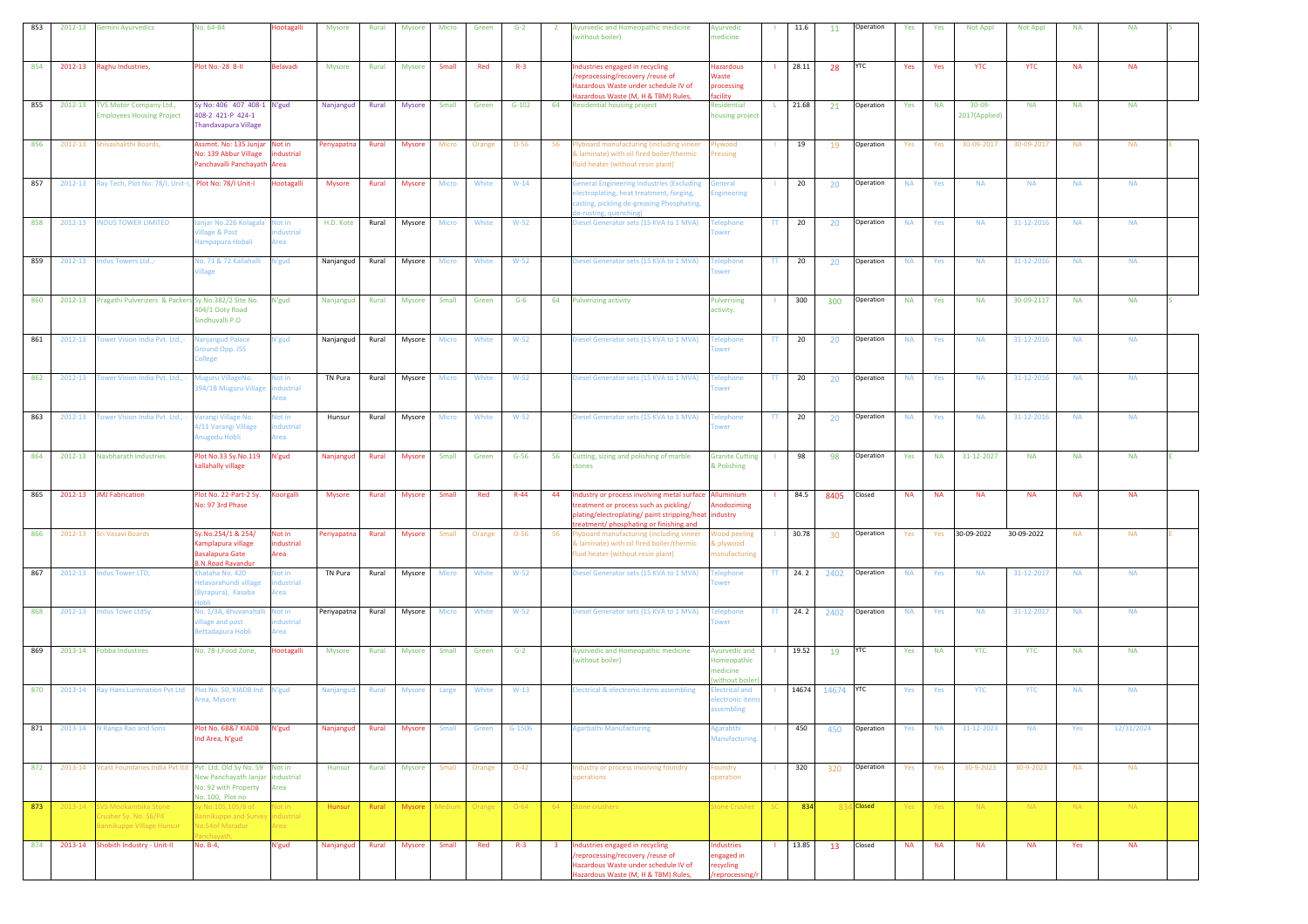| 853 | 2012-13     | <b>Gemini Ayurvedics</b>                                                   | No. 64-B4                                                                                                      | Hootagalli                         | Mysore        | Rural        | <b>Mysore</b> | Micro  | Green  | $G-2$    | $\overline{2}$          | Ayurvedic and Homeopathic medicine<br>without boiler)                                                                                                                           | Ayurvedic<br>medicine                                             |               | 11.6      | 11        | Operation  | Yes       | Yes       | Not Appl                     | Not Appl   | <b>NA</b> | <b>NA</b>  |  |
|-----|-------------|----------------------------------------------------------------------------|----------------------------------------------------------------------------------------------------------------|------------------------------------|---------------|--------------|---------------|--------|--------|----------|-------------------------|---------------------------------------------------------------------------------------------------------------------------------------------------------------------------------|-------------------------------------------------------------------|---------------|-----------|-----------|------------|-----------|-----------|------------------------------|------------|-----------|------------|--|
| 854 | 2012-13     | Raghu Industries,                                                          | lot No.-28 B-II                                                                                                | Belavadi                           | Mysore        | Rural        | <b>Mysore</b> | Small  | Red    | $R-3$    |                         | <b>ndustries engaged in recycling</b><br>/reprocessing/recovery /reuse of<br>Hazardous Waste under schedule IV of<br>Hazardous Waste (M, H & TBM) Rules,                        | <b>Hazardous</b><br>Waste<br>processing<br>cility                 |               | 28.11     | 28        | <b>YTC</b> | Yes       | Yes       | YTC                          | <b>YTC</b> | <b>NA</b> | <b>NA</b>  |  |
| 855 | 2012-13     | TVS Motor Company Ltd.,<br><b>Employees Housing Project</b>                | Sy No: 406 407 408-1 N'gud<br>408-2 421-P 424-1<br>Thandavapura Village                                        |                                    | Nanjangud     | Rural        | Mysore        | Small  | Green  | $G-102$  | 64                      | <b>Residential housing project</b>                                                                                                                                              | Residential<br><b>nousing project</b>                             | $\mathbf{L}$  | 21.68     | 21        | Operation  | Yes       | <b>NA</b> | $30 - 09 -$<br>2017(Applied) | <b>NA</b>  | <b>NA</b> | <b>NA</b>  |  |
| 856 | 2012-13     | Shivashakthi Boards,                                                       | Assmnt. No: 135 Junjar Not in<br><b>Jo: 139 Abbur Village</b><br>Panchavalli Panchayath Area                   | industrial                         | Periyapatna   | Rural        | Mysore        | Micro  | Orange | $O - 56$ | 56                      | Plyboard manufacturing (including vineer<br>laminate) with oil fired boiler/thermic<br>fluid heater (without resin plant)                                                       | lywood<br><b>ressing</b>                                          |               | 19        | 19        | Operation  | Yes       | Yes       | 30-09-2017                   | 30-09-2017 | <b>NA</b> | <b>NA</b>  |  |
| 857 | 2012-13     | Ray Tech, Plot No: 78/I, Unit-I, Plot No: 78/I Unit-I                      |                                                                                                                | Hootagalli                         | <b>Mysore</b> | Rural        | <b>Mysore</b> | Micro  | White  | $W-14$   |                         | <b>General Engineering Industries (Excluding</b><br>lectroplating, heat treatment, forging,<br>casting, pickling de-greasing Phosphating,<br>de-rusting, quenching)             | Seneral<br><b>ngineering</b>                                      | л.            | 20        | 20        | Operation  | <b>NA</b> | Yes       | <b>NA</b>                    | <b>NA</b>  | <b>NA</b> | <b>NA</b>  |  |
| 858 | 2012-13     | <b>INDUS TOWER LIMITED</b>                                                 | anjar No.226 Kolagala<br>illage & Post<br>ampapura Hobali                                                      | Not in<br>dustrial<br>rea          | H.D. Kote     | Rural        | Mysore        | Micro  | White  | $W-52$   |                         | Diesel Generator sets (15 KVA to 1 MVA)                                                                                                                                         | elephone                                                          | TT.           | 20        | 20        | Operation  | <b>NA</b> | Yes       | <b>NA</b>                    | 31-12-2016 | <b>NA</b> | <b>NA</b>  |  |
| 859 | 2012-13     | Indus Towers Ltd.,-                                                        | lo. 71 & 72 Kallahalli<br>'illage                                                                              | N'gud                              | Nanjangud     | Rural        | Mysore        | Micro  | White  | $W-52$   |                         | Diesel Generator sets (15 KVA to 1 MVA)                                                                                                                                         | elephone<br>wer                                                   | TT.           | 20        | 20        | Operation  | <b>NA</b> | Yes       | <b>NA</b>                    | 31-12-2016 | <b>NA</b> | <b>NA</b>  |  |
| 860 | 2012-13     | Pragathi Pulverizers & Packers Sy.No.382/2 Site No.                        | 404/1 Ooty Road<br>Sindhuvalli P.O                                                                             | N'gud                              | Nanjangud     | Rural        | <b>Mysore</b> | Small  | Green  | $G-6$    | 64                      | <b>Pulverizing activity</b>                                                                                                                                                     | <b>Pulverising</b><br>activity.                                   |               | 300       | 300       | Operation  | <b>NA</b> | Yes       | <b>NA</b>                    | 30-09-2117 | <b>NA</b> | <b>NA</b>  |  |
| 861 | 2012-13     | Tower Vision India Pvt. Ltd.,-                                             | anjangud Palace<br>round Opp. JSS<br>ollege                                                                    | N'gud                              | Nanjangud     | Rural        | Mysore        | Micro  | White  | $W-52$   |                         | Diesel Generator sets (15 KVA to 1 MVA)                                                                                                                                         | elephone<br>wei                                                   | TT.           | 20        | 20        | Operation  | <b>NA</b> | Yes       | <b>NA</b>                    | 31-12-2016 | <b>NA</b> | <b>NA</b>  |  |
| 862 | 2012-13     | Tower Vision India Pvt. Ltd.,                                              | luguru VillageNo.<br>94/1B Muguru Village                                                                      | lot in<br>ndustrial<br><b>Area</b> | TN Pura       | Rural        | Mysore        | Micro  | White  | $W-52$   |                         | Diesel Generator sets (15 KVA to 1 MVA)                                                                                                                                         | elephone<br>ower                                                  | TT.           | 20        | 20        | Operation  | <b>NA</b> | Yes       | <b>NA</b>                    | 31-12-2016 | <b>NA</b> | <b>NA</b>  |  |
| 863 | 2012-13     | Tower Vision India Pvt. Ltd.,                                              | arangi Village No.<br>4/11 Varangi Village<br>nugodu Hobli                                                     | Not in<br>dustrial<br>rea          | Hunsur        | Rural        | Mysore        | Micro  | White  | $W-52$   |                         | Diesel Generator sets (15 KVA to 1 MVA)                                                                                                                                         | elephone<br>ower                                                  | TT.           | 20        | 20        | Operation  | <b>NA</b> | Yes       | <b>NA</b>                    | 31-12-2016 | <b>NA</b> | <b>NA</b>  |  |
| 864 | 2012-13     | <b>Navbharath Industries</b>                                               | lot No.33 Sy.No.119<br>kallahally village                                                                      | N'gud                              | Nanjangud     | Rural        | <b>Mysore</b> | Small  | Green  | $G-56$   | 56                      | Cutting, sizing and polishing of marble<br>stones                                                                                                                               | <b>Granite Cutting</b><br>& Polishing                             |               | 98        | 98        | Operation  | Yes       | <b>NA</b> | 31-12-2027                   | <b>NA</b>  | <b>NA</b> | <b>NA</b>  |  |
| 865 | 2012-13     | <b>JMJ Fabrication</b>                                                     | lot No. 22-Part-2 Sy.<br>No: 97 3rd Phase                                                                      | oorgalli                           | <b>Mysore</b> | Rural        | <b>Mysore</b> | Small  | Red    | $R - 44$ | 44                      | Industry or process involving metal surface<br>treatment or process such as pickling/<br>plating/electroplating/ paint stripping/heat<br>treatment/phosphating or finishing and | Alluminium<br><b>Inodoziming</b><br>industry                      |               | 84.5      | 8405      | Closed     | <b>NA</b> | <b>NA</b> | <b>NA</b>                    | <b>NA</b>  | <b>NA</b> | <b>NA</b>  |  |
| 866 | 2012-13     | <b>Sri Vasavi Boards</b>                                                   | v.No.254/1 & 254/<br>Kamplapura village<br><b>Basalapura Gate</b><br><b>S.N.Road Ravandur</b>                  | Not in<br>industrial<br>Area       | Periyapatna   | Rural        | Mysore        | Small  | Orange | $O - 56$ | 56                      | Plyboard manufacturing (including vineer<br>& laminate) with oil fired boiler/thermic<br>fluid heater (without resin plant)                                                     | Vood peeling<br>k plywood<br>anufacturing                         |               | 30.78     | 30        | Operation  | Yes       | Yes       | 30-09-2022                   | 30-09-2022 | <b>NA</b> | <b>NA</b>  |  |
| 867 | 2012-13     | Indus Tower LTD,                                                           | hataha No. 420<br>lelavarahundi village<br>Byrapura), Kasaba                                                   | lot in<br>dustrial<br>Area         | TN Pura       | Rural        | Mysore        | Micro  | White  | $W-52$   |                         | Diesel Generator sets (15 KVA to 1 MVA)                                                                                                                                         | elephone<br>wer                                                   |               | $TT$ 24.2 | 2402      | Operation  | <b>NA</b> | Yes       | <b>NA</b>                    | 31-12-2017 | <b>NA</b> | <b>NA</b>  |  |
| 868 | 2012-13     | Indus Towe LtdSy.                                                          | Io. 1/3A, Bhuvanahalli Not in<br>illage and post<br>lettadapura Hobli                                          | ndustrial<br>Area                  | Periyapatna   | Rural        | Mysore        | Micro  | White  | $W-52$   |                         | Diesel Generator sets (15 KVA to 1 MVA)                                                                                                                                         | <b>Telephone</b><br>ower                                          | $\pi$         | 24.2      | 2402      | Operation  | <b>NA</b> | Yes       | <b>NA</b>                    | 31-12-2017 | <b>NA</b> | <b>NA</b>  |  |
| 869 | 2013-14     | <b>Fobba Industires</b>                                                    | No. 78-J, Food Zone,                                                                                           | Hootagalli                         | Mysore        | Rural        | Mysore        | Small  | Green  | $G-2$    |                         | Ayurvedic and Homeopathic medicine<br>without boiler)                                                                                                                           | Ayurvedic and<br>lomeopathic<br>edicine<br>without boile          |               | 19.52     | 19        | <b>YTC</b> | Yes       | <b>NA</b> | <b>YTC</b>                   | <b>YTC</b> | <b>NA</b> | <b>NA</b>  |  |
| 870 | 2013-14     | <b>Ray Hans Lumination Pvt Ltd</b>                                         | lot No. 50, KIADB Ind N'gud<br>vrea, Mysore                                                                    |                                    | Nanjangud     | Rural        | <b>Mysore</b> | Large  | White  | $W-13$   |                         | lectrical & electronic items assembling                                                                                                                                         | ectrical and<br>ectronic item:<br>ssembling                       |               | 14674     | 14674 YTC |            | Yes       | Yes       | YTC                          | <b>YTC</b> | <b>NA</b> | <b>NA</b>  |  |
| 871 | 2013-14     | N Ranga Rao and Sons                                                       | lot No. 6B&7 KIADB<br>nd Area, N'gud                                                                           | N'gud                              | Nanjangud     | Rural        | <b>Mysore</b> | Small  | Green  | G-1506   |                         | Agarbathi Manufacturing                                                                                                                                                         | garabthi<br>lanufacturing                                         |               | 450       | 450       | Operation  | Yes       | <b>NA</b> | 31-12-2023                   | <b>NA</b>  | Yes       | 12/31/2024 |  |
| 872 | 2013-14     | Vcast Foundaries India Pvt ltd                                             | Pvt. Ltd. Old Sy No. 59 Not in<br>lew Panchayath Janjar industrial<br>No. 92 with Property<br>No. 100, Plot no | Area                               | Hunsur        | Rural        | Mysore        | Small  | Orange | $O-42$   |                         | ndustry or process involving foundry<br>operations                                                                                                                              | oundry<br>peration                                                |               | 320       | 320       | Operation  | Yes       | Yes       | 30-9-2023                    | 30-9-2023  | <b>NA</b> | <b>NA</b>  |  |
| 873 | $2013 - 14$ | SVS Mookambika Stone<br>crusher Sy. No. 56/P4<br>lannikuppe Village Hunsui | y.No.105,105/8 of<br>Bannikuppe and Surve<br>No.54of Maradur                                                   | Not in<br>v industrial<br>Area     | Hunsur        | Rural        | Mysore        | Medium | Orange | $O-64$   | 64                      | Stone crushers                                                                                                                                                                  | tone Crusher                                                      | <sub>SC</sub> | 834       |           | 834 Closed | Yes       | Yes       | $N_A$                        | NA.        | NA.       | NA.        |  |
| 874 | 2013-14     | Shobith Industry - Unit-II                                                 | No. B-4,                                                                                                       | N'gud                              | Nanjangud     | <b>Rural</b> | Mysore        | Small  | Red    | $R-3$    | $\overline{\mathbf{3}}$ | Industries engaged in recycling<br>reprocessing/recovery /reuse of<br>Hazardous Waste under schedule IV of<br>Hazardous Waste (M, H & TBM) Rules,                               | <b>Industries</b><br>engaged in<br>ecycling<br><b>Inforessing</b> | $\mathbf{L}$  | 13.85     | 13        | Closed     | <b>NA</b> | <b>NA</b> | <b>NA</b>                    | <b>NA</b>  | Yes       | <b>NA</b>  |  |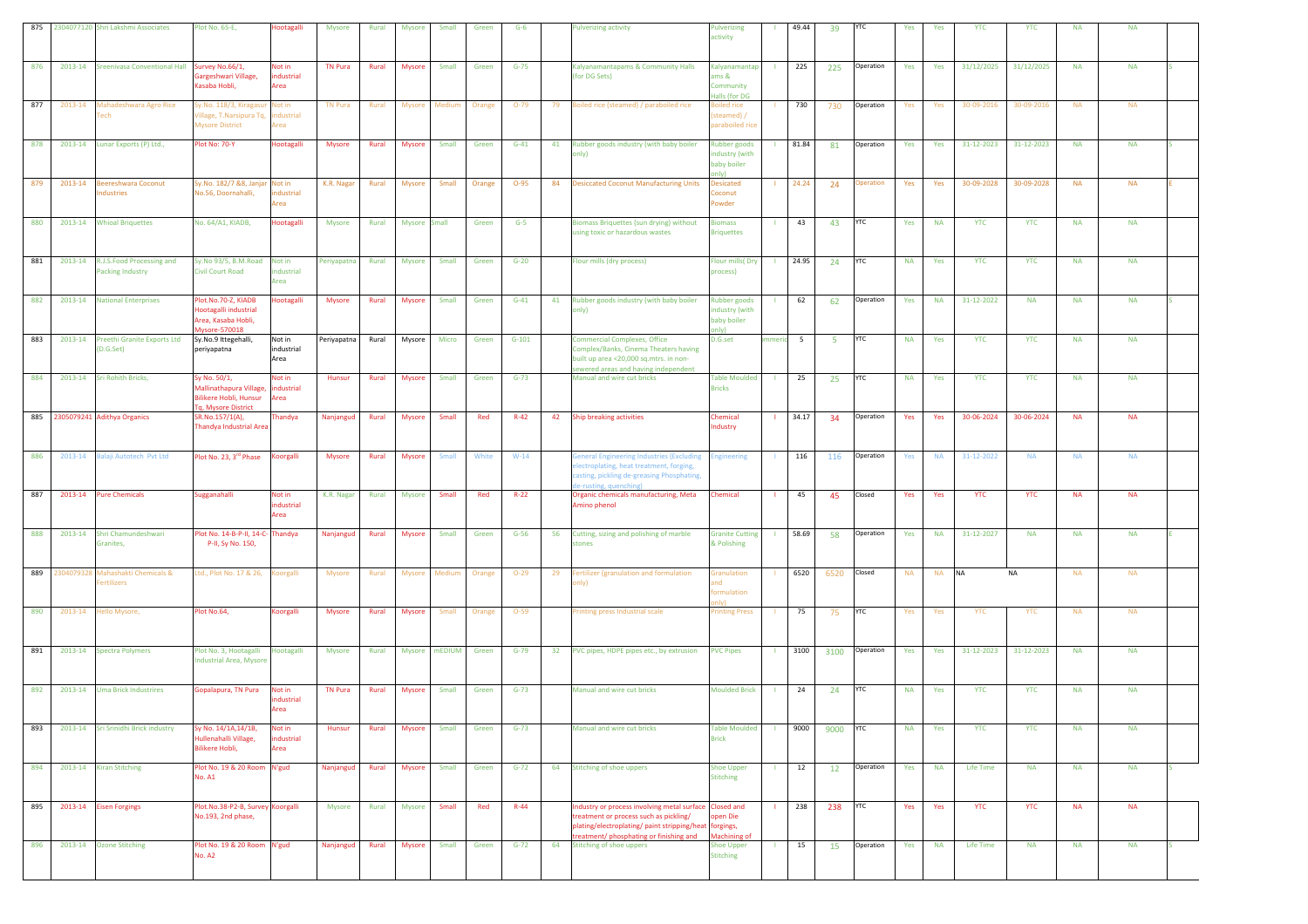| 875 |            | 2304077120 Shri Lakshmi Associates                   | Plot No. 65-E,                                                                                        | <b>Hootagalli</b>            | <b>Mysore</b>  | Rural | <b>Mysore</b> | Small        | Green  | $G-6$    |                 | ulverizing activity                                                                                                                                                                                   | Pulverizing<br>activity                                      |    | 49.44   | 39   | YTC        | Yes       | Yes       | <b>YTC</b> | <b>YTC</b> | <b>NA</b> | <b>NA</b> |  |
|-----|------------|------------------------------------------------------|-------------------------------------------------------------------------------------------------------|------------------------------|----------------|-------|---------------|--------------|--------|----------|-----------------|-------------------------------------------------------------------------------------------------------------------------------------------------------------------------------------------------------|--------------------------------------------------------------|----|---------|------|------------|-----------|-----------|------------|------------|-----------|-----------|--|
| 876 | 2013-14    | <b>Sreenivasa Conventional Hall</b>                  | urvey No.66/1<br>Gargeshwari Village,<br>Kasaba Hobli,                                                | Not in<br>ndustrial<br>Area  | <b>TN Pura</b> | Rural | <b>Mysore</b> | Small        | Green  | $G-75$   |                 | Kalyanamantapams & Community Halls<br>(for DG Sets)                                                                                                                                                   | Kalyanamantap<br>ams &<br>Community<br>Halls (for DG         |    | 225     | 225  | Operation  | Yes       | Yes       | 31/12/2025 | 31/12/2025 | <b>NA</b> | <b>NA</b> |  |
| 877 | 2013-14    | Mahadeshwara Agro Rice<br>ech                        | y.No. 118/3, Kiragasu<br>fillage, T.Narsipura Tq<br><b>Mysore District</b>                            | Not in<br>dustrial<br>Area   | <b>TN Pura</b> | Rural | Mysore        | Medium       | Orange | $O-79$   | 79              | oiled rice (steamed) / paraboiled rice                                                                                                                                                                | oiled rice<br>steamed) /<br>paraboiled ri                    |    | 730     | 730  | Operation  | Yes       | Yes       | 30-09-2016 | 30-09-2016 | <b>NA</b> | <b>NA</b> |  |
| 878 | 2013-14    | Lunar Exports (P) Ltd.,                              | Plot No: 70-Y                                                                                         | Hootagalli                   | Mysore         | Rural | Mysore        | Small        | Green  | $G-41$   | 41              | Rubber goods industry (with baby boiler<br>nly)                                                                                                                                                       | <b>Rubber goods</b><br>ndustry (with<br>baby boiler<br>only) |    | 81.84   | 81   | Operation  | Yes       | Yes       | 31-12-2023 | 31-12-2023 | <b>NA</b> | <b>NA</b> |  |
| 879 | 2013-14    | <b>Beereshwara Coconut</b><br>ndustries              | Sy.No. 182/7 &8, Janjar Not in<br>No.56, Doornahalli,                                                 | industrial<br>Area           | K.R. Nagar     | Rural | <b>Mysore</b> | Small        | Orange | $O-95$   |                 | 84 Desiccated Coconut Manufacturing Units                                                                                                                                                             | <b>Desicated</b><br>coonut<br><b>owder</b>                   |    | 24.24   | 24   | Operation  | Yes       | Yes       | 30-09-2028 | 30-09-2028 | <b>NA</b> | <b>NA</b> |  |
| 880 | 2013-14    | <b>Whioal Briquettes</b>                             | No. 64/A1, KIADB,                                                                                     | Hootagalli                   | Mysore         | Rural | Mysore Small  |              | Green  | $G-5$    |                 | Biomass Briquettes (sun drying) without<br>sing toxic or hazardous wastes                                                                                                                             | <b>Biomass</b><br><b>Sriquettes</b>                          |    | 43      | 43   | <b>YTC</b> | Yes       | <b>NA</b> | <b>YTC</b> | <b>YTC</b> | <b>NA</b> | <b>NA</b> |  |
| 881 | 2013-14    | R.J.S.Food Processing and<br><b>Packing Industry</b> | Sy.No 93/5, B.M.Road<br><b>Civil Court Road</b>                                                       | Not in<br>ndustrial<br>Area  | Periyapatna    | Rural | Mysore        | Small        | Green  | $G-20$   |                 | Flour mills (dry process)                                                                                                                                                                             | Flour mills(Dry<br>process)                                  |    | 24.95   | 24   | YTC        | <b>NA</b> | Yes       | <b>YTC</b> | <b>YTC</b> | <b>NA</b> | <b>NA</b> |  |
| 882 | 2013-14    | <b>National Enterprises</b>                          | Plot.No.70-Z, KIADB<br>lootagalli industrial<br>Area, Kasaba Hobli,<br>Mysore-570018                  | <b>Hootagalli</b>            | <b>Mysore</b>  | Rural | <b>Mysore</b> | Small        | Green  | $G-41$   | 41              | Rubber goods industry (with baby boiler<br>only)                                                                                                                                                      | <b>Rubber goods</b><br>industry (with<br>baby boiler<br>nlv' |    | 62      | 62   | Operation  | Yes       | <b>NA</b> | 31-12-2022 | <b>NA</b>  | <b>NA</b> | <b>NA</b> |  |
| 883 | 2013-14    | Preethi Granite Exports Ltd<br>(D.G. Set)            | Sy.No.9 Ittegehalli,<br>periyapatna                                                                   | Not in<br>industrial<br>Area | Periyapatna    | Rural | Mysore        | Micro        | Green  | $G-101$  |                 | <b>Commercial Complexes, Office</b><br>Complex/Banks, Cinema Theaters having<br>built up area <20,000 sq.mtrs. in non-<br>sewered areas and having independent                                        | D.G.set                                                      |    | neric 5 | -5   | <b>YTC</b> | <b>NA</b> | Yes       | <b>YTC</b> | <b>YTC</b> | <b>NA</b> | <b>NA</b> |  |
| 884 | 2013-14    | <b>Sri Rohith Bricks,</b>                            | Sy No. 50/1,<br>Mallinathapura Village,<br><b>Bilikere Hobli, Hunsur</b><br><b>g, Mysore District</b> | Not in<br>industrial<br>Area | Hunsur         | Rural | <b>Mysore</b> | Small        | Green  | $G-73$   |                 | Manual and wire cut bricks                                                                                                                                                                            | <b>Table Moulded</b><br><b>Bricks</b>                        |    | 25      | 25   | YTC        | <b>NA</b> | Yes       | <b>YTC</b> | <b>YTC</b> | <b>NA</b> | <b>NA</b> |  |
| 885 |            | 2305079241 Adithya Organics                          | SR.No.157/1(A),<br>Thandya Industrial Area                                                            | Thandya                      | Nanjangud      | Rural | Mysore        | Small        | Red    | $R-42$   | 42              | <b>Ship breaking activities</b>                                                                                                                                                                       | <b>Chemical</b><br>ndustry                                   |    | 34.17   | 34   | Operation  | Yes       | Yes       | 30-06-2024 | 30-06-2024 | <b>NA</b> | <b>NA</b> |  |
| 886 | 2013-14    | Balaji Autotech Pvt Ltd                              | Plot No. 23, 3 <sup>rd</sup> Phase                                                                    | orgalli                      | <b>Mysore</b>  | Rural | <b>Mysore</b> | Small        | White  | $W-14$   |                 | <b>Seneral Engineering Industries (Excluding</b><br>lectroplating, heat treatment, forging,<br>casting, pickling de-greasing Phosphating,<br>e-rusting, quenching)                                    | <b>Engineering</b>                                           |    | 116     | 116  | Operation  | Yes       | <b>NA</b> | 31-12-2022 | <b>NA</b>  | <b>NA</b> | <b>NA</b> |  |
| 887 | 2013-14    | <b>Pure Chemicals</b>                                | ugganahalli                                                                                           | Not in<br>ndustrial<br>Area  | K.R. Nagar     | Rural | <b>Mysore</b> | Small        | Red    | $R-22$   |                 | Organic chemicals manufacturing, Meta<br>Amino phenol                                                                                                                                                 | Chemical                                                     |    | 45      | 45   | Closed     | Yes       | Yes       | <b>YTC</b> | <b>YTC</b> | <b>NA</b> | <b>NA</b> |  |
| 888 | 2013-14    | Shri Chamundeshwari<br>Granites,                     | lot No. 14-B-P-II, 14-C- Thandya<br>P-II, Sy No. 150,                                                 |                              | Nanjangud      | Rural | <b>Mysore</b> | Small        | Green  | $G-56$   | 56              | Cutting, sizing and polishing of marble<br>tones                                                                                                                                                      | <b>Granite Cutting</b><br>& Polishing                        |    | 58.69   | 58   | Operation  | Yes       | <b>NA</b> | 31-12-2027 | <b>NA</b>  | <b>NA</b> | <b>NA</b> |  |
| 889 | 2304079328 | Mahashakti Chemicals &<br>ertilizers                 | td., Plot No. 17 & 26,                                                                                | oorgalli                     | Mysore         | Rural | Mysore Medium |              | Orange | $O-29$   | 29              | ertilizer (granulation and formulation<br>nly)                                                                                                                                                        | <b>Sranulation</b><br>ormulation                             |    | 6520    | 6520 | Closed     | <b>NA</b> | NA NA     |            | <b>NA</b>  | <b>NA</b> | <b>NA</b> |  |
| 890 | 2013-14    | Hello Mysore,                                        | Plot No.64,                                                                                           | Koorgalli                    | <b>Mysore</b>  | Rural | <b>Mysore</b> | Small        | Orange | $O-59$   |                 | Printing press Industrial scale                                                                                                                                                                       | <b>Trinting Press</b>                                        |    | 75      | 75   | <b>YTC</b> | Yes       | Yes       | YTC        | <b>YTC</b> | <b>NA</b> | <b>NA</b> |  |
| 891 | 2013-14    | <b>Spectra Polymers</b>                              | Plot No. 3, Hootagalli<br>ndustrial Area, Mysore                                                      | Hootagalli                   | Mysore         | Rural | Mysore mEDIUM |              | Green  | $G-79$   | 32 <sub>2</sub> | PVC pipes, HDPE pipes etc., by extrusion                                                                                                                                                              | <b>PVC Pipes</b>                                             |    | 3100    | 3100 | Operation  | Yes       | Yes       | 31-12-2023 | 31-12-2023 | <b>NA</b> | <b>NA</b> |  |
| 892 | 2013-14    | <b>Uma Brick Industrires</b>                         | Sopalapura, TN Pura                                                                                   | Not in<br>ndustrial<br>Area  | <b>TN Pura</b> | Rural | <b>Mysore</b> | Small        | Green  | $G - 73$ |                 | Manual and wire cut bricks                                                                                                                                                                            | <b>Moulded Brick</b>                                         |    | 24      | 24   | YTC        | <b>NA</b> | Yes       | <b>YTC</b> | <b>YTC</b> | <b>NA</b> | <b>NA</b> |  |
| 893 |            | 2013-14 Sri Srinidhi Brick industry                  | Sy No. 14/1A,14/1B,<br>Hullenahalli Village,<br>Bilikere Hobli,                                       | Not in<br>industrial<br>Area | Hunsur         | Rural | <b>Mysore</b> | Small        | Green  | $G - 73$ |                 | Manual and wire cut bricks                                                                                                                                                                            | <b>Table Moulded</b><br><b>Brick</b>                         |    | 9000    | 9000 | <b>YTC</b> | <b>NA</b> | Yes       | <b>YTC</b> | <b>YTC</b> | <b>NA</b> | <b>NA</b> |  |
| 894 | 2013-14    | <b>Kiran Stitching</b>                               | Plot No. 19 & 20 Room N'gud<br><b>No. A1</b>                                                          |                              | Nanjangud      | Rural | <b>Mysore</b> | <b>Small</b> | Green  | $G-72$   |                 | 64 Stitching of shoe uppers                                                                                                                                                                           | <b>Shoe Upper</b><br><b>Stitching</b>                        | л. | 12      | 12   | Operation  | Yes       | <b>NA</b> | Life Time  | <b>NA</b>  | <b>NA</b> | <b>NA</b> |  |
| 895 |            | 2013-14 Eisen Forgings                               | Plot.No.38-P2-B, Survey Koorgalli<br>No.193, 2nd phase,                                               |                              | Mysore         | Rural | Mysore        | Small        | Red    | $R-44$   |                 | Industry or process involving metal surface Closed and<br>treatment or process such as pickling/<br>plating/electroplating/ paint stripping/heat forgings,<br>treatment/ phosphating or finishing and | open Die<br><b>Machining of</b>                              | л. | 238     | 238  | <b>YTC</b> | Yes       | Yes       | <b>YTC</b> | <b>YTC</b> | <b>NA</b> | <b>NA</b> |  |
| 896 | 2013-14    | <b>Ozone Stitching</b>                               | Plot No. 19 & 20 Room N'gud<br><b>No. A2</b>                                                          |                              | Nanjangud      | Rural | Mysore        | Small        | Green  | $G-72$   | 64              | <b>Stitching of shoe uppers</b>                                                                                                                                                                       | Shoe Upper<br><b>Stitching</b>                               |    | 15      | 15   | Operation  | Yes       | <b>NA</b> | Life Time  | <b>NA</b>  | <b>NA</b> | <b>NA</b> |  |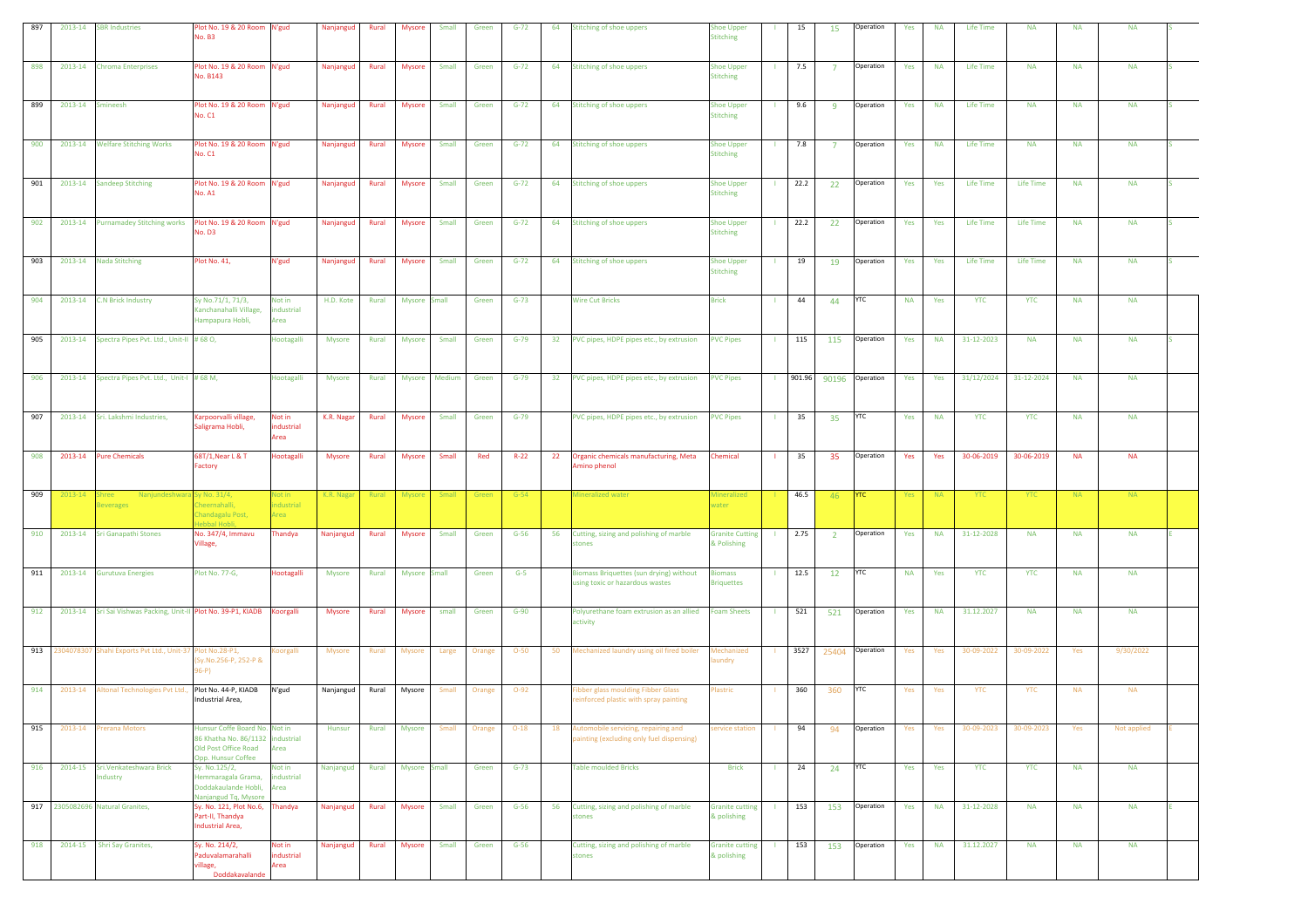| 897 |               | 2013-14 SBR Industries                                      | Plot No. 19 & 20 Room N'gud<br><b>No. B3</b>                                                                    |                                     | Nanjangud     | Rural | <b>Mysore</b> | Small        | Green  | $G-72$ | 64 | <b>Stitching of shoe uppers</b>                                                 | <b>Shoe Upper</b><br><b>Stitching</b> | п.             | 15     | 15             | Operation  | Yes       | <b>NA</b> | Life Time        | <b>NA</b>  | <b>NA</b> | <b>NA</b>   |  |
|-----|---------------|-------------------------------------------------------------|-----------------------------------------------------------------------------------------------------------------|-------------------------------------|---------------|-------|---------------|--------------|--------|--------|----|---------------------------------------------------------------------------------|---------------------------------------|----------------|--------|----------------|------------|-----------|-----------|------------------|------------|-----------|-------------|--|
| 898 | 2013-14       | <b>Chroma Enterprises</b>                                   | lot No. 19 & 20 Room<br>No. B143                                                                                | N'gud                               | Nanjangud     | Rural | Mysore        | Small        | Green  | $G-72$ |    | 64 Stitching of shoe uppers                                                     | <b>Shoe Upper</b><br><b>Stitching</b> |                | 7.5    | $\overline{7}$ | Operation  | Yes       | <b>NA</b> | <b>Life Time</b> | <b>NA</b>  | <b>NA</b> | <b>NA</b>   |  |
| 899 | 2013-14       | Smineesh                                                    | Plot No. 19 & 20 Room N'gud<br><b>No. C1</b>                                                                    |                                     | Nanjangud     | Rural | <b>Mysore</b> | Small        | Green  | $G-72$ |    | 64 Stitching of shoe uppers                                                     | <b>Shoe Upper</b><br><b>Stitching</b> | л.             | 9.6    | -9             | Operation  | Yes       | <b>NA</b> | <b>Life Time</b> | <b>NA</b>  | <b>NA</b> | <b>NA</b>   |  |
| 900 | 2013-14       | <b>Welfare Stitching Works</b>                              | Plot No. 19 & 20 Room N'gud<br><b>No. C1</b>                                                                    |                                     | Nanjangud     | Rural | <b>Mysore</b> | Small        | Green  | $G-72$ |    | 64 Stitching of shoe uppers                                                     | <b>Shoe Upper</b><br><b>Stitching</b> | -11            | 7.8    | $\overline{7}$ | Operation  | Yes       | <b>NA</b> | Life Time        | <b>NA</b>  | <b>NA</b> | <b>NA</b>   |  |
| 901 | 2013-14       | <b>Sandeep Stitching</b>                                    | Plot No. 19 & 20 Room N'gud<br><b>No. A1</b>                                                                    |                                     | Nanjangud     | Rural | Mysore        | Small        | Green  | $G-72$ |    | 64 Stitching of shoe uppers                                                     | <b>Shoe Upper</b><br><b>Stitching</b> | $\mathbf{L}$   | 22.2   | 22             | Operation  | Yes       | Yes       | <b>Life Time</b> | Life Time  | <b>NA</b> | <b>NA</b>   |  |
| 902 | 2013-14       |                                                             | lo. D3                                                                                                          |                                     | Nanjangud     | Rural | Mysore        | Small        | Green  | $G-72$ |    | 64 Stitching of shoe uppers                                                     | <b>Shoe Upper</b><br><b>Stitching</b> |                | 22.2   | 22             | Operation  | Yes       | Yes       | Life Time        | Life Time  | <b>NA</b> | <b>NA</b>   |  |
| 903 | 2013-14       | <b>Nada Stitching</b>                                       | Plot No. 41,                                                                                                    | N'gud                               | Nanjangud     | Rural | <b>Mysore</b> | Small        | Green  | $G-72$ |    | 64 Stitching of shoe uppers                                                     | <b>Shoe Upper</b><br><b>Stitching</b> |                | 19     | 19             | Operation  | Yes       | Yes       | Life Time        | Life Time  | <b>NA</b> | <b>NA</b>   |  |
| 904 | 2013-14       | <b>C.N Brick Industry</b>                                   | Sy No.71/1, 71/3,<br>Kanchanahalli Village,<br>Hampapura Hobli,                                                 | Not in<br>dustrial<br>Area          | H.D. Kote     | Rural | Mysore Small  |              | Green  | $G-73$ |    | <b>Wire Cut Bricks</b>                                                          | <b>Brick</b>                          |                | 44     | 44             | <b>YTC</b> | <b>NA</b> | Yes       | <b>YTC</b>       | <b>YTC</b> | <b>NA</b> | <b>NA</b>   |  |
| 905 | 2013-14       | Spectra Pipes Pvt. Ltd., Unit-II #68 O,                     |                                                                                                                 | lootagalli                          | <b>Mysore</b> | Rural | Mysore        | Small        | Green  | $G-79$ |    | 32 PVC pipes, HDPE pipes etc., by extrusion                                     | <b>PVC Pipes</b>                      | т.             | 115    | 115            | Operation  | Yes       | <b>NA</b> | 31-12-2023       | <b>NA</b>  | <b>NA</b> | <b>NA</b>   |  |
| 906 | 2013-14       | Spectra Pipes Pvt. Ltd., Unit-I #68 M,                      |                                                                                                                 | <b>Hootagalli</b>                   | Mysore        | Rural | Mysore        | Medium       | Green  | $G-79$ |    | 32 PVC pipes, HDPE pipes etc., by extrusion                                     | <b>PVC Pipes</b>                      | $\blacksquare$ | 901.96 | 90196          | Operation  | Yes       | Yes       | 31/12/2024       | 31-12-2024 | <b>NA</b> | <b>NA</b>   |  |
| 907 | 2013-14       | Sri. Lakshmi Industries,                                    | Karpoorvalli village,<br>saligrama Hobli,                                                                       | Not in<br>dustrial<br>Area          | K.R. Nagar    | Rural | <b>Mysore</b> | Small        | Green  | $G-79$ |    | PVC pipes, HDPE pipes etc., by extrusion                                        | <b>PVC Pipes</b>                      | -11            | 35     | 35             | <b>YTC</b> | Yes       | <b>NA</b> | <b>YTC</b>       | <b>YTC</b> | <b>NA</b> | <b>NA</b>   |  |
| 908 | 2013-14       | <b>Pure Chemicals</b>                                       | 68T/1, Near L & T<br>Factory                                                                                    | lootagalli                          | Mysore        | Rural | <b>Mysore</b> | Small        | Red    | $R-22$ |    | 22 Organic chemicals manufacturing, Meta<br>Amino phenol                        | Chemical                              |                | 35     | 35             | Operation  | Yes       | Yes       | 30-06-2019       | 30-06-2019 | <b>NA</b> | <b>NA</b>   |  |
| 909 | 2013-14 Shree | Nanjundeshwara Sy No. 31/4,<br><b>Beverages</b>             | Cheernahalli,<br>Chandagalu Post,<br>ebbal Hobli,                                                               | Vot in<br><b>industrial</b><br>Area | K.R. Nagar    | Rural | Mysore        | <b>Small</b> | Green  | $G-54$ |    | Mineralized water                                                               | <b>Mineralized</b><br>water           |                | 46.5   | 46             | <b>YTC</b> | Yes       | <b>NA</b> | <b>YTC</b>       | <b>YTC</b> | <b>NA</b> | <b>NA</b>   |  |
| 910 | 2013-14       | <b>Sri Ganapathi Stones</b>                                 | No. 347/4, Immavu<br>/illage,                                                                                   | Thandya                             | Nanjangud     | Rural | Mysore        | Small        | Green  | $G-56$ | 56 | Cutting, sizing and polishing of marble<br>tones                                | <b>Granite Cutting</b><br>& Polishing | - 11           | 2.75   | $\overline{2}$ | Operation  | Yes       | <b>NA</b> | 31-12-2028       | <b>NA</b>  | <b>NA</b> | <b>NA</b>   |  |
| 911 | 2013-14       | <b>Gurutuva Energies</b>                                    | Plot No. 77-G,                                                                                                  | <b>Hootagalli</b>                   | Mysore        | Rural | Mysore Small  |              | Green  | $G-5$  |    | Biomass Briquettes (sun drying) without<br>using toxic or hazardous wastes      | <b>Biomass</b><br><b>Briquettes</b>   | л.             | 12.5   | 12             | YTC        | <b>NA</b> | Yes       | <b>YTC</b>       | <b>YTC</b> | <b>NA</b> | <b>NA</b>   |  |
| 912 | 2013-14       | Sri Sai Vishwas Packing, Unit-II Plot No. 39-P1, KIADB      |                                                                                                                 | <b>Coorgalli</b>                    | Mysore        | Rural | Mysore        | small        | Green  | $G-90$ |    | Polyurethane foam extrusion as an allied<br>activity                            | <b>Foam Sheets</b>                    | $\mathbf{L}$   | 521    | 521            | Operation  | Yes       | <b>NA</b> | 31.12.2027       | <b>NA</b>  | <b>NA</b> | <b>NA</b>   |  |
| 913 |               | 2304078307 Shahi Exports Pvt Ltd., Unit-37                  | lot No.28-P1,<br>Sy.No.256-P, 252-P &<br>(4-66                                                                  | oorgalli                            | Mysore        | Rural | <b>Mysore</b> | Large        | Orange | $O-50$ | 50 | Mechanized laundry using oil fired boiler                                       | Mechanized<br>undry                   |                | 3527   | 25404          | Operation  | Yes       | Yes       | 30-09-2022       | 30-09-2022 | Yes       | 9/30/2022   |  |
| 914 |               | 2013-14 Altonal Technologies Pvt Ltd., Plot No. 44-P, KIADB | Industrial Area,                                                                                                | N'gud                               | Nanjangud     | Rural | Mysore        | Small        | Orange | $O-92$ |    | ibber glass moulding Fibber Glass<br>reinforced plastic with spray painting     | lastric                               |                | 360    | 360            | YTC        | Yes       | Yes       | YTC              | YTC        | <b>NA</b> | <b>NA</b>   |  |
| 915 | 2013-14       | Prerana Motors                                              | Hunsur Coffe Board No. Not in<br>86 Khatha No. 86/1132 industrial<br>Old Post Office Road<br>Opp. Hunsur Coffee | rea                                 | <b>Hunsur</b> | Rural | Mysore        | Small        | Orange | $O-18$ | 18 | Automobile servicing, repairing and<br>ainting (excluding only fuel dispensing) | ervice station                        |                | 94     | 94             | Operation  | Yes       | Yes       | 30-09-2023       | 30-09-2023 | Yes       | Not applied |  |
| 916 | 2014-15       | Sri. Venkateshwara Brick<br>Industry                        | Sy. No.125/2,<br>Hemmaragala Grama,<br>Doddakaulande Hobli,<br>Nanjangud Tq, Mysore                             | Not in<br>industrial<br>Area        | Nanjangud     | Rural | Mysore Small  |              | Green  | $G-73$ |    | <b>Table moulded Bricks</b>                                                     | <b>Brick</b>                          | $\mathbf{L}$   | 24     | 24             | <b>YTC</b> | Yes       | Yes       | <b>YTC</b>       | <b>YTC</b> | <b>NA</b> | <b>NA</b>   |  |
|     |               | 917 2305082696 Natural Granites,                            | Sy. No. 121, Plot No.6,<br>Part-II, Thandya<br>Industrial Area,                                                 | handya                              | Nanjangud     | Rural | Mysore        | Small        | Green  | $G-56$ | 56 | Cutting, sizing and polishing of marble<br>stones                               | <b>Granite cutting</b><br>& polishing | $\blacksquare$ | 153    | 153            | Operation  | Yes       | <b>NA</b> | 31-12-2028       | <b>NA</b>  | <b>NA</b> | <b>NA</b>   |  |
| 918 | 2014-15       | Shri Say Granites,                                          | Sy. No. 214/2,<br>aduvalamarahalli<br>rillage,<br>Doddakavalande                                                | Not in<br>dustrial<br>rea           | Nanjangud     | Rural | Mysore        | Small        | Green  | $G-56$ |    | Cutting, sizing and polishing of marble<br>stones                               | <b>Granite cutting</b><br>& polishing | - 11           | 153    | 153            | Operation  | Yes       | <b>NA</b> | 31.12.2027       | <b>NA</b>  | <b>NA</b> | <b>NA</b>   |  |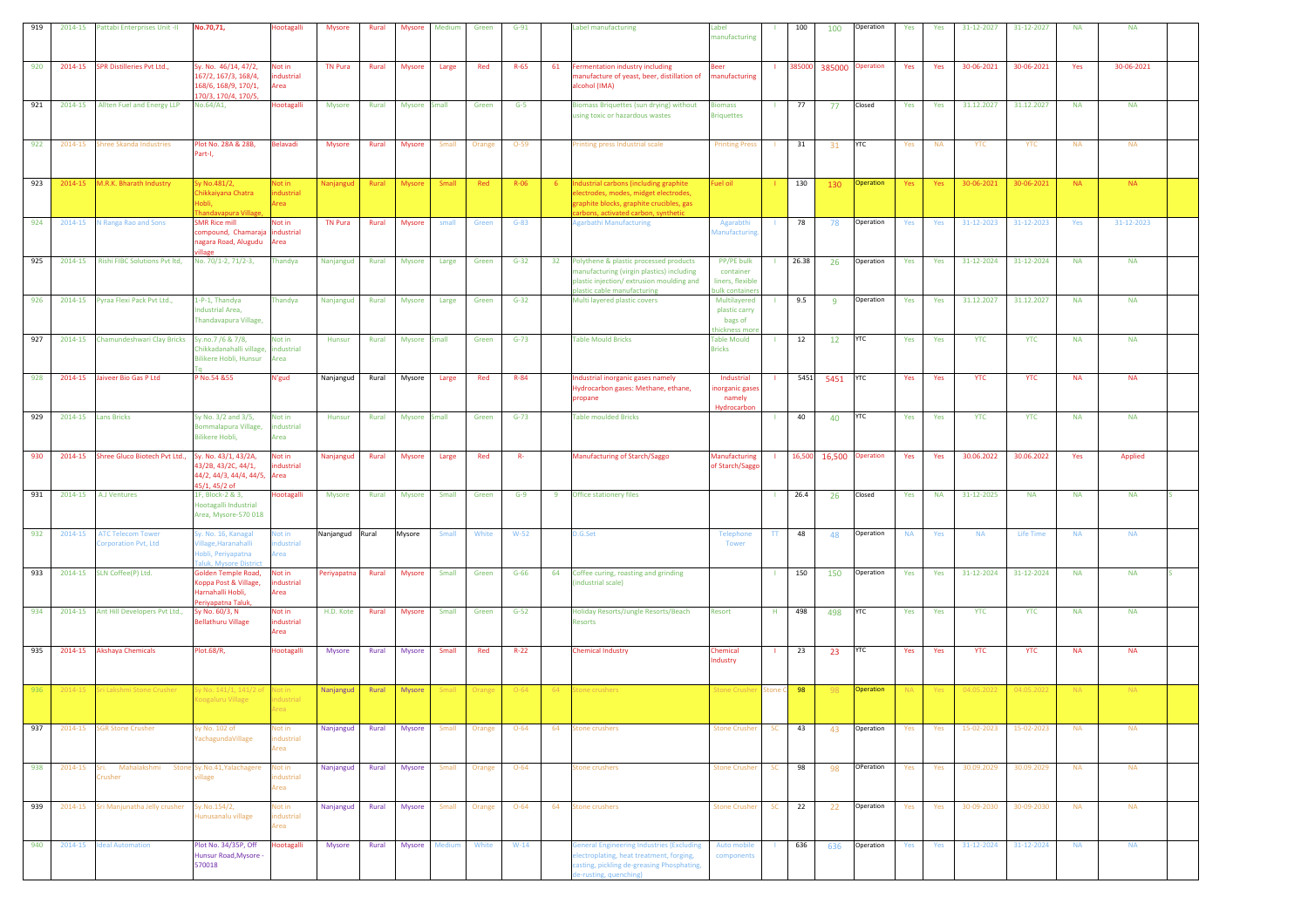| 919        | 2014-15            | Pattabi Enterprises Unit -II                              | No.70,71,                                                                                    | <b>lootagalli</b>                          | <b>Mysore</b>       | Rural          | <b>Mysore</b>           | Medium         | Green        | $G-91$           | Label manufacturing                                                                                                                                                         | abel<br>nanufacturing                                         |                | 100       | 100              | Operation              | Yes        | Yes        | 31-12-2027               | 31-12-2027               | <b>NA</b>              | <b>NA</b>              |  |
|------------|--------------------|-----------------------------------------------------------|----------------------------------------------------------------------------------------------|--------------------------------------------|---------------------|----------------|-------------------------|----------------|--------------|------------------|-----------------------------------------------------------------------------------------------------------------------------------------------------------------------------|---------------------------------------------------------------|----------------|-----------|------------------|------------------------|------------|------------|--------------------------|--------------------------|------------------------|------------------------|--|
| 920        | 2014-15            | SPR Distilleries Pvt Ltd.,                                | Sy. No. 46/14, 47/2,<br>167/2, 167/3, 168/4,<br>168/6, 168/9, 170/1,<br>170/3, 170/4, 170/5, | Not in<br>dustrial<br>Area                 | <b>TN Pura</b>      | Rural          | <b>Mysore</b>           | Large          | Red          | $R-65$           | Fermentation industry including<br>61<br>manufacture of yeast, beer, distillation of<br>alcohol (IMA)                                                                       | Beer<br>manufacturing                                         |                | 385000    | 385000 Operation |                        | Yes        | Yes        | 30-06-2021               | 30-06-2021               | Yes                    | 30-06-2021             |  |
| 921        | 2014-15            | Allten Fuel and Energy LLP                                | No.64/A1,                                                                                    | <b>Hootagalli</b>                          | <b>Mysore</b>       | Rural          | <b>Mysore</b>           | small          | Green        | $G-5$            | Biomass Briquettes (sun drying) without<br>using toxic or hazardous wastes                                                                                                  | <b>Siomass</b><br><b>Briquettes</b>                           |                | 77        | 77               | Closed                 | Yes        | Yes        | 31.12.2027               | 31.12.2027               | <b>NA</b>              | <b>NA</b>              |  |
| 922        | 2014-15            | <b>Shree Skanda Industries</b>                            | Plot No. 28A & 28B,<br>Part-I,                                                               | Belavadi                                   | <b>Mysore</b>       | Rural          | <b>Mysore</b>           | Small          | Orange       | $O-59$           | Printing press Industrial scale                                                                                                                                             | <b>Printing Press</b>                                         |                | 31        | 31               | <b>YTC</b>             | Yes        | <b>NA</b>  | <b>YTC</b>               | <b>YTC</b>               | <b>NA</b>              | <b>NA</b>              |  |
| 923        | 2014-15            | M.R.K. Bharath Industry                                   | Sy No.481/2,<br>Chikkaiyana Chatra<br>Hobli,<br>iandavapura Villai                           | Not in<br><b>industrial</b><br>Area        | Nanjangud           | Rural          | <b>Mysore</b>           | Small          | Red          | R-06             | Industrial carbons (including graphite<br>- 6 -<br>electrodes, modes, midget electrodes,<br>graphite blocks, graphite crucibles, gas<br>arbons, activated carbon, synthetic | lio leu <sup>:</sup>                                          | ш.             | 130       | 130              | Operation              | Yes        | Yes        | 30-06-2021               | 30-06-2021               | <b>NA</b>              | <b>NA</b>              |  |
| 924        | 2014-15            | N Ranga Rao and Sons                                      | <b>SMR Rice mill</b><br>compound, Chamaraja industrial<br>nagara Road, Alugudu<br>en alin    | Not in<br>rea                              | <b>TN Pura</b>      | Rural          | <b>Mysore</b>           | small          | Green        | $G-83$           | <b>Agarbathi Manufacturing</b>                                                                                                                                              | Agarabthi<br><b>Ianufacturii</b>                              |                | 78        | 78               | Operation              | Yes        | Yes        | 31-12-2023               | 31-12-2023               | Yes                    | 31-12-2023             |  |
| 925        | 2014-15            | Rishi FIBC Solutions Pvt ltd,                             | No. 70/1-2, 71/2-3,                                                                          | Thandya                                    | Nanjangud           | Rural          | <b>Mysore</b>           | Large          | Green        | $G-32$           | 32<br>Polythene & plastic processed products<br>nanufacturing (virgin plastics) including<br>plastic injection/extrusion moulding and<br>plastic cable manufacturing        | PP/PE bulk<br>container<br>liners, flexible<br>ulk containers |                | 26.38     | 26               | Operation              | Yes        | Yes        | 31-12-2024               | 31-12-2024               | <b>NA</b>              | <b>NA</b>              |  |
| 926        | 2014-15            | Pyraa Flexi Pack Pvt Ltd.,                                | 1-P-1, Thandya<br>ndustrial Area,<br>Thandavapura Village,                                   | Thandya                                    | Nanjangud           | Rural          | <b>Mysore</b>           | Large          | Green        | $G-32$           | Multi layered plastic covers                                                                                                                                                | Multilayered<br>plastic carry<br>bags of<br>hickness mo       |                | 9.5       | -9               | Operation              | Yes        | Yes        | 31.12.2027               | 31.12.2027               | <b>NA</b>              | <b>NA</b>              |  |
| 927        | 2014-15            | Chamundeshwari Clay Bricks                                | Sy.no.7 /6 & 7/8,<br>Chikkadanahalli village,<br>Bilikere Hobli, Hunsur                      | Not in<br>industrial<br>Area               | Hunsur              | Rural          | Mysore                  | Small          | Green        | $G-73$           | <b>Table Mould Bricks</b>                                                                                                                                                   | <b>Table Mould</b><br><b>Bricks</b>                           |                | 12        | 12               | YTC                    | Yes        | Yes        | <b>YTC</b>               | <b>YTC</b>               | <b>NA</b>              | <b>NA</b>              |  |
| 928        | 2014-15            | Jaiveer Bio Gas P Ltd                                     | P No.54 &55                                                                                  | N'gud                                      | Nanjangud           | Rural          | Mysore                  | Large          | Red          | R-84             | ndustrial inorganic gases namely<br>Hydrocarbon gases: Methane, ethane,<br>propane                                                                                          | Industrial<br>norganic gase<br>namely<br>Hydrocarbo           |                | 5451      | 5451             | <b>YTC</b>             | Yes        | Yes        | <b>YTC</b>               | <b>YTC</b>               | <b>NA</b>              | <b>NA</b>              |  |
| 929        | 2014-15            | <b>Lans Bricks</b>                                        | Sy No. 3/2 and 3/5,<br>Bommalapura Village,<br>Bilikere Hobli,                               | Not in<br>industrial<br>Area               | Hunsur              | Rural          | <b>Mysore</b>           | Small          | Green        | $G-73$           | <b>Table moulded Bricks</b>                                                                                                                                                 |                                                               |                | 40        | 40               | <b>YTC</b>             | Yes        | Yes        | <b>YTC</b>               | <b>YTC</b>               | <b>NA</b>              | <b>NA</b>              |  |
| 930        | 2014-15            | Shree Gluco Biotech Pvt Ltd.,                             | Sy. No. 43/1, 43/2A,<br>3/2B, 43/2C, 44/1,<br>44/2, 44/3, 44/4, 44/5,<br>45/1, 45/2 of       | Not in<br>dustrial<br>Area                 | Nanjangud           | Rural          | <b>Mysore</b>           | Large          | Red          | - R-             | Manufacturing of Starch/Saggo                                                                                                                                               | Manufacturing<br>of Starch/Saggo                              |                | 16,500    | 16,500           | <b>Operation</b>       | Yes        | Yes        | 30.06.2022               | 30.06.2022               | Yes                    | Applied                |  |
| 931        | 2014-15            | A.J Ventures                                              | 1F, Block-2 & 3,<br>Hootagalli Industrial<br>Area, Mysore-570 018                            | lootagalli                                 | Mysore              | Rural          | <b>Mysore</b>           | Small          | Green        | $G-9$            | <b>Office stationery files</b><br>9                                                                                                                                         |                                                               |                | 26.4      | 26               | Closed                 | Yes        | <b>NA</b>  | 31-12-2025               | <b>NA</b>                | <b>NA</b>              | <b>NA</b>              |  |
| 932        | 2014-15            | <b>ATC Telecom Tower</b><br>Corporation Pvt, Ltd          | Sy. No. 16, Kanagal<br>illage, Haranahalli<br>lobli, Periyapatna<br>aluk, Mysore District    | lot in<br>dustrial<br>Area                 | Nanjangud Rural     |                | Mysore                  | Small          | White        | $W-52$           | D.G.Set                                                                                                                                                                     | <b>Telephone</b><br><b>Tower</b>                              | TT.            | 48        | 48               | Operation<br>Operation | <b>NA</b>  | Yes        | <b>NA</b><br>31-12-2024  | Life Time<br>31-12-2024  | <b>NA</b><br><b>NA</b> | <b>NA</b>              |  |
| 933        | 2014-15            | SLN Coffee(P) Ltd.                                        | Golden Temple Road,<br>Koppa Post & Village,<br>Harnahalli Hobli,<br>Periyapatna Taluk       | Not in<br>dustrial<br>Area                 | Periyapatna         | Rural          | <b>Mysore</b>           | Small          | Green        | $G-66$           | 64<br>Coffee curing, roasting and grinding<br>industrial scale)                                                                                                             |                                                               |                | 150       | 150              |                        | Yes        | Yes        |                          |                          |                        | <b>NA</b>              |  |
| 934<br>935 | 2014-15<br>2014-15 | Ant Hill Developers Pvt Ltd.,<br><b>Akshaya Chemicals</b> | Sy No. 60/3, N<br><b>Bellathuru Village</b><br>Plot.68/R,                                    | Not in<br>industrial<br>Area<br>Hootagalli | H.D. Kote<br>Mysore | Rural<br>Rural | <b>Mysore</b><br>Mysore | Small<br>Small | Green<br>Red | $G-52$<br>$R-22$ | Holiday Resorts/Jungle Resorts/Beach<br>Resorts<br><b>Chemical Industry</b>                                                                                                 | Resort<br><b>Chemical</b>                                     | H.             | 498<br>23 | 498              | YTC<br>YTC             | Yes<br>Yes | Yes<br>Yes | <b>YTC</b><br><b>YTC</b> | <b>YTC</b><br><b>YTC</b> | <b>NA</b><br><b>NA</b> | <b>NA</b><br><b>NA</b> |  |
| 936        | 2014-15            | Sri Lakshmi Stone Crusher                                 | Sy No. 141/1, 141/2                                                                          | Not in                                     | Nanjangud           | Rural          | Mysore                  |                | Orange       | $O - 64$         | <b>Stone crushers</b>                                                                                                                                                       | ndustry                                                       | <b>Stone C</b> | 98        | 23<br>-qs        | <b>Operation</b>       | <b>NA</b>  |            | 04.05.2022               | 04.05.2022               |                        | <b>NA</b>              |  |
|            |                    |                                                           | Coogaluru Village                                                                            | <b>ndustrial</b><br>Area                   |                     |                |                         |                |              |                  |                                                                                                                                                                             |                                                               |                |           |                  |                        |            |            |                          |                          |                        |                        |  |
| 937        | 2014-15            | <b>SGR Stone Crusher</b>                                  | Sy No. 102 of<br>YachagundaVillage                                                           | Not in<br>ndustrial<br>Area                | Nanjangud           | Rural          | Mysore                  | Small          | Orange       | $O - 64$         | 64<br><b>Stone crushers</b>                                                                                                                                                 | Stone Crusher                                                 | SC             | 43        | 43               | Operation              | Yes        | Yes        | 15-02-2023               | 15-02-2023               | <b>NA</b>              | <b>NA</b>              |  |
| 938        | 2014-15            | Sri. Mahalakshmi Stone Sy.No.41, Yalachagere<br>Crusher   | rillage                                                                                      | Not in<br>ndustrial<br><b>rea</b>          | Nanjangud           | Rural          | Mysore                  | Small          | Orange       | $O - 64$         | Stone crushers                                                                                                                                                              | <b>Stone Crusher</b>                                          | SC             | 98        | 98               | OPeration              | Yes        | Yes        | 30.09.2029               | 30.09.2029               | <b>NA</b>              | <b>NA</b>              |  |
| 939        | 2014-15            | Sri Manjunatha Jelly crusher                              | Sy.No.154/2,<br>lunusanalu village                                                           | lot in<br>dustrial<br>Area                 | Nanjangud           | Rural          | Mysore                  | Small          | Orange       | $O - 64$         | 64<br><b>Stone crushers</b>                                                                                                                                                 | <b>Stone Crusher</b>                                          | <b>SC</b>      | 22        | 22               | Operation              | Yes        | Yes        | 30-09-2030               | 30-09-2030               | <b>NA</b>              | <b>NA</b>              |  |
| 940        | 2014-15            | <b>Ideal Automation</b>                                   | Plot No. 34/35P, Off<br>Hunsur Road, Mysore -<br>570018                                      | Hootagalli                                 | Mysore              | Rural          | Mysore                  | <b>Medium</b>  | White        | $W-14$           | <b>General Engineering Industries (Excluding</b><br>electroplating, heat treatment, forging,<br>casting, pickling de-greasing Phosphating,<br>e-rusting, quenching)         | Auto mobile<br>components                                     | л.             | 636       | 636              | Operation              | Yes        | Yes        | 31-12-2024               | 31-12-2024               | <b>NA</b>              | <b>NA</b>              |  |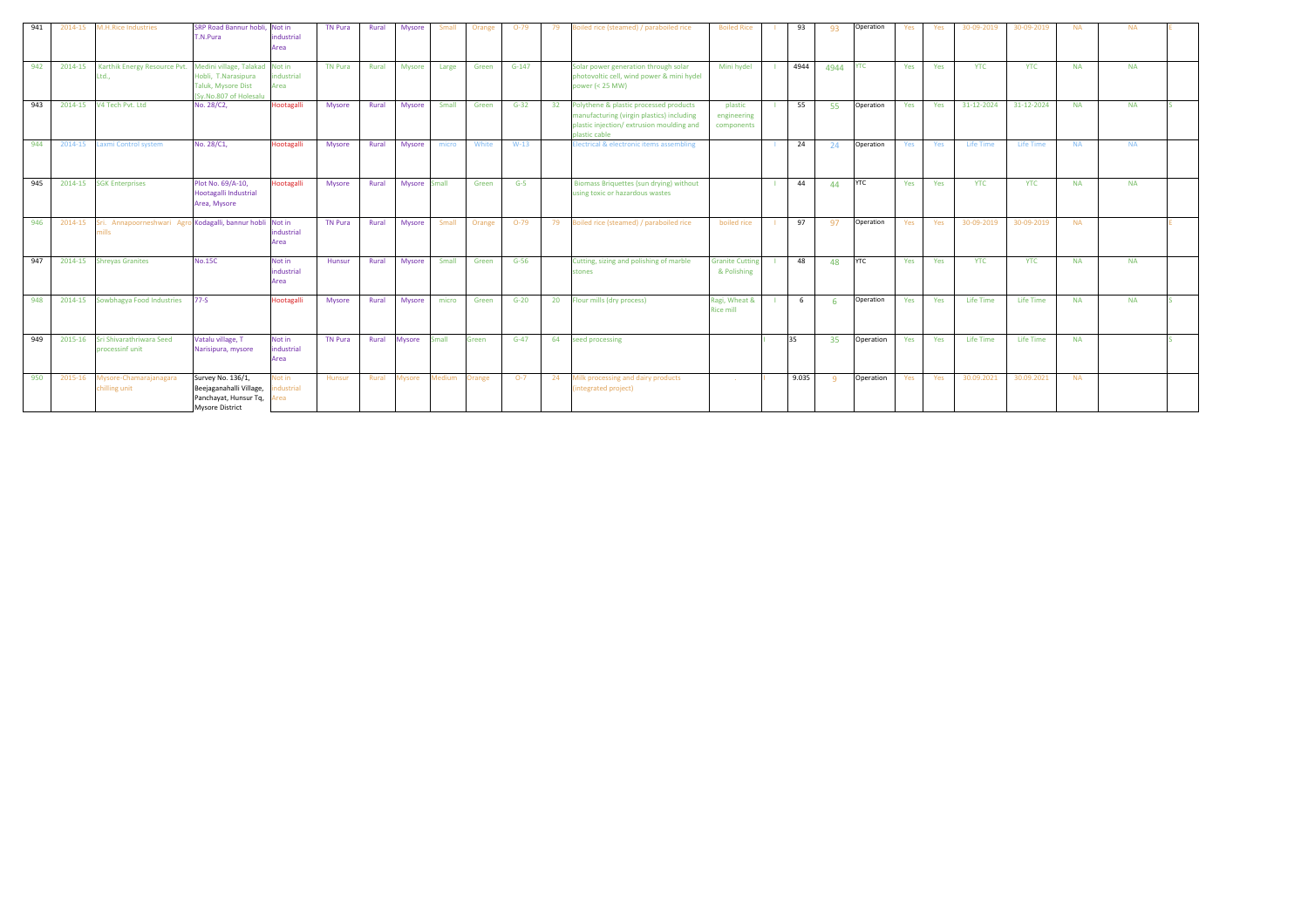| 941 | 2014-15 | <b>M.H.Rice Industries</b>                                           | SRP Road Bannur hobli.<br>T.N.Pura                                                              | Not in<br>industrial<br>Area | <b>TN Pura</b> | Rural | Mysore        | Small  | Orange | $O-79$  | 79 | oiled rice (steamed) / paraboiled rice                                                                                                           | <b>Boiled Rice</b>                    | 93    | 93         | Operation  | Yes | Yes | 30-09-2019 | 30-09-2019 | <b>NA</b> | <b>NA</b> |  |
|-----|---------|----------------------------------------------------------------------|-------------------------------------------------------------------------------------------------|------------------------------|----------------|-------|---------------|--------|--------|---------|----|--------------------------------------------------------------------------------------------------------------------------------------------------|---------------------------------------|-------|------------|------------|-----|-----|------------|------------|-----------|-----------|--|
| 942 | 2014-15 | Karthik Energy Resource Pvt. Medini village, Talakad Not in<br>Ltd., | Hobli, T.Narasipura<br><b>Taluk, Mysore Dist</b><br>(Sv.No.807 of Holesalu                      | industrial<br>Area           | <b>TN Pura</b> | Rural | <b>Mysore</b> | Large  | Green  | $G-147$ |    | Solar power generation through solar<br>photovoltic cell, wind power & mini hydel<br>power (< 25 MW)                                             | Mini hydel                            | 4944  | 4944       | <b>YTC</b> | Yes | Yes | <b>YTC</b> | <b>YTC</b> | <b>NA</b> | <b>NA</b> |  |
| 943 | 2014-15 | V4 Tech Pvt. Ltd                                                     | No. 28/C2,                                                                                      | Hootagalli                   | Mysore         | Rural | Mysore        | Small  | Green  | $G-32$  | 32 | Polythene & plastic processed products<br>manufacturing (virgin plastics) including<br>plastic injection/extrusion moulding and<br>plastic cable | plastic<br>engineering<br>components  | 55    | -55        | Operation  | Yes | Yes | 31-12-2024 | 31-12-2024 | <b>NA</b> | <b>NA</b> |  |
| 944 | 2014-15 | Laxmi Control system                                                 | No. 28/C1,                                                                                      | Hootagalli                   | Mysore         | Rural | Mysore        | micro  | White  | $W-13$  |    | Electrical & electronic items assembling                                                                                                         |                                       | 24    | 24         | Operation  | Yes | Yes | Life Time  | Life Time  | <b>NA</b> | <b>NA</b> |  |
| 945 | 2014-15 | <b>SGK Enterprises</b>                                               | Plot No. 69/A-10,<br>Hootagalli Industrial<br>Area, Mysore                                      | ootagalli                    | Mysore         | Rural | Mysore Small  |        | Green  | $G-5$   |    | Biomass Briquettes (sun drying) without<br>using toxic or hazardous wastes                                                                       |                                       | 44    | $\Lambda$  | <b>YTC</b> | Yes | Yes | <b>YTC</b> | <b>YTC</b> | <b>NA</b> | <b>NA</b> |  |
| 946 | 2014-15 | Sri. Annapoorneshwari Agro Kodagalli, bannur hobli Not in<br>mills   |                                                                                                 | industrial<br>Area           | <b>TN Pura</b> | Rural | Mysore        | Small  | Orange | $O-79$  | 79 | Boiled rice (steamed) / paraboiled rice                                                                                                          | boiled rice                           | 97    | 97         | Operation  | Yes | Yes | 30-09-2019 | 30-09-2019 | <b>NA</b> |           |  |
| 947 |         | 2014-15 Shreyas Granites                                             | <b>No.15C</b>                                                                                   | Not in<br>industrial<br>Area | <b>Hunsur</b>  | Rural | Mysore        | Small  | Green  | $G-56$  |    | Cutting, sizing and polishing of marble<br>stones                                                                                                | <b>Granite Cutting</b><br>& Polishing | 48    | 48         | <b>YTC</b> | Yes | Yes | <b>YTC</b> | <b>YTC</b> | <b>NA</b> | <b>NA</b> |  |
| 948 | 2014-15 | Sowbhagya Food Industries                                            | $77-S$                                                                                          | <b>Hootagalli</b>            | Mysore         | Rural | Mysore        | micro  | Green  | $G-20$  | 20 | Flour mills (dry process)                                                                                                                        | Ragi, Wheat &<br><b>Rice mill</b>     | 6     |            | Operation  | Yes | Yes | Life Time  | Life Time  | <b>NA</b> | <b>NA</b> |  |
| 949 | 2015-16 | Sri Shivarathriwara Seed<br>processinf unit                          | Vatalu village, T<br>Narisipura, mysore                                                         | Not in<br>industrial<br>Area | <b>TN Pura</b> | Rural | Mysore        | Small  | Green  | $G-47$  | 64 | seed processing                                                                                                                                  |                                       | 35    | 35         | Operation  | Yes | Yes | Life Time  | Life Time  | <b>NA</b> |           |  |
| 950 | 2015-16 | Mysore-Chamarajanagara<br>chilling unit                              | Survey No. 136/1,<br>Beejaganahalli Village,<br>Panchayat, Hunsur Tq,<br><b>Mysore District</b> | ot in<br>ndustrial<br>rea    | Hunsur         | Rural | Mysore        | Medium | Orange | $O-7$   | 24 | Milk processing and dairy products<br>integrated project)                                                                                        |                                       | 9.035 | $^{\circ}$ | Operation  | Yes | Yes | 30.09.2021 | 30.09.2021 | <b>NA</b> |           |  |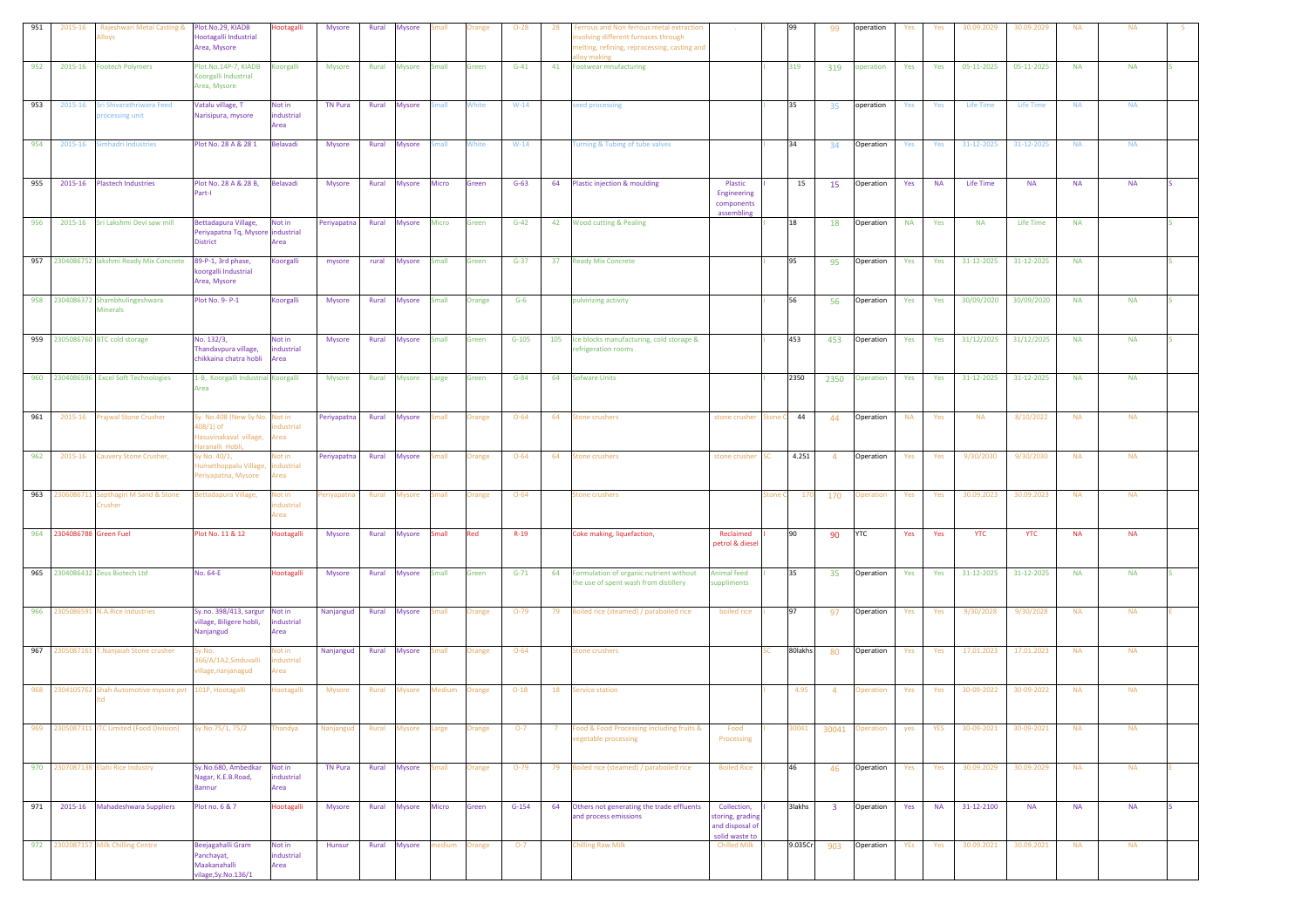| 951 | 2015-16                   | Rajeshwari Metal Casting &<br>loys                         | Plot.No.29, KIADB<br>lootagalli Industrial<br>Area, Mysore                             | <b>Hootagalli</b>            | Mysore         | Rural | Mysore        |               | ange          | $O-28$   | 28  | errous and Non ferrous metal extraction<br>wolving different furnaces through<br>nelting, refining, reprocessing, casting and<br>ov makins |                                                                      |      |               | 99                      | operation       | Yes        | Yes       | 30.09.2029 | 30.09.2029       | <b>NA</b> | <b>NA</b> |  |
|-----|---------------------------|------------------------------------------------------------|----------------------------------------------------------------------------------------|------------------------------|----------------|-------|---------------|---------------|---------------|----------|-----|--------------------------------------------------------------------------------------------------------------------------------------------|----------------------------------------------------------------------|------|---------------|-------------------------|-----------------|------------|-----------|------------|------------------|-----------|-----------|--|
| 952 | 2015-16                   | <b>Footech Polymers</b>                                    | Plot.No.14P-7, KIADB<br>Koorgalli Industrial<br>Area, Mysore                           | ill6gool                     | Mysore         | Rural | Mysore        | <b>Small</b>  | Green         | $G-41$   | 41  | Footwear mnufacturing                                                                                                                      |                                                                      | 319  |               | 319                     | peration        | Yes        | Yes       | 05-11-2025 | 05-11-2025       | <b>NA</b> | <b>NA</b> |  |
| 953 | 2015-16                   | Sri Shivarathriwara Feed<br>rocessing unit                 | Vatalu village, T<br>Narisipura, mysore                                                | Not in<br>industrial<br>Area | <b>TN Pura</b> | Rural | Mysore        | <b>Small</b>  | White         | $W-14$   |     | eed processing                                                                                                                             |                                                                      | 35   |               | 35                      | operation       | Yes        | Yes       | Life Time  | <b>Life Time</b> | <b>NA</b> | <b>NA</b> |  |
| 954 | 2015-16                   | mhadri Industries                                          | Plot No. 28 A & 28 1                                                                   | Belavadi                     | Mysore         | Rural | <b>Mysore</b> | nall          | White         | $W-14$   |     | urning & Tubing of tube valves                                                                                                             |                                                                      | 34   |               | 34                      | Operation       | Yes        | Yes       | 31-12-2025 | 31-12-2025       | <b>NA</b> | <b>NA</b> |  |
| 955 | 2015-16                   | <b>Plastech Industries</b>                                 | Plot No. 28 A & 28 B,<br>Part-I                                                        | Belavadi                     | Mysore         | Rural | Mysore        | Micro         | Green         | $G-63$   | 64  | Plastic injection & moulding                                                                                                               | Plastic<br>Engineering<br>components                                 |      | 15            | 15                      | Operation       | Yes        | <b>NA</b> | Life Time  | <b>NA</b>        | <b>NA</b> | <b>NA</b> |  |
| 956 | 2015-16                   | Sri Lakshmi Devi saw mill                                  | Bettadapura Village,<br>Periyapatna Tq, Mysore industrial<br><b>District</b>           | Not in<br>Area               | Periyapatna    | Rural | Mysore        | Micro         | Green         | $G-42$   | 42  | Wood cutting & Pealing                                                                                                                     | assembling                                                           | 18   |               | 18                      | Operation       | <b>NA</b>  | Yes       | <b>NA</b>  | Life Time        | <b>NA</b> |           |  |
|     |                           | 957 2304086752 lakshmi Ready Mix Concrete                  | 89-P-1, 3rd phase,<br>oorgalli Industrial<br>Area, Mysore                              | Koorgalli                    | mysore         | rural | <b>Mysore</b> | <b>Small</b>  | Green         | $G - 37$ |     | 37 Ready Mix Concrete                                                                                                                      |                                                                      | 95   |               | 95                      | Operation       | Yes        | Yes       | 31-12-2025 | 31-12-2025       | <b>NA</b> |           |  |
|     |                           | 958 2304086372 Shambhulingeshwara<br><b>Minerals</b>       | Plot No. 9- P-1                                                                        | Koorgalli                    | Mysore         | Rural | <b>Mysore</b> | Small         | Orange        | $G-6$    |     | pulvirizing activity                                                                                                                       |                                                                      | 56   |               | 56                      | Operation       | Yes        | Yes       | 30/09/2020 | 30/09/2020       | <b>NA</b> | <b>NA</b> |  |
|     |                           | 959 2305086760 BTC cold storage                            | No. 132/3,<br>Thandavpura village,<br>chikkaina chatra hobli                           | Not in<br>ndustrial<br>Area  | Mysore         | Rural | Mysore        | <b>Small</b>  | Green         | $G-105$  | 105 | Ice blocks manufacturing, cold storage &<br>efrigeration rooms                                                                             |                                                                      | 453  |               | 453                     | Operation       | Yes        | Yes       | 31/12/2025 | 31/12/2025       | <b>NA</b> | <b>NA</b> |  |
|     |                           | 960 2304086596 Excel Soft Technologies                     | 1-B, Koorgalli Industrial Koorgalli<br>Area                                            |                              | Mysore         | Rural | <b>Mysore</b> | Large         | Green         | $G-84$   | 64  | <b>Sofware Units</b>                                                                                                                       |                                                                      | 2350 |               | 2350                    | Operation       | Yes        | Yes       | 31-12-2025 | 31-12-2025       | <b>NA</b> | <b>NA</b> |  |
| 961 | 2015-16                   | Prajwal Stone Crusher                                      | Sy. No.408 (New Sy No. Not in<br>108/1) of<br>lasuvinakaval village,<br>aranalli Hobli | dustrial<br>Area             | Periyapatna    | Rural | <b>Mysore</b> | mall          | <b>Orange</b> | $O - 64$ | 64  | itone crushers                                                                                                                             | stone crusher                                                        | one  | 44            | 44                      | Operation       | <b>NA</b>  | Yes       | <b>NA</b>  | 8/10/2022        | <b>NA</b> | <b>NA</b> |  |
| 962 | 2015-16                   | Cauvery Stone Crusher,                                     | y No. 40/1,<br>unsethoppalu Village<br>eriyapatna, Mysore                              | Not in<br>dustrial<br>krea   | Periyapatna    | Rural | Mysore        | mall          | <b>Orange</b> | $O - 64$ | 64  | itone crushers                                                                                                                             | stone crusher                                                        |      | 4.251         | $\overline{4}$          | Operation       | Yes        | Yes       | 9/30/2030  | 9/30/2030        | <b>NA</b> | <b>NA</b> |  |
| 963 |                           | 2306086711 Sapthagiri M Sand & Stone<br>Crusher            | lettadapura Village,                                                                   | Not in<br>dustrial<br>Area   | eriyapatna     | Rural | Mysore        | imall         | )range        | $O - 64$ |     | itone crushers                                                                                                                             |                                                                      | tone | - 170         | 170                     | <b>peration</b> | Yes        | Yes       | 30.09.2023 | 30.09.2023       | <b>NA</b> | <b>NA</b> |  |
|     | 964 2304086788 Green Fuel |                                                            | Plot No. 11 & 12                                                                       | <b>Hootagalli</b>            | Mysore         | Rural | Mysore        | <b>Small</b>  | Red           | $R-19$   |     | Coke making, liquefaction,                                                                                                                 | Reclaimed<br>petrol & diesel                                         | 90   |               | 90                      | <b>YTC</b>      | Yes        | Yes       | <b>YTC</b> | <b>YTC</b>       | <b>NA</b> | <b>NA</b> |  |
|     |                           | 965 2304086432 Zeus Biotech Ltd                            | No. 64-E                                                                               | Hootagalli                   | Mysore         | Rural | Mysore Small  |               | Green         | $G - 71$ |     | 64 Formulation of organic nutrient without<br>he use of spent wash from distillery                                                         | <b>Animal feed</b><br>suppliments                                    | 35   |               | 35                      | Operation       | Yes        | Yes       | 31-12-2025 | 31-12-2025       | <b>NA</b> | <b>NA</b> |  |
| 966 |                           | 2305086591 N.A.Rice Industries                             | Sy.no. 398/413, sargur<br>village, Biligere hobli,<br>Nanjangud                        | Not in<br>industrial<br>Area | Nanjangud      | Rural | Mysore        | small         | Orange        | $O-79$   | 79  | Boiled rice (steamed) / paraboiled rice                                                                                                    | boiled rice                                                          | 97   |               | 97                      | Operation       | Yes        | Yes       | 9/30/2028  | 9/30/2028        | <b>NA</b> | <b>NA</b> |  |
| 967 |                           | 2305087161 T.Nanjaiah Stone crusher                        | y.No.<br>66/A/1A2,Sinduvalli<br>illage, nanjanagud                                     | Not in<br>ndustrial<br>Area  | Nanjangud      | Rural | Mysore        | imall         | Orange        | $O - 64$ |     | tone crushers                                                                                                                              |                                                                      |      | 80lakhs       | 80                      | Operation       | Yes        | Yes       | 17.01.2023 | 17.01.2023       | <b>NA</b> | <b>NA</b> |  |
|     |                           | 968 2304105762 Shah Automotive mysore pvt 101P, Hootagalli |                                                                                        | lootagalli                   | <b>Mysore</b>  | Rural | Aysore        | <b>Aedium</b> | <b>Orange</b> | $O-18$   | 18  | service station                                                                                                                            |                                                                      |      | 4.95          | $\overline{4}$          | peration        | Yes        | Yes       | 30-09-2022 | 30-09-2022       | <b>NA</b> | <b>NA</b> |  |
| 969 |                           | 2305087311 ITC Limited (Food Division)                     | y.No.75/1, 75/2                                                                        | handya                       | Nanjangud      | Rural | <b>Iysore</b> | arge          | range         | $O-7$    |     | ood & Food Processing including fruits &<br>regetable processing                                                                           | Food<br>Processing                                                   |      | 0041          | 30041                   | peration        | yes        | YES       | 30-09-2021 | 30-09-2021       | <b>NA</b> | <b>NA</b> |  |
|     |                           | 970 2307087138 Elahi Rice Industry                         | Sy.No.680, Ambedkar<br>Nagar, K.E.B.Road,<br><b>Bannur</b>                             | Not in<br>industrial<br>Area | TN Pura        | Rural | Mysore        | Small         | Orange        | $O-79$   | 79  | Boiled rice (steamed) / paraboiled rice                                                                                                    | <b>Boiled Rice</b>                                                   | 46   |               | 46                      | Operation       | Yes        | Yes       | 30.09.2029 | 30.09.2029       | <b>NA</b> | <b>NA</b> |  |
| 971 | 2015-16                   | Mahadeshwara Suppliers                                     | Plot no. 6 & 7                                                                         | Hootagalli                   | Mysore         | Rural | Mysore Micro  |               | Green         | $G-154$  | 64  | Others not generating the trade effluents<br>and process emissions                                                                         | Collection,<br>storing, grading<br>and disposal of<br>solid waste to |      | <b>3lakhs</b> | $\overline{\mathbf{3}}$ | Operation       | Yes        | <b>NA</b> | 31-12-2100 | <b>NA</b>        | <b>NA</b> | <b>NA</b> |  |
|     |                           | 972 2302087157 Milk Chilling Centre                        | Beejagahalli Gram<br>Panchayat,<br>Maakanahalli<br>ilage, Sy. No. 136/1                | Not in<br>industrial<br>Area | Hunsur         | Rural | Mysore        | nedium        | Orange        | $O-7$    |     | Chilling Raw Milk                                                                                                                          | <b>Chilled Milk</b>                                                  |      | 9.035Cr       | 903                     | Operation       | <b>YEs</b> | Yes       | 30.09.2021 | 30.09.2021       | <b>NA</b> | <b>NA</b> |  |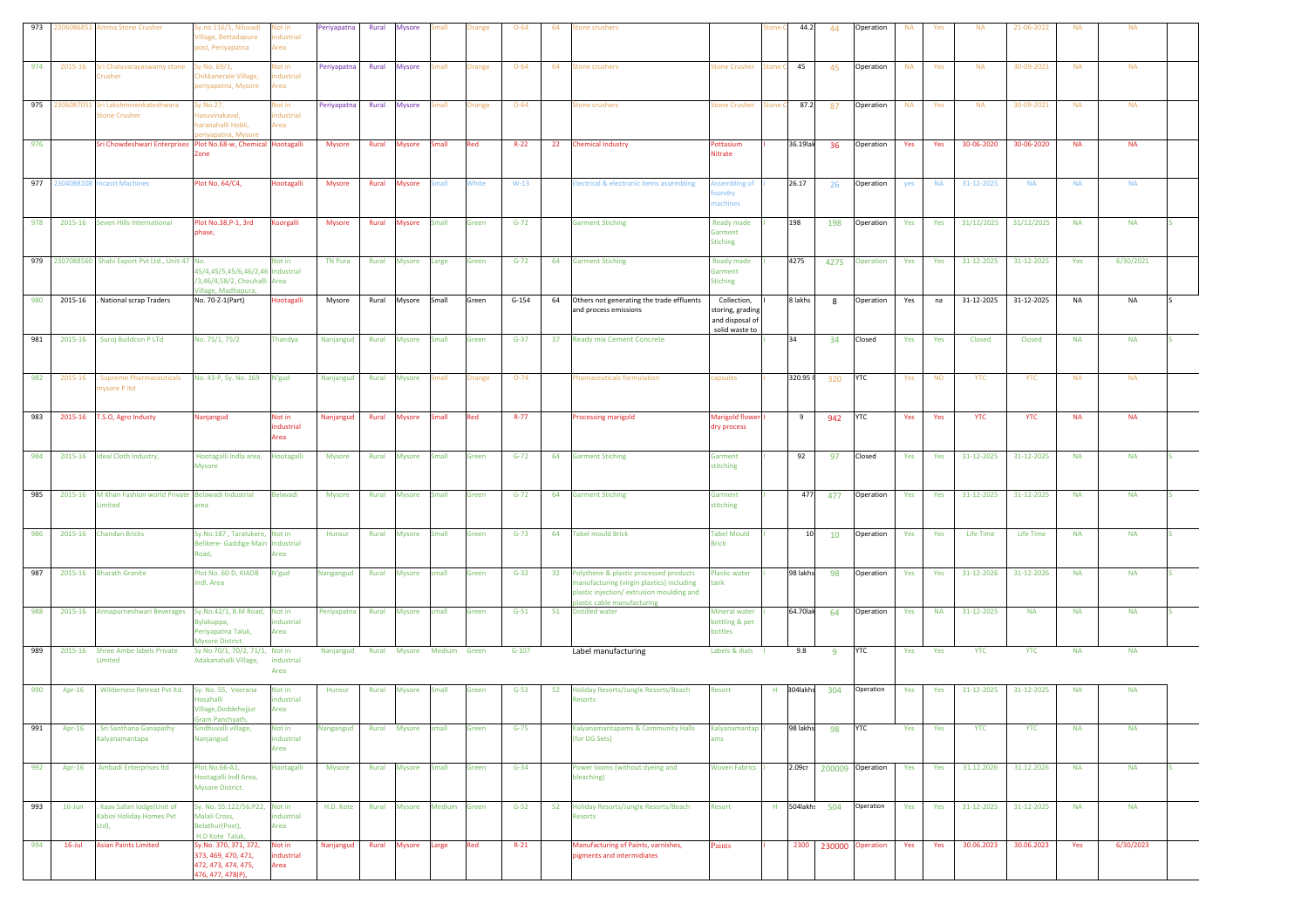| 973 |           | 2306086852 Amma Stone Crusher                                     | Sy.no 116/1, Niluvadi<br>Village, Bettadapura<br>post, Periyapatna                       | lot in<br>dustrial<br>Area        | Periyapatna                         | Rural | <b>Mysore</b> | mall          | )range        | $O - 64$ | 64 | itone crushers                                                                                                                                                    |                                                                      |     | 44.2      | 44             | Operation        | <b>NA</b> | Yes       | <b>NA</b>  | 21-06-2022 | <b>NA</b> | <b>NA</b> |  |
|-----|-----------|-------------------------------------------------------------------|------------------------------------------------------------------------------------------|-----------------------------------|-------------------------------------|-------|---------------|---------------|---------------|----------|----|-------------------------------------------------------------------------------------------------------------------------------------------------------------------|----------------------------------------------------------------------|-----|-----------|----------------|------------------|-----------|-----------|------------|------------|-----------|-----------|--|
| 974 | 2015-16   | Sri Chaluvarayaswamy stone<br>Crusher                             | Sy No. 69/1,<br>Chikkanerale Village,<br>periyapatna, Mysore                             | <b>Not in</b><br>dustrial<br>Area | Periyapatna                         | Rural | <b>Mysore</b> | mall          | Orange        | $O - 64$ | 64 | <b>Stone crushers</b>                                                                                                                                             | <b>Stone Crusher</b>                                                 |     | 45        | 45             | Operation        | <b>NA</b> | Yes       | <b>NA</b>  | 30-09-2021 | <b>NA</b> | <b>NA</b> |  |
| 975 | 230608705 | Sri Lakshmivenkateshwara<br>tone Crusher                          | iy No.27,<br>lasuvinakaval,<br>aranahalli Hobli,<br>riyapatna, Mysor                     | lot in<br>dustrial<br>rea         | Periyapatna                         | Rural | <b>Mysore</b> | mall          | <b>Orange</b> | $O - 64$ |    | Stone crushers                                                                                                                                                    | <b>Stone Crusher</b>                                                 | one | 87.2      | 87             | Operation        | <b>NA</b> | Yes       | <b>NA</b>  | 30-09-2021 | <b>NA</b> | NA        |  |
| 976 |           | Sri Chowdeshwari Enterprises Plot No.68-w, Chemical Hootagalli    | one                                                                                      |                                   | Mysore                              | Rural | <b>Mysore</b> | Small         | Red           | $R-22$   |    | 22 Chemical Industry                                                                                                                                              | Pottasium<br><b>Nitrate</b>                                          |     | 36.19lak  | 36             | Operation        | Yes       | Yes       | 30-06-2020 | 30-06-2020 | <b>NA</b> | <b>NA</b> |  |
| 977 |           | 2304088108 Incastt Machines                                       | Plot No. 64/C4,                                                                          | Hootagalli                        | <b>Mysore</b>                       | Rural | <b>Mysore</b> | <b>Small</b>  | White         | $W-13$   |    | lectrical & electronic items assembling                                                                                                                           | <b>Assembling of</b><br>oundry<br>nachines                           |     | 26.17     | 26             | Operation        | yes       | <b>NA</b> | 31-12-2025 | <b>NA</b>  | <b>NA</b> | <b>NA</b> |  |
| 978 | 2015-16   | Seven Hills International                                         | Plot No.38, P-1, 3rd<br>hase,                                                            | Koorgalli                         | Mysore                              | Rural | <b>Mysore</b> | Small         | Green         | $G-72$   |    | <b>Garment Stiching</b>                                                                                                                                           | <b>Ready made</b><br>Garment<br><b>Stiching</b>                      |     | 198       | 198            | Operation        | Yes       | Yes       | 31/12/2025 | 31/12/2025 | <b>NA</b> | <b>NA</b> |  |
|     |           | 979 2307088560 Shahi Export Pvt Ltd., Unit-47 No.                 | 45/4,45/5,45/6,46/2,46 industrial<br>/3,46/4,58/2, Chouhalli Area<br>Village, Madhapura, | Not in                            | <b>TN Pura</b>                      | Rural | <b>Mysore</b> | Large         | Green         | $G-72$   |    | 64 Garment Stiching                                                                                                                                               | Ready made<br>Garment<br><b>Stiching</b>                             |     | 4275      | 4275           | Operation        | Yes       | Yes       | 31-12-2025 | 31-12-2025 | Yes       | 6/30/2021 |  |
| 980 | 2015-16   | . National scrap Traders                                          | No. 70-Z-1(Part)                                                                         | <b>lootagalli</b>                 | Mysore                              | Rural | Mysore        | Small         | Green         | $G-154$  | 64 | Others not generating the trade effluents<br>and process emissions                                                                                                | Collection,<br>storing, grading<br>and disposal of<br>solid waste to |     | 8 lakhs   | 8              | Operation        | Yes       | na        | 31-12-2025 | 31-12-2025 | <b>NA</b> | NA        |  |
| 981 | 2015-16   | Suroj Buildcon P LTd                                              | No. 75/1, 75/2                                                                           | Thandya                           | Nanjangud                           | Rural | <b>Mysore</b> | <b>Small</b>  | Green         | $G-37$   |    | 37 Ready mix Cement Concrete                                                                                                                                      |                                                                      |     | 34        | 34             | Closed           | Yes       | Yes       | Closed     | Closed     | <b>NA</b> | <b>NA</b> |  |
| 982 | 2015-16   | <b>Supreme Pharmaceuticals</b><br>nysore P ltd                    | No. 43-P, Sy. No. 169                                                                    | N'gud                             | Nanjangud                           | Rural | Mysore        | mall          | <b>Orange</b> | $O-74$   |    | Phamaceuticals formulation                                                                                                                                        | capsules                                                             |     | 320.95 ll | 320            | <b>YTC</b>       | Yes       | <b>NO</b> | <b>YTC</b> | <b>YTC</b> | <b>NA</b> | <b>NA</b> |  |
| 983 | 2015-16   | T.S.O, Agro Industy                                               | Nanjangud                                                                                | Not in<br>ndustrial<br>Area       | Nanjangud                           | Rural | <b>Mysore</b> | Small         | Red           | $R-77$   |    | <b>Processing marigold</b>                                                                                                                                        | Marigold flower<br>dry process                                       |     | 9         | 942            | <b>YTC</b>       | Yes       | Yes       | <b>YTC</b> | <b>YTC</b> | <b>NA</b> | <b>NA</b> |  |
| 984 | 2015-16   | Ideal Cloth Industry,                                             | Hootagalli Indla area,<br>Mysore                                                         | <b>lootagalli</b>                 | Mysore                              | Rural | <b>Mysore</b> | <b>Small</b>  | Green         | $G-72$   |    | 64 Garment Stiching                                                                                                                                               | Garment<br>stitching                                                 |     | 92        | 97             | Closed           | Yes       | Yes       | 31-12-2025 | 31-12-2025 | <b>NA</b> | <b>NA</b> |  |
| 985 | 2015-16   | M Khan Fashion world Private Belawadi Industrial<br><i>imited</i> | area                                                                                     | <b>Belavadi</b>                   | <b>Mysore</b>                       | Rural | <b>Mysore</b> | Small         | Green         | $G-72$   | 64 | <b>Garment Stiching</b>                                                                                                                                           | Garment<br>stitching                                                 |     | 477       | 477            | Operation        | Yes       | Yes       | 31-12-2025 | 31-12-2025 | <b>NA</b> | <b>NA</b> |  |
| 986 | 2015-16   | <b>Chandan Bricks</b>                                             | Sy.No.187, Taralukere, Not in<br>Belikere- Gaddige Main<br>Road,                         | industrial<br>rea                 | Hunsur                              | Rural | Mysore Small  |               | Green         | $G-73$   |    | 64 Tabel mould Brick                                                                                                                                              | <b>Tabel Mould</b><br><b>Brick</b>                                   |     | 10        | 10             | Operation        | Yes       | Yes       | Life Time  | Life Time  | <b>NA</b> | <b>NA</b> |  |
| 987 | 2015-16   | <b>Bharath Granite</b>                                            | Plot No. 60-D, KIADB<br>indl. Area                                                       | N'gud                             | Nangangud                           | Rural | Mysore small  |               | Green         | $G-32$   |    | 32 Polythene & plastic processed products<br>manufacturing (virgin plastics) including<br>plastic injection/extrusion moulding and<br>plastic cable manufacturing | <b>Plastic water</b><br>tank                                         |     | 98 lakhs  | 98             | Operation        | Yes       | Yes       | 31-12-2026 | 31-12-2026 | <b>NA</b> | <b>NA</b> |  |
| 988 | 2015-16   | Annapurneshwari Beverages                                         | Sy.No.42/1, B.M Road, Not in<br>Bylakuppa,<br>Periyapatna Taluk,<br>Mysore District.     | industrial<br>Area                | Periyapatna                         | Rural | <b>Mysore</b> | small         | Green         | $G-51$   |    | 51 Distilled water                                                                                                                                                | <b>Mineral water</b><br>bottling & pet<br>bottles                    |     | 64.70lak  | 64             | Operation        | Yes       | <b>NA</b> | 31-12-2025 | <b>NA</b>  | <b>NA</b> | <b>NA</b> |  |
| 989 |           | 2015-16 Shree Ambe labels Private<br>Limited                      | Sy No 70/1, 70/2, 71/1, Not in<br>Adakanahalli Village,                                  | industrial<br>Area                | Nanjangud Rural Mysore Medium Green |       |               |               |               | $G-107$  |    | Label manufacturing                                                                                                                                               | Labels & dials                                                       |     | 9.8       | -9             | YTC              | Yes       | Yes       | <b>YTC</b> | <b>YTC</b> | <b>NA</b> | <b>NA</b> |  |
| 990 | Apr-16    | Wilderness Retreat Pvt ltd.                                       | Sy. No. 55, Veerana<br>Hosahalli<br>Village, Doddehejjur<br>Gram Panchyath,              | Not in<br>industrial<br>Area      | <b>Hunsur</b>                       | Rural | Mysore        | Small         | Green         | $G-52$   | 52 | Holiday Resorts/Jungle Resorts/Beach<br><b>Resorts</b>                                                                                                            | Resort                                                               | H   | 304lakhs  | 304            | Operation        | Yes       | Yes       | 31-12-2025 | 31-12-2025 | <b>NA</b> | <b>NA</b> |  |
| 991 | Apr-16    | Sri Santhana Ganapathy<br>Kalyanamantapa                          | Sindhuvalli village,<br>Nanjangud                                                        | Not in<br>industrial<br>Area      | Vangangud                           | Rural | <b>Mysore</b> | small         | Green         | $G-75$   |    | Kalyanamantapams & Community Halls<br>(for DG Sets)                                                                                                               | Kalyanamantap                                                        |     | 98 lakhs  | 98             | <b>YTC</b>       | Yes       | Yes       | <b>YTC</b> | <b>YTC</b> | <b>NA</b> | <b>NA</b> |  |
| 992 | Apr-16    | Ambadi Enterprises Itd                                            | Plot.No.66-A1,<br>Hootagalli Indl Area,<br><b>Mysore District.</b>                       | Hootagalli                        | Mysore                              | Rural | Mysore Small  |               | Green         | $G-34$   |    | Power looms (without dyeing and<br>bleaching)                                                                                                                     | <b>Woven Fabrics</b>                                                 |     | 2.09cr    |                | 200009 Operation | Yes       | Yes       | 31.12.2026 | 31.12.2026 | <b>NA</b> | <b>NA</b> |  |
| 993 | $16$ -Jun | Kaav Safari lodge(Unit of<br>Kabini Holiday Homes Pvt<br>Ltd),    | Sy. No. 55:122/56:P22, Not in<br>Malali Cross,<br>Belathur(Post),<br>H.D Kote Taluk,     | industrial<br>Area                | H.D. Kote                           | Rural |               | Mysore Medium | Green         | $G-52$   |    | 52 Holiday Resorts/Jungle Resorts/Beach<br><b>Resorts</b>                                                                                                         | Resort                                                               |     |           | H 504lakhs 504 | Operation        | Yes       | Yes       | 31-12-2025 | 31-12-2025 | <b>NA</b> | <b>NA</b> |  |
| 994 | $16$ -Jul | <b>Asian Paints Limited</b>                                       | Sy.No. 370, 371, 372,<br>373, 469, 470, 471,<br>472, 473, 474, 475,<br>176, 477, 478(P), | Not in<br>ndustrial<br>Area       | Nanjangud                           | Rural | Mysore        | Large         | Red           | $R-21$   |    | Manufacturing of Paints, varnishes,<br>pigments and intermidiates                                                                                                 | <b>Paints</b>                                                        |     | 2300      |                | 230000 Operation | Yes       | Yes       | 30.06.2023 | 30.06.2023 | Yes       | 6/30/2023 |  |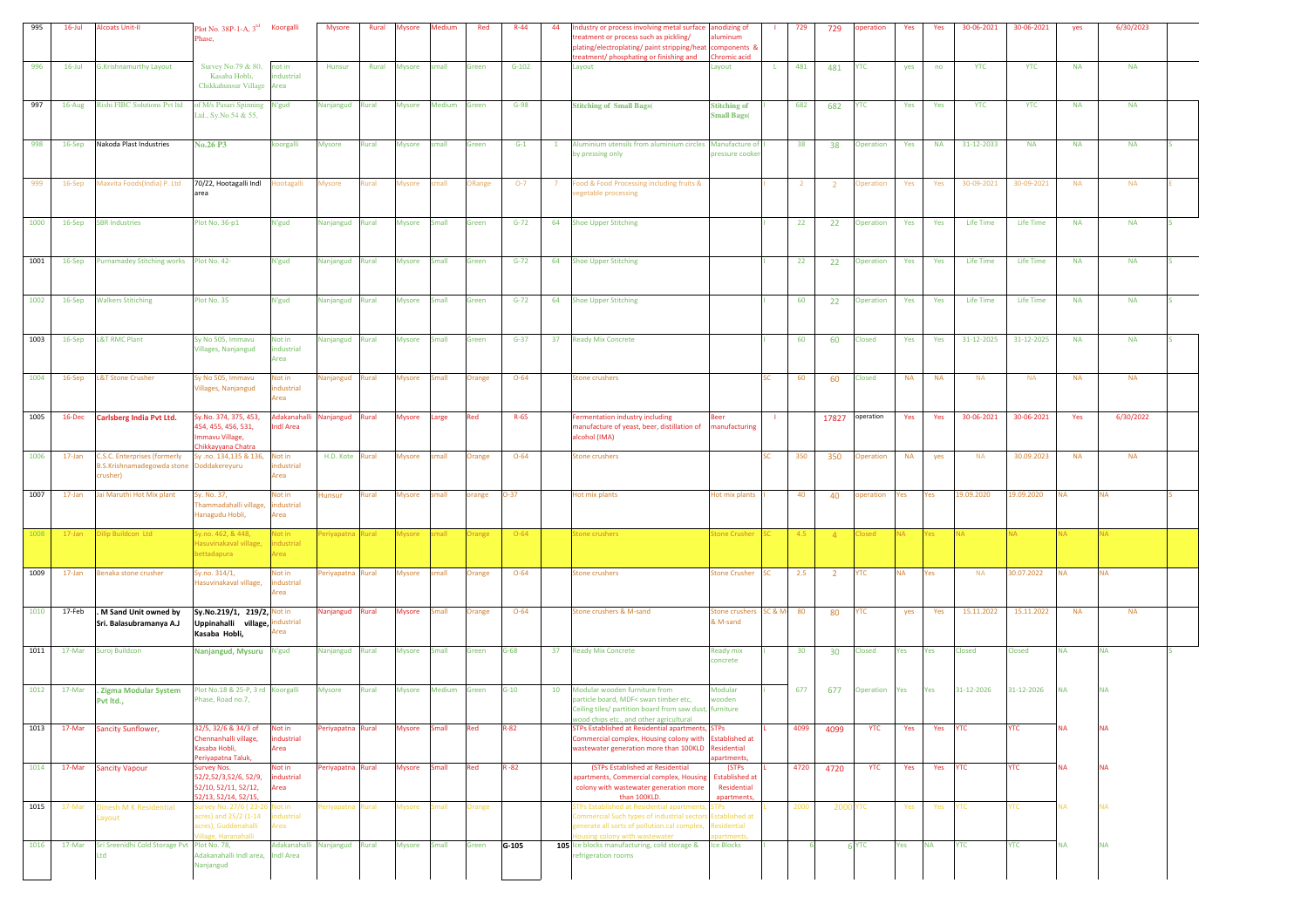| 995  | $16$ -Jul | <b>Alcoats Unit-II</b>                                                       | Plot No. 38P-1-A, 3 <sup>rd</sup> Koorgalli<br>Phase,                                                 |                                | <b>Mysore</b>     | Rural        | <b>Mysore</b> | Medium       | Red           | $R - 44$ | 44           | dustry or process involving metal surface anodizing of<br>reatment or process such as pickling/<br>lating/electroplating/ paint stripping/heat<br>eatment/ phosphating or finishing and                     | minum<br>components &<br>romic acid                         |    | 729            | 729             | peration         | Yes       | Yes       | 30-06-2021       | 30-06-2021 | yes       | 6/30/2023 |  |
|------|-----------|------------------------------------------------------------------------------|-------------------------------------------------------------------------------------------------------|--------------------------------|-------------------|--------------|---------------|--------------|---------------|----------|--------------|-------------------------------------------------------------------------------------------------------------------------------------------------------------------------------------------------------------|-------------------------------------------------------------|----|----------------|-----------------|------------------|-----------|-----------|------------------|------------|-----------|-----------|--|
| 996  | $16$ -Jul | <b>G.Krishnamurthy Layout</b>                                                | Survey No.79 & 80, not in<br>Kasaba Hobli,<br>Chikkahunsur Village                                    | industrial<br>Area             | Hunsur            | Rural        | <b>Mysore</b> | small        | Green         | $G-102$  |              | Layout                                                                                                                                                                                                      | Layout                                                      | L. | 481            | 481             | <b>YTC</b>       | yes       | no        | <b>YTC</b>       | <b>YTC</b> | <b>NA</b> | <b>NA</b> |  |
| 997  | 16-Aug    | <b>Rishi FIBC Solutions Pvt ltd</b>                                          | of M/s Pasari Spinning<br>Ltd., Sy.No.54 & 55,                                                        | N'gud                          | Nanjangud         | Rural        | <b>Mysore</b> | Medium       | Green         | $G-98$   |              | <b>Stitching of Small Bags(</b>                                                                                                                                                                             | <b>Stitching of</b><br><b>Small Bags</b> (                  |    | 682            | 682             | <b>YTC</b>       | Yes       | Yes       | <b>YTC</b>       | <b>YTC</b> | <b>NA</b> | <b>NA</b> |  |
| 998  | 16-Sep    | Nakoda Plast Industries                                                      | <b>No.26 P3</b>                                                                                       | illegroo:                      | <b>Mysore</b>     | Rural        | Mysore        | small        | Green         | $G-1$    | $\mathbf{1}$ | Aluminium utensils from aluminium circles Manufacture of<br>by pressing only                                                                                                                                | pressure cooker                                             |    | 38             | 38              | Operation        | Yes       | <b>NA</b> | 31-12-2033       | <b>NA</b>  | <b>NA</b> | <b>NA</b> |  |
| 999  | 16-Sep    | Maxvita Foods(India) P. Ltd                                                  | 70/Z2, Hootagalli Indl<br>area                                                                        | ootagalli                      | Mysore            | kural        | Mysore        | small        | <b>Range</b>  | $O-7$    | -7           | ood & Food Processing including fruits &<br>egetable processing                                                                                                                                             |                                                             |    | $\overline{2}$ | $\overline{2}$  | <b>Dperation</b> | Yes       | Yes       | 30-09-2021       | 30-09-2021 | <b>NA</b> | <b>NA</b> |  |
| 1000 | 16-Sep    | <b>SBR Industries</b>                                                        | Plot No. 36-p1                                                                                        | N'gud                          | Nanjangud         | Rural        | Mysore        | Small        | Green         | $G-72$   | 64           | <b>Shoe Upper Stitching</b>                                                                                                                                                                                 |                                                             |    | 22             | 22              | Operation        | Yes       | Yes       | <b>Life Time</b> | Life Time  | <b>NA</b> | <b>NA</b> |  |
| 1001 | 16-Sep    | Purnamadey Stitching works Plot No. 42-                                      |                                                                                                       | N'gud                          | Nanjangud Rural   |              | <b>Mysore</b> | <b>Small</b> | Green         | $G-72$   | 64           | <b>Shoe Upper Stitching</b>                                                                                                                                                                                 |                                                             |    | 22             | 22              | Operation        | Yes       | Yes       | <b>Life Time</b> | Life Time  | <b>NA</b> | <b>NA</b> |  |
| 1002 | 16-Sep    | <b>Walkers Stitiching</b>                                                    | Plot No. 35                                                                                           | N'gud                          | Nanjangud         | Rural        | <b>Mysore</b> | Small        | Green         | $G-72$   | 64           | <b>Shoe Upper Stitching</b>                                                                                                                                                                                 |                                                             |    | 60             | 22              | Operation        | Yes       | Yes       | Life Time        | Life Time  | <b>NA</b> | <b>NA</b> |  |
| 1003 | 16-Sep    | <b>L&amp;T RMC Plant</b>                                                     | Sy No 505, Immavu<br>/illages, Nanjangud                                                              | Not in<br>ndustrial<br>Area    | Nanjangud Rural   |              | <b>Mysore</b> | Small        | Green         | $G-37$   | 37           | <b>Ready Mix Concrete</b>                                                                                                                                                                                   |                                                             |    | 60             | 60              | Closed           | Yes       | Yes       | 31-12-2025       | 31-12-2025 | <b>NA</b> | <b>NA</b> |  |
| 1004 | 16-Sep    | <b>L&amp;T Stone Crusher</b>                                                 | sy No 505, Immavu<br>/illages, Nanjangud                                                              | Not in<br>ndustrial<br>Area    | Vanjangud         | Rural        | Mysore        | Small        | <b>Drange</b> | $O - 64$ |              | <b>Stone crushers</b>                                                                                                                                                                                       |                                                             |    | 60             | 60              | Closed           | <b>NA</b> | <b>NA</b> | <b>NA</b>        | <b>NA</b>  | <b>NA</b> | <b>NA</b> |  |
| 1005 | 16-Dec    | Carlsberg India Pvt Ltd.                                                     | Sy.No. 374, 375, 453,<br>454, 455, 456, 531,<br>mmavu Village,                                        | Adakanahal<br><b>Indi Area</b> | Nanjangud         | Rural        | Mysore        | Large        | Red           | R-65     |              | Fermentation industry including<br>manufacture of yeast, beer, distillation of<br>alcohol (IMA)                                                                                                             | manufacturing                                               |    |                | 17827           | operation        | Yes       | Yes       | 30-06-2021       | 30-06-2021 | Yes       | 6/30/2022 |  |
| 1006 | $17$ -Jan | <b>C.S.C. Enterprises (formerly</b><br>.S.Krishnamadegowda stone<br>crusher) | hikkayyana Chatra<br>y .no. 134,135 & 136,<br>oddakereyuru                                            | Not in<br>dustrial<br>Area     | H.D. Kote         | <b>Rural</b> | Mysore        | small        | <b>Drange</b> | $O - 64$ |              | <b>Stone crushers</b>                                                                                                                                                                                       |                                                             |    | 350            | 350             | <b>Operation</b> | <b>NA</b> | yes       | <b>NA</b>        | 30.09.2023 | <b>NA</b> | <b>NA</b> |  |
| 1007 | $17$ -Jan | Jai Maruthi Hot Mix plant                                                    | Sy. No. 37,<br>Fhammadahalli village<br>Hanagudu Hobli,                                               | Not in<br>dustrial<br>Area     | Hunsur            | lural        | Mysore        | small        | orange        | $-37$    |              | Hot mix plants                                                                                                                                                                                              | Hot mix plants                                              |    | 40             | 40              | peration         | es/       | Yes       | 19.09.2020       | 19.09.2020 | NA        | <b>NA</b> |  |
| 1008 | $17$ -Jan | lip Buildcon Ltd                                                             | y.no. 462, & 448,<br>lasuvinakaval village<br>ettadapura                                              | Not in<br>ndustrial<br>Area    | eriyapatn         | <b>Rural</b> | <b>Iysore</b> | mall         | range         | $O - 64$ |              | tone crushers                                                                                                                                                                                               | <b>tone Crusher</b>                                         |    | 4.5            | $-4$            | losed            |           | Yes:      |                  |            |           |           |  |
| 1009 | 17-Jan    | Benaka stone crusher                                                         | y.no. 314/1,<br>asuvinakaval village,                                                                 | Not in<br>dustrial<br>Area     | eriyapatna Rural  |              | <b>Mysore</b> | small        | Orange        | $O - 64$ |              | <b>Stone crushers</b>                                                                                                                                                                                       | Stone Crusher SC                                            |    | 2.5            | $\overline{2}$  | <b>YTC</b>       | <b>NA</b> | Yes       | <b>NA</b>        | 30.07.2022 | NA        | <b>NA</b> |  |
| 1010 | 17-Feb    | . M Sand Unit owned by<br>Sri. Balasubramanya A.J                            | Sy.No.219/1, 219/2, Not in<br>Uppinahalli village,<br>Kasaba Hobli,                                   | ndustrial<br>Area              | Nanjangud         | Rural        | <b>Mysore</b> | <b>Small</b> | Orange        | $O - 64$ |              | Stone crushers & M-sand                                                                                                                                                                                     | Stone crushers SC & M-<br>& M-sand                          |    | 80             | 80              | YTC              | yes       | Yes       | 15.11.2022       | 15.11.2022 | <b>NA</b> | <b>NA</b> |  |
| 1011 | 17-Mar    | Suroj Buildcon                                                               | Nanjangud, Mysuru N'gud                                                                               |                                | Nanjangud         | Rural        | Mysore        | Small        | Green         | $3 - 68$ | 37           | <b>Ready Mix Concrete</b>                                                                                                                                                                                   | <b>Ready mix</b><br>concrete                                |    | 30             | 30 <sup>°</sup> | Closed           | Yes       | Yes       | Closed           | Closed     | <b>NA</b> | <b>NA</b> |  |
| 1012 | 17-Mar    | Zigma Modular System<br>Pvt Itd.,                                            | Plot No.18 & 25-P, 3 rd Koorgalli<br>Phase, Road no.7,                                                |                                | <b>Mysore</b>     | Rural        | <b>Mysore</b> | Medium       | Green         | $G-10$   | 10           | Modular wooden furniture from<br>particle board, MDF< swan timber etc,<br>Ceiling tiles/ partition board from saw dust, furniture                                                                           | Modular<br>wooden                                           |    | 677            | 677             | Operation        | es /      | Yes       | 31-12-2026       | 31-12-2026 | NA        | <b>NA</b> |  |
| 1013 | 17-Mar    | <b>Sancity Sunflower,</b>                                                    | 32/5, 32/6 & 34/3 of<br>Chennanhalli village,<br>Kasaba Hobli,<br>eriyapatna Taluk,                   | Not in<br>industrial<br>Area   | 'eriyapatna       | Rural        | <b>Mysore</b> | Small        | Red           | R-82     |              | wood chips etc., and other agricultural<br>STPs Established at Residential apartments, STPs<br>Commercial complex, Housing colony with Established at<br>wastewater generation more than 100KLD Residential | partments                                                   |    | 4099           | 4099            | <b>YTC</b>       | Yes       | Yes       | <b>YTC</b>       | <b>YTC</b> | NΑ        | <b>NA</b> |  |
| 1014 | 17-Mar    | <b>Sancity Vapour</b>                                                        | Survey Nos.<br>52/2,52/3,52/6, 52/9,<br>52/10, 52/11, 52/12,<br>52/13, 52/14, 52/15,                  | Not in<br>industrial<br>Area   | Periyapatna Rural |              | Mysore Small  |              | Red           | $R - 82$ |              | (STPs Established at Residential<br>apartments, Commercial complex, Housing<br>colony with wastewater generation more<br>than 100KLD.                                                                       | (STPs<br><b>Established at</b><br>Residential<br>apartments |    | 4720           | 4720            | <b>YTC</b>       | Yes       | Yes YTC   |                  | <b>YTC</b> | NΑ        | NA.       |  |
| 1015 | 17-Mar    | Dinesh M K Residential<br>ayout                                              | Survey No. 27/6 (23-26 Not in<br>acres) and 25/2 (1-14<br>acres), Guddenahalli<br>illage, Haranahalli | industrial<br>Area             | eriyapatna        | <b>Rural</b> |               | Mysore Small | Orange        |          |              | TPs Established at Residential apartments<br>Commercial Such types of industrial sectors Established at<br>generate all sorts of pollution.cal complex,<br>busing colony with wastewater                    | <b>STPs</b><br>Residential<br>artment                       |    | 2000           | <b>2000 YTC</b> |                  | Yes       | Yes       | <b>YTC</b>       | YTC        | ۹Ā        | NA.       |  |
| 1016 | 17-Mar    | Sri Sreenidhi Cold Storage Pvt Plot No. 78,<br>Ltd                           | Adakanahalli Indl area, Indl Area<br>Nanjangud                                                        | Adakanahalli Nanjangud Rural   |                   |              | Mysore Small  |              | Green         | G-105    |              | 105 Ice blocks manufacturing, cold storage &<br>efrigeration rooms                                                                                                                                          | <b>Ice Blocks</b>                                           |    |                |                 | 6 YTC            | Yes       | <b>NA</b> | <b>YTC</b>       | <b>YTC</b> | <b>NA</b> | <b>NA</b> |  |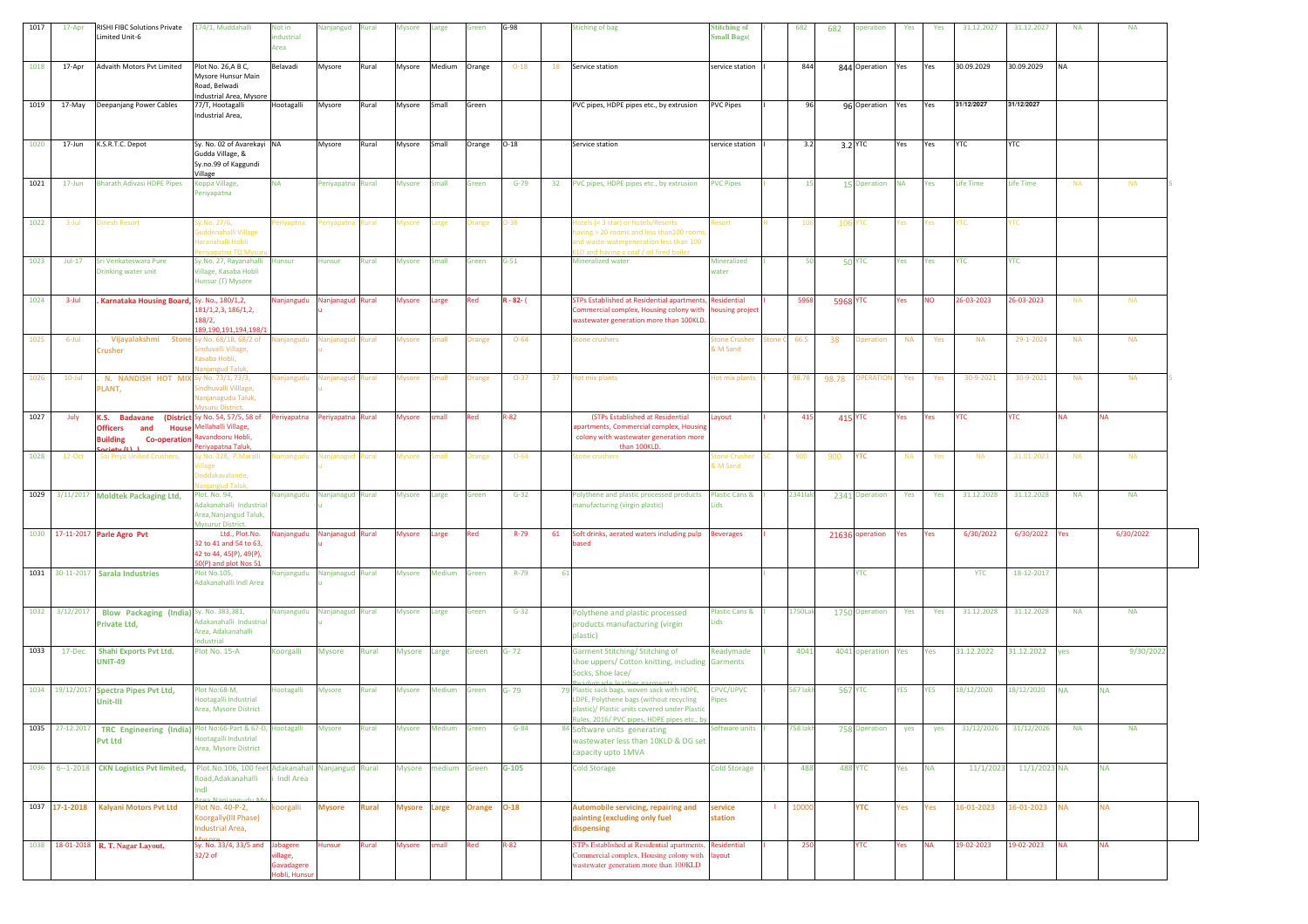| 1017 | 17-Apr          | RISHI FIBC Solutions Private<br>Limited Unit-6                                                                         | 174/1, Muddahalli                                                                                       | Not in<br>dustrial<br>Area           | Vanjangud         | Rural        | Mysore              | Large               | Green         | $G-98$       |     | <b>Stiching of bag</b>                                                                                                                                                              | <b>Stitching of</b><br><b>Small Bags</b> ( |     | 682              | 682            | operation          | Yes       | Yes        | 31.12.2027 | 31.12.2027     | ΝA        | <b>NA</b> |  |
|------|-----------------|------------------------------------------------------------------------------------------------------------------------|---------------------------------------------------------------------------------------------------------|--------------------------------------|-------------------|--------------|---------------------|---------------------|---------------|--------------|-----|-------------------------------------------------------------------------------------------------------------------------------------------------------------------------------------|--------------------------------------------|-----|------------------|----------------|--------------------|-----------|------------|------------|----------------|-----------|-----------|--|
| 1018 | 17-Apr          | Advaith Motors Pvt Limited                                                                                             | Plot No. 26, A B C,<br>Mysore Hunsur Main<br>Road, Belwadi                                              | Belavadi                             | Mysore            | Rural        | Mysore              | Medium              | Orange        | $O-18$       | 18  | Service station                                                                                                                                                                     | service station                            |     | 844              |                | 844 Operation      | Yes       | Yes        | 30.09.2029 | 30.09.2029     | <b>NA</b> |           |  |
| 1019 | 17-May          | Deepanjang Power Cables                                                                                                | Industrial Area, Mysore<br>77/T, Hootagalli<br>Industrial Area,                                         | Hootagalli                           | Mysore            | Rural        | Mysore              | Small               | Green         |              |     | PVC pipes, HDPE pipes etc., by extrusion                                                                                                                                            | <b>PVC Pipes</b>                           |     | 96               |                | 96 Operation       | Yes       | Yes        | 31/12/2027 | 31/12/2027     |           |           |  |
| 1020 | 17-Jun          | K.S.R.T.C. Depot                                                                                                       | Sy. No. 02 of Avarekayi NA<br>Gudda Village, &<br>Sy.no.99 of Kaggundi                                  |                                      | Mysore            | Rural        | Mysore              | Small               | Orange        | $O-18$       |     | Service station                                                                                                                                                                     | service station                            |     | 3.2              | 3.2 YTC        |                    | Yes       | Yes        | <b>YTC</b> | YTC            |           |           |  |
| 1021 | $17 - Jun$      | <b>Bharath Adivasi HDPE Pipes</b>                                                                                      | Village<br>(oppa Village,<br>Periyapatna                                                                | <b>NA</b>                            | Periyapatna Rural |              | <b>Mysore</b>       | Small               | Green         | $G-79$       |     | 32 PVC pipes, HDPE pipes etc., by extrusion                                                                                                                                         | <b>PVC Pipes</b>                           |     | 15               |                | 15 Operation NA    |           | Yes        | Life Time  | Life Time      | <b>NA</b> | <b>NA</b> |  |
| 1022 | 3-Jul           | Dinesh Resort                                                                                                          | iy.No. 27/6,<br>iuddenahalli Village<br>Iaranahalli Hobli<br>riyapatna TQ My                            | eriyaptna                            | eriyapatna        | Rural        | Aysore              | arge                | <b>Irange</b> | D-38         |     | otels (< 3 star) or hotels/Resorts<br>aving > 20 rooms and less than100 room:<br>Ind waste-watergeneration less than 100<br>LD and having a coal / oil fired boiler                 | tesort                                     |     |                  | 106 YTC        |                    | res /     | 'es        | TС         | YTC            |           |           |  |
| 1023 | $Jul-17$        | Sri Venkateswara Pure<br>Drinking water unit                                                                           | Sy.No. 27, Rayanahalli Hunsur<br>/illage, Kasaba Hobli<br>Hunsur (T) Mysore                             |                                      | Hunsur            | Rural        | <b>Mysore</b>       | Small               | Green         | $G-51$       |     | Mineralized water                                                                                                                                                                   | Mineralized<br>water                       |     | 50               |                | <b>50 YTC</b>      | Yes       | Yes        | <b>YTC</b> | <b>YTC</b>     |           |           |  |
| 1024 | 3-Jul           | Karnataka Housing Board, Sy. No., 180/1,2,                                                                             | 181/1,2,3, 186/1,2,<br>188/2,<br>189,190,191,194,198/1                                                  | Vanjangudu                           | Nanjanagud Rural  |              | Mysore              | Large               | Red           | $R - 82 - ($ |     | <b>STPs Established at Residential apartments, Residential</b><br>Commercial complex, Housing colony with<br>wastewater generation more than 100KLD.                                | busing project                             |     | 5968             | 5968 YTC       |                    | Yes       | <b>NO</b>  | 26-03-2023 | 26-03-2023     | NA        | <b>NA</b> |  |
| 1025 | 6-Jul           | Vijayalakshmi Ston<br><b>Crusher</b>                                                                                   | v No. 68/1B, 68/2 of<br>induvalli Village,<br>Gasaba Hobli,<br>anjangud Talu                            | Ianjangudu                           | anjanagud Rural   |              | Aysore              | mall                | <b>Drange</b> | $O - 64$     |     | itone crushers                                                                                                                                                                      | <b>Stone Crushe</b><br>& M Sand            |     | 66.5             | 38             | <b>Operation</b>   | <b>NA</b> | Yes        | <b>NA</b>  | 29-1-2024      | <b>NA</b> | <b>NA</b> |  |
| 1026 | $10$ -Jul       | N. NANDISH HOT MIX<br>PLANT,                                                                                           | iy No. 73/1, 73/3,<br>indhuvalli Villlage,<br>Vanjanagudu Taluk,<br><b>Iysuru District.</b>             | lanjangudu                           | lanjanagud Rural  |              | Mysore              | nall                | <b>Irange</b> | $O-37$       | 37  | lot mix plants                                                                                                                                                                      | lot mix plants                             |     | 98.78            | 98.78          | <b>OPERATION</b>   | Yes       | Yes        | 30-9-2021  | 30-9-2021      | <b>NA</b> | <b>NA</b> |  |
| 1027 | July            | K.S. Badavane<br><b>Officers</b><br>and<br><b>House</b><br><b>Building</b><br><b>Co-operation</b><br>$\sinh t / \ln 1$ | <b>(District</b> Sy No. 54, 57/5, 58 of<br>Mellahalli Village,<br>Ravandooru Hobli,<br>eriyapatna Taluk | eriyapatna                           | Periyapatna Rural |              | Mysore              | small               | Red           | R-82         |     | (STPs Established at Residential<br>apartments, Commercial complex, Housing<br>colony with wastewater generation more<br>than 100KLD                                                | Layout                                     |     | 415              | <b>415 YTC</b> |                    | Yes       | Yes        | <b>YTC</b> | <b>YTC</b>     | <b>NA</b> | <b>NA</b> |  |
| 1028 | $12-Oct$        | . Sai Priya United Crushers,                                                                                           | y No. 328, P.Maralli<br>oddakavalande,<br>ud Tali                                                       | lanjangudu                           | lanjanagud        | Rural        | Aysore              | nall                | <b>Irange</b> | $O - 64$     |     | itone crushers                                                                                                                                                                      | tone Crushe<br>& M Sand                    |     | 900              | 900            | <b>YTC</b>         | <b>NA</b> | Yes        | <b>NA</b>  | 31.01.2023     | <b>NA</b> | <b>NA</b> |  |
|      |                 | 1029 3/11/2017 Moldtek Packaging Ltd,                                                                                  | lot. No. 94,<br>Adakanahalli Industrial<br>Area, Nanjangud Taluk,<br><b>Mysurur District.</b>           | Vanjangudu                           | Nanjanagud Rural  |              | Mysore              | Large               | Green         | $G-32$       |     | Polythene and plastic processed products<br>manufacturing (virgin plastic)                                                                                                          | <b>Plastic Cans &amp;</b><br>Lids          |     | <b>2341 laki</b> |                | 2341 Operation     | Yes       | Yes        | 31.12.2028 | 31.12.2028     | <b>NA</b> | <b>NA</b> |  |
|      |                 | 1030 17-11-2017 Parle Agro Pvt                                                                                         | Ltd., Plot.No.<br>32 to 41 and 54 to 63,<br>42 to 44, 45(P), 49(P),<br>0(P) and plot Nos 51             | lanjangudu                           | Nanjanagud Rural  |              | Mysore              | arge                | Red           | R-79         | 61  | Soft drinks, aerated waters including pulp<br>based                                                                                                                                 | <b>Beverages</b>                           |     |                  |                | 21636 operation    | Yes       | Yes        | 6/30/2022  | 6/30/2022      | Yes       | 6/30/2022 |  |
|      |                 | 1031 30-11-2017 Sarala Industries                                                                                      | Plot No.105,<br>Adakanahalli Indl Area                                                                  | Nanjangudu                           | Nanjanagud Rural  |              | <b>Mysore</b>       | Medium              | Green         | $R-79$       | -61 |                                                                                                                                                                                     |                                            |     |                  |                | <b>YTC</b>         |           |            | <b>YTC</b> | 18-12-2017     |           |           |  |
|      | 1032 3/12/2017  | Blow Packaging (India) Sy. No. 383,381,<br>Private Ltd,                                                                | Adakanahalli Industrial<br>Area, Adakanahalli<br>ndustrial                                              | Nanjangudu Nanjanagud Rural          |                   |              | <b>Mysore</b>       | Large               | Green         | $G-32$       |     | Polythene and plastic processed<br>products manufacturing (virgin<br>plastic)                                                                                                       | <b>Plastic Cans &amp;</b><br>Lids          |     | 1750Lak          |                | 1750 Operation     | Yes       | Yes        | 31.12.2028 | 31.12.2028     | <b>NA</b> | <b>NA</b> |  |
| 1033 | 17-Dec          | <b>Shahi Exports Pvt Ltd.</b><br><b>UNIT-49</b>                                                                        | Plot No. 15-A                                                                                           | Koorgalli                            | <b>Mysore</b>     | Rural        | Mysore Large        |                     | Green         | $G - 72$     |     | Garment Stitching/ Stitching of<br>shoe uppers/ Cotton knitting, including Garments<br>Socks, Shoe lace/                                                                            | Readymade                                  |     | 4041             |                | 4041 operation Yes |           | Yes        | 31.12.2022 | 31.12.2022     | yes       | 9/30/2022 |  |
|      |                 | 1034 19/12/2017 Spectra Pipes Pvt Ltd,<br>Unit-III                                                                     | Plot No:68-M,<br>lootagalli Industrial<br>Area, Mysore District                                         | <b>Hootagalli</b>                    | Mysore            | Rural        | Mysore              | Medium              | Green         | G-79         |     | 79 Plastic sack bags, woven sack with HDPE,<br>DPE, Polythene bags (without recycling<br>plastic)/ Plastic units covered under Plastic<br>ules, 2016/ PVC pipes, HDPE pipes etc., I | CPVC/UPVC<br>ipes                          |     | 567 lakh         | <b>567 YTC</b> |                    | YES       | <b>YES</b> | 18/12/2020 | 18/12/2020     | <b>NA</b> | <b>NA</b> |  |
|      | 1035 27-12.2017 | TRC Engineering (India) Plot No:66-Part & 67-D, Hootagalli<br><b>Pvt Ltd</b>                                           | lootagalli Industrial<br>Area, Mysore District                                                          |                                      | Mysore            | Rural        | Mysore              | Medium              | Green         | $G-84$       |     | 84 Software units generating<br>wastewater less than 10KLD & DG set<br>capacity upto 1MVA                                                                                           | Software units                             |     | 758 lakh         |                | 758 Operation      | yes       | yes        | 31/12/2026 | 31/12/2026     | <b>NA</b> | <b>NA</b> |  |
|      |                 | 1036 6-1-2018 CKN Logistics Pvt limited,                                                                               | Plot.No.106, 100 feet Adakanahall<br>Road, Adakanahalli<br>ndl                                          | Indi Area                            | Nanjangud Rural   |              |                     | Mysore medium Green |               | $G-105$      |     | <b>Cold Storage</b>                                                                                                                                                                 | <b>Cold Storage</b>                        |     | 488              |                | <b>488 YTC</b>     | Yes       | <b>NA</b>  | 11/1/2023  | $11/1/2023$ NA |           | <b>NA</b> |  |
|      |                 | 1037 17-1-2018 Kalyani Motors Pvt Ltd                                                                                  | Plot No. 40-P-2,<br>Koorgally(III Phase)<br>Industrial Area,                                            | oorgalli                             | <b>Mysore</b>     | <b>Rural</b> | <b>Mysore Large</b> |                     | <b>Orange</b> | $O-18$       |     | Automobile servicing, repairing and<br>painting (excluding only fuel<br>dispensing                                                                                                  | service<br>station                         | -11 | 10000            |                | <b>YTC</b>         | Yes       | Yes        | 16-01-2023 | 16-01-2023 NA  |           | <b>NA</b> |  |
|      |                 | 1038 18-01-2018 R. T. Nagar Layout,                                                                                    | Sy. No. 33/4, 33/5 and Jabagere<br>$32/2$ of                                                            | rillage,<br>Gavadagere<br>obli. Huns | Hunsur            | Rural        | <b>Mysore</b>       | small               | Red           | $R-82$       |     | STPs Established at Residential apartments, Residential<br>Commercial complex, Housing colony with layout<br>wastewater generation more than 100KLD                                 |                                            |     | 250              |                | <b>YTC</b>         | Yes       | <b>NA</b>  | 19-02-2023 | 19-02-2023     | <b>NA</b> | <b>NA</b> |  |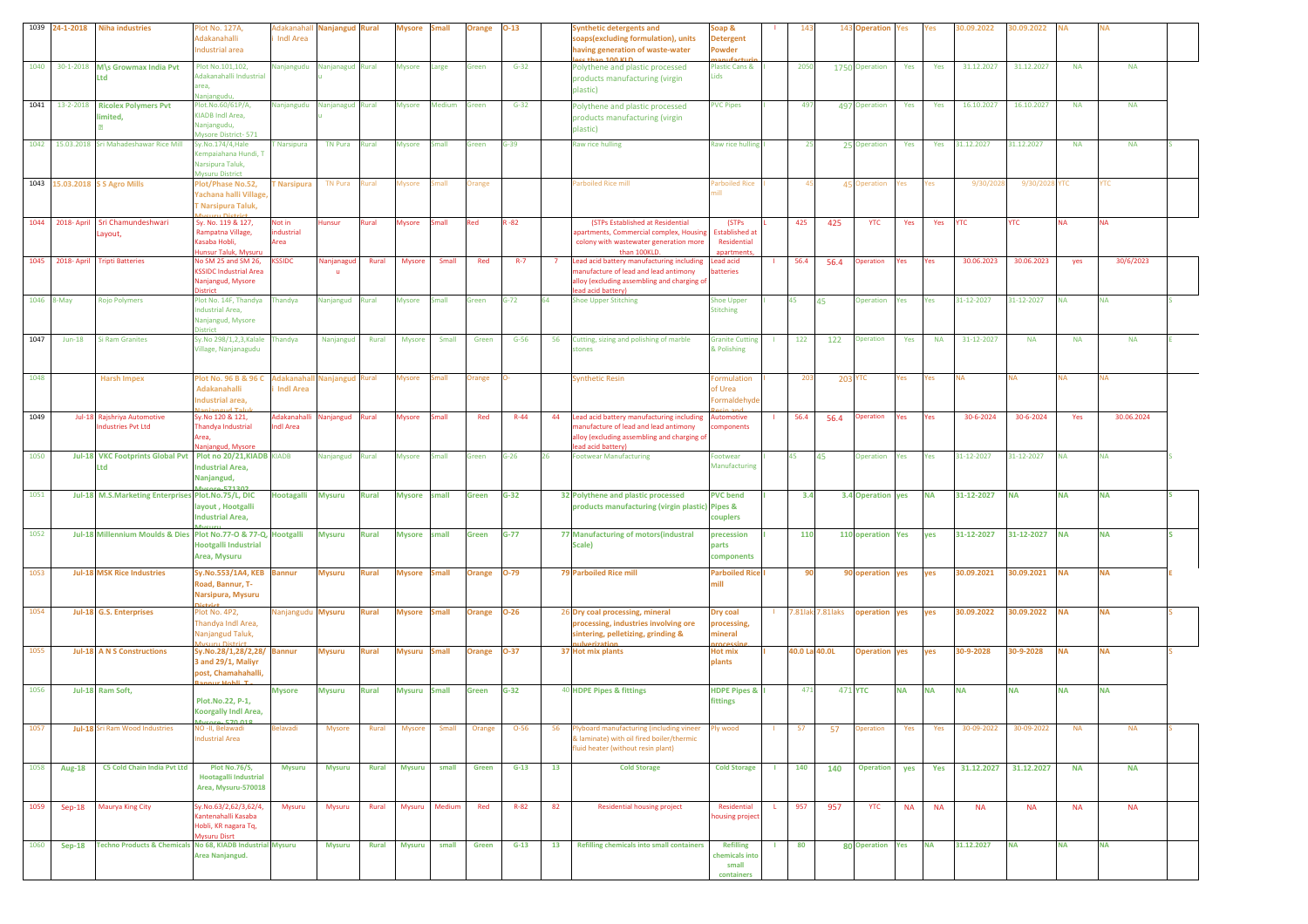|            | 1039 24-1-2018   | <b>Niha industries</b>                                             | lot No. 127A,<br>Adakanahalli<br>Industrial area                                           | Adakanahal<br><b>Indi Area</b> | <b>Nanjangud Rural</b> |              | Mysore              | imall        | Orange        | $D-13$       |    | Synthetic detergents and<br>soaps(excluding formulation), units<br>having generation of waste-water                                                    | Soap &<br><b>Detergent</b><br>Powder                        |                | 14             |                     | 143 Operation     | 'es       | Yes       | 0.09.2022  | 80.09.2022 |           |            |  |
|------------|------------------|--------------------------------------------------------------------|--------------------------------------------------------------------------------------------|--------------------------------|------------------------|--------------|---------------------|--------------|---------------|--------------|----|--------------------------------------------------------------------------------------------------------------------------------------------------------|-------------------------------------------------------------|----------------|----------------|---------------------|-------------------|-----------|-----------|------------|------------|-----------|------------|--|
| 1040       | 30-1-2018        | M\s Growmax India Pvt<br>Ltd                                       | Plot No.101,102,<br>Adakanahalli Industrial<br>area,<br>Nanjangudu                         | Nanjangudu                     | Nanjanagud Rural       |              | <b>Mysore</b>       | arge         | Green         | $G-32$       |    | Polythene and plastic processed<br>products manufacturing (virgin<br>plastic)                                                                          | <b>Plastic Cans &amp;</b><br>Lids                           |                | 2050           |                     | 1750 Operation    | Yes       | Yes       | 31.12.2027 | 31.12.2027 | <b>NA</b> | <b>NA</b>  |  |
| 1041       | 13-2-2018        | <b>Ricolex Polymers Pvt</b><br>limited,                            | Plot.No.60/61P/A,<br>KIADB Indl Area.<br>Nanjangudu,<br>Mysore District-571                | Nanjangudu                     | Nanjanagud Rural       |              | <b>Mysore</b>       | Medium       | Green         | $G-32$       |    | Polythene and plastic processed<br>products manufacturing (virgin<br>plastic)                                                                          | <b>PVC Pipes</b>                                            |                | 497            |                     | 497 Operation     | Yes       | Yes       | 16.10.2027 | 16.10.2027 | <b>NA</b> | <b>NA</b>  |  |
|            | 1042 15.03.2018  | Sri Mahadeshawar Rice Mill                                         | Sy.No.174/4, Hale<br>empaiahana Hundi, T<br>Varsipura Taluk,<br>Mysuru District            | <b>Narsipura</b>               | <b>TN Pura</b>         | Rural        | <b>Mysore</b>       | Small        | Green         | $G-39$       |    | Raw rice hulling                                                                                                                                       | Raw rice hulling                                            |                | 25             |                     | 25 Operation      | Yes       | Yes       | 31.12.2027 | 31.12.2027 | <b>NA</b> | <b>NA</b>  |  |
|            |                  | 1043 15.03.2018 S S Agro Mills                                     | Plot/Phase No.52,<br>Yachana halli Village<br><b>Narsipura Taluk,</b>                      | <b>Narsipura</b>               | <b>TN Pura</b>         | kural        | Mysore              | mall         | Orange        |              |    | Parboiled Rice mill                                                                                                                                    | arboiled Rice                                               |                |                |                     | 45 Operation      | 'es       | res       | 9/30/202   | 9/30/202   | тс        | тc         |  |
|            | 1044 2018- April | Sri Chamundeshwari<br>Layout,                                      | Sy. No. 119 & 127,<br>Rampatna Village,<br>Kasaba Hobli,<br>lunsur Taluk, Mysuru           | Not in<br>industrial<br>Area   | Hunsur                 | Rural        | <b>Mysore</b>       | small        | Red           | $1 - 82$     |    | (STPs Established at Residential<br>apartments, Commercial complex, Housing<br>colony with wastewater generation more<br>than 100KLD                   | (STPs<br><b>Established at</b><br>Residential<br>anartments |                | 425            | 425                 | <b>YTC</b>        | Yes       | Yes       | YTC        | <b>YTC</b> | <b>NA</b> | <b>NA</b>  |  |
|            | 1045 2018- April | <b>Tripti Batteries</b>                                            | No SM 25 and SM 26,<br><b>SSIDC Industrial Area</b><br>Vanjangud, Mysore<br>istrict        | <b>SSIDC</b>                   | Nanjanagud             | Rural        | <b>Mysore</b>       | Small        | Red           | $R-7$        | -7 | Lead acid battery manufacturing including<br>anufacture of lead and lead antimony<br>lloy (excluding assembling and charging of<br>ad acid battery)    | Lead acid<br>atteries                                       |                | 56.4           | 56.4                | Operation         | Yes       | Yes       | 30.06.2023 | 30.06.2023 | yes       | 30/6/2023  |  |
| 1046 8-May |                  | <b>Rojo Polymers</b>                                               | Plot No. 14F, Thandya<br>ndustrial Area,<br>Nanjangud, Mysore<br><b>District</b>           | Thandya                        | Nanjangud              | Rural        | <b>Mysore</b>       | imall        | Green         | $G-72$       |    | <b>Shoe Upper Stitching</b>                                                                                                                            | Shoe Upper<br><b>Stitching</b>                              |                | 45             | 45                  | Operation         | Yes       | Yes       | 31-12-2027 | 31-12-2027 | <b>NA</b> | <b>NA</b>  |  |
| 1047       | $Jun-18$         | <b>Si Ram Granites</b>                                             | Sy.No 298/1,2,3,Kalale<br>Village, Nanjanagudu                                             | Thandya                        | Nanjangud              | Rural        | <b>Mysore</b>       | Small        | Green         | $G-56$       | 56 | Cutting, sizing and polishing of marble<br>tones                                                                                                       | <b>Granite Cutting</b><br>& Polishing                       |                | 122            | 122                 | <b>Operation</b>  | Yes       | <b>NA</b> | 31-12-2027 | <b>NA</b>  | <b>NA</b> | <b>NA</b>  |  |
| 1048       |                  | <b>Harsh Impex</b>                                                 | Plot No. 96 B & 96 C<br><b>Adakanahalli</b><br>Industrial area.<br>أحتت المديمون           | Adakanaha<br><b>Indi Area</b>  | Nanjangud Rural        |              | Mysore              | mall         | <b>Irange</b> |              |    | <b>Synthetic Resin</b>                                                                                                                                 | ormulation<br>of Urea<br>Formaldehyde                       |                | 203            |                     | <b>203 YTC</b>    | 'es       | 'es       | NA         | NA         | <b>NA</b> | <b>NA</b>  |  |
| 1049       |                  | Jul-18 Rajshriya Automotive<br>ndustries Pvt Ltd                   | Sy.No 120 & 121,<br>Thandya Industrial<br>Area,<br>lanjangud, Mysore                       | Adakanahal<br><b>Indi Area</b> | Nanjangud              | Rural        | <b>Mysore</b>       | Small        | Red           | $R-44$       | 44 | Lead acid battery manufacturing including<br>nanufacture of lead and lead antimony<br>alloy (excluding assembling and charging of<br>ead acid battery) | Automotive<br>omponents                                     |                | 56.4           | 56.4                | <b>Operation</b>  | es /      | Yes       | 30-6-2024  | 30-6-2024  | Yes       | 30.06.2024 |  |
| 1050       |                  | Jul-18 VKC Footprints Global Pvt Plot no 20/21, KIADB KIADB<br>Ltd | <b>Industrial Area,</b><br>Nanjangud,                                                      |                                | Nanjangud              | Rural        | <b>Mysore</b>       | Small        | Green         | $G-26$<br>26 |    | <b>Footwear Manufacturing</b>                                                                                                                          | Footwear<br>Manufacturing                                   |                | 45             | 45                  | Operation         | Yes       | Yes       | 31-12-2027 | 31-12-2027 | <b>NA</b> | <b>NA</b>  |  |
| 1051       |                  | Jul-18 M.S.Marketing Enterprises Plot.No.75/L, DIC                 | layout, Hootgalli<br><b>Industrial Area,</b>                                               | <b>Hootagalli</b>              | <b>Mysuru</b>          | <b>Rural</b> | <b>Mysore</b>       | small        | Green         | $G-32$       |    | 32 Polythene and plastic processed<br>products manufacturing (virgin plastic) Pipes &                                                                  | <b>PVC bend</b><br>couplers                                 |                | 3.4            |                     | 3.4 Operation yes |           | <b>NA</b> | 31-12-2027 | <b>NA</b>  | <b>NA</b> | <b>NA</b>  |  |
| 1052       |                  | Jul-18 Millennium Moulds & Dies Plot No.77-O & 77-Q, Hootgalli     | Hootgalli Industrial<br>Area, Mysuru                                                       |                                | <b>Mysuru</b>          | <b>Rural</b> | <b>Mysore</b>       | small        | Green         | $G-77$       |    | 77 Manufacturing of motors(industral<br>Scale)                                                                                                         | precession<br>parts<br>components                           |                | 110            |                     | 110 operation Yes |           | yes       | 31-12-2027 | 31-12-2027 | <b>NA</b> | <b>NA</b>  |  |
| 1053       |                  | <b>Jul-18 MSK Rice Industries</b>                                  | Sy.No.553/1A4, KEB<br>Road, Bannur, T-<br>Narsipura, Mysuru                                | <b>Bannur</b>                  | <b>Mysuru</b>          | <b>Rural</b> | <b>Mysore</b> Small |              | <b>Drange</b> | 0-79         |    | 79 Parboiled Rice mill                                                                                                                                 | <b>Parboiled Rice</b><br>mill                               |                | 90             |                     | 90 operation      | yes       | yes       | 30.09.2021 | 30.09.2021 | NA        | <b>NA</b>  |  |
| 1054       |                  | Jul-18 G.S. Enterprises                                            | Plot No. 4P2,<br>Thandya Indl Area,<br>Nanjangud Taluk,                                    | Nanjangudu Mysuru              |                        | Rural        | <b>Mysore</b>       | <b>Small</b> | <b>Drange</b> | $-26$        |    | 26 Dry coal processing, mineral<br>processing, industries involving ore<br>sintering, pelletizing, grinding &                                          | Dry coal<br>processing,<br>nineral                          |                |                | 7.81 lak: 7.81 laks | operation         | yes       | yes       | 30.09.2022 | 30.09.2022 | ΝA        | <b>NA</b>  |  |
| 1055       |                  | Jul-18 A N S Constructions                                         | Sy.No.28/1,28/2,28/ Bannur<br>3 and 29/1, Maliyr<br>post, Chamahahalli                     |                                | <b>Mysuru</b>          | Rural        | Mysuru              | <b>Small</b> | <b>Drange</b> | <b>D-37</b>  |    | 37 Hot mix plants                                                                                                                                      | Hot mix<br>plants                                           |                | 40.0 Lal 40.0L |                     | <b>Operation</b>  | yes       | yes       | 30-9-2028  | 30-9-2028  | ΝA        | <b>NA</b>  |  |
| 1056       |                  | Jul-18 Ram Soft,                                                   | Plot.No.22, P-1,<br><b>Koorgally Indi Area,</b><br><b>E70.01</b>                           | <b>Mysore</b>                  | <b>Mysuru</b>          | Rural        | <b>Mysuru</b>       | <b>Small</b> | Green         | $G-32$       |    | 40 HDPE Pipes & fittings                                                                                                                               | <b>HDPE Pipes &amp;</b><br>fittings                         |                | 471            |                     | 471 YTC           | NA        | NA        | <b>NA</b>  | <b>NA</b>  | ΝA        | <b>NA</b>  |  |
| 1057       |                  | Jul-18 Sri Ram Wood Industries                                     | NO-II, Belawadi<br>ndustrial Area                                                          | Belavadi                       | Mysore                 | Rural        | <b>Mysore</b>       | Small        | Orange        | $O-56$       | 56 | lyboard manufacturing (including vineer<br>& laminate) with oil fired boiler/thermic<br>fluid heater (without resin plant)                             | Ply wood                                                    |                | 57             | 57                  | peration          | Yes       | Yes       | 30-09-2022 | 30-09-2022 | <b>NA</b> | <b>NA</b>  |  |
| 1058       | <b>Aug-18</b>    | C5 Cold Chain India Pvt Ltd                                        | <b>Plot No.76/S,</b><br><b>Hootagalli Industrial</b><br>Area, Mysuru-570018                | <b>Mysuru</b>                  | <b>Mysuru</b>          | Rural        | <b>Mysuru</b>       | small        | Green         | $G-13$       | 13 | <b>Cold Storage</b>                                                                                                                                    | <b>Cold Storage</b>                                         |                | 140            | 140                 | <b>Operation</b>  | yes       | Yes       | 31.12.2027 | 31.12.2027 | <b>NA</b> | <b>NA</b>  |  |
| 1059       | Sep-18           | <b>Maurya King City</b>                                            | Sy.No.63/2,62/3,62/4,<br>antenahalli Kasaba<br>Hobli, KR nagara Tq,<br><b>Mysuru Disrt</b> | Mysuru                         | Mysuru                 | Rural        | Mysuru Medium       |              | Red           | $R - 82$     | 82 | <b>Residential housing project</b>                                                                                                                     | Residential<br>housing project                              | $\mathsf{L}^-$ | 957            | 957                 | <b>YTC</b>        | <b>NA</b> | <b>NA</b> | <b>NA</b>  | <b>NA</b>  | <b>NA</b> | <b>NA</b>  |  |
| 1060       | $Sep-18$         | Techno Products & Chemicals No 68, KIADB Industrial Mysuru         | Area Nanjangud.                                                                            |                                | <b>Mysuru</b>          | <b>Rural</b> | <b>Mysuru</b>       | small        | Green         | $G-13$       | 13 | <b>Refilling chemicals into small containers</b>                                                                                                       | <b>Refilling</b><br>chemicals into<br>small<br>containers   | л.             | 80             |                     | 80 Operation Yes  |           | <b>NA</b> | 31.12.2027 | <b>NA</b>  | <b>NA</b> | <b>NA</b>  |  |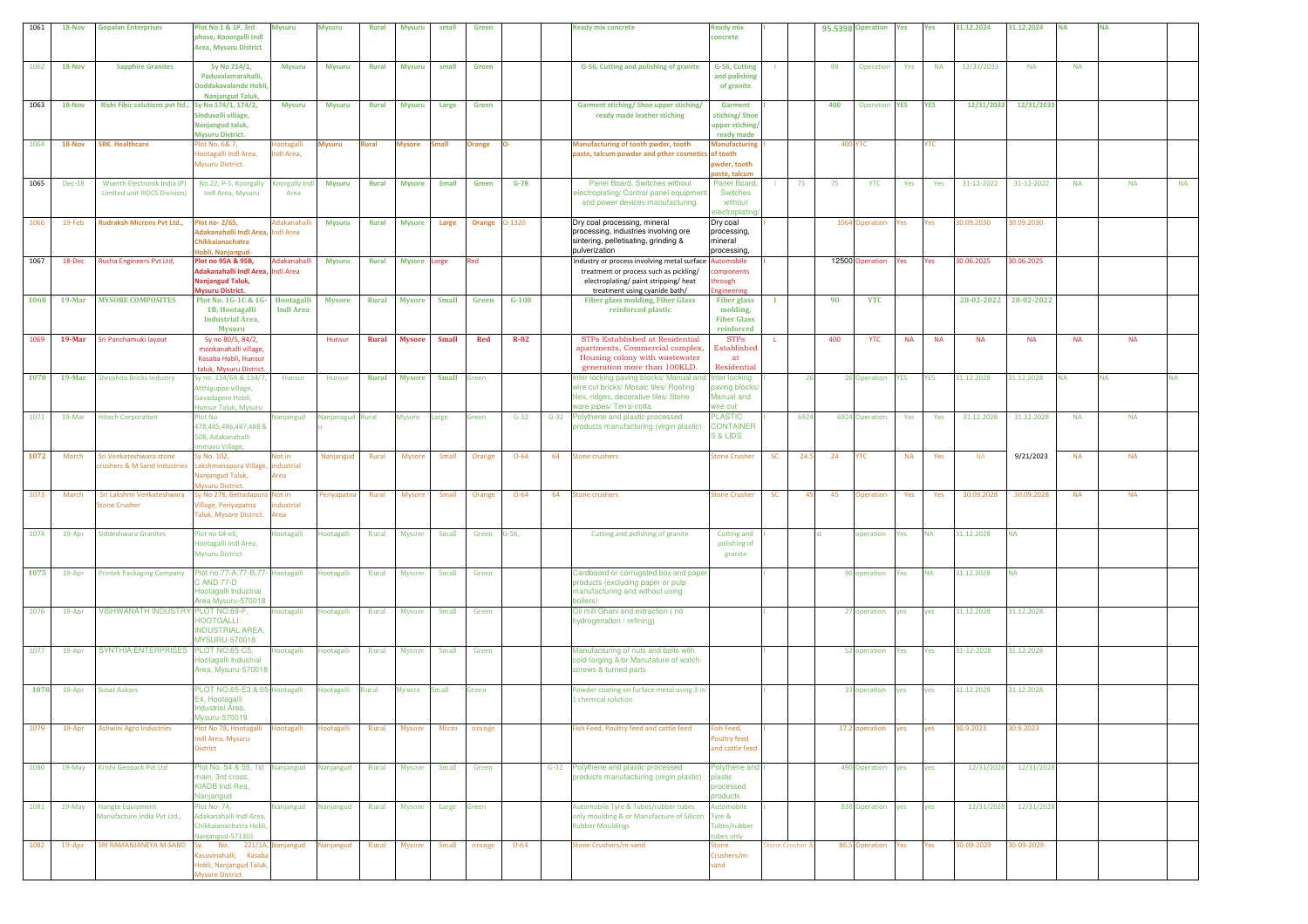| 1061 | 18-Nov        | <b>Gopalan Enterprises</b>                          | Plot No 1 & 1P. 3rd                                         | <b>Mysuru</b>     | <b>Mysuru</b>     | <b>Rural</b> | <b>Mysuru</b> | small        | Green  |          |        | Ready mix concrete                                                              | <b>Ready mix</b>                   |    |                |     | 95.5398 Operation    | Yes        | Yes        | 31.12.2024            | 31.12.2024 | ΝA        | <b>NA</b> |           |           |
|------|---------------|-----------------------------------------------------|-------------------------------------------------------------|-------------------|-------------------|--------------|---------------|--------------|--------|----------|--------|---------------------------------------------------------------------------------|------------------------------------|----|----------------|-----|----------------------|------------|------------|-----------------------|------------|-----------|-----------|-----------|-----------|
|      |               |                                                     | phase, Kooorgalli Indl                                      |                   |                   |              |               |              |        |          |        |                                                                                 | oncrete:                           |    |                |     |                      |            |            |                       |            |           |           |           |           |
|      |               |                                                     | <b>Area, Mysuru District</b>                                |                   |                   |              |               |              |        |          |        |                                                                                 |                                    |    |                |     |                      |            |            |                       |            |           |           |           |           |
|      |               |                                                     |                                                             |                   |                   |              |               | small        | Green  |          |        |                                                                                 | G-56, Cutting                      |    |                | 88  |                      |            | <b>NA</b>  |                       | <b>NA</b>  | <b>NA</b> |           |           |           |
| 1062 | 18-Nov        | <b>Sapphire Granites</b>                            | Sy No 214/1,<br>Paduvalamarahalli,                          | <b>Mysuru</b>     | <b>Mysuru</b>     | <b>Rural</b> | <b>Mysuru</b> |              |        |          |        | G-56, Cutting and polishing of granite                                          | and polishing                      |    |                |     | Operation            | Yes        |            | 12/31/2033            |            |           |           |           |           |
|      |               |                                                     | Doddakavalande Hobli,                                       |                   |                   |              |               |              |        |          |        |                                                                                 | of granite                         |    |                |     |                      |            |            |                       |            |           |           |           |           |
|      |               |                                                     | Nanjangud Taluk,                                            |                   |                   |              |               |              |        |          |        |                                                                                 |                                    |    |                |     |                      |            |            |                       |            |           |           |           |           |
| 1063 | 18-Nov        | Rishi Fibic solutions pvt ltd., Sy No 174/1, 174/2, |                                                             | <b>Mysuru</b>     | <b>Mysuru</b>     | Rural        | <b>Mysuru</b> | Large        | Green  |          |        | Garment stiching/ Shoe upper stiching/                                          | Garment                            |    |                | 400 | <b>Operation YES</b> |            | YES        | 12/31/2033            | 12/31/2033 |           |           |           |           |
|      |               |                                                     | Sinduvalli village,                                         |                   |                   |              |               |              |        |          |        | ready made leather stiching                                                     | stiching/Shoe                      |    |                |     |                      |            |            |                       |            |           |           |           |           |
|      |               |                                                     | Nanjangud taluk,                                            |                   |                   |              |               |              |        |          |        |                                                                                 | upper stiching/                    |    |                |     |                      |            |            |                       |            |           |           |           |           |
| 1064 | 18-Nov        | <b>SRK. Healthcare</b>                              | Mysuru District.<br>lot No. 6& 7,                           | <b>lootagalli</b> | Mysuru            | Rural        | <b>Mysore</b> | imall        | Orange |          |        | Manufacturing of tooth pwder, tooth                                             | ready made<br>Manufacturing        |    |                |     | <b>400 YTC</b>       |            | YTC        |                       |            |           |           |           |           |
|      |               |                                                     | lootagalli Indl Area,                                       | ndl Area,         |                   |              |               |              |        |          |        | paste, talcum powder and pther cosmetics                                        | of tooth                           |    |                |     |                      |            |            |                       |            |           |           |           |           |
|      |               |                                                     | Mysuru District.                                            |                   |                   |              |               |              |        |          |        |                                                                                 | owder, tooth                       |    |                |     |                      |            |            |                       |            |           |           |           |           |
|      |               |                                                     |                                                             |                   |                   |              |               |              |        |          |        |                                                                                 | aste, talcun                       |    |                |     |                      |            |            |                       |            |           |           |           |           |
| 1065 | <b>Dec-18</b> | Wuerth Electronik India (P)                         | No 22, P-5, Koorgally Koorgally In                          |                   | <b>Mysuru</b>     | <b>Rural</b> | <b>Mysore</b> | <b>Small</b> | Green  | $G-78$   |        | Panel Board, Switches without                                                   | Panel Board.                       |    | 75             | 75  | <b>YTC</b>           | Yes        | Yes        | 31-12-2022            | 31-12-2022 | <b>NA</b> |           | <b>NA</b> | <b>NA</b> |
|      |               | Limited unit III(ICS Division)                      | Indl Area, Mysuru                                           | Area              |                   |              |               |              |        |          |        | lectroplating/ Control panel equipmen                                           | Switches                           |    |                |     |                      |            |            |                       |            |           |           |           |           |
|      |               |                                                     |                                                             |                   |                   |              |               |              |        |          |        | and power devices manufacturing.                                                | without<br><b>electroplatin</b>    |    |                |     |                      |            |            |                       |            |           |           |           |           |
| 1066 | 19-Feb        | Rudraksh Microns Pvt Ltd.,                          | lot no- 2/65,                                               | Adakanahall       | <b>Mysuru</b>     | <b>Rural</b> | <b>Mysore</b> | Large        | Orange | 0-1320   |        | Dry coal processing, mineral                                                    | Dry coal                           |    |                |     | 1064 Operation       | Yes        | Yes        | 30.09.2030            | 0.09.2030  |           |           |           |           |
|      |               |                                                     | dakanahalli Indi Area, Indi Area                            |                   |                   |              |               |              |        |          |        | processing, industries involving ore                                            | processing,                        |    |                |     |                      |            |            |                       |            |           |           |           |           |
|      |               |                                                     | Chikkaianachatra                                            |                   |                   |              |               |              |        |          |        | sintering, pelletisating, grinding &                                            | mineral                            |    |                |     |                      |            |            |                       |            |           |           |           |           |
|      |               |                                                     | lobli, Naniangud-                                           |                   |                   |              |               |              |        |          |        | pulverization                                                                   | processing                         |    |                |     |                      |            |            |                       |            |           |           |           |           |
| 1067 | 18-Dec        | Rucha Engineers Pvt Ltd,                            | Plot no 95A & 95B,                                          | Adakanahal        | <b>Mysuru</b>     | <b>Rural</b> | Mysore Large  |              | Red    |          |        | Industry or process involving metal surface                                     | utomobile                          |    |                |     | 12500 Operation      | Yes        | Yes        | 30.06.2025            | 30.06.2025 |           |           |           |           |
|      |               |                                                     | dakanahalli Indi Area, Indi Area<br><b>Vanjangud Taluk,</b> |                   |                   |              |               |              |        |          |        | treatment or process such as pickling/<br>electroplating/ paint stripping/ heat | mponents                           |    |                |     |                      |            |            |                       |            |           |           |           |           |
|      |               |                                                     | <b>Aysuru District.</b>                                     |                   |                   |              |               |              |        |          |        | treatment using cyanide bath/                                                   | rough<br>zineerin                  |    |                |     |                      |            |            |                       |            |           |           |           |           |
| 1068 | $19$ -Mar     | <b>MYSORE COMPOSITES</b>                            | Plot No. 1G-1C & 1G- Hootagalli                             |                   | Mysore            | Rural        | <b>Mysore</b> | <b>Small</b> | Green  | $G-108$  |        | <b>Fiber glass molding, Fiber Glass</b>                                         | <b>Fiber glass</b>                 |    |                | 90  | <b>YTC</b>           |            |            | 28-02-2022 28-02-2022 |            |           |           |           |           |
|      |               |                                                     | 1B, Hootagalli                                              | <b>Indi Area</b>  |                   |              |               |              |        |          |        | reinforced plastic                                                              | molding,                           |    |                |     |                      |            |            |                       |            |           |           |           |           |
|      |               |                                                     | <b>Industrial Area,</b>                                     |                   |                   |              |               |              |        |          |        |                                                                                 | <b>Fiber Glass</b>                 |    |                |     |                      |            |            |                       |            |           |           |           |           |
|      |               |                                                     | Mysuru                                                      |                   |                   |              |               |              |        |          |        |                                                                                 | reinforced                         |    |                |     |                      |            |            |                       |            |           |           |           |           |
| 1069 | 19-Mar        | Sri Panchamuki layout                               | Sy no 80/5, 84/2,                                           |                   | Hunsur            | Rural        | <b>Mysore</b> | <b>Small</b> | Red    | $R-82$   |        | STPs Established at Residential<br>apartments, Commercial complex,              | <b>STPs</b><br>Established         |    |                | 400 | <b>YTC</b>           | <b>NA</b>  | <b>NA</b>  | <b>NA</b>             | <b>NA</b>  | <b>NA</b> |           | <b>NA</b> |           |
|      |               |                                                     | mookanahalli village,<br>Kasaba Hobli, Hunsur               |                   |                   |              |               |              |        |          |        | Housing colony with wastewater                                                  | at                                 |    |                |     |                      |            |            |                       |            |           |           |           |           |
|      |               |                                                     | taluk. Mysuru District                                      |                   |                   |              |               |              |        |          |        | generation more than 100KLD.                                                    | Residential                        |    |                |     |                      |            |            |                       |            |           |           |           |           |
| 1070 | $19$ -Mar     | <b>Shrushita Bricks Industry</b>                    | Sy no. 134/6A & 134/7,                                      | Hunsur            | Hunsur            | Rural        | <b>Mysore</b> | <b>Small</b> | Green  |          |        | Inter locking paving blocks/ Manual and                                         | nter locking                       |    | 26             |     | 26 Operation         | <b>YES</b> | <b>YES</b> | 31.12.2028            | 31.12.2028 | NA        | <b>NA</b> |           | <b>NA</b> |
|      |               |                                                     | tthiguppe village,                                          |                   |                   |              |               |              |        |          |        | vire cut bricks/ Mosaic tiles/ Roofing                                          | aving blocks                       |    |                |     |                      |            |            |                       |            |           |           |           |           |
|      |               |                                                     | Gavadagere Hobli,                                           |                   |                   |              |               |              |        |          |        | iles, ridges, decorative tiles/ Stone                                           | Manual and                         |    |                |     |                      |            |            |                       |            |           |           |           |           |
|      |               |                                                     | lunsur Taluk, Mysuru                                        |                   |                   |              |               |              |        |          |        | vare pipes/Terra-cotta                                                          | rire cut                           |    |                |     |                      |            |            |                       |            |           |           |           |           |
| 1071 | 19-Mar        | <b>Hitech Corporation</b>                           | Plot No<br>478,485,486,487,488 &                            | Nanjangud         | Nanjanagud Rural  |              | Mysore        | arge         | Green  | $G-32$   | $G-32$ | Polythene and plastic processed<br>products manufacturing (virgin plastic)      | <b>PLASTIC</b><br><b>CONTAINER</b> |    | 6924           |     | 6924 Operation       | Yes        | Yes        | 31.12.2028            | 31.12.2028 | <b>NA</b> |           | <b>NA</b> |           |
|      |               |                                                     | 508, Adakanahalli                                           |                   |                   |              |               |              |        |          |        |                                                                                 | <b>S &amp; LIDS</b>                |    |                |     |                      |            |            |                       |            |           |           |           |           |
|      |               |                                                     | nmavu Village,                                              |                   |                   |              |               |              |        |          |        |                                                                                 |                                    |    |                |     |                      |            |            |                       |            |           |           |           |           |
| 1072 | March         | Sri Venkateshwara stone                             | Sy No. 102,                                                 | Not in            | Nanjanguo         | Rural        | Mysore        | Small        | Orange | $O - 64$ | 64     | itone crushers                                                                  | <b>Stone Crusher</b>               | SC | 24.5           | 24  | <b>YTC</b>           | <b>NA</b>  | Yes        | <b>NA</b>             | 9/21/2023  | <b>NA</b> |           | <b>NA</b> |           |
|      |               | crushers & M Sand industries                        | akshmanapura Village, industrial                            |                   |                   |              |               |              |        |          |        |                                                                                 |                                    |    |                |     |                      |            |            |                       |            |           |           |           |           |
|      |               |                                                     | lanjangud Taluk,                                            | Area              |                   |              |               |              |        |          |        |                                                                                 |                                    |    |                |     |                      |            |            |                       |            |           |           |           |           |
| 1073 | March         | Sri Lakshmi Venkateshwara                           | <b>Avsuru District.</b><br>y No 278, Bettadapura Not in     |                   | eriyapatna        | Rural        | Mysore        | Small        | Orange | $O - 64$ | 64     | tone crushers                                                                   | <b>Stone Crusher</b>               | SC | 45             | 45  | Operation            | Yes        | Yes        | 30.09.2028            | 30.09.2028 | <b>NA</b> |           | <b>NA</b> |           |
|      |               | tone Crusher                                        | 'illage, Periyapatna                                        | dustrial          |                   |              |               |              |        |          |        |                                                                                 |                                    |    |                |     |                      |            |            |                       |            |           |           |           |           |
|      |               |                                                     | <b>Taluk, Mysore District.</b>                              | Area              |                   |              |               |              |        |          |        |                                                                                 |                                    |    |                |     |                      |            |            |                       |            |           |           |           |           |
|      |               |                                                     |                                                             |                   |                   |              |               |              |        |          |        |                                                                                 |                                    |    |                |     |                      |            |            |                       |            |           |           |           |           |
| 1074 | 19-Apr        | <b>Siddeshwara Granites</b>                         | lot no 64-e6,                                               | lootagalli        | <b>Hootagalli</b> | Rural        | Mysore        | Small        | Green  | $G-56$   |        | Cutting and polishing of granite                                                | <b>Cutting and</b>                 |    |                |     | operation            | Yes        | ΝA         | 31.12.2028            | NA         |           |           |           |           |
|      |               |                                                     | Hootagalli Indl Area,                                       |                   |                   |              |               |              |        |          |        |                                                                                 | polishing of                       |    |                |     |                      |            |            |                       |            |           |           |           |           |
|      |               |                                                     | <b>Mysuru District</b>                                      |                   |                   |              |               |              |        |          |        |                                                                                 | granite                            |    |                |     |                      |            |            |                       |            |           |           |           |           |
| 1075 | 19-Apr        | <b>Printek Packaging Company</b>                    | Plot no.77-A,77-B,77- Hootagalli                            |                   | <b>Hootagalli</b> | Rural        | <b>Mysore</b> | Small        | Green  |          |        | Cardboard or corrugated box and paper                                           |                                    |    |                |     | 90 operation         | Yes        | <b>NA</b>  | 31.12.2028            | <b>NA</b>  |           |           |           |           |
|      |               |                                                     | C AND 77-D                                                  |                   |                   |              |               |              |        |          |        | products (excluding paper or pulp                                               |                                    |    |                |     |                      |            |            |                       |            |           |           |           |           |
|      |               |                                                     | Hootagalli Industrial                                       |                   |                   |              |               |              |        |          |        | manufacturing and without using                                                 |                                    |    |                |     |                      |            |            |                       |            |           |           |           |           |
|      |               |                                                     | Area Mysuru-570018                                          |                   |                   |              |               |              |        |          |        | boilers)                                                                        |                                    |    |                |     |                      |            |            |                       |            |           |           |           |           |
| 1076 | 19-Apr        | VISHWANATH INDUSTRY PLOT NO.69-F,                   | <b>IOOTGALLI</b>                                            | Hootagalli        | Hootagalli        | Rural        | <b>Mysore</b> | Small        | Green  |          |        | Oil mill Ghani and extraction (no<br>hydrogenation / refining)                  |                                    |    |                |     | 27 operation         | yes        | yes        | 31.12.2028            | 31.12.2028 |           |           |           |           |
|      |               |                                                     | <b>NDUSTRIAL AREA</b>                                       |                   |                   |              |               |              |        |          |        |                                                                                 |                                    |    |                |     |                      |            |            |                       |            |           |           |           |           |
|      |               |                                                     | MYSURU-570018                                               |                   |                   |              |               |              |        |          |        |                                                                                 |                                    |    |                |     |                      |            |            |                       |            |           |           |           |           |
| 1077 | 19-Apr        | <b>SYNTHIA ENTERPRISES</b>                          | <b>PLOT NO.65-C5,</b>                                       | Hootagalli        | Hootagalli        | Rural        | <b>Mysore</b> | Small        | Green  |          |        | Manufacturing of nuts and bolts with                                            |                                    |    |                |     | 52 operation         | Yes        | Yes        | 31-12-2028            | 31.12.2028 |           |           |           |           |
|      |               |                                                     | Hootagalli Industrial                                       |                   |                   |              |               |              |        |          |        | cold forging &/or Manufature of watch                                           |                                    |    |                |     |                      |            |            |                       |            |           |           |           |           |
|      |               |                                                     | Area, Mysuru-570018                                         |                   |                   |              |               |              |        |          |        | screws & turned parts                                                           |                                    |    |                |     |                      |            |            |                       |            |           |           |           |           |
| 1078 | 19-Apr        | <b>Susat Aakars</b>                                 | PLOT NO.65-E3 & 65-Hootagalli                               |                   | Hootagalli        | Rural        | <b>Mysore</b> | Small        |        |          |        | Powder coating on furface metal using 3 in                                      |                                    |    |                |     | 33 operation         |            |            | 31.12.2028            | 31.12.2028 |           |           |           |           |
|      |               |                                                     | E4, Hootagalli                                              |                   |                   |              |               |              | Green  |          |        | L chemical solution                                                             |                                    |    |                |     |                      | yes        | yes        |                       |            |           |           |           |           |
|      |               |                                                     | <b>Industrial Area,</b>                                     |                   |                   |              |               |              |        |          |        |                                                                                 |                                    |    |                |     |                      |            |            |                       |            |           |           |           |           |
|      |               |                                                     | lysuru-570019                                               |                   |                   |              |               |              |        |          |        |                                                                                 |                                    |    |                |     |                      |            |            |                       |            |           |           |           |           |
| 1079 | 19-Apr        | <b>Ashwini Agro Industries</b>                      | lot No 78, Hootagalli                                       | Hootagalli        | <b>lootagalli</b> | Rural        | Mysore        | Micro        | orange |          |        | ish Feed, Poultry feed and cattle feed                                          | ish Feed,                          |    |                |     | 17.2 operation       | yes        | yes        | 30.9.2023             | 30.9.2023  |           |           |           |           |
|      |               |                                                     | ndl Area, Mysuru                                            |                   |                   |              |               |              |        |          |        |                                                                                 | Poultry feed                       |    |                |     |                      |            |            |                       |            |           |           |           |           |
|      |               |                                                     | District                                                    |                   |                   |              |               |              |        |          |        |                                                                                 | and cattle feed                    |    |                |     |                      |            |            |                       |            |           |           |           |           |
| 1080 | 19-May        | Krishi Geopack Pvt Ltd                              | Plot No. 54 & 55, 1st Nanjangud                             |                   | Nanjangud         | Rural        | <b>Mysore</b> | Small        | Green  |          |        | G-32 Polythene and plastic processed                                            | Polythene and                      |    |                |     | 490 Operation yes    |            | yes        | 12/31/2028            | 12/31/2028 |           |           |           |           |
|      |               |                                                     | main, 3rd cross,                                            |                   |                   |              |               |              |        |          |        | products manufacturing (virgin plastic)                                         | plastic                            |    |                |     |                      |            |            |                       |            |           |           |           |           |
|      |               |                                                     | KIADB Indi Rea,                                             |                   |                   |              |               |              |        |          |        |                                                                                 | processed                          |    |                |     |                      |            |            |                       |            |           |           |           |           |
|      |               |                                                     | Nanjangud                                                   |                   |                   |              |               |              |        |          |        |                                                                                 | products                           |    |                |     |                      |            |            |                       |            |           |           |           |           |
| 1081 | 19-May        | <b>Hangte Equipment</b>                             | Plot No-74,                                                 | Nanjangud         | Nanjangud         | Rural        | Mysore        | Large        | Green  |          |        | Automobile Tyre & Tubes/rubber tubes                                            | Automobile                         |    |                |     | 838 Operation yes    |            | yes        | 12/31/2028            | 12/31/2028 |           |           |           |           |
|      |               | Manufacture India Pvt Ltd.,                         | dakanahalli Indl Area,<br>Chikkaianachatra Hobli,           |                   |                   |              |               |              |        |          |        | only moulding & or Manufacture of Silicon<br><b>Rubber Mouldings</b>            | Tyre &<br>Tubes/rubber             |    |                |     |                      |            |            |                       |            |           |           |           |           |
|      |               |                                                     | Vanjangud-571301                                            |                   |                   |              |               |              |        |          |        |                                                                                 | ubes only                          |    |                |     |                      |            |            |                       |            |           |           |           |           |
| 1082 | 19-Apr        | SRI RAMANJANEYA M-SAND                              | y. No. 221/1A, Nanjangud                                    |                   | Nanjangud         | Rural        | Mysore        | Small        | orange | $0 - 64$ |        | Stone Crushers/m-sand                                                           | itone                              |    | tone Crusher 8 |     | 86.5 Operation       | Yes        | Yes        | 30-09-2029            | 30-09-2029 |           |           |           |           |
|      |               |                                                     | Kasuvinahalli, Kasaba                                       |                   |                   |              |               |              |        |          |        |                                                                                 | Crushers/m-                        |    |                |     |                      |            |            |                       |            |           |           |           |           |
|      |               |                                                     | Hobli, Nanjangud Taluk,                                     |                   |                   |              |               |              |        |          |        |                                                                                 | and                                |    |                |     |                      |            |            |                       |            |           |           |           |           |
|      |               |                                                     | <b>Aysore District</b>                                      |                   |                   |              |               |              |        |          |        |                                                                                 |                                    |    |                |     |                      |            |            |                       |            |           |           |           |           |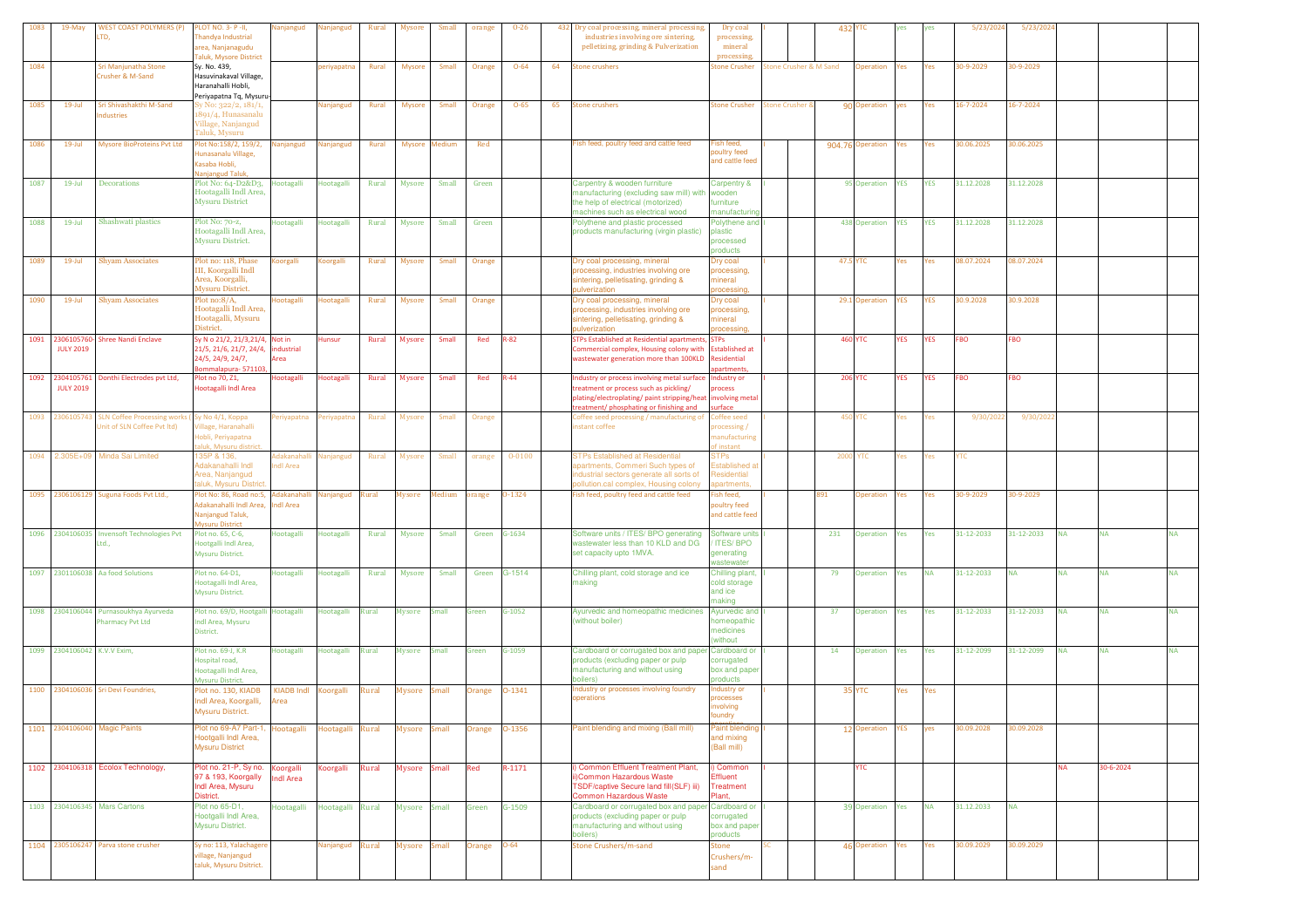| 1083 | 19-May                      | <b>WEST COAST POLYMERS (P)</b>             | LOT NO. 3- P-II,                                             | Nanjangud         | lanjangud         | Rural | Mysore        | Small         | orange     | $0 - 26$   |    | 432 Dry coal processing, mineral processing                                | Dry coal                       |                            |                       | 432      | тс               | yes        |            | 5/23/202   | 5/23/202   |           |           |           |
|------|-----------------------------|--------------------------------------------|--------------------------------------------------------------|-------------------|-------------------|-------|---------------|---------------|------------|------------|----|----------------------------------------------------------------------------|--------------------------------|----------------------------|-----------------------|----------|------------------|------------|------------|------------|------------|-----------|-----------|-----------|
|      |                             | .TD,                                       | handya Industrial                                            |                   |                   |       |               |               |            |            |    | industries involving ore sintering.                                        | processing,                    |                            |                       |          |                  |            |            |            |            |           |           |           |
|      |                             |                                            | rea, Nanjanagudu                                             |                   |                   |       |               |               |            |            |    | pelletizing, grinding & Pulverization                                      | mineral                        |                            |                       |          |                  |            |            |            |            |           |           |           |
|      |                             |                                            | aluk, Mysore District                                        |                   |                   |       |               |               |            |            |    |                                                                            | processing                     |                            |                       |          |                  |            |            |            |            |           |           |           |
| 1084 |                             | Sri Manjunatha Stone                       | Sy. No. 439,                                                 |                   | periyapatna       | Rural | Mysore        | Small         | Orange     | $O - 64$   | 64 | stone crushers                                                             | tone Crusher                   |                            | tone Crusher & M Sand |          | Operation        | Yes        | Yes        | 30-9-2029  | 30-9-2029  |           |           |           |
|      |                             | Crusher & M-Sand                           | Hasuvinakaval Village,                                       |                   |                   |       |               |               |            |            |    |                                                                            |                                |                            |                       |          |                  |            |            |            |            |           |           |           |
|      |                             |                                            | Haranahalli Hobli,                                           |                   |                   |       |               |               |            |            |    |                                                                            |                                |                            |                       |          |                  |            |            |            |            |           |           |           |
|      |                             |                                            | Periyapatna Tq, Mysuru-                                      |                   |                   |       |               |               |            |            |    |                                                                            |                                |                            |                       |          |                  |            |            |            |            |           |           |           |
| 1085 | $19$ -Jul                   | Sri Shivashakthi M-Sand<br>ndustries       | šy No: 322/2, 181/1,<br>891/4, Hunasanalu                    |                   | Nanjangud         | Rural | <b>Mysore</b> | Small         | Orange     | $O - 65$   | 65 | stone crushers                                                             | tone Crusher                   | <b>Stone Crusher &amp;</b> |                       |          | 90 Operation     | yes        | Yes        | 16-7-2024  | 16-7-2024  |           |           |           |
|      |                             |                                            | Village, Nanjangud                                           |                   |                   |       |               |               |            |            |    |                                                                            |                                |                            |                       |          |                  |            |            |            |            |           |           |           |
|      |                             |                                            | Taluk, Mysuru                                                |                   |                   |       |               |               |            |            |    |                                                                            |                                |                            |                       |          |                  |            |            |            |            |           |           |           |
| 1086 | $19$ -Jul                   | <b>Mysore BioProteins Pvt Ltd</b>          | lot No:158/2, 159/2,                                         | Nanjangud         | Nanjangud         | Rural | Mysore Medium |               | Red        |            |    | Fish feed, poultry feed and cattle feed                                    | ish feed.                      |                            |                       |          | 904.76 Operation | Yes        | Yes        | 30.06.2025 | 30.06.2025 |           |           |           |
|      |                             |                                            | lunasanalu Village,                                          |                   |                   |       |               |               |            |            |    |                                                                            | boultry feed                   |                            |                       |          |                  |            |            |            |            |           |           |           |
|      |                             |                                            | asaba Hobli,                                                 |                   |                   |       |               |               |            |            |    |                                                                            | and cattle feed                |                            |                       |          |                  |            |            |            |            |           |           |           |
|      |                             |                                            | anjangud Taluk                                               |                   |                   |       |               |               |            |            |    |                                                                            |                                |                            |                       |          |                  |            |            |            |            |           |           |           |
| 1087 | $19 -$ Jul                  | <b>Decorations</b>                         | Plot No: 64-D2&D3,                                           | Hootagalli        | Hootagalli        | Rural | <b>Mysore</b> | Small         | Green      |            |    | Carpentry & wooden furniture                                               | Carpentry &                    |                            |                       |          | 95 Operation     | <b>YES</b> | <b>YES</b> | 31.12.2028 | 31.12.2028 |           |           |           |
|      |                             |                                            | Hootagalli Indl Area,                                        |                   |                   |       |               |               |            |            |    | nanufacturing (excluding saw mill) with wooden                             |                                |                            |                       |          |                  |            |            |            |            |           |           |           |
|      |                             |                                            | <b>Mysuru District</b>                                       |                   |                   |       |               |               |            |            |    | the help of electrical (motorized)                                         | furniture                      |                            |                       |          |                  |            |            |            |            |           |           |           |
|      |                             |                                            |                                                              |                   |                   |       |               |               |            |            |    | machines such as electrical wood                                           | manufacturin                   |                            |                       |          |                  |            |            |            |            |           |           |           |
| 1088 | $19 -$ Jul                  | Shashwati plastics                         | Plot No: 70-2,                                               | Hootagalli        | Hootagalli        | Rural | <b>Mysore</b> | Small         | Green      |            |    | Polythene and plastic processed<br>products manufacturing (virgin plastic) | Polythene and                  |                            |                       |          | 438 Operation    | <b>YES</b> | <b>YES</b> | 31.12.2028 | 31.12.2028 |           |           |           |
|      |                             |                                            | Hootagalli Indl Area,<br><b>Mysuru District.</b>             |                   |                   |       |               |               |            |            |    |                                                                            | plastic<br>processed           |                            |                       |          |                  |            |            |            |            |           |           |           |
|      |                             |                                            |                                                              |                   |                   |       |               |               |            |            |    |                                                                            | products                       |                            |                       |          |                  |            |            |            |            |           |           |           |
| 1089 | $19$ -Jul                   | <b>Shyam Associates</b>                    | Plot no: 118, Phase                                          | Koorgalli         | Koorgalli         | Rural | Mysore        | Small         | Orange     |            |    | Dry coal processing, mineral                                               | Dry coal                       |                            |                       |          | 47.5 YTC         | Yes        | Yes        | 08.07.2024 | 08.07.2024 |           |           |           |
|      |                             |                                            | III, Koorgalli Indl                                          |                   |                   |       |               |               |            |            |    | rocessing, industries involving ore                                        | processing                     |                            |                       |          |                  |            |            |            |            |           |           |           |
|      |                             |                                            | Area, Koorgalli,                                             |                   |                   |       |               |               |            |            |    | intering, pelletisating, grinding &                                        | nineral                        |                            |                       |          |                  |            |            |            |            |           |           |           |
|      |                             |                                            | Mysuru District.                                             |                   |                   |       |               |               |            |            |    | ulverization                                                               | rocessing                      |                            |                       |          |                  |            |            |            |            |           |           |           |
| 1090 | $19$ -Jul                   | <b>Shyam Associates</b>                    | $Plot$ no: $8/A$ ,                                           | ootagalli         | <b>lootagalli</b> | Rural | Mysore        | Small         | Orange     |            |    | Dry coal processing, mineral                                               | Dry coal                       |                            |                       |          | 29.1 Operation   | YES        | YES        | 30.9.2028  | 30.9.2028  |           |           |           |
|      |                             |                                            | Iootagalli Indl Area,                                        |                   |                   |       |               |               |            |            |    | processing, industries involving ore                                       | processing.                    |                            |                       |          |                  |            |            |            |            |           |           |           |
|      |                             |                                            | Hootagalli, Mysuru                                           |                   |                   |       |               |               |            |            |    | sintering, pelletisating, grinding &                                       | nineral                        |                            |                       |          |                  |            |            |            |            |           |           |           |
|      |                             |                                            | District.                                                    |                   |                   |       |               |               |            |            |    | pulverization                                                              | rocessing                      |                            |                       |          |                  |            |            |            |            |           |           |           |
| 1091 | 2306105760-                 | <b>Shree Nandi Enclave</b>                 | Sy N o 21/2, 21/3, 21/4, Not in                              |                   | <b>Hunsur</b>     | Rural | <b>Mysore</b> | Small         | Red        | $R-82$     |    | <b>STPs Established at Residential apartments</b>                          | <b>STPs</b>                    |                            |                       |          | <b>460 YTC</b>   | <b>YES</b> | YES        | <b>FBO</b> | FBO        |           |           |           |
|      | <b>JULY 2019</b>            |                                            | 21/5, 21/6, 21/7, 24/4, industrial                           |                   |                   |       |               |               |            |            |    | Commercial complex, Housing colony with                                    | Established at                 |                            |                       |          |                  |            |            |            |            |           |           |           |
|      |                             |                                            | 24/5, 24/9, 24/7,                                            | Area              |                   |       |               |               |            |            |    | wastewater generation more than 100KLD                                     | Residential<br>artment         |                            |                       |          |                  |            |            |            |            |           |           |           |
|      | 1092 2304105761             | Donthi Electrodes pvt Ltd,                 | ommalapura-57110<br>lot no 70, Z1,                           | Hootagalli        | Hootagalli        | Rural | Mysore        | Small         | Red        | $R - 44$   |    | Industry or process involving metal surface                                | Industry or                    |                            |                       |          | <b>206 YTC</b>   | <b>YES</b> | <b>YES</b> | <b>FBO</b> | <b>FBO</b> |           |           |           |
|      | <b>JULY 2019</b>            |                                            | lootagalli Indl Area                                         |                   |                   |       |               |               |            |            |    | treatment or process such as pickling/                                     | rocess                         |                            |                       |          |                  |            |            |            |            |           |           |           |
|      |                             |                                            |                                                              |                   |                   |       |               |               |            |            |    | plating/electroplating/ paint stripping/heat                               | involving metal                |                            |                       |          |                  |            |            |            |            |           |           |           |
|      |                             |                                            |                                                              |                   |                   |       |               |               |            |            |    | treatment/ phosphating or finishing and                                    | urface                         |                            |                       |          |                  |            |            |            |            |           |           |           |
| 1093 | 230610574                   | <b>SLN Coffee Processing works</b>         | у No 4/1, Корра                                              | Periyapatna       | Periyapatna       | Rural | <b>Mysore</b> | Small         | Orange     |            |    | offee seed processing / manufacturing of                                   | Coffee seed                    |                            |                       |          | <b>450 YTC</b>   | 'es        | 'es        | 9/30/202   | 9/30/202   |           |           |           |
|      |                             | Init of SLN Coffee Pvt ltd)                | 'illage, Haranahalli                                         |                   |                   |       |               |               |            |            |    | nstant coffee                                                              | processing/                    |                            |                       |          |                  |            |            |            |            |           |           |           |
|      |                             |                                            | lobli, Periyapatna                                           |                   |                   |       |               |               |            |            |    |                                                                            | nanufacturin                   |                            |                       |          |                  |            |            |            |            |           |           |           |
|      |                             |                                            | lluk. Mysuru distric                                         |                   |                   |       |               |               |            |            |    |                                                                            | f instant                      |                            |                       |          |                  |            |            |            |            |           |           |           |
| 1094 | 2.305E+09                   | Minda Sai Limited                          | 35P & 136,                                                   | Adakanahal        | Vanjangud         | Rural | Mysore        | Small         | orange     | $0 - 0100$ |    | <b>STPs Established at Residential</b>                                     | <b>STPs</b>                    |                            |                       | 2000 YTC |                  | 'es        | es         | mс.        |            |           |           |           |
|      |                             |                                            | dakanahalli Indl                                             | ndl Area          |                   |       |               |               |            |            |    | partments, Commeri Such types of                                           | stablished a                   |                            |                       |          |                  |            |            |            |            |           |           |           |
|      |                             |                                            | Area, Nanjangud<br>aluk. Mysuru Distric                      |                   |                   |       |               |               |            |            |    | ndustrial sectors generate all sorts of                                    | Residential<br><b>artments</b> |                            |                       |          |                  |            |            |            |            |           |           |           |
|      |                             |                                            |                                                              |                   |                   |       |               |               |            |            |    | ollution.cal complex, Housing colony                                       |                                |                            |                       |          |                  |            |            |            |            |           |           |           |
|      |                             | 1095 2306106129 Suguna Foods Pvt Ltd.,     | lot No: 86, Road no:5, Adakanahall<br>dakanahalli Indl Area, | ndl Area          | Nanjangud         | Rural | Mysore        | <b>Iedium</b> | orange     | 0-1324     |    | ish feed, poultry feed and cattle feed                                     | ish feed,                      |                            |                       | 891      | Operation        | 'es        | Yes        | 30-9-2029  | 30-9-2029  |           |           |           |
|      |                             |                                            | Nanjangud Taluk,                                             |                   |                   |       |               |               |            |            |    |                                                                            | oultry feed<br>and cattle feed |                            |                       |          |                  |            |            |            |            |           |           |           |
|      |                             |                                            | <b>Aysuru District</b>                                       |                   |                   |       |               |               |            |            |    |                                                                            |                                |                            |                       |          |                  |            |            |            |            |           |           |           |
|      |                             | 1096 2304106035 Invensoft Technologies Pvt | Plot no. 65, C-6,                                            | <b>lootagalli</b> | Hootagalli        | Rural | <b>Mysore</b> | Small         | Green      | G-1634     |    | Software units / ITES/ BPO generating                                      | Software units                 |                            |                       | 231      | Operation        | Yes        | Yes        | 31-12-2033 | 31-12-2033 | <b>NA</b> | <b>NA</b> | NA        |
|      |                             | Ltd                                        | lootgalli Indl Area,                                         |                   |                   |       |               |               |            |            |    | vastewater less than 10 KLD and DG                                         | <b>ITES/BPO</b>                |                            |                       |          |                  |            |            |            |            |           |           |           |
|      |                             |                                            | Mysuru District.                                             |                   |                   |       |               |               |            |            |    | set capacity upto 1MVA.                                                    | generating                     |                            |                       |          |                  |            |            |            |            |           |           |           |
|      |                             |                                            |                                                              |                   |                   |       |               |               |            |            |    |                                                                            | wastewater                     |                            |                       |          |                  |            |            |            |            |           |           |           |
|      |                             | 1097 2301106038 Aa food Solutions          | Plot no. 64-D1,                                              | Hootagalli        | Hootagalli        | Rural | Mysore        | Small         | Green      | G-1514     |    | Chilling plant, cold storage and ice                                       | Chilling plant,                |                            |                       | 79       | Operation Yes    |            | <b>NA</b>  | 31-12-2033 | <b>NA</b>  | <b>NA</b> | <b>NA</b> | <b>NA</b> |
|      |                             |                                            | lootagalli Indl Area,                                        |                   |                   |       |               |               |            |            |    | naking                                                                     | cold storage                   |                            |                       |          |                  |            |            |            |            |           |           |           |
|      |                             |                                            | Mysuru District.                                             |                   |                   |       |               |               |            |            |    |                                                                            | and ice<br>naking              |                            |                       |          |                  |            |            |            |            |           |           |           |
|      |                             | 1098 2304106044 Purnasoukhya Ayurveda      | lot no. 69/D, Hootgalli Hootagalli                           |                   | Hootagalli        | Rural | Mysore        | Small         | Green      | $G-1052$   |    | Ayurvedic and homeopathic medicines                                        | Ayurvedic and                  |                            |                       | 37       | Operation        | Yes        | Yes        | 31-12-2033 | 31-12-2033 | NA        | <b>NA</b> | NA        |
|      |                             | Pharmacy Pvt Ltd                           | indl Area, Mysuru                                            |                   |                   |       |               |               |            |            |    | (without boiler)                                                           | <b>nomeopathic</b>             |                            |                       |          |                  |            |            |            |            |           |           |           |
|      |                             |                                            | District.                                                    |                   |                   |       |               |               |            |            |    |                                                                            | nedicines                      |                            |                       |          |                  |            |            |            |            |           |           |           |
|      |                             |                                            |                                                              |                   |                   |       |               |               |            |            |    |                                                                            | without                        |                            |                       |          |                  |            |            |            |            |           |           |           |
|      | 1099 2304106042 K.V.V Exim, |                                            | Plot no. 69-J. K.R.                                          | Hootagalli        | Hootagalli        | Rural | <b>Mysore</b> | Small         | Green      | $G-1059$   |    | Cardboard or corrugated box and paper                                      | <b>Cardboard or</b>            |                            |                       | 14       | Operation        | Yes        | Yes        | 31-12-2099 | 31-12-2099 | <b>NA</b> | <b>NA</b> | <b>NA</b> |
|      |                             |                                            | lospital road,                                               |                   |                   |       |               |               |            |            |    | products (excluding paper or pulp                                          | corrugated                     |                            |                       |          |                  |            |            |            |            |           |           |           |
|      |                             |                                            | Hootagalli Indl Area,                                        |                   |                   |       |               |               |            |            |    | manufacturing and without using                                            | box and pape                   |                            |                       |          |                  |            |            |            |            |           |           |           |
|      |                             |                                            | Mysuru District.                                             |                   |                   |       |               |               |            |            |    | boilers)                                                                   | products                       |                            |                       |          |                  |            |            |            |            |           |           |           |
|      |                             | 1100 2304106036 Sri Devi Foundries,        | lot no. 130, KIADB                                           | <b>KIADB Indl</b> | Koorgalli         | Rural | Mysore        | Small         | Orange     | 0-1341     |    | ndustry or processes involving foundry<br>perations                        | ndustry or                     |                            |                       |          | 35 YTC           | Yes        | Yes        |            |            |           |           |           |
|      |                             |                                            | Indl Area, Koorgalli,                                        | Area              |                   |       |               |               |            |            |    |                                                                            | processes<br><b>volving</b>    |                            |                       |          |                  |            |            |            |            |           |           |           |
|      |                             |                                            | Mysuru District.                                             |                   |                   |       |               |               |            |            |    |                                                                            | undry                          |                            |                       |          |                  |            |            |            |            |           |           |           |
|      |                             | 2304106040 Magic Paints                    | lot no 69-A7 Part-1, Hootagalli                              |                   |                   |       |               |               |            | 0-1356     |    | Paint blending and mixing (Ball mill)                                      | aint blending                  |                            |                       |          | 12 Operation     | <b>YES</b> | yes        | 30.09.2028 | 0.09.2028  |           |           |           |
| 1101 |                             |                                            | lootgalli Indl Area,                                         |                   | Hootagalli        | Rural | Mysore        | imall         | Orange     |            |    |                                                                            | and mixing                     |                            |                       |          |                  |            |            |            |            |           |           |           |
|      |                             |                                            | Mysuru District                                              |                   |                   |       |               |               |            |            |    |                                                                            | (Ball mill)                    |                            |                       |          |                  |            |            |            |            |           |           |           |
|      |                             |                                            |                                                              |                   |                   |       |               |               |            |            |    |                                                                            |                                |                            |                       |          |                  |            |            |            |            |           |           |           |
|      |                             | 1102 2304106318 Ecolox Technology,         | Plot no. 21-P, Sy no.                                        | Koorgalli         | Koorgalli         | Rural | Mysore Small  |               | <b>Red</b> | $R-1171$   |    | <b>Common Effluent Treatment Plant,</b>                                    | Common                         |                            |                       |          | <b>YTC</b>       |            |            |            |            | NA        | 30-6-2024 |           |
|      |                             |                                            | 97 & 193, Koorgally                                          | ndl Area          |                   |       |               |               |            |            |    | Common Hazardous Waste                                                     | Effluent                       |                            |                       |          |                  |            |            |            |            |           |           |           |
|      |                             |                                            | Indi Area, Mysuru                                            |                   |                   |       |               |               |            |            |    | TSDF/captive Secure land fill(SLF) iii)                                    | <b>Treatment</b>               |                            |                       |          |                  |            |            |            |            |           |           |           |
|      |                             |                                            | District.                                                    |                   |                   |       |               |               |            |            |    | <b>Common Hazardous Waste</b>                                              | Plant,                         |                            |                       |          |                  |            |            |            |            |           |           |           |
|      |                             | 1103 2304106345 Mars Cartons               | Plot no 65-D1,                                               | Hootagalli        | Hootagalli Rural  |       | Mysore Small  |               | Green      | G-1509     |    | Cardboard or corrugated box and paper Cardboard or                         |                                |                            |                       |          | 39 Operation Yes |            | <b>NA</b>  | 31.12.2033 | <b>NA</b>  |           |           |           |
|      |                             |                                            | Hootgalli Indl Area,                                         |                   |                   |       |               |               |            |            |    | products (excluding paper or pulp                                          | corrugated                     |                            |                       |          |                  |            |            |            |            |           |           |           |
|      |                             |                                            | Mysuru District.                                             |                   |                   |       |               |               |            |            |    | nanufacturing and without using                                            | box and pape                   |                            |                       |          |                  |            |            |            |            |           |           |           |
|      |                             |                                            |                                                              |                   |                   |       |               |               |            |            |    | boilers)                                                                   | products                       |                            |                       |          |                  |            |            |            |            |           |           |           |
|      |                             | 1104 2305106247 Parva stone crusher        | Sy no: 113, Yalachagere                                      |                   | Nanjangud         | Rural | Mysore Small  |               | Orange     | $O - 64$   |    | Stone Crushers/m-sand                                                      | <b>Stone</b>                   |                            |                       |          | 46 Operation     | Yes        | Yes        | 30.09.2029 | 30.09.2029 |           |           |           |
|      |                             |                                            | illage, Nanjangud                                            |                   |                   |       |               |               |            |            |    |                                                                            | Crushers/m-                    |                            |                       |          |                  |            |            |            |            |           |           |           |
|      |                             |                                            | taluk, Mysuru Dsitrict.                                      |                   |                   |       |               |               |            |            |    |                                                                            | sand                           |                            |                       |          |                  |            |            |            |            |           |           |           |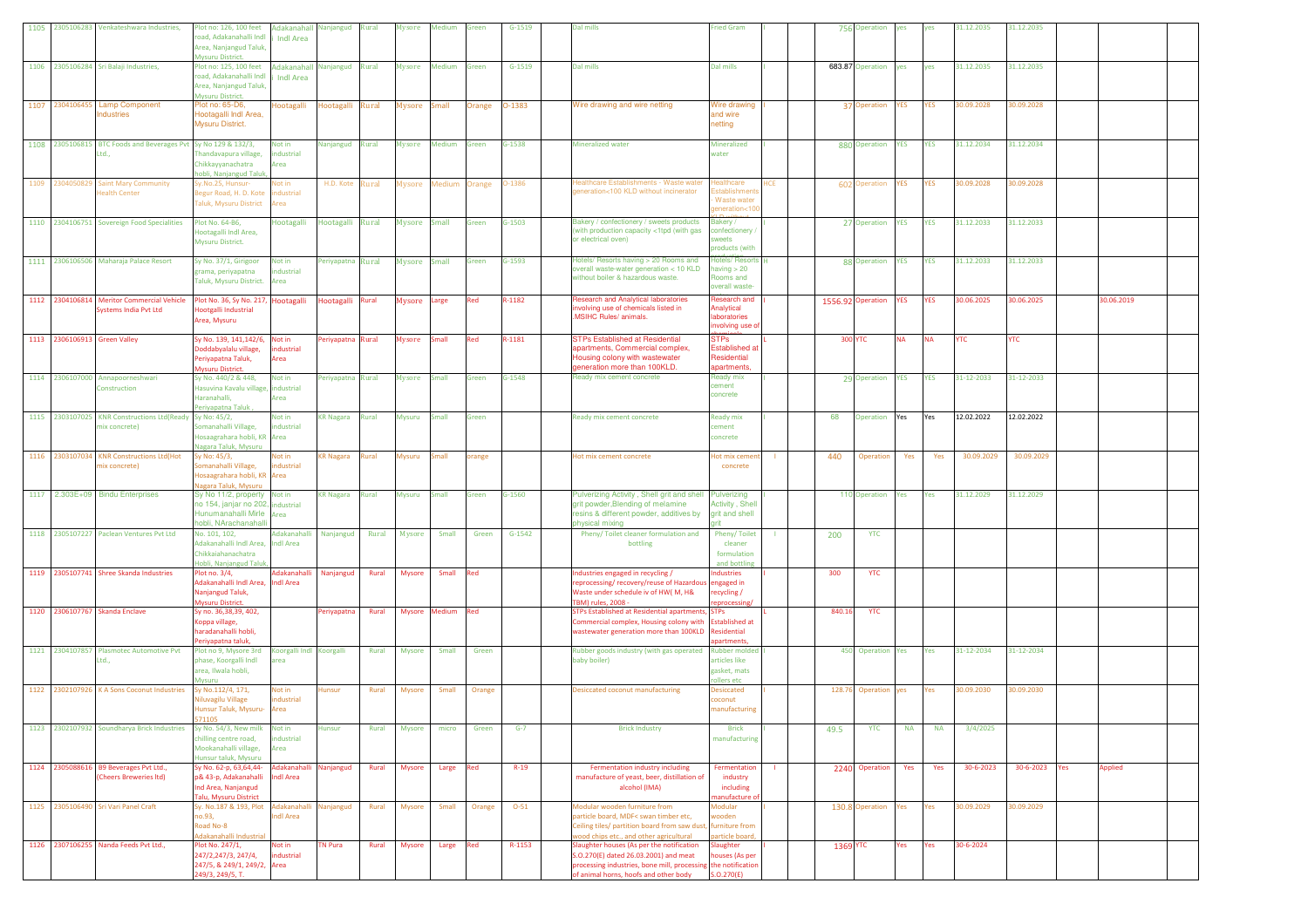|                              | 1105 2305106283 Venkateshwara Industries,                             | Plot no: 126, 100 feet<br>pad, Adakanahalli Indl<br>Area, Nanjangud Taluk,<br>Mysuru District.                        | Adakanahall Nanjangud Rural<br><b>Indi Area</b> |                   |       | Mysore        | Medium        | Green         | $G-1519$   | Dal mills                                                                                                                                                                        | <b>Fried Gram</b>                                                    |     |                 | 756 Operation     | yes        | yes        | 31.12.2035 | 31.12.2035 |     |            |  |
|------------------------------|-----------------------------------------------------------------------|-----------------------------------------------------------------------------------------------------------------------|-------------------------------------------------|-------------------|-------|---------------|---------------|---------------|------------|----------------------------------------------------------------------------------------------------------------------------------------------------------------------------------|----------------------------------------------------------------------|-----|-----------------|-------------------|------------|------------|------------|------------|-----|------------|--|
|                              | 1106 2305106284 Sri Balaji Industries,                                | Plot no: 125, 100 feet<br>road, Adakanahalli Indl<br>Area, Nanjangud Taluk,<br>Mysuru District.                       | Adakanahall Nanjangud Rural<br><b>Indi Area</b> |                   |       | Mysore        | Medium        | Green         | $G-1519$   | Dal mills                                                                                                                                                                        | Dal mills                                                            |     |                 | 683.87 Operation  | yes        | yes        | 31.12.2035 | 31.12.2035 |     |            |  |
| 1107 2304106455              | <b>Lamp Component</b><br>ndustries                                    | Plot no: 65-D6,<br>Hootagalli Indl Area,<br>Mysuru District.                                                          | Hootagalli                                      | Hootagalli Rural  |       | Mysore        | Small         | <b>Orange</b> | 0-1383     | Wire drawing and wire netting                                                                                                                                                    | Wire drawing<br>and wire<br>netting                                  |     |                 | 37 Operation      | YES        | <b>YES</b> | 80.09.2028 | 30.09.2028 |     |            |  |
|                              | 1108 2305106815 BTC Foods and Beverages Pvt Sy No 129 & 132/3,<br>Ltd | handavapura village,<br>Chikkayyanachatra<br>iobli, Nanjangud Taluk,                                                  | Not in<br>ndustrial<br>Area                     | Nanjangud Rural   |       | Mysore Medium |               | Green         | $G-1538$   | Mineralized water                                                                                                                                                                | Mineralized<br>water                                                 |     |                 | 880 Operation     | <b>YES</b> | <b>YES</b> | 31.12.2034 | 31.12.2034 |     |            |  |
| 1109 2304050829              | <b>Saint Mary Community</b><br><b>Health Center</b>                   | y.No.25, Hunsur-<br>Begur Road, H. D. Kote<br>Taluk, Mysuru District                                                  | Not in<br>ndustrial<br>Area                     | H.D. Kote         | Rural |               | Mysore Medium | <b>Orange</b> | $-1386$    | ealthcare Establishments - Waste wate<br>eneration<100 KLD without incinerator                                                                                                   | ealthcare<br>Waste wate<br>eneration<                                | łСE |                 | 602 Operation     | YES        | YES        | 80.09.2028 | 30.09.2028 |     |            |  |
|                              | 1110 2304106751 Sovereign Food Specialities                           | Plot No. 64-B6.<br>lootagalli Indl Area,<br>Mysuru District.                                                          | Hootagalli                                      | Hootagalli        | Rural | Mysore Small  |               | Green         | $G-1503$   | Bakery / confectionery / sweets products<br>with production capacity <1tpd (with gas<br>or electrical oven)                                                                      | Bakery /<br>confectionery<br>weets<br>products (with                 |     |                 | 27 Operation      | <b>YES</b> | <b>YES</b> | 31.12.2033 | 31.12.2033 |     |            |  |
|                              | 1111 2306106506 Maharaja Palace Resort                                | Sy No. 37/1, Girigoor<br>grama, periyapatna<br>Taluk, Mysuru District.                                                | Not in<br>ndustrial<br>Area                     | Periyapatna Rural |       | Mysore Small  |               | Green         | G-1593     | Hotels/ Resorts having > 20 Rooms and<br>verall waste-water generation < 10 KLD<br>without boiler & hazardous waste.                                                             | Hotels/ Resorts<br>having $>20$<br>Rooms and<br>overall waste        |     |                 | 88 Operation      | <b>YES</b> | <b>YES</b> | 31.12.2033 | 31.12.2033 |     |            |  |
|                              | 1112 2304106814 Meritor Commercial Vehicle<br>Systems India Pvt Ltd   | Plot No. 36, Sy No. 217, Hootagalli<br>lootgalli Industrial<br>Area, Mysuru                                           |                                                 | Hootagalli Rural  |       | Mysore Large  |               | Red           | $3 - 1182$ | Research and Analytical laboratories<br>volving use of chemicals listed in<br><b>MSIHC Rules/ animals.</b>                                                                       | lesearch and<br>Analytical<br>aboratories<br>nvolving use o          |     |                 | 1556.92 Operation | YES        | YES        | 30.06.2025 | 30.06.2025 |     | 30.06.2019 |  |
| 1113 2306106913 Green Valley |                                                                       | Sy No. 139, 141, 142/6, Not in<br>oddabyalalu village,<br>Periyapatna Taluk,<br><b>Iysuru District</b>                | ndustrial<br>Area                               | Periyapatna Rural |       | Mysore Small  |               | Red           | R-1181     | <b>STPs Established at Residential</b><br>partments, Commercial complex,<br>Housing colony with wastewater<br>generation more than 100KLD.                                       | <b>STPs</b><br>Established at<br>Residential<br>apartments           |     | <b>300 YTC</b>  |                   | <b>NA</b>  | <b>NA</b>  | <b>YTC</b> | <b>YTC</b> |     |            |  |
|                              | 1114 2306107000 Annapoorneshwari<br>Construction                      | Sy No. 440/2 & 448,<br>Hasuvina Kavalu village, industrial<br>Haranahalli,<br>Periyapatna Taluk                       | Not in<br>Area                                  | Periyapatna Rural |       | Mysore        | Small         | Green         | $G-1548$   | Ready mix cement concrete                                                                                                                                                        | <b>Ready mix</b><br>ement<br>concrete                                |     |                 | 29 Operation      | <b>YES</b> | <b>YES</b> | 31-12-2033 | 31-12-2033 |     |            |  |
| 1115 2303107025              | KNR Constructions Ltd(Ready Sy No: 45/2,<br>mix concrete)             | Somanahalli Village.<br>losaagrahara hobli, KR Area<br>lagara Taluk, Mysuru                                           | Not in<br>industrial                            | <b>KR Nagara</b>  | Rural | Mysuru        | Small         | Green         |            | Ready mix cement concrete                                                                                                                                                        | <b>Ready mix</b><br>cement<br>concrete                               |     | 68              | Operation         | Yes        | Yes        | 12.02.2022 | 12.02.2022 |     |            |  |
| 1116 230310703               | <b>KNR Constructions Ltd(Hot</b><br>mix concrete)                     | Sy No: 45/3,<br>omanahalli Village,<br>losaagrahara hobli, KR<br>agara Taluk, Mysuru                                  | Not in<br>dustrial<br>Area                      | <b>KR Nagara</b>  | Rural | Mysuru        | imall         | range         |            | Hot mix cement concrete                                                                                                                                                          | <b>Hot mix cem</b><br>concrete                                       |     | 440             | Operation         | Yes        | Yes        | 30.09.2029 | 30.09.2029 |     |            |  |
|                              | 1117 2.303E+09 Bindu Enterprises                                      | Sy No 11/2, property Not in<br>10 154, janjar no 202, industrial<br>Hunumanahalli Mirle Area<br>hobli, NArachanahalli |                                                 | <b>KR Nagara</b>  | Rural | Mysuru        | Small         | Green         | G-1560     | Pulverizing Activity, Shell grit and shell<br>grit powder, Blending of melamine<br>resins & different powder, additives by<br>physical mixing                                    | Pulverizing<br>Activity, Shell<br>grit and shell<br>arit             |     |                 | 110 Operation     | Yes        | Yes        | 31.12.2029 | 31.12.2029 |     |            |  |
|                              | 1118 2305107227 Paclean Ventures Pvt Ltd                              | No. 101, 102,<br>Adakanahalli Indl Area,<br>Chikkaiahanachatra<br>Hobli, Nanjangud Taluk                              | Adakanahalli<br><b>Indi Area</b>                | Nanjangud         | Rural | Mysore        | Small         | Green         | $G-1542$   | Pheny/Toilet cleaner formulation and<br>bottling                                                                                                                                 | Pheny/Toilet<br>cleaner<br>formulation<br>and bottlin                |     | 200             | YTC               |            |            |            |            |     |            |  |
|                              | 1119 2305107741 Shree Skanda Industries                               | Plot no. 3/4,<br>dakanahalli Indl Area,<br>Nanjangud Taluk,<br>Mysuru District.                                       | Adakanahall<br><b>Indi Area</b>                 | Nanjangud         | Rural | Mysore        | Small         | Red           |            | ndustries engaged in recycling /<br>eprocessing/recovery/reuse of Hazardous<br>Waste under schedule iv of HW(M, H&<br>FBM) rules, 2008                                           | ndustries<br>engaged in<br>recycling/<br>eprocessing                 |     | 300             | <b>YTC</b>        |            |            |            |            |     |            |  |
|                              | 1120 2306107767 Skanda Enclave                                        | Sy no. 36,38,39, 402,<br>Koppa village,<br>haradanahalli hobli,<br>eriyapatna taluk.                                  |                                                 | Periyapatna       | Rural |               | Mysore Medium | Red           |            | STPs Established at Residential apartments,<br>Commercial complex, Housing colony with<br>wastewater generation more than 100KLD                                                 | <b>STPs</b><br><b>Established at</b><br>Residential<br>partments     |     | 840.16          | <b>YTC</b>        |            |            |            |            |     |            |  |
| 1121 2304107857              | <b>Plasmotec Automotive Pvt</b><br>Ltd                                | Plot no 9, Mysore 3rd<br>phase, Koorgalli Indl<br>area, Ilwala hobli,<br><b>Avsuru</b>                                | Koorgalli Indl Koorgalli<br>area                |                   | Rural | Mysore        | Small         | Green         |            | Rubber goods industry (with gas operated<br>baby boiler)                                                                                                                         | <b>Rubber molded</b><br>articles like<br>gasket, mats<br>ollers etc  |     |                 | 450 Operation     | Yes        | Yes        | 31-12-2034 | 31-12-2034 |     |            |  |
|                              | 1122 2302107926 K A Sons Coconut Industries                           | y No.112/4, 171,<br>Viluvagilu Village<br>Iunsur Taluk, Mysuru-                                                       | Not in<br>ndustrial<br>Area                     | <b>lunsur</b>     | Rural | <b>Mysore</b> | Small         | Orange        |            | <b>Desiccated coconut manufacturing</b>                                                                                                                                          | esiccated<br>coconut<br>manufacturing                                |     |                 | 128.76 Operation  | yes        | Yes        | 30.09.2030 | 30.09.2030 |     |            |  |
|                              | 1123 2302107932 Soundharya Brick Industries                           | Sy No. 54/3, New milk<br>hilling centre road,<br>Mookanahalli village,<br>lunsur taluk, Mysuru                        | Not in<br>industrial<br>Area                    | Hunsur            | Rural | <b>Mysore</b> | micro         | Green         | $G-7$      | <b>Brick Industry</b>                                                                                                                                                            | <b>Brick</b><br>nanufacturing                                        |     | 49.5            | <b>YTC</b>        | <b>NA</b>  | <b>NA</b>  | 3/4/2025   |            |     |            |  |
|                              | 1124 2305088616 B9 Beverages Pvt Ltd.,<br>(Cheers Breweries Itd)      | Sy No. 62-p, 63,64,44-<br>p& 43-p, Adakanahalli<br>Ind Area, Nanjangud<br><b>Talu, Mysuru District</b>                | Adakanahalli<br><b>Indi Area</b>                | Nanjangud         | Rural | Mysore        | Large         | Red           | $R-19$     | Fermentation industry including<br>manufacture of yeast, beer, distillation of<br>alcohol (IMA)                                                                                  | Fermentation<br>industry<br>including<br>anufacture o                |     |                 | 2240 Operation    | Yes        | Yes        | 30-6-2023  | 30-6-2023  | Yes | Applied    |  |
|                              | 1125 2305106490 Sri Vari Panel Craft                                  | Sy. No.187 & 193, Plot Adakanahalli<br>10.93,<br>Road No-8<br>dakanahalli Industrial                                  | <b>Indi Area</b>                                | Nanjangud         | Rural | Mysore        | Small         | Orange        | $O-51$     | Aodular wooden furniture from<br>particle board, MDF< swan timber etc,<br>Ceiling tiles/ partition board from saw dust, furniture from<br>ood chips etc., and other agricultural | Modular<br>vooden<br>article board,                                  |     |                 | 130.8 Operation   | Yes        | Yes        | 30.09.2029 | 30.09.2029 |     |            |  |
|                              | 1126 2307106255 Nanda Feeds Pvt Ltd.,                                 | Plot No. 247/1,<br>247/2,247/3, 247/4,<br>247/5, & 249/1, 249/2, Area<br>249/3, 249/5, T.                             | Not in<br>industrial                            | <b>TN Pura</b>    | Rural | Mysore        | Large         | Red           | R-1153     | Slaughter houses (As per the notification<br>S.O.270(E) dated 26.03.2001) and meat<br>processing industries, bone mill, processing<br>f animal horns, hoofs and other body       | <b>Slaughter</b><br>houses (As per<br>the notification<br>S.0.270(E) |     | <b>1369 YTC</b> |                   | Yes        | Yes        | 30-6-2024  |            |     |            |  |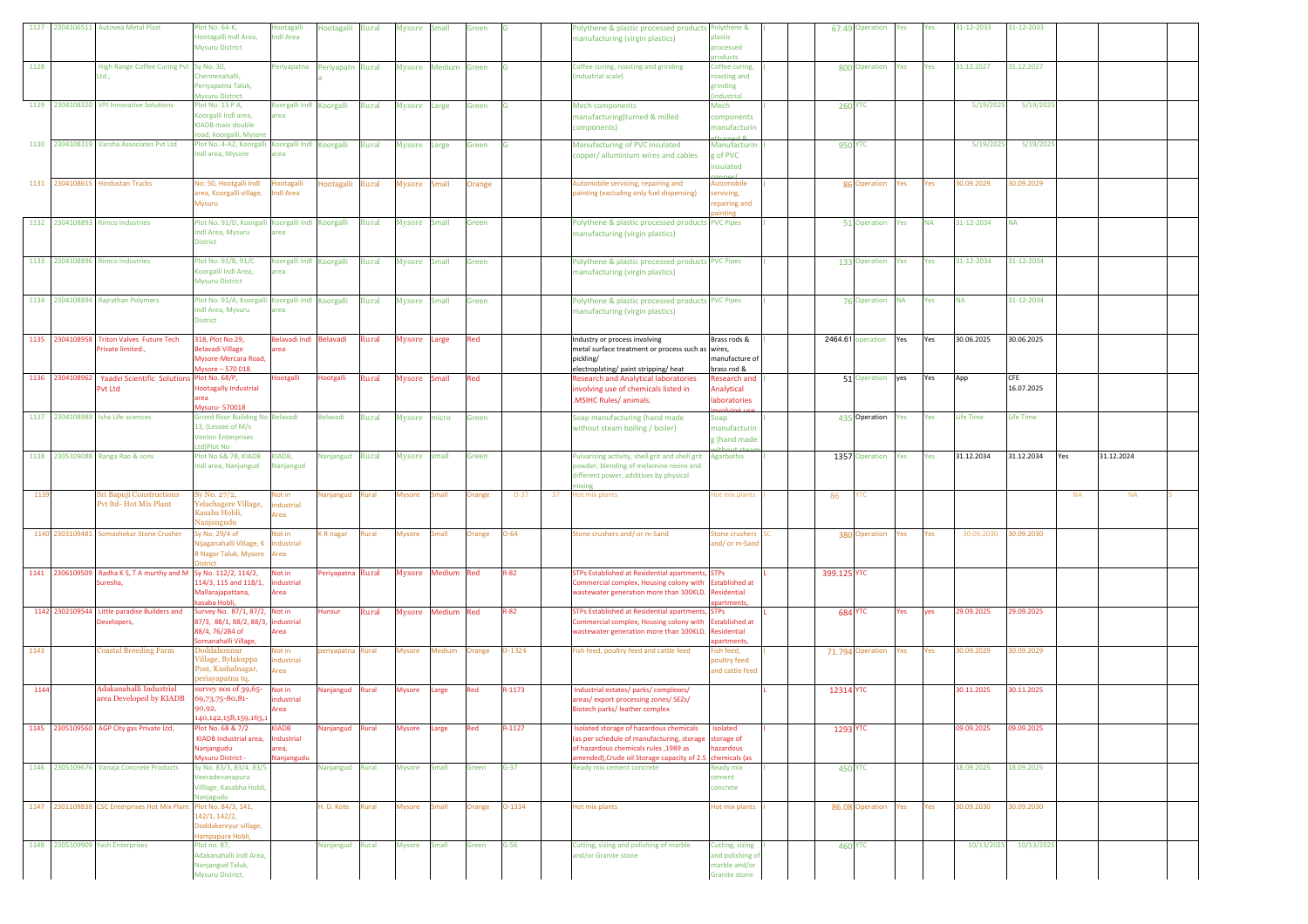| 1127 2304106511 Autovea Metal Plast |                                                                              | lot No. 64-K,                                           | Hootagalli                       | Hootagalli        | Rural | Mysore Small  |                   | Green         |          |    | Polythene & plastic processed products Polythene &                                         |                                |                 | 67.49 Operation<br>Yes    | Yes       | 31-12-2033       | 31-12-2033 |           |            |  |
|-------------------------------------|------------------------------------------------------------------------------|---------------------------------------------------------|----------------------------------|-------------------|-------|---------------|-------------------|---------------|----------|----|--------------------------------------------------------------------------------------------|--------------------------------|-----------------|---------------------------|-----------|------------------|------------|-----------|------------|--|
|                                     |                                                                              | lootagalli Indl Area,                                   | ndl Area                         |                   |       |               |                   |               |          |    | manufacturing (virgin plastics)                                                            | lastic                         |                 |                           |           |                  |            |           |            |  |
|                                     |                                                                              | <b>Mysuru District</b>                                  |                                  |                   |       |               |                   |               |          |    |                                                                                            | rocessed                       |                 |                           |           |                  |            |           |            |  |
|                                     |                                                                              |                                                         |                                  |                   |       |               |                   |               |          |    |                                                                                            | oducts                         |                 |                           |           |                  |            |           |            |  |
| 1128                                | High Range Coffee Curing Pvt Sy No. 30,                                      |                                                         | Periyapatna                      | Periyapatn Rural  |       |               | Mysore Medium     | Green         |          |    | Coffee curing, roasting and grinding                                                       | Coffee curing,                 |                 | 800 Operation<br>Yes      | Yes       | 31.12.2027       | 31.12.2027 |           |            |  |
|                                     | Ltd                                                                          | Chennenahalli,<br>Periyapatna Taluk,                    |                                  |                   |       |               |                   |               |          |    | (industrial scale)                                                                         | roasting and<br>grinding       |                 |                           |           |                  |            |           |            |  |
|                                     |                                                                              | Mysuru District.                                        |                                  |                   |       |               |                   |               |          |    |                                                                                            | industrial                     |                 |                           |           |                  |            |           |            |  |
|                                     | 1129 2304108320 VPI Innovative Solutions                                     | Plot No. 13 P A,                                        | Koorgalli Indl Koorgalli         |                   | Rural | Mysore Large  |                   | Green         | G        |    | <b>Mech components</b>                                                                     | Mech                           | <b>260 YTC</b>  |                           |           | 5/19/202         | 5/19/202   |           |            |  |
|                                     |                                                                              | Coorgalli Indl area,                                    | rea                              |                   |       |               |                   |               |          |    | manufacturing(turned & milled                                                              | components                     |                 |                           |           |                  |            |           |            |  |
|                                     |                                                                              | <b>KIADB</b> main double                                |                                  |                   |       |               |                   |               |          |    | components)                                                                                | manufacturin                   |                 |                           |           |                  |            |           |            |  |
|                                     |                                                                              | bad, koorgalli, Mysor                                   |                                  |                   |       |               |                   |               |          |    |                                                                                            |                                |                 |                           |           |                  |            |           |            |  |
|                                     | 1130 2304108319 Varsha Associates Pvt Ltd                                    | Plot No. 4-A2, Koorgalli Koorgalli Indi Koorgalli Rural |                                  |                   |       | Mysore Large  |                   | Green         | lG.      |    | Manufacturing of PVC insulated                                                             | Manufacturin                   | <b>950 YTC</b>  |                           |           | 5/19/2025        | 5/19/2025  |           |            |  |
|                                     |                                                                              | Indl area, Mysore                                       | rea                              |                   |       |               |                   |               |          |    | copper/ alluminium wires and cables                                                        | g of PVC                       |                 |                           |           |                  |            |           |            |  |
|                                     |                                                                              |                                                         |                                  |                   |       |               |                   |               |          |    |                                                                                            | insulated                      |                 |                           |           |                  |            |           |            |  |
| 1131 2304108615 Hindustan Trucks    |                                                                              | No: 50, Hootgalli Indl                                  | Hootagalli                       | Hootagalli Rural  |       | Mysore Small  |                   | Orange        |          |    | Automobile servicing, repairing and                                                        | Automobile                     |                 | 86 Operation<br>Yes       | Yes       | 80.09.2029       | 80.09.2029 |           |            |  |
|                                     |                                                                              | area, Koorgalli village,                                | ndl Area                         |                   |       |               |                   |               |          |    | painting (excluding only fuel dispensing)                                                  | ervicing,                      |                 |                           |           |                  |            |           |            |  |
|                                     |                                                                              | Mysuru                                                  |                                  |                   |       |               |                   |               |          |    |                                                                                            | repairing and                  |                 |                           |           |                  |            |           |            |  |
|                                     |                                                                              |                                                         |                                  |                   |       |               |                   |               |          |    |                                                                                            | ainting                        |                 |                           |           |                  |            |           |            |  |
| 1132 2304108893 Rimco Industries    |                                                                              | Plot No. 91/D, Koorgalli Koorgalli Indi Koorgalli       |                                  |                   | Rural | Mysore Small  |                   | Green         |          |    | Polythene & plastic processed products PVC Pipes                                           |                                |                 | 51 Operation<br>Yes       | <b>NA</b> | 31-12-2034       | <b>NA</b>  |           |            |  |
|                                     |                                                                              | Indl Area, Mysuru                                       | rea                              |                   |       |               |                   |               |          |    | manufacturing (virgin plastics)                                                            |                                |                 |                           |           |                  |            |           |            |  |
|                                     |                                                                              | <b>District</b>                                         |                                  |                   |       |               |                   |               |          |    |                                                                                            |                                |                 |                           |           |                  |            |           |            |  |
|                                     |                                                                              | Plot No. 91/B, 91/C                                     |                                  |                   |       |               |                   |               |          |    |                                                                                            |                                |                 |                           |           |                  |            |           |            |  |
| 1133 2304108896 Rimco Industries    |                                                                              | Koorgalli Indl Area,                                    | Koorgalli Indl Koorgalli<br>area |                   | Rural | Mysore Small  |                   | Green         |          |    | Polythene & plastic processed products PVC Pipes                                           |                                |                 | 133 Operation<br>Yes      | Yes       | 31-12-2034       | 31-12-2034 |           |            |  |
|                                     |                                                                              | <b>Mysuru District</b>                                  |                                  |                   |       |               |                   |               |          |    | manufacturing (virgin plastics)                                                            |                                |                 |                           |           |                  |            |           |            |  |
|                                     |                                                                              |                                                         |                                  |                   |       |               |                   |               |          |    |                                                                                            |                                |                 |                           |           |                  |            |           |            |  |
| 1134 2304108894 Rajrathan Polymers  |                                                                              | Plot No. 91/A, Koorgalli Koorgalli Indi Koorgalli       |                                  |                   | Rural | Mysore Small  |                   | Green         |          |    | Polythene & plastic processed products PVC Pipes                                           |                                |                 | <b>NA</b><br>76 Operation | Yes       | <b>NA</b>        | 31-12-2034 |           |            |  |
|                                     |                                                                              | Indl Area, Mysuru                                       | area                             |                   |       |               |                   |               |          |    | manufacturing (virgin plastics)                                                            |                                |                 |                           |           |                  |            |           |            |  |
|                                     |                                                                              | <b>District</b>                                         |                                  |                   |       |               |                   |               |          |    |                                                                                            |                                |                 |                           |           |                  |            |           |            |  |
|                                     |                                                                              |                                                         |                                  |                   |       |               |                   |               |          |    |                                                                                            |                                |                 |                           |           |                  |            |           |            |  |
|                                     | 1135 2304108958 Triton Valves Future Tech                                    | 318, Plot No.29,                                        | Belavadi Indl Belavadi           |                   | Rural | Mysore Large  |                   | <b>Red</b>    |          |    | Industry or process involving                                                              | Brass rods &                   |                 | 2464.61 operation<br>Yes  | Yes       | 30.06.2025       | 30.06.2025 |           |            |  |
|                                     | Private limited.,                                                            | Belavadi Village                                        | rea                              |                   |       |               |                   |               |          |    | metal surface treatment or process such as wires,                                          | nanufacture of                 |                 |                           |           |                  |            |           |            |  |
|                                     |                                                                              | Mysore-Mercara Road,<br>Aysore - 570 018                |                                  |                   |       |               |                   |               |          |    | pickling/                                                                                  | brass rod &                    |                 |                           |           |                  |            |           |            |  |
| 1136 230410896                      | Yaadvi Scientific Solutions Plot No. 68/P,                                   |                                                         | Hootgalli                        | Hootgalli         | Rural | Mysore Small  |                   | Red           |          |    | electroplating/ paint stripping/ heat<br><b>Research and Analytical laboratories</b>       | Research and                   |                 | 51 Operation<br>yes       | Yes       | App              | CFE        |           |            |  |
|                                     | Pvt Ltd                                                                      | <b>Hootagally Industrial</b>                            |                                  |                   |       |               |                   |               |          |    | involving use of chemicals listed in                                                       | Analytical                     |                 |                           |           |                  | 16.07.2025 |           |            |  |
|                                     |                                                                              | area                                                    |                                  |                   |       |               |                   |               |          |    | .MSIHC Rules/ animals.                                                                     | <b>aboratories</b>             |                 |                           |           |                  |            |           |            |  |
|                                     |                                                                              | Mysuru-570018                                           |                                  |                   |       |               |                   |               |          |    |                                                                                            |                                |                 |                           |           |                  |            |           |            |  |
| 1137 2304108989                     | <b>Isha Life sciences</b>                                                    | Grond floor Building No Belavadi                        |                                  | Belavadi          | Rural | Mysore micro  |                   | Green         |          |    | Soap manufacturing (hand made                                                              | Soap                           |                 | 435 Operation<br>Yes      | Yes       | <b>Life Time</b> | Life Time  |           |            |  |
|                                     |                                                                              | 13, (Lessee of M/s                                      |                                  |                   |       |               |                   |               |          |    | without steam boiling / boiler)                                                            | hanufacturin                   |                 |                           |           |                  |            |           |            |  |
|                                     |                                                                              | <b>Venlon Enterprises</b>                               |                                  |                   |       |               |                   |               |          |    |                                                                                            | g (hand made                   |                 |                           |           |                  |            |           |            |  |
|                                     |                                                                              |                                                         |                                  |                   |       |               |                   |               |          |    |                                                                                            |                                |                 |                           |           |                  |            |           |            |  |
|                                     |                                                                              | td)Plot No                                              |                                  |                   |       |               |                   |               |          |    |                                                                                            |                                |                 |                           |           |                  |            |           |            |  |
| 1138 2305109088 Ranga Rao & sons    |                                                                              | Plot No 6& 7B, KIADB                                    | KIADB,                           | Nanjangud         | Rural | Mysore small  |                   | Green         |          |    | Pulvarizing activity, shell grit and shell grit                                            | Agarbathis                     |                 | 1357 Operation<br>Yes     | Yes       | 31.12.2034       | 31.12.2034 | Yes       | 31.12.2024 |  |
|                                     |                                                                              | ndl area, Nanjangud                                     | Vanjangud                        |                   |       |               |                   |               |          |    | owder, blending of melamine resins and                                                     |                                |                 |                           |           |                  |            |           |            |  |
|                                     |                                                                              |                                                         |                                  |                   |       |               |                   |               |          |    | different power, additives by physical                                                     |                                |                 |                           |           |                  |            |           |            |  |
| 1139                                | Sri Bapuji Constructions                                                     | Sy No. 27/2,                                            | Not in                           | Nanjangud         | Rural | Mysore        | Small             | <b>Irange</b> | $O-37$   | 37 | lot mix plants                                                                             | lot mix plants                 | 86              | тс                        |           |                  |            | <b>NA</b> | <b>NA</b>  |  |
|                                     | Pvt ltd- Hot Mix Plant                                                       | Velachagere Village,                                    | ndustrial                        |                   |       |               |                   |               |          |    |                                                                                            |                                |                 |                           |           |                  |            |           |            |  |
|                                     |                                                                              | Kasaba Hobli,                                           | Area                             |                   |       |               |                   |               |          |    |                                                                                            |                                |                 |                           |           |                  |            |           |            |  |
|                                     |                                                                              | Vanjangudu                                              |                                  |                   |       |               |                   |               |          |    |                                                                                            |                                |                 |                           |           |                  |            |           |            |  |
|                                     | 1140 2303109481 Somashekar Stone Crusher                                     | y No. 29/4 of                                           | Not in                           | <b>KR</b> nagar   | Rural | Mysore        | Small             | <b>Drange</b> | $O - 64$ |    | stone crushers and/ or m-Sand                                                              | tone crushers                  |                 | 380 Operation<br>Yes      | Yes       | 30.09.2030       | 30.09.2030 |           |            |  |
|                                     |                                                                              | lijaganahalli Village, K                                | industrial                       |                   |       |               |                   |               |          |    |                                                                                            | and/or m-Sand                  |                 |                           |           |                  |            |           |            |  |
|                                     |                                                                              | R Nagar Taluk, Mysore                                   | Area                             |                   |       |               |                   |               |          |    |                                                                                            |                                |                 |                           |           |                  |            |           |            |  |
|                                     |                                                                              | istrict                                                 |                                  |                   |       |               |                   |               |          |    |                                                                                            |                                |                 |                           |           |                  |            |           |            |  |
|                                     | 1141 2306109509 Radha K S, T A murthy and M Sy No. 112/2, 114/2,<br>iuresha, | 14/3, 115 and 118/1,                                    | Not in<br>dustrial               | Periyapatna Rural |       |               | Mysore Medium Red |               | $R - 82$ |    | STPs Established at Residential apartments, STPs<br>ommercial complex, Housing colony with | <b>Established at</b>          | 399.125 YTC     |                           |           |                  |            |           |            |  |
|                                     |                                                                              | Mallarajapattana,                                       | Area                             |                   |       |               |                   |               |          |    | wastewater generation more than 100KLD. Residential                                        |                                |                 |                           |           |                  |            |           |            |  |
|                                     |                                                                              | asaba Hobli,                                            |                                  |                   |       |               |                   |               |          |    |                                                                                            | partments                      |                 |                           |           |                  |            |           |            |  |
|                                     | 1142 2302109544 Little paradise Builders and                                 | Survey No. 87/1, 87/2, Not in                           |                                  | Hunsur            | Rural |               | Mysore Medium Red |               | $R - 82$ |    | STPs Established at Residential apartments, STPs                                           |                                | <b>684 YTC</b>  | Yes                       | yes       | 29.09.2025       | 29.09.2025 |           |            |  |
|                                     | Developers,                                                                  | 87/3, 88/1, 88/2, 88/3, industrial                      |                                  |                   |       |               |                   |               |          |    | Commercial complex, Housing colony with Established at                                     |                                |                 |                           |           |                  |            |           |            |  |
|                                     |                                                                              | 88/4, 76/2B4 of                                         | Area                             |                   |       |               |                   |               |          |    | wastewater generation more than 100KLD. Residential                                        |                                |                 |                           |           |                  |            |           |            |  |
|                                     |                                                                              | Somanahalli Village,                                    |                                  |                   |       |               |                   |               |          |    |                                                                                            | partments                      |                 |                           |           |                  |            |           |            |  |
| 1143                                | <b>Coastal Breeding Farm</b>                                                 | Doddahonnur                                             | Not in                           | periyapatna Rural |       | Mysore        | Medium            | <b>Drange</b> | 0-1324   |    | Fish feed, poultry feed and cattle feed                                                    | ish feed.                      |                 | 71.794 Operation<br>Yes   | Yes       | 30.09.2029       | 30.09.2029 |           |            |  |
|                                     |                                                                              | Village, Bylakuppa<br>Post, Kushalnagar,                | ndustrial                        |                   |       |               |                   |               |          |    |                                                                                            | oultry feed                    |                 |                           |           |                  |            |           |            |  |
|                                     |                                                                              | periavapatna to.                                        | Area                             |                   |       |               |                   |               |          |    |                                                                                            | and cattle feed                |                 |                           |           |                  |            |           |            |  |
| 1144                                | Adakanahalli Industrial                                                      | urvey nos of 39,65-                                     | Not in                           | Nanjangud Rural   |       | Mysore        | Large             | Red           | R-1173   |    | Industrial estates/ parks/ complexes/                                                      |                                |                 |                           |           | 80.11.2025       | 30.11.2025 |           |            |  |
|                                     | area Developed by KIADB                                                      | 59,73,75-80,81-                                         | dustrial                         |                   |       |               |                   |               |          |    | areas/export processing zones/SEZs/                                                        |                                | 12314 YTC       |                           |           |                  |            |           |            |  |
|                                     |                                                                              | 90,92,                                                  | Area                             |                   |       |               |                   |               |          |    | <b>Biotech parks/leather complex</b>                                                       |                                |                 |                           |           |                  |            |           |            |  |
|                                     |                                                                              | 40,142,158,159,163                                      |                                  |                   |       |               |                   |               |          |    |                                                                                            |                                |                 |                           |           |                  |            |           |            |  |
|                                     | 1145 2305109560 AGP City gas Private Ltd,                                    | Plot No. 6B & 7/2                                       | <b>KIADB</b>                     | Nanjangud         | Rural | Mysore        | Large             | Red           | R-1127   |    | Isolated storage of hazardous chemicals                                                    | <b>solated</b>                 | <b>1293 YTC</b> |                           |           | 09.09.2025       | 09.09.2025 |           |            |  |
|                                     |                                                                              | KIADB Industrial area,                                  | Industrial                       |                   |       |               |                   |               |          |    | (as per schedule of manufacturing, storage                                                 | storage of                     |                 |                           |           |                  |            |           |            |  |
|                                     |                                                                              | Nanjangudu                                              | area,                            |                   |       |               |                   |               |          |    | of hazardous chemicals rules ,1989 as                                                      | hazardous                      |                 |                           |           |                  |            |           |            |  |
|                                     |                                                                              | <b>Aysuru District -</b>                                | Vanjangudi                       |                   |       |               |                   |               |          |    | nended), Crude oil Storage capacity of 2.5                                                 | hemicals (as                   |                 |                           |           |                  | 18.09.2025 |           |            |  |
|                                     | 1146 2305109676 Vanaja Concrete Products                                     | Sy No. 83/3, 83/4, 83/5<br>eeradevanapura               |                                  | Nanjangud Rural   |       | <b>Mysore</b> | Small             | Green         | $G-37$   |    | Ready mix cement concrete                                                                  | Ready mix<br>ement             | <b>450 YTC</b>  |                           |           | 18.09.2025       |            |           |            |  |
|                                     |                                                                              | /illlage, Kasabha Hobli,                                |                                  |                   |       |               |                   |               |          |    |                                                                                            | concrete                       |                 |                           |           |                  |            |           |            |  |
|                                     |                                                                              | <u>lanjagudu</u>                                        |                                  |                   |       |               |                   |               |          |    |                                                                                            |                                |                 |                           |           |                  |            |           |            |  |
|                                     | 1147 2301109838 CSC Enterprises Hot Mix Plant                                | Plot No. 84/3, 141,                                     |                                  | H. D. Kote Rural  |       | Mysore        | <b>Small</b>      | Orange        | 0-1334   |    | Hot mix plants                                                                             | Hot mix plants                 |                 | 86.08 Operation Yes       | Yes       | 30.09.2030       | 30.09.2030 |           |            |  |
|                                     |                                                                              | 142/1, 142/2,                                           |                                  |                   |       |               |                   |               |          |    |                                                                                            |                                |                 |                           |           |                  |            |           |            |  |
|                                     |                                                                              | Doddakereyur village,                                   |                                  |                   |       |               |                   |               |          |    |                                                                                            |                                |                 |                           |           |                  |            |           |            |  |
|                                     |                                                                              | lampapura Hobli,                                        |                                  |                   |       |               |                   |               |          |    |                                                                                            |                                |                 |                           |           |                  |            |           |            |  |
| 1148 2305109909 Yash Enterprises    |                                                                              | Plot no. 87,                                            |                                  | Nanjangud Rural   |       | Mysore        | <b>Small</b>      | Green         | $G-56$   |    | Cutting, sizing and polishing of marble                                                    | Cutting, sizing                | <b>460 YTC</b>  |                           |           | 10/13/2025       | 10/13/2025 |           |            |  |
|                                     |                                                                              | Adakanahalli Indl Area,                                 |                                  |                   |       |               |                   |               |          |    | and/or Granite stone                                                                       | and polishing of               |                 |                           |           |                  |            |           |            |  |
|                                     |                                                                              | Nanjangud Taluk,<br>Mysuru District.                    |                                  |                   |       |               |                   |               |          |    |                                                                                            | marble and/or<br>Granite stone |                 |                           |           |                  |            |           |            |  |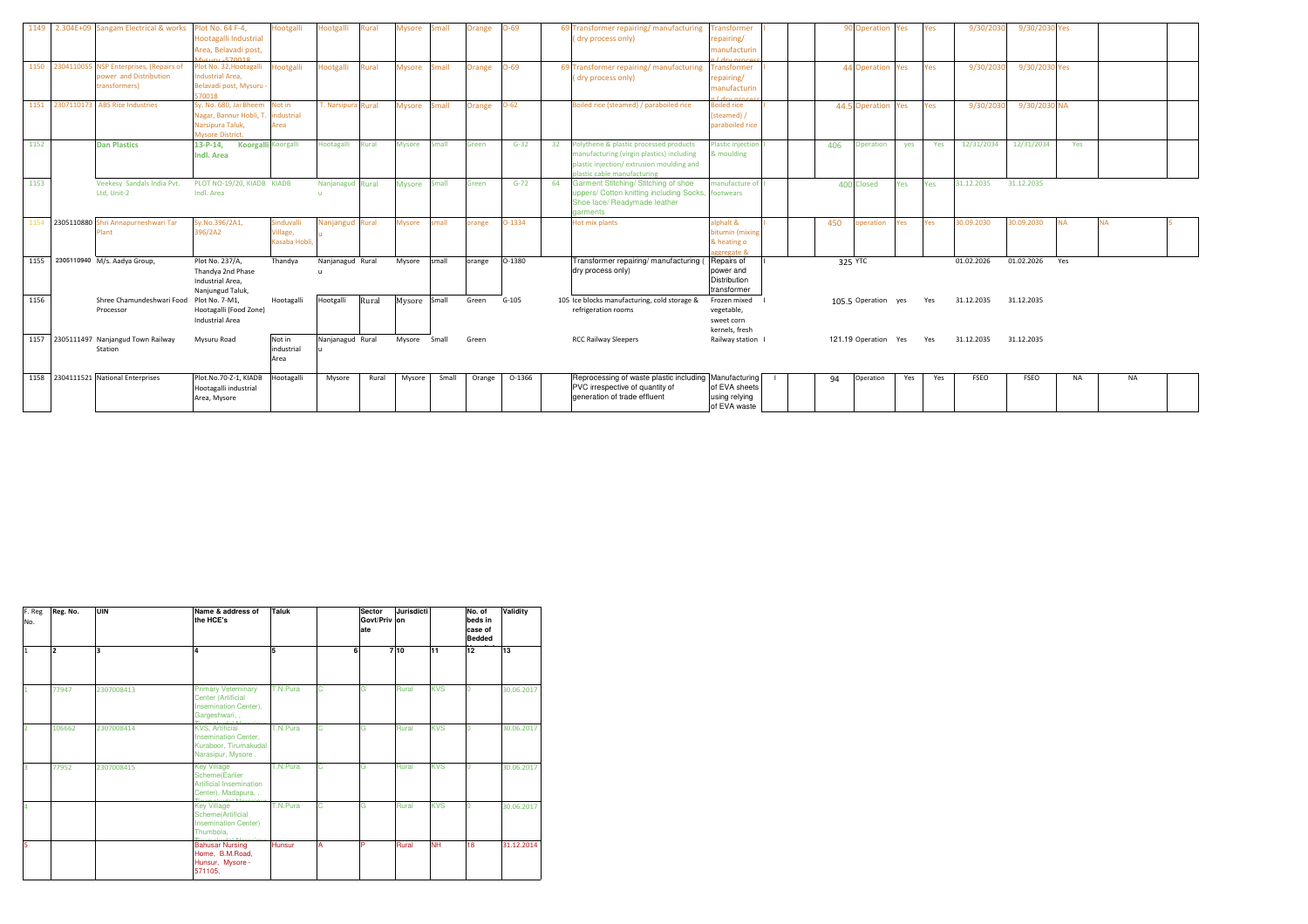| 1149 | 2.304E+09 Sangam Electrical & works                                                | Plot No. 64 F-4.<br>Hootagalli Industrial<br>Area, Belavadi post,<br>5.570010                    | <b>Hootgalli</b>                              | <b>Hootgalli</b>          | Rural | <b>Mysore</b> | Small        | Orange | $O-69$   |    | 69 Transformer repairing/ manufacturing<br>(dry process only)                                                                                                  | ransformer<br>repairing/<br>manufacturin                        | 90 Operation<br>9/30/203<br>9/30/2030 Yes<br>Yes<br>Yes                  |
|------|------------------------------------------------------------------------------------|--------------------------------------------------------------------------------------------------|-----------------------------------------------|---------------------------|-------|---------------|--------------|--------|----------|----|----------------------------------------------------------------------------------------------------------------------------------------------------------------|-----------------------------------------------------------------|--------------------------------------------------------------------------|
| 1150 | 2304110055 NSP Enterprises, (Repairs of<br>power and Distribution<br>transformers) | Plot No. 32, Hootagalli<br><b>Industrial Area,</b><br>Belavadi post, Mysuru -<br>570018          | <b>Hootgalli</b>                              | Hootgalli                 | Rural | <b>Mysore</b> | Small        | Orange | $O-69$   |    | 69 Transformer repairing/ manufacturing<br>(dry process only)                                                                                                  | <b>Transformer</b><br>repairing/<br>manufacturin                | 9/30/2030 Yes<br>9/30/203<br>44 Operation<br>Yes<br>Yes                  |
| 1151 | 2307110173 ABS Rice Industries                                                     | Sv. No. 680, Jai Bheem Not in<br>Nagar, Bannur Hobli, T.<br>Narsipura Taluk,<br>Mysore District. | industrial<br>Area                            | <b>T. Narsipura Rural</b> |       | <b>Mysore</b> | Small        | Orange | $O-62$   |    | Boiled rice (steamed) / paraboiled rice                                                                                                                        | <b>Boiled rice</b><br>(steamed)<br>paraboiled rice              | 9/30/2030 NA<br>44.5 Operation<br>9/30/203<br>Yes<br>Yes                 |
| 1152 | <b>Dan Plastics</b>                                                                | $13-P-14.$<br>Indl. Area                                                                         | Koorgalli Koorgalli                           | Hootagalli                | Rural | <b>Mysore</b> | imall        | Green  | $G-32$   | 32 | Polythene & plastic processed products<br>manufacturing (virgin plastics) including<br>plastic injection/extrusion moulding and<br>plastic cable manufacturing | <b>Plastic injection</b><br>& moulding                          | 12/31/2034<br>12/31/2034<br>406<br>Yes<br><b>Operation</b><br>Yes<br>ves |
| 1153 | Veekesy Sandals India Pvt.<br>Ltd. Unit-2                                          | PLOT NO-19/20, KIADB KIADB<br>Indl. Area                                                         |                                               | Nanjanagud Rural          |       | <b>Mysore</b> | <b>Small</b> | Green  | $G - 72$ | 64 | Garment Stitching/ Stitching of shoe<br>uppers/ Cotton knitting including Socks,<br>Shoe lace/ Readymade leather<br>garments                                   | anufacture of<br>footwears                                      | 31.12.2035<br>31.12.2035<br>400 Closed<br>Yes<br>Yes                     |
| 1154 | 2305110880 Shri Annapurneshwari Tar<br>Plant                                       | Sy.No.396/2A1,<br>396/2A2                                                                        | Sinduvalli<br>Village,<br><b>Kasaba Hobli</b> | Nanjangud Rural           |       | <b>Mysore</b> | mall         | prange | $O-1334$ |    | Hot mix plants                                                                                                                                                 | alphalt &<br>bitumin (mixing<br>& heating o<br>aggregate 8      | 30.09.2030<br>30.09.2030<br>pperation<br>450<br><b>NA</b><br>Yes<br>es   |
| 1155 | 2305110940 M/s. Aadya Group,                                                       | Plot No. 237/A,<br>Thandva 2nd Phase<br>Industrial Area.<br>Nanjungud Taluk,                     | Thandva                                       | Nanjanagud Rural          |       | Mysore        | small        | orange | 0-1380   |    | Transformer repairing/ manufacturing<br>dry process only)                                                                                                      | Repairs of<br>power and<br>Distribution<br>transformer          | 01.02.2026<br>01.02.2026<br>325 YTC<br>Yes                               |
| 1156 | Shree Chamundeshwari Food Plot No. 7-M1.<br>Processor                              | Hootagalli (Food Zone)<br>Industrial Area                                                        | Hootagalli                                    | Hootgalli                 | Rural | Mysore Small  |              | Green  | $G-105$  |    | 105 Ice blocks manufacturing, cold storage &<br>refrigeration rooms                                                                                            | Frozen mixed<br>vegetable,<br>sweet corn<br>kernels, fresh      | 31.12.2035<br>31.12.2035<br>105.5 Operation yes<br>Yes                   |
| 1157 | 2305111497 Nanjangud Town Railway<br>Station                                       | Mysuru Road                                                                                      | Not in<br>industrial<br>Area                  | Nanjanagud Rural          |       | Mysore Small  |              | Green  |          |    | <b>RCC Railway Sleepers</b>                                                                                                                                    | Railway station                                                 | 31.12.2035<br>121.19 Operation Yes<br>31.12.2035<br>Yes                  |
| 1158 | 2304111521 National Enterprises                                                    | Plot.No.70-Z-1, KIADB<br>Hootagalli industrial<br>Area, Mysore                                   | Hootagalli                                    | Mysore                    | Rural | Mysore        | Small        | Orange | 0-1366   |    | Reprocessing of waste plastic including<br>PVC irrespective of quantity of<br>generation of trade effluent                                                     | Manufacturing<br>of EVA sheets<br>using relying<br>of EVA waste | 94<br>Operation<br>FSEO<br>FSEO<br><b>NA</b><br><b>NA</b><br>Yes<br>Yes  |

| F. Reg<br>No.           | Reg. No.       | UIN                     | Name & address of<br>the HCE's                                                                         | Taluk    |    | Sector<br>Govt/Priv on<br>ate | Jurisdicti   |            | No. of<br>beds in<br>case of<br><b>Bedded</b> | Validity   |
|-------------------------|----------------|-------------------------|--------------------------------------------------------------------------------------------------------|----------|----|-------------------------------|--------------|------------|-----------------------------------------------|------------|
| $\overline{1}$          | $\overline{2}$ | $\overline{\mathbf{a}}$ | 4                                                                                                      | l5       |    | 6                             | 710          | 11         | 12                                            | 13         |
| $\mathbf{1}$            | 77947          | 2307008413              | <b>Primary Veterninary</b><br><b>Center (Artificial</b><br>Insemination Center),<br>Gargeshwari, ,     | T.N.Pura | Ċ. | G                             | Rural        | <b>KVS</b> | $\Omega$                                      | 30.06.2017 |
| $\overline{2}$          | 106662         | 2307008414              | <b>KVS, Artificial</b><br><b>Insemination Center,</b><br>Kuraboor, Tirumakudal<br>Narasipur, Mysore.   | T.N.Pura | ċ  | G                             | Rural        | <b>KVS</b> | $\Omega$                                      | 30.06.2017 |
| $\overline{\mathbf{3}}$ | 77952          | 2307008415              | <b>Key Village</b><br><b>Scheme</b> (Earlier<br><b>Artificial Insemination</b><br>Center), Madapura, . | T.N.Pura | Ć  | Ğ                             | <b>Rural</b> | <b>KVS</b> | $\Omega$                                      | 30.06.2017 |
| $\overline{4}$          |                |                         | <b>Key Village</b><br>Scheme(Artificial<br><b>Insemination Center)</b><br>Thumbola,                    | T.N.Pura | C  | G                             | <b>Rural</b> | <b>KVS</b> | $\Omega$                                      | 30.06.2017 |
| 5                       |                |                         | <b>Bahusar Nursing</b><br>Home, B.M.Road,<br>Hunsur, Mysore -<br>571105,                               | Hunsur   | А  | P                             | Rural        | <b>NH</b>  | 18                                            | 31.12.2014 |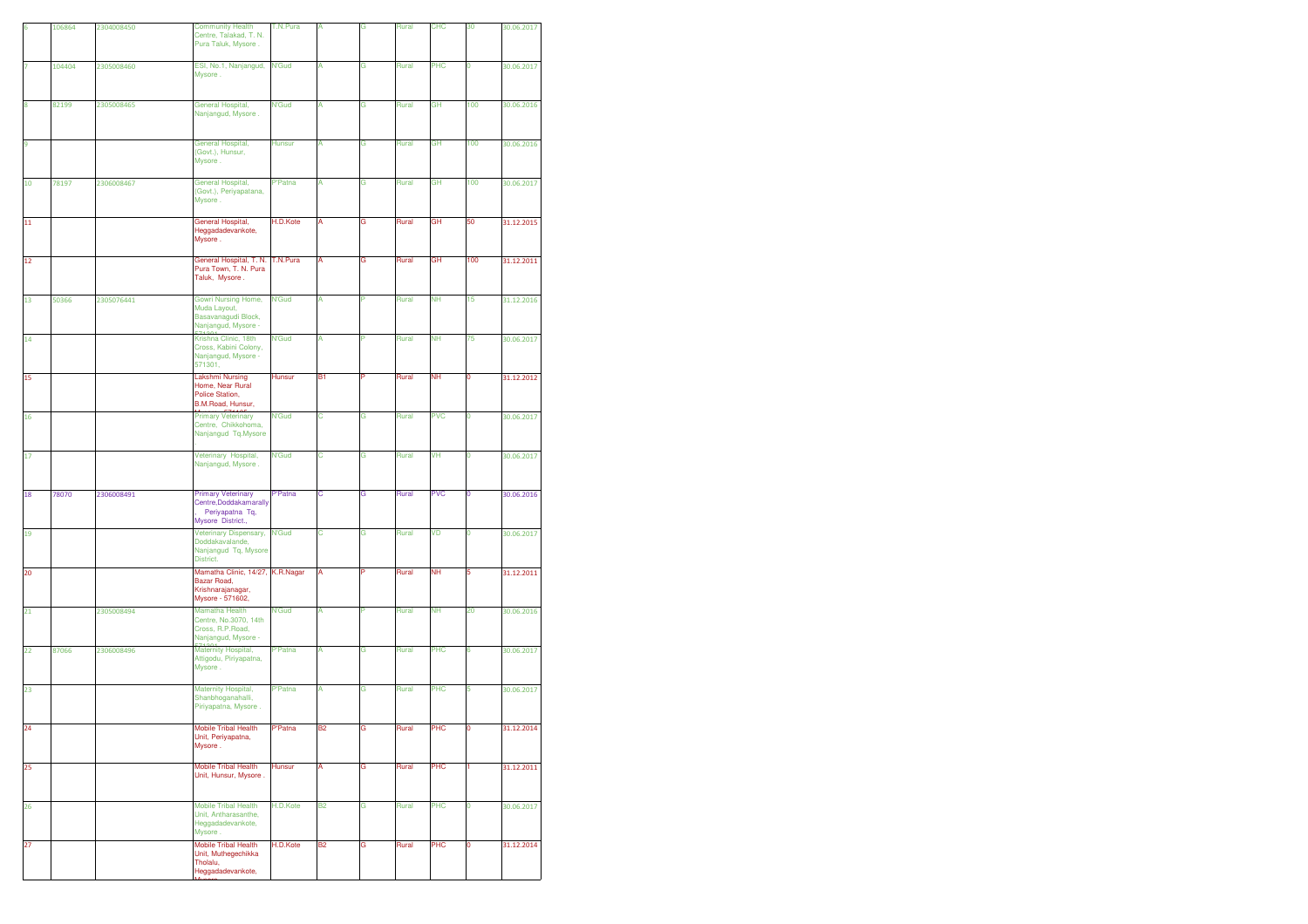| 6  | 106864 | 2304008450 | <b>Community Health</b>                                                                     | T.N.Pura       | A              | G | Rural | <b>CHC</b> | 30          | 30.06.2017 |
|----|--------|------------|---------------------------------------------------------------------------------------------|----------------|----------------|---|-------|------------|-------------|------------|
|    |        |            | Centre, Talakad, T. N.<br>Pura Taluk, Mysore.                                               |                |                |   |       |            |             |            |
| 7  | 104404 | 2305008460 | ESI, No.1, Nanjangud,<br>Mysore.                                                            | <b>N'Gud</b>   | Α              | G | Rural | PHC        | 0           | 30.06.2017 |
| 8  | 82199  | 2305008465 | General Hospital,<br>Nanjangud, Mysore.                                                     | <b>N'Gud</b>   | А              | G | Rural | GH         | 100         | 30.06.2016 |
| 9  |        |            | General Hospital,<br>(Govt.), Hunsur,<br>Mysore.                                            | Hunsur         | A              | G | Rural | GH         | 100         | 30.06.2016 |
| 10 | 78197  | 2306008467 | General Hospital,<br>(Govt.), Periyapatana,<br>Mysore.                                      | <b>P'Patna</b> | А              | G | Rural | GH         | 100         | 30.06.2017 |
| 11 |        |            | General Hospital,<br>Heggadadevankote,<br>Mysore.                                           | H.D.Kote       | А              | G | Rural | GH         | 50          | 31.12.2015 |
| 12 |        |            | General Hospital, T. N.<br>Pura Town, T. N. Pura<br>Taluk, Mysore.                          | T.N.Pura       | A              | G | Rural | GH         | 100         | 31.12.2011 |
| 13 | 50366  | 2305076441 | Gowri Nursing Home,<br>Muda Layout,<br>Basavanagudi Block,<br>Nanjangud, Mysore -           | <b>N'Gud</b>   | A              | P | Rural | <b>NH</b>  | 15          | 31.12.2016 |
| 14 |        |            | Krishna Clinic, 18th<br>Cross, Kabini Colony,<br>Nanjangud, Mysore -<br>571301,             | <b>N'Gud</b>   | A              | P | Rural | <b>NH</b>  | 75          | 30.06.2017 |
| 15 |        |            | <b>Lakshmi Nursing</b><br>Home, Near Rural<br>Police Station,<br>B.M.Road, Hunsur,          | Hunsur         | B1             | P | Rural | <b>NH</b>  | O           | 31.12.2012 |
| 16 |        |            | <b>Primary Veterinary</b><br>Centre, Chikkohoma,<br>Nanjangud Tq.Mysore                     | <b>N'Gud</b>   | C              | G | Rural | <b>PVC</b> | $\mathbf 0$ | 30.06.2017 |
| 17 |        |            | Veterinary Hospital,<br>Nanjangud, Mysore.                                                  | <b>N'Gud</b>   | с              | G | Rural | VH         | 0           | 30.06.2017 |
| 18 | 78070  | 2306008491 | <b>Primary Veterinary</b><br>Centre, Doddakamarally<br>Periyapatna Tq,<br>Mysore District., | P'Patna        | С              | G | Rural | <b>PVC</b> | 0           | 30.06.2016 |
| 19 |        |            | Veterinary Dispensary,<br>Doddakavalande,<br>Nanjangud Tq, Mysore<br>District.              | <b>N'Gud</b>   | С              | G | Rural | VD         | o           | 30.06.2017 |
| 20 |        |            | Mamatha Clinic, 14/27,<br>Bazar Road,<br>Krishnarajanagar,<br>Mysore - 571602,              | K.R.Nagar      | A              |   | Rural | NΗ         | 5           | 31.12.2011 |
| 21 |        | 2305008494 | Mamatha Health<br>Centre, No.3070, 14th<br>Cross, R.P.Road,<br>Nanjangud, Mysore -          | <b>N'Gud</b>   | А              | P | Rural | <b>NH</b>  | 20          | 30.06.2016 |
| 22 | 87066  | 2306008496 | Maternity Hospital,<br>Attigodu, Piriyapatna,<br>Mysore.                                    | <b>P'Patna</b> | A              | G | Rural | PHC        | 6           | 30.06.2017 |
| 23 |        |            | Maternity Hospital,<br>Shanbhoganahalli,<br>Piriyapatna, Mysore.                            | P'Patna        | A              | G | Rural | PHC        | 5           | 30.06.2017 |
| 24 |        |            | <b>Mobile Tribal Health</b><br>Unit, Periyapatna,<br>Mysore.                                | P'Patna        | <b>B2</b>      | G | Rural | PHC        | $\mathbf 0$ | 31.12.2014 |
| 25 |        |            | <b>Mobile Tribal Health</b><br>Unit, Hunsur, Mysore.                                        | Hunsur         | А              | G | Rural | PHC        | H.          | 31.12.2011 |
| 26 |        |            | <b>Mobile Tribal Health</b><br>Unit, Antharasanthe,<br>Heggadadevankote,<br>Mysore.         | H.D.Kote       | B <sub>2</sub> | G | Rural | PHC        | 0           | 30.06.2017 |
| 27 |        |            | <b>Mobile Tribal Health</b><br>Unit, Muthegechikka<br>Tholalu,<br>Heggadadevankote,         | H.D.Kote       | B2             | G | Rural | PHC        | 0           | 31.12.2014 |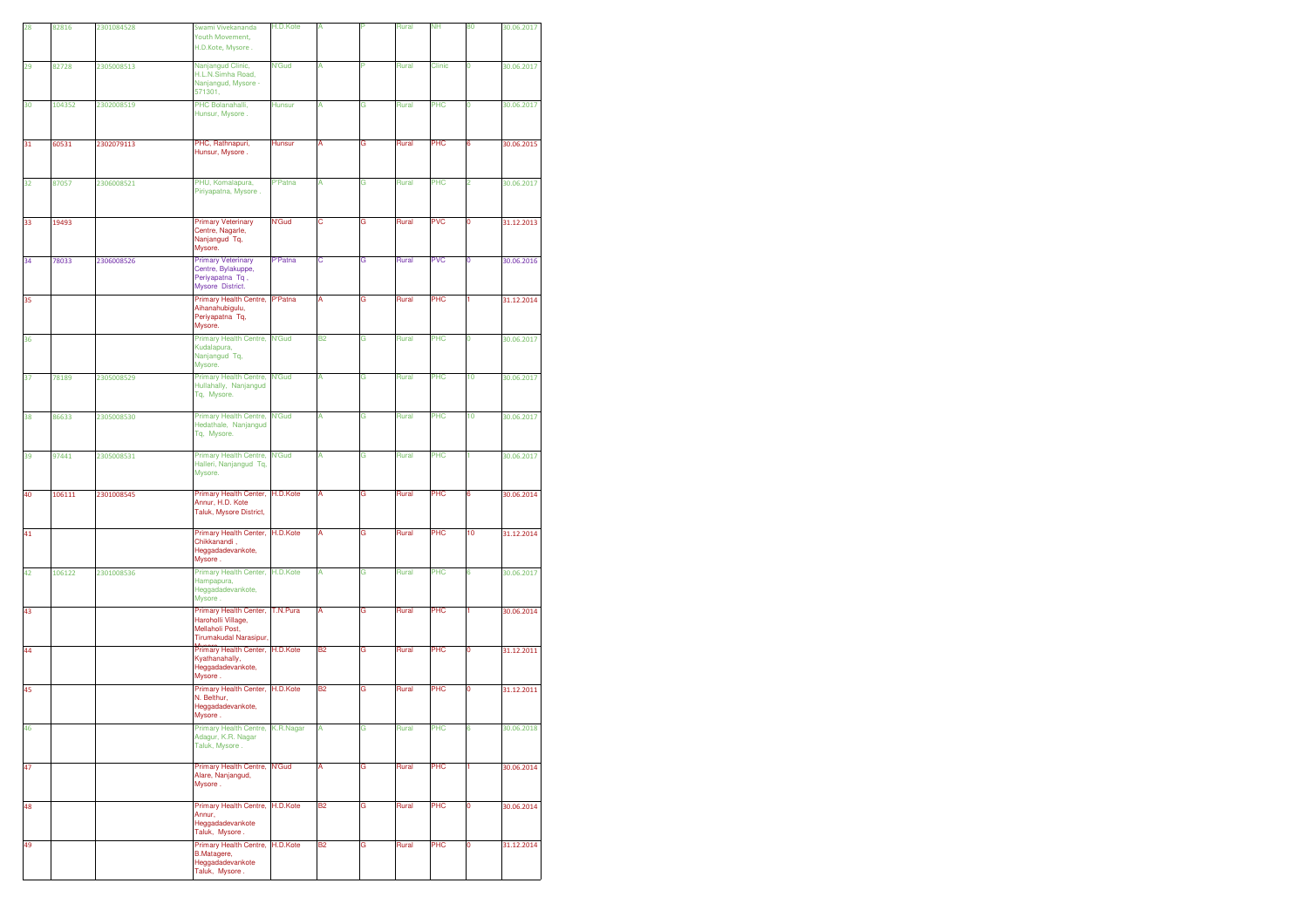| 28 | 82816  | 2301084528 | Swami Vivekananda                                                                         | H.D.Kote       | A              |   | Rural | <b>NH</b>  | 80 | 30.06.2017 |
|----|--------|------------|-------------------------------------------------------------------------------------------|----------------|----------------|---|-------|------------|----|------------|
|    |        |            | Youth Movement,<br>H.D.Kote, Mysore.                                                      |                |                |   |       |            |    |            |
| 29 | 82728  | 2305008513 | Nanjangud Clinic,<br>H.L.N.Simha Road,<br>Nanjangud, Mysore -<br>571301,                  | N'Gud          | А              | p | Rural | Clinic     | 0  | 30.06.2017 |
| 30 | 104352 | 2302008519 | PHC Bolanahalli,<br>Hunsur, Mysore.                                                       | <b>Hunsur</b>  | А              | G | Rural | PHC        | 0  | 30.06.2017 |
| 31 | 60531  | 2302079113 | PHC, Rathnapuri,<br>Hunsur, Mysore.                                                       | <b>Hunsur</b>  | A              | G | Rural | PHC        | 6  | 30.06.2015 |
| 32 | 87057  | 2306008521 | PHU, Komalapura,<br>Piriyapatna, Mysore.                                                  | P'Patna        | А              | G | Rural | PHC        | 2  | 30.06.2017 |
| 33 | 19493  |            | <b>Primary Veterinary</b><br>Centre, Nagarle,<br>Nanjangud Tq,<br>Mysore.                 | <b>N'Gud</b>   | с              | G | Rural | <b>PVC</b> | 0  | 31.12.2013 |
| 34 | 78033  | 2306008526 | <b>Primary Veterinary</b><br>Centre, Bylakuppe,<br>Periyapatna Tq,<br>Mysore District.    | P'Patna        | С              | G | Rural | <b>PVC</b> | 0  | 30.06.2016 |
| 35 |        |            | Primary Health Centre,<br>Aihanahubigulu,<br>Periyapatna Tq,<br>Mysore.                   | <b>P'Patna</b> | A              | G | Rural | PHC        | 1  | 31.12.2014 |
| 36 |        |            | <b>Primary Health Centre,</b><br>Kudalapura,<br>Nanjangud Tq,<br>Mysore.                  | <b>N'Gud</b>   | <b>B2</b>      | G | Rural | PHC        | 0  | 30.06.2017 |
| 37 | 78189  | 2305008529 | Primary Health Centre,<br>Hullahally, Nanjangud<br>Tq, Mysore.                            | <b>N'Gud</b>   | A              | G | Rural | PHC        | 10 | 30.06.2017 |
| 38 | 86633  | 2305008530 | <b>Primary Health Centre,</b><br>Hedathale, Nanjangud<br>Tq, Mysore.                      | <b>N'Gud</b>   | A              | Ġ | Rural | PHC        | 10 | 30.06.2017 |
| 39 | 97441  | 2305008531 | Primary Health Centre,<br>Halleri, Nanjangud Tq,<br>Mysore.                               | N'Gud          | А              | G | Rural | PHC        | 1  | 30.06.2017 |
| 40 | 106111 | 2301008545 | Primary Health Center,<br>Annur, H.D. Kote<br>Taluk, Mysore District,                     | H.D.Kote       | А              | G | Rural | PHC        | 6  | 30.06.2014 |
| 41 |        |            | Primary Health Center,<br>Chikkanandi,<br>Heggadadevankote,<br>Mysore.                    | H.D.Kote       | А              | G | Rural | PHC        | 10 | 31.12.2014 |
| 42 | 106122 | 2301008536 | Primary Health Center,<br>Hampapura,<br>Heggadadevankote,<br>Mysore.                      | H.D.Kote       | A              | G | Rural | PHC        | 6  | 30.06.2017 |
| 43 |        |            | Primary Health Center,<br>Haroholli Village,<br>Mellaholi Post,<br>Tirumakudal Narasipur, | T.N.Pura       | А              | G | Rural | PHC        | 1  | 30.06.2014 |
| 44 |        |            | Primary Health Center,<br>Kyathanahally,<br>Heggadadevankote,<br>Mysore.                  | H.D.Kote       | <b>B2</b>      | G | Rural | PHC        | 0  | 31.12.2011 |
| 45 |        |            | Primary Health Center,<br>N. Belthur,<br>Heggadadevankote,<br>Mysore .                    | H.D.Kote       | B <sub>2</sub> | G | Rural | PHC        | 0  | 31.12.2011 |
| 46 |        |            | Primary Health Centre, K.R.Nagar<br>Adagur, K.R. Nagar<br>Taluk, Mysore.                  |                | A              | Ġ | Rural | PHC        | 6  | 30.06.2018 |
| 47 |        |            | Primary Health Centre,<br>Alare, Nanjangud,<br>Mysore.                                    | N'Gud          | А              | G | Rural | PHC        | 1  | 30.06.2014 |
| 48 |        |            | Primary Health Centre,<br>Annur,<br>Heggadadevankote<br>Taluk, Mysore.                    | H.D.Kote       | <b>B2</b>      | G | Rural | PHC        | 0  | 30.06.2014 |
| 49 |        |            | Primary Health Centre,<br><b>B.Matagere,</b><br>Heggadadevankote<br>Taluk, Mysore.        | H.D.Kote       | Β2             | G | Rural | PHC        | 0  | 31.12.2014 |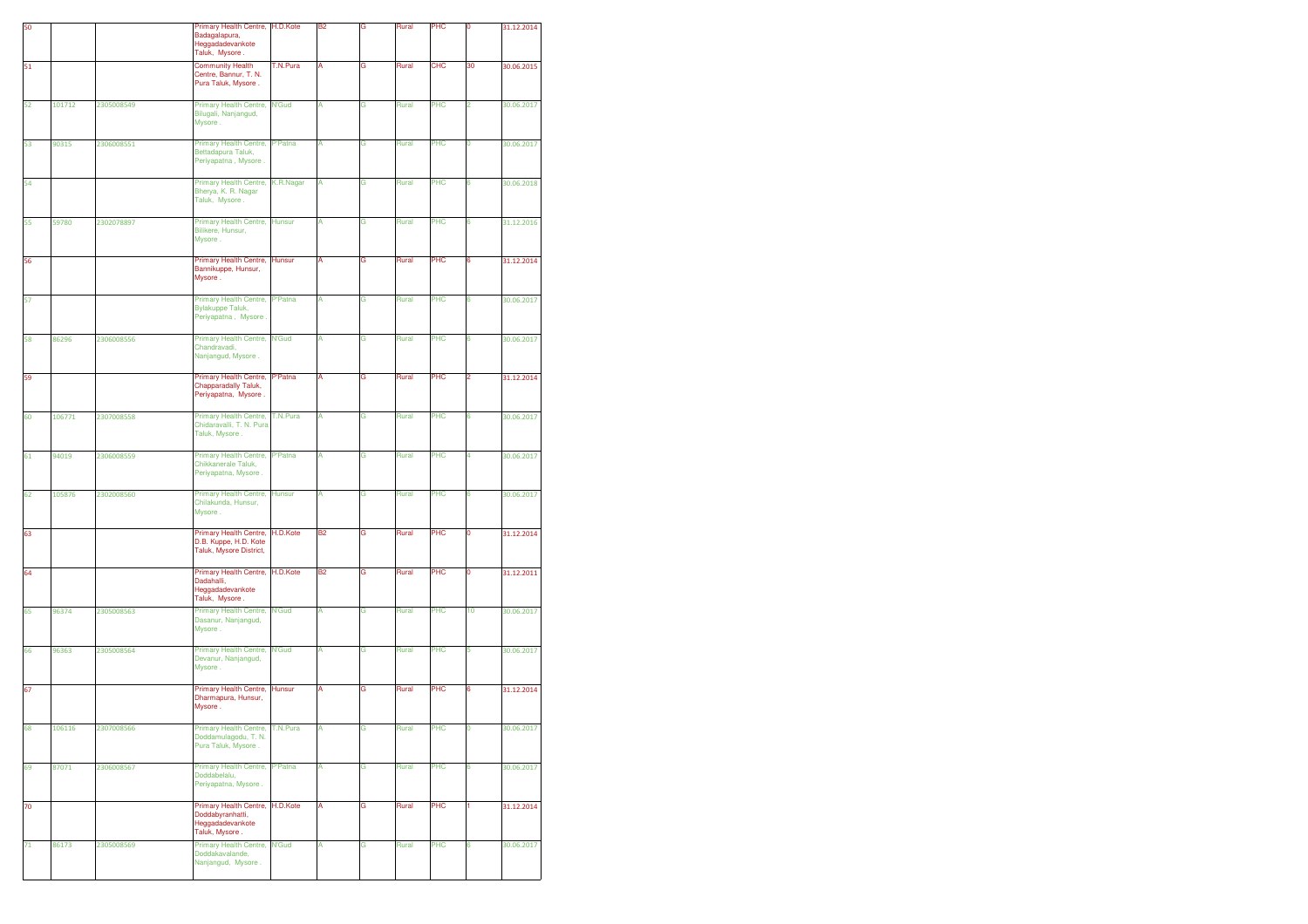| 50 |        |            | Primary Health Centre,<br>Badagalapura,<br>Heggadadevankote<br>Taluk, Mysore.    | H.D.Kote       | <b>B2</b> | G | Rural | PHC        | Ó  | 31.12.2014 |
|----|--------|------------|----------------------------------------------------------------------------------|----------------|-----------|---|-------|------------|----|------------|
| 51 |        |            | <b>Community Health</b><br>Centre, Bannur, T. N.<br>Pura Taluk, Mysore.          | T.N.Pura       | Α         | G | Rural | <b>CHC</b> | 30 | 30.06.2015 |
| 52 | 101712 | 2305008549 | Primary Health Centre,<br>Bilugali, Nanjangud,<br>Mysore.                        | <b>N'Gud</b>   | А         | G | Rural | PHC        | 2  | 30.06.2017 |
| 53 | 90315  | 2306008551 | Primary Health Centre,<br>Bettadapura Taluk,<br>Periyapatna, Mysore.             | <b>P'Patna</b> | A         | G | Rural | PHC        | 0  | 30.06.2017 |
| 54 |        |            | Primary Health Centre,<br>Bherya, K. R. Nagar<br>Taluk, Mysore.                  | K.R.Nagar      | А         | G | Rural | PHC        | 6  | 30.06.2018 |
| 55 | 59780  | 2302078897 | Primary Health Centre,<br>Bilikere, Hunsur,<br>Mysore.                           | <b>Hunsur</b>  | A         | G | Rural | PHC        | 6  | 31.12.2016 |
| 56 |        |            | Primary Health Centre,<br>Bannikuppe, Hunsur,<br>Mysore.                         | <b>Hunsur</b>  | А         | G | Rural | PHC        | 6  | 31.12.2014 |
| 57 |        |            | Primary Health Centre,<br><b>Bylakuppe Taluk,</b><br>Periyapatna, Mysore.        | <b>P'Patna</b> | А         | G | Rural | PHC        | 6  | 30.06.2017 |
| 58 | 86296  | 2306008556 | Primary Health Centre,<br>Chandravadi,<br>Nanjangud, Mysore.                     | <b>N'Gud</b>   | A         | G | Rural | PHC        | 6  | 30.06.2017 |
| 59 |        |            | Primary Health Centre,<br>Chapparadally Taluk,<br>Periyapatna, Mysore.           | <b>P'Patna</b> | А         | G | Rural | PHC        | 2  | 31.12.2014 |
| 60 | 106771 | 2307008558 | Primary Health Centre,<br>Chidaravalli, T. N. Pura<br>Taluk, Mysore.             | T.N.Pura       | A         | G | Rural | PHC        | 6  | 30.06.2017 |
| 61 | 94019  | 2306008559 | Primary Health Centre,<br>Chikkanerale Taluk,<br>Periyapatna, Mysore.            | <b>P'Patna</b> | A         | G | Rural | PHC        | 4  | 30.06.2017 |
| 62 | 105876 | 2302008560 | Primary Health Centre,<br>Chilakunda, Hunsur,<br>Mysore.                         | <b>Hunsur</b>  | A         | G | Rural | PHC        | 6  | 30.06.2017 |
| 63 |        |            | Primary Health Centre,<br>D.B. Kuppe, H.D. Kote<br>Taluk, Mysore District,       | H.D.Kote       | <b>B2</b> | G | Rural | PHC        | 0  | 31.12.2014 |
| 64 |        |            | Primary Health Centre,<br>Dadahalli,<br>Heggadadevankote<br>Taluk, Mysore.       | H.D.Kote       | <b>B2</b> | G | Rural | PHC        | 0  | 31.12.2011 |
| 65 | 96374  | 2305008563 | Primary Health Centre,<br>Dasanur, Nanjangud,<br>Mysore.                         | <b>N'Gud</b>   | A         | G | Rural | PHC        | 10 | 30.06.2017 |
| 66 | 96363  | 2305008564 | Primary Health Centre,<br>Devanur, Nanjangud,<br>Mysore.                         | N'Gud          | A         | G | Rural | PHC        | 5  | 30.06.2017 |
| 67 |        |            | Primary Health Centre,<br>Dharmapura, Hunsur,<br>Mysore.                         | Hunsur         | А         | G | Rural | PHC        | 6  | 31.12.2014 |
| 68 | 106116 | 2307008566 | Primary Health Centre,<br>Doddamulagodu, T. N.<br>Pura Taluk, Mysore.            | T.N.Pura       | А         | G | Rural | PHC        | O  | 30.06.2017 |
| 69 | 87071  | 2306008567 | Primary Health Centre,<br>Doddabelalu,<br>Periyapatna, Mysore.                   | P'Patna        | A         | G | Rural | PHC        | 6  | 30.06.2017 |
| 70 |        |            | Primary Health Centre,<br>Doddabyranhatti,<br>Heggadadevankote<br>Taluk, Mysore. | H.D.Kote       | А         | G | Rural | PHC        | 1  | 31.12.2014 |
| 71 | 86173  | 2305008569 | Primary Health Centre,<br>Doddakavalande.<br>Nanjangud, Mysore.                  | <b>N'Gud</b>   | А         | G | Rural | PHC        | 6  | 30.06.2017 |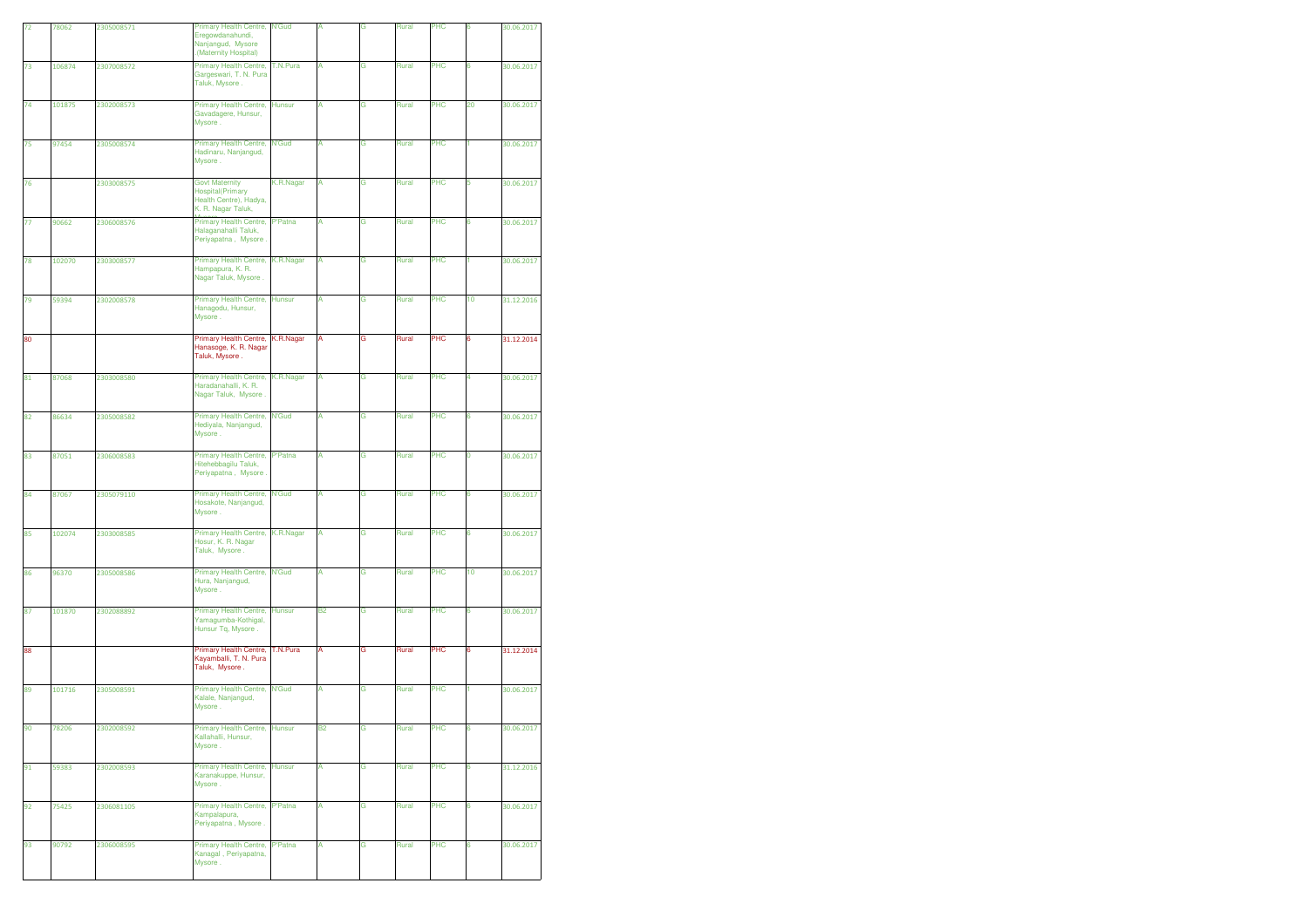| 72 |        |            |                                                                                                   |                |           |   |       |     |    |            |
|----|--------|------------|---------------------------------------------------------------------------------------------------|----------------|-----------|---|-------|-----|----|------------|
|    | 78062  | 2305008571 | Primary Health Centre,<br>Eregowdanahundi,<br>Nanjangud, Mysore<br>(Maternity Hospital)           | <b>N'Gud</b>   |           | G | Rural | PHC | 6  | 30.06.2017 |
| 73 | 106874 | 2307008572 | Primary Health Centre,<br>Gargeswari, T. N. Pura<br>Taluk, Mysore.                                | T.N.Pura       | A         | G | Rural | PHC | 6  | 30.06.2017 |
| 74 | 101875 | 2302008573 | Primary Health Centre,<br>Gavadagere, Hunsur,<br>Mysore.                                          | <b>Hunsur</b>  | Α         | G | Rural | PHC | 20 | 30.06.2017 |
| 75 | 97454  | 2305008574 | Primary Health Centre,<br>Hadinaru, Nanjangud,<br>Mysore.                                         | <b>N'Gud</b>   | Α         | G | Rural | PHC | 1  | 30.06.2017 |
| 76 |        | 2303008575 | <b>Govt Maternity</b><br><b>Hospital</b> (Primary<br>Health Centre), Hadya,<br>K. R. Nagar Taluk, | K.R.Nagar      | А         | G | Rural | PHC | 5  | 30.06.2017 |
| 77 | 90662  | 2306008576 | Primary Health Centre,<br>Halaganahalli Taluk,<br>Periyapatna, Mysore.                            | <b>P'Patna</b> | А         | G | Rural | PHC | 6  | 30.06.2017 |
| 78 | 102070 | 2303008577 | Primary Health Centre,<br>Hampapura, K. R.<br>Nagar Taluk, Mysore.                                | K.R.Nagar      | Α         | G | Rural | PHC | 1  | 30.06.2017 |
| 79 | 59394  | 2302008578 | Primary Health Centre,<br>Hanagodu, Hunsur,<br>Mysore.                                            | <b>Hunsur</b>  | А         | G | Rural | PHC | 10 | 31.12.2016 |
| 80 |        |            | Primary Health Centre,<br>Hanasoge, K. R. Nagar<br>Taluk, Mysore.                                 | K.R.Nagar      | A         | G | Rural | PHC | 6  | 31.12.2014 |
| 81 | 87068  | 2303008580 | Primary Health Centre,<br>Haradanahalli, K. R.<br>Nagar Taluk, Mysore.                            | K.R.Nagar      | Α         | G | Rural | PHC | 4  | 30.06.2017 |
| 82 | 86634  | 2305008582 | Primary Health Centre,<br>Hediyala, Nanjangud,<br>Mysore.                                         | <b>N'Gud</b>   | A         | G | Rural | PHC | 6  | 30.06.2017 |
| 83 | 87051  | 2306008583 | <b>Primary Health Centre,</b><br>Hitehebbagilu Taluk,<br>Periyapatna, Mysore.                     | P'Patna        | A         | G | Rural | PHC | 0  | 30.06.2017 |
|    |        |            |                                                                                                   |                |           |   |       |     |    |            |
| 84 | 87067  | 2305079110 | Primary Health Centre,<br>Hosakote, Nanjangud,<br>Mysore.                                         | <b>N'Gud</b>   | A         | G | Rural | PHC | 6  | 30.06.2017 |
| 85 | 102074 | 2303008585 | Primary Health Centre,<br>Hosur, K. R. Nagar<br>Taluk, Mysore.                                    | K.R.Nagar      | А         | G | Rural | PHC | 6  | 30.06.2017 |
| 86 | 96370  | 2305008586 | Primary Health Centre,<br>Hura, Nanjangud,<br>Mysore.                                             | <b>N'Gud</b>   | Α         | G | Rural | PHC | 10 | 30.06.2017 |
| 87 | 101870 | 2302088892 | <b>Primary Health Centre,</b><br>Yamagumba-Kothigal,<br>Hunsur Tq, Mysore.                        | <b>Hunsur</b>  | В2        | G | Rural | PHC | 6  | 30.06.2017 |
| 88 |        |            | Primary Health Centre,<br>Kayamballi, T. N. Pura<br>Taluk, Mysore.                                | T.N.Pura       | A         | G | Rural | PHC | 6  | 31.12.2014 |
| 89 | 101716 | 2305008591 | Primary Health Centre,<br>Kalale, Nanjangud,<br>Mysore.                                           | <b>N'Gud</b>   | Α         | G | Rural | PHC |    | 30.06.2017 |
| 90 | 78206  | 2302008592 | Primary Health Centre,<br>Kallahalli, Hunsur,<br>Mysore.                                          | <b>Hunsur</b>  | <b>B2</b> | G | Rural | PHC | 6  | 30.06.2017 |
| 91 | 59383  | 2302008593 | <b>Primary Health Centre,</b><br>Karanakuppe, Hunsur,<br>Mysore.                                  | Hunsur         | A         | G | Rural | PHC | 6  | 31.12.2016 |
| 92 | 75425  | 2306081105 | Primary Health Centre,<br>Kampalapura,<br>Periyapatna, Mysore.                                    | <b>P'Patna</b> | А         | G | Rural | PHC | 6  | 30.06.2017 |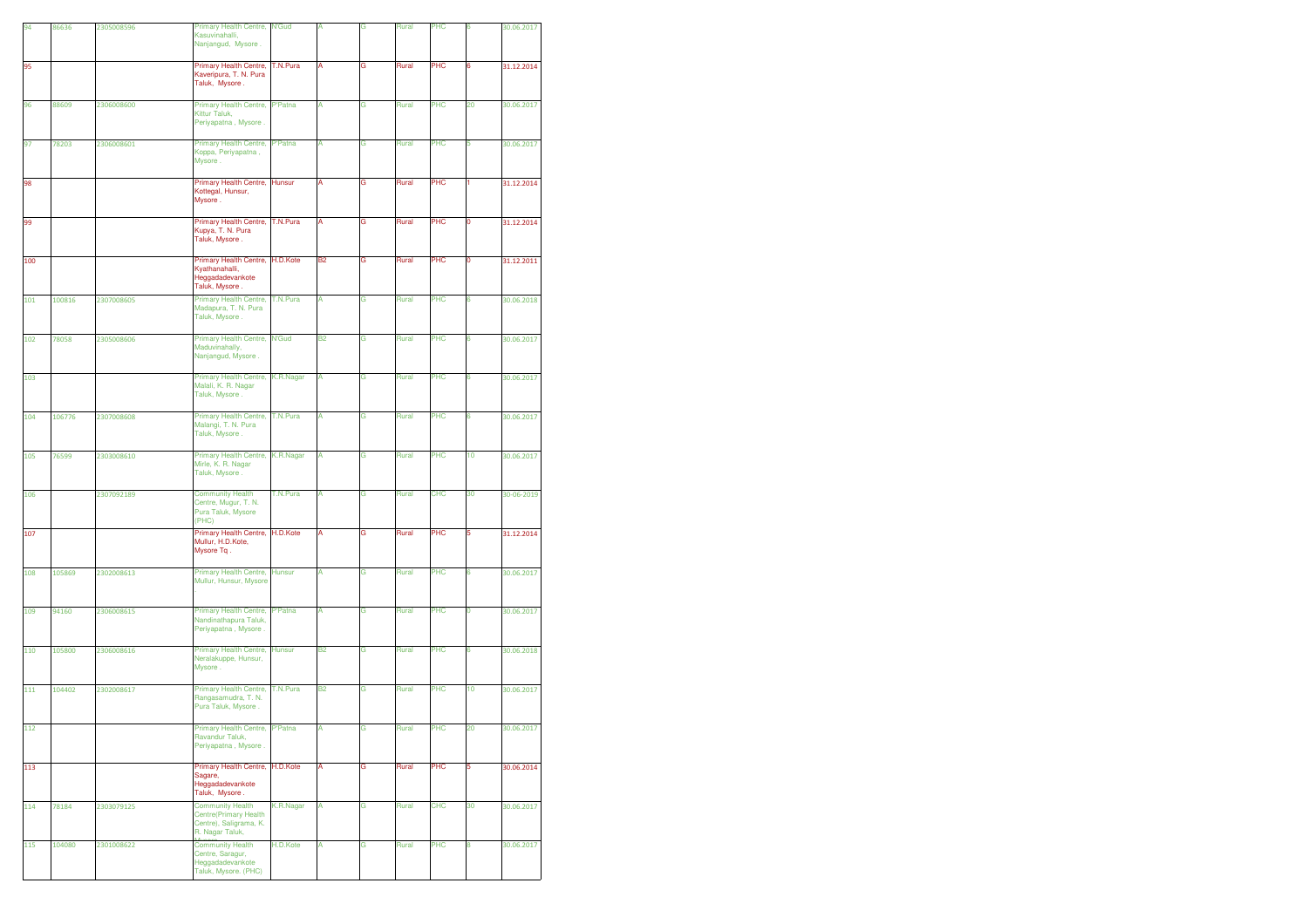| 94  | 86636  | 2305008596 | Primary Health Centre, N'Gud<br>Kasuvinahalli.<br>Nanjangud, Mysore.                          |                | Α         | G | Rural | PHC        | 6  | 30.06.2017 |
|-----|--------|------------|-----------------------------------------------------------------------------------------------|----------------|-----------|---|-------|------------|----|------------|
| 95  |        |            | Primary Health Centre,<br>Kaveripura, T. N. Pura<br>Taluk, Mysore.                            | T.N.Pura       | A         | G | Rural | PHC        | 6  | 31.12.2014 |
| 96  | 88609  | 2306008600 | Primary Health Centre,<br>Kittur Taluk,<br>Periyapatna, Mysore.                               | <b>P'Patna</b> | А         | G | Rural | PHC        | 20 | 30.06.2017 |
| 97  | 78203  | 2306008601 | Primary Health Centre,<br>Koppa, Periyapatna,<br>Mysore.                                      | <b>P'Patna</b> | A         | G | Rural | PHC        | 5  | 30.06.2017 |
| 98  |        |            | Primary Health Centre,<br>Kottegal, Hunsur,<br>Mysore.                                        | Hunsur         | A         | G | Rural | PHC        | 1. | 31.12.2014 |
| 99  |        |            | Primary Health Centre,<br>Kupya, T. N. Pura<br>Taluk, Mysore.                                 | T.N.Pura       | А         | G | Rural | PHC        | 0  | 31.12.2014 |
| 100 |        |            | Primary Health Centre, H.D.Kote<br>Kyathanahalli,<br>Heggadadevankote<br>Taluk, Mysore.       |                | B2        | G | Rural | PHC        | 0  | 31.12.2011 |
| 101 | 100816 | 2307008605 | Primary Health Centre,<br>Madapura, T. N. Pura<br>Taluk, Mysore.                              | T.N.Pura       | А         | G | Rural | PHC        | 6  | 30.06.2018 |
| 102 | 78058  | 2305008606 | Primary Health Centre,<br>Maduvinahally,<br>Nanjangud, Mysore.                                | <b>N'Gud</b>   | <b>B2</b> | G | Rural | PHC        | 6  | 30.06.2017 |
| 103 |        |            | Primary Health Centre,<br>Malali, K. R. Nagar<br>Taluk, Mysore.                               | K.R.Nagar      | А         | G | Rural | PHC        | 6  | 30.06.2017 |
| 104 | 106776 | 2307008608 | Primary Health Centre,<br>Malangi, T. N. Pura<br>Taluk, Mysore.                               | T.N.Pura       | A         | G | Rural | PHC        | 6  | 30.06.2017 |
| 105 | 76599  | 2303008610 | Primary Health Centre,<br>Mirle, K. R. Nagar<br>Taluk, Mysore.                                | K.R.Nagar      | A         | G | Rural | PHC        | 10 | 30.06.2017 |
| 106 |        | 2307092189 | <b>Community Health</b><br>Centre, Mugur, T. N.<br>Pura Taluk, Mysore<br>(PHC)                | T.N.Pura       | A         | G | Rural | CHC        | 30 | 30-06-2019 |
| 107 |        |            | Primary Health Centre,<br>Mullur, H.D.Kote,<br>Mysore Tq.                                     | H.D.Kote       | Α         | G | Rural | PHC        | 5  | 31.12.2014 |
| 108 | 105869 | 2302008613 | Primary Health Centre,<br>Mullur, Hunsur, Mysore                                              | <b>Hunsur</b>  | A         | G | Rural | PHC        | 6  | 30.06.2017 |
| 109 | 94160  | 2306008615 | Primary Health Centre,<br>Nandinathapura Taluk,<br>Periyapatna, Mysore.                       | <b>P'Patna</b> | A         | G | Rural | PHC        | 0  | 30.06.2017 |
| 110 | 105800 | 2306008616 | Primary Health Centre,<br>Neralakuppe, Hunsur,<br>Mysore.                                     | Hunsur         | <b>B2</b> | G | Rural | PHC        | 6  | 30.06.2018 |
| 111 | 104402 | 2302008617 | Primary Health Centre,<br>Rangasamudra, T. N.<br>Pura Taluk, Mysore.                          | T.N.Pura       | <b>B2</b> | G | Rural | PHC        | 10 | 30.06.2017 |
| 112 |        |            | Primary Health Centre,<br>Ravandur Taluk.<br>Periyapatna, Mysore.                             | P'Patna        | A         | G | Rural | PHC        | 20 | 30.06.2017 |
| 113 |        |            | Primary Health Centre,<br>Sagare,<br>Heggadadevankote<br>Taluk, Mysore.                       | H.D.Kote       | A         | G | Rural | PHC        | 5  | 30.06.2014 |
| 114 | 78184  | 2303079125 | <b>Community Health</b><br>Centre(Primary Health<br>Centre), Saligrama, K.<br>R. Nagar Taluk, | K.R.Nagar      | А         | G | Rural | <b>CHC</b> | 30 | 30.06.2017 |
| 115 | 104080 | 2301008622 | <b>Community Health</b><br>Centre, Saragur,<br>Heggadadevankote<br>Taluk, Mysore. (PHC)       | H.D.Kote       | А         | G | Rural | PHC        | 8  | 30.06.2017 |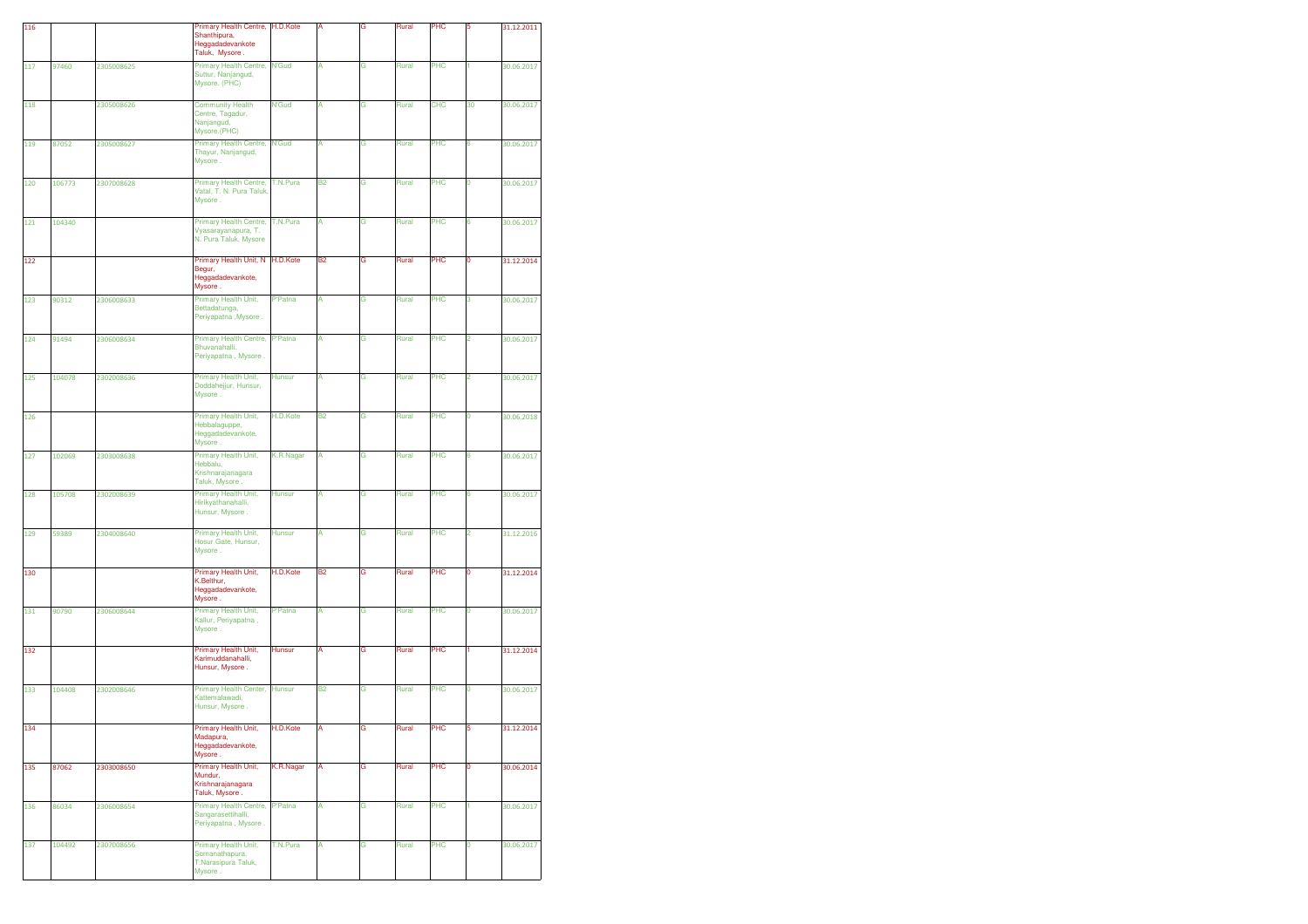| 116 |        |            | Primary Health Centre, H.D.Kote<br>Shanthipura,<br>Heggadadevankote<br>Taluk, Mysore. |                |           | G | Rural | PHC        | 5  | 31.12.2011 |
|-----|--------|------------|---------------------------------------------------------------------------------------|----------------|-----------|---|-------|------------|----|------------|
| 117 | 97460  | 2305008625 | <b>Primary Health Centre,</b><br>Suttur, Nanjangud,<br>Mysore. (PHC)                  | <b>N'Gud</b>   | A         | G | Rural | PHC        | 1  | 30.06.2017 |
| 118 |        | 2305008626 | <b>Community Health</b><br>Centre, Tagadur,<br>Nanjangud,<br>Mysore.(PHC)             | <b>N'Gud</b>   | А         | G | Rural | <b>CHC</b> | 30 | 30.06.2017 |
| 119 | 87052  | 2305008627 | Primary Health Centre,<br>Thayur, Nanjangud,<br>Mysore.                               | <b>N'Gud</b>   | А         | G | Rural | PHC        | 6  | 30.06.2017 |
| 120 | 106773 | 2307008628 | Primary Health Centre,<br>Vatal, T. N. Pura Taluk<br>Mysore.                          | T.N.Pura       | <b>B2</b> | G | Rural | PHC        | 0  | 30.06.2017 |
| 121 | 104340 |            | Primary Health Centre,<br>Vyasarayanapura, T.<br>N. Pura Taluk, Mysore                | T.N.Pura       | A         | G | Rural | PHC        | 6  | 30.06.2017 |
| 122 |        |            | Primary Health Unit, N H.D.Kote<br>Begur,<br>Heggadadevankote,<br>Mysore.             |                | <b>B2</b> | G | Rural | PHC        | 0  | 31.12.2014 |
| 123 | 90312  | 2306008633 | Primary Health Unit,<br>Bettadatunga,<br>Periyapatna, Mysore.                         | <b>P'Patna</b> | А         | G | Rural | PHC        | з  | 30.06.2017 |
| 124 | 91494  | 2306008634 | Primary Health Centre,<br>Bhuvanahalli,<br>Periyapatna, Mysore.                       | <b>P'Patna</b> | A         | G | Rural | PHC        | 2  | 30.06.2017 |
| 125 | 104078 | 2302008636 | Primary Health Unit,<br>Doddahejjur, Hunsur,<br>Mysore.                               | Hunsur         | A         | Ġ | Rural | PHC        | 2  | 30.06.2017 |
| 126 |        |            | Primary Health Unit,<br>Hebbalaguppe,<br>Heggadadevankote,<br>Mysore                  | H.D.Kote       | <b>B2</b> | G | Rural | PHC        | 0  | 30.06.2018 |
| 127 | 102069 | 2303008638 | Primary Health Unit,<br>Hebbalu,<br>Krishnarajanagara<br>Taluk, Mysore.               | K.R.Nagar      | A         | G | Rural | PHC        | 6  | 30.06.2017 |
| 128 | 105708 | 2302008639 | Primary Health Unit,<br>Hirikyathanahalli,<br>Hunsur, Mysore.                         | <b>Hunsur</b>  | A         | G | Rural | PHC        | 6  | 30.06.2017 |
| 129 | 59389  | 2304008640 | Primary Health Unit,<br>Hosur Gate, Hunsur,<br>Mysore.                                | <b>Hunsur</b>  | А         | G | Rural | PHC        | 2  | 31.12.2016 |
| 130 |        |            | Primary Health Unit,<br>K.Belthur.<br>Heggadadevankote,<br>Mysore.                    | H.D.Kote       | <b>B2</b> | G | Rural | PHC        | ٥  | 31.12.2014 |
| 131 | 90790  | 2306008644 | Primary Health Unit,<br>Kallur, Periyapatna,<br>Mysore.                               | P'Patna        | A         | G | Rural | PHC        | 0  | 30.06.2017 |
| 132 |        |            | Primary Health Unit,<br>Karimuddanahalli,<br>Hunsur, Mysore.                          | <b>Hunsur</b>  | A         | G | Rural | PHC        |    | 31.12.2014 |
| 133 | 104408 | 2302008646 | Primary Health Center,<br>Kattemalawadi,<br>Hunsur, Mysore.                           | <b>Hunsur</b>  | <b>B2</b> | G | Rural | PHC        | 0  | 30.06.2017 |
| 134 |        |            | Primary Health Unit,<br>Madapura,<br>Heggadadevankote,<br>Mysore.                     | H.D.Kote       | А         | G | Rural | PHC        | 5  | 31.12.2014 |
| 135 | 87062  | 2303008650 | Primary Health Unit,<br>Mundur,<br>Krishnarajanagara<br>Taluk, Mysore.                | K.R.Nagar      | А         | G | Rural | PHC        | 0  | 30.06.2014 |
| 136 | 86034  | 2306008654 | <b>Primary Health Centre,</b><br>Sangarasettihalli,<br>Periyapatna, Mysore.           | P'Patna        | А         | G | Rural | PHC        | 1  | 30.06.2017 |
| 137 | 104492 | 2307008656 | Primary Health Unit,<br>Somanathapura,<br>T.Narasipura Taluk,<br>Mysore.              | T.N.Pura       | А         | G | Rural | PHC        | 0  | 30.06.2017 |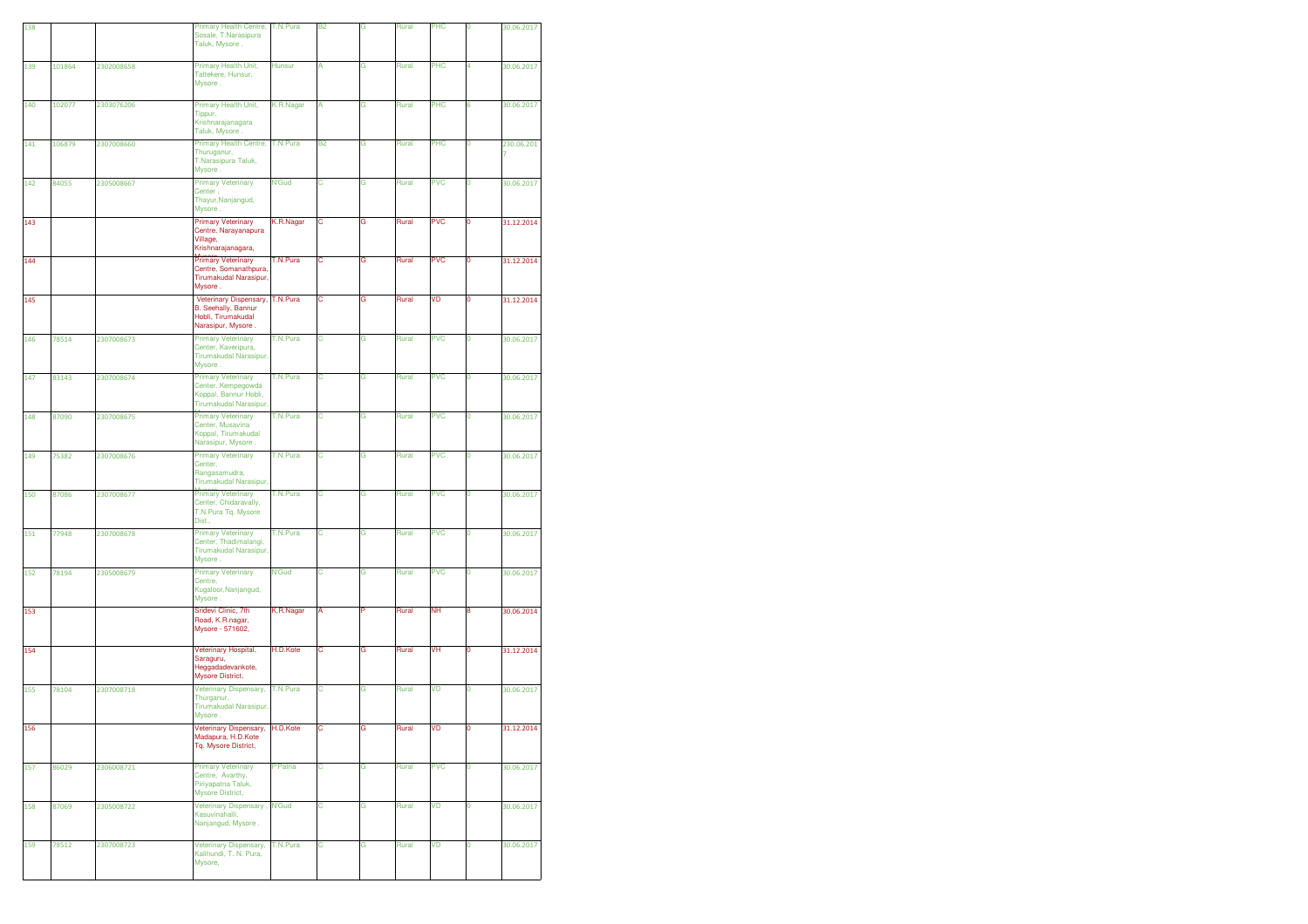| 138 |        |            | Primary Health Centre,                                                                             | T.N.Pura      | <b>B2</b> | Ġ | Rural | PHC        | 0           | 30.06.2017      |
|-----|--------|------------|----------------------------------------------------------------------------------------------------|---------------|-----------|---|-------|------------|-------------|-----------------|
|     |        |            | Sosale, T.Narasipura<br>Taluk, Mysore.                                                             |               |           |   |       |            |             |                 |
| 139 | 101864 | 2302008658 | Primary Health Unit,<br>Tattekere, Hunsur,<br>Mysore.                                              | <b>Hunsur</b> | А         | G | Rural | PHC        | 4           | 30.06.2017      |
| 140 | 102077 | 2303076206 | Primary Health Unit,<br>Tippur,<br>Krishnarajanagara<br>Taluk, Mysore.                             | K.R.Nagar     | А         | G | Rural | PHC        | 6           | 30.06.2017      |
| 141 | 106879 | 2307008660 | <b>Primary Health Centre,</b><br>Thuruganur,<br>T.Narasipura Taluk,<br>Mysore.                     | T.N.Pura      | <b>B2</b> | G | Rural | PHC        | 0           | 230.06.201<br>7 |
| 142 | 84055  | 2305008667 | <b>Primary Veterinary</b><br>Center,<br>Thayur, Nanjangud,<br>Mysore.                              | <b>N'Gud</b>  | с         | G | Rural | <b>PVC</b> | 0           | 30.06.2017      |
| 143 |        |            | <b>Primary Veterinary</b><br>Centre, Narayanapura<br>Village.<br>Krishnarajanagara,                | K.R.Nagar     | с         | G | Rural | <b>PVC</b> | 0           | 31.12.2014      |
| 144 |        |            | <b>Primary Veterinary</b><br>Centre, Somanathpura,<br>Tirumakudal Narasipur,<br>Mysore.            | T.N.Pura      | C         | G | Rural | <b>PVC</b> | O           | 31.12.2014      |
| 145 |        |            | Veterinary Dispensary,<br>B. Seehally, Bannur<br>Hobli, Tirumakudal<br>Narasipur, Mysore.          | T.N.Pura      | с         | G | Rural | VD         | 0           | 31.12.2014      |
| 146 | 78514  | 2307008673 | <b>Primary Veterinary</b><br>Center, Kaveripura,<br>Tirumakudal Narasipur,<br>Mysore.              | T.N.Pura      | с         | G | Rural | <b>PVC</b> | 0           | 30.06.2017      |
| 147 | 83143  | 2307008674 | <b>Primary Veterinary</b><br>Center, Kempegowda<br>Koppal, Bannur Hobli,<br>Tirumakudal Narasipur, | T.N.Pura      | C         | G | Rural | <b>PVC</b> | 0           | 30.06.2017      |
| 148 | 87090  | 2307008675 | <b>Primary Veterinary</b><br>Center, Musavina<br>Koppal, Tirumakudal<br>Narasipur, Mysore.         | T.N.Pura      | C         | Ġ | Rural | <b>PVC</b> | Ō           | 30.06.2017      |
| 149 | 75382  | 2307008676 | <b>Primary Veterinary</b><br>Center,<br>Rangasamudra,<br>Tirumakudal Narasipur,                    | T.N.Pura      | с         | G | Rural | <b>PVC</b> | 0           | 30.06.2017      |
| 150 | 87086  | 2307008677 | <b>Primary Veterinary</b><br>Center, Chidaravally,<br>T.N.Pura Tq. Mysore<br>Dist.,                | T.N.Pura      | C         | G | Rural | <b>PVC</b> | 0           | 30.06.2017      |
| 151 | 77948  | 2307008678 | <b>Primary Veterinary</b><br>Center, Thadimalangi,<br>Tirumakudal Narasipur,<br>Mysore.            | T.N.Pura      | C         | G | Rural | <b>PVC</b> | 0           | 30.06.2017      |
| 152 | 78194  | 2305008679 | <b>Primary Veterinary</b><br>Centre,<br>Kugaloor, Nanjangud,<br>Mysore.                            | <b>N'Gud</b>  | с         | G | Rural | <b>PVC</b> | 0           | 30.06.2017      |
| 153 |        |            | Sridevi Clinic, 7th<br>Road, K.R.nagar,<br>Mysore - 571602,                                        | K.R.Nagar     | А         | P | Rural | <b>NH</b>  | 8           | 30.06.2014      |
| 154 |        |            | Veterinary Hospital,<br>Saraguru,<br>Heggadadevankote,<br>Mysore District,                         | H.D.Kote      | с         | G | Rural | VH         | 0           | 31.12.2014      |
| 155 | 78104  | 2307008718 | Veterinary Dispensary,<br>Thurganur,<br>Tirumakudal Narasipur,<br>Mysore.                          | T.N.Pura      | C         | G | Rural | VD         | 0           | 30.06.2017      |
| 156 |        |            | Veterinary Dispensary,<br>Madapura, H.D.Kote<br>Tq. Mysore District,                               | H.D.Kote      | с         | G | Rural | VD         | 0           | 31.12.2014      |
| 157 | 86029  | 2306008721 | <b>Primary Veterinary</b><br>Centre, Avarthy,<br>Piriyapatna Taluk,<br>Mysore District,            | P'Patna       | с         | G | Rural | <b>PVC</b> | $\mathbf 0$ | 30.06.2017      |
| 158 | 87069  | 2305008722 | Veterinary Dispensary,<br>Kasuvinahalli,<br>Nanjangud, Mysore.                                     | <b>N'Gud</b>  | C         | G | Rural | VD         | 0           | 30.06.2017      |
| 159 | 78512  | 2307008723 | <b>Veterinary Dispensary,</b><br>Kalihundi, T. N. Pura,<br>Mysore,                                 | T.N.Pura      | с         | G | Rural | VD         | 0           | 30.06.2017      |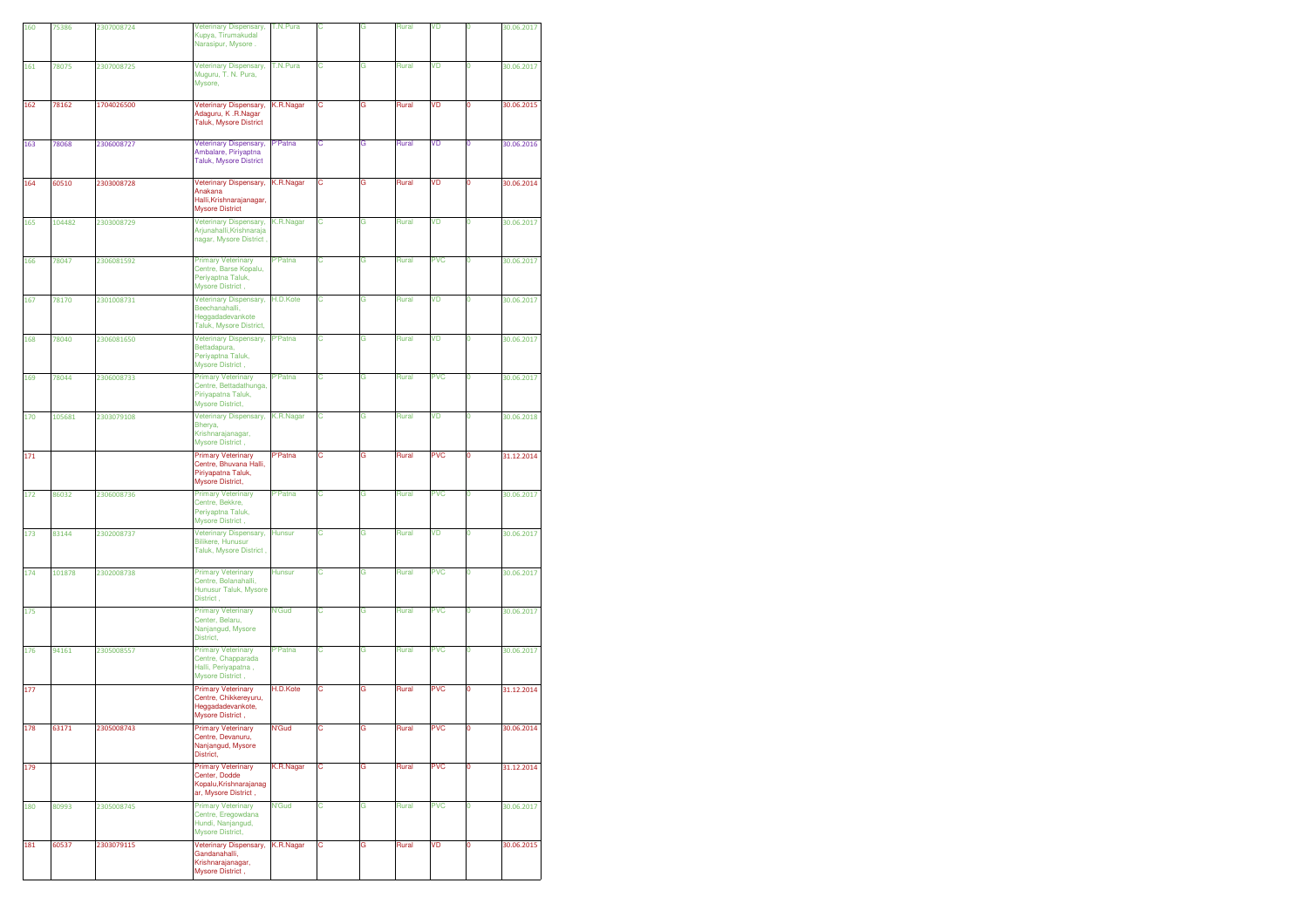| 160 | 75386  | 2307008724 | Veterinary Dispensary,<br>Kupya, Tirumakudal<br>Narasipur, Mysore.                                | T.N.Pura       | C | G | Rural | VD         | 0           | 30.06.2017 |
|-----|--------|------------|---------------------------------------------------------------------------------------------------|----------------|---|---|-------|------------|-------------|------------|
|     |        |            |                                                                                                   |                |   |   |       |            |             |            |
| 161 | 78075  | 2307008725 | Veterinary Dispensary,<br>Muguru, T. N. Pura,<br>Mysore,                                          | T.N.Pura       | с | G | Rural | VD         | 0           | 30.06.2017 |
| 162 | 78162  | 1704026500 | Veterinary Dispensary,<br>Adaguru, K.R.Nagar<br><b>Taluk, Mysore District</b>                     | K.R.Nagar      | с | G | Rural | VD         | 0           | 30.06.2015 |
| 163 | 78068  | 2306008727 | Veterinary Dispensary,<br>Ambalare, Piriyaptna<br><b>Taluk, Mysore District</b>                   | P'Patna        | С | G | Rural | VD         | 0           | 30.06.2016 |
| 164 | 60510  | 2303008728 | <b>Veterinary Dispensary,</b><br>Anakana<br>Halli, Krishnarajanagar,<br><b>Mysore District</b>    | K.R.Nagar      | с | G | Rural | VD         | 0           | 30.06.2014 |
| 165 | 104482 | 2303008729 | Veterinary Dispensary,<br>Arjunahalli, Krishnaraja<br>nagar, Mysore District,                     | K.R.Nagar      | с | G | Rural | VD         | 0           | 30.06.2017 |
| 166 | 78047  | 2306081592 | <b>Primary Veterinary</b><br>Centre, Barse Kopalu,<br>Periyaptna Taluk,<br>Mysore District,       | P'Patna        | С | G | Rural | <b>PVC</b> | 0           | 30.06.2017 |
| 167 | 78170  | 2301008731 | Veterinary Dispensary,<br>Beechanahalli,<br>Heggadadevankote<br>Taluk, Mysore District,           | H.D.Kote       | с | G | Rural | VD         | 0           | 30.06.2017 |
| 168 | 78040  | 2306081650 | Veterinary Dispensary,<br>Bettadapura,<br>Periyaptna Taluk,<br>Mysore District,                   | P'Patna        | С | G | Rural | VD         | 0           | 30.06.2017 |
| 169 | 78044  | 2306008733 | <b>Primary Veterinary</b><br>Centre, Bettadathunga,<br>Piriyapatna Taluk,<br>Mysore District,     | P'Patna        | c | G | Rural | <b>PVC</b> | 0           | 30.06.2017 |
| 170 | 105681 | 2303079108 | Veterinary Dispensary,<br>Bherya,<br>Krishnarajanagar,<br>Mysore District,                        | K.R.Nagar      | С | G | Rural | VD         | O           | 30.06.2018 |
| 171 |        |            | <b>Primary Veterinary</b><br>Centre, Bhuvana Halli,<br>Piriyapatna Taluk,<br>Mysore District,     | P'Patna        | С | G | Rural | <b>PVC</b> | 0           | 31.12.2014 |
| 172 | 86032  | 2306008736 | <b>Primary Veterinary</b><br>Centre, Bekkre,<br>Periyaptna Taluk,<br>Mysore District,             | P'Patna        | с | G | Rural | <b>PVC</b> | 0           | 30.06.2017 |
| 173 | 83144  | 2302008737 | Veterinary Dispensary,<br><b>Bilikere, Hunusur</b><br>Taluk, Mysore District,                     | <b>Hunsur</b>  | с | G | Rural | VD         | $\mathbf 0$ | 30.06.2017 |
| 174 | 101878 | 2302008738 | <b>Primary Veterinary</b><br>Centre, Bolanahalli,<br>Hunusur Taluk, Mysore<br>District,           | <b>Hunsur</b>  | С | G | Rural | <b>PVC</b> | 0           | 30.06.2017 |
| 175 |        |            | <b>Primary Veterinary</b><br>Center, Belaru,<br>Nanjangud, Mysore<br>District,                    | <b>N'Gud</b>   | с | G | Rural | <b>PVC</b> | 0           | 30.06.2017 |
| 176 | 94161  | 2305008557 | <b>Primary Veterinary</b><br>Centre, Chapparada<br>Halli, Periyapatna,<br>Mysore District,        | <b>P'Patna</b> | с | G | Rural | <b>PVC</b> | 0           | 30.06.2017 |
| 177 |        |            | <b>Primary Veterinary</b><br>Centre, Chikkereyuru,<br>Heggadadevankote,<br><b>Mysore District</b> | H.D.Kote       | С | G | Rural | <b>PVC</b> | 0           | 31.12.2014 |
| 178 | 63171  | 2305008743 | <b>Primary Veterinary</b><br>Centre, Devanuru,<br>Nanjangud, Mysore<br>District,                  | N'Gud          | с | G | Rural | <b>PVC</b> | O           | 30.06.2014 |
| 179 |        |            | <b>Primary Veterinary</b><br>Center, Dodde<br>Kopalu, Krishnarajanag<br>ar, Mysore District,      | K.R.Nagar      | c | G | Rural | <b>PVC</b> | 0           | 31.12.2014 |
| 180 | 80993  | 2305008745 | <b>Primary Veterinary</b><br>Centre, Eregowdana<br>Hundi, Nanjangud,<br>Mysore District,          | N'Gud          | C | G | Rural | <b>PVC</b> | 0           | 30.06.2017 |
| 181 | 60537  | 2303079115 | Veterinary Dispensary,<br>Gandanahalli,<br>Krishnarajanagar,<br>Mysore District,                  | K.R.Nagar      | c | G | Rural | VD         | 0           | 30.06.2015 |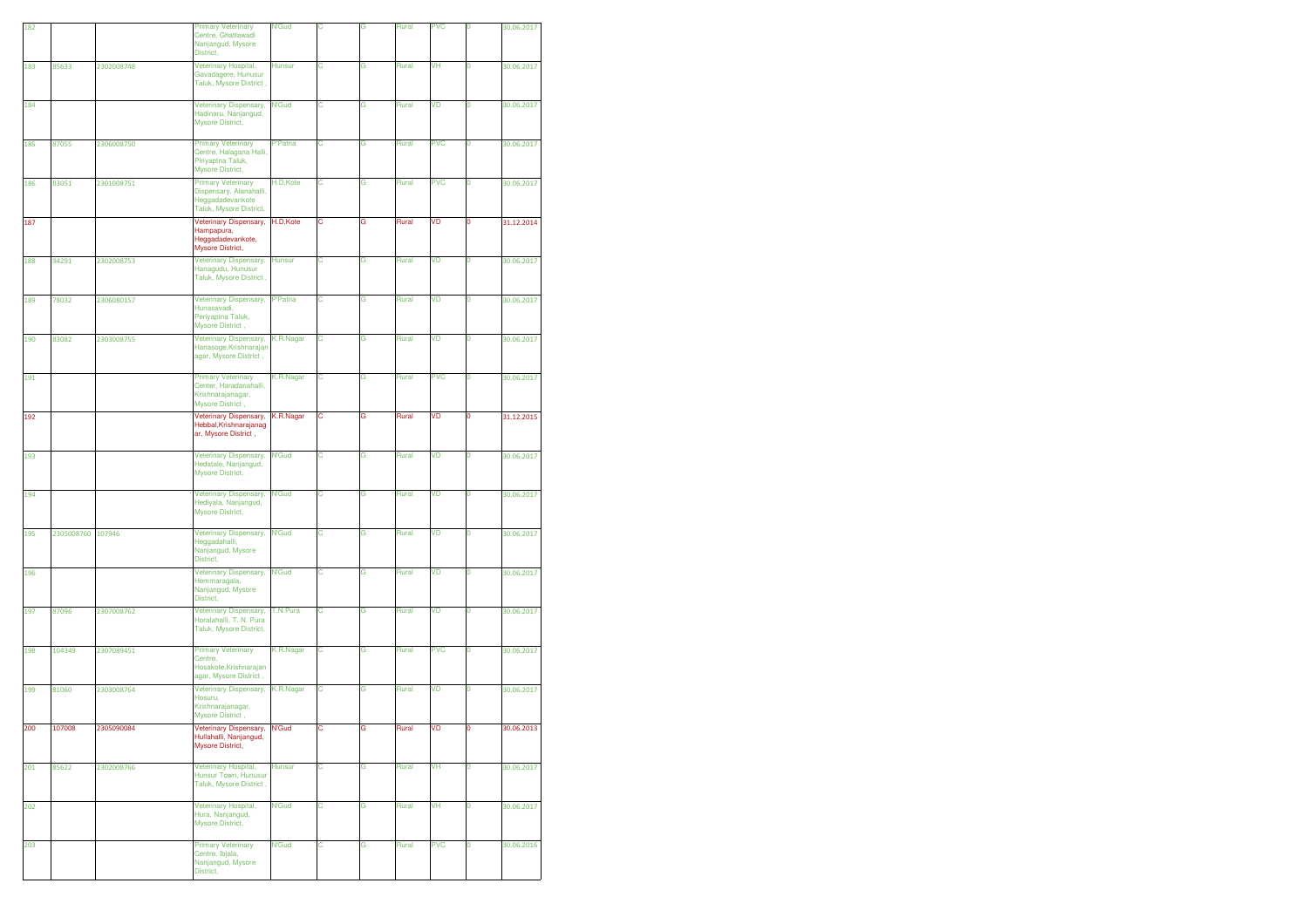| 182 |                   |            | <b>Primary Veterinary</b><br>Centre, Ghattawadi<br>Nanjangud, Mysore<br>District,                   | <b>N'Gud</b>  | с | G | Rural | <b>PVC</b> | 0 | 30.06.2017 |
|-----|-------------------|------------|-----------------------------------------------------------------------------------------------------|---------------|---|---|-------|------------|---|------------|
| 183 | 85633             | 2302008748 | Veterinary Hospital,<br>Gavadagere, Hunusur<br>Taluk, Mysore District,                              | <b>Hunsur</b> | с | G | Rural | VH         | 0 | 30.06.2017 |
| 184 |                   |            | Veterinary Dispensary,<br>Hadinaru, Nanjangud,<br>Mysore District,                                  | <b>N'Gud</b>  | с | G | Rural | VD         | 0 | 30.06.2017 |
| 185 | 87055             | 2306008750 | <b>Primary Veterinary</b><br>Centre, Halagana Halli,<br>Piriyaptna Taluk,<br>Mysore District,       | P'Patna       | С | G | Rural | <b>PVC</b> | 0 | 30.06.2017 |
| 186 | 83051             | 2301008751 | <b>Primary Veterinary</b><br>Dispensary, Alanahalli,<br>Heggadadevankote<br>Taluk, Mysore District, | H.D.Kote      | с | G | Rural | <b>PVC</b> | 0 | 30.06.2017 |
| 187 |                   |            | Veterinary Dispensary,<br>Hampapura,<br>Heggadadevankote,<br>Mysore District,                       | H.D.Kote      | с | G | Rural | VD         | 0 | 31.12.2014 |
| 188 | 94291             | 2302008753 | Veterinary Dispensary,<br>Hanagudu, Hunusur<br>Taluk, Mysore District,                              | <b>Hunsur</b> | С | G | Rural | VD         | 0 | 30.06.2017 |
| 189 | 78032             | 2306080157 | Veterinary Dispensary,<br>Hunasavadi,<br>Periyaptna Taluk,<br>Mysore District,                      | P'Patna       | с | G | Rural | VD         | 0 | 30.06.2017 |
| 190 | 83082             | 2303008755 | <b>Veterinary Dispensary,</b><br>Hanasoge, Krishnarajan<br>agar, Mysore District,                   | K.R.Nagar     | с | G | Rural | VD         | 0 | 30.06.2017 |
| 191 |                   |            | <b>Primary Veterinary</b><br>Center, Haradanahalli,<br>Krishnarajanagar,<br>Mysore District,        | K.R.Nagar     | с | G | Rural | <b>PVC</b> | 0 | 30.06.2017 |
| 192 |                   |            | Veterinary Dispensary,<br>Hebbal, Krishnarajanag<br>ar, Mysore District,                            | K.R.Nagar     | c | G | Rural | VD         | 0 | 31.12.2015 |
| 193 |                   |            | Veterinary Dispensary,<br>Hedatale, Nanjangud,<br>Mysore District,                                  | N'Gud         | с | G | Rural | VD         | O | 30.06.2017 |
| 194 |                   |            | Veterinary Dispensary,<br>Hediyala, Nanjangud,<br>Mysore District,                                  | <b>N'Gud</b>  | с | G | Rural | VD         | 0 | 30.06.2017 |
| 195 | 2305008760 107946 |            | Veterinary Dispensary,<br>Heggadahalli,<br>Nanjangud, Mysore<br>District,                           | <b>N'Gud</b>  | с | G | Rural | VD         | 0 | 30.06.2017 |
| 196 |                   |            | Veterinary Dispensary,<br>Hemmaragala,<br>Nanjangud, Mysore<br>District,                            | <b>N'Gud</b>  | С | G | Rural | VD         | 0 | 30.06.2017 |
| 197 | 87096             | 2307008762 | <b>Veterinary Dispensary,</b><br>Horalahalli, T. N. Pura<br>Taluk, Mysore District,                 | T.N.Pura      | с | G | Rural | VD         | 0 | 30.06.2017 |
| 198 | 104349            | 2307089451 | <b>Primary Veterinary</b><br>Centre,<br>Hosakote, Krishnarajan<br>agar, Mysore District,            | K.R.Nagar     | с | G | Rural | <b>PVC</b> | 0 | 30.06.2017 |
| 199 | 81060             | 2303008764 | Veterinary Dispensary,<br>Hosuru,<br>Krishnarajanagar,<br><b>Mysore District</b>                    | K.R.Nagar     | с | G | Rural | VD         | 0 | 30.06.2017 |
| 200 | 107008            | 2305090084 | Veterinary Dispensary,<br>Hullahalli, Nanjangud,<br><b>Mysore District.</b>                         | N'Gud         | с | G | Rural | VD         | 0 | 30.06.2013 |
| 201 | 85622             | 2302008766 | Veterinary Hospital,<br>Hunsur Town, Hunusur<br>Taluk, Mysore District,                             | Hunsur        | C | G | Rural | VH         | 0 | 30.06.2017 |
| 202 |                   |            | Veterinary Hospital,<br>Hura, Nanjangud,<br>Mysore District,                                        | <b>N'Gud</b>  | C | G | Rural | VH         | 0 | 30.06.2017 |
| 203 |                   |            | <b>Primary Veterinary</b><br>Centre, Ibjala,<br>Nanjangud, Mysore<br>District,                      | <b>N'Gud</b>  | С | G | Rural | <b>PVC</b> | 0 | 30.06.2016 |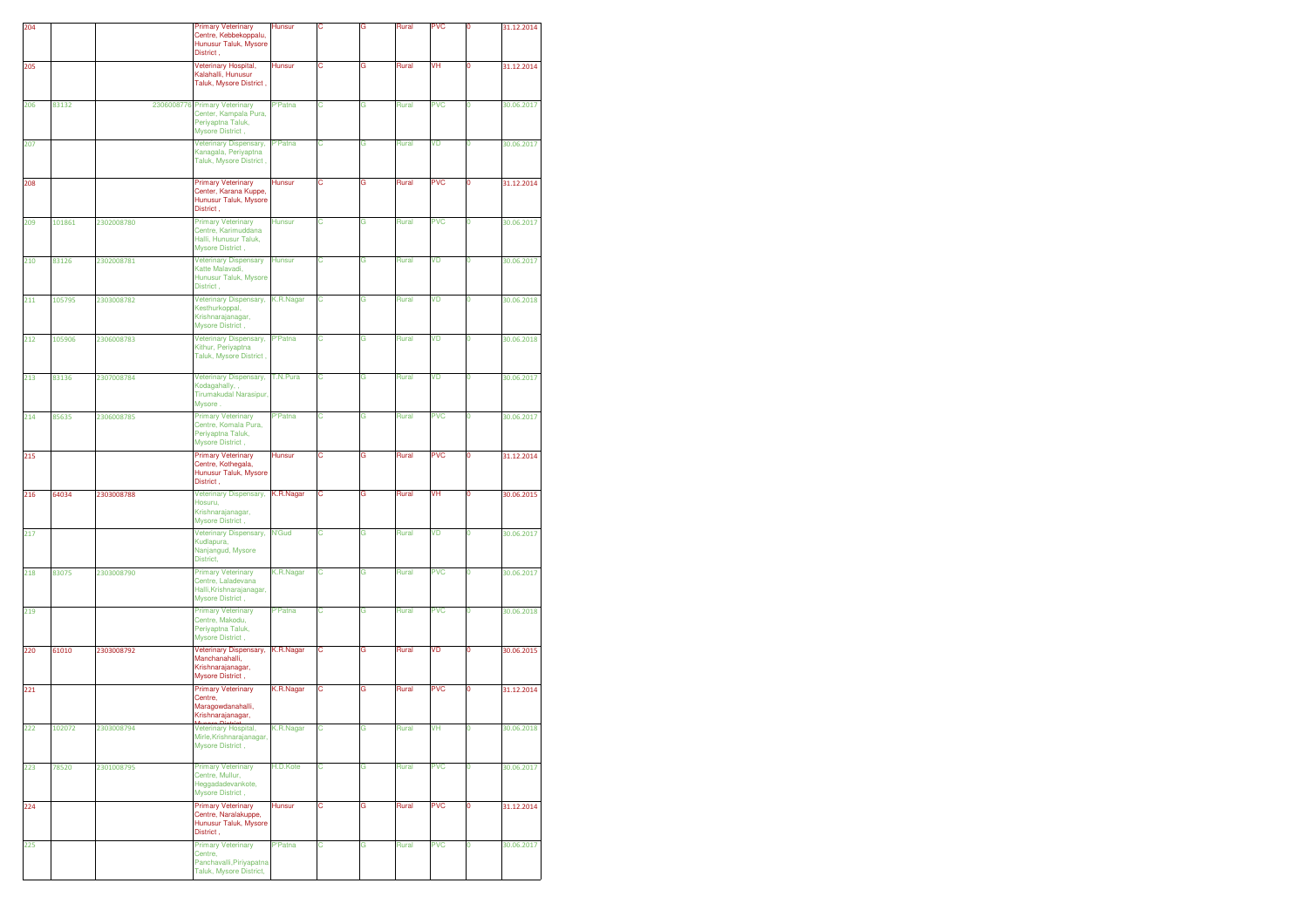|     |        |            | <b>Primary Veterinary</b>                                                                       | Hunsur         | с |   |       | <b>PVC</b> | ö |            |
|-----|--------|------------|-------------------------------------------------------------------------------------------------|----------------|---|---|-------|------------|---|------------|
| 204 |        |            | Centre, Kebbekoppalu,<br>Hunusur Taluk, Mysore<br>District,                                     |                |   | G | Rural |            |   | 31.12.2014 |
| 205 |        |            | Veterinary Hospital,<br>Kalahalli, Hunusur<br>Taluk, Mysore District,                           | Hunsur         | с | G | Rural | VH         | ٥ | 31.12.2014 |
| 206 | 83132  |            | 2306008776 Primary Veterinary<br>Center, Kampala Pura,<br>Periyaptna Taluk,<br>Mysore District, | P'Patna        | с | G | Rural | <b>PVC</b> | 0 | 30.06.2017 |
| 207 |        |            | Veterinary Dispensary,<br>Kanagala, Periyaptna<br>Taluk, Mysore District,                       | P'Patna        | с | G | Rural | VD         | 0 | 30.06.2017 |
| 208 |        |            | <b>Primary Veterinary</b><br>Center, Karana Kuppe,<br>Hunusur Taluk, Mysore<br>District,        | Hunsur         | с | G | Rural | <b>PVC</b> | 0 | 31.12.2014 |
| 209 | 101861 | 2302008780 | <b>Primary Veterinary</b><br>Centre, Karimuddana<br>Halli, Hunusur Taluk,<br>Mysore District,   | <b>Hunsur</b>  | с | G | Rural | <b>PVC</b> | 0 | 30.06.2017 |
| 210 | 83126  | 2302008781 | <b>Veterinary Dispensary</b><br>Katte Malavadi,<br>Hunusur Taluk, Mysore<br>District,           | <b>Hunsur</b>  | с | G | Rural | VD         | 0 | 30.06.2017 |
| 211 | 105795 | 2303008782 | Veterinary Dispensary,<br>Kesthurkoppal,<br>Krishnarajanagar,<br>Mysore District,               | K.R.Nagar      | с | G | Rural | VD         | 0 | 30.06.2018 |
| 212 | 105906 | 2306008783 | Veterinary Dispensary,<br>Kithur, Periyaptna<br>Taluk, Mysore District,                         | P'Patna        | с | G | Rural | VD         | 0 | 30.06.2018 |
| 213 | 83136  | 2307008784 | Veterinary Dispensary,<br>Kodagahally, ,<br>Tirumakudal Narasipur,<br>Mysore.                   | T.N.Pura       | C | G | Rural | VD         | O | 30.06.2017 |
| 214 | 85635  | 2306008785 | <b>Primary Veterinary</b><br>Centre, Komala Pura,<br>Periyaptna Taluk,<br>Mysore District,      | <b>P'Patna</b> | C | Ġ | Rural | <b>PVC</b> | O | 30.06.2017 |
| 215 |        |            | <b>Primary Veterinary</b><br>Centre, Kothegala,<br>Hunusur Taluk, Mysore<br>District,           | <b>Hunsur</b>  | с | G | Rural | <b>PVC</b> | ٥ | 31.12.2014 |
| 216 | 64034  | 2303008788 | Veterinary Dispensary,<br>Hosuru,<br>Krishnarajanagar,<br>Mysore District,                      | K.R.Nagar      | с | G | Rural | VH         | 0 | 30.06.2015 |
| 217 |        |            | Veterinary Dispensary,<br>Kudlapura,<br>Nanjangud, Mysore<br>District,                          | <b>N'Gud</b>   | с | G | Rural | VD         | 0 | 30.06.2017 |
| 218 | 83075  | 2303008790 | <b>Primary Veterinary</b><br>Centre, Laladevana<br>Halli, Krishnarajanagar,<br>Mysore District, | K.R.Nagar      | с | G | Rural | <b>PVC</b> | 0 | 30.06.2017 |
| 219 |        |            | <b>Primary Veterinary</b><br>Centre, Makodu,<br>Periyaptna Taluk,<br>Mysore District,           | P'Patna        | с | G | Rural | <b>PVC</b> | 0 | 30.06.2018 |
| 220 | 61010  | 2303008792 | Veterinary Dispensary,<br>Manchanahalli,<br>Krishnarajanagar,<br>Mysore District,               | K.R.Nagar      | с | G | Rural | VD         | 0 | 30.06.2015 |
| 221 |        |            | <b>Primary Veterinary</b><br>Centre,<br>Maragowdanahalli,<br>Krishnarajanagar,                  | K.R.Nagar      | с | G | Rural | <b>PVC</b> | 0 | 31.12.2014 |
| 222 | 102072 | 2303008794 | Veterinary Hospital,<br>Mirle, Krishnarajanagar,<br>Mysore District,                            | K.R.Nagar      | C | G | Rural | VH         | 0 | 30.06.2018 |
| 223 | 78520  | 2301008795 | <b>Primary Veterinary</b><br>Centre, Mullur,<br>Heggadadevankote,<br>Mysore District,           | H.D.Kote       | с | G | Rural | <b>PVC</b> | O | 30.06.2017 |
| 224 |        |            | <b>Primary Veterinary</b><br>Centre, Naralakuppe,<br>Hunusur Taluk, Mysore<br>District,         | Hunsur         | С | G | Rural | <b>PVC</b> | 0 | 31.12.2014 |
| 225 |        |            | <b>Primary Veterinary</b><br>Centre,<br>Panchavalli, Piriyapatna<br>Taluk, Mysore District,     | <b>P'Patna</b> | с | G | Rural | <b>PVC</b> | 0 | 30.06.2017 |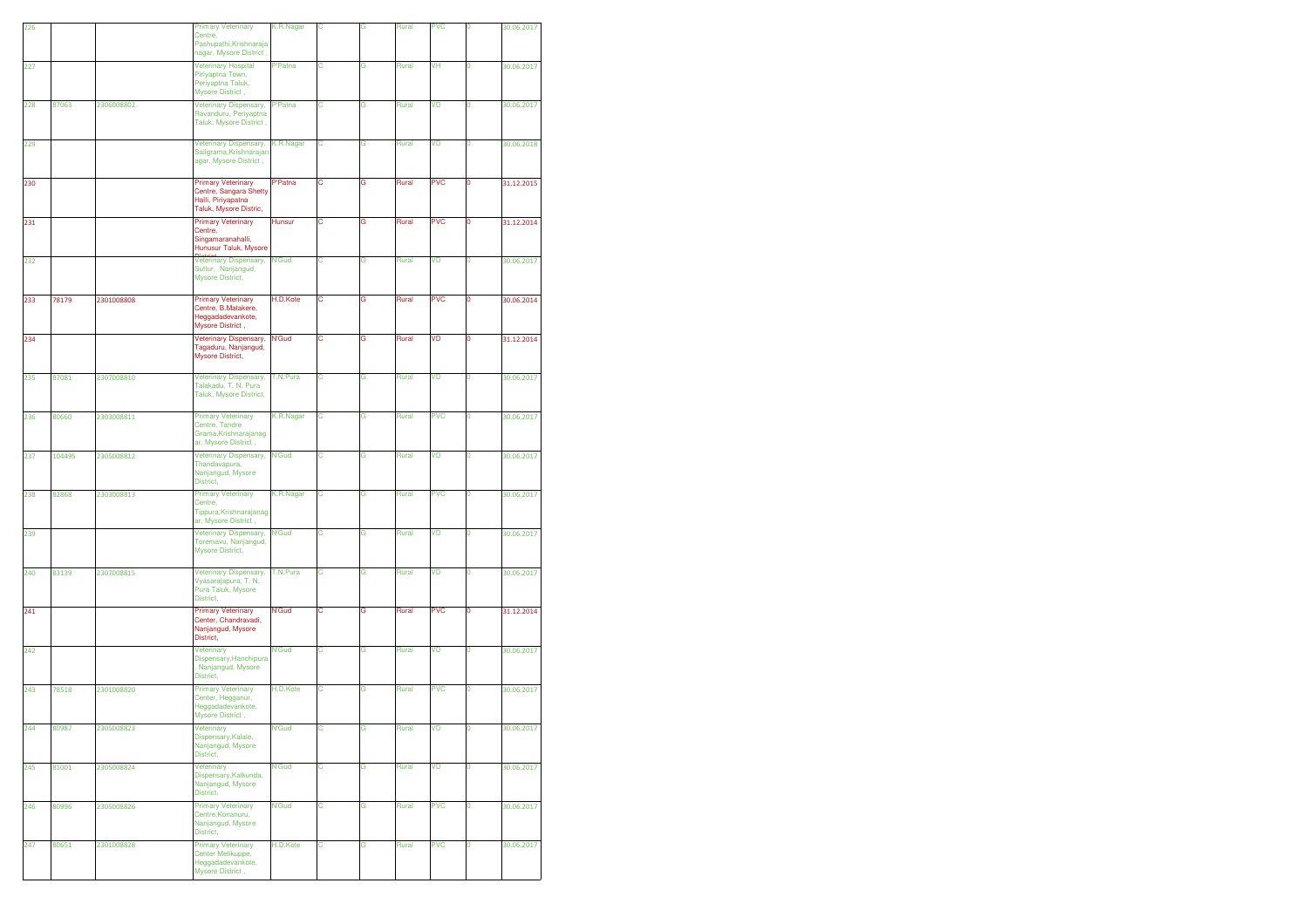| 226 |        |            | <b>Primary Veterinary</b><br>Centre,                                                                | K.R.Nagar      | C | Ġ | Rural | <b>PVC</b> | O  | 30.06.2017 |
|-----|--------|------------|-----------------------------------------------------------------------------------------------------|----------------|---|---|-------|------------|----|------------|
|     |        |            | Pashupathi, Krishnaraja<br>nagar, Mysore District,                                                  |                |   |   |       |            |    |            |
| 227 |        |            | Veterinary Hospital<br>Piriyaptna Town,<br>Periyaptna Taluk,<br>Mysore District,                    | <b>P'Patna</b> | С | G | Rural | VH         | 0  | 30.06.2017 |
| 228 | 87063  | 2306008802 | Veterinary Dispensary,<br>Ravanduru, Periyaptna<br>Taluk, Mysore District,                          | P'Patna        | с | G | Rural | VD         | o  | 30.06.2017 |
| 229 |        |            | <b>Veterinary Dispensary,</b><br>Saligrama, Krishnarajan<br>agar, Mysore District,                  | K.R.Nagar      | С | G | Rural | VD         | 0  | 30.06.2018 |
| 230 |        |            | <b>Primary Veterinary</b><br>Centre, Sangara Shetty<br>Halli, Piriyapatna<br>Taluk, Mysore Distric, | P'Patna        | с | G | Rural | <b>PVC</b> | 0  | 31.12.2015 |
| 231 |        |            | <b>Primary Veterinary</b><br>Centre,<br>Singamaranahalli,<br>Hunusur Taluk, Mysore                  | <b>Hunsur</b>  | с | G | Rural | <b>PVC</b> | 0  | 31.12.2014 |
| 232 |        |            | Veterinary Dispensary,<br>Suttur, Nanjangud,<br>Mysore District,                                    | <b>N'Gud</b>   | С | G | Rural | VD         | 0  | 30.06.2017 |
| 233 | 78179  | 2301008808 | <b>Primary Veterinary</b><br>Centre, B.Matakere,<br>Heggadadevankote,<br>Mysore District,           | H.D.Kote       | с | G | Rural | <b>PVC</b> | 0  | 30.06.2014 |
| 234 |        |            | Veterinary Dispensary,<br>Tagaduru, Nanjangud,<br>Mysore District,                                  | N'Gud          | с | G | Rural | VD         | 0  | 31.12.2014 |
| 235 | 87081  | 2307008810 | Veterinary Dispensary,<br>Talakadu, T. N. Pura<br>Taluk, Mysore District,                           | T.N.Pura       | C | G | Rural | <b>VD</b>  | O  | 30.06.2017 |
| 236 | 80660  | 2303008811 | <b>Primary Veterinary</b><br>Centre, Tandre<br>Grama, Krishnarajanag<br>ar, Mysore District,        | K.R.Nagar      | C | G | Rural | <b>PVC</b> | Ō  | 30.06.2017 |
| 237 | 104495 | 2305008812 | Veterinary Dispensary,<br>Thandavapura,<br>Nanjangud, Mysore<br>District,                           | <b>N'Gud</b>   | с | G | Rural | VD         | 0  | 30.06.2017 |
| 238 | 82868  | 2303008813 | <b>Primary Veterinary</b><br>Centre,<br>Tippura, Krishnarajanag<br>ar, Mysore District,             | K.R.Nagar      | С | G | Rural | <b>PVC</b> | 0  | 30.06.2017 |
| 239 |        |            | Veterinary Dispensary,<br>Toremavu, Nanjangud,<br>Mysore District,                                  | N'Gud          | с | G | Rural | VD         | O. | 30.06.2017 |
| 240 | 83139  | 2307008815 | Veterinary Dispensary,<br>Vyasarajapura, T. N.<br>Pura Taluk, Mysore<br>District,                   | T.N.Pura       | С | G | Rural | VD         | 0  | 30.06.2017 |
| 241 |        |            | <b>Primary Veterinary</b><br>Center, Chandravadi,<br>Nanjangud, Mysore<br>District,                 | N'Gud          | с | G | Rural | <b>PVC</b> | 0  | 31.12.2014 |
| 242 |        |            | Veterinary<br>Dispensary, Hanchipura<br>Nanjangud, Mysore<br>District,                              | N'Gud          | C | G | Rural | VD         | 0  | 30.06.2017 |
| 243 | 78518  | 2301008820 | <b>Primary Veterinary</b><br>Center, Hegganur,<br>Heggadadevankote,<br>Mysore District,             | H.D.Kote       | С | G | Rural | <b>PVC</b> | 0  | 30.06.2017 |
| 244 | 80987  | 2305008823 | Veterinary<br>Dispensary, Kalale,<br>Nanjangud, Mysore<br>District,                                 | <b>N'Gud</b>   | c | G | Rural | VD         | 0  | 30.06.2017 |
| 245 | 81001  | 2305008824 | Veterinary<br>Dispensary, Kalkunda,<br>Nanjangud, Mysore<br>District,                               | <b>N'Gud</b>   | с | G | Rural | VD         | 0  | 30.06.2017 |
| 246 | 80996  | 2305008826 | <b>Primary Veterinary</b><br>Centre, Konanuru,<br>Nanjangud, Mysore<br>District,                    | <b>N'Gud</b>   | С | G | Rural | <b>PVC</b> | 0  | 30.06.2017 |
| 247 | 80651  | 2301008828 | <b>Primary Veterinary</b><br>Center Metikuppe,<br>Heggadadevankote,<br>Mysore District,             | H.D.Kote       | С | G | Rural | <b>PVC</b> | 0  | 30.06.2017 |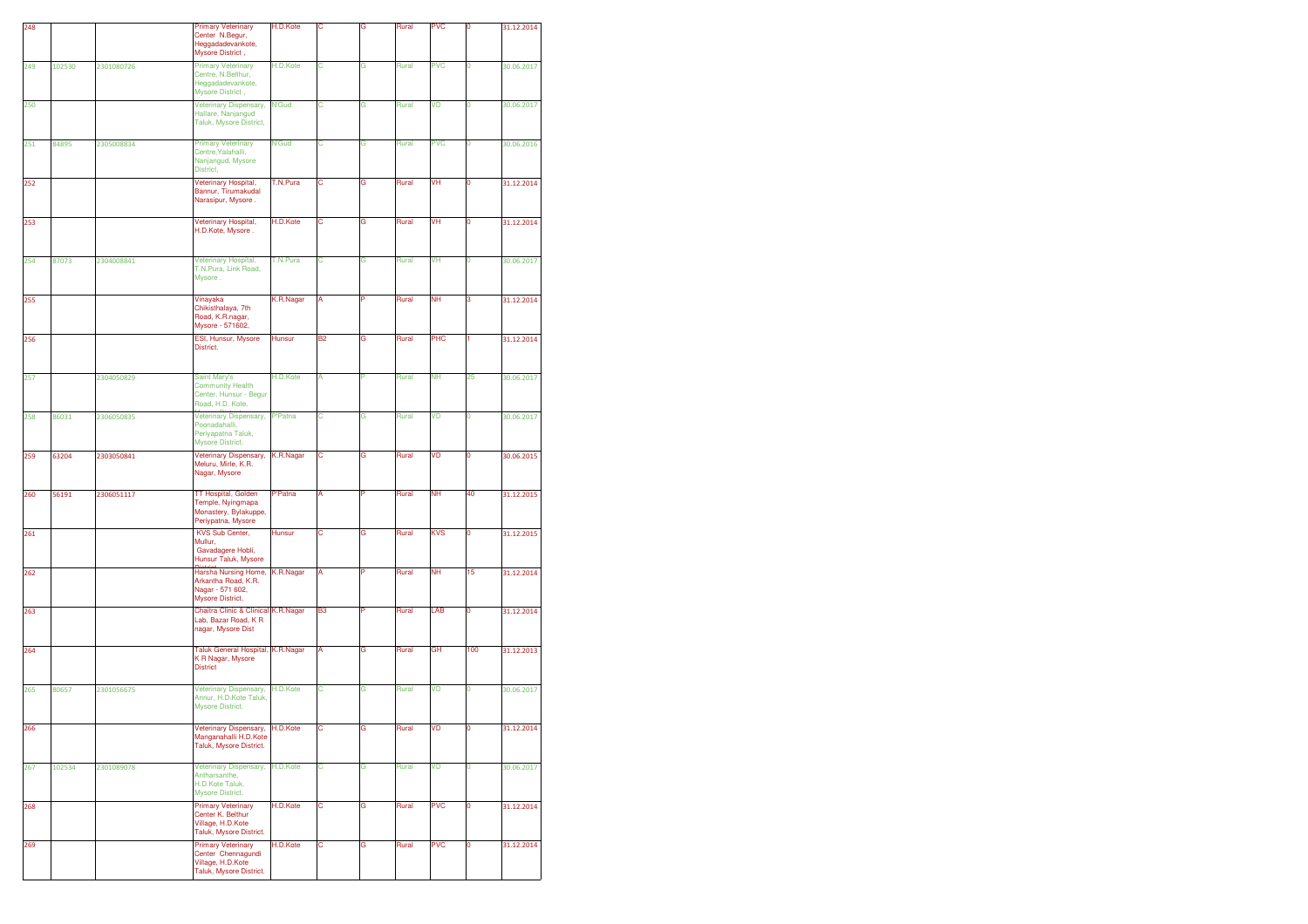| 248 |        |            | <b>Primary Veterinary</b><br>Center N.Begur,                                                    | H.D.Kote     | c              | G | Rural | <b>PVC</b> | $\mathbf 0$ | 31.12.2014 |
|-----|--------|------------|-------------------------------------------------------------------------------------------------|--------------|----------------|---|-------|------------|-------------|------------|
|     |        |            | Heggadadevankote,<br>Mysore District,                                                           |              |                |   |       |            |             |            |
| 249 | 102530 | 2301080726 | <b>Primary Veterinary</b><br>Centre, N.Belthur,<br>Heggadadevankote,<br>Mysore District,        | H.D.Kote     | C              | G | Rural | <b>PVC</b> | 0           | 30.06.2017 |
| 250 |        |            | Veterinary Dispensary,<br>Hallare, Nanjangud<br>Taluk, Mysore District,                         | <b>N'Gud</b> | с              | G | Rural | VD         | 0           | 30.06.2017 |
| 251 | 84895  | 2305008834 | <b>Primary Veterinary</b><br>Centre, Yalahalli,<br>Nanjangud, Mysore<br>District,               | <b>N'Gud</b> | с              | G | Rural | <b>PVC</b> | 0           | 30.06.2016 |
| 252 |        |            | Veterinary Hospital,<br>Bannur, Tirumakudal<br>Narasipur, Mysore.                               | T.N.Pura     | с              | G | Rural | VH         | 0           | 31.12.2014 |
| 253 |        |            | Veterinary Hospital,<br>H.D.Kote, Mysore.                                                       | H.D.Kote     | С              | G | Rural | VH         | 0           | 31.12.2014 |
| 254 | 87073  | 2304008841 | Veterinary Hospital,<br>T.N.Pura, Link Road,<br>Mysore.                                         | T.N.Pura     | С              | G | Rural | VH         | 0           | 30.06.2017 |
| 255 |        |            | Vinayaka<br>Chikisthalaya, 7th<br>Road, K.R.nagar,<br>Mysore - 571602,                          | K.R.Nagar    | А              | P | Rural | NΗ         | 3           | 31.12.2014 |
| 256 |        |            | ESI, Hunsur, Mysore<br>District.                                                                | Hunsur       | <b>B2</b>      | G | Rural | PHC        | 1           | 31.12.2014 |
| 257 |        | 2304050829 | <b>Saint Mary's</b><br><b>Community Health</b><br>Center, Hunsur - Begur<br>Road, H.D. Kote,    | H.D.Kote     | A              | p | Rural | <b>NH</b>  | 25          | 30.06.2017 |
| 258 | 86031  | 2306050835 | Veterinary Dispensary,<br>Poonadahalli,<br>Periyapatna Taluk,<br>Mysore District.               | P'Patna      | C              | G | Rural | VD         | O           | 30.06.2017 |
| 259 | 63204  | 2303050841 | Veterinary Dispensary,<br>Meluru, Mirle, K.R.<br>Nagar, Mysore                                  | K.R.Nagar    | с              | G | Rural | VD         | 0           | 30.06.2015 |
| 260 | 56191  | 2306051117 | TT Hospital, Golden<br>Temple, Nyingmapa<br>Monastery, Bylakuppe,<br>Periypatna, Mysore         | P'Patna      | A              | P | Rural | <b>NH</b>  | 40          | 31.12.2015 |
| 261 |        |            | KVS Sub Center,<br>Mullur,<br>Gavadagere Hobli,<br>Hunsur Taluk, Mysore                         | Hunsur       | С              | G | Rural | KVS        | 0           | 31.12.2015 |
| 262 |        |            | Harsha Nursing Home,<br>Arkantha Road, K.R.<br>Nagar - 571 602,<br>Mysore District.             | K.R.Nagar    | А              | P | Rural | <b>NH</b>  | 15          | 31.12.2014 |
| 263 |        |            | <b>Chaitra Clinic &amp; Clinical</b><br>Lab, Bazar Road, K R<br>nagar, Mysore Dist              | K.R.Nagar    | B <sub>3</sub> |   | Rural | LAB        | 0           | 31.12.2014 |
| 264 |        |            | Taluk General Hospital,<br>K R Nagar, Mysore<br><b>District</b>                                 | K.R.Nagar    | A              | G | Rural | GH         | 100         | 31.12.2013 |
| 265 | 80657  | 2301056675 | Veterinary Dispensary,<br>Annur, H.D.Kote Taluk,<br><b>Mysore District.</b>                     | H.D.Kote     | с              | G | Rural | VD         | 0           | 30.06.2017 |
| 266 |        |            | Veterinary Dispensary,<br>Manganahalli H.D.Kote<br>Taluk, Mysore District.                      | H.D.Kote     | с              | G | Rural | VD         | 0           | 31.12.2014 |
| 267 | 102534 | 2301089078 | Veterinary Dispensary,<br>Antharsanthe,<br>H.D.Kote Taluk,<br><b>Mysore District.</b>           | H.D.Kote     | С              | G | Rural | VD         | 0           | 30.06.2017 |
| 268 |        |            | <b>Primary Veterinary</b><br>Center K. Belthur<br>Village, H.D.Kote<br>Taluk, Mysore District.  | H.D.Kote     | с              | G | Rural | <b>PVC</b> | 0           | 31.12.2014 |
| 269 |        |            | <b>Primary Veterinary</b><br>Center Chennagundi<br>Village, H.D.Kote<br>Taluk, Mysore District. | H.D.Kote     | с              | G | Rural | <b>PVC</b> | 0           | 31.12.2014 |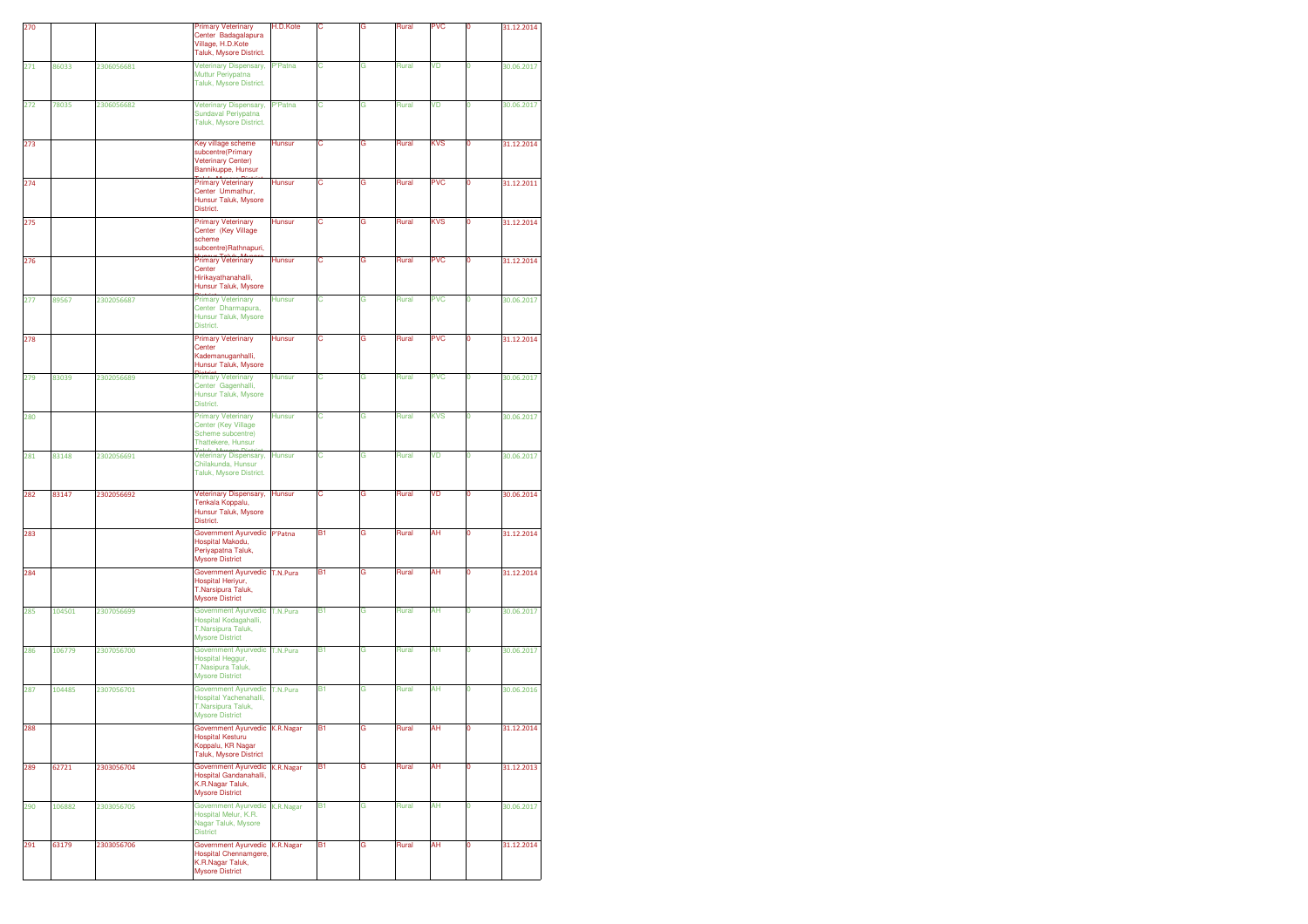| 270 |        |            | <b>Primary Veterinary</b><br>Center Badagalapura<br>Village, H.D.Kote<br>Taluk, Mysore District.      | H.D.Kote       | Ċ         | G | Rural | <b>PVC</b> | 0              | 31.12.2014 |
|-----|--------|------------|-------------------------------------------------------------------------------------------------------|----------------|-----------|---|-------|------------|----------------|------------|
| 271 | 86033  | 2306056681 | Veterinary Dispensary,<br>Muttur Periypatna<br>Taluk, Mysore District.                                | <b>P'Patna</b> | С         | G | Rural | VD         | 0              | 30.06.2017 |
| 272 | 78035  | 2306056682 | Veterinary Dispensary,<br><b>Sundaval Periypatna</b><br>Taluk, Mysore District.                       | P'Patna        | с         | G | Rural | VD         | 0              | 30.06.2017 |
| 273 |        |            | Key village scheme<br>subcentre(Primary<br><b>Veterinary Center)</b><br>Bannikuppe, Hunsur            | Hunsur         | С         | G | Rural | KVS        | 0              | 31.12.2014 |
| 274 |        |            | Telula Minese Dist<br>Center Ummathur,<br>Hunsur Taluk, Mysore<br>District.                           | Hunsur         | с         | G | Rural | <b>PVC</b> | 0              | 31.12.2011 |
| 275 |        |            | <b>Primary Veterinary</b><br>Center (Key Village<br>scheme<br>subcentre)Rathnapuri,                   | Hunsur         | с         | G | Rural | <b>KVS</b> | O              | 31.12.2014 |
| 276 |        |            | <b>Primary Veterinary</b><br>Center<br>Hirikayathanahalli,<br>Hunsur Taluk, Mysore                    | Hunsur         | С         | G | Rural | <b>PVC</b> | 0              | 31.12.2014 |
| 277 | 89567  | 2302056687 | <b>Primary Veterinary</b><br>Center Dharmapura,<br>Hunsur Taluk, Mysore<br>District.                  | <b>Hunsur</b>  | С         | G | Rural | <b>PVC</b> | 0              | 30.06.2017 |
| 278 |        |            | <b>Primary Veterinary</b><br>Center<br>Kademanuganhalli,<br>Hunsur Taluk, Mysore                      | <b>Hunsur</b>  | с         | G | Rural | <b>PVC</b> | 0              | 31.12.2014 |
| 279 | 83039  | 2302056689 | <b>Primary Veterinary</b><br>Center Gagenhalli,<br>Hunsur Taluk, Mysore<br>District.                  | <b>Hunsur</b>  | C         | G | Rural | <b>PVC</b> | O              | 30.06.2017 |
| 280 |        |            | <b>Primary Veterinary</b><br>Center (Key Village<br>Scheme subcentre)<br>Thattekere, Hunsur           | Hunsur         | C         | G | Rural | <b>KVS</b> | $\overline{0}$ | 30.06.2017 |
| 281 | 83148  | 2302056691 | Veterinary Dispensary,<br>Chilakunda, Hunsur<br>Taluk, Mysore District.                               | <b>Hunsur</b>  | С         | G | Rural | VD         | 0              | 30.06.2017 |
| 282 | 83147  | 2302056692 | Veterinary Dispensary,<br>Tenkala Koppalu,<br>Hunsur Taluk, Mysore<br>District.                       | <b>Hunsur</b>  | C         | G | Rural | VD         | 0              | 30.06.2014 |
| 283 |        |            | Government Ayurvedic<br>Hospital Makodu,<br>Periyapatna Taluk,<br><b>Mysore District</b>              | P'Patna        | B1        | G | Rural | AH         | 0              | 31.12.2014 |
| 284 |        |            | Government Ayurvedic<br>Hospital Heriyur,<br>T.Narsipura Taluk,<br><b>Mysore District</b>             | T.N.Pura       | B1        | G | Rural | AΗ         | 0              | 31.12.2014 |
| 285 | 104501 | 2307056699 | Government Ayurvedic<br>Hospital Kodagahalli,<br>T.Narsipura Taluk,<br><b>Mysore District</b>         | T.N.Pura       | <b>B1</b> | G | Rural | AH         | 0              | 30.06.2017 |
| 286 | 106779 | 2307056700 | <b>Government Ayurvedic</b><br>Hospital Heggur,<br>T.Nasipura Taluk,<br><b>Mysore District</b>        | T.N.Pura       | B1        | G | Rural | AH         | $\mathbf 0$    | 30.06.2017 |
| 287 | 104485 | 2307056701 | Government Ayurvedic<br>Hospital Yachenahalli,<br>T.Narsipura Taluk,<br><b>Mysore District</b>        | T.N.Pura       | B1        | G | Rural | AH         | 0              | 30.06.2016 |
| 288 |        |            | <b>Government Ayurvedic</b><br><b>Hospital Kesturu</b><br>Koppalu, KR Nagar<br>Taluk, Mysore District | K.R.Nagar      | B1        | G | Rural | AH         | 0              | 31.12.2014 |
| 289 | 62721  | 2303056704 | <b>Government Ayurvedic</b><br>Hospital Gandanahalli,<br>K.R.Nagar Taluk,<br><b>Mysore District</b>   | K.R.Nagar      | B1        | G | Rural | AH         | O              | 31.12.2013 |
| 290 | 106882 | 2303056705 | Government Ayurvedic<br>Hospital Melur, K.R.<br>Nagar Taluk, Mysore<br><b>District</b>                | K.R.Nagar      | B1        | G | Rural | AΗ         | 0              | 30.06.2017 |
| 291 | 63179  | 2303056706 | Government Ayurvedic<br><b>Hospital Chennamgere</b><br>K.R.Nagar Taluk,<br><b>Mysore District</b>     | K.R.Nagar      | Β1        | G | Rural | AΗ         | 0              | 31.12.2014 |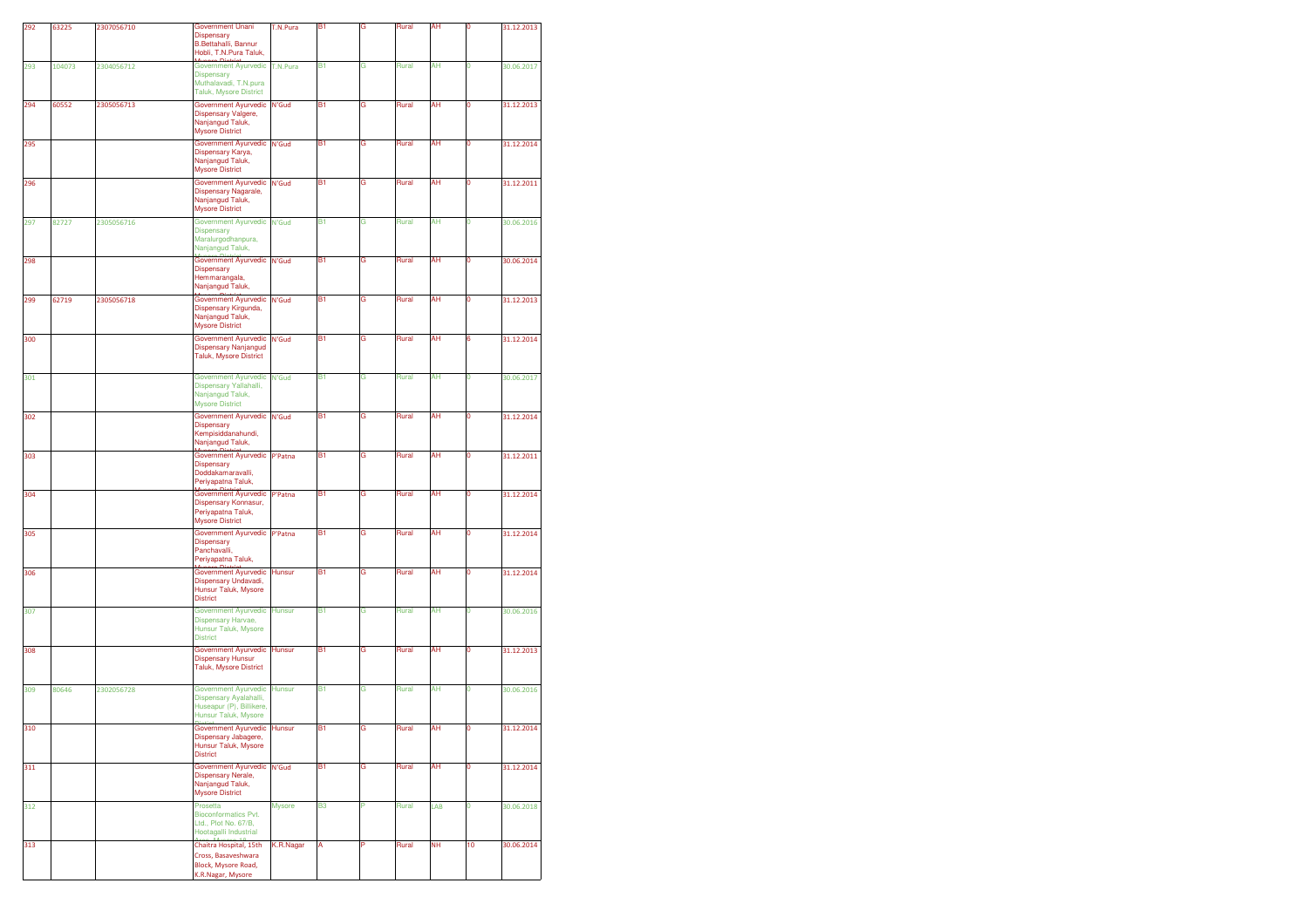| 292 | 63225  | 2307056710 | Government Unani<br>Dispensary<br>B.Bettahalli, Bannur<br>Hobli, T.N.Pura Taluk,                    | T.N.Pura      | B <sub>1</sub> | G | Rural | AH        |              | 31.12.2013 |
|-----|--------|------------|-----------------------------------------------------------------------------------------------------|---------------|----------------|---|-------|-----------|--------------|------------|
| 293 | 104073 | 2304056712 | Government Ayurvedic<br>Dispensary<br>Muthalavadi, T.N.pura<br>Taluk, Mysore District               | T.N.Pura      | B <sub>1</sub> | G | Rural | AH        | 0            | 30.06.2017 |
| 294 | 60552  | 2305056713 | Government Ayurvedic<br>Dispensary Valgere,<br>Nanjangud Taluk,<br><b>Mysore District</b>           | N'Gud         | B1             | G | Rural | AH        | o            | 31.12.2013 |
| 295 |        |            | Government Ayurvedic<br>Dispensary Karya,<br>Nanjangud Taluk,<br><b>Mysore District</b>             | N'Gud         | B1             | G | Rural | AΗ        | 0            | 31.12.2014 |
| 296 |        |            | Government Ayurvedic<br>Dispensary Nagarale,<br>Nanjangud Taluk,<br><b>Mysore District</b>          | N'Gud         | <b>B1</b>      | G | Rural | AH        | 0            | 31.12.2011 |
| 297 | 82727  | 2305056716 | Government Ayurvedic<br><b>Dispensary</b><br>Maralurgodhanpura,<br>Nanjangud Taluk,                 | N'Gud         | B1             | G | Rural | AH        | $\mathbf{0}$ | 30.06.2016 |
| 298 |        |            | Government Ayurvedic<br>Dispensary<br>Hemmarangala,<br>Nanjangud Taluk,                             | N'Gud         | B <sub>1</sub> | G | Rural | AH        | 0            | 30.06.2014 |
| 299 | 62719  | 2305056718 | Government Ayurvedic<br>Dispensary Kirgunda,<br>Nanjangud Taluk,<br><b>Mysore District</b>          | N'Gud         | B1             | G | Rural | AΗ        | 0            | 31.12.2013 |
| 300 |        |            | Government Ayurvedic<br>Dispensary Nanjangud<br>Taluk, Mysore District                              | N'Gud         | <b>B1</b>      | G | Rural | AH        | 6            | 31.12.2014 |
| 301 |        |            | <b>Government Ayurvedic</b><br>Dispensary Yallahalli,<br>Nanjangud Taluk,<br><b>Mysore District</b> | N'Gud         | B <sub>1</sub> | G | Rural | AH        | $\mathbf 0$  | 30.06.2017 |
| 302 |        |            | <b>Government Ayurvedic</b><br><b>Dispensary</b><br>Kempisiddanahundi,<br>Nanjangud Taluk,          | N'Gud         | B1             | G | Rural | AΗ        | Ō            | 31.12.2014 |
| 303 |        |            | Government Ayurvedic<br><b>Dispensary</b><br>Doddakamaravalli,<br>Periyapatna Taluk,                | P'Patna       | <b>B1</b>      | G | Rural | AH        | 0            | 31.12.2011 |
| 304 |        |            | Government Ayurvedic<br>Dispensary Konnasur,<br>Periyapatna Taluk,<br><b>Mysore District</b>        | P'Patna       | B <sub>1</sub> | G | Rural | AΗ        | 0            | 31.12.2014 |
| 305 |        |            | Government Ayurvedic<br>Dispensary<br>Panchavalli,<br>Periyapatna Taluk,                            | P'Patna       | B1             | G | Rural | AH        | o            | 31.12.2014 |
| 306 |        |            | Government Ayurvedic<br>Dispensary Undavadi,<br>Hunsur Taluk, Mysore<br><b>District</b>             | Hunsur        | B1             | G | Rural | AΗ        | 0            | 31.12.2014 |
| 307 |        |            | Government Ayurvedic<br><b>Dispensary Harvae,</b><br>Hunsur Taluk, Mysore<br><b>District</b>        | <b>Hunsur</b> | <b>B1</b>      | G | Rural | AH        | 0            | 30.06.2016 |
| 308 |        |            | Government Ayurvedic<br><b>Dispensary Hunsur</b><br>Taluk, Mysore District                          | <b>Hunsur</b> | <b>B1</b>      | G | Rural | AH        | $\mathbf 0$  | 31.12.2013 |
| 309 | 80646  | 2302056728 | Government Ayurvedic<br>Dispensary Ayalahalli,<br>Huseapur (P), Billikere,<br>Hunsur Taluk, Mysore  | <b>Hunsur</b> | B <sub>1</sub> | G | Rural | AH        | 0            | 30.06.2016 |
| 310 |        |            | <b>Government Ayurvedic</b><br>Dispensary Jabagere,<br>Hunsur Taluk, Mysore<br><b>District</b>      | Hunsur        | B1             | G | Rural | AH        | 0            | 31.12.2014 |
| 311 |        |            | Government Ayurvedic<br>Dispensary Nerale,<br>Nanjangud Taluk,<br><b>Mysore District</b>            | N'Gud         | B <sub>1</sub> | G | Rural | AH        | O            | 31.12.2014 |
| 312 |        |            | Prosetta<br>Bioconformatics Pvt.<br>Ltd., Plot No. 67/B,<br>Hootagalli Industrial                   | <b>Mysore</b> | B <sub>3</sub> | P | Rural | LAB       | O            | 30.06.2018 |
| 313 |        |            | Chaitra Hospital, 15th<br>Cross, Basaveshwara<br>Block, Mysore Road,<br>K.R.Nagar, Mysore           | K.R.Nagar     | А              | P | Rural | <b>NH</b> | 10           | 30.06.2014 |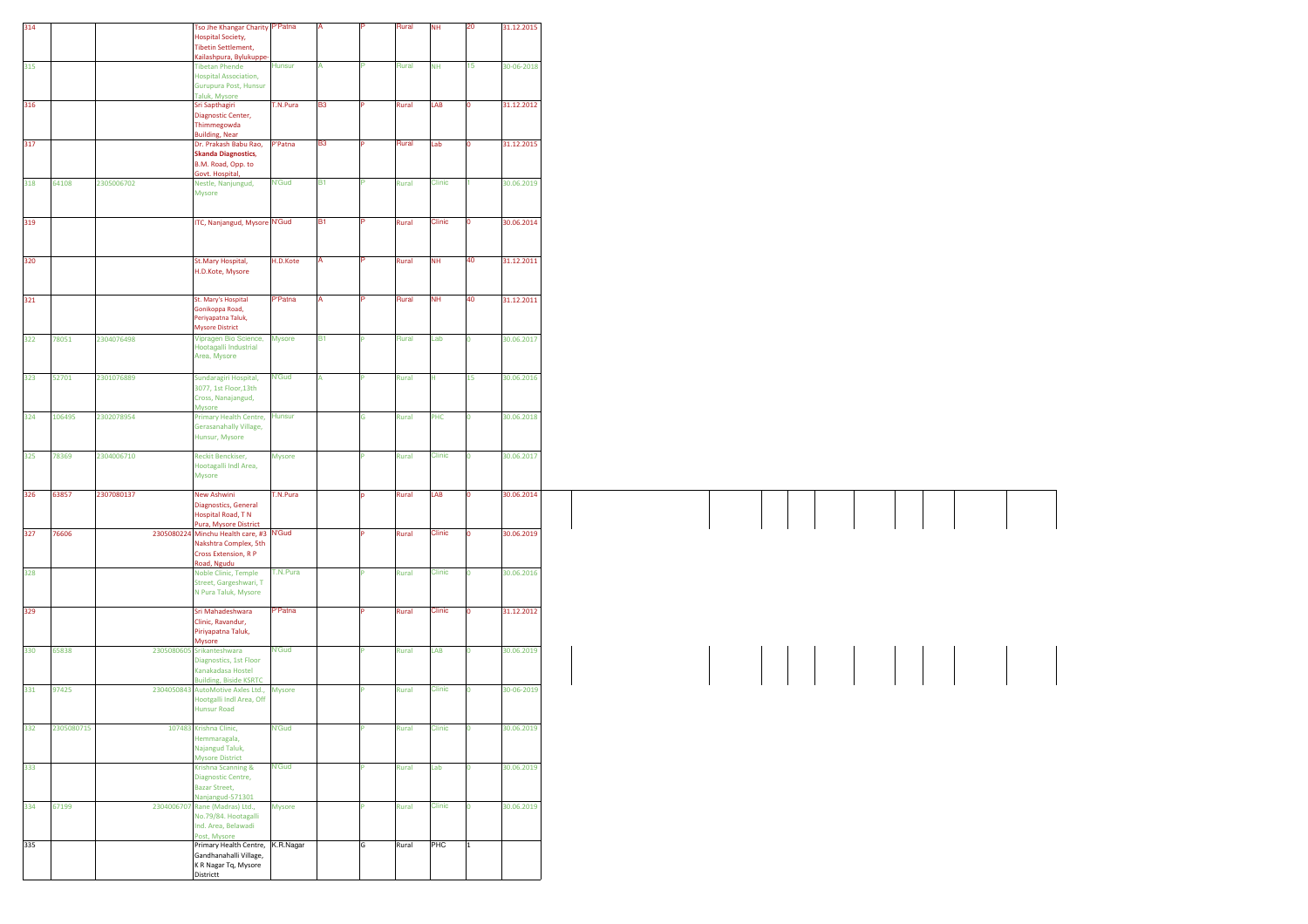| 314 |            |            | Tso Jhe Khangar Charity P'Patna<br><b>Hospital Society,</b><br><b>Tibetin Settlement,</b>       |                |                |   | Rural | <b>NH</b>     | 20              | 31.12.2015 |
|-----|------------|------------|-------------------------------------------------------------------------------------------------|----------------|----------------|---|-------|---------------|-----------------|------------|
| 315 |            |            | Kailashpura, Bylukuppe<br><b>Tibetan Phende</b>                                                 | <b>Hunsur</b>  |                |   | Rural | <b>NH</b>     | 15 <sub>1</sub> | 30-06-2018 |
|     |            |            | <b>Hospital Association,</b><br>Gurupura Post, Hunsur<br>Taluk, Mysore                          |                |                |   |       |               |                 |            |
| 316 |            |            | Sri Sapthagiri<br>Diagnostic Center,                                                            | T.N.Pura       | <b>B3</b>      |   | Rural | LAB           |                 | 31.12.2012 |
| 317 |            |            | Thimmegowda<br><b>Building, Near</b><br>Dr. Prakash Babu Rao,                                   | P'Patna        | B <sub>3</sub> |   | Rural | Lab           |                 | 31.12.2015 |
|     |            |            | <b>Skanda Diagnostics,</b><br>B.M. Road, Opp. to<br>Govt. Hospital,                             |                |                |   |       |               |                 |            |
| 318 | 64108      | 2305006702 | Nestle, Nanjungud,<br>Mysore                                                                    | <b>N'Gud</b>   | <b>B1</b>      |   | Rural | Clinic        |                 | 30.06.2019 |
| 319 |            |            | <b>TC, Nanjangud, Mysore N'Gud</b>                                                              |                | <b>B1</b>      |   | Rural | Clinic        |                 | 30.06.2014 |
|     |            |            |                                                                                                 |                |                |   |       |               |                 |            |
| 320 |            |            | St.Mary Hospital,<br>H.D.Kote, Mysore                                                           | H.D.Kote       |                |   | Rural | <b>NH</b>     | 40              | 31.12.2011 |
| 321 |            |            | St. Mary's Hospital                                                                             | <b>P'Patna</b> |                |   | Rural | <b>NH</b>     | 40              | 31.12.2011 |
|     |            |            | Gonikoppa Road,<br>Periyapatna Taluk,<br><b>Mysore District</b>                                 |                |                |   |       |               |                 |            |
| 322 | 78051      | 2304076498 | Vipragen Bio Science,<br>Hootagalli Industrial<br>Area, Mysore                                  | Mysore         | <b>B1</b>      |   | Rural | Lab           |                 | 30.06.2017 |
| 323 | 52701      | 2301076889 | Sundaragiri Hospital,<br>3077, 1st Floor, 13th<br>Cross, Nanajangud,                            | <b>N'Gud</b>   |                |   | Rural | H.            | 15              | 30.06.2016 |
| 324 | 106495     | 2302078954 | Mysore<br>Primary Health Centre, Hunsur                                                         |                |                | G | Rural | PHC           |                 | 30.06.2018 |
|     |            |            | Gerasanahally Village,<br>Hunsur, Mysore                                                        |                |                |   |       |               |                 |            |
| 325 | 78369      | 2304006710 | <b>Reckit Benckiser,</b><br>Hootagalli Indl Area,<br>Mysore                                     | Mysore         |                |   | Rural | Clinic        |                 | 30.06.2017 |
| 326 | 63857      | 2307080137 | New Ashwini<br>Diagnostics, General<br>Hospital Road, T N                                       | T.N.Pura       |                |   | Rural | LAB           |                 | 30.06.2014 |
| 327 | 76606      |            | Pura, Mysore District<br>2305080224 Minchu Health care, #3 N'Gud<br>Nakshtra Complex, 5th       |                |                |   | Rural | Clinic        |                 | 30.06.2019 |
| 328 |            |            | Cross Extension, R P<br>Road, Ngudu                                                             | T.N.Pura       |                |   |       | Clinic        |                 | 30.06.2016 |
|     |            |            | Noble Clinic, Temple<br>Street, Gargeshwari, T<br>N Pura Taluk, Mysore                          |                |                |   | Rural |               |                 |            |
| 329 |            |            | Sri Mahadeshwara<br>Clinic, Ravandur,<br>Piriyapatna Taluk,                                     | <b>P'Patna</b> |                |   | Rural | Clinic        |                 | 31.12.2012 |
| 330 | 65838      |            | <b>Aysore</b><br>2305080605 Srikanteshwara<br>Diagnostics, 1st Floor                            | N'Gud          |                |   | Rural | LAB           |                 | 30.06.2019 |
| 331 | 97425      |            | Kanakadasa Hostel<br><b>Building, Biside KSRTC</b><br>2304050843 AutoMotive Axles Ltd.,         | Mysore         |                |   | Rural | Clinic        |                 | 30-06-2019 |
|     |            |            | Hootgalli Indl Area, Off<br><b>Hunsur Road</b>                                                  |                |                |   |       |               |                 |            |
| 332 | 2305080715 |            | 107483 Krishna Clinic,<br>lemmaragala,<br>Najangud Taluk,                                       | <b>N'Gud</b>   |                |   | Rural | <b>Clinic</b> |                 | 30.06.2019 |
| 333 |            |            | <b>Mysore District</b><br>Krishna Scanning &<br>Diagnostic Centre,<br><b>Bazar Street,</b>      | <b>N'Gud</b>   |                |   | Rural | Lab           |                 | 30.06.2019 |
| 334 | 67199      |            | Nanjangud-571301<br>2304006707 Rane (Madras) Ltd.,<br>No.79/84. Hootagalli                      | Mysore         |                |   | Rural | Clinic        |                 | 30.06.2019 |
|     |            |            | Ind. Area, Belawadi<br>Post, Mysore                                                             |                |                |   |       |               |                 |            |
| 335 |            |            | Primary Health Centre, K.R.Nagar<br>Gandhanahalli Village,<br>K R Nagar Tq, Mysore<br>Districtt |                |                | G | Rural | <b>PHC</b>    | $\vert$ 1       |            |